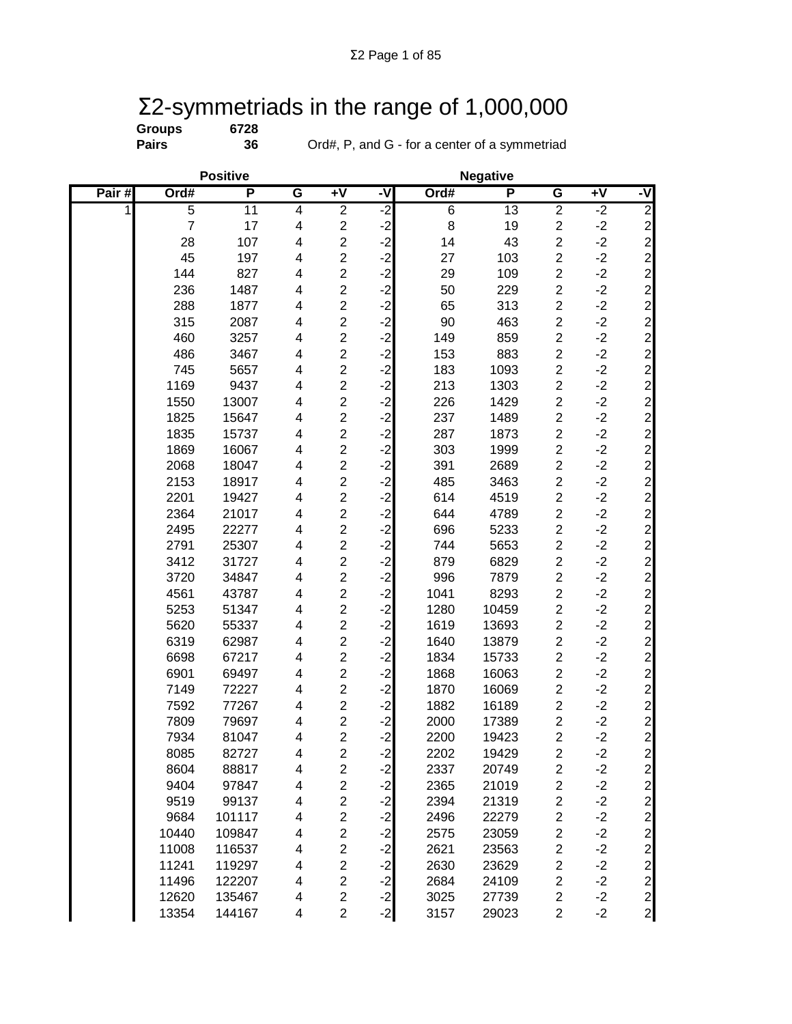## Σ2-symmetriads in the range of 1,000,000

| Groups |  |
|--------|--|
| Daire  |  |

**Groups 6728**

**Pairs 36** Ord#, P, and G - for a center of a symmetriad

|       |                | <b>Positive</b> |                         |                         |                      |                | <b>Negative</b> |                         |                 |                |
|-------|----------------|-----------------|-------------------------|-------------------------|----------------------|----------------|-----------------|-------------------------|-----------------|----------------|
| Pair# | Ord#           | P               | G                       | $+V$                    | -V                   | Ord#           | P               | $\overline{\mathsf{G}}$ | $\overline{+V}$ | -V             |
| 1     | $\overline{5}$ | 11              | $\overline{4}$          | $\overline{2}$          | $-2$                 | $\overline{6}$ | $\overline{13}$ | $\overline{2}$          | $-2$            | $\overline{2}$ |
|       | $\overline{7}$ | 17              | $\overline{\mathbf{4}}$ | $\overline{c}$          | $-2$                 | 8              | 19              | $\boldsymbol{2}$        | $-2$            |                |
|       | 28             | 107             | $\overline{\mathbf{4}}$ | $\overline{c}$          | $-2$                 | 14             | 43              | $\overline{c}$          | $-2$            |                |
|       | 45             | 197             | $\overline{\mathbf{4}}$ | $\overline{c}$          | $-2$                 | 27             | 103             | $\overline{c}$          | $-2$            |                |
|       | 144            | 827             | $\overline{\mathbf{4}}$ | $\overline{c}$          | $-2$                 | 29             | 109             | $\boldsymbol{2}$        | $-2$            |                |
|       | 236            | 1487            | $\overline{\mathbf{4}}$ | $\overline{\mathbf{c}}$ | $-2$<br>$-2$         | 50             | 229             | $\overline{c}$          | $-2$            |                |
|       | 288            | 1877            | 4                       | $\overline{2}$          |                      | 65             | 313             | $\overline{c}$          | $-2$            |                |
|       | 315            | 2087            | 4                       | $\overline{c}$          | $-2$                 | 90             | 463             | $\overline{c}$          | $-2$            |                |
|       | 460            | 3257            | $\overline{\mathbf{4}}$ | $\overline{\mathbf{c}}$ | $-2$                 | 149            | 859             | $\boldsymbol{2}$        | $-2$            |                |
|       | 486            | 3467            | $\overline{\mathbf{4}}$ | $\overline{c}$          | $-2$                 | 153            | 883             | $\boldsymbol{2}$        | $-2$            |                |
|       | 745            | 5657            | $\overline{\mathbf{4}}$ | $\overline{c}$          | $-2$                 | 183            | 1093            | $\overline{c}$          | $-2$            |                |
|       | 1169           | 9437            | $\overline{\mathbf{4}}$ | $\overline{c}$          | $-2$                 | 213            | 1303            | $\overline{c}$          | $-2$            |                |
|       | 1550           | 13007           | 4                       | $\overline{c}$          | $-2$                 | 226            | 1429            | $\overline{c}$          | $-2$            |                |
|       | 1825           | 15647           | 4                       | $\overline{c}$          | $-2$                 | 237            | 1489            | $\overline{\mathbf{c}}$ | $-2$            |                |
|       | 1835           | 15737           | $\overline{\mathbf{4}}$ | $\overline{2}$          | $-2$                 | 287            | 1873            | $\overline{c}$          | $-2$            |                |
|       | 1869           | 16067           | $\overline{\mathbf{4}}$ | $\overline{c}$          | $-2$                 | 303            | 1999            | $\overline{c}$          | $-2$            |                |
|       | 2068           | 18047           | $\overline{\mathbf{4}}$ | $\overline{2}$          | $-2$                 | 391            | 2689            | $\overline{c}$          | $-2$            |                |
|       | 2153           | 18917           | $\overline{\mathbf{4}}$ | $\overline{c}$          | $-2$                 | 485            | 3463            | $\overline{c}$          | $-2$            |                |
|       | 2201           | 19427           | $\overline{\mathbf{4}}$ | $\overline{c}$          | $-2$                 | 614            | 4519            | $\overline{c}$          | $-2$            |                |
|       | 2364           | 21017           | 4                       | $\overline{c}$          | $-2$                 | 644            | 4789            | $\overline{c}$          | $-2$            |                |
|       | 2495           | 22277           | 4                       | $\overline{c}$          | $-2$                 | 696            | 5233            | $\overline{c}$          | $-2$            |                |
|       | 2791           | 25307           | 4                       | $\overline{c}$          | $-2$                 | 744            | 5653            | $\overline{c}$          | $-2$            |                |
|       | 3412           | 31727           | 4                       | $\overline{c}$          | $-2$                 | 879            | 6829            | $\overline{c}$          | $-2$            |                |
|       | 3720           | 34847           | 4                       | $\overline{c}$          | $-2$                 | 996            | 7879            | $\overline{c}$          | $-2$            |                |
|       | 4561           | 43787           | $\overline{\mathbf{4}}$ | $\overline{c}$          | $-2$                 | 1041           | 8293            | $\overline{c}$          | $-2$            |                |
|       | 5253           | 51347           | $\overline{\mathbf{4}}$ | $\overline{c}$          | $-2$                 | 1280           | 10459           | $\overline{c}$          | $-2$            |                |
|       | 5620           | 55337           | $\overline{\mathbf{4}}$ | $\overline{c}$          | $-2$                 | 1619           | 13693           | $\overline{c}$          | $-2$            |                |
|       | 6319           | 62987           | $\overline{\mathbf{4}}$ | $\overline{c}$          | $-2$                 | 1640           | 13879           | $\overline{c}$          | $-2$            |                |
|       | 6698           | 67217           | 4                       | $\overline{c}$          | $-2$                 | 1834           | 15733           | $\overline{c}$          | $-2$            |                |
|       | 6901           | 69497           | $\overline{\mathbf{4}}$ | $\overline{c}$          | $-2$                 | 1868           | 16063           | $\overline{c}$          | $-2$            |                |
|       | 7149           | 72227           | $\overline{\mathbf{4}}$ | $\overline{c}$          | $-2$                 | 1870           | 16069           | $\overline{c}$          | $-2$            |                |
|       | 7592           | 77267           | $\overline{\mathbf{4}}$ | $\overline{c}$          | $-2$                 | 1882           | 16189           | $\overline{2}$          | $-2$            |                |
|       | 7809           | 79697           | $\overline{\mathbf{4}}$ | $\overline{c}$          | $-2$                 | 2000           | 17389           | $\overline{\mathbf{c}}$ | $-2$            |                |
|       | 7934           | 81047           | 4                       | $\overline{2}$          | $-2$                 | 2200           | 19423           | $\overline{c}$          | $-2$            |                |
|       | 8085           | 82727           | 4                       | 2                       | $-2$                 | 2202           | 19429           | 2                       | $-2$            |                |
|       | 8604           | 88817           | 4                       | $\overline{c}$          |                      | 2337           | 20749           | $\boldsymbol{2}$        | $-2$            |                |
|       | 9404           | 97847           | $\overline{\mathbf{4}}$ | $\overline{c}$          | $-2$<br>$-2$<br>$-2$ | 2365           | 21019           | $\overline{c}$          | $-2$            |                |
|       | 9519           | 99137           | 4                       | $\overline{c}$          |                      | 2394           | 21319           | $\overline{c}$          | $-2$            |                |
|       | 9684           | 101117          | 4                       | $\overline{c}$          | دا دا دا دا دا       | 2496           | 22279           | $\overline{\mathbf{c}}$ | $-2$            |                |
|       | 10440          | 109847          | 4                       | $\overline{c}$          |                      | 2575           | 23059           | $\overline{\mathbf{c}}$ | $-2$            |                |
|       | 11008          | 116537          | 4                       | $\overline{c}$          |                      | 2621           | 23563           | $\overline{\mathbf{c}}$ | $-2$            |                |
|       | 11241          | 119297          | 4                       | $\overline{c}$          |                      | 2630           | 23629           | $\overline{c}$          | $-2$            |                |
|       | 11496          | 122207          | $\overline{\mathbf{4}}$ | $\overline{c}$          |                      | 2684           | 24109           | $\boldsymbol{2}$        | $-2$            |                |
|       | 12620          | 135467          | 4                       | $\overline{\mathbf{c}}$ | $-2$                 | 3025           | 27739           | $\overline{\mathbf{c}}$ | $-2$            |                |
|       | 13354          | 144167          | $\overline{\mathbf{4}}$ | $\overline{2}$          | $-2$                 | 3157           | 29023           | $\overline{2}$          | $-2$            |                |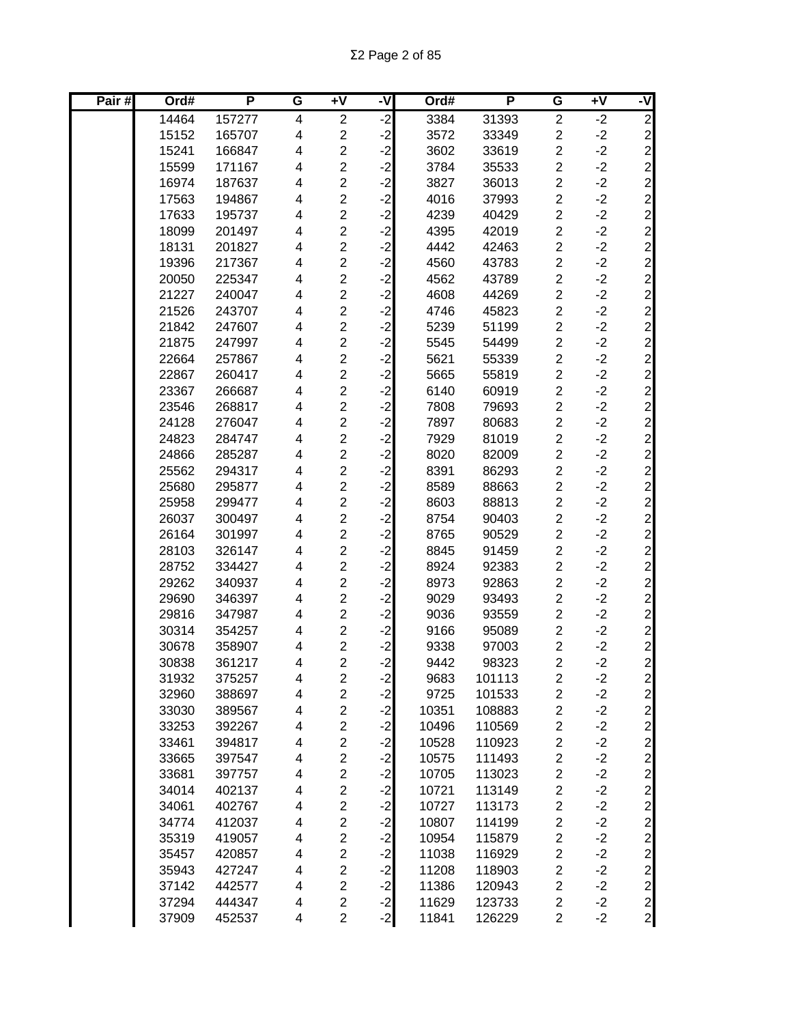| Pair# | Ord#  | P      | G                        | $\overline{+V}$         | -V   | Ord#  | P      | G                       | $\overline{+V}$ | -V                                         |
|-------|-------|--------|--------------------------|-------------------------|------|-------|--------|-------------------------|-----------------|--------------------------------------------|
|       | 14464 | 157277 | $\overline{\mathbf{4}}$  | $\overline{c}$          | ۱J.  | 3384  | 31393  | $\overline{c}$          | $-2$            | $\overline{2}$                             |
|       | 15152 | 165707 | $\overline{\mathbf{4}}$  | $\overline{c}$          | $-2$ | 3572  | 33349  | $\overline{c}$          | $-2$            |                                            |
|       | 15241 | 166847 | 4                        | $\overline{\mathbf{c}}$ | $-2$ | 3602  | 33619  | $\overline{2}$          | $-2$            |                                            |
|       | 15599 | 171167 | 4                        | $\overline{c}$          | $-2$ | 3784  | 35533  | $\overline{2}$          | $-2$            | $\begin{array}{c} 2 \\ 2 \\ 2 \end{array}$ |
|       | 16974 | 187637 | 4                        | $\overline{\mathbf{c}}$ | $-2$ | 3827  | 36013  | $\overline{c}$          | $-2$            | $\mathbf{2}$                               |
|       | 17563 | 194867 | $\overline{\mathbf{4}}$  | $\overline{2}$          | $-2$ | 4016  | 37993  | $\overline{c}$          | $-2$            |                                            |
|       | 17633 | 195737 | $\overline{\mathbf{4}}$  | $\overline{\mathbf{c}}$ | $-2$ | 4239  | 40429  | $\overline{c}$          | $-2$            |                                            |
|       | 18099 | 201497 | $\overline{\mathbf{4}}$  | $\overline{2}$          | $-2$ | 4395  | 42019  | $\overline{c}$          | $-2$            |                                            |
|       | 18131 | 201827 | $\overline{\mathbf{4}}$  | $\overline{2}$          | $-2$ | 4442  | 42463  | $\overline{c}$          | $-2$            |                                            |
|       | 19396 | 217367 | $\overline{\mathbf{4}}$  | $\overline{c}$          | $-2$ | 4560  | 43783  | $\overline{c}$          | $-2$            |                                            |
|       | 20050 | 225347 | 4                        | $\overline{c}$          | $-2$ | 4562  | 43789  | $\overline{2}$          | $-2$            |                                            |
|       | 21227 | 240047 | 4                        | $\overline{c}$          | $-2$ | 4608  | 44269  | $\overline{c}$          | $-2$            | ט ט ט ט ט ט ט ט ט ט ט ט ט ט ט              |
|       | 21526 | 243707 | 4                        | $\overline{2}$          | $-2$ | 4746  | 45823  | $\overline{2}$          | $-2$            |                                            |
|       | 21842 | 247607 | 4                        | $\overline{\mathbf{c}}$ | $-2$ | 5239  | 51199  | $\overline{\mathbf{c}}$ | $-2$            |                                            |
|       | 21875 | 247997 | 4                        | $\overline{c}$          | $-2$ | 5545  | 54499  | $\overline{c}$          | $-2$            |                                            |
|       | 22664 | 257867 | 4                        | $\overline{\mathbf{c}}$ | $-2$ | 5621  | 55339  | $\overline{\mathbf{c}}$ | $-2$            |                                            |
|       | 22867 | 260417 | $\overline{\mathbf{4}}$  | $\overline{2}$          | $-2$ | 5665  | 55819  | $\overline{c}$          | $-2$            |                                            |
|       | 23367 | 266687 | 4                        | $\overline{c}$          | $-2$ | 6140  | 60919  | $\overline{c}$          | $-2$            |                                            |
|       | 23546 | 268817 | 4                        | $\overline{\mathbf{c}}$ | $-2$ | 7808  | 79693  | $\overline{c}$          | $-2$            |                                            |
|       | 24128 | 276047 | 4                        | $\overline{\mathbf{c}}$ | $-2$ | 7897  | 80683  | $\overline{c}$          | $-2$            |                                            |
|       | 24823 | 284747 | 4                        | $\overline{c}$          | $-2$ | 7929  | 81019  | $\overline{c}$          | $-2$            |                                            |
|       | 24866 | 285287 | $\overline{\mathbf{4}}$  | $\overline{2}$          | $-2$ | 8020  | 82009  | $\overline{c}$          | $-2$            | $\mathbf{2}$                               |
|       | 25562 | 294317 | $\overline{\mathbf{4}}$  | $\overline{\mathbf{c}}$ | $-2$ | 8391  | 86293  | $\overline{c}$          | $-2$            |                                            |
|       | 25680 | 295877 | $\overline{\mathbf{4}}$  | $\overline{c}$          | $-2$ | 8589  | 88663  | $\overline{2}$          | $-2$            |                                            |
|       | 25958 | 299477 | $\overline{\mathbf{4}}$  | $\overline{\mathbf{c}}$ | $-2$ | 8603  | 88813  | $\overline{c}$          | $-2$            |                                            |
|       | 26037 | 300497 | $\overline{\mathbf{4}}$  | $\overline{2}$          | $-2$ | 8754  | 90403  | $\overline{c}$          | $-2$            |                                            |
|       | 26164 | 301997 | $\overline{\mathbf{4}}$  | $\overline{c}$          | $-2$ | 8765  | 90529  | $\overline{c}$          | $-2$            |                                            |
|       | 28103 | 326147 | 4                        | $\overline{c}$          | $-2$ | 8845  | 91459  | $\overline{c}$          | $-2$            | ט ט ט ט ט ט ט ט ט ט ט                      |
|       | 28752 | 334427 | 4                        | $\overline{c}$          | $-2$ | 8924  | 92383  | $\overline{c}$          | $-2$            |                                            |
|       | 29262 | 340937 | 4                        | $\overline{2}$          | $-2$ | 8973  | 92863  | $\overline{2}$          | $-2$            |                                            |
|       | 29690 | 346397 | 4                        | $\overline{c}$          | $-2$ | 9029  | 93493  | $\overline{c}$          | $-2$            |                                            |
|       | 29816 | 347987 | 4                        | $\overline{c}$          | $-2$ | 9036  | 93559  | $\overline{c}$          | $-2$            |                                            |
|       | 30314 | 354257 | $\overline{\mathbf{4}}$  | $\overline{\mathbf{c}}$ | $-2$ | 9166  | 95089  | $\overline{c}$          | $-2$            |                                            |
|       | 30678 | 358907 | 4                        | $\overline{\mathbf{c}}$ | $-2$ | 9338  | 97003  | $\overline{c}$          | $-2$            |                                            |
|       | 30838 | 361217 | 4                        | $\overline{2}$          | $-2$ | 9442  | 98323  | $\overline{2}$          | $-2$            | $\mathbf{2}$                               |
|       | 31932 | 375257 | 4                        | 2                       | $-2$ | 9683  | 101113 | $\overline{\mathbf{c}}$ | $-2$            | $\mathbf{2}$                               |
|       | 32960 | 388697 | 4                        | $\overline{\mathbf{c}}$ | $-2$ | 9725  | 101533 | $\overline{\mathbf{c}}$ | $-2$            | $\mathbf{Z}$                               |
|       | 33030 | 389567 | 4                        | $\overline{\mathbf{c}}$ | $-2$ | 10351 | 108883 | $\overline{\mathbf{c}}$ | $-2$            | $\overline{2}$                             |
|       | 33253 | 392267 | $\overline{\mathbf{4}}$  | $\overline{c}$          | $-2$ | 10496 | 110569 | $\overline{\mathbf{c}}$ | $-2$            |                                            |
|       | 33461 | 394817 | $\overline{\mathbf{4}}$  | $\overline{\mathbf{c}}$ | $-2$ | 10528 | 110923 | $\overline{\mathbf{c}}$ | $-2$            |                                            |
|       | 33665 | 397547 | $\overline{\mathcal{A}}$ | $\overline{\mathbf{c}}$ | $-2$ | 10575 | 111493 | $\overline{c}$          | $-2$            |                                            |
|       | 33681 | 397757 | $\overline{\mathcal{A}}$ | $\overline{\mathbf{c}}$ | $-2$ | 10705 | 113023 | $\overline{\mathbf{c}}$ | $-2$            |                                            |
|       | 34014 | 402137 | $\overline{\mathbf{4}}$  | $\overline{\mathbf{c}}$ | $-2$ | 10721 | 113149 | $\overline{c}$          | $-2$            |                                            |
|       | 34061 | 402767 | 4                        | $\overline{c}$          | $-2$ | 10727 | 113173 | $\overline{\mathbf{c}}$ | $-2$            |                                            |
|       | 34774 | 412037 | 4                        | $\overline{\mathbf{c}}$ | $-2$ | 10807 | 114199 | $\overline{\mathbf{c}}$ | $-2$            |                                            |
|       | 35319 | 419057 | 4                        | $\overline{c}$          | $-2$ | 10954 | 115879 | $\overline{\mathbf{c}}$ | $-2$            |                                            |
|       | 35457 | 420857 | 4                        | $\overline{\mathbf{c}}$ | $-2$ | 11038 | 116929 | $\overline{\mathbf{c}}$ | $-2$            |                                            |
|       | 35943 | 427247 | $\overline{\mathbf{4}}$  | $\overline{c}$          | $-2$ | 11208 | 118903 | $\overline{\mathbf{c}}$ | $-2$            |                                            |
|       | 37142 | 442577 | 4                        | $\overline{\mathbf{c}}$ | $-2$ | 11386 | 120943 | $\overline{\mathbf{c}}$ | $-2$            |                                            |
|       | 37294 | 444347 | 4                        | 2                       | $-2$ | 11629 | 123733 | $\overline{\mathbf{c}}$ | $-2$            |                                            |
|       | 37909 | 452537 | 4                        | $\overline{c}$          | $-2$ | 11841 | 126229 | $\overline{2}$          | $-2$            |                                            |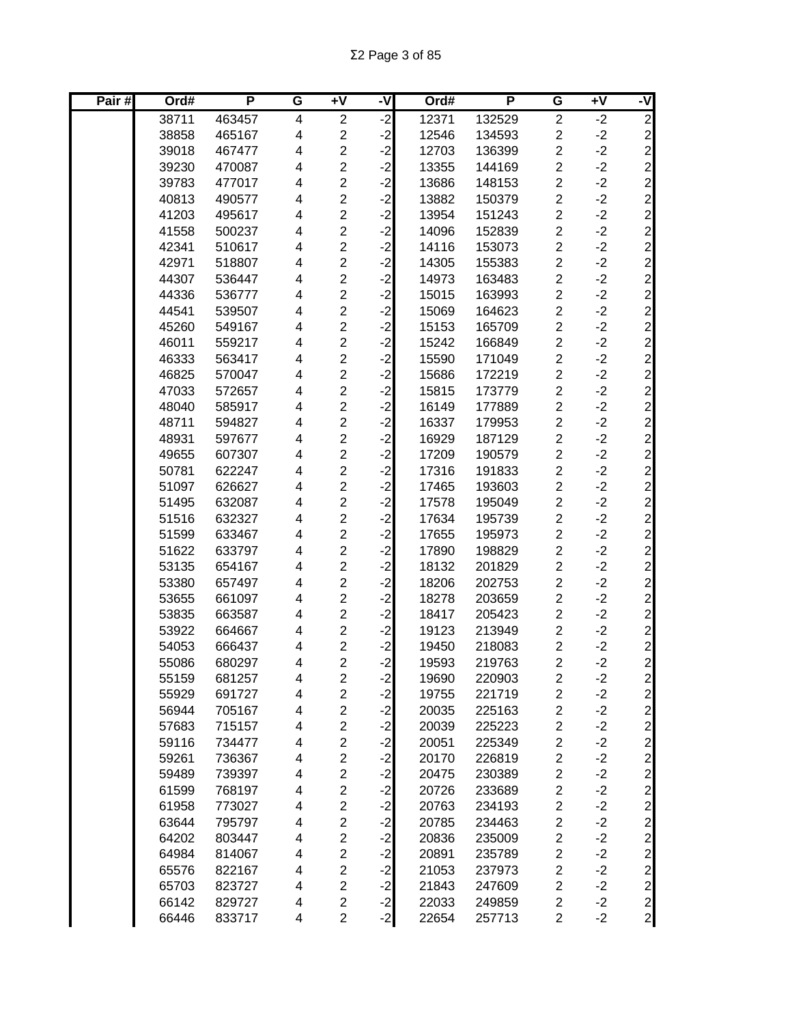| Pair# | Ord#  | P      | G | $\overline{+V}$         | -V      | Ord#  | P      | G                       | $\overline{+V}$ | -V                                    |
|-------|-------|--------|---|-------------------------|---------|-------|--------|-------------------------|-----------------|---------------------------------------|
|       | 38711 | 463457 | 4 | $\overline{2}$          | ر.<br>د | 12371 | 132529 | $\overline{2}$          | $-2$            | $\overline{c}$                        |
|       | 38858 | 465167 | 4 | $\overline{\mathbf{c}}$ | $-2$    | 12546 | 134593 | $\overline{c}$          | $-2$            |                                       |
|       | 39018 | 467477 | 4 | $\overline{\mathbf{c}}$ | $-2$    | 12703 | 136399 | $\overline{c}$          | $-2$            |                                       |
|       | 39230 | 470087 | 4 | $\overline{c}$          | $-2$    | 13355 | 144169 | $\overline{c}$          | $-2$            | $\begin{array}{c} 2 \\ 2 \end{array}$ |
|       | 39783 | 477017 | 4 | $\overline{\mathbf{c}}$ | $-2$    | 13686 | 148153 | $\overline{\mathbf{c}}$ | $-2$            |                                       |
|       | 40813 | 490577 | 4 | $\overline{2}$          | $-2$    | 13882 | 150379 | $\overline{2}$          | $-2$            | $\overline{c}$                        |
|       | 41203 | 495617 | 4 | $\overline{c}$          | $-2$    | 13954 | 151243 | $\overline{c}$          | $-2$            |                                       |
|       | 41558 | 500237 | 4 | $\overline{2}$          | $-2$    | 14096 | 152839 | $\overline{c}$          | $-2$            |                                       |
|       | 42341 | 510617 | 4 | $\overline{c}$          | $-2$    | 14116 | 153073 | $\overline{c}$          | $-2$            |                                       |
|       | 42971 | 518807 | 4 | $\overline{2}$          | $-2$    | 14305 | 155383 | $\overline{c}$          | $-2$            |                                       |
|       | 44307 | 536447 | 4 | $\overline{c}$          | $-2$    | 14973 | 163483 | $\overline{c}$          | $-2$            |                                       |
|       | 44336 | 536777 | 4 | $\overline{c}$          | $-2$    | 15015 | 163993 | $\overline{c}$          | $-2$            | ט ט ט ט ט ט ט ט ט ט ט ט ט             |
|       | 44541 | 539507 | 4 | $\overline{c}$          | $-2$    | 15069 | 164623 | $\overline{c}$          | $-2$            |                                       |
|       | 45260 | 549167 | 4 | $\overline{2}$          | $-2$    | 15153 | 165709 | $\overline{\mathbf{c}}$ | $-2$            |                                       |
|       | 46011 | 559217 | 4 | $\overline{2}$          | $-2$    | 15242 | 166849 | $\overline{2}$          | $-2$            |                                       |
|       | 46333 | 563417 | 4 | $\overline{\mathbf{c}}$ | $-2$    | 15590 | 171049 | $\overline{c}$          | $-2$            |                                       |
|       | 46825 | 570047 | 4 | $\overline{c}$          | $-2$    | 15686 | 172219 | $\overline{c}$          | $-2$            |                                       |
|       | 47033 | 572657 | 4 | $\overline{c}$          | $-2$    | 15815 | 173779 | $\overline{c}$          | $-2$            |                                       |
|       | 48040 | 585917 | 4 | $\overline{c}$          | $-2$    | 16149 | 177889 | $\overline{c}$          | $-2$            |                                       |
|       | 48711 | 594827 | 4 | $\overline{c}$          | $-2$    | 16337 | 179953 | $\overline{c}$          | $-2$            |                                       |
|       | 48931 | 597677 | 4 | $\overline{c}$          | $-2$    | 16929 | 187129 | $\overline{c}$          | $-2$            |                                       |
|       | 49655 | 607307 | 4 | $\overline{c}$          | $-2$    | 17209 | 190579 | $\overline{c}$          | $-2$            | $\overline{a}$                        |
|       | 50781 | 622247 | 4 | $\overline{c}$          | $-2$    | 17316 | 191833 | $\overline{c}$          | $-2$            | $\overline{c}$                        |
|       | 51097 | 626627 | 4 | $\overline{2}$          | $-2$    | 17465 | 193603 | $\overline{c}$          | $-2$            | $\overline{a}$                        |
|       | 51495 | 632087 | 4 | $\overline{c}$          | $-2$    | 17578 | 195049 | $\overline{\mathbf{c}}$ | $-2$            | ט ט ט ט ט ט ט ט ט ט                   |
|       | 51516 | 632327 | 4 | $\overline{c}$          | $-2$    | 17634 | 195739 | $\overline{c}$          | $-2$            |                                       |
|       | 51599 | 633467 | 4 | $\overline{c}$          | $-2$    | 17655 | 195973 | $\overline{c}$          | $-2$            |                                       |
|       | 51622 | 633797 | 4 | $\overline{c}$          | $-2$    | 17890 | 198829 | $\overline{c}$          | $-2$            |                                       |
|       | 53135 | 654167 | 4 | $\overline{c}$          | $-2$    | 18132 | 201829 | $\overline{c}$          | $-2$            |                                       |
|       | 53380 | 657497 | 4 | $\overline{c}$          | $-2$    | 18206 | 202753 | $\overline{\mathbf{c}}$ | $-2$            |                                       |
|       | 53655 | 661097 | 4 | 2                       | $-2$    | 18278 | 203659 | $\overline{c}$          | $-2$            |                                       |
|       | 53835 | 663587 | 4 | $\overline{\mathbf{c}}$ | $-2$    | 18417 | 205423 | $\overline{c}$          | $-2$            |                                       |
|       | 53922 | 664667 | 4 | $\overline{c}$          | $-2$    | 19123 | 213949 | $\overline{c}$          | $-2$            |                                       |
|       | 54053 | 666437 | 4 | $\overline{\mathbf{c}}$ | $-2$    | 19450 | 218083 | $\overline{\mathbf{c}}$ | $-2$            |                                       |
|       | 55086 | 680297 | 4 | $\overline{2}$          | $-2$    | 19593 | 219763 | $\overline{2}$          | $-2$            |                                       |
|       | 55159 | 681257 | 4 | 2                       | $-2$    | 19690 | 220903 | 2                       | $-2$            | $\mathbf{2}$                          |
|       | 55929 | 691727 | 4 | $\overline{c}$          | $-2$    | 19755 | 221719 | $\overline{\mathbf{c}}$ | $-2$            | $\mathbf{2}$                          |
|       | 56944 | 705167 | 4 | $\overline{\mathbf{c}}$ | $-2$    | 20035 | 225163 | $\overline{\mathbf{c}}$ | $-2$            | $\overline{c}$                        |
|       | 57683 | 715157 | 4 | $\overline{2}$          | $-2$    | 20039 | 225223 | $\overline{\mathbf{c}}$ | $-2$            | $\overline{c}$                        |
|       | 59116 | 734477 | 4 | $\overline{c}$          | $-2$    | 20051 | 225349 | $\overline{\mathbf{c}}$ | $-2$            | $\overline{c}$                        |
|       | 59261 | 736367 | 4 | $\overline{\mathbf{c}}$ | $-2$    | 20170 | 226819 | $\overline{\mathbf{c}}$ | $-2$            | $\overline{c}$                        |
|       | 59489 | 739397 | 4 | $\overline{\mathbf{c}}$ | $-2$    | 20475 | 230389 | $\overline{\mathbf{c}}$ | $-2$            |                                       |
|       | 61599 | 768197 | 4 | $\overline{c}$          | $-2$    | 20726 | 233689 | $\overline{\mathbf{c}}$ | $-2$            |                                       |
|       | 61958 | 773027 | 4 | $\overline{2}$          | $-2$    | 20763 | 234193 | $\overline{c}$          | $-2$            |                                       |
|       | 63644 | 795797 | 4 | $\overline{\mathbf{c}}$ | $-2$    | 20785 | 234463 | $\overline{\mathbf{c}}$ | $-2$            |                                       |
|       | 64202 | 803447 | 4 | $\overline{2}$          | $-2$    | 20836 | 235009 | $\overline{\mathbf{c}}$ | $-2$            |                                       |
|       | 64984 | 814067 | 4 | $\overline{c}$          | $-2$    | 20891 | 235789 | $\overline{\mathbf{c}}$ | $-2$            |                                       |
|       | 65576 | 822167 | 4 | $\overline{2}$          | $-2$    | 21053 | 237973 | $\overline{c}$          | $-2$            |                                       |
|       | 65703 | 823727 | 4 | $\overline{c}$          | $-2$    | 21843 | 247609 | $\overline{\mathbf{c}}$ | $-2$            |                                       |
|       | 66142 | 829727 | 4 | $\overline{c}$          | $-2$    | 22033 | 249859 | $\overline{c}$          | $-2$            |                                       |
|       | 66446 | 833717 | 4 | $\overline{c}$          | $-2$    | 22654 | 257713 | $\overline{c}$          | $-2$            |                                       |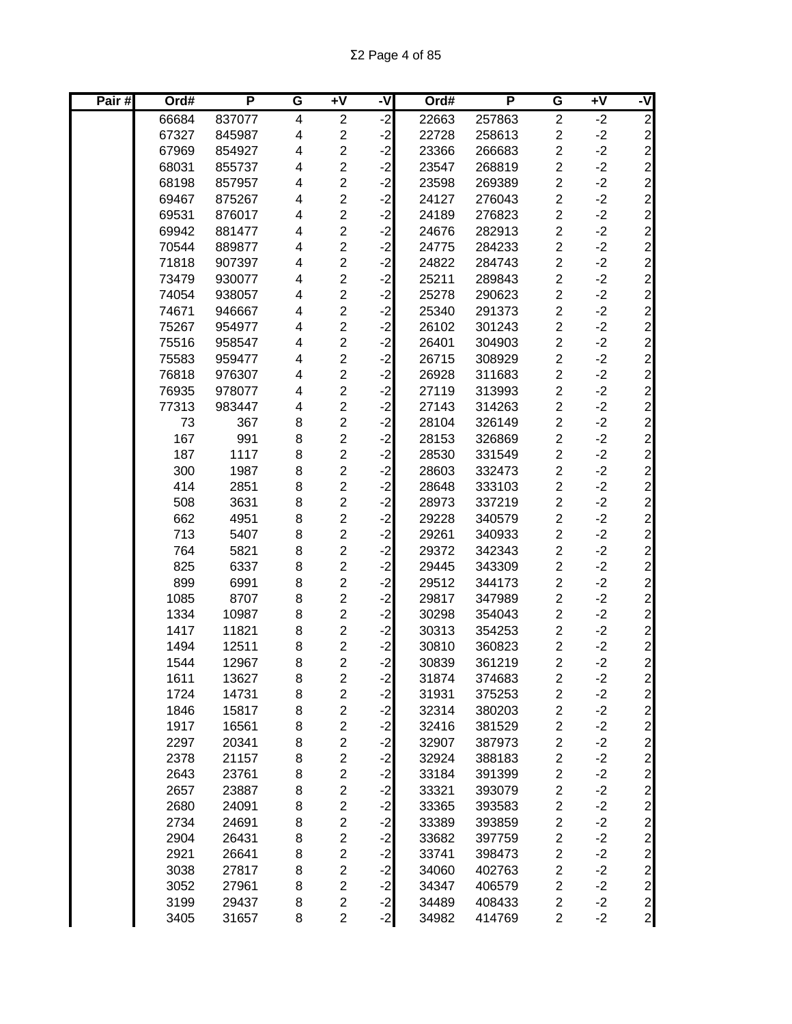| Pair# | Ord#  | P      | G | $+V$                    | -V   | Ord#  | P      | G                       | $+V$ | -V             |
|-------|-------|--------|---|-------------------------|------|-------|--------|-------------------------|------|----------------|
|       | 66684 | 837077 | 4 | $\overline{2}$          | ۱J.  | 22663 | 257863 | $\overline{c}$          | $-2$ | $\overline{c}$ |
|       | 67327 | 845987 | 4 | $\overline{2}$          | $-2$ | 22728 | 258613 | $\overline{2}$          | $-2$ |                |
|       | 67969 | 854927 | 4 | $\overline{2}$          | $-2$ | 23366 | 266683 | $\overline{c}$          | $-2$ |                |
|       | 68031 | 855737 | 4 | $\overline{c}$          | $-2$ | 23547 | 268819 | $\overline{c}$          | $-2$ |                |
|       | 68198 | 857957 | 4 | $\overline{c}$          | $-2$ | 23598 | 269389 | $\overline{c}$          | $-2$ |                |
|       | 69467 | 875267 | 4 | $\overline{c}$          | $-2$ | 24127 | 276043 | $\overline{c}$          | $-2$ |                |
|       | 69531 | 876017 | 4 | $\overline{c}$          | $-2$ | 24189 | 276823 | $\overline{c}$          | $-2$ |                |
|       | 69942 | 881477 | 4 | $\overline{2}$          | $-2$ | 24676 | 282913 | $\overline{c}$          | $-2$ |                |
|       | 70544 | 889877 | 4 | $\overline{c}$          | $-2$ | 24775 | 284233 | $\overline{c}$          | $-2$ |                |
|       | 71818 | 907397 | 4 | $\overline{c}$          | $-2$ | 24822 | 284743 | $\overline{c}$          | $-2$ |                |
|       | 73479 | 930077 | 4 | $\overline{c}$          | $-2$ | 25211 | 289843 | $\overline{\mathbf{c}}$ | $-2$ |                |
|       | 74054 | 938057 | 4 | $\overline{2}$          | $-2$ | 25278 | 290623 | $\overline{c}$          | $-2$ |                |
|       | 74671 | 946667 | 4 | $\overline{\mathbf{c}}$ | $-2$ | 25340 | 291373 | $\overline{\mathbf{c}}$ | $-2$ |                |
|       | 75267 | 954977 | 4 | $\overline{c}$          | $-2$ | 26102 | 301243 | $\overline{c}$          | $-2$ |                |
|       | 75516 | 958547 | 4 | $\overline{\mathbf{c}}$ | $-2$ | 26401 | 304903 | $\overline{c}$          | $-2$ |                |
|       | 75583 | 959477 | 4 | $\overline{c}$          | $-2$ | 26715 | 308929 | $\overline{c}$          | $-2$ |                |
|       | 76818 | 976307 | 4 | $\overline{c}$          | $-2$ | 26928 | 311683 | $\overline{c}$          | $-2$ |                |
|       | 76935 | 978077 | 4 | $\overline{c}$          | $-2$ | 27119 | 313993 | $\overline{c}$          | $-2$ |                |
|       | 77313 | 983447 | 4 | $\overline{c}$          | $-2$ | 27143 | 314263 | $\overline{c}$          | $-2$ |                |
|       | 73    | 367    | 8 | $\overline{2}$          | $-2$ | 28104 | 326149 | $\overline{c}$          | $-2$ |                |
|       | 167   | 991    | 8 | $\overline{c}$          | $-2$ | 28153 | 326869 | $\overline{c}$          | $-2$ |                |
|       | 187   | 1117   | 8 | $\overline{c}$          | $-2$ | 28530 | 331549 | $\overline{c}$          | $-2$ |                |
|       | 300   | 1987   | 8 | $\overline{c}$          | $-2$ | 28603 | 332473 | $\overline{c}$          | $-2$ |                |
|       | 414   | 2851   | 8 | $\overline{c}$          | $-2$ | 28648 | 333103 | $\overline{c}$          | $-2$ |                |
|       | 508   | 3631   | 8 | $\overline{c}$          | $-2$ | 28973 | 337219 | $\overline{c}$          | $-2$ |                |
|       | 662   | 4951   | 8 | $\overline{c}$          | $-2$ | 29228 | 340579 | $\overline{c}$          | $-2$ |                |
|       | 713   | 5407   | 8 | $\overline{2}$          | $-2$ | 29261 | 340933 | $\overline{c}$          | $-2$ |                |
|       | 764   | 5821   | 8 | $\overline{2}$          | $-2$ | 29372 | 342343 | $\overline{c}$          | $-2$ |                |
|       | 825   | 6337   | 8 | $\overline{2}$          | $-2$ | 29445 | 343309 | $\overline{c}$          | $-2$ |                |
|       | 899   | 6991   | 8 | $\overline{\mathbf{c}}$ | $-2$ | 29512 | 344173 | $\overline{c}$          | $-2$ |                |
|       | 1085  | 8707   | 8 | $\overline{c}$          | $-2$ | 29817 | 347989 | $\overline{c}$          | $-2$ |                |
|       | 1334  | 10987  | 8 | $\overline{\mathbf{c}}$ | $-2$ | 30298 | 354043 | $\overline{c}$          | $-2$ |                |
|       | 1417  | 11821  | 8 | $\overline{c}$          | $-2$ | 30313 | 354253 | $\overline{c}$          | $-2$ |                |
|       | 1494  | 12511  | 8 | $\overline{\mathbf{c}}$ | $-2$ | 30810 | 360823 | $\overline{c}$          | $-2$ |                |
|       | 1544  | 12967  | 8 | $\overline{2}$          | $-2$ | 30839 | 361219 | $\overline{2}$          | $-2$ |                |
|       | 1611  | 13627  | 8 | $\overline{c}$          | $-2$ | 31874 | 374683 | $\overline{\mathbf{c}}$ | $-2$ | $\mathbf{2}$   |
|       | 1724  | 14731  | 8 | $\overline{2}$          | $-2$ | 31931 | 375253 | $\overline{c}$          | $-2$ | $\overline{c}$ |
|       | 1846  | 15817  | 8 | $\overline{\mathbf{c}}$ | $-2$ | 32314 | 380203 | $\overline{\mathbf{c}}$ | $-2$ |                |
|       | 1917  | 16561  | 8 | $\overline{c}$          | $-2$ | 32416 | 381529 | $\overline{c}$          | $-2$ |                |
|       | 2297  | 20341  | 8 | $\overline{\mathbf{c}}$ | $-2$ | 32907 | 387973 | $\overline{\mathbf{c}}$ | $-2$ |                |
|       | 2378  | 21157  | 8 | $\overline{c}$          | $-2$ | 32924 | 388183 | $\overline{\mathbf{c}}$ | $-2$ |                |
|       | 2643  | 23761  | 8 | $\overline{c}$          | $-2$ | 33184 | 391399 | $\overline{c}$          | $-2$ |                |
|       | 2657  | 23887  | 8 | $\overline{2}$          | $-2$ | 33321 | 393079 | $\overline{c}$          | $-2$ |                |
|       | 2680  | 24091  | 8 | $\overline{c}$          | $-2$ | 33365 | 393583 | $\overline{c}$          | $-2$ |                |
|       | 2734  | 24691  | 8 | $\overline{c}$          | $-2$ | 33389 | 393859 | $\overline{c}$          | $-2$ |                |
|       | 2904  | 26431  | 8 | $\overline{c}$          | $-2$ | 33682 | 397759 | $\overline{\mathbf{c}}$ | $-2$ |                |
|       | 2921  | 26641  | 8 | $\overline{c}$          | $-2$ | 33741 | 398473 | $\overline{\mathbf{c}}$ | $-2$ |                |
|       | 3038  | 27817  | 8 | $\overline{c}$          | $-2$ | 34060 | 402763 | $\overline{\mathbf{c}}$ | $-2$ |                |
|       | 3052  | 27961  | 8 | $\overline{c}$          | $-2$ | 34347 | 406579 | $\overline{c}$          | $-2$ |                |
|       | 3199  | 29437  | 8 | $\overline{c}$          | $-2$ | 34489 | 408433 | $\overline{c}$          | $-2$ |                |
|       | 3405  | 31657  | 8 | $\overline{c}$          | $-2$ | 34982 | 414769 | $\overline{c}$          | $-2$ |                |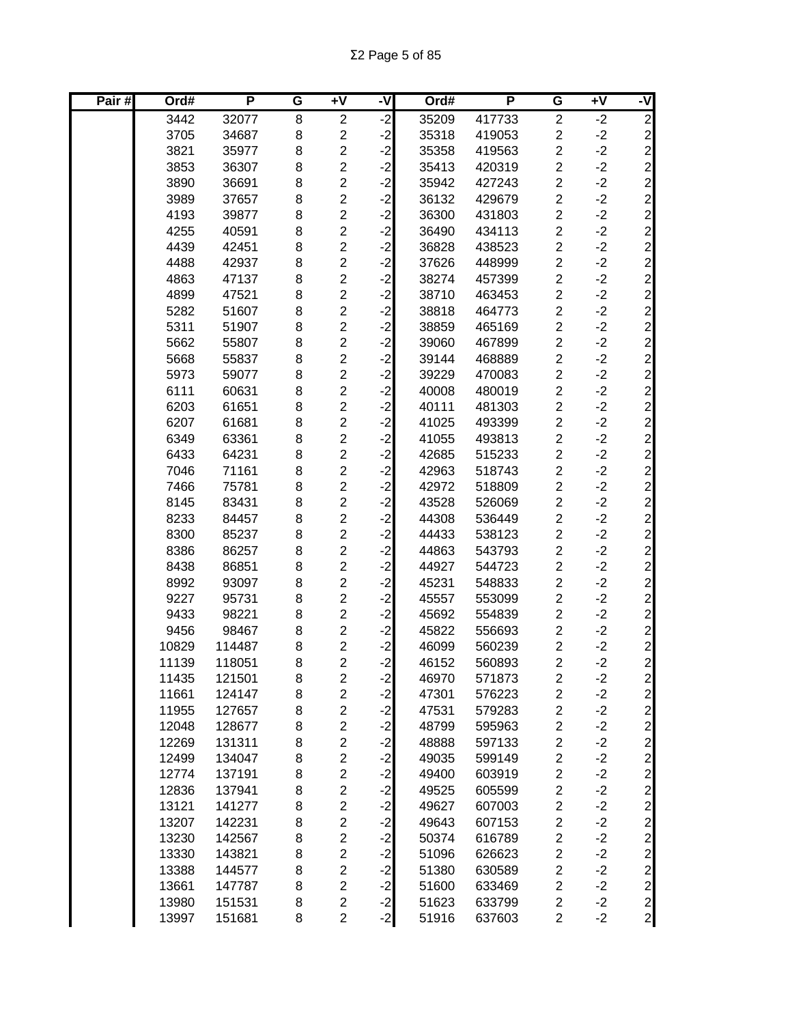| Pair# | Ord#  | P      | G              | Ŧ٨                      | -V   | Ord#  | P      | G                       | $\overline{+V}$ | -V                              |
|-------|-------|--------|----------------|-------------------------|------|-------|--------|-------------------------|-----------------|---------------------------------|
|       | 3442  | 32077  | $\overline{8}$ | $\overline{2}$          | ۱J.  | 35209 | 417733 | $\overline{2}$          | $-2$            | ש ט ט ט                         |
|       | 3705  | 34687  | 8              | $\overline{\mathbf{c}}$ | $-2$ | 35318 | 419053 | $\overline{c}$          | $-2$            |                                 |
|       | 3821  | 35977  | 8              | $\overline{2}$          | $-2$ | 35358 | 419563 | $\overline{c}$          | $-2$            |                                 |
|       | 3853  | 36307  | 8              | $\overline{2}$          | $-2$ | 35413 | 420319 | $\overline{\mathbf{c}}$ | $-2$            |                                 |
|       | 3890  | 36691  | 8              | $\overline{c}$          | $-2$ | 35942 | 427243 | $\overline{c}$          | $-2$            |                                 |
|       | 3989  | 37657  | 8              | $\overline{c}$          | $-2$ | 36132 | 429679 | $\overline{c}$          | $-2$            | $\overline{c}$                  |
|       | 4193  | 39877  | 8              | $\overline{c}$          | $-2$ | 36300 | 431803 | $\overline{c}$          | $-2$            |                                 |
|       | 4255  | 40591  | 8              | $\overline{c}$          | $-2$ | 36490 | 434113 | $\overline{c}$          | $-2$            |                                 |
|       | 4439  | 42451  | 8              | $\overline{c}$          | $-2$ | 36828 | 438523 | $\overline{c}$          | $-2$            |                                 |
|       | 4488  | 42937  | 8              | $\overline{2}$          | $-2$ | 37626 | 448999 | $\overline{2}$          | $-2$            |                                 |
|       | 4863  | 47137  | 8              | $\overline{c}$          | $-2$ | 38274 | 457399 | $\overline{c}$          | $-2$            |                                 |
|       | 4899  | 47521  | 8              | $\overline{2}$          | $-2$ | 38710 | 463453 | $\overline{\mathbf{c}}$ | $-2$            | ט ט ט ט ט ט ט ט ט ט ט ט ט ט ט ט |
|       | 5282  | 51607  | 8              | $\overline{c}$          | $-2$ | 38818 | 464773 | $\overline{\mathbf{c}}$ | $-2$            |                                 |
|       | 5311  | 51907  | 8              | $\overline{2}$          | $-2$ | 38859 | 465169 | $\overline{c}$          | $-2$            |                                 |
|       | 5662  | 55807  | 8              | $\overline{c}$          | $-2$ | 39060 | 467899 | $\overline{c}$          | $-2$            |                                 |
|       | 5668  | 55837  | 8              | $\overline{c}$          | $-2$ | 39144 | 468889 | $\overline{c}$          | $-2$            |                                 |
|       | 5973  | 59077  | 8              | $\overline{\mathbf{c}}$ | $-2$ | 39229 | 470083 | $\overline{\mathbf{c}}$ | $-2$            |                                 |
|       | 6111  | 60631  | 8              | $\overline{c}$          | $-2$ | 40008 | 480019 | $\overline{c}$          | $-2$            |                                 |
|       | 6203  | 61651  | 8              | $\overline{c}$          | $-2$ | 40111 | 481303 | $\overline{c}$          | $-2$            |                                 |
|       | 6207  | 61681  | 8              | $\overline{2}$          | $-2$ | 41025 | 493399 | $\overline{c}$          | $-2$            |                                 |
|       | 6349  | 63361  | 8              | $\overline{2}$          | $-2$ | 41055 | 493813 | $\overline{c}$          | $-2$            |                                 |
|       | 6433  | 64231  | 8              | $\overline{2}$          | $-2$ | 42685 | 515233 | $\overline{c}$          | $-2$            |                                 |
|       | 7046  | 71161  | 8              | $\overline{c}$          | $-2$ | 42963 | 518743 | $\overline{c}$          | $-2$            | $\overline{c}$                  |
|       | 7466  | 75781  | 8              | $\overline{c}$          | $-2$ | 42972 | 518809 | $\overline{c}$          | $-2$            | $\overline{a}$                  |
|       | 8145  | 83431  | 8              | $\overline{c}$          | $-2$ | 43528 | 526069 | $\overline{c}$          | $-2$            | ט ט ט ט ט ט ט ט ט ט             |
|       | 8233  | 84457  | 8              | $\overline{c}$          | $-2$ | 44308 | 536449 | $\overline{c}$          | $-2$            |                                 |
|       | 8300  | 85237  | 8              | $\overline{2}$          | $-2$ | 44433 | 538123 | $\overline{c}$          | $-2$            |                                 |
|       | 8386  | 86257  | 8              | $\overline{2}$          | $-2$ | 44863 | 543793 | $\overline{c}$          | $-2$            |                                 |
|       | 8438  | 86851  | 8              | $\overline{2}$          | $-2$ | 44927 | 544723 | $\overline{\mathbf{c}}$ | $-2$            |                                 |
|       | 8992  | 93097  | 8              | $\overline{c}$          | $-2$ | 45231 | 548833 | $\overline{\mathbf{c}}$ | $-2$            |                                 |
|       | 9227  | 95731  | 8              | $\overline{2}$          | $-2$ | 45557 | 553099 | $\overline{c}$          | $-2$            |                                 |
|       | 9433  | 98221  | 8              | $\overline{\mathbf{c}}$ | $-2$ | 45692 | 554839 | $\overline{c}$          | $-2$            |                                 |
|       | 9456  | 98467  | 8              | $\overline{\mathbf{c}}$ | $-2$ | 45822 | 556693 | $\overline{c}$          | $-2$            |                                 |
|       | 10829 | 114487 | 8              | $\overline{\mathbf{c}}$ | $-2$ | 46099 | 560239 | $\overline{\mathbf{c}}$ | $-2$            |                                 |
|       | 11139 | 118051 | 8              | $\overline{2}$          | $-2$ | 46152 | 560893 | $\overline{2}$          | $-2$            |                                 |
|       | 11435 | 121501 | 8              | $\overline{c}$          | $-2$ | 46970 | 571873 | $\overline{\mathbf{c}}$ | $-2$            | $\mathbf{2}$                    |
|       | 11661 | 124147 | 8              | $\overline{c}$          | $-2$ | 47301 | 576223 | $\overline{\mathbf{c}}$ | $-2$            | $\mathbf{2}$                    |
|       | 11955 | 127657 | 8              | $\overline{c}$          | $-2$ | 47531 | 579283 | $\overline{\mathbf{c}}$ | $-2$            | $\overline{c}$                  |
|       | 12048 | 128677 | 8              | $\overline{2}$          | $-2$ | 48799 | 595963 | $\overline{\mathbf{c}}$ | $-2$            | $\overline{c}$                  |
|       | 12269 | 131311 | 8              | $\overline{c}$          | $-2$ | 48888 | 597133 | $\overline{\mathbf{c}}$ | $-2$            | $\overline{c}$                  |
|       | 12499 | 134047 | 8              | $\overline{c}$          | $-2$ | 49035 | 599149 | $\overline{c}$          | $-2$            | $\overline{a}$                  |
|       | 12774 | 137191 | 8              | $\overline{\mathbf{c}}$ | $-2$ | 49400 | 603919 | $\overline{\mathbf{c}}$ | $-2$            |                                 |
|       | 12836 | 137941 | 8              | $\overline{c}$          | $-2$ | 49525 | 605599 | $\boldsymbol{2}$        | $-2$            |                                 |
|       | 13121 | 141277 | 8              | $\overline{c}$          | $-2$ | 49627 | 607003 | $\overline{c}$          | $-2$            |                                 |
|       | 13207 | 142231 | 8              | $\overline{c}$          | $-2$ | 49643 | 607153 | $\boldsymbol{2}$        | $-2$            |                                 |
|       | 13230 | 142567 | 8              | $\overline{c}$          | $-2$ | 50374 | 616789 | $\boldsymbol{2}$        | $-2$            |                                 |
|       | 13330 | 143821 | 8              | $\overline{2}$          | $-2$ | 51096 | 626623 | $\overline{\mathbf{c}}$ | $-2$            |                                 |
|       | 13388 | 144577 | 8              | $\overline{c}$          | $-2$ | 51380 | 630589 | $\boldsymbol{2}$        | $-2$            |                                 |
|       | 13661 | 147787 | 8              | $\overline{c}$          | $-2$ | 51600 | 633469 | $\overline{c}$          | $-2$            |                                 |
|       | 13980 | 151531 | 8              | $\overline{\mathbf{c}}$ | $-2$ | 51623 | 633799 | $\overline{\mathbf{c}}$ | $-2$            |                                 |
|       | 13997 | 151681 | 8              | $\overline{c}$          | $-2$ | 51916 | 637603 | $\overline{c}$          | $-2$            |                                 |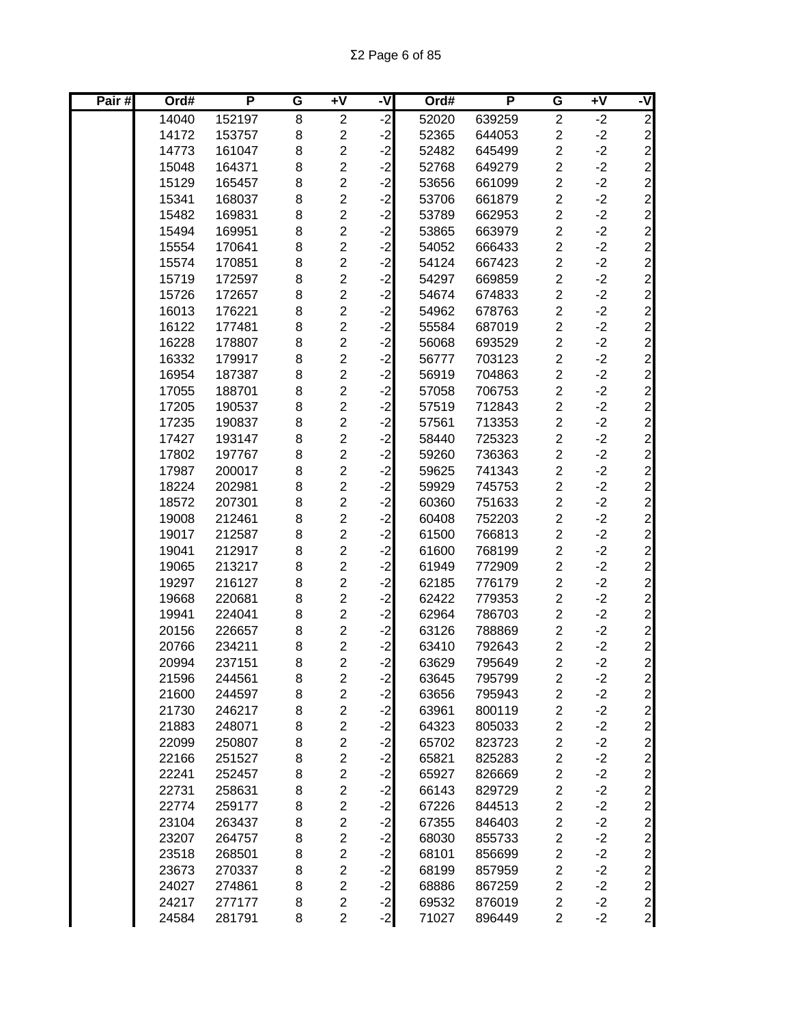| Pair# | Ord#  | P      | G | $\overline{+V}$         | -V   | Ord#  | P      | G                       | $\overline{+V}$ | -V                                               |
|-------|-------|--------|---|-------------------------|------|-------|--------|-------------------------|-----------------|--------------------------------------------------|
|       | 14040 | 152197 | 8 | $\overline{c}$          | $-2$ | 52020 | 639259 | $\overline{c}$          | $-2$            | $\overline{2}$                                   |
|       | 14172 | 153757 | 8 | $\overline{c}$          | $-2$ | 52365 | 644053 | $\overline{c}$          | $-2$            |                                                  |
|       | 14773 | 161047 | 8 | $\overline{\mathbf{c}}$ | $-2$ | 52482 | 645499 | $\overline{c}$          | $-2$            |                                                  |
|       | 15048 | 164371 | 8 | $\overline{\mathbf{c}}$ | $-2$ | 52768 | 649279 | $\overline{c}$          | $-2$            | $\begin{array}{c}\n 2 \\  0 \\  0\n \end{array}$ |
|       | 15129 | 165457 | 8 | $\overline{c}$          | $-2$ | 53656 | 661099 | $\overline{c}$          | $-2$            |                                                  |
|       | 15341 | 168037 | 8 | $\overline{c}$          | $-2$ | 53706 | 661879 | $\overline{c}$          | $-2$            |                                                  |
|       | 15482 | 169831 | 8 | $\overline{c}$          | $-2$ | 53789 | 662953 | $\overline{c}$          | $-2$            | $\overline{c}$                                   |
|       | 15494 | 169951 | 8 | $\overline{c}$          | $-2$ | 53865 | 663979 | $\overline{c}$          | $-2$            | $\overline{a}$                                   |
|       | 15554 | 170641 | 8 | $\overline{c}$          | $-2$ | 54052 | 666433 | $\overline{\mathbf{c}}$ | $-2$            |                                                  |
|       | 15574 | 170851 | 8 | $\overline{c}$          | $-2$ | 54124 | 667423 | $\overline{c}$          | $-2$            |                                                  |
|       | 15719 | 172597 | 8 | $\overline{c}$          | $-2$ | 54297 | 669859 | $\overline{c}$          | $-2$            |                                                  |
|       | 15726 | 172657 | 8 | $\overline{c}$          | $-2$ | 54674 | 674833 | $\overline{2}$          | $-2$            |                                                  |
|       | 16013 | 176221 | 8 | $\overline{c}$          | $-2$ | 54962 | 678763 | $\overline{c}$          | $-2$            |                                                  |
|       | 16122 | 177481 | 8 | $\overline{\mathbf{c}}$ | $-2$ | 55584 | 687019 | $\overline{\mathbf{c}}$ | $-2$            |                                                  |
|       | 16228 | 178807 | 8 | $\overline{c}$          | $-2$ | 56068 | 693529 | $\overline{c}$          | $-2$            |                                                  |
|       | 16332 | 179917 | 8 | $\overline{2}$          | $-2$ | 56777 | 703123 | $\overline{\mathbf{c}}$ | $-2$            |                                                  |
|       | 16954 | 187387 | 8 | $\overline{\mathbf{c}}$ | $-2$ | 56919 | 704863 | $\overline{c}$          | $-2$            | ט ט ט ט ט ט ט ט ט ט ט ט ט ט                      |
|       | 17055 | 188701 | 8 | $\overline{\mathbf{c}}$ | $-2$ | 57058 | 706753 | $\overline{\mathbf{c}}$ | $-2$            |                                                  |
|       | 17205 | 190537 | 8 | $\overline{c}$          | $-2$ | 57519 | 712843 | $\overline{c}$          | $-2$            |                                                  |
|       | 17235 | 190837 | 8 | $\overline{c}$          | $-2$ | 57561 | 713353 | $\overline{c}$          | $-2$            |                                                  |
|       | 17427 | 193147 | 8 | $\overline{c}$          | $-2$ | 58440 | 725323 | $\overline{c}$          | $-2$            |                                                  |
|       | 17802 | 197767 | 8 | $\overline{c}$          | $-2$ | 59260 | 736363 | $\overline{c}$          | $-2$            |                                                  |
|       | 17987 | 200017 | 8 | $\overline{c}$          | $-2$ | 59625 | 741343 | $\overline{c}$          | $-2$            |                                                  |
|       | 18224 | 202981 | 8 | $\overline{2}$          | $-2$ | 59929 | 745753 | $\overline{c}$          | $-2$            | $\overline{c}$                                   |
|       | 18572 | 207301 | 8 | $\overline{c}$          | $-2$ | 60360 | 751633 | $\overline{\mathbf{c}}$ | $-2$            | $\overline{c}$                                   |
|       | 19008 | 212461 | 8 | $\overline{c}$          | $-2$ | 60408 | 752203 | $\overline{2}$          | $-2$            | ט ט ט ט ט ט ט ט ט                                |
|       | 19017 | 212587 | 8 | $\overline{c}$          | $-2$ | 61500 | 766813 | $\overline{\mathbf{c}}$ | $-2$            |                                                  |
|       | 19041 | 212917 | 8 | $\overline{c}$          | $-2$ | 61600 | 768199 | $\overline{c}$          | $-2$            |                                                  |
|       | 19065 | 213217 | 8 | $\overline{\mathbf{c}}$ | $-2$ | 61949 | 772909 | $\overline{c}$          | $-2$            |                                                  |
|       | 19297 | 216127 | 8 | $\overline{c}$          | $-2$ | 62185 | 776179 | $\overline{c}$          | $-2$            |                                                  |
|       | 19668 | 220681 | 8 | $\overline{c}$          | $-2$ | 62422 | 779353 | $\overline{\mathbf{c}}$ | $-2$            |                                                  |
|       | 19941 | 224041 | 8 | $\overline{2}$          | $-2$ | 62964 | 786703 | $\overline{\mathbf{c}}$ | $-2$            |                                                  |
|       | 20156 | 226657 | 8 | $\overline{c}$          | $-2$ | 63126 | 788869 | $\overline{c}$          | $-2$            |                                                  |
|       | 20766 | 234211 | 8 | $\overline{c}$          | $-2$ | 63410 | 792643 | $\overline{\mathbf{c}}$ | $-2$            |                                                  |
|       | 20994 | 237151 | 8 | $\overline{2}$          | $-2$ | 63629 | 795649 | $\overline{2}$          | $-2$            |                                                  |
|       | 21596 | 244561 | 8 | 2                       | $-2$ | 63645 | 795799 | $\overline{\mathbf{c}}$ | $-2$            | $\mathbf{2}$                                     |
|       | 21600 | 244597 | 8 | $\overline{c}$          | $-2$ | 63656 | 795943 | $\overline{\mathbf{c}}$ | $-2$            | $\mathbf{2}$                                     |
|       | 21730 | 246217 | 8 | $\overline{\mathbf{c}}$ | $-2$ | 63961 | 800119 | $\overline{\mathbf{c}}$ | $-2$            | $\overline{c}$                                   |
|       | 21883 | 248071 | 8 | $\overline{c}$          | $-2$ | 64323 | 805033 | $\overline{c}$          | $-2$            | $\overline{c}$                                   |
|       | 22099 | 250807 | 8 | $\overline{\mathbf{c}}$ | $-2$ | 65702 | 823723 | $\overline{c}$          | $-2$            | $\overline{c}$                                   |
|       | 22166 | 251527 | 8 | $\overline{2}$          | $-2$ | 65821 | 825283 | $\overline{c}$          | $-2$            | $\overline{c}$                                   |
|       | 22241 | 252457 | 8 | $\overline{\mathbf{c}}$ | $-2$ | 65927 | 826669 | $\overline{\mathbf{c}}$ | $-2$            | $\overline{c}$                                   |
|       | 22731 | 258631 | 8 | $\overline{c}$          | $-2$ | 66143 | 829729 | $\overline{\mathbf{c}}$ | $-2$            |                                                  |
|       | 22774 | 259177 | 8 | $\overline{c}$          | $-2$ | 67226 | 844513 | $\overline{\mathbf{c}}$ | $-2$            |                                                  |
|       | 23104 | 263437 | 8 | $\overline{c}$          | $-2$ | 67355 | 846403 | $\overline{\mathbf{c}}$ | $-2$            |                                                  |
|       | 23207 | 264757 | 8 | $\overline{c}$          | $-2$ | 68030 | 855733 | $\overline{\mathbf{c}}$ | $-2$            |                                                  |
|       | 23518 | 268501 | 8 | $\overline{c}$          | $-2$ | 68101 | 856699 | $\overline{\mathbf{c}}$ | $-2$            |                                                  |
|       | 23673 | 270337 | 8 | $\overline{c}$          | $-2$ | 68199 | 857959 | $\overline{\mathbf{c}}$ | $-2$            |                                                  |
|       | 24027 | 274861 | 8 | $\overline{c}$          | $-2$ | 68886 | 867259 | $\overline{\mathbf{c}}$ | $-2$            | 22222222                                         |
|       | 24217 | 277177 | 8 | $\overline{\mathbf{c}}$ | $-2$ | 69532 | 876019 | $\overline{c}$          | $-2$            |                                                  |
|       | 24584 | 281791 | 8 | $\overline{2}$          | $-2$ | 71027 | 896449 | $\overline{c}$          | $-2$            |                                                  |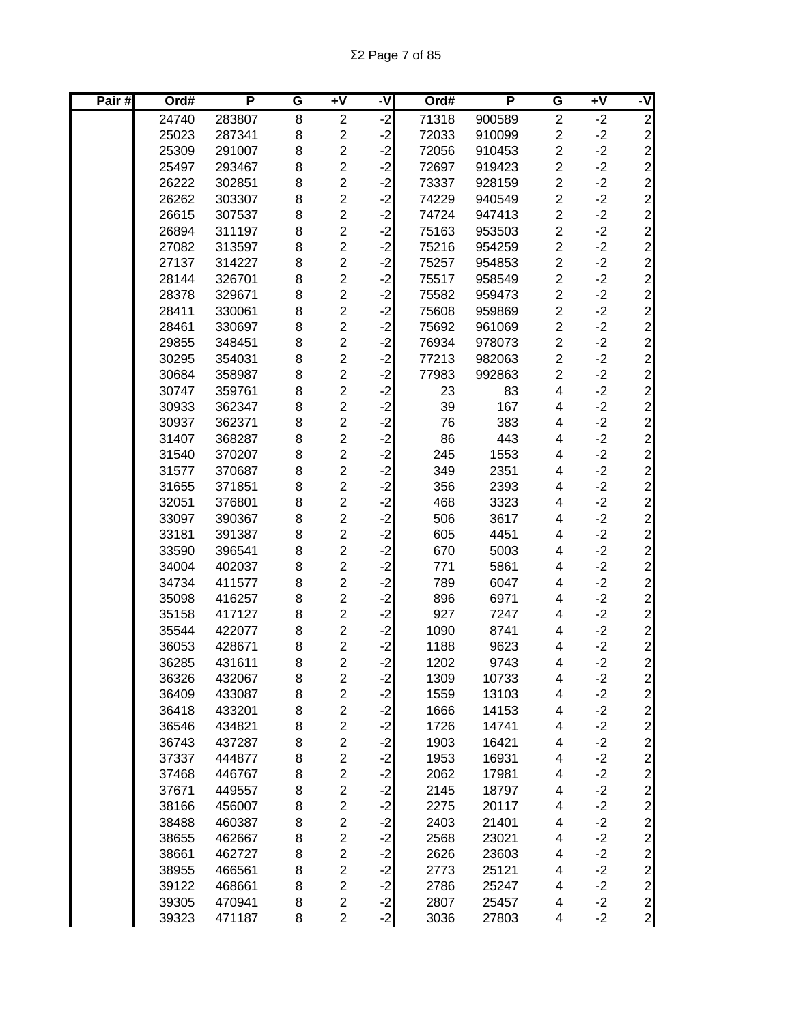Σ2 Page 7 of 85

| Pair# | Ord#  | P      | $\overline{\mathsf{G}}$ | +V                      | -V   | Ord#  | P      | G                       | $+V$ | -V                                   |
|-------|-------|--------|-------------------------|-------------------------|------|-------|--------|-------------------------|------|--------------------------------------|
|       | 24740 | 283807 | 8                       | $\overline{c}$          | ۱J.  | 71318 | 900589 | $\overline{\mathbf{c}}$ | $-2$ | $\overline{2}$                       |
|       | 25023 | 287341 | 8                       | $\overline{2}$          | $-2$ | 72033 | 910099 | $\overline{2}$          | $-2$ | $\overline{2}$                       |
|       | 25309 | 291007 | 8                       | $\overline{\mathbf{c}}$ | $-2$ | 72056 | 910453 | 2                       | $-2$ |                                      |
|       | 25497 | 293467 | 8                       | $\overline{2}$          | $-2$ | 72697 | 919423 | $\overline{c}$          | $-2$ |                                      |
|       | 26222 | 302851 | 8                       | $\overline{c}$          | $-2$ | 73337 | 928159 | $\overline{c}$          | $-2$ |                                      |
|       | 26262 | 303307 | 8                       | $\overline{\mathbf{c}}$ | $-2$ | 74229 | 940549 | $\overline{c}$          | $-2$ | ט ט ט ט ט ט ט ט ט ט ט ט              |
|       | 26615 | 307537 | 8                       | $\overline{2}$          | $-2$ | 74724 | 947413 | $\overline{c}$          | $-2$ |                                      |
|       | 26894 | 311197 | 8                       | $\overline{c}$          | $-2$ | 75163 | 953503 | $\overline{c}$          | $-2$ |                                      |
|       | 27082 | 313597 | 8                       | $\overline{c}$          | $-2$ | 75216 | 954259 | $\overline{\mathbf{c}}$ | $-2$ |                                      |
|       | 27137 | 314227 | 8                       | $\overline{2}$          | $-2$ | 75257 | 954853 | $\overline{c}$          | $-2$ |                                      |
|       | 28144 | 326701 | 8                       | $\overline{\mathbf{c}}$ | $-2$ | 75517 | 958549 | $\overline{\mathbf{c}}$ | $-2$ |                                      |
|       | 28378 | 329671 | 8                       | $\overline{c}$          | $-2$ | 75582 | 959473 | $\overline{2}$          | $-2$ |                                      |
|       | 28411 | 330061 | 8                       | $\overline{c}$          | $-2$ | 75608 | 959869 | $\overline{2}$          | $-2$ |                                      |
|       | 28461 | 330697 | 8                       | $\overline{c}$          | $-2$ | 75692 | 961069 | $\overline{c}$          | $-2$ |                                      |
|       | 29855 | 348451 | 8                       | $\overline{c}$          | $-2$ | 76934 | 978073 | $\overline{2}$          | $-2$ |                                      |
|       | 30295 | 354031 | 8                       | $\overline{c}$          | $-2$ | 77213 | 982063 | $\overline{2}$          | $-2$ |                                      |
|       | 30684 | 358987 | 8                       | $\overline{c}$          | $-2$ | 77983 | 992863 | $\overline{c}$          | $-2$ |                                      |
|       | 30747 | 359761 | 8                       | $\overline{c}$          | $-2$ | 23    | 83     | 4                       | $-2$ | $\overline{a}$                       |
|       | 30933 | 362347 | 8                       | $\overline{c}$          | $-2$ | 39    | 167    | 4                       | $-2$ | $\overline{2}$                       |
|       | 30937 | 362371 | 8                       | $\overline{c}$          | $-2$ | 76    | 383    | 4                       | $-2$ | $\overline{a}$                       |
|       | 31407 | 368287 | 8                       | $\overline{c}$          | $-2$ | 86    | 443    | 4                       | $-2$ |                                      |
|       | 31540 | 370207 | 8                       | $\overline{c}$          | $-2$ | 245   | 1553   | 4                       | $-2$ |                                      |
|       | 31577 | 370687 | 8                       | $\overline{2}$          | $-2$ | 349   | 2351   | 4                       | $-2$ |                                      |
|       | 31655 | 371851 | 8                       | $\overline{c}$          | $-2$ | 356   | 2393   | 4                       | $-2$ | ט ט ט ט ט ט ט ט ט ט ט ט              |
|       | 32051 | 376801 | 8                       | $\overline{2}$          | $-2$ | 468   | 3323   | 4                       | $-2$ |                                      |
|       | 33097 | 390367 | 8                       | 2                       | $-2$ | 506   | 3617   | 4                       | $-2$ |                                      |
|       | 33181 | 391387 | 8                       | $\overline{2}$          | $-2$ | 605   | 4451   | 4                       | $-2$ |                                      |
|       | 33590 | 396541 | 8                       | $\overline{c}$          | $-2$ | 670   | 5003   | 4                       | $-2$ |                                      |
|       | 34004 | 402037 | 8                       | $\overline{\mathbf{c}}$ | $-2$ | 771   | 5861   | 4                       | $-2$ |                                      |
|       | 34734 | 411577 | 8                       | $\overline{2}$          | $-2$ | 789   | 6047   | 4                       | $-2$ |                                      |
|       | 35098 | 416257 | 8                       | $\overline{\mathbf{c}}$ | $-2$ | 896   | 6971   | 4                       | $-2$ |                                      |
|       | 35158 | 417127 | 8                       | $\overline{\mathbf{c}}$ | $-2$ | 927   | 7247   | 4                       | $-2$ |                                      |
|       | 35544 | 422077 | 8                       | $\overline{c}$          | $-2$ | 1090  | 8741   | 4                       | $-2$ |                                      |
|       | 36053 | 428671 | 8                       | $\overline{\mathbf{c}}$ | $-2$ | 1188  | 9623   | 4                       | $-2$ | $\mathbf{2}$                         |
|       | 36285 | 431611 | 8                       | $\overline{2}$          | $-2$ | 1202  | 9743   | 4                       | $-2$ | $\overline{2}$                       |
|       | 36326 | 432067 | 8                       | $\overline{\mathbf{c}}$ | $-2$ | 1309  | 10733  | 4                       | $-2$ | $\overline{\mathbf{c}}$              |
|       | 36409 | 433087 | 8                       | $\overline{c}$          | $-2$ | 1559  | 13103  | 4                       | $-2$ | $\mathbf{2}$                         |
|       | 36418 | 433201 | 8                       | $\overline{c}$          | $-2$ | 1666  | 14153  | 4                       | $-2$ | $\mathbf{2}$                         |
|       | 36546 | 434821 | 8                       | $\overline{c}$          | $-2$ | 1726  | 14741  | 4                       | $-2$ | $\begin{array}{c} 2 \ 0 \end{array}$ |
|       | 36743 | 437287 | 8                       | $\overline{2}$          | $-2$ | 1903  | 16421  | 4                       | $-2$ |                                      |
|       | 37337 | 444877 | 8                       | $\overline{c}$          | $-2$ | 1953  | 16931  | 4                       | $-2$ |                                      |
|       | 37468 | 446767 | 8                       | $\overline{c}$          | $-2$ | 2062  | 17981  | 4                       | $-2$ |                                      |
|       | 37671 | 449557 | 8                       | $\overline{c}$          | $-2$ | 2145  | 18797  | 4                       | $-2$ | 22222222                             |
|       | 38166 | 456007 | 8                       | $\overline{c}$          | $-2$ | 2275  | 20117  | 4                       | $-2$ |                                      |
|       | 38488 | 460387 | 8                       | $\overline{c}$          | $-2$ | 2403  | 21401  | 4                       | $-2$ |                                      |
|       | 38655 | 462667 | 8                       | 2                       | $-2$ | 2568  | 23021  | 4                       | $-2$ |                                      |
|       | 38661 | 462727 | 8                       | $\overline{\mathbf{c}}$ | $-2$ | 2626  | 23603  | 4                       | $-2$ |                                      |
|       | 38955 | 466561 | 8                       | $\overline{\mathbf{c}}$ | $-2$ | 2773  | 25121  | 4                       | $-2$ |                                      |
|       | 39122 | 468661 | 8                       | $\overline{\mathbf{c}}$ | $-2$ | 2786  | 25247  | 4                       | $-2$ |                                      |
|       | 39305 | 470941 | 8                       | $\overline{c}$          | $-2$ | 2807  | 25457  | 4                       | $-2$ |                                      |
|       | 39323 | 471187 | 8                       | $\overline{c}$          | $-2$ | 3036  | 27803  | 4                       | $-2$ |                                      |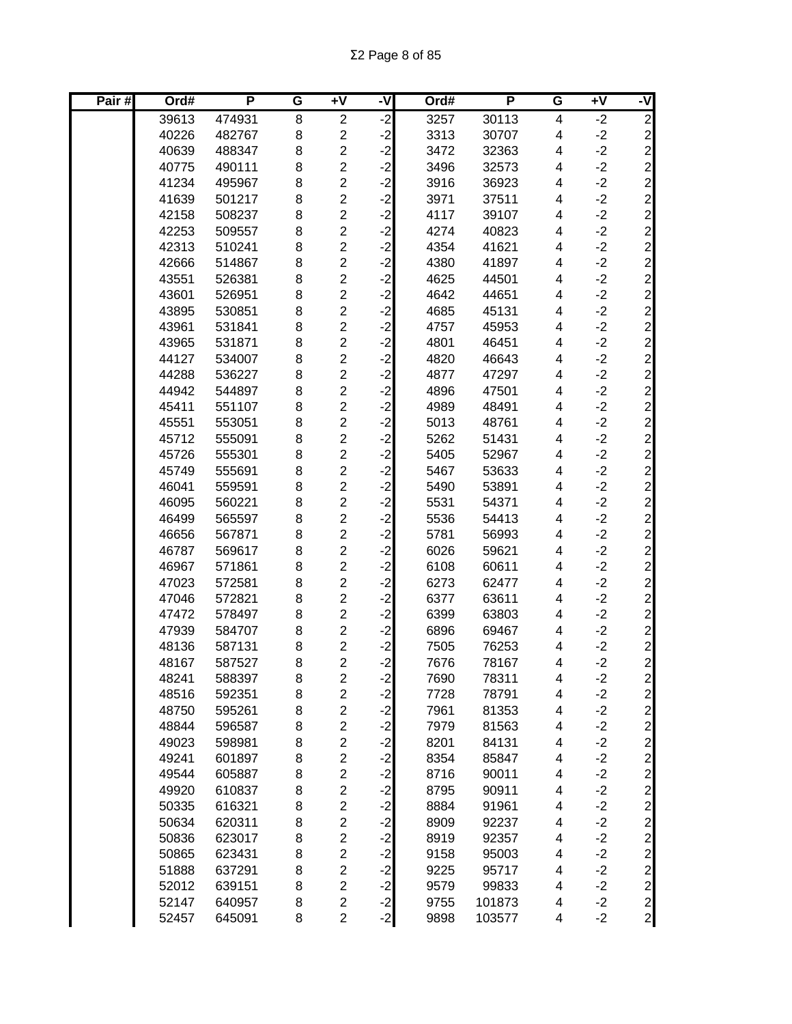| Pair# | Ord#  | P      | G | $+V$                    | -V                   | Ord# | P      | G | $\overline{+V}$ | -V             |
|-------|-------|--------|---|-------------------------|----------------------|------|--------|---|-----------------|----------------|
|       | 39613 | 474931 | 8 | $\overline{c}$          | $-2$                 | 3257 | 30113  | 4 | $-2$            | $\overline{c}$ |
|       | 40226 | 482767 | 8 | $\overline{c}$          | $-2$                 | 3313 | 30707  | 4 | $-2$            |                |
|       | 40639 | 488347 | 8 | $\overline{c}$          | $-2$                 | 3472 | 32363  | 4 | $-2$            |                |
|       | 40775 | 490111 | 8 | $\overline{2}$          | $-2$                 | 3496 | 32573  | 4 | $-2$            |                |
|       | 41234 | 495967 | 8 | $\overline{c}$          | $-2$                 | 3916 | 36923  | 4 | $-2$            |                |
|       | 41639 | 501217 | 8 | $\overline{c}$          | $-2$                 | 3971 | 37511  | 4 | $-2$            |                |
|       | 42158 | 508237 | 8 | $\overline{c}$          | $-2$                 | 4117 | 39107  | 4 | $-2$            |                |
|       | 42253 | 509557 | 8 | $\overline{2}$          | $-2$                 | 4274 | 40823  | 4 | $-2$            |                |
|       | 42313 | 510241 | 8 | $\overline{c}$          | $-2$                 | 4354 | 41621  | 4 | $-2$            |                |
|       | 42666 | 514867 | 8 | $\overline{c}$          | $-2$                 | 4380 | 41897  | 4 | $-2$            |                |
|       | 43551 | 526381 | 8 | $\overline{c}$          | $-2$                 | 4625 | 44501  | 4 | $-2$            |                |
|       | 43601 | 526951 | 8 | $\overline{2}$          | $-2$                 | 4642 | 44651  | 4 | $-2$            |                |
|       | 43895 | 530851 | 8 | $\overline{\mathbf{c}}$ | $-2$                 | 4685 | 45131  | 4 | $-2$            |                |
|       | 43961 | 531841 | 8 | $\overline{c}$          | $-2$                 | 4757 | 45953  | 4 | $-2$            |                |
|       | 43965 | 531871 | 8 | $\overline{\mathbf{c}}$ | $-2$                 | 4801 | 46451  | 4 | $-2$            |                |
|       | 44127 | 534007 | 8 | $\overline{c}$          | $-2$                 | 4820 | 46643  | 4 | $-2$            |                |
|       | 44288 | 536227 | 8 | $\overline{c}$          | $-2$                 | 4877 | 47297  | 4 | $-2$            |                |
|       | 44942 | 544897 | 8 | $\overline{2}$          | $-2$                 | 4896 | 47501  | 4 | $-2$            |                |
|       | 45411 | 551107 | 8 | $\overline{2}$          | $-2$                 | 4989 | 48491  | 4 | $-2$            |                |
|       | 45551 | 553051 | 8 | $\overline{2}$          | $-2$                 | 5013 | 48761  | 4 | $-2$            |                |
|       | 45712 | 555091 | 8 | $\overline{c}$          | $-2$                 | 5262 | 51431  | 4 | $-2$            |                |
|       | 45726 | 555301 | 8 | $\overline{c}$          | $-2$                 | 5405 | 52967  | 4 | $-2$            |                |
|       | 45749 | 555691 | 8 | $\overline{c}$          | $-2$                 | 5467 | 53633  | 4 | $-2$            |                |
|       | 46041 | 559591 | 8 | $\overline{c}$          | $-2$                 | 5490 | 53891  | 4 | $-2$            |                |
|       | 46095 | 560221 | 8 | $\overline{2}$          | $-2$                 | 5531 | 54371  | 4 | $-2$            |                |
|       | 46499 | 565597 | 8 | $\overline{c}$          | $-2$                 | 5536 | 54413  | 4 | $-2$            |                |
|       | 46656 | 567871 | 8 | $\overline{2}$          | $-2$                 | 5781 | 56993  | 4 | $-2$            |                |
|       | 46787 | 569617 | 8 | $\overline{2}$          | $-2$                 | 6026 | 59621  | 4 | $-2$            |                |
|       | 46967 | 571861 | 8 | $\overline{2}$          | $-2$                 | 6108 | 60611  | 4 | $-2$            |                |
|       | 47023 | 572581 | 8 | $\overline{\mathbf{c}}$ | $-2$                 | 6273 | 62477  | 4 | $-2$            |                |
|       | 47046 | 572821 | 8 | $\overline{c}$          | $-2$                 | 6377 | 63611  | 4 | $-2$            |                |
|       | 47472 | 578497 | 8 | $\overline{\mathbf{c}}$ | $-2$                 | 6399 | 63803  | 4 | $-2$            |                |
|       | 47939 | 584707 | 8 | $\overline{2}$          | $-2$                 | 6896 | 69467  | 4 | $-2$            |                |
|       | 48136 | 587131 | 8 | $\overline{\mathbf{c}}$ | $-2$                 | 7505 | 76253  | 4 | $-2$            |                |
|       | 48167 | 587527 | 8 | $\overline{2}$          | $-2$                 | 7676 | 78167  | 4 | $-2$            |                |
|       | 48241 | 588397 | 8 | $\overline{\mathbf{c}}$ | $-2$                 | 7690 | 78311  | 4 | $-2$            | $\mathbf{2}$   |
|       | 48516 | 592351 | 8 | $\overline{2}$          | $-2$                 | 7728 | 78791  | 4 | $-2$            | $\mathbf{2}$   |
|       | 48750 | 595261 | 8 | $\overline{\mathbf{c}}$ |                      | 7961 | 81353  | 4 | $-2$            |                |
|       | 48844 | 596587 | 8 | $\overline{c}$          | د د د د د د<br>2 د د | 7979 | 81563  | 4 | $-2$            |                |
|       | 49023 | 598981 | 8 | $\overline{c}$          |                      | 8201 | 84131  | 4 | $-2$            |                |
|       | 49241 | 601897 | 8 | $\overline{2}$          |                      | 8354 | 85847  | 4 | $-2$            |                |
|       | 49544 | 605887 | 8 | $\overline{c}$          |                      | 8716 | 90011  | 4 | $-2$            |                |
|       | 49920 | 610837 | 8 | $\overline{2}$          | $-2$                 | 8795 | 90911  | 4 | $-2$            |                |
|       | 50335 | 616321 | 8 | $\overline{c}$          | $-2$                 | 8884 | 91961  | 4 | $-2$            |                |
|       | 50634 | 620311 | 8 | $\overline{c}$          | $-2$                 | 8909 | 92237  | 4 | $-2$            |                |
|       | 50836 | 623017 | 8 | $\overline{2}$          | $-2$                 | 8919 | 92357  | 4 | $-2$            |                |
|       | 50865 | 623431 | 8 | $\overline{c}$          | $-2$                 | 9158 | 95003  | 4 | $-2$            |                |
|       | 51888 | 637291 | 8 | $\overline{c}$          | $-2$                 | 9225 | 95717  | 4 | $-2$            |                |
|       | 52012 | 639151 | 8 | $\overline{\mathbf{c}}$ | $-2$                 | 9579 | 99833  | 4 | $-2$            |                |
|       | 52147 | 640957 | 8 | $\overline{c}$          | $-2$                 | 9755 | 101873 | 4 | $-2$            |                |
|       | 52457 | 645091 | 8 | $\overline{c}$          | $-2$                 | 9898 | 103577 | 4 | $-2$            |                |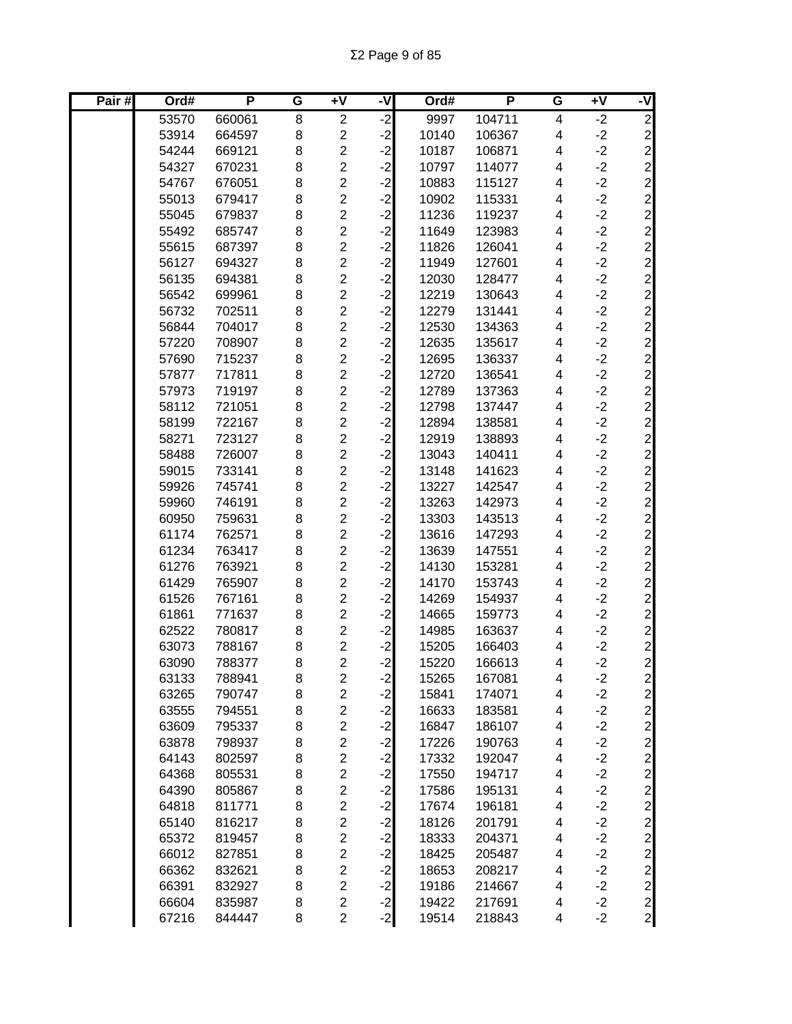| Pair# | Ord#  | P      | G | $\overline{+V}$         | -V      | Ord#  | P      | G                       | $+V$ | -V             |
|-------|-------|--------|---|-------------------------|---------|-------|--------|-------------------------|------|----------------|
|       | 53570 | 660061 | 8 | $\overline{2}$          | ر.<br>د | 9997  | 104711 | $\overline{\mathbf{4}}$ | $-2$ | $\overline{2}$ |
|       | 53914 | 664597 | 8 | $\overline{\mathbf{c}}$ | $-2$    | 10140 | 106367 | 4                       | $-2$ |                |
|       | 54244 | 669121 | 8 | $\overline{c}$          | $-2$    | 10187 | 106871 | 4                       | $-2$ |                |
|       | 54327 | 670231 | 8 | $\overline{c}$          | $-2$    | 10797 | 114077 | 4                       | $-2$ |                |
|       | 54767 | 676051 | 8 | $\overline{2}$          | $-2$    | 10883 | 115127 | 4                       | $-2$ |                |
|       | 55013 | 679417 | 8 | $\overline{c}$          | $-2$    | 10902 | 115331 | 4                       | $-2$ |                |
|       | 55045 | 679837 | 8 | $\overline{2}$          | $-2$    | 11236 | 119237 | $\overline{\mathbf{4}}$ | $-2$ |                |
|       | 55492 | 685747 | 8 | $\overline{c}$          | $-2$    | 11649 | 123983 | 4                       | $-2$ |                |
|       | 55615 | 687397 | 8 | $\overline{2}$          | $-2$    | 11826 | 126041 | 4                       | $-2$ |                |
|       | 56127 | 694327 | 8 | $\overline{2}$          | $-2$    | 11949 | 127601 | 4                       | $-2$ |                |
|       | 56135 | 694381 | 8 | $\overline{2}$          | $-2$    | 12030 | 128477 | 4                       | $-2$ |                |
|       | 56542 | 699961 | 8 | $\overline{\mathbf{c}}$ | $-2$    | 12219 | 130643 | 4                       | $-2$ |                |
|       | 56732 | 702511 | 8 | $\overline{2}$          | $-2$    | 12279 | 131441 | 4                       | $-2$ |                |
|       | 56844 | 704017 | 8 | $\overline{c}$          | $-2$    | 12530 | 134363 | 4                       | $-2$ |                |
|       | 57220 | 708907 | 8 | $\overline{2}$          | $-2$    | 12635 | 135617 | 4                       | $-2$ |                |
|       | 57690 | 715237 | 8 | $\overline{\mathbf{c}}$ | $-2$    | 12695 | 136337 | 4                       | $-2$ |                |
|       | 57877 | 717811 | 8 | $\overline{2}$          | $-2$    | 12720 | 136541 | 4                       | $-2$ |                |
|       | 57973 | 719197 | 8 | $\overline{c}$          | $-2$    | 12789 | 137363 | 4                       | $-2$ |                |
|       | 58112 | 721051 | 8 | $\overline{c}$          | $-2$    | 12798 | 137447 | 4                       | $-2$ |                |
|       | 58199 | 722167 | 8 | $\overline{c}$          | $-2$    | 12894 | 138581 | 4                       | $-2$ |                |
|       | 58271 | 723127 | 8 | $\overline{c}$          | $-2$    | 12919 | 138893 | 4                       | $-2$ |                |
|       | 58488 | 726007 | 8 | $\overline{c}$          | $-2$    | 13043 | 140411 | 4                       | $-2$ |                |
|       | 59015 | 733141 | 8 | $\overline{c}$          | $-2$    | 13148 | 141623 | 4                       | $-2$ |                |
|       | 59926 | 745741 | 8 | $\overline{c}$          | $-2$    | 13227 | 142547 | $\overline{\mathbf{4}}$ | $-2$ |                |
|       | 59960 | 746191 | 8 | $\overline{c}$          | $-2$    | 13263 | 142973 | $\overline{\mathbf{4}}$ | $-2$ |                |
|       | 60950 | 759631 | 8 | $\overline{c}$          | $-2$    | 13303 | 143513 | 4                       | $-2$ |                |
|       | 61174 | 762571 | 8 | $\overline{2}$          | $-2$    | 13616 | 147293 | 4                       | $-2$ |                |
|       | 61234 | 763417 | 8 | $\overline{c}$          | $-2$    | 13639 | 147551 | 4                       | $-2$ | 22222222222    |
|       | 61276 | 763921 | 8 | $\overline{2}$          | $-2$    | 14130 | 153281 | 4                       | $-2$ |                |
|       | 61429 | 765907 | 8 | $\overline{c}$          | $-2$    | 14170 | 153743 | 4                       | $-2$ |                |
|       | 61526 | 767161 | 8 | $\overline{2}$          | $-2$    | 14269 | 154937 | 4                       | $-2$ |                |
|       | 61861 | 771637 | 8 | $\overline{c}$          | $-2$    | 14665 | 159773 | 4                       | $-2$ |                |
|       | 62522 | 780817 | 8 | $\overline{c}$          | $-2$    | 14985 | 163637 | 4                       | $-2$ |                |
|       | 63073 | 788167 | 8 | $\overline{\mathbf{c}}$ | $-2$    | 15205 | 166403 | 4                       | $-2$ |                |
|       | 63090 | 788377 | 8 | $\overline{2}$          | $-2$    | 15220 | 166613 | 4                       | $-2$ |                |
|       | 63133 | 788941 | 8 | 2                       | $-2$    | 15265 | 167081 | 4                       | $-2$ | $\mathbf{2}$   |
|       | 63265 | 790747 | 8 | $\overline{c}$          | $-2$    | 15841 | 174071 | 4                       | $-2$ | $\mathbf{2}$   |
|       | 63555 | 794551 | 8 | $\overline{c}$          | $-2$    | 16633 | 183581 | 4                       | $-2$ | $\overline{2}$ |
|       | 63609 | 795337 | 8 | $\overline{2}$          | $-2$    | 16847 | 186107 | 4                       | $-2$ | $\overline{2}$ |
|       | 63878 | 798937 | 8 | $\overline{\mathbf{c}}$ | $-2$    | 17226 | 190763 | 4                       | $-2$ | $\mathbf{2}$   |
|       | 64143 | 802597 | 8 | $\overline{c}$          | $-2$    | 17332 | 192047 | 4                       | $-2$ | $\mathbf{2}$   |
|       | 64368 | 805531 | 8 | $\overline{c}$          | $-2$    | 17550 | 194717 | 4                       | $-2$ |                |
|       | 64390 | 805867 | 8 | $\overline{c}$          | $-2$    | 17586 | 195131 | 4                       | $-2$ |                |
|       | 64818 | 811771 | 8 | $\overline{c}$          | $-2$    | 17674 | 196181 | 4                       | $-2$ |                |
|       | 65140 | 816217 | 8 | $\overline{c}$          | $-2$    | 18126 | 201791 | 4                       | $-2$ |                |
|       | 65372 | 819457 | 8 | $\overline{c}$          | $-2$    | 18333 | 204371 | 4                       | $-2$ |                |
|       | 66012 | 827851 | 8 | $\overline{c}$          | $-2$    | 18425 | 205487 | 4                       | $-2$ |                |
|       | 66362 | 832621 | 8 | $\overline{c}$          | $-2$    | 18653 | 208217 | 4                       | $-2$ |                |
|       | 66391 | 832927 | 8 | $\overline{c}$          | $-2$    | 19186 | 214667 | 4                       | $-2$ |                |
|       | 66604 | 835987 | 8 | $\overline{\mathbf{c}}$ | $-2$    | 19422 | 217691 | 4                       | $-2$ |                |
|       | 67216 | 844447 | 8 | $\overline{c}$          | $-2$    | 19514 | 218843 | 4                       | $-2$ |                |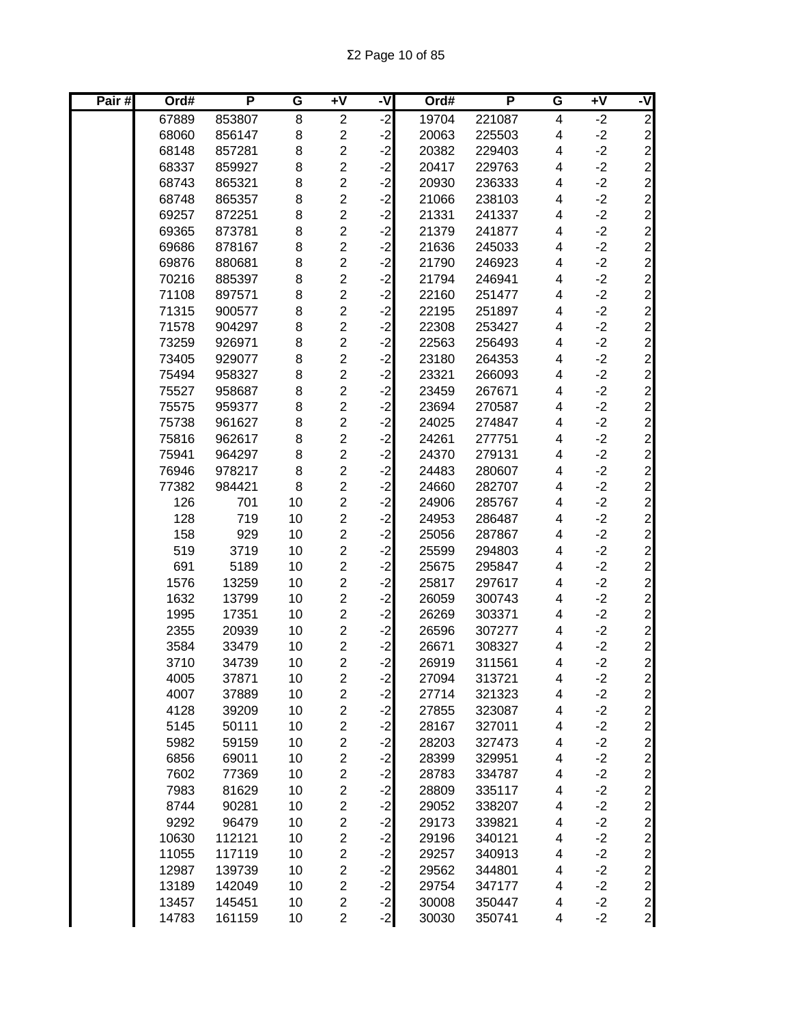| Pair# | Ord#           | P      | G        | $\overline{+V}$                           | -V           | Ord#           | P      | G                       | $\overline{+V}$ | -V                                                     |
|-------|----------------|--------|----------|-------------------------------------------|--------------|----------------|--------|-------------------------|-----------------|--------------------------------------------------------|
|       | 67889          | 853807 | 8        | $\overline{2}$                            | $-2$         | 19704          | 221087 | 4                       | $-2$            | $\overline{2}$                                         |
|       | 68060          | 856147 | 8        | $\overline{c}$                            | $-2$         | 20063          | 225503 | 4                       | $-2$            |                                                        |
|       | 68148          | 857281 | 8        | $\overline{c}$                            | $-2$         | 20382          | 229403 | 4                       | $-2$            |                                                        |
|       | 68337          | 859927 | 8        | $\overline{c}$                            | $-2$         | 20417          | 229763 | 4                       | $-2$            | $\begin{array}{c}\n 2 \\  0 \\  0 \\  0\n \end{array}$ |
|       | 68743          | 865321 | 8        | $\overline{2}$                            | $-2$         | 20930          | 236333 | 4                       | $-2$            |                                                        |
|       | 68748          | 865357 | 8        | $\overline{c}$                            | $-2$         | 21066          | 238103 | 4                       | $-2$            |                                                        |
|       | 69257          | 872251 | 8        | $\overline{2}$                            | $-2$         | 21331          | 241337 | 4                       | $-2$            |                                                        |
|       | 69365          | 873781 | 8        | $\overline{c}$                            | $-2$         | 21379          | 241877 | $\overline{\mathbf{4}}$ | $-2$            |                                                        |
|       | 69686          | 878167 | 8        | $\overline{2}$                            | $-2$         | 21636          | 245033 | 4                       | $-2$            |                                                        |
|       | 69876          | 880681 | 8        | $\overline{c}$                            | $-2$         | 21790          | 246923 | 4                       | $-2$            |                                                        |
|       | 70216          | 885397 | 8        | $\overline{2}$                            | $-2$         | 21794          | 246941 | 4                       | $-2$            |                                                        |
|       | 71108          | 897571 | 8        | $\overline{c}$                            | $-2$         | 22160          | 251477 | 4                       | $-2$            | ט ט ט ט ט ט ט ט ט ט ט ט ט ט ט                          |
|       | 71315          | 900577 | 8        | $\overline{2}$                            | $-2$         | 22195          | 251897 | 4                       | $-2$            |                                                        |
|       | 71578          | 904297 | 8        | $\overline{c}$                            | $-2$         | 22308          | 253427 | 4                       | $-2$            |                                                        |
|       | 73259          | 926971 | 8        | $\overline{2}$                            | $-2$         | 22563          | 256493 | 4                       | $-2$            |                                                        |
|       | 73405          | 929077 | 8        | $\overline{c}$                            | $-2$         | 23180          | 264353 | 4                       | $-2$            |                                                        |
|       | 75494          | 958327 | 8        | $\overline{c}$                            | $-2$         | 23321          | 266093 | 4                       | $-2$            |                                                        |
|       | 75527          | 958687 | 8        | $\overline{\mathbf{c}}$                   | $-2$         | 23459          | 267671 | 4                       | $-2$            |                                                        |
|       | 75575          | 959377 | 8        | $\overline{c}$                            | $-2$         | 23694          | 270587 | 4                       | $-2$            |                                                        |
|       | 75738          | 961627 | 8        | $\overline{c}$                            | $-2$         | 24025          | 274847 | 4                       | $-2$            |                                                        |
|       | 75816          | 962617 | 8        | $\overline{c}$                            | $-2$         | 24261          | 277751 | 4                       | $-2$            |                                                        |
|       | 75941          | 964297 | 8        | $\overline{c}$                            | $-2$         | 24370          | 279131 | 4                       | $-2$            |                                                        |
|       | 76946          | 978217 | 8        | $\overline{2}$                            | $-2$         | 24483          | 280607 | 4                       | $-2$            |                                                        |
|       | 77382          | 984421 | 8        | $\overline{c}$                            | $-2$         | 24660          | 282707 | 4                       | $-2$            | $\mathbf{2}$                                           |
|       | 126            | 701    | 10       | $\overline{2}$                            | $-2$         | 24906          | 285767 | $\overline{\mathbf{4}}$ | $-2$            |                                                        |
|       | 128            | 719    | 10       | $\overline{c}$                            | $-2$         | 24953          | 286487 | $\overline{\mathbf{4}}$ | $-2$            | 2 2 2 2 2 2 2 2 2 2 2 2 2                              |
|       | 158            | 929    | 10       | $\overline{c}$                            | $-2$         | 25056          | 287867 | 4                       | $-2$            |                                                        |
|       | 519            | 3719   | 10       | $\overline{c}$                            | $-2$         | 25599          | 294803 | 4                       | $-2$            |                                                        |
|       | 691            | 5189   | 10       | $\overline{2}$                            | $-2$         | 25675          | 295847 | 4                       | $-2$            |                                                        |
|       | 1576           | 13259  | 10       | $\overline{c}$                            | $-2$         | 25817          | 297617 | 4                       | $-2$            |                                                        |
|       | 1632           | 13799  | 10       | $\overline{2}$                            | $-2$         | 26059          | 300743 | 4                       | $-2$            |                                                        |
|       | 1995           | 17351  | 10       | $\overline{c}$                            | $-2$         | 26269          | 303371 | 4                       | $-2$            |                                                        |
|       | 2355           | 20939  | 10       | $\overline{c}$                            | $-2$         | 26596          | 307277 | 4                       | $-2$            |                                                        |
|       | 3584           | 33479  | 10       | $\overline{\mathbf{c}}$                   | $-2$         | 26671          | 308327 | 4                       | $-2$            |                                                        |
|       | 3710           | 34739  | 10       | $\overline{2}$                            | $-2$         | 26919          | 311561 | 4                       | $-2$            |                                                        |
|       | 4005           | 37871  | 10       | 2                                         | $-2$         | 27094          | 313721 | 4                       | $-2$            | $\mathbf{2}$                                           |
|       | 4007           | 37889  | 10       | $\overline{\mathbf{c}}$                   | $-2$         | 27714          | 321323 | 4                       | $-2$            | $\frac{2}{2}$                                          |
|       | 4128           | 39209  | 10       | $\overline{c}$                            | $-2$         | 27855          | 323087 | 4                       | $-2$            |                                                        |
|       | 5145           | 50111  | 10       | $\overline{c}$                            | $-2$         | 28167          | 327011 | 4                       | $-2$            | $\frac{2}{2}$                                          |
|       | 5982           | 59159  | 10       | $\overline{c}$                            | $-2$         | 28203          | 327473 | 4                       | $-2$            |                                                        |
|       | 6856           | 69011  | 10       | $\overline{c}$                            | $-2$         | 28399          | 329951 | 4                       | $-2$            | $\overline{2}$                                         |
|       | 7602           | 77369  | 10       | $\overline{\mathbf{c}}$                   | $-2$         | 28783          | 334787 | 4                       | $-2$            |                                                        |
|       | 7983           | 81629  | 10       | $\overline{\mathbf{c}}$                   | $-2$         | 28809          | 335117 | 4                       | $-2$            |                                                        |
|       | 8744           | 90281  | 10       | $\overline{\mathbf{c}}$                   | $-2$         | 29052          | 338207 | 4                       | $-2$            |                                                        |
|       | 9292           | 96479  | 10       | $\overline{c}$                            | $-2$         | 29173          | 339821 | 4                       | $-2$            |                                                        |
|       | 10630          | 112121 | 10       | $\overline{\mathbf{c}}$                   | $-2$         | 29196          | 340121 | 4                       | $-2$            |                                                        |
|       | 11055          | 117119 | 10       | $\overline{c}$                            | $-2$         | 29257          | 340913 | 4                       | $-2$            |                                                        |
|       | 12987          | 139739 | 10       | $\overline{c}$                            | $-2$<br>$-2$ | 29562          | 344801 | 4                       | $-2$            |                                                        |
|       | 13189          | 142049 | 10<br>10 | $\overline{c}$                            |              | 29754<br>30008 | 347177 | 4                       | $-2$<br>$-2$    | 222222222                                              |
|       | 13457<br>14783 | 145451 |          | $\overline{\mathbf{c}}$<br>$\overline{c}$ | $-2$         |                | 350447 | 4<br>4                  | $-2$            |                                                        |
|       |                | 161159 | 10       |                                           | $-2$         | 30030          | 350741 |                         |                 |                                                        |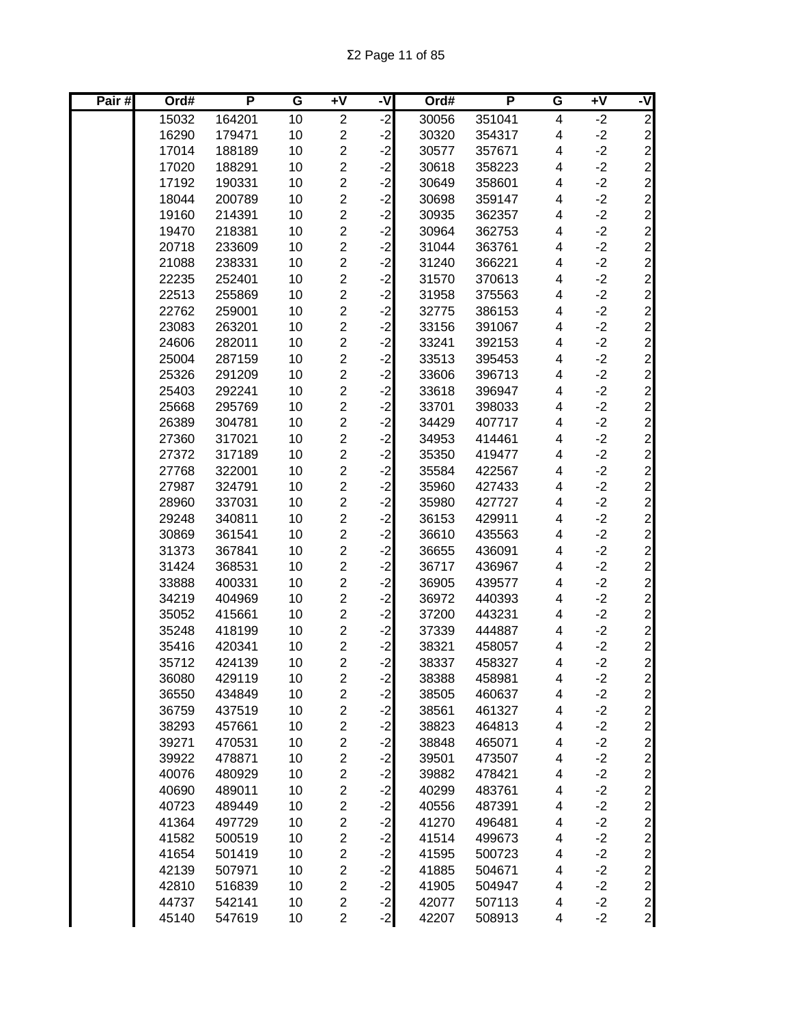Σ2 Page 11 of 85

| Pair# | Ord#  | P      | G  | +V                      | -V      | Ord#  | P      | G                       | +V   | -V                              |
|-------|-------|--------|----|-------------------------|---------|-------|--------|-------------------------|------|---------------------------------|
|       | 15032 | 164201 | 10 | $\overline{c}$          | ر.<br>د | 30056 | 351041 | 4                       | $-2$ | $\overline{2}$                  |
|       | 16290 | 179471 | 10 | $\overline{c}$          | $-2$    | 30320 | 354317 | 4                       | $-2$ | $\overline{c}$                  |
|       | 17014 | 188189 | 10 | $\overline{c}$          | $-2$    | 30577 | 357671 | 4                       | $-2$ | $\overline{c}$                  |
|       | 17020 | 188291 | 10 | $\overline{c}$          | $-2$    | 30618 | 358223 | 4                       | $-2$ |                                 |
|       | 17192 | 190331 | 10 | $\overline{\mathbf{c}}$ | $-2$    | 30649 | 358601 | 4                       | $-2$ |                                 |
|       | 18044 | 200789 | 10 | $\overline{2}$          | $-2$    | 30698 | 359147 | 4                       | $-2$ |                                 |
|       | 19160 | 214391 | 10 | $\overline{2}$          | $-2$    | 30935 | 362357 | 4                       | $-2$ |                                 |
|       | 19470 | 218381 | 10 | $\overline{2}$          | $-2$    | 30964 | 362753 | $\overline{\mathbf{4}}$ | $-2$ |                                 |
|       | 20718 | 233609 | 10 | $\overline{c}$          | $-2$    | 31044 | 363761 | 4                       | $-2$ |                                 |
|       | 21088 | 238331 | 10 | $\overline{2}$          | $-2$    | 31240 | 366221 | 4                       | $-2$ |                                 |
|       | 22235 | 252401 | 10 | $\overline{c}$          | $-2$    | 31570 | 370613 | 4                       | $-2$ |                                 |
|       | 22513 | 255869 | 10 | $\overline{\mathbf{c}}$ | $-2$    | 31958 | 375563 | 4                       | $-2$ |                                 |
|       | 22762 | 259001 | 10 | $\overline{c}$          | $-2$    | 32775 | 386153 | 4                       | $-2$ |                                 |
|       | 23083 | 263201 | 10 | $\overline{\mathbf{c}}$ | $-2$    | 33156 | 391067 | 4                       | $-2$ |                                 |
|       | 24606 | 282011 | 10 | $\overline{2}$          | $-2$    | 33241 | 392153 | 4                       | $-2$ |                                 |
|       | 25004 | 287159 | 10 | $\overline{\mathbf{c}}$ | $-2$    | 33513 | 395453 | 4                       | $-2$ |                                 |
|       | 25326 | 291209 | 10 | $\overline{2}$          | $-2$    | 33606 | 396713 | 4                       | $-2$ | ט ט ט ט ט ט ט ט ט ט ט ט ט ט ט ט |
|       | 25403 | 292241 | 10 | $\overline{c}$          | $-2$    | 33618 | 396947 | 4                       | $-2$ |                                 |
|       | 25668 | 295769 | 10 | $\overline{2}$          | $-2$    | 33701 | 398033 | 4                       | $-2$ |                                 |
|       | 26389 | 304781 | 10 | $\overline{2}$          | $-2$    | 34429 | 407717 | 4                       | $-2$ | $\overline{c}$                  |
|       | 27360 | 317021 | 10 | $\overline{c}$          | $-2$    | 34953 | 414461 | 4                       | $-2$ |                                 |
|       | 27372 | 317189 | 10 | $\overline{c}$          | $-2$    | 35350 | 419477 | 4                       | $-2$ |                                 |
|       | 27768 | 322001 | 10 | $\overline{c}$          | $-2$    | 35584 | 422567 | 4                       | $-2$ |                                 |
|       | 27987 | 324791 | 10 | $\overline{c}$          | $-2$    | 35960 | 427433 | $\overline{\mathbf{4}}$ | $-2$ |                                 |
|       | 28960 | 337031 | 10 | $\overline{c}$          | $-2$    | 35980 | 427727 | $\overline{\mathbf{4}}$ | $-2$ |                                 |
|       | 29248 | 340811 | 10 | $\overline{2}$          | $-2$    | 36153 | 429911 | 4                       | $-2$ |                                 |
|       | 30869 | 361541 | 10 | $\overline{c}$          | $-2$    | 36610 | 435563 | 4                       | $-2$ |                                 |
|       | 31373 | 367841 | 10 | $\overline{2}$          | $-2$    | 36655 | 436091 | 4                       | $-2$ |                                 |
|       | 31424 | 368531 | 10 | $\overline{\mathbf{c}}$ | $-2$    | 36717 | 436967 | 4                       | $-2$ |                                 |
|       | 33888 | 400331 | 10 | $\overline{\mathbf{c}}$ | $-2$    | 36905 | 439577 | 4                       | $-2$ | ט ט ט ט ט ט ט ט ט ט ט ט         |
|       | 34219 | 404969 | 10 | $\overline{c}$          | $-2$    | 36972 | 440393 | 4                       | $-2$ |                                 |
|       | 35052 | 415661 | 10 | $\overline{c}$          | $-2$    | 37200 | 443231 | 4                       | $-2$ |                                 |
|       | 35248 | 418199 | 10 | $\overline{\mathbf{c}}$ | $-2$    | 37339 | 444887 | 4                       | $-2$ |                                 |
|       | 35416 | 420341 | 10 | $\overline{\mathbf{c}}$ | $-2$    | 38321 | 458057 | 4                       | $-2$ |                                 |
|       | 35712 | 424139 | 10 | $\overline{2}$          | $-2$    | 38337 | 458327 | 4                       | $-2$ | $\overline{2}$                  |
|       | 36080 | 429119 | 10 | $\overline{\mathbf{c}}$ | $-2$    | 38388 | 458981 | 4                       | $-2$ | $\mathbf{2}$                    |
|       | 36550 | 434849 | 10 | $\overline{c}$          | $-2$    | 38505 | 460637 | 4                       | $-2$ | $\overline{2}$                  |
|       | 36759 | 437519 | 10 | $\overline{\mathbf{c}}$ | $-2$    | 38561 | 461327 | 4                       | $-2$ | $\mathbf{2}$                    |
|       | 38293 | 457661 | 10 | $\overline{\mathbf{c}}$ | $-2$    | 38823 | 464813 | 4                       | $-2$ |                                 |
|       | 39271 | 470531 | 10 | $\overline{\mathbf{c}}$ | $-2$    | 38848 | 465071 | 4                       | $-2$ |                                 |
|       | 39922 | 478871 | 10 | $\overline{c}$          | $-2$    | 39501 | 473507 | 4                       | $-2$ |                                 |
|       | 40076 | 480929 | 10 | $\overline{c}$          | $-2$    | 39882 | 478421 | 4                       | $-2$ |                                 |
|       | 40690 | 489011 | 10 | $\overline{\mathbf{c}}$ | $-2$    | 40299 | 483761 | 4                       | $-2$ |                                 |
|       | 40723 | 489449 | 10 | $\overline{\mathbf{c}}$ | $-2$    | 40556 | 487391 | 4                       | $-2$ |                                 |
|       | 41364 | 497729 | 10 | $\overline{\mathbf{c}}$ | $-2$    | 41270 | 496481 | 4                       | $-2$ |                                 |
|       | 41582 | 500519 | 10 | $\overline{\mathbf{c}}$ | $-2$    | 41514 | 499673 | 4                       | $-2$ |                                 |
|       | 41654 | 501419 | 10 | 2                       | $-2$    | 41595 | 500723 | 4                       | $-2$ |                                 |
|       | 42139 | 507971 | 10 | $\overline{\mathbf{c}}$ | $-2$    | 41885 | 504671 | 4                       | $-2$ |                                 |
|       | 42810 | 516839 | 10 | $\overline{c}$          | $-2$    | 41905 | 504947 | 4                       | $-2$ |                                 |
|       | 44737 | 542141 | 10 | $\overline{\mathbf{c}}$ | $-2$    | 42077 | 507113 | 4                       | $-2$ |                                 |
|       | 45140 | 547619 | 10 | $\overline{c}$          | $-2$    | 42207 | 508913 | 4                       | $-2$ |                                 |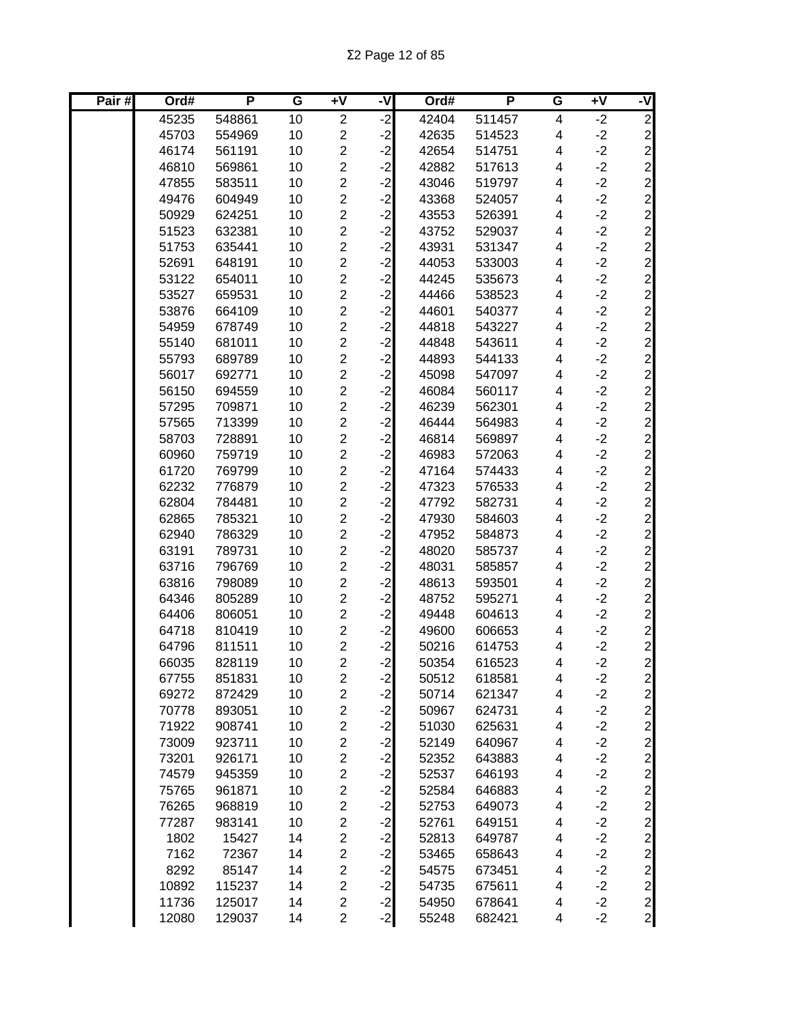| Pair# | Ord#  | P      | G  | $\overline{+V}$         | -V      | Ord#  | P      | G                       | $+V$ | -V             |
|-------|-------|--------|----|-------------------------|---------|-------|--------|-------------------------|------|----------------|
|       | 45235 | 548861 | 10 | $\overline{2}$          | ر.<br>د | 42404 | 511457 | $\overline{\mathbf{4}}$ | $-2$ | $\overline{2}$ |
|       | 45703 | 554969 | 10 | $\overline{\mathbf{c}}$ | $-2$    | 42635 | 514523 | 4                       | $-2$ |                |
|       | 46174 | 561191 | 10 | $\overline{c}$          | $-2$    | 42654 | 514751 | 4                       | $-2$ |                |
|       | 46810 | 569861 | 10 | $\overline{c}$          | $-2$    | 42882 | 517613 | 4                       | $-2$ |                |
|       | 47855 | 583511 | 10 | $\overline{c}$          | $-2$    | 43046 | 519797 | 4                       | $-2$ |                |
|       | 49476 | 604949 | 10 | $\overline{c}$          | $-2$    | 43368 | 524057 | 4                       | $-2$ |                |
|       | 50929 | 624251 | 10 | $\overline{2}$          | $-2$    | 43553 | 526391 | $\overline{\mathbf{4}}$ | $-2$ |                |
|       | 51523 | 632381 | 10 | $\overline{c}$          | $-2$    | 43752 | 529037 | $\overline{\mathbf{4}}$ | $-2$ |                |
|       | 51753 | 635441 | 10 | $\overline{2}$          | $-2$    | 43931 | 531347 | $\overline{\mathbf{4}}$ | $-2$ |                |
|       | 52691 | 648191 | 10 | $\overline{2}$          | $-2$    | 44053 | 533003 | 4                       | $-2$ |                |
|       | 53122 | 654011 | 10 | $\overline{2}$          | $-2$    | 44245 | 535673 | 4                       | $-2$ |                |
|       | 53527 | 659531 | 10 | $\overline{c}$          | $-2$    | 44466 | 538523 | 4                       | $-2$ |                |
|       | 53876 | 664109 | 10 | $\overline{2}$          | $-2$    | 44601 | 540377 | 4                       | $-2$ |                |
|       | 54959 | 678749 | 10 | $\overline{\mathbf{c}}$ | $-2$    | 44818 | 543227 | 4                       | $-2$ |                |
|       | 55140 | 681011 | 10 | $\overline{c}$          | $-2$    | 44848 | 543611 | 4                       | $-2$ |                |
|       | 55793 | 689789 | 10 | $\overline{\mathbf{c}}$ | $-2$    | 44893 | 544133 | 4                       | $-2$ |                |
|       | 56017 | 692771 | 10 | $\overline{c}$          | $-2$    | 45098 | 547097 | 4                       | $-2$ |                |
|       | 56150 | 694559 | 10 | $\overline{c}$          | $-2$    | 46084 | 560117 | 4                       | $-2$ |                |
|       | 57295 | 709871 | 10 | $\overline{c}$          | $-2$    | 46239 | 562301 | 4                       | $-2$ |                |
|       | 57565 | 713399 | 10 | $\overline{c}$          | $-2$    | 46444 | 564983 | 4                       | $-2$ |                |
|       | 58703 | 728891 | 10 | $\overline{c}$          | $-2$    | 46814 | 569897 | 4                       | $-2$ |                |
|       | 60960 | 759719 | 10 | $\overline{c}$          | $-2$    | 46983 | 572063 | 4                       | $-2$ |                |
|       | 61720 | 769799 | 10 | $\overline{c}$          | $-2$    | 47164 | 574433 | 4                       | $-2$ |                |
|       | 62232 | 776879 | 10 | $\overline{c}$          | $-2$    | 47323 | 576533 | 4                       | $-2$ |                |
|       | 62804 | 784481 | 10 | $\overline{c}$          | $-2$    | 47792 | 582731 | $\overline{\mathbf{4}}$ | $-2$ |                |
|       | 62865 | 785321 | 10 | $\overline{c}$          | $-2$    | 47930 | 584603 | 4                       | $-2$ |                |
|       | 62940 | 786329 | 10 | $\overline{c}$          | $-2$    | 47952 | 584873 | 4                       | $-2$ |                |
|       | 63191 | 789731 | 10 | $\overline{c}$          | $-2$    | 48020 | 585737 | 4                       | $-2$ | 22222222222    |
|       | 63716 | 796769 | 10 | $\overline{c}$          | $-2$    | 48031 | 585857 | 4                       | $-2$ |                |
|       | 63816 | 798089 | 10 | $\overline{\mathbf{c}}$ | $-2$    | 48613 | 593501 | 4                       | $-2$ |                |
|       | 64346 | 805289 | 10 | $\overline{2}$          | $-2$    | 48752 | 595271 | 4                       | $-2$ |                |
|       | 64406 | 806051 | 10 | $\overline{\mathbf{c}}$ | $-2$    | 49448 | 604613 | 4                       | $-2$ |                |
|       | 64718 | 810419 | 10 | $\overline{c}$          | $-2$    | 49600 | 606653 | 4                       | $-2$ |                |
|       | 64796 | 811511 | 10 | $\overline{\mathbf{c}}$ | $-2$    | 50216 | 614753 | 4                       | $-2$ |                |
|       | 66035 | 828119 | 10 | $\overline{2}$          | $-2$    | 50354 | 616523 | 4                       | $-2$ |                |
|       | 67755 | 851831 | 10 | 2                       | $-2$    | 50512 | 618581 | 4                       | $-2$ | $\mathbf{2}$   |
|       | 69272 | 872429 | 10 | $\overline{c}$          | $-2$    | 50714 | 621347 | 4                       | $-2$ | $\mathbf{Z}$   |
|       | 70778 | 893051 | 10 | $\overline{c}$          | $-2$    | 50967 | 624731 | 4                       | $-2$ | $\overline{2}$ |
|       | 71922 | 908741 | 10 | $\overline{c}$          | $-2$    | 51030 | 625631 | 4                       | $-2$ | $\overline{2}$ |
|       | 73009 | 923711 | 10 | $\overline{\mathbf{c}}$ | $-2$    | 52149 | 640967 | 4                       | $-2$ | $\overline{2}$ |
|       | 73201 | 926171 | 10 | $\overline{c}$          | $-2$    | 52352 | 643883 | 4                       | $-2$ |                |
|       | 74579 | 945359 | 10 | $\overline{\mathbf{c}}$ | $-2$    | 52537 | 646193 | 4                       | $-2$ |                |
|       | 75765 | 961871 | 10 | $\overline{c}$          | $-2$    | 52584 | 646883 | 4                       | $-2$ |                |
|       | 76265 | 968819 | 10 | $\overline{\mathbf{c}}$ | $-2$    | 52753 | 649073 | 4                       | $-2$ |                |
|       | 77287 | 983141 | 10 | $\overline{c}$          | $-2$    | 52761 | 649151 | 4                       | $-2$ |                |
|       | 1802  | 15427  | 14 | $\overline{c}$          | $-2$    | 52813 | 649787 | 4                       | $-2$ |                |
|       | 7162  | 72367  | 14 | $\overline{c}$          | $-2$    | 53465 | 658643 | 4                       | $-2$ |                |
|       | 8292  | 85147  | 14 | $\overline{c}$          | $-2$    | 54575 | 673451 | 4                       | $-2$ |                |
|       | 10892 | 115237 | 14 | $\overline{c}$          | $-2$    | 54735 | 675611 | 4                       | $-2$ |                |
|       | 11736 | 125017 | 14 | $\overline{\mathbf{c}}$ | $-2$    | 54950 | 678641 | 4                       | $-2$ |                |
|       | 12080 | 129037 | 14 | $\overline{c}$          | $-2$    | 55248 | 682421 | 4                       | $-2$ |                |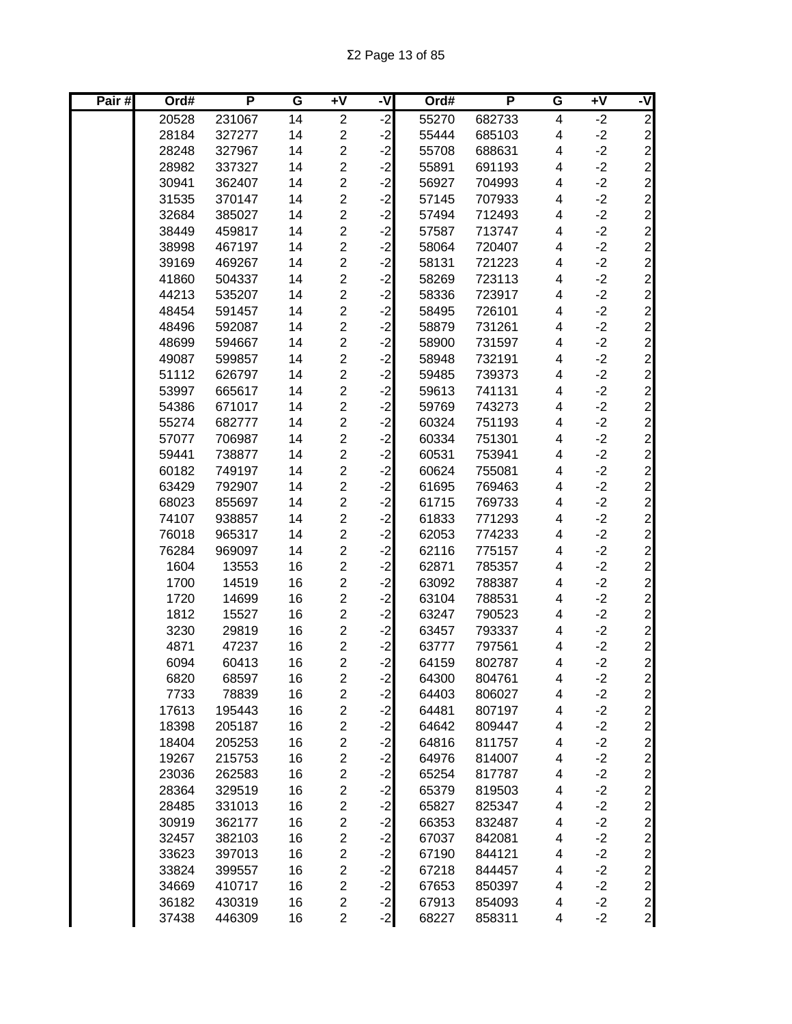| Pair# | Ord#  | P      | G               | $\overline{+V}$         | -V      | Ord#  | P      | G                       | $+V$ | -V             |
|-------|-------|--------|-----------------|-------------------------|---------|-------|--------|-------------------------|------|----------------|
|       | 20528 | 231067 | $\overline{14}$ | $\overline{2}$          | ر.<br>د | 55270 | 682733 | $\overline{\mathbf{4}}$ | $-2$ | $\overline{2}$ |
|       | 28184 | 327277 | 14              | $\overline{\mathbf{c}}$ | $-2$    | 55444 | 685103 | 4                       | $-2$ |                |
|       | 28248 | 327967 | 14              | $\overline{\mathbf{c}}$ | $-2$    | 55708 | 688631 | 4                       | $-2$ |                |
|       | 28982 | 337327 | 14              | $\overline{c}$          | $-2$    | 55891 | 691193 | 4                       | $-2$ |                |
|       | 30941 | 362407 | 14              | $\overline{c}$          | $-2$    | 56927 | 704993 | 4                       | $-2$ |                |
|       | 31535 | 370147 | 14              | $\overline{c}$          | $-2$    | 57145 | 707933 | 4                       | $-2$ |                |
|       | 32684 | 385027 | 14              | $\overline{2}$          | $-2$    | 57494 | 712493 | $\overline{\mathbf{4}}$ | $-2$ |                |
|       | 38449 | 459817 | 14              | $\overline{c}$          | $-2$    | 57587 | 713747 | 4                       | $-2$ |                |
|       | 38998 | 467197 | 14              | $\overline{c}$          | $-2$    | 58064 | 720407 | $\overline{\mathbf{4}}$ | $-2$ |                |
|       | 39169 | 469267 | 14              | $\overline{c}$          | $-2$    | 58131 | 721223 | 4                       | $-2$ |                |
|       | 41860 | 504337 | 14              | $\overline{c}$          | $-2$    | 58269 | 723113 | 4                       | $-2$ |                |
|       | 44213 | 535207 | 14              | $\overline{c}$          | $-2$    | 58336 | 723917 | 4                       | $-2$ |                |
|       | 48454 | 591457 | 14              | $\overline{c}$          | $-2$    | 58495 | 726101 | 4                       | $-2$ |                |
|       | 48496 | 592087 | 14              | $\overline{\mathbf{c}}$ | $-2$    | 58879 | 731261 | 4                       | $-2$ |                |
|       | 48699 | 594667 | 14              | $\overline{2}$          | $-2$    | 58900 | 731597 | 4                       | $-2$ |                |
|       | 49087 | 599857 | 14              | $\overline{\mathbf{c}}$ | $-2$    | 58948 | 732191 | 4                       | $-2$ |                |
|       | 51112 | 626797 | 14              | $\overline{c}$          | $-2$    | 59485 | 739373 | 4                       | $-2$ |                |
|       | 53997 | 665617 | 14              | $\overline{c}$          | $-2$    | 59613 | 741131 | 4                       | $-2$ |                |
|       | 54386 | 671017 | 14              | $\overline{c}$          | $-2$    | 59769 | 743273 | 4                       | $-2$ |                |
|       | 55274 | 682777 | 14              | $\overline{c}$          | $-2$    | 60324 | 751193 | 4                       | $-2$ |                |
|       | 57077 | 706987 | 14              | $\overline{c}$          | $-2$    | 60334 | 751301 | 4                       | $-2$ |                |
|       | 59441 | 738877 | 14              | $\overline{c}$          | $-2$    | 60531 | 753941 | 4                       | $-2$ |                |
|       | 60182 | 749197 | 14              | $\overline{c}$          | $-2$    | 60624 | 755081 | 4                       | $-2$ |                |
|       | 63429 | 792907 | 14              | $\overline{c}$          | $-2$    | 61695 | 769463 | 4                       | $-2$ |                |
|       | 68023 | 855697 | 14              | $\overline{c}$          | $-2$    | 61715 | 769733 | $\overline{\mathbf{4}}$ | $-2$ |                |
|       | 74107 | 938857 | 14              | $\overline{c}$          | $-2$    | 61833 | 771293 | 4                       | $-2$ |                |
|       | 76018 | 965317 | 14              | $\overline{2}$          | $-2$    | 62053 | 774233 | 4                       | $-2$ |                |
|       | 76284 | 969097 | 14              | $\overline{\mathbf{c}}$ | $-2$    | 62116 | 775157 | 4                       | $-2$ | 22222222222    |
|       | 1604  | 13553  | 16              | $\overline{c}$          | $-2$    | 62871 | 785357 | 4                       | $-2$ |                |
|       | 1700  | 14519  | 16              | $\overline{c}$          | $-2$    | 63092 | 788387 | 4                       | $-2$ |                |
|       | 1720  | 14699  | 16              | $\overline{2}$          | $-2$    | 63104 | 788531 | 4                       | $-2$ |                |
|       | 1812  | 15527  | 16              | $\overline{\mathbf{c}}$ | $-2$    | 63247 | 790523 | 4                       | $-2$ |                |
|       | 3230  | 29819  | 16              | $\overline{c}$          | $-2$    | 63457 | 793337 | 4                       | $-2$ |                |
|       | 4871  | 47237  | 16              | $\overline{\mathbf{c}}$ | $-2$    | 63777 | 797561 | 4                       | $-2$ |                |
|       | 6094  | 60413  | 16              | $\overline{2}$          | $-2$    | 64159 | 802787 | 4                       | $-2$ |                |
|       | 6820  | 68597  | 16              | 2                       | $-2$    | 64300 | 804761 | 4                       | $-2$ | $\mathbf{2}$   |
|       | 7733  | 78839  | 16              | $\overline{c}$          | $-2$    | 64403 | 806027 | 4                       | $-2$ | $\mathbf{Z}$   |
|       | 17613 | 195443 | 16              | $\overline{\mathbf{c}}$ | $-2$    | 64481 | 807197 | 4                       | $-2$ | $\overline{2}$ |
|       | 18398 | 205187 | 16              | $\overline{\mathbf{c}}$ | $-2$    | 64642 | 809447 | 4                       | $-2$ | $\overline{2}$ |
|       | 18404 | 205253 | 16              | $\overline{\mathbf{c}}$ | $-2$    | 64816 | 811757 | 4                       | $-2$ | $\overline{2}$ |
|       | 19267 | 215753 | 16              | $\overline{\mathbf{c}}$ | $-2$    | 64976 | 814007 | 4                       | $-2$ |                |
|       | 23036 | 262583 | 16              | $\overline{\mathbf{c}}$ | $-2$    | 65254 | 817787 | 4                       | $-2$ |                |
|       | 28364 | 329519 | 16              | $\overline{c}$          | $-2$    | 65379 | 819503 | 4                       | $-2$ |                |
|       | 28485 | 331013 | 16              | $\overline{\mathbf{c}}$ | $-2$    | 65827 | 825347 | 4                       | $-2$ |                |
|       | 30919 | 362177 | 16              | $\overline{c}$          | $-2$    | 66353 | 832487 | 4                       | $-2$ |                |
|       | 32457 | 382103 | 16              | $\overline{c}$          | $-2$    | 67037 | 842081 | 4                       | $-2$ |                |
|       | 33623 | 397013 | 16              | $\overline{c}$          | $-2$    | 67190 | 844121 | 4                       | $-2$ |                |
|       | 33824 | 399557 | 16              | $\overline{c}$          | $-2$    | 67218 | 844457 | 4                       | $-2$ |                |
|       | 34669 | 410717 | 16              | $\overline{c}$          | $-2$    | 67653 | 850397 | 4                       | $-2$ |                |
|       | 36182 | 430319 | 16              | $\overline{\mathbf{c}}$ | $-2$    | 67913 | 854093 | 4                       | $-2$ |                |
|       | 37438 | 446309 | 16              | $\overline{c}$          | $-2$    | 68227 | 858311 | 4                       | $-2$ |                |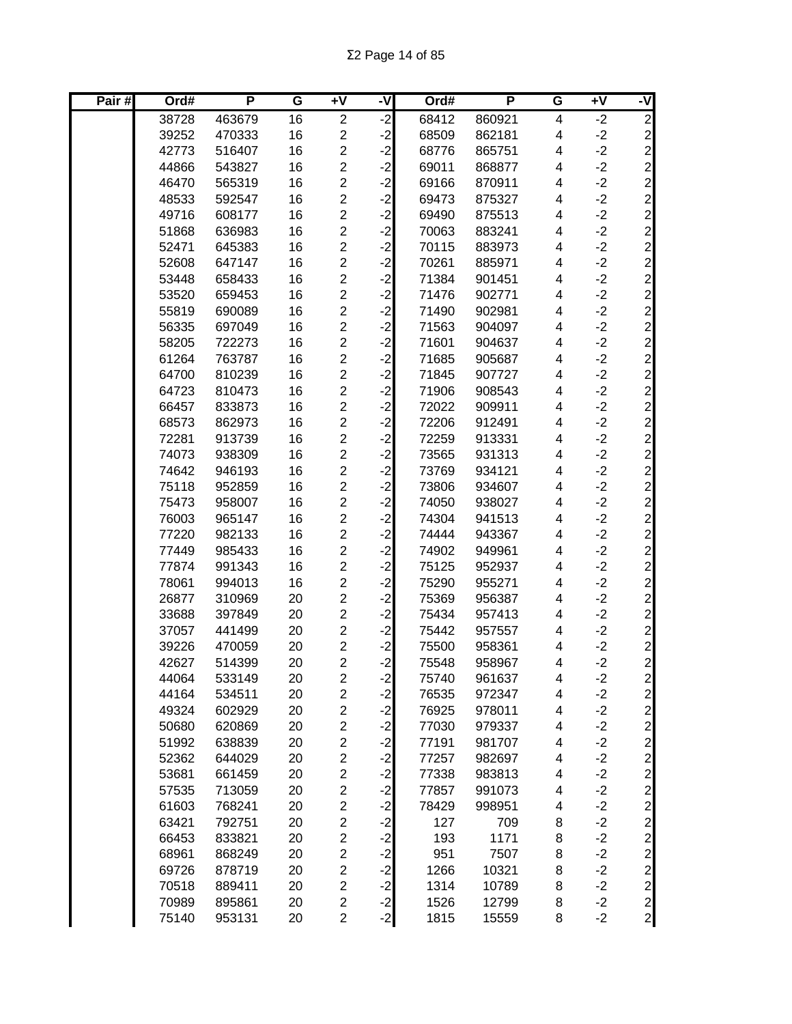| Pair# | Ord#  | P      | G  | $\overline{+V}$         | -V      | Ord#  | P      | G                       | $+V$ | -V             |
|-------|-------|--------|----|-------------------------|---------|-------|--------|-------------------------|------|----------------|
|       | 38728 | 463679 | 16 | $\overline{2}$          | ر.<br>د | 68412 | 860921 | $\overline{\mathbf{4}}$ | $-2$ | $\overline{2}$ |
|       | 39252 | 470333 | 16 | $\overline{\mathbf{c}}$ | $-2$    | 68509 | 862181 | 4                       | $-2$ |                |
|       | 42773 | 516407 | 16 | $\overline{\mathbf{c}}$ | $-2$    | 68776 | 865751 | 4                       | $-2$ |                |
|       | 44866 | 543827 | 16 | $\overline{c}$          | $-2$    | 69011 | 868877 | 4                       | $-2$ |                |
|       | 46470 | 565319 | 16 | $\overline{c}$          | $-2$    | 69166 | 870911 | 4                       | $-2$ |                |
|       | 48533 | 592547 | 16 | $\overline{c}$          | $-2$    | 69473 | 875327 | 4                       | $-2$ |                |
|       | 49716 | 608177 | 16 | $\overline{2}$          | $-2$    | 69490 | 875513 | $\overline{\mathbf{4}}$ | $-2$ |                |
|       | 51868 | 636983 | 16 | $\overline{c}$          | $-2$    | 70063 | 883241 | 4                       | $-2$ |                |
|       | 52471 | 645383 | 16 | $\overline{c}$          | $-2$    | 70115 | 883973 | 4                       | $-2$ |                |
|       | 52608 | 647147 | 16 | $\overline{c}$          | $-2$    | 70261 | 885971 | 4                       | $-2$ |                |
|       | 53448 | 658433 | 16 | $\overline{c}$          | $-2$    | 71384 | 901451 | 4                       | $-2$ |                |
|       | 53520 | 659453 | 16 | $\overline{\mathbf{c}}$ | $-2$    | 71476 | 902771 | 4                       | $-2$ |                |
|       | 55819 | 690089 | 16 | $\overline{c}$          | $-2$    | 71490 | 902981 | 4                       | $-2$ |                |
|       | 56335 | 697049 | 16 | $\overline{\mathbf{c}}$ | $-2$    | 71563 | 904097 | 4                       | $-2$ |                |
|       | 58205 | 722273 | 16 | $\overline{2}$          | $-2$    | 71601 | 904637 | 4                       | $-2$ |                |
|       | 61264 | 763787 | 16 | $\overline{\mathbf{c}}$ | $-2$    | 71685 | 905687 | 4                       | $-2$ |                |
|       | 64700 | 810239 | 16 | $\overline{c}$          | $-2$    | 71845 | 907727 | 4                       | $-2$ |                |
|       | 64723 | 810473 | 16 | $\overline{c}$          | $-2$    | 71906 | 908543 | 4                       | $-2$ |                |
|       | 66457 | 833873 | 16 | $\overline{c}$          | $-2$    | 72022 | 909911 | 4                       | $-2$ |                |
|       | 68573 | 862973 | 16 | $\overline{c}$          | $-2$    | 72206 | 912491 | 4                       | $-2$ |                |
|       | 72281 | 913739 | 16 | $\overline{c}$          | $-2$    | 72259 | 913331 | 4                       | $-2$ |                |
|       | 74073 | 938309 | 16 | $\overline{c}$          | $-2$    | 73565 | 931313 | 4                       | $-2$ |                |
|       | 74642 | 946193 | 16 | $\overline{c}$          | $-2$    | 73769 | 934121 | 4                       | $-2$ |                |
|       | 75118 | 952859 | 16 | $\overline{c}$          | $-2$    | 73806 | 934607 | 4                       | $-2$ |                |
|       | 75473 | 958007 | 16 | $\overline{c}$          | $-2$    | 74050 | 938027 | 4                       | $-2$ |                |
|       | 76003 | 965147 | 16 | $\overline{c}$          | $-2$    | 74304 | 941513 | 4                       | $-2$ |                |
|       | 77220 | 982133 | 16 | $\overline{c}$          | $-2$    | 74444 | 943367 | 4                       | $-2$ |                |
|       | 77449 | 985433 | 16 | $\overline{\mathbf{c}}$ | $-2$    | 74902 | 949961 | 4                       | $-2$ | 22222222222    |
|       | 77874 | 991343 | 16 | $\overline{c}$          | $-2$    | 75125 | 952937 | 4                       | $-2$ |                |
|       | 78061 | 994013 | 16 | $\overline{c}$          | $-2$    | 75290 | 955271 | 4                       | $-2$ |                |
|       | 26877 | 310969 | 20 | $\overline{2}$          | $-2$    | 75369 | 956387 | 4                       | $-2$ |                |
|       | 33688 | 397849 | 20 | $\overline{\mathbf{c}}$ | $-2$    | 75434 | 957413 | 4                       | $-2$ |                |
|       | 37057 | 441499 | 20 | $\overline{c}$          | $-2$    | 75442 | 957557 | 4                       | $-2$ |                |
|       | 39226 | 470059 | 20 | $\overline{\mathbf{c}}$ | $-2$    | 75500 | 958361 | 4                       | $-2$ |                |
|       | 42627 | 514399 | 20 | $\overline{2}$          | $-2$    | 75548 | 958967 | 4                       | $-2$ |                |
|       | 44064 | 533149 | 20 | $\overline{\mathbf{c}}$ | $-2$    | 75740 | 961637 | 4                       | $-2$ | $\mathbf{2}$   |
|       | 44164 | 534511 | 20 | $\overline{c}$          | $-2$    | 76535 | 972347 | 4                       | $-2$ | $\mathbf{Z}$   |
|       | 49324 | 602929 | 20 | $\overline{c}$          | $-2$    | 76925 | 978011 | 4                       | $-2$ | $\overline{2}$ |
|       | 50680 | 620869 | 20 | $\overline{2}$          | $-2$    | 77030 | 979337 | 4                       | $-2$ | $\overline{2}$ |
|       | 51992 | 638839 | 20 | $\overline{\mathbf{c}}$ | $-2$    | 77191 | 981707 | 4                       | $-2$ | $\overline{2}$ |
|       | 52362 | 644029 | 20 | $\overline{c}$          | $-2$    | 77257 | 982697 | 4                       | $-2$ |                |
|       | 53681 | 661459 | 20 | $\overline{\mathbf{c}}$ | $-2$    | 77338 | 983813 | 4                       | $-2$ |                |
|       | 57535 | 713059 | 20 | $\overline{c}$          | $-2$    | 77857 | 991073 | 4                       | $-2$ |                |
|       | 61603 | 768241 | 20 | $\overline{\mathbf{c}}$ | $-2$    | 78429 | 998951 | 4                       | $-2$ |                |
|       | 63421 | 792751 | 20 | $\overline{c}$          | $-2$    | 127   | 709    | 8                       | $-2$ |                |
|       | 66453 | 833821 | 20 | $\overline{c}$          | $-2$    | 193   | 1171   | 8                       | $-2$ |                |
|       | 68961 | 868249 | 20 | $\overline{c}$          | $-2$    | 951   | 7507   | 8                       | $-2$ |                |
|       | 69726 | 878719 | 20 | $\overline{c}$          | $-2$    | 1266  | 10321  | 8                       | $-2$ |                |
|       | 70518 | 889411 | 20 | $\overline{c}$          | $-2$    | 1314  | 10789  | 8                       | $-2$ |                |
|       | 70989 | 895861 | 20 | $\overline{\mathbf{c}}$ | $-2$    | 1526  | 12799  | 8                       | $-2$ |                |
|       | 75140 | 953131 | 20 | $\overline{c}$          | $-2$    | 1815  | 15559  | 8                       | $-2$ |                |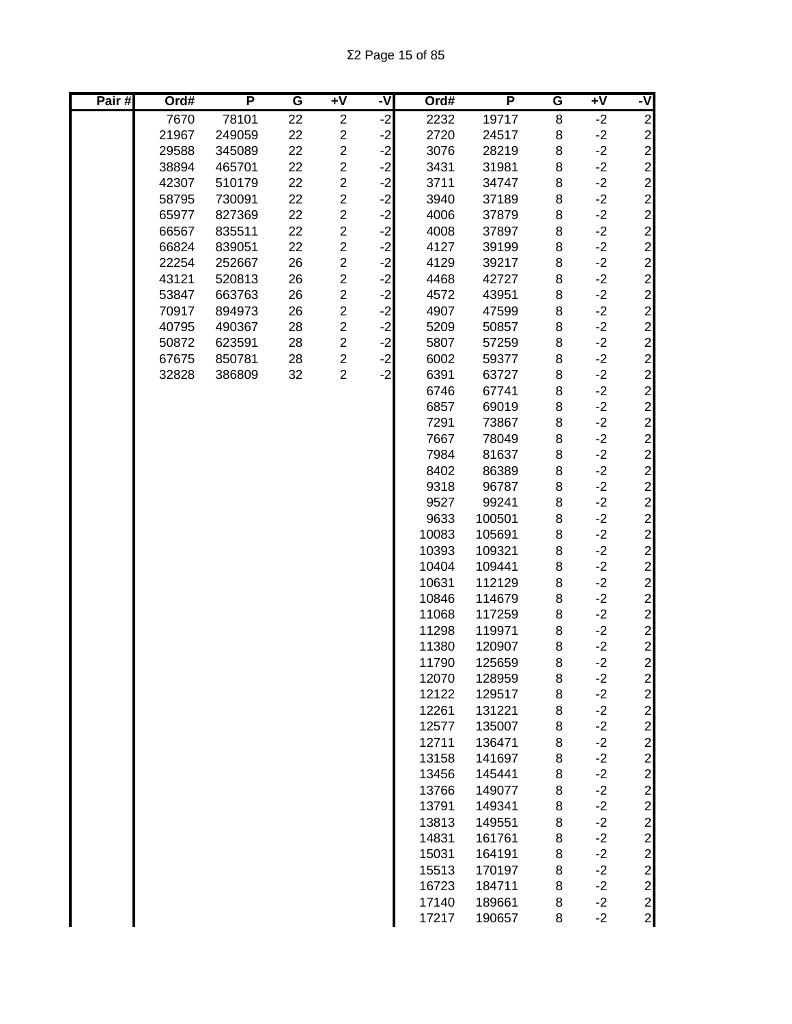| Pair# | Ord#  | P      | G  | $+V$                    | -V   | Ord#  | P      | G | $+V$ | -V                              |
|-------|-------|--------|----|-------------------------|------|-------|--------|---|------|---------------------------------|
|       | 7670  | 78101  | 22 | $\overline{\mathbf{c}}$ | $-2$ | 2232  | 19717  | 8 | $-2$ | $\overline{2}$                  |
|       | 21967 | 249059 | 22 | $\overline{c}$          | $-2$ | 2720  | 24517  | 8 | $-2$ |                                 |
|       | 29588 | 345089 | 22 | $\overline{\mathbf{c}}$ | $-2$ | 3076  | 28219  | 8 | $-2$ |                                 |
|       | 38894 | 465701 | 22 | $\overline{\mathbf{c}}$ | $-2$ | 3431  | 31981  | 8 | $-2$ |                                 |
|       | 42307 | 510179 | 22 | $\overline{\mathbf{c}}$ | $-2$ | 3711  | 34747  | 8 | $-2$ |                                 |
|       | 58795 | 730091 | 22 | $\overline{c}$          | $-2$ | 3940  | 37189  | 8 | $-2$ |                                 |
|       | 65977 | 827369 | 22 | $\overline{\mathbf{c}}$ | $-2$ | 4006  | 37879  | 8 | $-2$ |                                 |
|       | 66567 | 835511 | 22 | $\overline{c}$          | $-2$ | 4008  | 37897  | 8 | $-2$ |                                 |
|       | 66824 | 839051 | 22 | $\overline{2}$          | $-2$ | 4127  | 39199  | 8 | $-2$ |                                 |
|       | 22254 | 252667 | 26 | $\overline{2}$          | $-2$ | 4129  | 39217  | 8 | $-2$ |                                 |
|       | 43121 | 520813 | 26 | $\overline{c}$          | $-2$ | 4468  | 42727  | 8 | $-2$ |                                 |
|       | 53847 | 663763 | 26 | $\overline{2}$          | $-2$ | 4572  | 43951  | 8 | $-2$ |                                 |
|       | 70917 | 894973 | 26 | $\overline{c}$          | $-2$ | 4907  | 47599  | 8 | $-2$ |                                 |
|       | 40795 | 490367 | 28 | $\overline{c}$          | $-2$ | 5209  | 50857  | 8 | $-2$ |                                 |
|       | 50872 | 623591 | 28 | $\overline{\mathbf{c}}$ | $-2$ | 5807  | 57259  | 8 | $-2$ |                                 |
|       | 67675 | 850781 | 28 | $\overline{\mathbf{c}}$ | $-2$ | 6002  | 59377  | 8 | $-2$ |                                 |
|       | 32828 | 386809 | 32 | $\overline{2}$          | $-2$ | 6391  | 63727  | 8 | $-2$ |                                 |
|       |       |        |    |                         |      | 6746  | 67741  | 8 | $-2$ |                                 |
|       |       |        |    |                         |      | 6857  | 69019  | 8 | $-2$ |                                 |
|       |       |        |    |                         |      | 7291  | 73867  | 8 | $-2$ |                                 |
|       |       |        |    |                         |      | 7667  | 78049  | 8 | $-2$ |                                 |
|       |       |        |    |                         |      | 7984  | 81637  | 8 | $-2$ |                                 |
|       |       |        |    |                         |      | 8402  | 86389  | 8 | $-2$ |                                 |
|       |       |        |    |                         |      | 9318  | 96787  | 8 | $-2$ |                                 |
|       |       |        |    |                         |      | 9527  | 99241  | 8 | $-2$ |                                 |
|       |       |        |    |                         |      | 9633  | 100501 | 8 | $-2$ |                                 |
|       |       |        |    |                         |      | 10083 | 105691 | 8 | $-2$ |                                 |
|       |       |        |    |                         |      | 10393 | 109321 | 8 | $-2$ | 2222222                         |
|       |       |        |    |                         |      | 10404 | 109441 | 8 | $-2$ |                                 |
|       |       |        |    |                         |      | 10631 | 112129 | 8 | $-2$ |                                 |
|       |       |        |    |                         |      | 10846 | 114679 | 8 | $-2$ |                                 |
|       |       |        |    |                         |      | 11068 | 117259 | 8 | $-2$ |                                 |
|       |       |        |    |                         |      | 11298 | 119971 | 8 | $-2$ |                                 |
|       |       |        |    |                         |      | 11380 | 120907 | 8 | $-2$ |                                 |
|       |       |        |    |                         |      | 11790 | 125659 | 8 | $-2$ |                                 |
|       |       |        |    |                         |      | 12070 | 128959 | 8 | $-2$ | $\mathbf{2}$                    |
|       |       |        |    |                         |      | 12122 | 129517 | 8 | $-2$ |                                 |
|       |       |        |    |                         |      | 12261 | 131221 | 8 | $-2$ |                                 |
|       |       |        |    |                         |      | 12577 | 135007 | 8 | $-2$ | $20000$                         |
|       |       |        |    |                         |      | 12711 | 136471 | 8 | $-2$ |                                 |
|       |       |        |    |                         |      | 13158 | 141697 | 8 | $-2$ |                                 |
|       |       |        |    |                         |      | 13456 | 145441 | 8 | $-2$ |                                 |
|       |       |        |    |                         |      | 13766 | 149077 | 8 | $-2$ | $\mathbf{2}$                    |
|       |       |        |    |                         |      | 13791 | 149341 | 8 | $-2$ | $\mathbf{2}$                    |
|       |       |        |    |                         |      | 13813 | 149551 | 8 | $-2$ |                                 |
|       |       |        |    |                         |      | 14831 | 161761 | 8 | $-2$ |                                 |
|       |       |        |    |                         |      | 15031 | 164191 | 8 | $-2$ |                                 |
|       |       |        |    |                         |      | 15513 | 170197 | 8 | $-2$ |                                 |
|       |       |        |    |                         |      | 16723 | 184711 | 8 | $-2$ | 2<br>2<br>2<br>2<br>2<br>2<br>2 |
|       |       |        |    |                         |      | 17140 | 189661 | 8 | $-2$ |                                 |
|       |       |        |    |                         |      | 17217 | 190657 | 8 | $-2$ |                                 |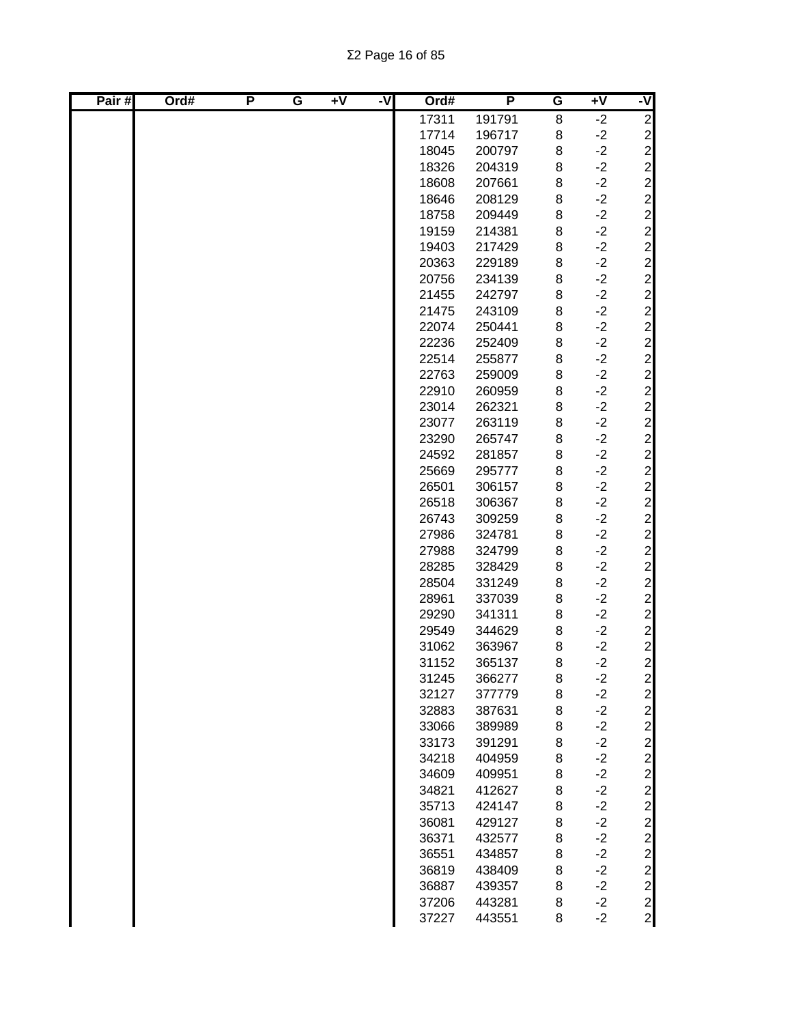| Pair# | Ord# | P | G | $\overline{+V}$ | ż | Ord#  | P      | G | $+V$ | -V                                               |
|-------|------|---|---|-----------------|---|-------|--------|---|------|--------------------------------------------------|
|       |      |   |   |                 |   | 17311 | 191791 | 8 | $-2$ | $\overline{2}$                                   |
|       |      |   |   |                 |   | 17714 | 196717 | 8 | $-2$ |                                                  |
|       |      |   |   |                 |   | 18045 | 200797 | 8 | $-2$ |                                                  |
|       |      |   |   |                 |   | 18326 | 204319 | 8 | $-2$ |                                                  |
|       |      |   |   |                 |   | 18608 | 207661 | 8 | $-2$ |                                                  |
|       |      |   |   |                 |   | 18646 | 208129 | 8 | $-2$ |                                                  |
|       |      |   |   |                 |   | 18758 | 209449 | 8 | $-2$ |                                                  |
|       |      |   |   |                 |   | 19159 | 214381 | 8 | $-2$ |                                                  |
|       |      |   |   |                 |   | 19403 | 217429 | 8 | $-2$ |                                                  |
|       |      |   |   |                 |   | 20363 | 229189 | 8 | $-2$ |                                                  |
|       |      |   |   |                 |   | 20756 | 234139 | 8 | $-2$ |                                                  |
|       |      |   |   |                 |   | 21455 | 242797 | 8 | $-2$ |                                                  |
|       |      |   |   |                 |   | 21475 | 243109 | 8 | $-2$ |                                                  |
|       |      |   |   |                 |   | 22074 | 250441 | 8 | $-2$ |                                                  |
|       |      |   |   |                 |   | 22236 | 252409 | 8 | $-2$ |                                                  |
|       |      |   |   |                 |   | 22514 | 255877 | 8 | $-2$ |                                                  |
|       |      |   |   |                 |   | 22763 | 259009 | 8 | $-2$ |                                                  |
|       |      |   |   |                 |   | 22910 | 260959 | 8 | $-2$ |                                                  |
|       |      |   |   |                 |   | 23014 | 262321 | 8 | $-2$ |                                                  |
|       |      |   |   |                 |   | 23077 | 263119 | 8 | $-2$ |                                                  |
|       |      |   |   |                 |   | 23290 | 265747 | 8 | $-2$ |                                                  |
|       |      |   |   |                 |   | 24592 | 281857 | 8 | $-2$ |                                                  |
|       |      |   |   |                 |   | 25669 | 295777 | 8 | $-2$ |                                                  |
|       |      |   |   |                 |   | 26501 | 306157 | 8 | $-2$ |                                                  |
|       |      |   |   |                 |   | 26518 | 306367 | 8 | $-2$ |                                                  |
|       |      |   |   |                 |   | 26743 | 309259 | 8 | $-2$ |                                                  |
|       |      |   |   |                 |   | 27986 | 324781 | 8 | $-2$ |                                                  |
|       |      |   |   |                 |   | 27988 | 324799 | 8 | $-2$ |                                                  |
|       |      |   |   |                 |   | 28285 | 328429 | 8 | $-2$ |                                                  |
|       |      |   |   |                 |   | 28504 | 331249 | 8 | $-2$ |                                                  |
|       |      |   |   |                 |   | 28961 | 337039 | 8 | $-2$ |                                                  |
|       |      |   |   |                 |   | 29290 | 341311 | 8 | $-2$ | $\begin{array}{c}\n 2 \\  2 \\  2\n \end{array}$ |
|       |      |   |   |                 |   | 29549 | 344629 | 8 | $-2$ |                                                  |
|       |      |   |   |                 |   | 31062 | 363967 | 8 | $-2$ |                                                  |
|       |      |   |   |                 |   | 31152 | 365137 | 8 | $-2$ |                                                  |
|       |      |   |   |                 |   | 31245 | 366277 | 8 | $-2$ | $\mathbf{2}$                                     |
|       |      |   |   |                 |   | 32127 | 377779 | 8 | $-2$ |                                                  |
|       |      |   |   |                 |   | 32883 | 387631 | 8 | $-2$ |                                                  |
|       |      |   |   |                 |   | 33066 | 389989 | 8 | $-2$ |                                                  |
|       |      |   |   |                 |   | 33173 | 391291 | 8 | $-2$ |                                                  |
|       |      |   |   |                 |   | 34218 | 404959 | 8 | $-2$ |                                                  |
|       |      |   |   |                 |   | 34609 | 409951 | 8 | $-2$ |                                                  |
|       |      |   |   |                 |   | 34821 | 412627 | 8 | $-2$ |                                                  |
|       |      |   |   |                 |   | 35713 | 424147 | 8 | $-2$ |                                                  |
|       |      |   |   |                 |   | 36081 | 429127 | 8 | $-2$ |                                                  |
|       |      |   |   |                 |   | 36371 | 432577 | 8 | $-2$ |                                                  |
|       |      |   |   |                 |   | 36551 | 434857 | 8 | $-2$ |                                                  |
|       |      |   |   |                 |   | 36819 | 438409 | 8 | $-2$ |                                                  |
|       |      |   |   |                 |   | 36887 | 439357 | 8 | $-2$ |                                                  |
|       |      |   |   |                 |   | 37206 | 443281 | 8 | $-2$ |                                                  |
|       |      |   |   |                 |   | 37227 | 443551 | 8 | $-2$ |                                                  |
|       |      |   |   |                 |   |       |        |   |      |                                                  |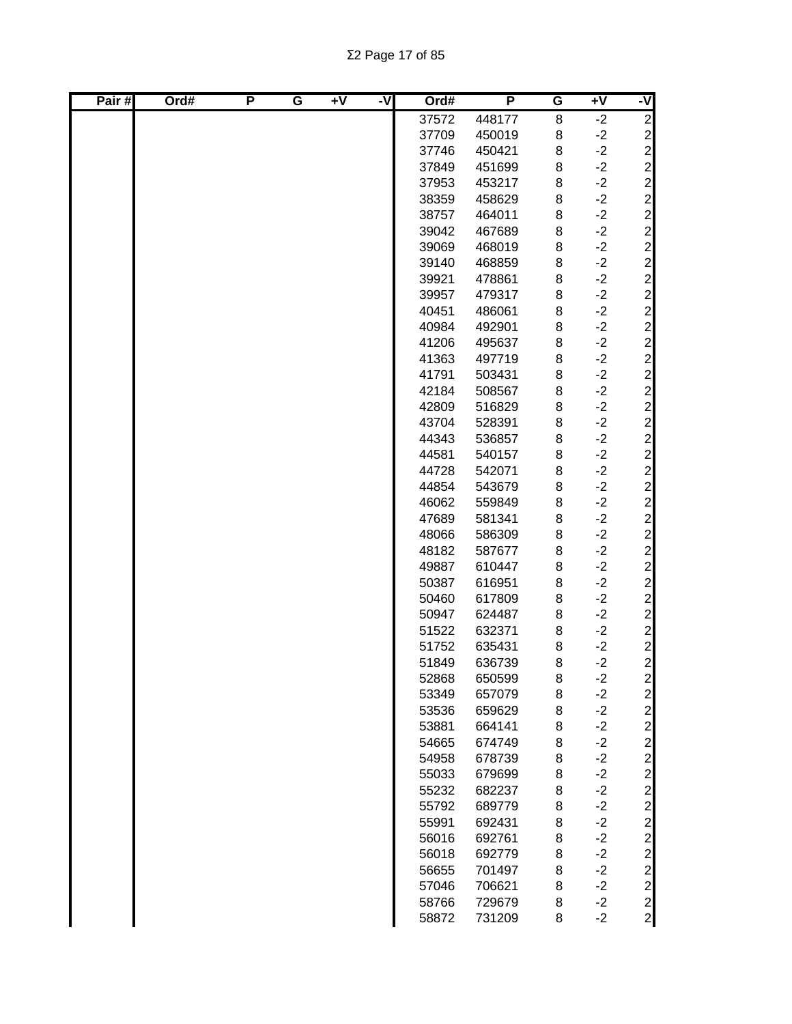| Pair# | Ord# | P | G | $\overline{+V}$ | ż | Ord#  | P      | G | $\overline{+V}$ | -V                                               |
|-------|------|---|---|-----------------|---|-------|--------|---|-----------------|--------------------------------------------------|
|       |      |   |   |                 |   | 37572 | 448177 | 8 | $-2$            | $\overline{2}$                                   |
|       |      |   |   |                 |   | 37709 | 450019 | 8 | $-2$            |                                                  |
|       |      |   |   |                 |   | 37746 | 450421 | 8 | $-2$            |                                                  |
|       |      |   |   |                 |   | 37849 | 451699 | 8 | $-2$            |                                                  |
|       |      |   |   |                 |   | 37953 | 453217 | 8 | $-2$            |                                                  |
|       |      |   |   |                 |   | 38359 | 458629 | 8 | $-2$            |                                                  |
|       |      |   |   |                 |   | 38757 | 464011 | 8 | $-2$            |                                                  |
|       |      |   |   |                 |   | 39042 | 467689 | 8 | $-2$            |                                                  |
|       |      |   |   |                 |   | 39069 | 468019 | 8 | $-2$            |                                                  |
|       |      |   |   |                 |   | 39140 | 468859 | 8 | $-2$            |                                                  |
|       |      |   |   |                 |   | 39921 | 478861 | 8 | $-2$            |                                                  |
|       |      |   |   |                 |   | 39957 | 479317 | 8 | $-2$            |                                                  |
|       |      |   |   |                 |   | 40451 | 486061 | 8 | $-2$            |                                                  |
|       |      |   |   |                 |   | 40984 | 492901 | 8 | $-2$            |                                                  |
|       |      |   |   |                 |   | 41206 | 495637 | 8 | $-2$            |                                                  |
|       |      |   |   |                 |   | 41363 | 497719 | 8 | $-2$            |                                                  |
|       |      |   |   |                 |   | 41791 | 503431 | 8 | $-2$            |                                                  |
|       |      |   |   |                 |   | 42184 | 508567 | 8 | $-2$            |                                                  |
|       |      |   |   |                 |   | 42809 | 516829 | 8 | $-2$            |                                                  |
|       |      |   |   |                 |   | 43704 | 528391 | 8 | $-2$            |                                                  |
|       |      |   |   |                 |   | 44343 | 536857 | 8 | $-2$            |                                                  |
|       |      |   |   |                 |   | 44581 | 540157 | 8 | $-2$            |                                                  |
|       |      |   |   |                 |   | 44728 | 542071 | 8 | $-2$            |                                                  |
|       |      |   |   |                 |   | 44854 | 543679 | 8 | $-2$            |                                                  |
|       |      |   |   |                 |   | 46062 | 559849 | 8 | $-2$            |                                                  |
|       |      |   |   |                 |   | 47689 | 581341 | 8 | $-2$            |                                                  |
|       |      |   |   |                 |   | 48066 | 586309 | 8 | $-2$            |                                                  |
|       |      |   |   |                 |   | 48182 | 587677 | 8 | $-2$            |                                                  |
|       |      |   |   |                 |   | 49887 | 610447 | 8 | $-2$            |                                                  |
|       |      |   |   |                 |   | 50387 | 616951 | 8 | $-2$            |                                                  |
|       |      |   |   |                 |   | 50460 | 617809 | 8 | $-2$            | $\begin{array}{c}\n 2 \\  2 \\  2\n \end{array}$ |
|       |      |   |   |                 |   | 50947 | 624487 | 8 | $-2$            |                                                  |
|       |      |   |   |                 |   | 51522 | 632371 | 8 | $-2$            |                                                  |
|       |      |   |   |                 |   | 51752 | 635431 | 8 | $-2$            |                                                  |
|       |      |   |   |                 |   | 51849 | 636739 | 8 | $-2$            |                                                  |
|       |      |   |   |                 |   | 52868 | 650599 | 8 | $-2$            | $\mathbf{2}$                                     |
|       |      |   |   |                 |   | 53349 | 657079 | 8 | $-2$            | 2 2 2 2 2 2 2 2 2 2                              |
|       |      |   |   |                 |   | 53536 | 659629 | 8 | $-2$            |                                                  |
|       |      |   |   |                 |   | 53881 | 664141 | 8 | $-2$            |                                                  |
|       |      |   |   |                 |   | 54665 | 674749 | 8 | $-2$            |                                                  |
|       |      |   |   |                 |   | 54958 | 678739 | 8 | $-2$            |                                                  |
|       |      |   |   |                 |   | 55033 | 679699 | 8 | $-2$            |                                                  |
|       |      |   |   |                 |   | 55232 | 682237 | 8 | $-2$            |                                                  |
|       |      |   |   |                 |   | 55792 | 689779 | 8 | $-2$            |                                                  |
|       |      |   |   |                 |   | 55991 | 692431 | 8 | $-2$            |                                                  |
|       |      |   |   |                 |   | 56016 | 692761 | 8 | $-2$            | $\overline{2}$                                   |
|       |      |   |   |                 |   | 56018 | 692779 | 8 | $-2$            | $\overline{2}$                                   |
|       |      |   |   |                 |   | 56655 | 701497 | 8 | $-2$            |                                                  |
|       |      |   |   |                 |   | 57046 | 706621 | 8 | $-2$            | $\begin{array}{c}\n2 \\ 2 \\ 2\n\end{array}$     |
|       |      |   |   |                 |   | 58766 | 729679 | 8 | $-2$            |                                                  |
|       |      |   |   |                 |   | 58872 | 731209 | 8 | $-2$            |                                                  |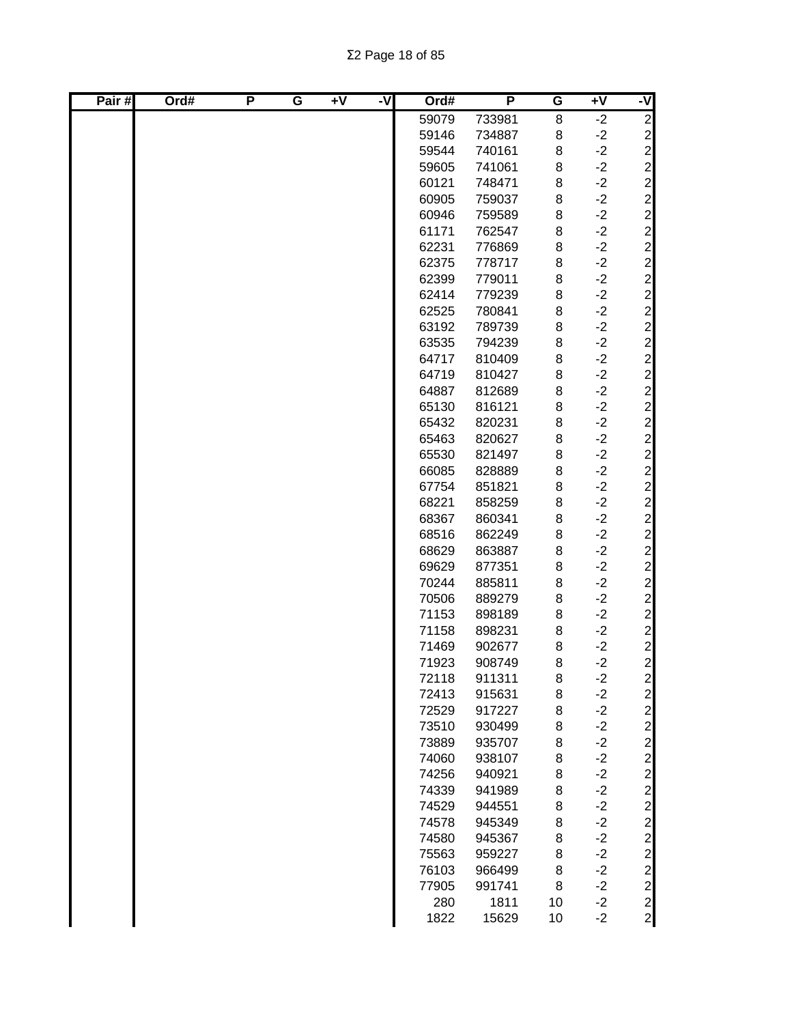| Pair# | Ord# | P | G | $+V$ | ż | Ord#  | P      | G  | $\overline{+V}$ | -V                        |
|-------|------|---|---|------|---|-------|--------|----|-----------------|---------------------------|
|       |      |   |   |      |   | 59079 | 733981 | 8  | $-2$            | $\overline{2}$            |
|       |      |   |   |      |   | 59146 | 734887 | 8  | $-2$            |                           |
|       |      |   |   |      |   | 59544 | 740161 | 8  | $-2$            |                           |
|       |      |   |   |      |   | 59605 | 741061 | 8  | $-2$            |                           |
|       |      |   |   |      |   | 60121 | 748471 | 8  | $-2$            | ט ט ט ט ט ט ט ט ט         |
|       |      |   |   |      |   | 60905 | 759037 | 8  | $-2$            |                           |
|       |      |   |   |      |   | 60946 | 759589 | 8  | $-2$            |                           |
|       |      |   |   |      |   | 61171 | 762547 | 8  | $-2$            |                           |
|       |      |   |   |      |   | 62231 | 776869 | 8  | $-2$            |                           |
|       |      |   |   |      |   | 62375 | 778717 | 8  | $-2$            |                           |
|       |      |   |   |      |   | 62399 | 779011 | 8  | $-2$            |                           |
|       |      |   |   |      |   | 62414 | 779239 | 8  | $-2$            | $\overline{c}$            |
|       |      |   |   |      |   | 62525 | 780841 | 8  | $-2$            | $\overline{c}$            |
|       |      |   |   |      |   | 63192 | 789739 | 8  | $-2$            |                           |
|       |      |   |   |      |   | 63535 | 794239 | 8  | $-2$            |                           |
|       |      |   |   |      |   | 64717 | 810409 | 8  | $-2$            |                           |
|       |      |   |   |      |   | 64719 | 810427 | 8  | $-2$            | ט ט ט ט ט ט ט ט ט ט ט ט ט |
|       |      |   |   |      |   | 64887 | 812689 | 8  | $-2$            |                           |
|       |      |   |   |      |   | 65130 | 816121 | 8  | $-2$            |                           |
|       |      |   |   |      |   | 65432 | 820231 | 8  | $-2$            |                           |
|       |      |   |   |      |   | 65463 | 820627 | 8  | $-2$            |                           |
|       |      |   |   |      |   | 65530 | 821497 | 8  | $-2$            |                           |
|       |      |   |   |      |   | 66085 | 828889 | 8  | $-2$            |                           |
|       |      |   |   |      |   | 67754 | 851821 | 8  | $-2$            |                           |
|       |      |   |   |      |   | 68221 | 858259 | 8  | $-2$            |                           |
|       |      |   |   |      |   | 68367 | 860341 | 8  | $-2$            |                           |
|       |      |   |   |      |   | 68516 | 862249 | 8  | $-2$            |                           |
|       |      |   |   |      |   | 68629 | 863887 | 8  | $-2$            |                           |
|       |      |   |   |      |   | 69629 | 877351 | 8  | $-2$            | $\overline{c}$            |
|       |      |   |   |      |   | 70244 | 885811 | 8  | $-2$            | $\overline{c}$            |
|       |      |   |   |      |   | 70506 | 889279 | 8  | $-2$            |                           |
|       |      |   |   |      |   | 71153 | 898189 | 8  | $-2$            | 2 2 2 2 2                 |
|       |      |   |   |      |   | 71158 | 898231 | 8  | $-2$            |                           |
|       |      |   |   |      |   | 71469 | 902677 | 8  | $-2$            |                           |
|       |      |   |   |      |   | 71923 | 908749 | 8  | $-2$            |                           |
|       |      |   |   |      |   | 72118 | 911311 | 8  | $-2$            | $\mathbf{z}$              |
|       |      |   |   |      |   | 72413 | 915631 | 8  | $-2$            |                           |
|       |      |   |   |      |   | 72529 | 917227 | 8  | $-2$            |                           |
|       |      |   |   |      |   | 73510 | 930499 | 8  | $-2$            | ט ט ט ט ט ט ט ט           |
|       |      |   |   |      |   | 73889 | 935707 | 8  | $-2$            |                           |
|       |      |   |   |      |   | 74060 | 938107 | 8  | $-2$            |                           |
|       |      |   |   |      |   | 74256 | 940921 | 8  | $-2$            |                           |
|       |      |   |   |      |   | 74339 | 941989 | 8  | $-2$            |                           |
|       |      |   |   |      |   | 74529 | 944551 | 8  | $-2$            |                           |
|       |      |   |   |      |   | 74578 | 945349 | 8  | $-2$            |                           |
|       |      |   |   |      |   | 74580 | 945367 | 8  | $-2$            | $\overline{c}$            |
|       |      |   |   |      |   | 75563 | 959227 | 8  | $-2$            | $\mathbf{2}$              |
|       |      |   |   |      |   | 76103 | 966499 | 8  | $-2$            | $\mathbf{2}$              |
|       |      |   |   |      |   | 77905 | 991741 | 8  | $-2$            | $\mathbf{2}$              |
|       |      |   |   |      |   | 280   | 1811   | 10 | $-2$            |                           |
|       |      |   |   |      |   | 1822  | 15629  | 10 | $-2$            | $\frac{2}{2}$             |
|       |      |   |   |      |   |       |        |    |                 |                           |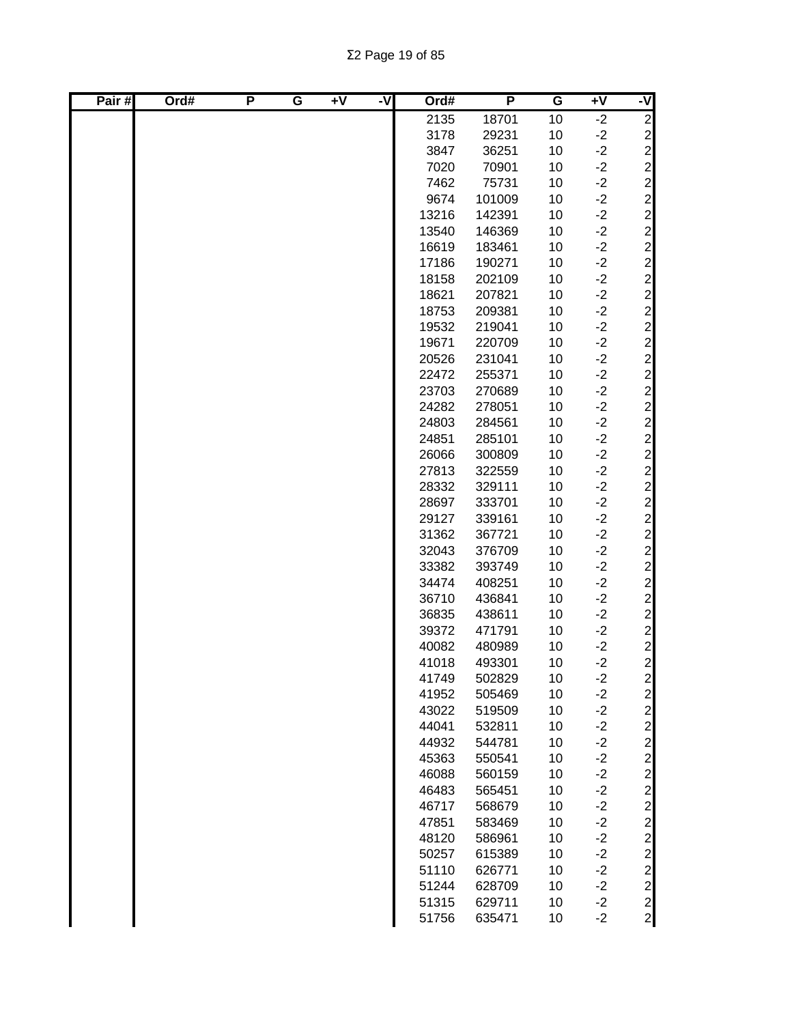| Pair# | Ord# | P | G | $\overline{+V}$ | -V | Ord#  | P      | G  | $\overline{+V}$ | -V                                               |
|-------|------|---|---|-----------------|----|-------|--------|----|-----------------|--------------------------------------------------|
|       |      |   |   |                 |    | 2135  | 18701  | 10 | $-2$            | $\overline{c}$                                   |
|       |      |   |   |                 |    | 3178  | 29231  | 10 | $-2$            |                                                  |
|       |      |   |   |                 |    | 3847  | 36251  | 10 | $-2$            |                                                  |
|       |      |   |   |                 |    | 7020  | 70901  | 10 | $-2$            |                                                  |
|       |      |   |   |                 |    | 7462  | 75731  | 10 | $-2$            |                                                  |
|       |      |   |   |                 |    | 9674  | 101009 | 10 | $-2$            |                                                  |
|       |      |   |   |                 |    | 13216 | 142391 | 10 | $-2$            |                                                  |
|       |      |   |   |                 |    | 13540 | 146369 | 10 | $-2$            |                                                  |
|       |      |   |   |                 |    | 16619 | 183461 | 10 | $-2$            |                                                  |
|       |      |   |   |                 |    | 17186 | 190271 | 10 | $-2$            |                                                  |
|       |      |   |   |                 |    | 18158 | 202109 | 10 | $-2$            |                                                  |
|       |      |   |   |                 |    | 18621 | 207821 | 10 | $-2$            |                                                  |
|       |      |   |   |                 |    | 18753 | 209381 | 10 | $-2$            |                                                  |
|       |      |   |   |                 |    | 19532 | 219041 | 10 | $-2$            |                                                  |
|       |      |   |   |                 |    | 19671 | 220709 | 10 | $-2$            |                                                  |
|       |      |   |   |                 |    | 20526 | 231041 | 10 | $-2$            |                                                  |
|       |      |   |   |                 |    | 22472 | 255371 | 10 | $-2$            |                                                  |
|       |      |   |   |                 |    | 23703 | 270689 | 10 | $-2$            |                                                  |
|       |      |   |   |                 |    | 24282 | 278051 | 10 | $-2$            |                                                  |
|       |      |   |   |                 |    | 24803 | 284561 | 10 | $-2$            |                                                  |
|       |      |   |   |                 |    | 24851 | 285101 | 10 | $-2$            |                                                  |
|       |      |   |   |                 |    | 26066 | 300809 | 10 | $-2$            |                                                  |
|       |      |   |   |                 |    | 27813 | 322559 | 10 | $-2$            |                                                  |
|       |      |   |   |                 |    | 28332 | 329111 | 10 | $-2$            |                                                  |
|       |      |   |   |                 |    | 28697 | 333701 | 10 | $-2$            |                                                  |
|       |      |   |   |                 |    | 29127 | 339161 | 10 | $-2$            |                                                  |
|       |      |   |   |                 |    | 31362 | 367721 | 10 | $-2$            |                                                  |
|       |      |   |   |                 |    | 32043 | 376709 | 10 | $-2$            |                                                  |
|       |      |   |   |                 |    | 33382 | 393749 | 10 | $-2$            |                                                  |
|       |      |   |   |                 |    | 34474 | 408251 | 10 | $-2$            |                                                  |
|       |      |   |   |                 |    | 36710 | 436841 | 10 | $-2$            |                                                  |
|       |      |   |   |                 |    | 36835 | 438611 | 10 | $-2$            | $\begin{array}{c}\n 2 \\  2 \\  2\n \end{array}$ |
|       |      |   |   |                 |    | 39372 | 471791 | 10 | $-2$            |                                                  |
|       |      |   |   |                 |    | 40082 | 480989 | 10 | $-2$            |                                                  |
|       |      |   |   |                 |    | 41018 | 493301 | 10 | $-2$            |                                                  |
|       |      |   |   |                 |    | 41749 | 502829 | 10 | $-2$            | $2 \vert$                                        |
|       |      |   |   |                 |    | 41952 | 505469 | 10 | $-2$            |                                                  |
|       |      |   |   |                 |    | 43022 | 519509 | 10 | $-2$            | ט ט ט ט ט ט ט ט ט                                |
|       |      |   |   |                 |    | 44041 | 532811 | 10 | $-2$            |                                                  |
|       |      |   |   |                 |    | 44932 | 544781 | 10 | $-2$            |                                                  |
|       |      |   |   |                 |    | 45363 | 550541 | 10 | $-2$            |                                                  |
|       |      |   |   |                 |    | 46088 | 560159 | 10 | $-2$            |                                                  |
|       |      |   |   |                 |    | 46483 | 565451 | 10 | $-2$            |                                                  |
|       |      |   |   |                 |    | 46717 | 568679 | 10 | $-2$            |                                                  |
|       |      |   |   |                 |    | 47851 | 583469 | 10 | $-2$            |                                                  |
|       |      |   |   |                 |    | 48120 | 586961 | 10 | $-2$            |                                                  |
|       |      |   |   |                 |    | 50257 | 615389 | 10 | $-2$            |                                                  |
|       |      |   |   |                 |    | 51110 | 626771 | 10 | $-2$            | $\frac{2}{2}$                                    |
|       |      |   |   |                 |    | 51244 | 628709 | 10 | $-2$            |                                                  |
|       |      |   |   |                 |    | 51315 | 629711 | 10 | $-2$            |                                                  |
|       |      |   |   |                 |    | 51756 | 635471 | 10 | $-2$            | $\begin{array}{c} 2 \\ 2 \\ 2 \end{array}$       |
|       |      |   |   |                 |    |       |        |    |                 |                                                  |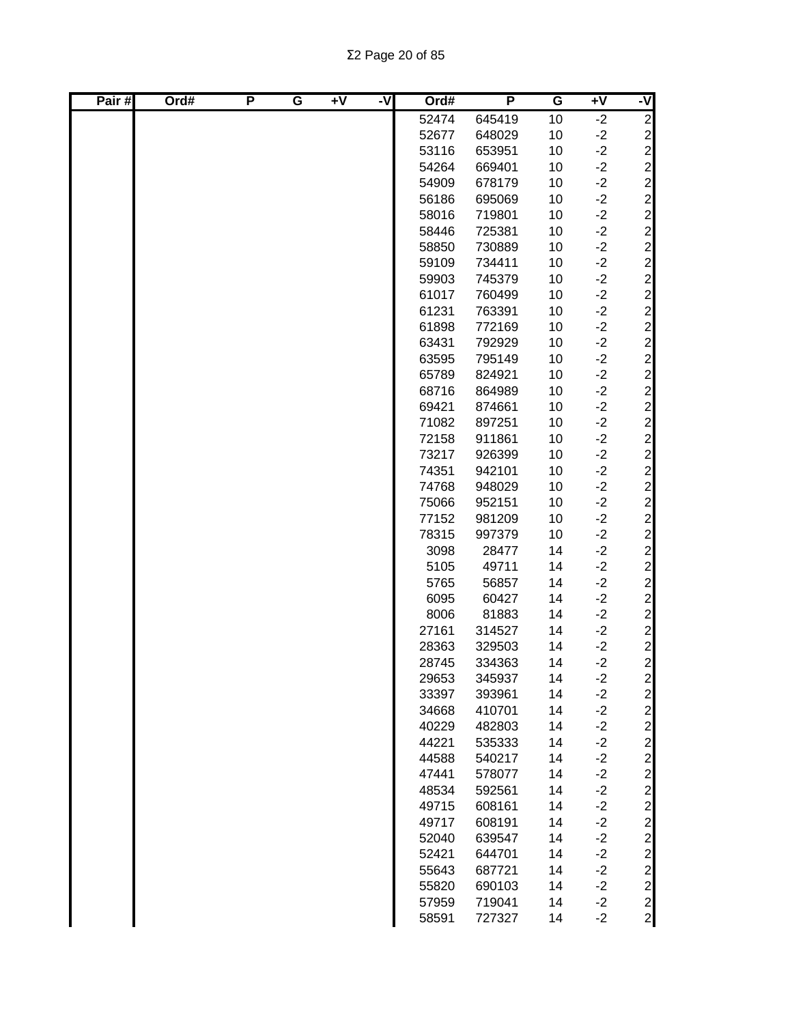| Pair# | Ord# | P | G | $\overline{+V}$ | -V | Ord#  | P      | G  | $\overline{+V}$ | ż |
|-------|------|---|---|-----------------|----|-------|--------|----|-----------------|---|
|       |      |   |   |                 |    | 52474 | 645419 | 10 | $-2$            |   |
|       |      |   |   |                 |    | 52677 | 648029 | 10 | $-2$            |   |
|       |      |   |   |                 |    | 53116 | 653951 | 10 | $-2$            |   |
|       |      |   |   |                 |    | 54264 | 669401 | 10 | $-2$            |   |
|       |      |   |   |                 |    | 54909 | 678179 | 10 | $-2$            |   |
|       |      |   |   |                 |    | 56186 | 695069 | 10 | $-2$            |   |
|       |      |   |   |                 |    | 58016 | 719801 | 10 | $-2$            |   |
|       |      |   |   |                 |    | 58446 | 725381 | 10 | $-2$            |   |
|       |      |   |   |                 |    | 58850 | 730889 | 10 | $-2$            |   |
|       |      |   |   |                 |    | 59109 | 734411 | 10 | $-2$            |   |
|       |      |   |   |                 |    | 59903 | 745379 | 10 | $-2$            |   |
|       |      |   |   |                 |    | 61017 | 760499 | 10 | $-2$            |   |
|       |      |   |   |                 |    | 61231 | 763391 | 10 | $-2$            |   |
|       |      |   |   |                 |    | 61898 | 772169 | 10 | $-2$            |   |
|       |      |   |   |                 |    | 63431 | 792929 | 10 | $-2$            |   |
|       |      |   |   |                 |    | 63595 | 795149 | 10 | $-2$            |   |
|       |      |   |   |                 |    | 65789 | 824921 | 10 | $-2$            |   |
|       |      |   |   |                 |    | 68716 | 864989 | 10 | $-2$            |   |
|       |      |   |   |                 |    | 69421 | 874661 | 10 | $-2$            |   |
|       |      |   |   |                 |    | 71082 | 897251 | 10 | $-2$            |   |
|       |      |   |   |                 |    | 72158 | 911861 | 10 | $-2$            |   |
|       |      |   |   |                 |    | 73217 | 926399 | 10 | $-2$            |   |
|       |      |   |   |                 |    | 74351 | 942101 | 10 | $-2$            |   |
|       |      |   |   |                 |    | 74768 | 948029 | 10 | $-2$            |   |
|       |      |   |   |                 |    | 75066 | 952151 | 10 | $-2$            |   |
|       |      |   |   |                 |    | 77152 | 981209 | 10 | $-2$            |   |
|       |      |   |   |                 |    | 78315 | 997379 | 10 | $-2$            |   |
|       |      |   |   |                 |    | 3098  | 28477  | 14 | $-2$            |   |
|       |      |   |   |                 |    | 5105  | 49711  | 14 | $-2$            |   |
|       |      |   |   |                 |    | 5765  | 56857  | 14 | $-2$            |   |
|       |      |   |   |                 |    | 6095  | 60427  | 14 | $-2$            |   |
|       |      |   |   |                 |    | 8006  | 81883  | 14 | $-2$            |   |
|       |      |   |   |                 |    | 27161 | 314527 | 14 | $-2$            |   |
|       |      |   |   |                 |    | 28363 | 329503 | 14 | $-2$            |   |
|       |      |   |   |                 |    | 28745 | 334363 | 14 | $-2$            |   |
|       |      |   |   |                 |    | 29653 | 345937 | 14 | $-2$            |   |
|       |      |   |   |                 |    | 33397 | 393961 | 14 | $-2$            |   |
|       |      |   |   |                 |    | 34668 | 410701 | 14 | $-2$            |   |
|       |      |   |   |                 |    | 40229 | 482803 | 14 | $-2$            |   |
|       |      |   |   |                 |    | 44221 | 535333 | 14 | $-2$            |   |
|       |      |   |   |                 |    | 44588 | 540217 | 14 | $-2$            |   |
|       |      |   |   |                 |    | 47441 | 578077 | 14 | $-2$            |   |
|       |      |   |   |                 |    | 48534 | 592561 | 14 | $-2$            |   |
|       |      |   |   |                 |    | 49715 | 608161 | 14 | $-2$            |   |
|       |      |   |   |                 |    | 49717 | 608191 | 14 | $-2$            |   |
|       |      |   |   |                 |    | 52040 | 639547 | 14 | $-2$            |   |
|       |      |   |   |                 |    | 52421 | 644701 | 14 | $-2$            |   |
|       |      |   |   |                 |    | 55643 | 687721 | 14 | $-2$            |   |
|       |      |   |   |                 |    | 55820 | 690103 | 14 | $-2$            |   |
|       |      |   |   |                 |    | 57959 | 719041 | 14 | $-2$            |   |
|       |      |   |   |                 |    | 58591 | 727327 | 14 | $-2$            |   |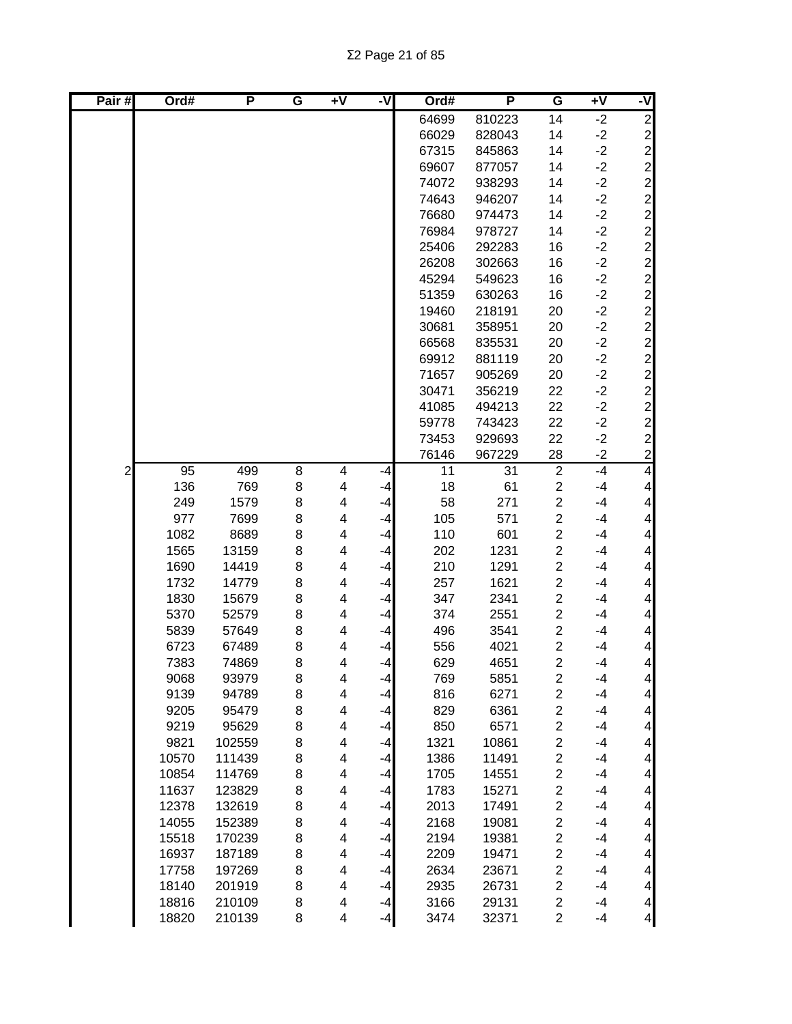| Pair# | Ord#  | P      | G              | $+V$ | -V   | Ord#  | P      | G                       | $+V$ | -V                       |
|-------|-------|--------|----------------|------|------|-------|--------|-------------------------|------|--------------------------|
|       |       |        |                |      |      | 64699 | 810223 | 14                      | $-2$ | $\overline{c}$           |
|       |       |        |                |      |      | 66029 | 828043 | 14                      | $-2$ |                          |
|       |       |        |                |      |      | 67315 | 845863 | 14                      | $-2$ |                          |
|       |       |        |                |      |      | 69607 | 877057 | 14                      | $-2$ |                          |
|       |       |        |                |      |      | 74072 | 938293 | 14                      | $-2$ |                          |
|       |       |        |                |      |      | 74643 | 946207 | 14                      | $-2$ |                          |
|       |       |        |                |      |      | 76680 | 974473 | 14                      | $-2$ |                          |
|       |       |        |                |      |      | 76984 | 978727 | 14                      | $-2$ |                          |
|       |       |        |                |      |      | 25406 | 292283 | 16                      | $-2$ |                          |
|       |       |        |                |      |      | 26208 | 302663 | 16                      | $-2$ |                          |
|       |       |        |                |      |      | 45294 | 549623 | 16                      | $-2$ |                          |
|       |       |        |                |      |      | 51359 | 630263 | 16                      | $-2$ |                          |
|       |       |        |                |      |      | 19460 | 218191 | 20                      | $-2$ |                          |
|       |       |        |                |      |      | 30681 | 358951 | 20                      | $-2$ |                          |
|       |       |        |                |      |      | 66568 | 835531 | 20                      | $-2$ |                          |
|       |       |        |                |      |      | 69912 | 881119 | 20                      | $-2$ |                          |
|       |       |        |                |      |      | 71657 | 905269 | 20                      | $-2$ |                          |
|       |       |        |                |      |      | 30471 | 356219 | 22                      | $-2$ |                          |
|       |       |        |                |      |      | 41085 | 494213 | 22                      | $-2$ |                          |
|       |       |        |                |      |      | 59778 | 743423 | 22                      | $-2$ |                          |
|       |       |        |                |      |      | 73453 | 929693 | 22                      | $-2$ |                          |
|       |       |        |                |      |      | 76146 | 967229 | 28                      | $-2$ |                          |
| 2     | 95    | 499    | $\overline{8}$ | 4    | -4   | 11    | 31     | $\overline{2}$          | $-4$ | $\overline{\mathcal{A}}$ |
|       | 136   | 769    | 8              | 4    | $-4$ | 18    | 61     | $\overline{\mathbf{c}}$ | $-4$ | $\overline{\mathbf{4}}$  |
|       | 249   | 1579   | 8              | 4    | $-4$ | 58    | 271    | $\overline{c}$          | $-4$ | $\overline{\mathbf{4}}$  |
|       | 977   | 7699   | 8              | 4    | $-4$ | 105   | 571    | $\overline{\mathbf{c}}$ | $-4$ | $\overline{\mathbf{4}}$  |
|       | 1082  | 8689   | 8              | 4    | $-4$ | 110   | 601    | $\overline{c}$          | $-4$ | $\overline{\mathbf{4}}$  |
|       | 1565  | 13159  | 8              | 4    | $-4$ | 202   | 1231   | $\overline{\mathbf{c}}$ | $-4$ | $\overline{\mathbf{4}}$  |
|       | 1690  | 14419  | 8              | 4    | $-4$ | 210   | 1291   | $\overline{\mathbf{c}}$ | $-4$ | $\overline{\mathbf{4}}$  |
|       | 1732  | 14779  | 8              | 4    | $-4$ | 257   | 1621   | $\overline{\mathbf{c}}$ | $-4$ | $\overline{\mathbf{4}}$  |
|       | 1830  | 15679  | 8              | 4    | $-4$ | 347   | 2341   | $\overline{c}$          | $-4$ | $\overline{\mathbf{4}}$  |
|       | 5370  | 52579  | 8              | 4    | $-4$ | 374   | 2551   | $\overline{c}$          | $-4$ | $\overline{\mathbf{4}}$  |
|       | 5839  | 57649  | 8              | 4    | -4   | 496   | 3541   | $\overline{\mathbf{c}}$ | $-4$ | 4                        |
|       | 6723  | 67489  | 8              | 4    | -4   | 556   | 4021   | $\overline{\mathbf{c}}$ | $-4$ | $\overline{\mathbf{4}}$  |
|       | 7383  | 74869  | 8              | 4    | $-4$ | 629   | 4651   | $\overline{2}$          | -4   | $\overline{\mathbf{4}}$  |
|       | 9068  | 93979  | 8              | 4    | $-4$ | 769   | 5851   | $\boldsymbol{2}$        | $-4$ | $\frac{4}{3}$            |
|       | 9139  | 94789  | 8              | 4    | $-4$ | 816   | 6271   | $\overline{\mathbf{c}}$ | $-4$ | $\overline{4}$           |
|       | 9205  | 95479  | 8              | 4    | $-4$ | 829   | 6361   | $\overline{\mathbf{c}}$ | $-4$ | $\overline{4}$           |
|       | 9219  | 95629  | 8              | 4    | $-4$ | 850   | 6571   | $\overline{\mathbf{c}}$ | $-4$ | $\overline{\mathbf{4}}$  |
|       | 9821  | 102559 | 8              | 4    | $-4$ | 1321  | 10861  | $\overline{c}$          | $-4$ | $\overline{\mathbf{4}}$  |
|       | 10570 | 111439 | 8              | 4    | $-4$ | 1386  | 11491  | $\overline{c}$          | $-4$ | $\overline{\mathbf{4}}$  |
|       | 10854 | 114769 | 8              | 4    | $-4$ | 1705  | 14551  | $\overline{c}$          | $-4$ | $\overline{\mathbf{4}}$  |
|       | 11637 | 123829 | 8              | 4    | $-4$ | 1783  | 15271  | $\overline{c}$          | $-4$ | $\overline{\mathbf{4}}$  |
|       | 12378 | 132619 | 8              | 4    | $-4$ | 2013  | 17491  | $\overline{c}$          | $-4$ | $\overline{\mathbf{4}}$  |
|       | 14055 | 152389 | 8              | 4    | $-4$ | 2168  | 19081  | $\overline{c}$          | $-4$ | $\overline{\mathbf{4}}$  |
|       | 15518 | 170239 | 8              | 4    | $-4$ | 2194  | 19381  | $\overline{c}$          | $-4$ | $\overline{\mathbf{4}}$  |
|       | 16937 | 187189 | 8              | 4    | $-4$ | 2209  | 19471  | $\overline{\mathbf{c}}$ | $-4$ | $\overline{\mathbf{4}}$  |
|       | 17758 | 197269 | 8              | 4    | $-4$ | 2634  | 23671  | $\overline{c}$          | $-4$ | $\overline{\mathbf{4}}$  |
|       | 18140 | 201919 | 8              | 4    | $-4$ | 2935  | 26731  | $\overline{\mathbf{c}}$ | $-4$ | $\overline{\mathbf{4}}$  |
|       | 18816 | 210109 | 8              | 4    | $-4$ | 3166  | 29131  | $\overline{c}$          | $-4$ | $\overline{\mathbf{4}}$  |
|       | 18820 | 210139 | 8              | 4    | $-4$ | 3474  | 32371  | $\overline{2}$          | $-4$ | $\overline{4}$           |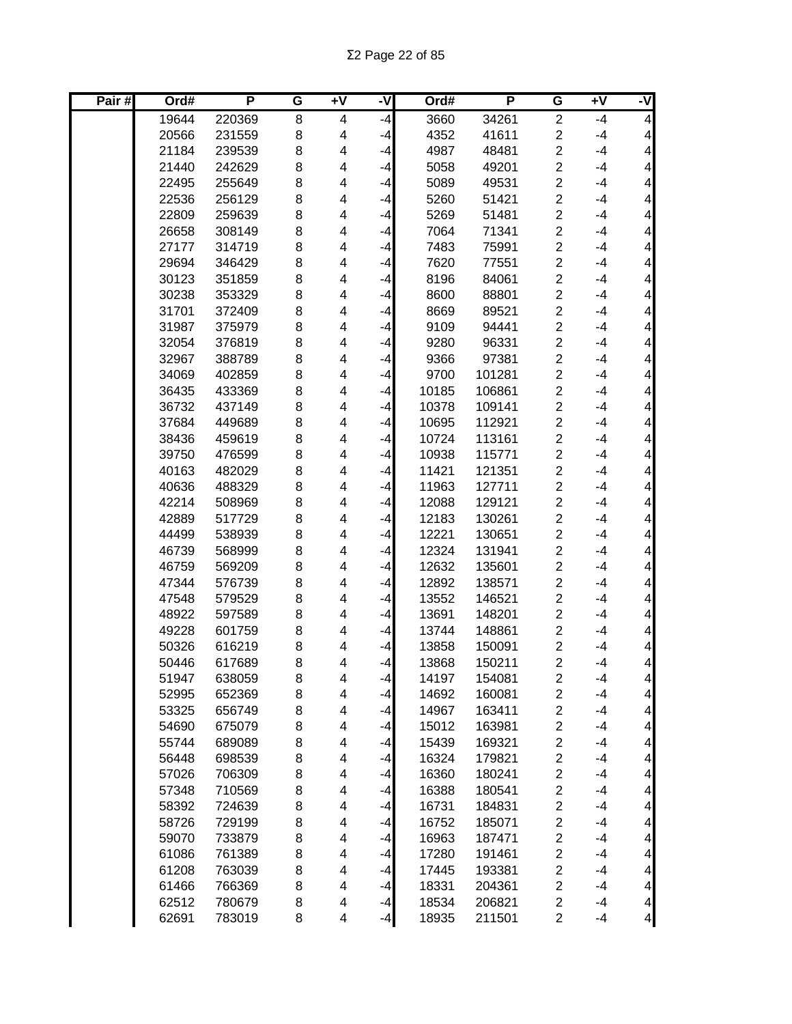| Pair# | Ord#           | P                | G      | $\overline{+V}$ | -V           | Ord#           | P                | G                             | Ŧ٨           | ż                                          |
|-------|----------------|------------------|--------|-----------------|--------------|----------------|------------------|-------------------------------|--------------|--------------------------------------------|
|       | 19644          | 220369           | 8      | 4               | $-4$         | 3660           | 34261            | $\overline{2}$                | $-4$         | $\overline{4}$                             |
|       | 20566          | 231559           | 8      | 4               | $-4$         | 4352           | 41611            | $\overline{c}$                | $-4$         | 4                                          |
|       | 21184          | 239539           | 8      | 4               | $-4$         | 4987           | 48481            | $\overline{2}$                | $-4$         | $\overline{\mathbf{4}}$                    |
|       | 21440          | 242629           | 8      | 4               | $-4$         | 5058           | 49201            | $\overline{2}$                | $-4$         | $\overline{\mathbf{4}}$                    |
|       | 22495          | 255649           | 8      | 4               | $-4$         | 5089           | 49531            | $\overline{2}$                | $-4$         | $\overline{\mathbf{4}}$                    |
|       | 22536          | 256129           | 8      | 4               | $-4$         | 5260           | 51421            | $\overline{2}$                | $-4$         | $\overline{\mathbf{4}}$                    |
|       | 22809          | 259639           | 8      | 4               | $-4$         | 5269           | 51481            | $\overline{2}$                | $-4$         | $\overline{\mathbf{4}}$                    |
|       | 26658          | 308149           | 8      | 4               | $-4$         | 7064           | 71341            | $\overline{c}$                | $-4$         | $\overline{\mathbf{4}}$                    |
|       | 27177          | 314719           | 8      | 4               | $-4$         | 7483           | 75991            | $\overline{2}$                | $-4$         | $\overline{\mathbf{4}}$                    |
|       | 29694          | 346429           | 8      | 4               | $-4$         | 7620           | 77551            | $\overline{2}$                | $-4$         | $\overline{\mathbf{4}}$                    |
|       | 30123          | 351859           | 8      | 4               | $-4$         | 8196           | 84061            | $\overline{c}$                | $-4$         | 4                                          |
|       | 30238          | 353329           | 8      | 4               | $-4$         | 8600           | 88801            | $\overline{c}$                | $-4$         | $\overline{\mathbf{4}}$                    |
|       | 31701          | 372409           | 8      | 4               | $-4$         | 8669           | 89521            | $\overline{c}$                | $-4$         | 4                                          |
|       | 31987          | 375979           | 8      | 4               | $-4$         | 9109           | 94441            | $\overline{2}$                | $-4$         | 4                                          |
|       | 32054          | 376819           | 8      | 4               | $-4$         | 9280           | 96331            | $\overline{c}$                | $-4$         | 4                                          |
|       | 32967          | 388789           | 8      | 4               | $-4$         | 9366           | 97381            | $\overline{c}$                | $-4$         | 4                                          |
|       | 34069          | 402859           | 8      | 4               | $-4$         | 9700           | 101281           | $\overline{c}$                | $-4$         | $\overline{\mathbf{4}}$                    |
|       | 36435          | 433369           | 8      | 4               | $-4$         | 10185          | 106861           | $\overline{c}$                | $-4$         | $\overline{\mathbf{4}}$                    |
|       | 36732          | 437149           | 8      | 4               | $-4$         | 10378          | 109141           | $\overline{c}$                | $-4$         | $\overline{\mathbf{4}}$                    |
|       | 37684          | 449689           | 8      | 4               | $-4$         | 10695          | 112921           | $\overline{c}$                | $-4$         | $\overline{\mathbf{4}}$                    |
|       | 38436          | 459619           | 8      | 4               | $-4$         | 10724          | 113161           | $\overline{c}$                | $-4$         | $\overline{\mathbf{4}}$                    |
|       | 39750          | 476599           | 8      | 4               | $-4$         | 10938          | 115771           | $\overline{2}$                | $-4$         | $\overline{\mathbf{4}}$                    |
|       | 40163          | 482029           | 8      | 4               | $-4$         | 11421          | 121351           | $\overline{c}$                | $-4$         | $\overline{\mathbf{4}}$                    |
|       | 40636          | 488329           | 8      | 4               | $-4$         | 11963          | 127711           | $\overline{c}$                | $-4$         | $\overline{\mathbf{4}}$                    |
|       | 42214          | 508969           | 8      | 4               | $-4$         | 12088          | 129121           | $\overline{2}$                | $-4$         | $\overline{\mathbf{4}}$                    |
|       | 42889          | 517729           | 8      | 4               | $-4$         | 12183          | 130261           | $\overline{c}$                | $-4$         | $\overline{\mathbf{4}}$                    |
|       | 44499          | 538939           | 8      | 4               | $-4$         | 12221          | 130651           | $\overline{2}$                | $-4$         | $\overline{\mathbf{4}}$                    |
|       | 46739          | 568999           | 8      | 4               | $-4$         | 12324          | 131941           | $\overline{c}$                | $-4$         | 4                                          |
|       | 46759          | 569209           | 8      | 4               | $-4$         | 12632          | 135601           | $\overline{c}$                | $-4$         | 4                                          |
|       | 47344          | 576739           | 8      | 4               | $-4$         | 12892          | 138571           | $\overline{2}$                | $-4$         | 4                                          |
|       | 47548          | 579529           | 8      | 4               | $-4$         | 13552          | 146521           | $\overline{2}$                | $-4$         | 4                                          |
|       | 48922          | 597589           | 8      | 4               | -4           | 13691          | 148201           | 2                             | $-4$         | $\overline{\mathbf{4}}$                    |
|       | 49228          | 601759           | 8      | 4               | -4           | 13744          | 148861           | $\overline{2}$                | $-4$         | $\overline{\mathbf{4}}$                    |
|       | 50326          | 616219           | 8      | 4               | $-4$         | 13858          | 150091           | 2                             | $-4$         | $\overline{\mathbf{4}}$                    |
|       | 50446          | 617689           | 8      | 4               | $-4$         | 13868          | 150211           | $\overline{2}$                | $-4$         | $\overline{\mathbf{4}}$                    |
|       | 51947          | 638059           | 8      | 4               | $-4$         | 14197          | 154081           | $\overline{\mathbf{c}}$       | $-4$         | 4                                          |
|       | 52995          | 652369           | 8      | 4               | $-4$         | 14692          | 160081           | $\overline{\mathbf{c}}$       | $-4$         | $\vert 4 \vert$                            |
|       | 53325          | 656749           | 8      | 4               | $-4$         | 14967          | 163411           | $\overline{\mathbf{c}}$       | $-4$         | $\overline{\mathbf{4}}$                    |
|       | 54690          | 675079           | 8      | 4               | $-4$         | 15012          | 163981           | $\overline{\mathbf{c}}$       | $-4$         | $\overline{\mathbf{4}}$                    |
|       | 55744          | 689089           | 8      | 4               | $-4$         | 15439          | 169321           | $\overline{\mathbf{c}}$       | $-4$         | $\overline{\mathbf{4}}$                    |
|       | 56448          | 698539           | 8      | 4               | $-4$         | 16324          | 179821           | $\overline{\mathbf{c}}$       | $-4$         | $\overline{\mathbf{4}}$                    |
|       | 57026          | 706309           | 8      | 4               | $-4$         | 16360          | 180241           | $\boldsymbol{2}$              | $-4$         | $\overline{\mathbf{4}}$                    |
|       | 57348          | 710569           | 8      | 4               | $-4$         | 16388          | 180541           | $\boldsymbol{2}$              | $-4$         | $\overline{\mathbf{4}}$                    |
|       | 58392          | 724639           | 8      | 4               | $-4$         | 16731          | 184831           | $\overline{\mathbf{c}}$       | $-4$         | $\overline{\mathbf{4}}$                    |
|       | 58726          | 729199           | 8      | 4               | $-4$         | 16752          | 185071           | $\boldsymbol{2}$              | $-4$         | $\overline{\mathbf{4}}$                    |
|       | 59070          | 733879           | 8      | 4               | $-4$         | 16963          | 187471           | $\overline{c}$                | $-4$         | 4                                          |
|       | 61086          | 761389           | 8      | 4               | $-4$         | 17280          | 191461           | $\boldsymbol{2}$              | $-4$         | $\overline{\mathbf{4}}$                    |
|       | 61208          | 763039           | 8      | 4               | $-4$         | 17445          | 193381           | $\overline{c}$<br>$\mathbf 2$ | $-4$<br>$-4$ | $\overline{\mathbf{4}}$                    |
|       | 61466<br>62512 | 766369<br>780679 | 8<br>8 | 4<br>4          | $-4$<br>$-4$ | 18331<br>18534 | 204361<br>206821 | $\overline{\mathbf{c}}$       | $-4$         | $\overline{\mathcal{A}}$<br>$\overline{4}$ |
|       | 62691          | 783019           | 8      | 4               |              | 18935          | 211501           | $\overline{c}$                | -4           | $\overline{\mathbf{r}}$                    |
|       |                |                  |        |                 | $-4$         |                |                  |                               |              |                                            |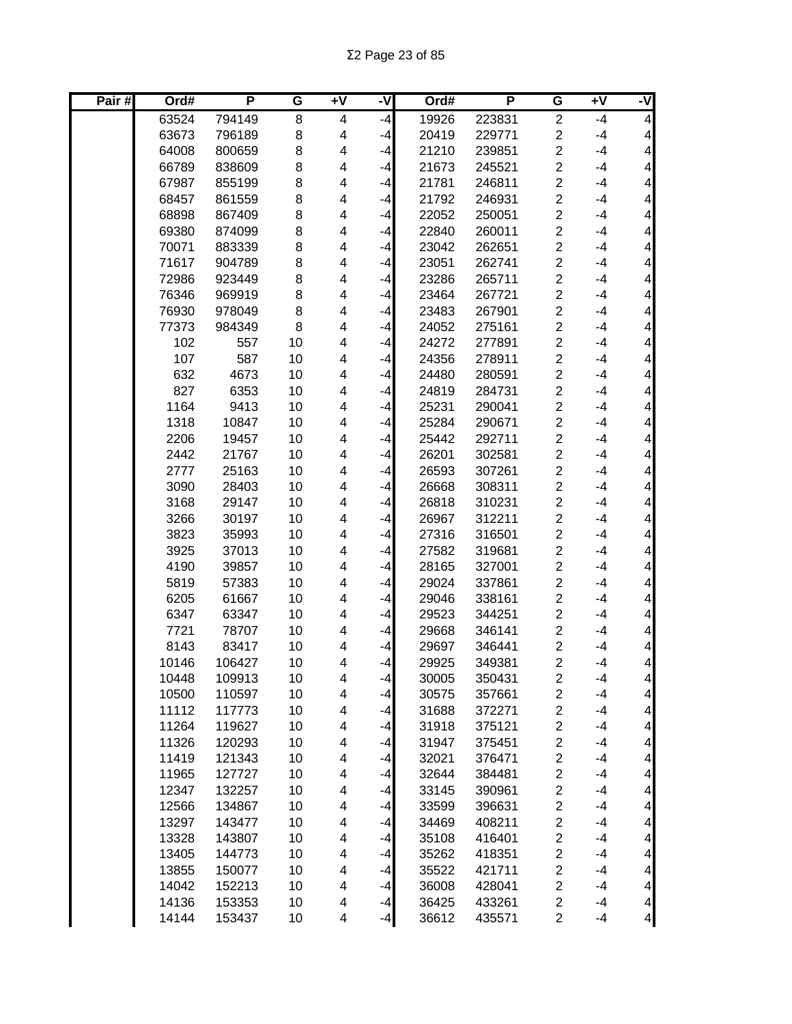| Pair# | Ord#           | P                | G        | Ŧ٨     | -V   | Ord#           | P                | G                                | Ŧ٨           | ż                                          |
|-------|----------------|------------------|----------|--------|------|----------------|------------------|----------------------------------|--------------|--------------------------------------------|
|       | 63524          | 794149           | 8        | 4      | $-4$ | 19926          | 223831           | $\overline{c}$                   | $-4$         | $\overline{\mathcal{A}}$                   |
|       | 63673          | 796189           | 8        | 4      | $-4$ | 20419          | 229771           | $\overline{c}$                   | $-4$         | $\overline{\mathcal{A}}$                   |
|       | 64008          | 800659           | 8        | 4      | $-4$ | 21210          | 239851           | $\overline{2}$                   | $-4$         | $\overline{\mathbf{4}}$                    |
|       | 66789          | 838609           | 8        | 4      | $-4$ | 21673          | 245521           | $\overline{2}$                   | $-4$         | $\overline{\mathbf{4}}$                    |
|       | 67987          | 855199           | 8        | 4      | $-4$ | 21781          | 246811           | $\overline{2}$                   | $-4$         | $\overline{\mathbf{4}}$                    |
|       | 68457          | 861559           | 8        | 4      | $-4$ | 21792          | 246931           | $\overline{2}$                   | $-4$         | $\overline{\mathbf{4}}$                    |
|       | 68898          | 867409           | 8        | 4      | $-4$ | 22052          | 250051           | $\overline{2}$                   | $-4$         | $\overline{\mathbf{4}}$                    |
|       | 69380          | 874099           | 8        | 4      | $-4$ | 22840          | 260011           | $\overline{c}$                   | $-4$         | $\overline{\mathbf{4}}$                    |
|       | 70071          | 883339           | 8        | 4      | $-4$ | 23042          | 262651           | $\overline{\mathbf{c}}$          | $-4$         | $\overline{\mathbf{4}}$                    |
|       | 71617          | 904789           | 8        | 4      | $-4$ | 23051          | 262741           | $\overline{c}$                   | $-4$         | $\overline{\mathbf{4}}$                    |
|       | 72986          | 923449           | 8        | 4      | $-4$ | 23286          | 265711           | $\overline{2}$                   | $-4$         | $\overline{\mathbf{4}}$                    |
|       | 76346          | 969919           | 8        | 4      | $-4$ | 23464          | 267721           | $\overline{c}$                   | $-4$         | $\overline{\mathbf{4}}$                    |
|       | 76930          | 978049           | 8        | 4      | $-4$ | 23483          | 267901           | $\overline{c}$                   | $-4$         | $\overline{\mathbf{4}}$                    |
|       | 77373          | 984349           | 8        | 4      | $-4$ | 24052          | 275161           | $\overline{c}$                   | $-4$         | $\overline{\mathbf{4}}$                    |
|       | 102            | 557              | 10       | 4      | $-4$ | 24272          | 277891           | $\overline{c}$                   | $-4$         | $\overline{\mathbf{4}}$                    |
|       | 107            | 587              | 10       | 4      | $-4$ | 24356          | 278911           | $\overline{c}$                   | $-4$         | 4                                          |
|       | 632            | 4673             | 10       | 4      | -4   | 24480          | 280591           | $\overline{2}$                   | $-4$         | $\overline{\mathbf{4}}$                    |
|       | 827            | 6353             | 10       | 4      | $-4$ | 24819          | 284731           | $\overline{\mathbf{c}}$          | $-4$         | $\overline{\mathbf{4}}$                    |
|       | 1164           | 9413             | 10       | 4      | $-4$ | 25231          | 290041           | $\overline{c}$                   | $-4$         | $\overline{\mathbf{4}}$                    |
|       | 1318           | 10847            | 10       | 4      | $-4$ | 25284          | 290671           | $\overline{c}$                   | $-4$         | $\overline{\mathbf{4}}$                    |
|       | 2206           | 19457            | 10       | 4      | $-4$ | 25442          | 292711           | $\overline{c}$                   | $-4$         | $\overline{\mathbf{4}}$                    |
|       | 2442           | 21767            | 10       | 4      | $-4$ | 26201          | 302581           | $\overline{2}$                   | $-4$         | $\overline{\mathbf{4}}$                    |
|       | 2777           | 25163            | 10       | 4      | $-4$ | 26593          | 307261           | $\overline{c}$                   | $-4$         | $\overline{\mathbf{4}}$                    |
|       | 3090           | 28403            | 10       | 4      | $-4$ | 26668          | 308311           | $\overline{2}$                   | $-4$         | $\overline{\mathbf{4}}$                    |
|       | 3168           | 29147            | 10       | 4      | $-4$ | 26818          | 310231           | $\overline{c}$                   | $-4$         | $\overline{\mathbf{4}}$                    |
|       | 3266           | 30197            | 10       | 4      | $-4$ | 26967          | 312211           | $\overline{2}$                   | $-4$         | $\overline{\mathbf{4}}$                    |
|       | 3823           | 35993            | 10       | 4      | $-4$ | 27316          | 316501           | $\overline{c}$                   | $-4$         | $\overline{\mathbf{4}}$                    |
|       | 3925           | 37013            | 10       | 4      | $-4$ | 27582          | 319681           | $\overline{2}$                   | $-4$         | $\overline{\mathbf{4}}$                    |
|       | 4190           | 39857            | 10       | 4      | $-4$ | 28165          | 327001           | $\overline{\mathbf{c}}$          | $-4$         | $\overline{\mathbf{4}}$                    |
|       | 5819           | 57383            | 10       | 4      | $-4$ | 29024          | 337861           | $\overline{c}$                   | $-4$         | $\overline{\mathbf{4}}$                    |
|       | 6205           | 61667            | 10       | 4      | -4   | 29046          | 338161           | $\overline{c}$                   | $-4$         | $\overline{\mathbf{4}}$                    |
|       | 6347           | 63347            | 10       | 4      | -4   | 29523          | 344251           | $\overline{c}$                   | $-4$         | 4                                          |
|       | 7721           | 78707            | 10       | 4      | -4   | 29668          | 346141           | $\overline{2}$                   | $-4$         | $\overline{\mathbf{4}}$                    |
|       | 8143           | 83417            | 10       | 4      | -4   | 29697          | 346441           | 2                                | $-4$         | $\overline{\mathbf{4}}$                    |
|       | 10146          | 106427           | 10       | 4      | $-4$ | 29925          | 349381           | $\overline{2}$                   | $-4$         | $\overline{4}$                             |
|       | 10448          | 109913           | 10       | 4      | $-4$ | 30005          | 350431           | $\overline{\mathbf{c}}$          | $-4$         | $\vert 4 \vert$                            |
|       | 10500          | 110597           | 10       | 4      | $-4$ | 30575          | 357661           | $\overline{\mathbf{c}}$          | $-4$         | $\vert 4 \vert$                            |
|       | 11112          | 117773           | 10       | 4      | $-4$ | 31688          | 372271           | $\overline{\mathbf{c}}$          | $-4$         | $\overline{\mathcal{A}}$                   |
|       | 11264          | 119627           | 10       | 4      | $-4$ | 31918          | 375121           | $\overline{\mathbf{c}}$          | $-4$         | $\overline{\mathbf{4}}$                    |
|       | 11326          | 120293           | 10       | 4      | $-4$ | 31947          | 375451           | $\overline{c}$                   | $-4$         | $\overline{\mathbf{4}}$                    |
|       | 11419          | 121343           | 10       | 4      | $-4$ | 32021          | 376471           | $\overline{\mathbf{c}}$          | $-4$         | $\overline{\mathbf{4}}$                    |
|       | 11965          | 127727           | 10       | 4      | $-4$ | 32644          | 384481           | $\overline{c}$                   | $-4$         | $\vert 4 \vert$                            |
|       | 12347          | 132257           | 10       | 4      | $-4$ | 33145          | 390961           | $\overline{\mathbf{c}}$          | $-4$         | $\vert 4 \vert$                            |
|       | 12566          | 134867           | 10       | 4      | $-4$ | 33599          | 396631           | $\overline{c}$                   | $-4$         | $\overline{\mathbf{4}}$                    |
|       | 13297          | 143477           | 10       | 4      | $-4$ | 34469          | 408211           | $\overline{c}$                   | $-4$         | $\overline{\mathbf{4}}$                    |
|       | 13328          | 143807           | 10       | 4      | $-4$ | 35108          | 416401           | $\overline{\mathbf{c}}$          | $-4$         | $\overline{\mathbf{4}}$                    |
|       | 13405          | 144773           | 10       | 4      | $-4$ | 35262          | 418351           | $\overline{\mathbf{c}}$          | $-4$         | $\overline{\mathbf{4}}$                    |
|       | 13855          | 150077           | 10<br>10 | 4<br>4 | $-4$ | 35522          | 421711           | $\overline{c}$<br>$\overline{c}$ | $-4$<br>$-4$ | $\overline{\mathbf{4}}$                    |
|       | 14042<br>14136 | 152213<br>153353 | 10       | 4      | $-4$ | 36008<br>36425 | 428041<br>433261 | $\overline{\mathbf{c}}$          | $-4$         | $\overline{\mathcal{A}}$<br>$\overline{4}$ |
|       | 14144          | 153437           | 10       | 4      | $-4$ | 36612          |                  | $\overline{c}$                   | $-4$         | $\overline{a}$                             |
|       |                |                  |          |        | $-4$ |                | 435571           |                                  |              |                                            |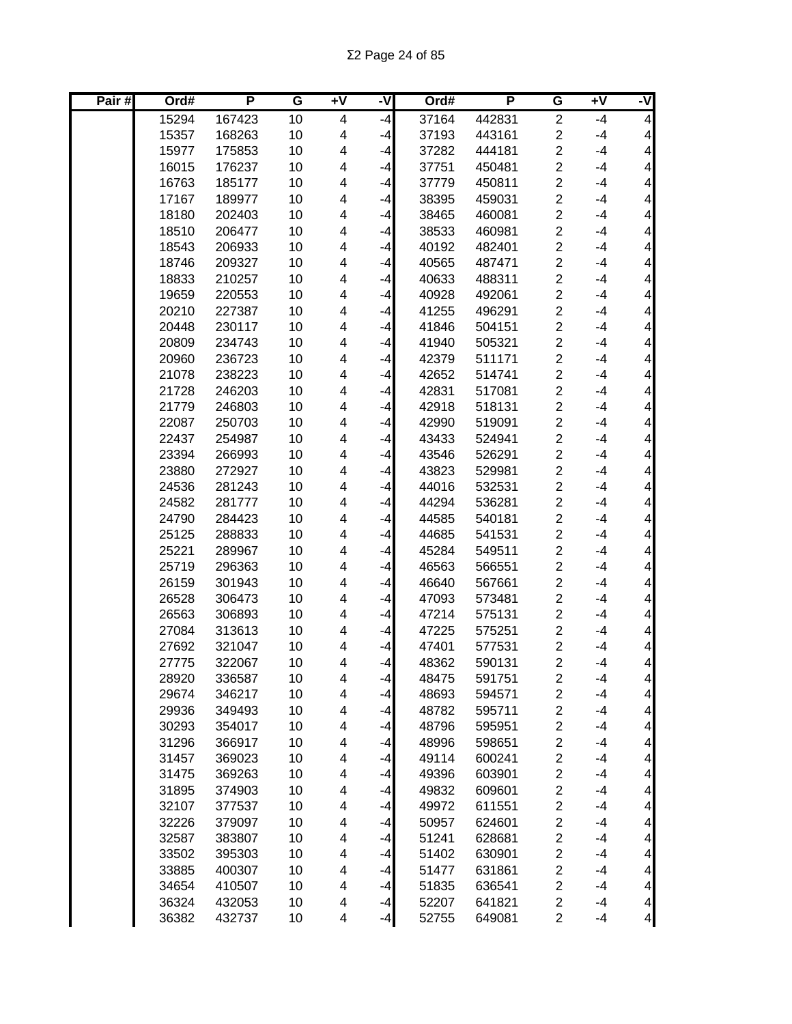| Pair# | Ord#  | P      | G  | +V | -V   | Ord#  | P      | G                       | $\overline{+V}$ | ż                        |
|-------|-------|--------|----|----|------|-------|--------|-------------------------|-----------------|--------------------------|
|       | 15294 | 167423 | 10 | 4  | $-4$ | 37164 | 442831 | $\overline{2}$          | $-4$            | $\overline{4}$           |
|       | 15357 | 168263 | 10 | 4  | $-4$ | 37193 | 443161 | $\overline{\mathbf{c}}$ | $-4$            | $\overline{\mathcal{A}}$ |
|       | 15977 | 175853 | 10 | 4  | $-4$ | 37282 | 444181 | $\overline{2}$          | $-4$            | $\overline{\mathbf{4}}$  |
|       | 16015 | 176237 | 10 | 4  | $-4$ | 37751 | 450481 | $\overline{c}$          | $-4$            | $\overline{\mathbf{4}}$  |
|       | 16763 | 185177 | 10 | 4  | $-4$ | 37779 | 450811 | $\overline{2}$          | $-4$            | $\overline{\mathbf{4}}$  |
|       | 17167 | 189977 | 10 | 4  | $-4$ | 38395 | 459031 | $\overline{2}$          | $-4$            | $\overline{\mathbf{4}}$  |
|       | 18180 | 202403 | 10 | 4  | -4   | 38465 | 460081 | $\overline{c}$          | $-4$            | $\overline{\mathbf{4}}$  |
|       | 18510 | 206477 | 10 | 4  | $-4$ | 38533 | 460981 | $\overline{2}$          | $-4$            | $\overline{\mathbf{4}}$  |
|       | 18543 | 206933 | 10 | 4  | -4   | 40192 | 482401 | $\overline{c}$          | $-4$            | $\overline{\mathbf{4}}$  |
|       | 18746 | 209327 | 10 | 4  | $-4$ | 40565 | 487471 | $\overline{2}$          | $-4$            | $\overline{\mathbf{4}}$  |
|       | 18833 | 210257 | 10 | 4  | $-4$ | 40633 | 488311 | $\overline{\mathbf{c}}$ | $-4$            | $\overline{\mathbf{4}}$  |
|       | 19659 | 220553 | 10 | 4  | $-4$ | 40928 | 492061 | $\overline{c}$          | $-4$            | $\overline{\mathbf{4}}$  |
|       | 20210 | 227387 | 10 | 4  | -4   | 41255 | 496291 | $\overline{c}$          | $-4$            | $\overline{\mathbf{4}}$  |
|       | 20448 | 230117 | 10 | 4  | $-4$ | 41846 | 504151 | $\overline{2}$          | $-4$            | $\overline{\mathbf{4}}$  |
|       | 20809 | 234743 | 10 | 4  | $-4$ | 41940 | 505321 | $\overline{2}$          | $-4$            | $\overline{\mathbf{4}}$  |
|       | 20960 | 236723 | 10 | 4  | -4   | 42379 | 511171 | $\overline{c}$          | $-4$            | $\overline{\mathbf{4}}$  |
|       | 21078 | 238223 | 10 | 4  | $-4$ | 42652 | 514741 | $\overline{c}$          | $-4$            | $\overline{\mathbf{4}}$  |
|       | 21728 | 246203 | 10 | 4  | $-4$ | 42831 | 517081 | $\overline{c}$          | $-4$            | $\overline{\mathbf{4}}$  |
|       | 21779 | 246803 | 10 | 4  | $-4$ | 42918 | 518131 | $\overline{2}$          | $-4$            | $\overline{\mathbf{4}}$  |
|       | 22087 | 250703 | 10 | 4  | $-4$ | 42990 | 519091 | $\overline{c}$          | $-4$            | $\overline{\mathbf{4}}$  |
|       | 22437 | 254987 | 10 | 4  | $-4$ | 43433 | 524941 | $\overline{c}$          | $-4$            | $\overline{\mathbf{4}}$  |
|       | 23394 | 266993 | 10 | 4  | $-4$ | 43546 | 526291 | $\overline{c}$          | $-4$            | $\overline{\mathbf{4}}$  |
|       | 23880 | 272927 | 10 | 4  | $-4$ | 43823 | 529981 | $\overline{2}$          | $-4$            | $\overline{\mathbf{4}}$  |
|       | 24536 | 281243 | 10 | 4  | $-4$ | 44016 | 532531 | $\overline{c}$          | $-4$            | $\overline{\mathbf{4}}$  |
|       | 24582 | 281777 | 10 | 4  | $-4$ | 44294 | 536281 | $\overline{c}$          | $-4$            | $\overline{\mathbf{4}}$  |
|       | 24790 | 284423 | 10 | 4  | $-4$ | 44585 | 540181 | $\overline{c}$          | $-4$            | $\overline{\mathbf{4}}$  |
|       | 25125 | 288833 | 10 | 4  | $-4$ | 44685 | 541531 | $\overline{2}$          | $-4$            | $\overline{\mathbf{4}}$  |
|       | 25221 | 289967 | 10 | 4  | $-4$ | 45284 | 549511 | $\overline{c}$          | $-4$            | $\overline{\mathbf{4}}$  |
|       | 25719 | 296363 | 10 | 4  | $-4$ | 46563 | 566551 | $\overline{c}$          | $-4$            | $\overline{\mathbf{4}}$  |
|       | 26159 | 301943 | 10 | 4  | -4   | 46640 | 567661 | $\overline{2}$          | $-4$            | $\overline{\mathbf{4}}$  |
|       | 26528 | 306473 | 10 | 4  | -4   | 47093 | 573481 | $\overline{2}$          | $-4$            | $\overline{\mathbf{4}}$  |
|       | 26563 | 306893 | 10 | 4  | -4   | 47214 | 575131 | $\overline{c}$          | $-4$            | $\overline{\mathbf{4}}$  |
|       | 27084 | 313613 | 10 | 4  | -4   | 47225 | 575251 | $\overline{2}$          | $-4$            | $\overline{\mathbf{4}}$  |
|       | 27692 | 321047 | 10 | 4  | -4   | 47401 | 577531 | 2                       | $-4$            | $\overline{\mathbf{4}}$  |
|       | 27775 | 322067 | 10 | 4  | $-4$ | 48362 | 590131 | $\overline{2}$          | $-4$            | $\overline{4}$           |
|       | 28920 | 336587 | 10 | 4  | $-4$ | 48475 | 591751 | 2                       | $-4$            | 4                        |
|       | 29674 | 346217 | 10 | 4  | $-4$ | 48693 | 594571 | $\overline{\mathbf{c}}$ | $-4$            | $\vert 4 \vert$          |
|       | 29936 | 349493 | 10 | 4  | $-4$ | 48782 | 595711 | $\overline{\mathbf{c}}$ | $-4$            | $\overline{\mathbf{4}}$  |
|       | 30293 | 354017 | 10 | 4  | $-4$ | 48796 | 595951 | $\overline{\mathbf{c}}$ | $-4$            | $\overline{\mathbf{4}}$  |
|       | 31296 | 366917 | 10 | 4  | $-4$ | 48996 | 598651 | $\overline{\mathbf{c}}$ | $-4$            | $\overline{\mathbf{4}}$  |
|       | 31457 | 369023 | 10 | 4  | $-4$ | 49114 | 600241 | $\overline{\mathbf{c}}$ | $-4$            | $\overline{\mathbf{4}}$  |
|       | 31475 | 369263 | 10 | 4  | $-4$ | 49396 | 603901 | $\overline{c}$          | $-4$            | $\overline{4}$           |
|       | 31895 | 374903 | 10 | 4  | $-4$ | 49832 | 609601 | $\overline{\mathbf{c}}$ | $-4$            | $\overline{\mathbf{4}}$  |
|       | 32107 | 377537 | 10 | 4  | $-4$ | 49972 | 611551 | $\overline{\mathbf{c}}$ | $-4$            | $\overline{\mathbf{4}}$  |
|       | 32226 | 379097 | 10 | 4  | $-4$ | 50957 | 624601 | $\overline{\mathbf{c}}$ | $-4$            | $\overline{\mathbf{4}}$  |
|       | 32587 | 383807 | 10 | 4  | $-4$ | 51241 | 628681 | $\overline{c}$          | $-4$            | 4                        |
|       | 33502 | 395303 | 10 | 4  | $-4$ | 51402 | 630901 | $\overline{c}$          | $-4$            | $\overline{\mathbf{4}}$  |
|       | 33885 | 400307 | 10 | 4  | $-4$ | 51477 | 631861 | $\overline{\mathbf{c}}$ | $-4$            | $\overline{\mathbf{4}}$  |
|       | 34654 | 410507 | 10 | 4  | $-4$ | 51835 | 636541 | $\overline{\mathbf{c}}$ | $-4$            | $\overline{4}$           |
|       | 36324 | 432053 | 10 | 4  | $-4$ | 52207 | 641821 | $\overline{\mathbf{c}}$ | $-4$            | $\overline{4}$           |
|       | 36382 | 432737 | 10 | 4  | $-4$ | 52755 | 649081 | $\overline{c}$          | $-4$            | $\overline{a}$           |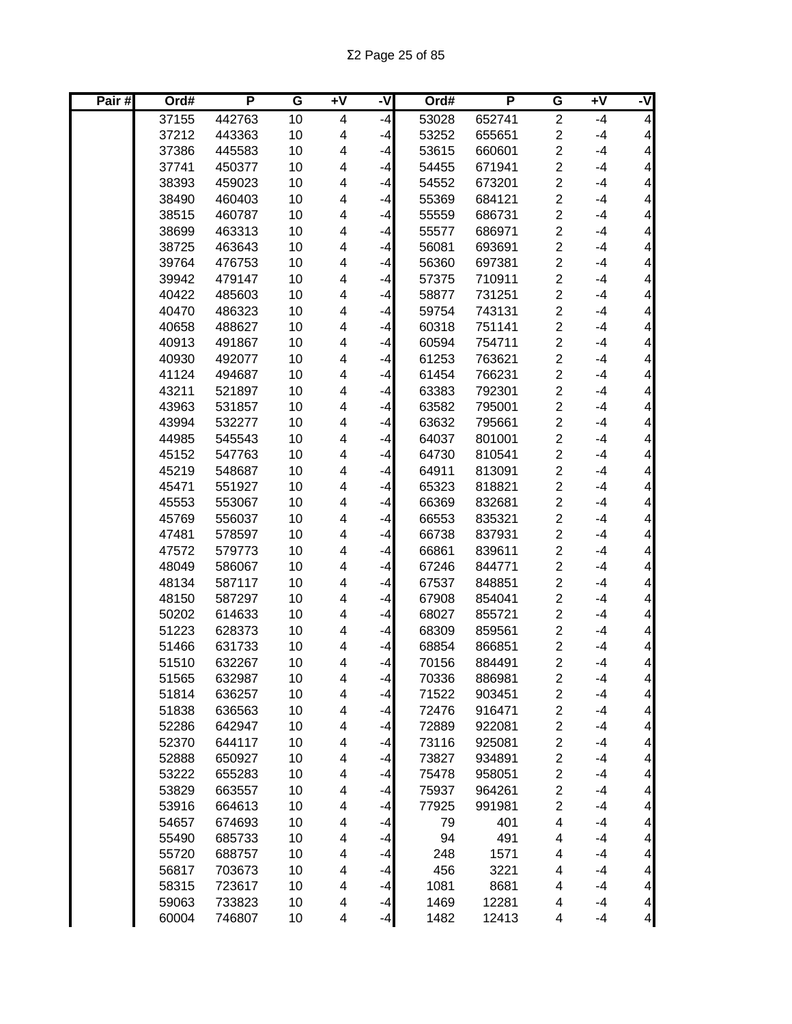| Pair# | Ord#  | P      | G  | Ŧ٨ | -V   | Ord#  | P      | G                       | Ŧ٨   | ż                        |
|-------|-------|--------|----|----|------|-------|--------|-------------------------|------|--------------------------|
|       | 37155 | 442763 | 10 | 4  | $-4$ | 53028 | 652741 | $\overline{2}$          | $-4$ | $\overline{\mathbf{4}}$  |
|       | 37212 | 443363 | 10 | 4  | $-4$ | 53252 | 655651 | $\overline{c}$          | $-4$ | $\overline{\mathcal{A}}$ |
|       | 37386 | 445583 | 10 | 4  | $-4$ | 53615 | 660601 | $\overline{2}$          | $-4$ | $\overline{\mathbf{4}}$  |
|       | 37741 | 450377 | 10 | 4  | $-4$ | 54455 | 671941 | $\overline{2}$          | $-4$ | $\overline{\mathbf{4}}$  |
|       | 38393 | 459023 | 10 | 4  | $-4$ | 54552 | 673201 | $\overline{2}$          | $-4$ | $\overline{\mathbf{4}}$  |
|       | 38490 | 460403 | 10 | 4  | $-4$ | 55369 | 684121 | $\overline{2}$          | $-4$ | $\overline{\mathbf{4}}$  |
|       | 38515 | 460787 | 10 | 4  | $-4$ | 55559 | 686731 | $\overline{2}$          | $-4$ | $\overline{\mathbf{4}}$  |
|       | 38699 | 463313 | 10 | 4  | $-4$ | 55577 | 686971 | $\overline{c}$          | $-4$ | $\overline{\mathbf{4}}$  |
|       | 38725 | 463643 | 10 | 4  | $-4$ | 56081 | 693691 | $\overline{\mathbf{c}}$ | $-4$ | $\overline{\mathbf{4}}$  |
|       | 39764 | 476753 | 10 | 4  | -4   | 56360 | 697381 | $\overline{c}$          | $-4$ | $\overline{\mathbf{4}}$  |
|       | 39942 | 479147 | 10 | 4  | $-4$ | 57375 | 710911 | $\overline{2}$          | $-4$ | $\overline{\mathbf{4}}$  |
|       | 40422 | 485603 | 10 | 4  | $-4$ | 58877 | 731251 | $\overline{c}$          | $-4$ | $\overline{\mathbf{4}}$  |
|       | 40470 | 486323 | 10 | 4  | $-4$ | 59754 | 743131 | $\overline{c}$          | $-4$ | $\overline{\mathbf{4}}$  |
|       | 40658 | 488627 | 10 | 4  | $-4$ | 60318 | 751141 | $\overline{2}$          | $-4$ | $\overline{\mathbf{4}}$  |
|       | 40913 | 491867 | 10 | 4  | -4   | 60594 | 754711 | $\overline{c}$          | $-4$ | $\overline{\mathbf{4}}$  |
|       | 40930 | 492077 | 10 | 4  | $-4$ | 61253 | 763621 | $\overline{c}$          | $-4$ | 4                        |
|       | 41124 | 494687 | 10 | 4  | -4   | 61454 | 766231 | $\overline{2}$          | $-4$ | $\overline{\mathbf{4}}$  |
|       | 43211 | 521897 | 10 | 4  | $-4$ | 63383 | 792301 | $\overline{2}$          | $-4$ | $\overline{\mathbf{4}}$  |
|       | 43963 | 531857 | 10 | 4  | $-4$ | 63582 | 795001 | $\overline{c}$          | $-4$ | $\overline{\mathbf{4}}$  |
|       | 43994 | 532277 | 10 | 4  | $-4$ | 63632 | 795661 | $\overline{2}$          | $-4$ | $\overline{\mathbf{4}}$  |
|       | 44985 | 545543 | 10 | 4  | $-4$ | 64037 | 801001 | $\overline{c}$          | $-4$ | $\overline{\mathbf{4}}$  |
|       | 45152 | 547763 | 10 | 4  | $-4$ | 64730 | 810541 | $\overline{2}$          | $-4$ | $\overline{\mathbf{4}}$  |
|       | 45219 | 548687 | 10 | 4  | $-4$ | 64911 | 813091 | $\overline{c}$          | $-4$ | $\overline{\mathbf{4}}$  |
|       | 45471 | 551927 | 10 | 4  | $-4$ | 65323 | 818821 | $\overline{2}$          | $-4$ | $\overline{\mathbf{4}}$  |
|       | 45553 | 553067 | 10 | 4  | $-4$ | 66369 | 832681 | $\overline{c}$          | $-4$ | $\overline{\mathbf{4}}$  |
|       | 45769 | 556037 | 10 | 4  | $-4$ | 66553 | 835321 | $\overline{2}$          | $-4$ | $\overline{\mathbf{4}}$  |
|       | 47481 | 578597 | 10 | 4  | $-4$ | 66738 | 837931 | $\overline{c}$          | $-4$ | $\overline{\mathbf{4}}$  |
|       | 47572 | 579773 | 10 | 4  | $-4$ | 66861 | 839611 | $\overline{2}$          | $-4$ | $\overline{\mathbf{4}}$  |
|       | 48049 | 586067 | 10 | 4  | $-4$ | 67246 | 844771 | $\overline{\mathbf{c}}$ | $-4$ | $\overline{\mathbf{4}}$  |
|       | 48134 | 587117 | 10 | 4  | $-4$ | 67537 | 848851 | $\overline{c}$          | $-4$ | $\overline{\mathbf{4}}$  |
|       | 48150 | 587297 | 10 | 4  | -4   | 67908 | 854041 | $\overline{c}$          | $-4$ | $\overline{\mathbf{4}}$  |
|       | 50202 | 614633 | 10 | 4  | -4   | 68027 | 855721 | $\overline{c}$          | $-4$ | $\overline{\mathbf{4}}$  |
|       | 51223 | 628373 | 10 | 4  | -4   | 68309 | 859561 | $\overline{2}$          | $-4$ | $\overline{\mathbf{4}}$  |
|       | 51466 | 631733 | 10 | 4  | -4   | 68854 | 866851 | 2                       | $-4$ | $\overline{\mathbf{4}}$  |
|       | 51510 | 632267 | 10 | 4  | $-4$ | 70156 | 884491 | $\overline{2}$          | $-4$ | $\overline{4}$           |
|       | 51565 | 632987 | 10 | 4  | $-4$ | 70336 | 886981 | $\overline{\mathbf{c}}$ | $-4$ | 4                        |
|       | 51814 | 636257 | 10 | 4  | $-4$ | 71522 | 903451 | $\overline{\mathbf{c}}$ | $-4$ | $\vert 4 \vert$          |
|       | 51838 | 636563 | 10 | 4  | $-4$ | 72476 | 916471 | $\overline{\mathbf{c}}$ | $-4$ | $\overline{\mathcal{A}}$ |
|       | 52286 | 642947 | 10 | 4  | $-4$ | 72889 | 922081 | $\overline{\mathbf{c}}$ | $-4$ | $\overline{\mathcal{A}}$ |
|       | 52370 | 644117 | 10 | 4  | $-4$ | 73116 | 925081 | $\overline{\mathbf{c}}$ | $-4$ | $\overline{\mathbf{4}}$  |
|       | 52888 | 650927 | 10 | 4  | $-4$ | 73827 | 934891 | $\overline{\mathbf{c}}$ | $-4$ | $\overline{\mathbf{4}}$  |
|       | 53222 | 655283 | 10 | 4  | $-4$ | 75478 | 958051 | $\overline{\mathbf{c}}$ | $-4$ | $\vert 4 \vert$          |
|       | 53829 | 663557 | 10 | 4  | $-4$ | 75937 | 964261 | $\overline{\mathbf{c}}$ | $-4$ | $\overline{4}$           |
|       | 53916 | 664613 | 10 | 4  | $-4$ | 77925 | 991981 | $\overline{\mathbf{c}}$ | $-4$ | $\overline{\mathbf{4}}$  |
|       | 54657 | 674693 | 10 | 4  | $-4$ | 79    | 401    | 4                       | $-4$ | $\overline{\mathbf{4}}$  |
|       | 55490 | 685733 | 10 | 4  | $-4$ | 94    | 491    | 4                       | $-4$ | $\overline{\mathbf{4}}$  |
|       | 55720 | 688757 | 10 | 4  | $-4$ | 248   | 1571   | 4                       | $-4$ | $\overline{\mathbf{4}}$  |
|       | 56817 | 703673 | 10 | 4  | $-4$ | 456   | 3221   | 4                       | $-4$ | $\overline{\mathbf{4}}$  |
|       | 58315 | 723617 | 10 | 4  | $-4$ | 1081  | 8681   | 4                       | $-4$ | $\overline{\mathbf{4}}$  |
|       | 59063 | 733823 | 10 | 4  | $-4$ | 1469  | 12281  | 4                       | $-4$ | $\overline{4}$           |
|       | 60004 | 746807 | 10 | 4  | $-4$ | 1482  | 12413  | 4                       | $-4$ | $\overline{a}$           |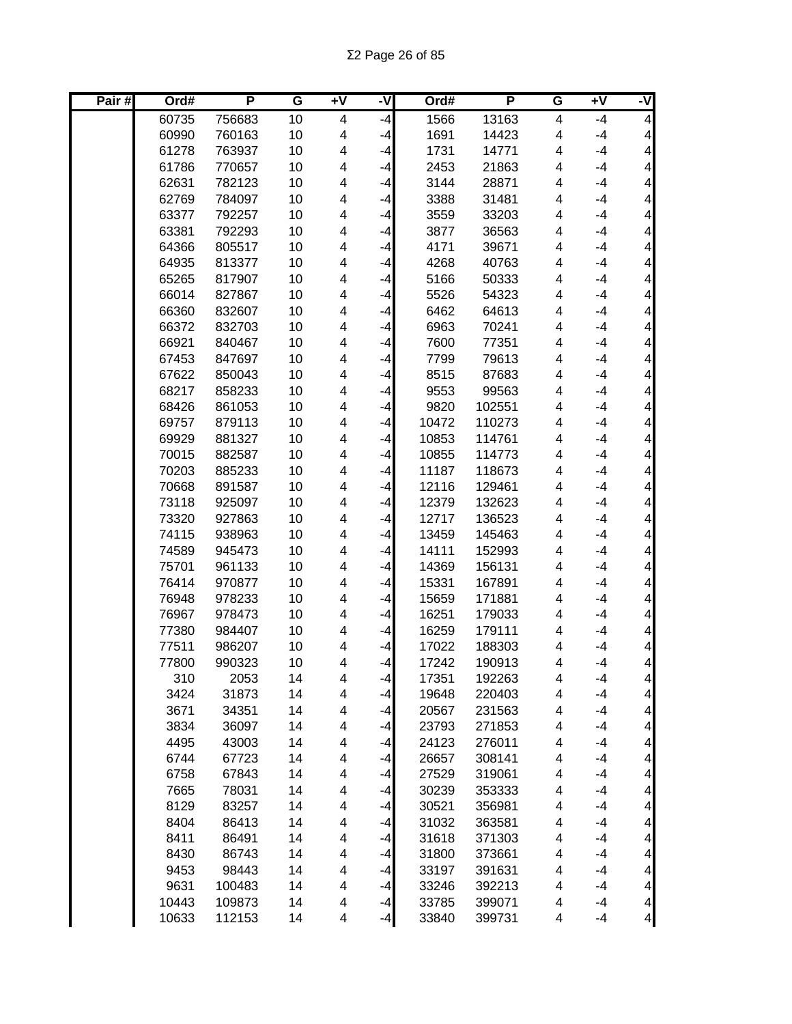| Pair# | Ord#  | P      | G  | Ŧ٨ | -V   | Ord#  | P      | G | Ŧ٨   | ż                        |
|-------|-------|--------|----|----|------|-------|--------|---|------|--------------------------|
|       | 60735 | 756683 | 10 | 4  | $-4$ | 1566  | 13163  | 4 | $-4$ | $\overline{\mathbf{4}}$  |
|       | 60990 | 760163 | 10 | 4  | $-4$ | 1691  | 14423  | 4 | $-4$ | $\overline{\mathcal{A}}$ |
|       | 61278 | 763937 | 10 | 4  | $-4$ | 1731  | 14771  | 4 | $-4$ | $\overline{\mathcal{A}}$ |
|       | 61786 | 770657 | 10 | 4  | $-4$ | 2453  | 21863  | 4 | $-4$ | $\overline{\mathcal{A}}$ |
|       | 62631 | 782123 | 10 | 4  | $-4$ | 3144  | 28871  | 4 | $-4$ | $\overline{\mathcal{A}}$ |
|       | 62769 | 784097 | 10 | 4  | $-4$ | 3388  | 31481  | 4 | $-4$ | $\overline{\mathbf{4}}$  |
|       | 63377 | 792257 | 10 | 4  | $-4$ | 3559  | 33203  | 4 | $-4$ | $\overline{\mathbf{4}}$  |
|       | 63381 | 792293 | 10 | 4  | $-4$ | 3877  | 36563  | 4 | $-4$ | $\overline{\mathbf{4}}$  |
|       | 64366 | 805517 | 10 | 4  | $-4$ | 4171  | 39671  | 4 | $-4$ | $\overline{\mathbf{4}}$  |
|       | 64935 | 813377 | 10 | 4  | $-4$ | 4268  | 40763  | 4 | $-4$ | $\overline{\mathbf{4}}$  |
|       | 65265 | 817907 | 10 | 4  | $-4$ | 5166  | 50333  | 4 | $-4$ | $\overline{\mathbf{4}}$  |
|       | 66014 | 827867 | 10 | 4  | $-4$ | 5526  | 54323  | 4 | $-4$ | $\overline{\mathbf{4}}$  |
|       | 66360 | 832607 | 10 | 4  | $-4$ | 6462  | 64613  | 4 | $-4$ | $\overline{\mathbf{4}}$  |
|       | 66372 | 832703 | 10 | 4  | $-4$ | 6963  | 70241  | 4 | $-4$ | $\overline{\mathbf{4}}$  |
|       | 66921 | 840467 | 10 | 4  | $-4$ | 7600  | 77351  | 4 | $-4$ | $\overline{\mathbf{4}}$  |
|       | 67453 | 847697 | 10 | 4  | $-4$ | 7799  | 79613  | 4 | $-4$ | 4                        |
|       | 67622 | 850043 | 10 | 4  | $-4$ | 8515  | 87683  | 4 | $-4$ | $\overline{\mathbf{4}}$  |
|       | 68217 | 858233 | 10 | 4  | $-4$ | 9553  | 99563  | 4 | $-4$ | $\overline{\mathbf{4}}$  |
|       | 68426 | 861053 | 10 | 4  | $-4$ | 9820  | 102551 | 4 | $-4$ | $\overline{\mathbf{4}}$  |
|       | 69757 | 879113 | 10 | 4  | $-4$ | 10472 | 110273 | 4 | $-4$ | $\overline{\mathbf{4}}$  |
|       | 69929 | 881327 | 10 | 4  | -4   | 10853 | 114761 | 4 | $-4$ | $\overline{\mathbf{4}}$  |
|       | 70015 | 882587 | 10 | 4  | $-4$ | 10855 | 114773 | 4 | $-4$ | $\overline{\mathcal{A}}$ |
|       | 70203 | 885233 | 10 | 4  | -4   | 11187 | 118673 | 4 | $-4$ | $\overline{\mathbf{4}}$  |
|       | 70668 | 891587 | 10 | 4  | $-4$ | 12116 | 129461 | 4 | $-4$ | $\overline{\mathbf{4}}$  |
|       | 73118 | 925097 | 10 | 4  | -4   | 12379 | 132623 | 4 | $-4$ | $\overline{\mathbf{4}}$  |
|       | 73320 | 927863 | 10 | 4  | $-4$ | 12717 | 136523 | 4 | $-4$ | $\overline{\mathbf{4}}$  |
|       | 74115 | 938963 | 10 | 4  | -4   | 13459 | 145463 | 4 | $-4$ | $\overline{\mathbf{4}}$  |
|       | 74589 | 945473 | 10 | 4  | $-4$ | 14111 | 152993 | 4 | $-4$ | $\overline{\mathbf{4}}$  |
|       | 75701 | 961133 | 10 | 4  | -4   | 14369 | 156131 | 4 | $-4$ | $\overline{\mathbf{4}}$  |
|       | 76414 | 970877 | 10 | 4  | -4   | 15331 | 167891 | 4 | $-4$ | 4                        |
|       | 76948 | 978233 | 10 | 4  | -4   | 15659 | 171881 | 4 | $-4$ | $\overline{\mathbf{4}}$  |
|       | 76967 | 978473 | 10 | 4  | -4   | 16251 | 179033 | 4 | $-4$ | 4                        |
|       | 77380 | 984407 | 10 | 4  | -4   | 16259 | 179111 | 4 | $-4$ | $\overline{\mathbf{4}}$  |
|       | 77511 | 986207 | 10 | 4  | -4   | 17022 | 188303 | 4 | $-4$ | $\overline{\mathbf{4}}$  |
|       | 77800 | 990323 | 10 | 4  | $-4$ | 17242 | 190913 | 4 | -4   | $\overline{\mathbf{4}}$  |
|       | 310   | 2053   | 14 | 4  | $-4$ | 17351 | 192263 | 4 | $-4$ | 4                        |
|       | 3424  | 31873  | 14 | 4  | $-4$ | 19648 | 220403 | 4 | $-4$ | $\vert 4 \vert$          |
|       | 3671  | 34351  | 14 | 4  | $-4$ | 20567 | 231563 | 4 | $-4$ | $\overline{\mathcal{A}}$ |
|       | 3834  | 36097  | 14 | 4  | $-4$ | 23793 | 271853 | 4 | $-4$ | $\overline{\mathbf{4}}$  |
|       | 4495  | 43003  | 14 | 4  | $-4$ | 24123 | 276011 | 4 | $-4$ | $\overline{\mathbf{4}}$  |
|       | 6744  | 67723  | 14 | 4  | $-4$ | 26657 | 308141 | 4 | $-4$ | $\overline{\mathbf{4}}$  |
|       | 6758  | 67843  | 14 | 4  | $-4$ | 27529 | 319061 | 4 | $-4$ | $\overline{\mathbf{4}}$  |
|       | 7665  | 78031  | 14 | 4  | $-4$ | 30239 | 353333 | 4 | $-4$ | $\overline{\mathbf{4}}$  |
|       | 8129  | 83257  | 14 | 4  | $-4$ | 30521 | 356981 | 4 | $-4$ | $\overline{\mathbf{4}}$  |
|       | 8404  | 86413  | 14 | 4  | $-4$ | 31032 | 363581 | 4 | $-4$ | $\overline{\mathbf{4}}$  |
|       | 8411  | 86491  | 14 | 4  | $-4$ | 31618 | 371303 | 4 | $-4$ | $\overline{\mathbf{4}}$  |
|       | 8430  | 86743  | 14 | 4  | $-4$ | 31800 | 373661 | 4 | $-4$ | 4                        |
|       | 9453  | 98443  | 14 | 4  | $-4$ | 33197 | 391631 | 4 | $-4$ | $\overline{\mathbf{4}}$  |
|       | 9631  | 100483 | 14 | 4  | $-4$ | 33246 | 392213 | 4 | $-4$ | $\overline{\mathbf{4}}$  |
|       | 10443 | 109873 | 14 | 4  | $-4$ | 33785 | 399071 | 4 | $-4$ | $\overline{4}$           |
|       | 10633 | 112153 | 14 | 4  | $-4$ | 33840 | 399731 | 4 | $-4$ | $\overline{a}$           |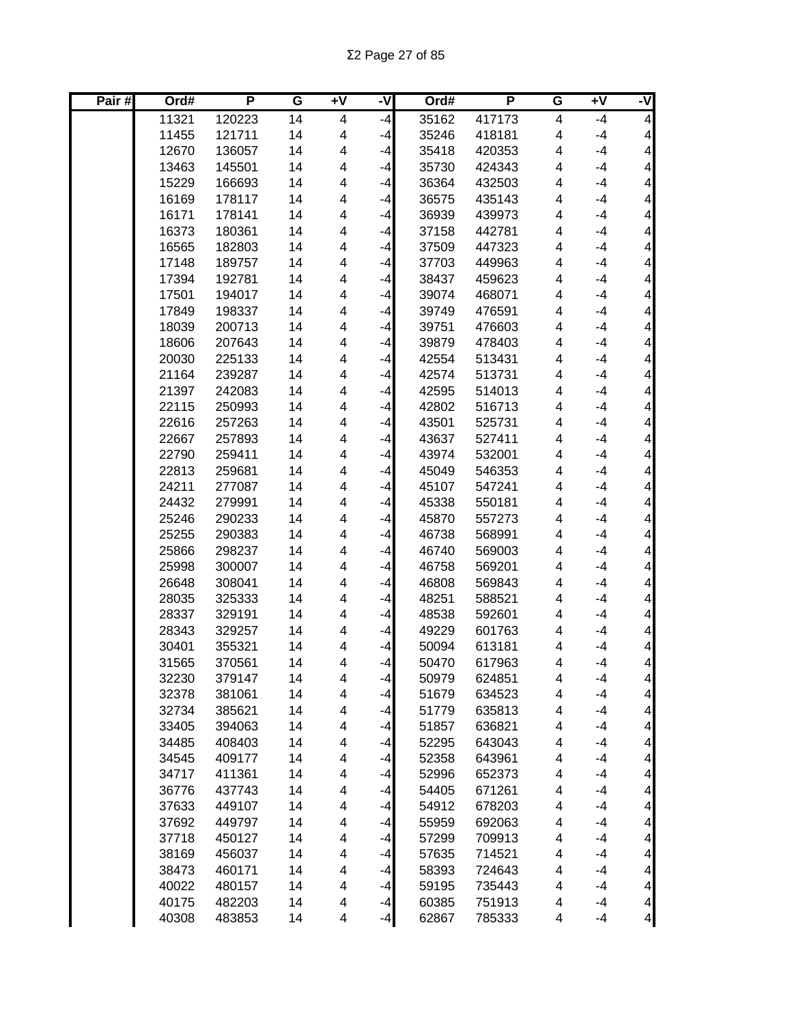Σ2 Page 27 of 85

| Pair# | Ord#  | P      | G  | $\overline{+V}$ | -V   | Ord#  | P      | G | $+V$ | -V                      |
|-------|-------|--------|----|-----------------|------|-------|--------|---|------|-------------------------|
|       | 11321 | 120223 | 14 | 4               | $-4$ | 35162 | 417173 | 4 | $-4$ | $\vert 4 \vert$         |
|       | 11455 | 121711 | 14 | 4               | $-4$ | 35246 | 418181 | 4 | $-4$ | $\vert 4 \vert$         |
|       | 12670 | 136057 | 14 | 4               | $-4$ | 35418 | 420353 | 4 | $-4$ | $\vert 4 \vert$         |
|       | 13463 | 145501 | 14 | 4               | $-4$ | 35730 | 424343 | 4 | $-4$ | $\vert 4 \vert$         |
|       | 15229 | 166693 | 14 | 4               | $-4$ | 36364 | 432503 | 4 | $-4$ | $\vert 4 \vert$         |
|       | 16169 | 178117 | 14 | 4               | $-4$ | 36575 | 435143 | 4 | $-4$ | $\overline{4}$          |
|       | 16171 | 178141 | 14 | 4               | $-4$ | 36939 | 439973 | 4 | $-4$ | $\overline{4}$          |
|       | 16373 | 180361 | 14 | 4               | $-4$ | 37158 | 442781 | 4 | $-4$ | $\overline{4}$          |
|       | 16565 | 182803 | 14 | 4               | -4   | 37509 | 447323 | 4 | $-4$ | $\overline{4}$          |
|       | 17148 | 189757 | 14 | 4               | $-4$ | 37703 | 449963 | 4 | $-4$ | $\vert 4 \vert$         |
|       | 17394 | 192781 | 14 | 4               | -4   | 38437 | 459623 | 4 | $-4$ | $\vert 4 \vert$         |
|       | 17501 | 194017 | 14 | 4               | -4   | 39074 | 468071 | 4 | $-4$ | $\overline{\mathbf{4}}$ |
|       | 17849 | 198337 | 14 | 4               | -4   | 39749 | 476591 | 4 | $-4$ | $\vert 4 \vert$         |
|       | 18039 | 200713 | 14 | 4               | $-4$ | 39751 | 476603 | 4 | $-4$ | $\vert 4 \vert$         |
|       | 18606 | 207643 | 14 | 4               | -4   | 39879 | 478403 | 4 | $-4$ | $\vert 4 \vert$         |
|       | 20030 | 225133 | 14 | 4               | $-4$ | 42554 | 513431 | 4 | $-4$ | $\vert 4 \vert$         |
|       | 21164 | 239287 | 14 | 4               | $-4$ | 42574 | 513731 | 4 | $-4$ | $\vert 4 \vert$         |
|       | 21397 | 242083 | 14 | 4               | $-4$ | 42595 | 514013 | 4 | $-4$ | $\vert 4 \vert$         |
|       | 22115 | 250993 | 14 | 4               | $-4$ | 42802 | 516713 | 4 | $-4$ | $\vert 4 \vert$         |
|       | 22616 | 257263 | 14 | 4               | $-4$ | 43501 | 525731 | 4 | $-4$ | $\vert 4 \vert$         |
|       | 22667 | 257893 | 14 | 4               | $-4$ | 43637 | 527411 | 4 | $-4$ | $\vert 4 \vert$         |
|       | 22790 | 259411 | 14 | 4               | $-4$ | 43974 | 532001 | 4 | $-4$ | $\overline{4}$          |
|       | 22813 | 259681 | 14 | 4               | $-4$ | 45049 | 546353 | 4 | $-4$ | $\overline{4}$          |
|       | 24211 | 277087 | 14 | 4               | -4   | 45107 | 547241 | 4 | $-4$ | $\overline{4}$          |
|       | 24432 | 279991 | 14 | 4               | $-4$ | 45338 | 550181 | 4 | $-4$ | $\vert 4 \vert$         |
|       | 25246 | 290233 | 14 | 4               | $-4$ | 45870 | 557273 | 4 | $-4$ | $\overline{4}$          |
|       | 25255 | 290383 | 14 | 4               | -4   | 46738 | 568991 | 4 | $-4$ | $\vert 4 \vert$         |
|       | 25866 | 298237 | 14 | 4               | -4   | 46740 | 569003 | 4 | $-4$ | $\overline{\mathbf{4}}$ |
|       | 25998 | 300007 | 14 | 4               | -4   | 46758 | 569201 | 4 | $-4$ | $\overline{\mathbf{4}}$ |
|       | 26648 | 308041 | 14 | 4               | -4   | 46808 | 569843 | 4 | $-4$ | $\vert 4 \vert$         |
|       | 28035 | 325333 | 14 | 4               | -4   | 48251 | 588521 | 4 | $-4$ | $\vert 4 \vert$         |
|       | 28337 | 329191 | 14 | 4               | $-4$ | 48538 | 592601 | 4 | $-4$ | $\vert 4 \vert$         |
|       | 28343 | 329257 | 14 | 4               | $-4$ | 49229 | 601763 | 4 | $-4$ | $\vert 4 \vert$         |
|       | 30401 | 355321 | 14 | 4               | $-4$ | 50094 | 613181 | 4 | $-4$ | $\vert 4 \vert$         |
|       | 31565 | 370561 | 14 | 4               | $-4$ | 50470 | 617963 | 4 | $-4$ | $\overline{4}$          |
|       | 32230 | 379147 | 14 | 4               | $-4$ | 50979 | 624851 | 4 | $-4$ | 4                       |
|       | 32378 | 381061 | 14 | 4               | $-4$ | 51679 | 634523 | 4 | $-4$ | $\overline{4}$          |
|       | 32734 | 385621 | 14 | 4               | $-4$ | 51779 | 635813 | 4 | $-4$ | $\overline{4}$          |
|       | 33405 | 394063 | 14 | 4               | $-4$ | 51857 | 636821 | 4 | $-4$ | $\overline{4}$          |
|       | 34485 | 408403 | 14 | 4               | $-4$ | 52295 | 643043 | 4 | $-4$ | $\overline{4}$          |
|       | 34545 | 409177 | 14 | 4               | $-4$ | 52358 | 643961 | 4 | $-4$ | $\overline{4}$          |
|       | 34717 | 411361 | 14 | 4               | $-4$ | 52996 | 652373 | 4 | $-4$ | $\vert 4 \vert$         |
|       | 36776 | 437743 | 14 | 4               | $-4$ | 54405 | 671261 | 4 | $-4$ | $\vert 4 \vert$         |
|       | 37633 | 449107 | 14 | 4               | $-4$ | 54912 | 678203 | 4 | $-4$ | $\vert 4 \vert$         |
|       | 37692 | 449797 | 14 | 4               | $-4$ | 55959 | 692063 | 4 | $-4$ | $\vert 4 \vert$         |
|       | 37718 | 450127 | 14 | 4               | $-4$ | 57299 | 709913 | 4 | $-4$ | $\vert 4 \vert$         |
|       | 38169 | 456037 | 14 | 4               | $-4$ | 57635 | 714521 | 4 | $-4$ | $\overline{4}$          |
|       | 38473 | 460171 | 14 | 4               | $-4$ | 58393 | 724643 | 4 | $-4$ | $\overline{4}$          |
|       | 40022 | 480157 | 14 | 4               | $-4$ | 59195 | 735443 | 4 | $-4$ | $\overline{4}$          |
|       | 40175 | 482203 | 14 | 4               | $-4$ | 60385 | 751913 | 4 | $-4$ | $\overline{a}$          |
|       | 40308 | 483853 | 14 | 4               | $-4$ | 62867 | 785333 | 4 | $-4$ | $\overline{4}$          |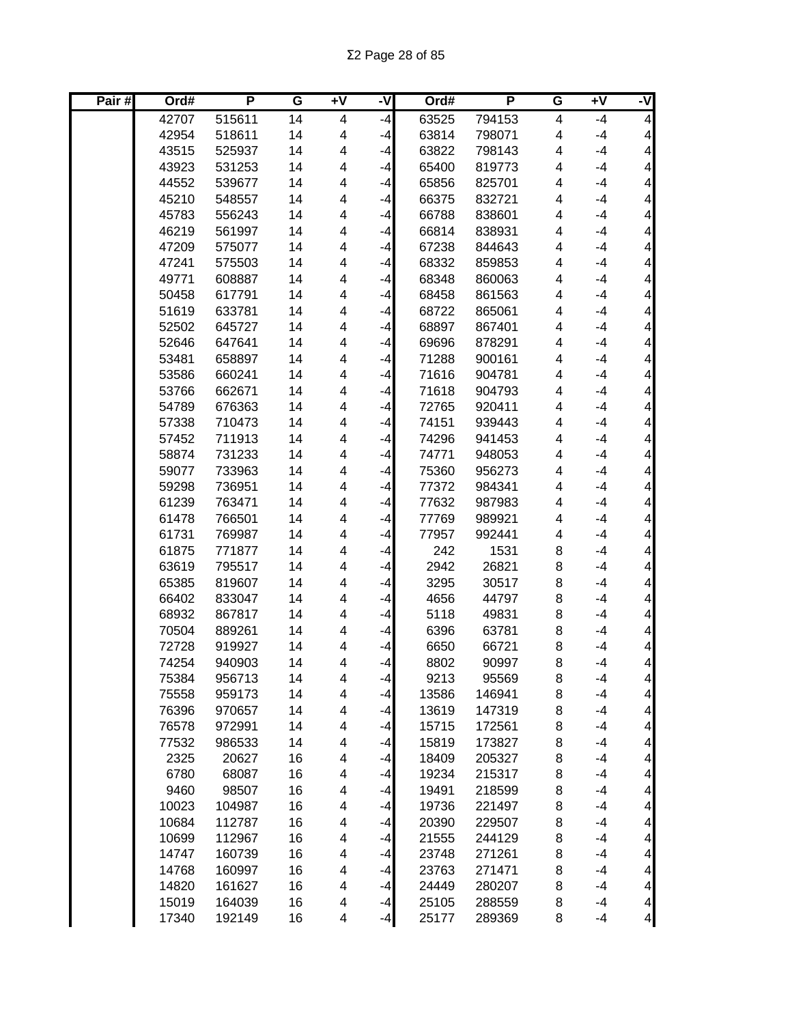| Pair# | Ord#  | P      | G  | Ŧ٨ | -V   | Ord#  | P      | G | Ŧ٨   | ż                        |
|-------|-------|--------|----|----|------|-------|--------|---|------|--------------------------|
|       | 42707 | 515611 | 14 | 4  | $-4$ | 63525 | 794153 | 4 | $-4$ | $\overline{\mathbf{4}}$  |
|       | 42954 | 518611 | 14 | 4  | $-4$ | 63814 | 798071 | 4 | $-4$ | $\overline{\mathcal{A}}$ |
|       | 43515 | 525937 | 14 | 4  | $-4$ | 63822 | 798143 | 4 | $-4$ | $\overline{\mathbf{4}}$  |
|       | 43923 | 531253 | 14 | 4  | $-4$ | 65400 | 819773 | 4 | $-4$ | $\overline{\mathbf{4}}$  |
|       | 44552 | 539677 | 14 | 4  | $-4$ | 65856 | 825701 | 4 | $-4$ | $\overline{\mathbf{4}}$  |
|       | 45210 | 548557 | 14 | 4  | $-4$ | 66375 | 832721 | 4 | $-4$ | $\overline{\mathbf{4}}$  |
|       | 45783 | 556243 | 14 | 4  | $-4$ | 66788 | 838601 | 4 | $-4$ | $\overline{\mathbf{4}}$  |
|       | 46219 | 561997 | 14 | 4  | $-4$ | 66814 | 838931 | 4 | $-4$ | $\overline{\mathbf{4}}$  |
|       | 47209 | 575077 | 14 | 4  | $-4$ | 67238 | 844643 | 4 | $-4$ | $\overline{\mathbf{4}}$  |
|       | 47241 | 575503 | 14 | 4  | -4   | 68332 | 859853 | 4 | $-4$ | $\overline{\mathbf{4}}$  |
|       | 49771 | 608887 | 14 | 4  | $-4$ | 68348 | 860063 | 4 | $-4$ | $\overline{\mathbf{4}}$  |
|       | 50458 | 617791 | 14 | 4  | $-4$ | 68458 | 861563 | 4 | $-4$ | $\overline{\mathbf{4}}$  |
|       | 51619 | 633781 | 14 | 4  | $-4$ | 68722 | 865061 | 4 | $-4$ | $\overline{\mathbf{4}}$  |
|       | 52502 | 645727 | 14 | 4  | $-4$ | 68897 | 867401 | 4 | $-4$ | $\overline{\mathbf{4}}$  |
|       | 52646 | 647641 | 14 | 4  | -4   | 69696 | 878291 | 4 | $-4$ | $\overline{\mathbf{4}}$  |
|       | 53481 | 658897 | 14 | 4  | $-4$ | 71288 | 900161 | 4 | $-4$ | $\overline{\mathbf{4}}$  |
|       | 53586 | 660241 | 14 | 4  | $-4$ | 71616 | 904781 | 4 | $-4$ | $\overline{\mathbf{4}}$  |
|       | 53766 | 662671 | 14 | 4  | $-4$ | 71618 | 904793 | 4 | $-4$ | $\overline{\mathbf{4}}$  |
|       | 54789 | 676363 | 14 | 4  | $-4$ | 72765 | 920411 | 4 | $-4$ | $\overline{\mathbf{4}}$  |
|       | 57338 | 710473 | 14 | 4  | $-4$ | 74151 | 939443 | 4 | $-4$ | $\overline{\mathbf{4}}$  |
|       | 57452 | 711913 | 14 | 4  | $-4$ | 74296 | 941453 | 4 | $-4$ | $\overline{\mathbf{4}}$  |
|       | 58874 | 731233 | 14 | 4  | $-4$ | 74771 | 948053 | 4 | $-4$ | $\overline{\mathbf{4}}$  |
|       | 59077 | 733963 | 14 | 4  | $-4$ | 75360 | 956273 | 4 | $-4$ | $\overline{\mathbf{4}}$  |
|       | 59298 | 736951 | 14 | 4  | $-4$ | 77372 | 984341 | 4 | $-4$ | $\overline{\mathbf{4}}$  |
|       | 61239 | 763471 | 14 | 4  | $-4$ | 77632 | 987983 | 4 | $-4$ | $\overline{\mathbf{4}}$  |
|       | 61478 | 766501 | 14 | 4  | $-4$ | 77769 | 989921 | 4 | $-4$ | $\overline{\mathbf{4}}$  |
|       | 61731 | 769987 | 14 | 4  | $-4$ | 77957 | 992441 | 4 | $-4$ | $\overline{\mathbf{4}}$  |
|       | 61875 | 771877 | 14 | 4  | $-4$ | 242   | 1531   | 8 | $-4$ | $\overline{\mathbf{4}}$  |
|       | 63619 | 795517 | 14 | 4  | $-4$ | 2942  | 26821  | 8 | $-4$ | $\overline{\mathbf{4}}$  |
|       | 65385 | 819607 | 14 | 4  | $-4$ | 3295  | 30517  | 8 | $-4$ | $\overline{\mathbf{4}}$  |
|       | 66402 | 833047 | 14 | 4  | $-4$ | 4656  | 44797  | 8 | $-4$ | $\overline{\mathbf{4}}$  |
|       | 68932 | 867817 | 14 | 4  | $-4$ | 5118  | 49831  | 8 | $-4$ | $\overline{\mathbf{4}}$  |
|       | 70504 | 889261 | 14 | 4  | $-4$ | 6396  | 63781  | 8 | $-4$ | $\overline{\mathbf{4}}$  |
|       | 72728 | 919927 | 14 | 4  | -4   | 6650  | 66721  | 8 | $-4$ | $\overline{\mathbf{4}}$  |
|       | 74254 | 940903 | 14 | 4  | $-4$ | 8802  | 90997  | 8 | $-4$ | $\overline{\mathbf{4}}$  |
|       | 75384 | 956713 | 14 | 4  | $-4$ | 9213  | 95569  | 8 | $-4$ | 4                        |
|       | 75558 | 959173 | 14 | 4  | $-4$ | 13586 | 146941 | 8 | $-4$ | $\vert 4 \vert$          |
|       | 76396 | 970657 | 14 | 4  | $-4$ | 13619 | 147319 | 8 | $-4$ | $\overline{\mathcal{A}}$ |
|       | 76578 | 972991 | 14 | 4  | $-4$ | 15715 | 172561 | 8 | $-4$ | $\overline{\mathbf{4}}$  |
|       | 77532 | 986533 | 14 | 4  | $-4$ | 15819 | 173827 | 8 | $-4$ | $\overline{\mathbf{4}}$  |
|       | 2325  | 20627  | 16 | 4  | $-4$ | 18409 | 205327 | 8 | $-4$ | $\overline{\mathbf{4}}$  |
|       | 6780  | 68087  | 16 | 4  | $-4$ | 19234 | 215317 | 8 | $-4$ | $\overline{\mathbf{4}}$  |
|       | 9460  | 98507  | 16 | 4  | $-4$ | 19491 | 218599 | 8 | $-4$ | $\overline{\mathbf{4}}$  |
|       | 10023 | 104987 | 16 | 4  | $-4$ | 19736 | 221497 | 8 | $-4$ | $\overline{\mathbf{4}}$  |
|       | 10684 | 112787 | 16 | 4  | $-4$ | 20390 | 229507 | 8 | $-4$ | $\overline{\mathbf{4}}$  |
|       | 10699 | 112967 | 16 | 4  | $-4$ | 21555 | 244129 | 8 | $-4$ | $\overline{\mathbf{4}}$  |
|       | 14747 | 160739 | 16 | 4  | $-4$ | 23748 | 271261 | 8 | $-4$ | $\overline{\mathbf{4}}$  |
|       | 14768 | 160997 | 16 | 4  | $-4$ | 23763 | 271471 | 8 | $-4$ | $\overline{\mathbf{4}}$  |
|       | 14820 | 161627 | 16 | 4  | $-4$ | 24449 | 280207 | 8 | $-4$ | $\overline{\mathbf{4}}$  |
|       | 15019 | 164039 | 16 | 4  | $-4$ | 25105 | 288559 | 8 | $-4$ | $\overline{4}$           |
|       | 17340 | 192149 | 16 | 4  | $-4$ | 25177 | 289369 | 8 | $-4$ | $\overline{a}$           |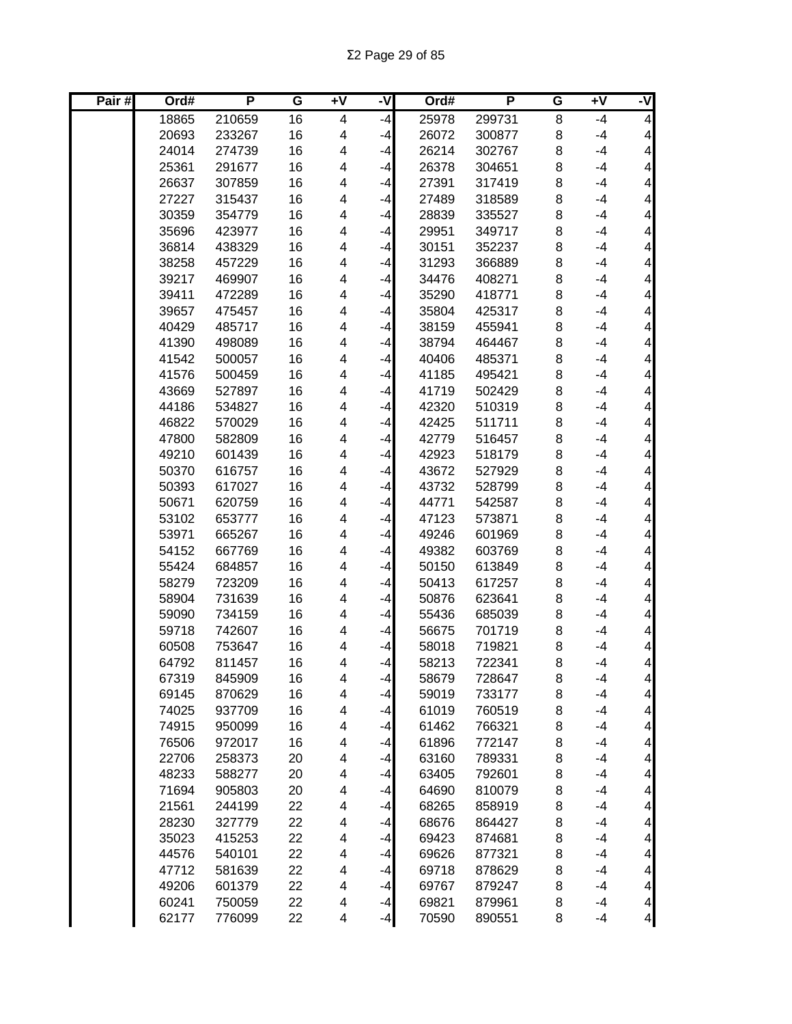| Pair# | Ord#  | P      | G  | $\overline{+V}$ | -V   | Ord#  | P      | G | Ŧ٨   | ż                        |
|-------|-------|--------|----|-----------------|------|-------|--------|---|------|--------------------------|
|       | 18865 | 210659 | 16 | 4               | $-4$ | 25978 | 299731 | 8 | $-4$ | $\overline{\mathbf{4}}$  |
|       | 20693 | 233267 | 16 | 4               | $-4$ | 26072 | 300877 | 8 | $-4$ | $\overline{\mathcal{A}}$ |
|       | 24014 | 274739 | 16 | 4               | $-4$ | 26214 | 302767 | 8 | $-4$ | $\overline{\mathbf{4}}$  |
|       | 25361 | 291677 | 16 | 4               | $-4$ | 26378 | 304651 | 8 | $-4$ | $\overline{\mathbf{4}}$  |
|       | 26637 | 307859 | 16 | 4               | $-4$ | 27391 | 317419 | 8 | $-4$ | $\overline{\mathbf{4}}$  |
|       | 27227 | 315437 | 16 | 4               | $-4$ | 27489 | 318589 | 8 | $-4$ | $\overline{\mathbf{4}}$  |
|       | 30359 | 354779 | 16 | 4               | $-4$ | 28839 | 335527 | 8 | $-4$ | $\overline{\mathbf{4}}$  |
|       | 35696 | 423977 | 16 | 4               | $-4$ | 29951 | 349717 | 8 | $-4$ | $\overline{\mathbf{4}}$  |
|       | 36814 | 438329 | 16 | 4               | $-4$ | 30151 | 352237 | 8 | $-4$ | $\overline{\mathbf{4}}$  |
|       | 38258 | 457229 | 16 | 4               | $-4$ | 31293 | 366889 | 8 | $-4$ | $\overline{\mathbf{4}}$  |
|       | 39217 | 469907 | 16 | 4               | $-4$ | 34476 | 408271 | 8 | $-4$ | $\overline{\mathbf{4}}$  |
|       | 39411 | 472289 | 16 | 4               | $-4$ | 35290 | 418771 | 8 | $-4$ | $\overline{\mathbf{4}}$  |
|       | 39657 | 475457 | 16 | 4               | $-4$ | 35804 | 425317 | 8 | $-4$ | $\overline{\mathbf{4}}$  |
|       | 40429 | 485717 | 16 | 4               | $-4$ | 38159 | 455941 | 8 | $-4$ | $\overline{\mathbf{4}}$  |
|       | 41390 | 498089 | 16 | 4               | -4   | 38794 | 464467 | 8 | $-4$ | $\overline{\mathbf{4}}$  |
|       | 41542 | 500057 | 16 | 4               | $-4$ | 40406 | 485371 | 8 | $-4$ | 4                        |
|       | 41576 | 500459 | 16 | 4               | $-4$ | 41185 | 495421 | 8 | $-4$ | 4                        |
|       | 43669 | 527897 | 16 | 4               | $-4$ | 41719 | 502429 | 8 | $-4$ | $\overline{\mathbf{4}}$  |
|       | 44186 | 534827 | 16 | 4               | $-4$ | 42320 | 510319 | 8 | $-4$ | $\overline{\mathbf{4}}$  |
|       | 46822 | 570029 | 16 | 4               | $-4$ | 42425 | 511711 | 8 | $-4$ | $\overline{\mathbf{4}}$  |
|       | 47800 | 582809 | 16 | 4               | $-4$ | 42779 | 516457 | 8 | $-4$ | $\overline{\mathbf{4}}$  |
|       | 49210 | 601439 | 16 | 4               | $-4$ | 42923 | 518179 | 8 | $-4$ | $\overline{\mathbf{4}}$  |
|       | 50370 | 616757 | 16 | 4               | $-4$ | 43672 | 527929 | 8 | $-4$ | $\overline{\mathbf{4}}$  |
|       | 50393 | 617027 | 16 | 4               | $-4$ | 43732 | 528799 | 8 | $-4$ | $\overline{\mathbf{4}}$  |
|       | 50671 | 620759 | 16 | 4               | $-4$ | 44771 | 542587 | 8 | $-4$ | $\overline{\mathbf{4}}$  |
|       | 53102 | 653777 | 16 | 4               | $-4$ | 47123 | 573871 | 8 | $-4$ | $\overline{\mathbf{4}}$  |
|       | 53971 | 665267 | 16 | 4               | $-4$ | 49246 | 601969 | 8 | $-4$ | $\overline{\mathbf{4}}$  |
|       | 54152 | 667769 | 16 | 4               | $-4$ | 49382 | 603769 | 8 | $-4$ | $\overline{\mathbf{4}}$  |
|       | 55424 | 684857 | 16 | 4               | $-4$ | 50150 | 613849 | 8 | $-4$ | $\overline{\mathbf{4}}$  |
|       | 58279 | 723209 | 16 | 4               | $-4$ | 50413 | 617257 | 8 | $-4$ | $\overline{\mathbf{4}}$  |
|       | 58904 | 731639 | 16 | 4               | -4   | 50876 | 623641 | 8 | $-4$ | $\overline{\mathbf{4}}$  |
|       | 59090 | 734159 | 16 | 4               | $-4$ | 55436 | 685039 | 8 | $-4$ | $\overline{\mathbf{4}}$  |
|       | 59718 | 742607 | 16 | 4               | -4   | 56675 | 701719 | 8 | $-4$ | $\overline{\mathbf{4}}$  |
|       | 60508 | 753647 | 16 | 4               | -4   | 58018 | 719821 | 8 | $-4$ | $\overline{\mathbf{4}}$  |
|       | 64792 | 811457 | 16 | 4               | $-4$ | 58213 | 722341 | 8 | -4   | $\overline{\mathbf{4}}$  |
|       | 67319 | 845909 | 16 | 4               | $-4$ | 58679 | 728647 | 8 | $-4$ | 4                        |
|       | 69145 | 870629 | 16 | 4               | $-4$ | 59019 | 733177 | 8 | $-4$ | $\vert 4 \vert$          |
|       | 74025 | 937709 | 16 | 4               | $-4$ | 61019 | 760519 | 8 | $-4$ | $\overline{\mathcal{A}}$ |
|       | 74915 | 950099 | 16 | 4               | $-4$ | 61462 | 766321 | 8 | $-4$ | $\overline{\mathbf{4}}$  |
|       | 76506 | 972017 | 16 | 4               | $-4$ | 61896 | 772147 | 8 | $-4$ | $\overline{\mathbf{4}}$  |
|       | 22706 | 258373 | 20 | 4               | $-4$ | 63160 | 789331 | 8 | $-4$ | $\overline{\mathbf{4}}$  |
|       | 48233 | 588277 | 20 | 4               | $-4$ | 63405 | 792601 | 8 | $-4$ | $\overline{\mathbf{4}}$  |
|       | 71694 | 905803 | 20 | 4               | $-4$ | 64690 | 810079 | 8 | $-4$ | $\overline{\mathbf{4}}$  |
|       | 21561 | 244199 | 22 | 4               | $-4$ | 68265 | 858919 | 8 | $-4$ | $\overline{\mathbf{4}}$  |
|       | 28230 | 327779 | 22 | 4               | $-4$ | 68676 | 864427 | 8 | $-4$ | $\overline{\mathbf{4}}$  |
|       | 35023 | 415253 | 22 | 4               | $-4$ | 69423 | 874681 | 8 | $-4$ | $\overline{\mathbf{4}}$  |
|       | 44576 | 540101 | 22 | 4               | $-4$ | 69626 | 877321 | 8 | $-4$ | $\overline{\mathbf{4}}$  |
|       | 47712 | 581639 | 22 | 4               | $-4$ | 69718 | 878629 | 8 | $-4$ | $\overline{\mathbf{4}}$  |
|       | 49206 | 601379 | 22 | 4               | $-4$ | 69767 | 879247 | 8 | $-4$ | $\overline{\mathcal{A}}$ |
|       | 60241 | 750059 | 22 | 4               | $-4$ | 69821 | 879961 | 8 | $-4$ | $\overline{4}$           |
|       | 62177 | 776099 | 22 | 4               | $-4$ | 70590 | 890551 | 8 | -4   | $\overline{\mathcal{A}}$ |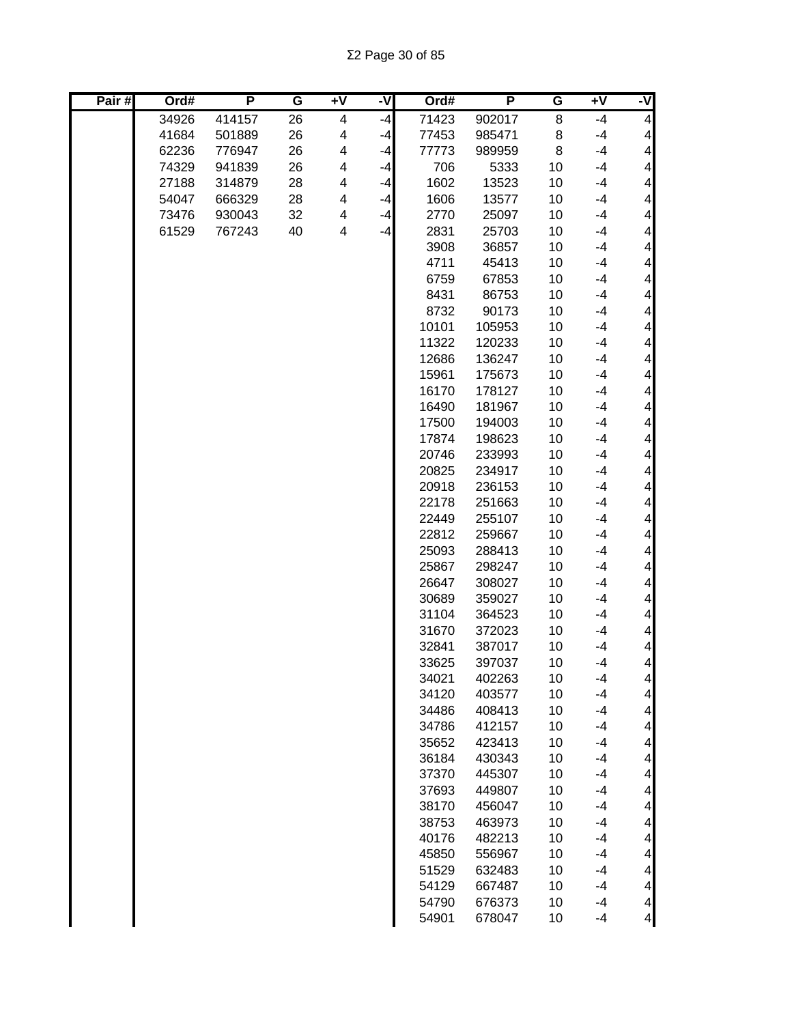| Pair# | Ord#  | P      | G  | $+V$ | ż    | Ord#  | P      | G  | $+V$ | -V                       |
|-------|-------|--------|----|------|------|-------|--------|----|------|--------------------------|
|       | 34926 | 414157 | 26 | 4    | $-4$ | 71423 | 902017 | 8  | $-4$ | 4                        |
|       | 41684 | 501889 | 26 | 4    | $-4$ | 77453 | 985471 | 8  | $-4$ | $\overline{\mathcal{A}}$ |
|       | 62236 | 776947 | 26 | 4    | -4   | 77773 | 989959 | 8  | $-4$ | $\overline{\mathbf{4}}$  |
|       | 74329 | 941839 | 26 | 4    | $-4$ | 706   | 5333   | 10 | $-4$ | $\overline{\mathbf{4}}$  |
|       | 27188 | 314879 | 28 | 4    | $-4$ | 1602  | 13523  | 10 | $-4$ | $\overline{\mathbf{4}}$  |
|       | 54047 | 666329 | 28 | 4    | $-4$ | 1606  | 13577  | 10 | $-4$ | $\overline{\mathbf{4}}$  |
|       | 73476 | 930043 | 32 | 4    | $-4$ | 2770  | 25097  | 10 | $-4$ | $\overline{\mathcal{A}}$ |
|       | 61529 | 767243 | 40 | 4    | $-4$ | 2831  | 25703  | 10 | $-4$ | $\overline{\mathcal{A}}$ |
|       |       |        |    |      |      | 3908  | 36857  | 10 | $-4$ | $\overline{\mathbf{4}}$  |
|       |       |        |    |      |      | 4711  | 45413  | 10 | $-4$ | $\overline{\mathbf{4}}$  |
|       |       |        |    |      |      | 6759  | 67853  | 10 | $-4$ | $\overline{4}$           |
|       |       |        |    |      |      | 8431  | 86753  | 10 | $-4$ | $\overline{4}$           |
|       |       |        |    |      |      | 8732  | 90173  | 10 | $-4$ | $\overline{4}$           |
|       |       |        |    |      |      | 10101 | 105953 | 10 | $-4$ | $\overline{\mathbf{4}}$  |
|       |       |        |    |      |      | 11322 | 120233 | 10 | $-4$ | $\overline{\mathbf{4}}$  |
|       |       |        |    |      |      | 12686 | 136247 | 10 | $-4$ | $\overline{\mathbf{4}}$  |
|       |       |        |    |      |      | 15961 | 175673 | 10 | $-4$ | $\overline{\mathbf{4}}$  |
|       |       |        |    |      |      | 16170 | 178127 | 10 | $-4$ | $\overline{\mathbf{4}}$  |
|       |       |        |    |      |      | 16490 | 181967 | 10 | $-4$ | $\overline{\mathbf{4}}$  |
|       |       |        |    |      |      | 17500 | 194003 | 10 | $-4$ | $\overline{\mathbf{4}}$  |
|       |       |        |    |      |      | 17874 | 198623 | 10 | $-4$ | $\overline{\mathcal{A}}$ |
|       |       |        |    |      |      | 20746 | 233993 | 10 | $-4$ | $\overline{\mathbf{4}}$  |
|       |       |        |    |      |      | 20825 | 234917 | 10 | $-4$ | $\overline{\mathbf{4}}$  |
|       |       |        |    |      |      | 20918 | 236153 | 10 | $-4$ | $\overline{\mathcal{A}}$ |
|       |       |        |    |      |      | 22178 | 251663 | 10 | $-4$ | $\overline{\mathcal{A}}$ |
|       |       |        |    |      |      | 22449 | 255107 | 10 | $-4$ | $\overline{\mathbf{4}}$  |
|       |       |        |    |      |      | 22812 | 259667 | 10 | $-4$ | $\overline{\mathbf{4}}$  |
|       |       |        |    |      |      | 25093 | 288413 | 10 | $-4$ | $\overline{4}$           |
|       |       |        |    |      |      | 25867 | 298247 | 10 | $-4$ | $\overline{4}$           |
|       |       |        |    |      |      | 26647 | 308027 | 10 | $-4$ | $\overline{\mathbf{4}}$  |
|       |       |        |    |      |      | 30689 | 359027 | 10 | $-4$ | $\overline{\mathbf{4}}$  |
|       |       |        |    |      |      | 31104 | 364523 | 10 | $-4$ | $\overline{\mathbf{4}}$  |
|       |       |        |    |      |      | 31670 | 372023 | 10 | $-4$ | $\overline{\mathbf{4}}$  |
|       |       |        |    |      |      | 32841 | 387017 | 10 | $-4$ | $\overline{\mathbf{4}}$  |
|       |       |        |    |      |      | 33625 | 397037 | 10 | $-4$ | $\overline{\mathbf{4}}$  |
|       |       |        |    |      |      | 34021 | 402263 | 10 | $-4$ | $\frac{4}{3}$            |
|       |       |        |    |      |      | 34120 | 403577 | 10 | $-4$ | $\overline{4}$           |
|       |       |        |    |      |      | 34486 | 408413 | 10 | $-4$ | $\overline{\mathbf{4}}$  |
|       |       |        |    |      |      | 34786 | 412157 | 10 | $-4$ | $\overline{\mathbf{4}}$  |
|       |       |        |    |      |      | 35652 | 423413 | 10 | $-4$ | $\overline{\mathbf{4}}$  |
|       |       |        |    |      |      | 36184 | 430343 | 10 | $-4$ | $\overline{\mathbf{4}}$  |
|       |       |        |    |      |      | 37370 | 445307 | 10 | $-4$ | $\overline{\mathbf{4}}$  |
|       |       |        |    |      |      | 37693 | 449807 | 10 | $-4$ | $\overline{\mathbf{4}}$  |
|       |       |        |    |      |      | 38170 | 456047 | 10 | $-4$ | $\overline{\mathbf{4}}$  |
|       |       |        |    |      |      | 38753 | 463973 | 10 | $-4$ | $\overline{\mathbf{4}}$  |
|       |       |        |    |      |      | 40176 | 482213 | 10 | $-4$ | $\overline{\mathbf{4}}$  |
|       |       |        |    |      |      | 45850 | 556967 | 10 | $-4$ | $\overline{\mathbf{4}}$  |
|       |       |        |    |      |      | 51529 | 632483 | 10 | $-4$ | $\overline{\mathbf{4}}$  |
|       |       |        |    |      |      | 54129 | 667487 | 10 | $-4$ | $\overline{\mathbf{4}}$  |
|       |       |        |    |      |      | 54790 | 676373 | 10 | $-4$ | $\overline{\mathcal{L}}$ |
|       |       |        |    |      |      | 54901 | 678047 | 10 | -4   | $\overline{4}$           |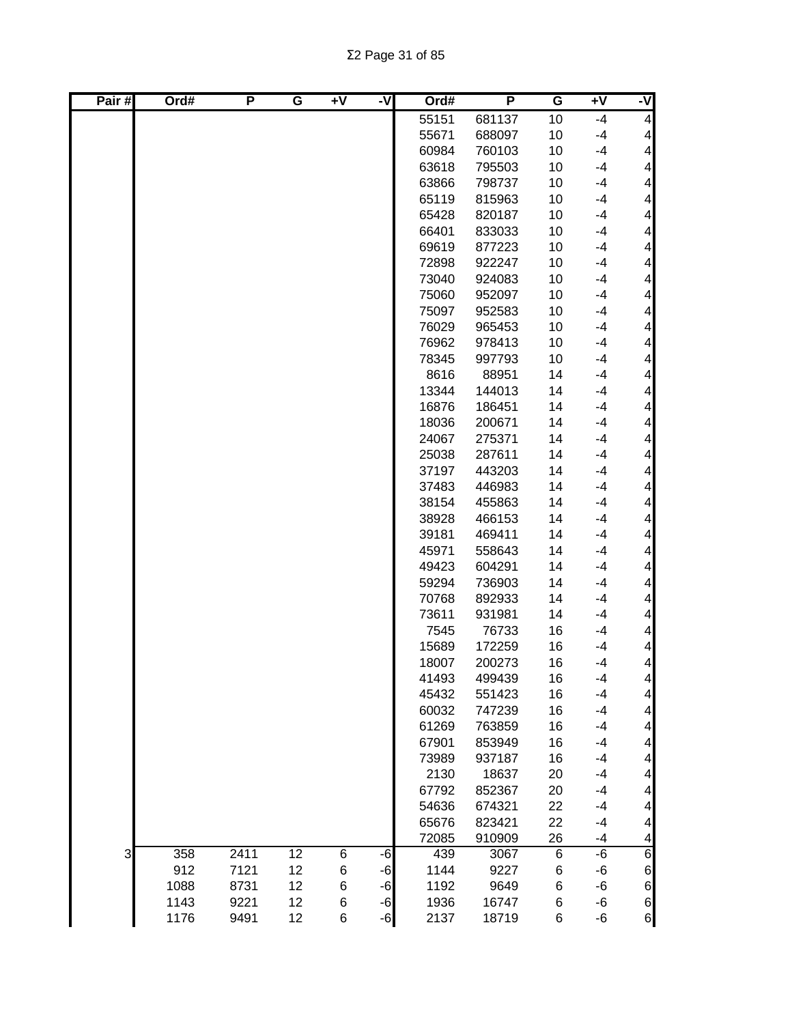| Pair# | Ord# | P    | G  | $+V$ | ż    | Ord#  | P      | G     | $+V$ | -V                       |
|-------|------|------|----|------|------|-------|--------|-------|------|--------------------------|
|       |      |      |    |      |      | 55151 | 681137 | 10    | $-4$ | $\overline{\mathcal{A}}$ |
|       |      |      |    |      |      | 55671 | 688097 | 10    | $-4$ | $\overline{\mathbf{4}}$  |
|       |      |      |    |      |      | 60984 | 760103 | 10    | $-4$ | $\overline{\mathbf{4}}$  |
|       |      |      |    |      |      | 63618 | 795503 | 10    | $-4$ | $\overline{\mathbf{4}}$  |
|       |      |      |    |      |      | 63866 | 798737 | 10    | $-4$ | $\overline{\mathbf{4}}$  |
|       |      |      |    |      |      | 65119 | 815963 | 10    | $-4$ | $\overline{\mathbf{4}}$  |
|       |      |      |    |      |      | 65428 | 820187 | 10    | $-4$ | $\overline{\mathcal{A}}$ |
|       |      |      |    |      |      | 66401 | 833033 | 10    | $-4$ | $\overline{\mathcal{A}}$ |
|       |      |      |    |      |      | 69619 | 877223 | 10    | $-4$ | $\overline{\mathbf{4}}$  |
|       |      |      |    |      |      | 72898 | 922247 | 10    | $-4$ | $\overline{\mathbf{4}}$  |
|       |      |      |    |      |      | 73040 | 924083 | 10    | $-4$ | $\overline{\mathbf{4}}$  |
|       |      |      |    |      |      | 75060 | 952097 | 10    | $-4$ | $\overline{\mathbf{4}}$  |
|       |      |      |    |      |      | 75097 | 952583 | 10    | $-4$ | $\overline{\mathbf{4}}$  |
|       |      |      |    |      |      | 76029 | 965453 | 10    | $-4$ | $\overline{\mathbf{4}}$  |
|       |      |      |    |      |      | 76962 | 978413 | 10    | $-4$ | $\overline{\mathbf{4}}$  |
|       |      |      |    |      |      | 78345 | 997793 | 10    | $-4$ | $\overline{\mathbf{4}}$  |
|       |      |      |    |      |      | 8616  | 88951  | 14    | $-4$ | $\overline{\mathbf{4}}$  |
|       |      |      |    |      |      | 13344 | 144013 | 14    | $-4$ | $\overline{\mathcal{A}}$ |
|       |      |      |    |      |      | 16876 | 186451 | 14    | $-4$ | $\overline{\mathbf{4}}$  |
|       |      |      |    |      |      | 18036 | 200671 | 14    | $-4$ | $\overline{\mathbf{4}}$  |
|       |      |      |    |      |      | 24067 | 275371 | 14    | $-4$ | $\overline{\mathbf{4}}$  |
|       |      |      |    |      |      | 25038 | 287611 | 14    | $-4$ | $\overline{\mathbf{4}}$  |
|       |      |      |    |      |      | 37197 | 443203 | 14    | $-4$ | $\overline{\mathcal{A}}$ |
|       |      |      |    |      |      | 37483 | 446983 | 14    | $-4$ | $\overline{\mathcal{A}}$ |
|       |      |      |    |      |      | 38154 | 455863 | 14    | $-4$ | $\overline{\mathcal{A}}$ |
|       |      |      |    |      |      | 38928 | 466153 | 14    | $-4$ | $\overline{\mathbf{4}}$  |
|       |      |      |    |      |      | 39181 | 469411 | 14    | $-4$ | $\overline{\mathbf{4}}$  |
|       |      |      |    |      |      | 45971 | 558643 | 14    | $-4$ | $\overline{\mathbf{4}}$  |
|       |      |      |    |      |      | 49423 | 604291 | 14    | $-4$ | $\overline{\mathbf{4}}$  |
|       |      |      |    |      |      | 59294 | 736903 | 14    | $-4$ | $\overline{\mathbf{4}}$  |
|       |      |      |    |      |      | 70768 | 892933 | 14    | $-4$ | $\overline{\mathbf{4}}$  |
|       |      |      |    |      |      | 73611 | 931981 | 14    | $-4$ | $\overline{\mathbf{4}}$  |
|       |      |      |    |      |      | 7545  | 76733  | 16    | $-4$ | $\overline{\mathcal{A}}$ |
|       |      |      |    |      |      | 15689 | 172259 | 16    | $-4$ | $\overline{\mathbf{4}}$  |
|       |      |      |    |      |      | 18007 | 200273 | 16    | $-4$ | $\vert 4 \vert$          |
|       |      |      |    |      |      | 41493 | 499439 | 16    | $-4$ | $\vert 4 \vert$          |
|       |      |      |    |      |      | 45432 | 551423 | 16    | $-4$ | $\overline{4}$           |
|       |      |      |    |      |      | 60032 | 747239 | 16    | $-4$ | $\vert 4 \vert$          |
|       |      |      |    |      |      | 61269 | 763859 | 16    | $-4$ | $\vert 4 \vert$          |
|       |      |      |    |      |      | 67901 | 853949 | 16    | $-4$ | $\overline{\mathbf{4}}$  |
|       |      |      |    |      |      | 73989 | 937187 | 16    | $-4$ | $\overline{\mathcal{A}}$ |
|       |      |      |    |      |      | 2130  | 18637  | 20    | $-4$ | $\overline{\mathbf{4}}$  |
|       |      |      |    |      |      | 67792 | 852367 | 20    | $-4$ | $\overline{\mathbf{4}}$  |
|       |      |      |    |      |      | 54636 | 674321 | 22    | $-4$ | $\overline{\mathbf{4}}$  |
|       |      |      |    |      |      | 65676 | 823421 | 22    | $-4$ | $\overline{\mathbf{4}}$  |
|       |      |      |    |      |      | 72085 | 910909 | 26    | -4   | $\overline{\mathcal{A}}$ |
| 3     | 358  | 2411 | 12 | 6    | -6   | 439   | 3067   | $\,6$ | -6   | 6                        |
|       | 912  | 7121 | 12 | 6    | -6   | 1144  | 9227   | 6     | -6   | $\,$ 6 $\,$              |
|       | 1088 | 8731 | 12 | 6    | $-6$ | 1192  | 9649   | 6     | -6   | $\,$ 6 $\,$              |
|       | 1143 | 9221 | 12 | 6    | $-6$ | 1936  | 16747  | 6     | -6   | $\,$ 6 $\,$              |
|       | 1176 | 9491 | 12 | 6    | $-6$ | 2137  | 18719  | 6     | -6   | 6                        |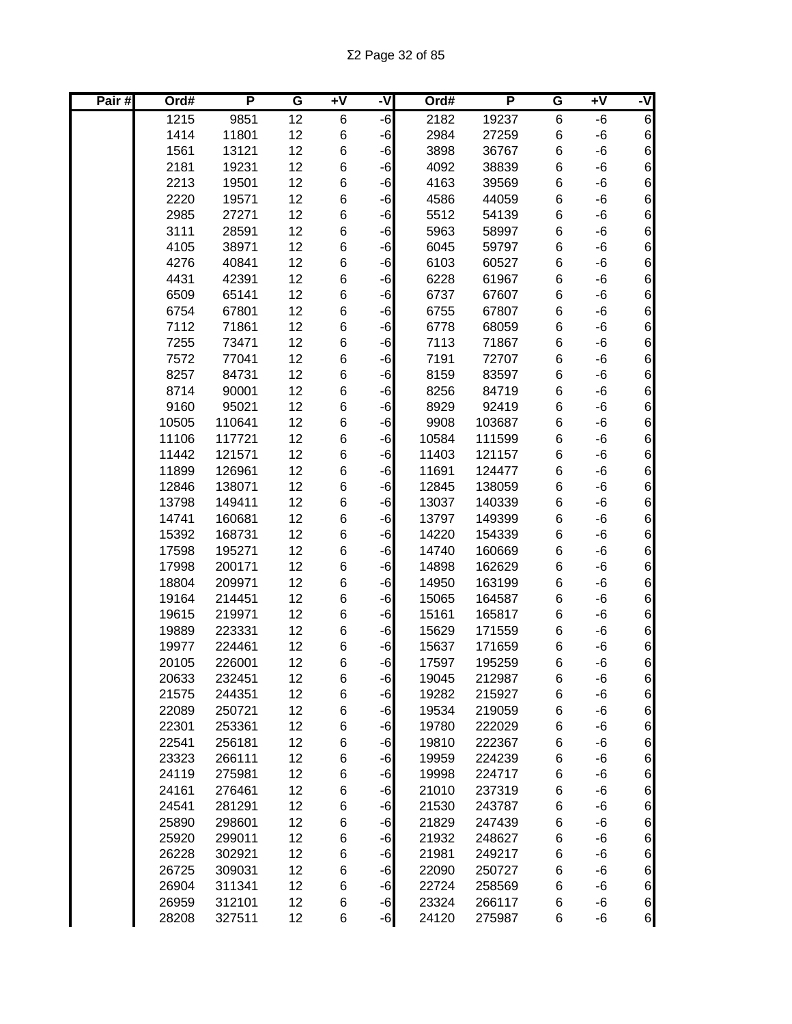| Pair# | Ord#  | Ρ      | G  | $+V$ | ż    | Ord#  | P      | G           | $+V$ | -V               |
|-------|-------|--------|----|------|------|-------|--------|-------------|------|------------------|
|       | 1215  | 9851   | 12 | 6    | $-6$ | 2182  | 19237  | $\,6$       | -6   | 6                |
|       | 1414  | 11801  | 12 | 6    | $-6$ | 2984  | 27259  | $\,6$       | -6   | $\boldsymbol{6}$ |
|       | 1561  | 13121  | 12 | 6    | $-6$ | 3898  | 36767  | $\,6$       | -6   | $\overline{6}$   |
|       | 2181  | 19231  | 12 | 6    | $-6$ | 4092  | 38839  | $\,6$       | $-6$ | $\boldsymbol{6}$ |
|       | 2213  | 19501  | 12 | 6    | $-6$ | 4163  | 39569  | $\,6$       | -6   | $\overline{6}$   |
|       | 2220  | 19571  | 12 | 6    | $-6$ | 4586  | 44059  | $\,6$       | -6   | $6\overline{6}$  |
|       | 2985  | 27271  | 12 | 6    | $-6$ | 5512  | 54139  | 6           | -6   | $\,$ 6 $\,$      |
|       | 3111  | 28591  | 12 | 6    | $-6$ | 5963  | 58997  | $\,6$       | $-6$ | $\boldsymbol{6}$ |
|       | 4105  | 38971  | 12 | 6    | $-6$ | 6045  | 59797  | $\,6$       | -6   | $\boldsymbol{6}$ |
|       | 4276  | 40841  | 12 | 6    | $-6$ | 6103  | 60527  | $\,6$       | -6   | $\boldsymbol{6}$ |
|       | 4431  | 42391  | 12 | 6    | $-6$ | 6228  | 61967  | $\,6$       | -6   | $\overline{6}$   |
|       | 6509  | 65141  | 12 | 6    | $-6$ | 6737  | 67607  | $\,6$       | -6   | $\boldsymbol{6}$ |
|       | 6754  | 67801  | 12 | 6    | -6   | 6755  | 67807  | 6           | -6   | 6                |
|       | 7112  | 71861  | 12 | 6    | -6   | 6778  | 68059  | 6           | -6   | 6<br>6           |
|       | 7255  | 73471  | 12 | 6    | -6   | 7113  | 71867  | $\,6$       | -6   |                  |
|       | 7572  | 77041  | 12 | 6    | $-6$ | 7191  | 72707  | $\,6$       | -6   | $\overline{6}$   |
|       | 8257  | 84731  | 12 | 6    | $-6$ | 8159  | 83597  | $\,6$       | -6   | $\overline{6}$   |
|       | 8714  | 90001  | 12 | 6    | $-6$ | 8256  | 84719  | 6           | -6   | 6                |
|       | 9160  | 95021  | 12 | 6    | $-6$ | 8929  | 92419  | $\,6$       | -6   | $\boldsymbol{6}$ |
|       | 10505 | 110641 | 12 | 6    | $-6$ | 9908  | 103687 | $\,6$       | -6   | $\overline{6}$   |
|       | 11106 | 117721 | 12 | 6    | $-6$ | 10584 | 111599 | 6           | $-6$ | $\boldsymbol{6}$ |
|       | 11442 | 121571 | 12 | 6    | $-6$ | 11403 | 121157 | $\,$ 6 $\,$ | -6   | $\boldsymbol{6}$ |
|       | 11899 | 126961 | 12 | 6    | $-6$ | 11691 | 124477 | 6           | -6   | $\boldsymbol{6}$ |
|       | 12846 | 138071 | 12 | 6    | $-6$ | 12845 | 138059 | 6           | -6   | $\,$ 6 $\,$      |
|       | 13798 | 149411 | 12 | 6    | $-6$ | 13037 | 140339 | $\,6$       | -6   | $6 \mid$         |
|       | 14741 | 160681 | 12 | 6    | $-6$ | 13797 | 149399 | $\,6$       | $-6$ | $\,$ 6 $\,$      |
|       | 15392 | 168731 | 12 | 6    | $-6$ | 14220 | 154339 | $\,6$       | -6   | $\boldsymbol{6}$ |
|       | 17598 | 195271 | 12 | 6    | -6   | 14740 | 160669 | $\,6$       | $-6$ | $\overline{6}$   |
|       | 17998 | 200171 | 12 | 6    | -6   | 14898 | 162629 | $\,6$       | $-6$ | $\overline{6}$   |
|       | 18804 | 209971 | 12 | 6    | -6   | 14950 | 163199 | $\,6$       | -6   | $\overline{6}$   |
|       | 19164 | 214451 | 12 | 6    | -6   | 15065 | 164587 | $\,6$       | -6   | $\overline{6}$   |
|       | 19615 | 219971 | 12 | 6    | $-6$ | 15161 | 165817 | $\,6$       | -6   | $\overline{6}$   |
|       | 19889 | 223331 | 12 | 6    | $-6$ | 15629 | 171559 | 6           | -6   | $\boldsymbol{6}$ |
|       | 19977 | 224461 | 12 | 6    | $-6$ | 15637 | 171659 | 6           | -6   | $\boldsymbol{6}$ |
|       | 20105 | 226001 | 12 | 6    | $-6$ | 17597 | 195259 | 6           | -6   | $6 \mid$         |
|       | 20633 | 232451 | 12 | 6    | $-6$ | 19045 | 212987 | 6           | -6   | $6 \mid$         |
|       | 21575 | 244351 | 12 | 6    | $-6$ | 19282 | 215927 | 6           | -6   | $6 \mid$         |
|       | 22089 | 250721 | 12 | 6    | $-6$ | 19534 | 219059 | 6           | -6   | $6 \mid$         |
|       | 22301 | 253361 | 12 | 6    | $-6$ | 19780 | 222029 | $\,6$       | -6   | $6 \mid$         |
|       | 22541 | 256181 | 12 | 6    | $-6$ | 19810 | 222367 | $\,6$       | -6   | $6 \mid$         |
|       | 23323 | 266111 | 12 | 6    | $-6$ | 19959 | 224239 | $\,6$       | -6   | $6 \mid$         |
|       | 24119 | 275981 | 12 | 6    | $-6$ | 19998 | 224717 | 6           | -6   | $6 \mid$         |
|       | 24161 | 276461 | 12 | 6    | $-6$ | 21010 | 237319 | 6           | -6   | $\,$ 6 $\,$      |
|       | 24541 | 281291 | 12 | 6    | $-6$ | 21530 | 243787 | 6           | -6   | $\,$ 6 $\,$      |
|       | 25890 | 298601 | 12 | 6    | $-6$ | 21829 | 247439 | $\,6$       | -6   | $\boldsymbol{6}$ |
|       | 25920 | 299011 | 12 | 6    | $-6$ | 21932 | 248627 | 6           | -6   | $\boldsymbol{6}$ |
|       | 26228 | 302921 | 12 | 6    | $-6$ | 21981 | 249217 | 6           | -6   | $\overline{6}$   |
|       | 26725 | 309031 | 12 | 6    | $-6$ | 22090 | 250727 | 6           | -6   | $\boldsymbol{6}$ |
|       | 26904 | 311341 | 12 | 6    | $-6$ | 22724 | 258569 | 6           | -6   | $\boldsymbol{6}$ |
|       | 26959 | 312101 | 12 | 6    | $-6$ | 23324 | 266117 | 6           | -6   | $6 \mid$         |
|       | 28208 | 327511 | 12 | 6    | $-6$ | 24120 | 275987 | 6           | -6   | 6                |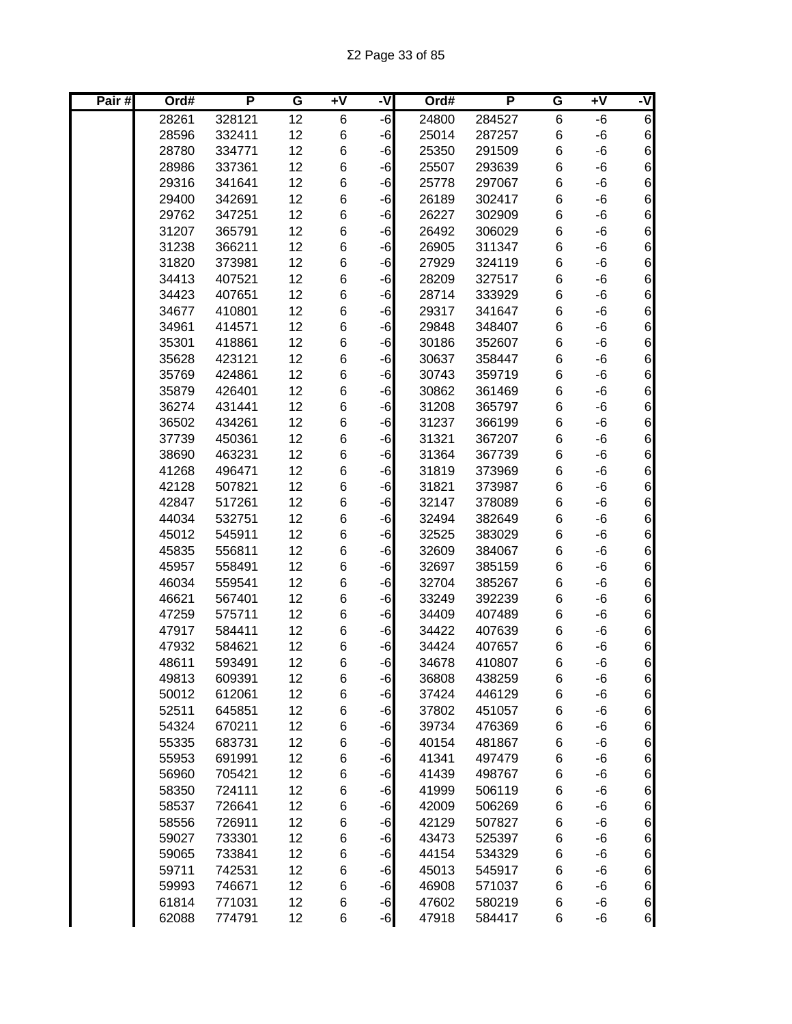| Pair# | Ord#           | P                | G        | $+V$   | -V           | Ord#           | P                | G      | Ŧ٨       | ۲,                                   |
|-------|----------------|------------------|----------|--------|--------------|----------------|------------------|--------|----------|--------------------------------------|
|       | 28261          | 328121           | 12       | 6      | -6           | 24800          | 284527           | 6      | -6       | 6                                    |
|       | 28596          | 332411           | 12       | 6      | $-6$         | 25014          | 287257           | $\,6$  | -6       | $6\overline{6}$                      |
|       | 28780          | 334771           | 12       | 6      | $-6$         | 25350          | 291509           | $\,6$  | -6       | $\boldsymbol{6}$                     |
|       | 28986          | 337361           | 12       | 6      | $-6$         | 25507          | 293639           | $\,6$  | -6       | $6\overline{6}$                      |
|       | 29316          | 341641           | 12       | 6      | $-6$         | 25778          | 297067           | 6      | -6       | $\,$ 6 $\,$                          |
|       | 29400          | 342691           | 12       | 6      | $-6$         | 26189          | 302417           | 6      | -6       | $\,$ 6 $\,$                          |
|       | 29762          | 347251           | 12       | 6      | $-6$         | 26227          | 302909           | 6      | -6       | $\,$ 6 $\,$                          |
|       | 31207          | 365791           | 12       | 6      | $-6$         | 26492          | 306029           | $\,6$  | -6       | $\,$ 6 $\,$                          |
|       | 31238          | 366211           | 12       | 6      | -6           | 26905          | 311347           | 6      | -6       | $\overline{6}$                       |
|       | 31820          | 373981           | 12       | 6      | -6           | 27929          | 324119           | 6      | -6       | 6                                    |
|       | 34413          | 407521           | 12       | 6      | -6           | 28209          | 327517           | $\,6$  | -6       | 6                                    |
|       | 34423          | 407651           | 12       | 6      | -6           | 28714          | 333929           | 6      | -6       | 6                                    |
|       | 34677          | 410801           | 12       | 6      | -6           | 29317          | 341647           | $\,6$  | -6       | $\overline{6}$                       |
|       | 34961          | 414571           | 12       | 6      | -6           | 29848          | 348407           | $\,6$  | -6       | $\overline{6}$                       |
|       | 35301          | 418861           | 12       | 6      | -6           | 30186          | 352607           | $\,6$  | -6       | 6                                    |
|       | 35628          | 423121           | 12       | 6      | -6           | 30637          | 358447           | $\,6$  | -6       | 6                                    |
|       | 35769          | 424861           | 12       | 6      | $-6$         | 30743          | 359719           | 6      | -6       | 6                                    |
|       | 35879          | 426401           | 12       | 6      | -6           | 30862          | 361469           | $\,6$  | -6       | 6                                    |
|       | 36274          | 431441           | 12       | 6      | $-6$         | 31208          | 365797           | $\,6$  | -6       | $\overline{6}$                       |
|       | 36502          | 434261           | 12       | 6      | $-6$         | 31237          | 366199           | $\,6$  | -6       | $\boldsymbol{6}$                     |
|       | 37739          | 450361           | 12       | 6      | $-6$         | 31321          | 367207           | 6      | -6       | $6\overline{6}$                      |
|       | 38690          | 463231           | 12       | 6      | -6           | 31364          | 367739           | 6      | -6       | $\,$ 6 $\,$                          |
|       | 41268          | 496471           | 12       | 6      | $-6$         | 31819          | 373969           | 6      | -6       | $\,$ 6 $\,$                          |
|       | 42128          | 507821           | 12       | 6      | $-6$         | 31821          | 373987           | 6      | -6       | $\,$ 6 $\,$                          |
|       | 42847          | 517261           | 12       | 6      | $-6$         | 32147          | 378089           | $\,6$  | -6       | $\,$ 6 $\,$                          |
|       | 44034          | 532751           | 12       | 6      | -6           | 32494          | 382649           | 6      | -6       | $6\overline{6}$                      |
|       | 45012          | 545911           | 12       | 6      | -6           | 32525          | 383029           | 6      | -6       | 6                                    |
|       | 45835          | 556811           | 12       | 6      | -6           | 32609          | 384067           | $\,6$  | -6       | $\boldsymbol{6}$                     |
|       | 45957          | 558491           | 12       | 6      | -6           | 32697          | 385159           | $\,6$  | -6       | 6                                    |
|       | 46034          | 559541           | 12       | 6      | -6           | 32704          | 385267           | $\,6$  | -6       | 6                                    |
|       | 46621          | 567401           | 12       | 6      | -6           | 33249          | 392239           | 6      | -6       | 6                                    |
|       | 47259          | 575711           | 12       | 6      | $-6$         | 34409          | 407489           | 6      | -6       | 6                                    |
|       | 47917          | 584411           | 12       | 6      | $-6$         | 34422          | 407639           | 6      | -6       | 6                                    |
|       | 47932          | 584621           | 12       | 6      | -6           | 34424          | 407657           | 6      | -6       | $\boldsymbol{6}$                     |
|       | 48611          | 593491           | 12       | 6      | $-6$         | 34678          | 410807           | 6      | -6       | $6 \overline{}$                      |
|       | 49813          | 609391           | 12       | 6      | $-6$         | 36808          | 438259           | 6      | -6       | $6 \mid$                             |
|       | 50012          | 612061           | 12       | 6      | $-6$         | 37424          | 446129           | 6      | -6       | $6 \mid$                             |
|       | 52511          | 645851           | 12       | 6      | $-6$         | 37802          | 451057           | $\,6$  | -6       | $6 \mid$                             |
|       | 54324          | 670211           | 12       | 6      | $-6$         | 39734          | 476369           | $\,6$  | -6       | $6 \mid$                             |
|       | 55335          | 683731           | 12       | 6      | $-6$         | 40154          | 481867           | $\,6$  | -6       | $6 \mid$                             |
|       | 55953          | 691991           | 12       | 6      | $-6$         | 41341          | 497479           | 6      | -6       | $6 \mid$                             |
|       | 56960          | 705421           | 12       | 6      | $-6$         | 41439          | 498767           | 6      | -6       | $\,$ 6 $\,$                          |
|       | 58350          | 724111           | 12       | 6      | $-6$         | 41999          | 506119           | 6      | -6       | $\,$ 6 $\,$                          |
|       | 58537          | 726641           | 12       | 6      | $-6$         | 42009          | 506269           | 6      | -6       | $\overline{6}$                       |
|       | 58556          | 726911           | 12       | 6      | $-6$         | 42129          | 507827           | 6      | -6       | $\boldsymbol{6}$                     |
|       | 59027          | 733301           | 12       | 6      | $-6$         | 43473          | 525397           | 6      | -6       | $\overline{6}$                       |
|       | 59065          | 733841<br>742531 | 12<br>12 | 6<br>6 | $-6$<br>$-6$ | 44154          | 534329           | 6      | -6       | $\boldsymbol{6}$<br>$\boldsymbol{6}$ |
|       | 59711<br>59993 | 746671           | 12       | 6      |              | 45013<br>46908 | 545917<br>571037 | 6<br>6 | -6<br>-6 | $6 \overline{}$                      |
|       | 61814          | 771031           | 12       | 6      | $-6$<br>$-6$ | 47602          | 580219           | 6      | -6       | $6\overline{6}$                      |
|       | 62088          | 774791           | 12       | 6      | $-6$         | 47918          | 584417           | 6      | -6       | $\mathbf 6$                          |
|       |                |                  |          |        |              |                |                  |        |          |                                      |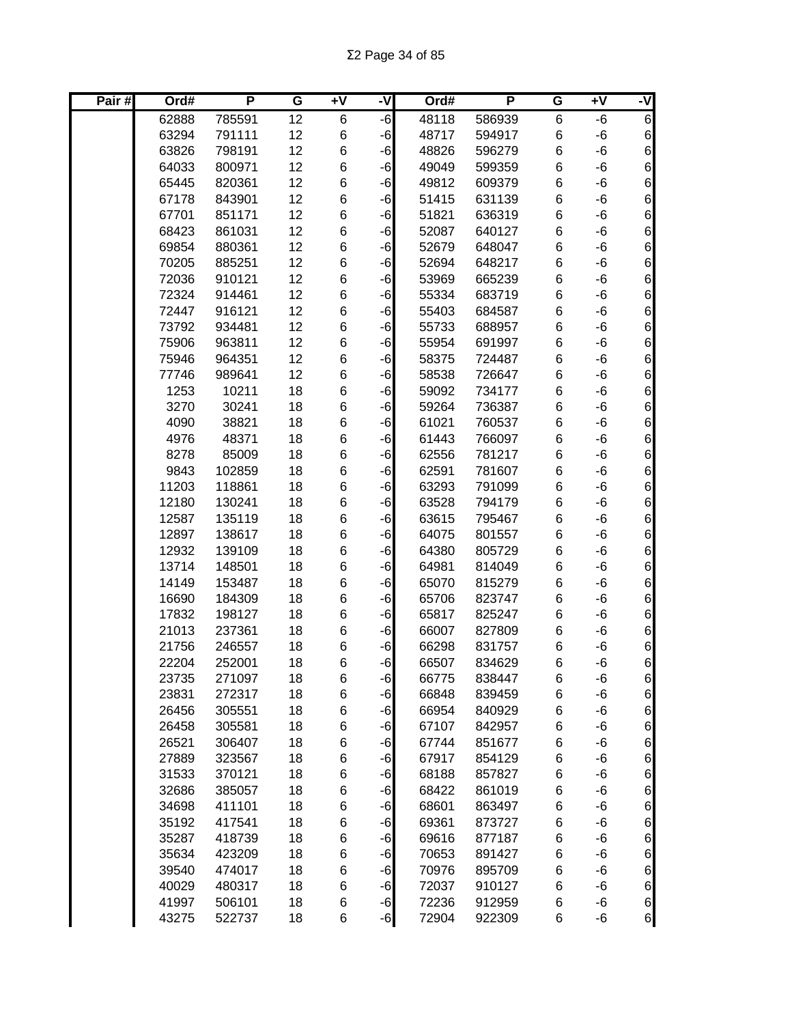| Pair# | Ord#           | P                | G               | $\overline{+V}$ | -V   | Ord#           | P                | G      | $+V$     | -V                      |
|-------|----------------|------------------|-----------------|-----------------|------|----------------|------------------|--------|----------|-------------------------|
|       | 62888          | 785591           | $\overline{12}$ | 6               | -6   | 48118          | 586939           | 6      | $-6$     | 6                       |
|       | 63294          | 791111           | 12              | 6               | -6   | 48717          | 594917           | 6      | -6       | $6 \mid$                |
|       | 63826          | 798191           | 12              | 6               | -6   | 48826          | 596279           | 6      | -6       | $6 \mid$                |
|       | 64033          | 800971           | 12              | 6               | -6   | 49049          | 599359           | $\,6$  | -6       | $6 \mid$                |
|       | 65445          | 820361           | 12              | 6               | -6   | 49812          | 609379           | $\,6$  | -6       | $6 \mid$                |
|       | 67178          | 843901           | 12              | 6               | -6   | 51415          | 631139           | $\,6$  | -6       | $6 \mid$                |
|       | 67701          | 851171           | 12              | 6               | -6   | 51821          | 636319           | $\,6$  | -6       | $6 \mid$                |
|       | 68423          | 861031           | 12              | 6               | -6   | 52087          | 640127           | 6      | -6       | $6 \mid$                |
|       | 69854          | 880361           | 12              | 6               | -6   | 52679          | 648047           | 6      | -6       | $6 \mid$                |
|       | 70205          | 885251           | 12              | 6               | $-6$ | 52694          | 648217           | 6      | -6       | $6 \mid$                |
|       | 72036          | 910121           | 12              | 6               | $-6$ | 53969          | 665239           | 6      | -6       | $\boldsymbol{6}$        |
|       | 72324          | 914461           | 12              | 6               | -6   | 55334          | 683719           | $\,6$  | -6       | $\boldsymbol{6}$        |
|       | 72447          | 916121           | 12              | 6               | -6   | 55403          | 684587           | $\,6$  | -6       | $\boldsymbol{6}$        |
|       | 73792          | 934481           | 12              | 6               | $-6$ | 55733          | 688957           | $\,6$  | -6       | $6 \mid$                |
|       | 75906          | 963811           | 12              | 6               | -6   | 55954          | 691997           | $\,6$  | -6       | $6 \mid$                |
|       | 75946          | 964351           | 12              | 6               | -6   | 58375          | 724487           | $\,6$  | -6       | $6 \mid$                |
|       | 77746          | 989641           | 12              | 6               | -6   | 58538          | 726647           | 6      | -6       | $\,$ 6 $\,$             |
|       | 1253           | 10211            | 18              | 6               | -6   | 59092          | 734177           | 6      | -6       | $6\vert$                |
|       | 3270           | 30241            | 18              | 6               | -6   | 59264          | 736387           | 6      | -6       | $6 \mid$                |
|       | 4090           | 38821            | 18              | 6               | -6   | 61021          | 760537           | 6      | -6       | $6 \mid$                |
|       | 4976           | 48371            | 18              | 6               | -6   | 61443          | 766097           | 6      | -6       | $6 \mid$                |
|       | 8278           | 85009            | 18              | 6               | -6   | 62556          | 781217           | $\,6$  | -6       | $6 \mid$                |
|       | 9843           | 102859           | 18              | 6               | -6   | 62591          | 781607           | $\,6$  | -6       | 6                       |
|       | 11203          | 118861           | 18              | 6               | -6   | 63293          | 791099           | $\,6$  | -6       | $6 \mid$                |
|       | 12180          | 130241           | 18              | 6               | -6   | 63528          | 794179           | 6      | -6       | 6                       |
|       | 12587          | 135119           | 18              | 6               | -6   | 63615          | 795467           | 6      | -6       | $6 \mid$                |
|       | 12897          | 138617           | 18              | 6               | -6   | 64075          | 801557           | 6      | -6       | $6 \mid$                |
|       | 12932          | 139109           | 18              | 6               | $-6$ | 64380          | 805729           | 6      | -6       | $6\vert$                |
|       | 13714          | 148501           | 18              | 6               | -6   | 64981          | 814049           | $\,6$  | -6       | $\boldsymbol{6}$        |
|       | 14149          | 153487           | 18              | 6               | -6   | 65070          | 815279           | $\,6$  | -6       | $6\vert$                |
|       | 16690          | 184309           | 18              | 6               | -6   | 65706          | 823747           | 6      | -6       | $6 \mid$                |
|       | 17832          | 198127           | 18              | 6               | -6   | 65817          | 825247           | $\,6$  | -6       | $6 \mid$                |
|       | 21013          | 237361           | 18              | 6               | -6   | 66007          | 827809           | 6      | -6       | $6 \mid$                |
|       | 21756          | 246557           | 18              | 6               | -6   | 66298          | 831757           | 6      | -6       | $6 \mid$                |
|       | 22204          | 252001           | 18              | 6               | $-6$ | 66507          | 834629           | 6      | -6       | $6 \mid$                |
|       | 23735          | 271097           | 18              | 6               | $-6$ | 66775          | 838447           | 6      | -6       | $6 \mid$                |
|       | 23831          | 272317           | 18              | 6               | $-6$ | 66848          | 839459           | 6      | -6       | 6                       |
|       | 26456          | 305551           | 18              | 6               | $-6$ | 66954          | 840929           | 6      | -6       | 6                       |
|       | 26458          | 305581           | 18              | 6               | $-6$ | 67107          | 842957           | 6      | -6       | 6                       |
|       | 26521          | 306407           | 18              | 6               | $-6$ | 67744          | 851677           | 6      | -6       | $6 \mid$                |
|       | 27889          | 323567           | 18              | 6               | $-6$ | 67917          | 854129           | 6      | -6       | $6 \mid$                |
|       | 31533          | 370121           | 18              | 6               | $-6$ | 68188          | 857827           | 6      | -6       | $6 \mid$                |
|       | 32686          | 385057           | 18              | 6               | $-6$ | 68422          | 861019           | 6      | -6       | $6 \mid$                |
|       | 34698          | 411101           | 18              | 6               | -6   | 68601          | 863497           | 6      | -6       | $6 \mid$                |
|       | 35192          | 417541           | 18              | 6               | -6   | 69361          | 873727           | 6      | -6       | $6 \mid$                |
|       | 35287          | 418739           | 18              | 6               | -6   | 69616          | 877187           | 6      | -6       | $6 \mid$                |
|       | 35634          | 423209           | 18              | 6               | -6   | 70653          | 891427           | 6      | -6       | $6 \mid$                |
|       | 39540          | 474017           | 18              | 6               | $-6$ | 70976          | 895709           | 6      | -6       | $6 \mid$                |
|       | 40029          | 480317           | 18              | 6               | $-6$ | 72037          | 910127           | 6      | -6       | $6 \mid$                |
|       | 41997<br>43275 | 506101<br>522737 | 18<br>18        | 6<br>6          | $-6$ | 72236<br>72904 | 912959<br>922309 | 6<br>6 | -6<br>-6 | $\mathbf 6$<br>$6 \mid$ |
|       |                |                  |                 |                 | $-6$ |                |                  |        |          |                         |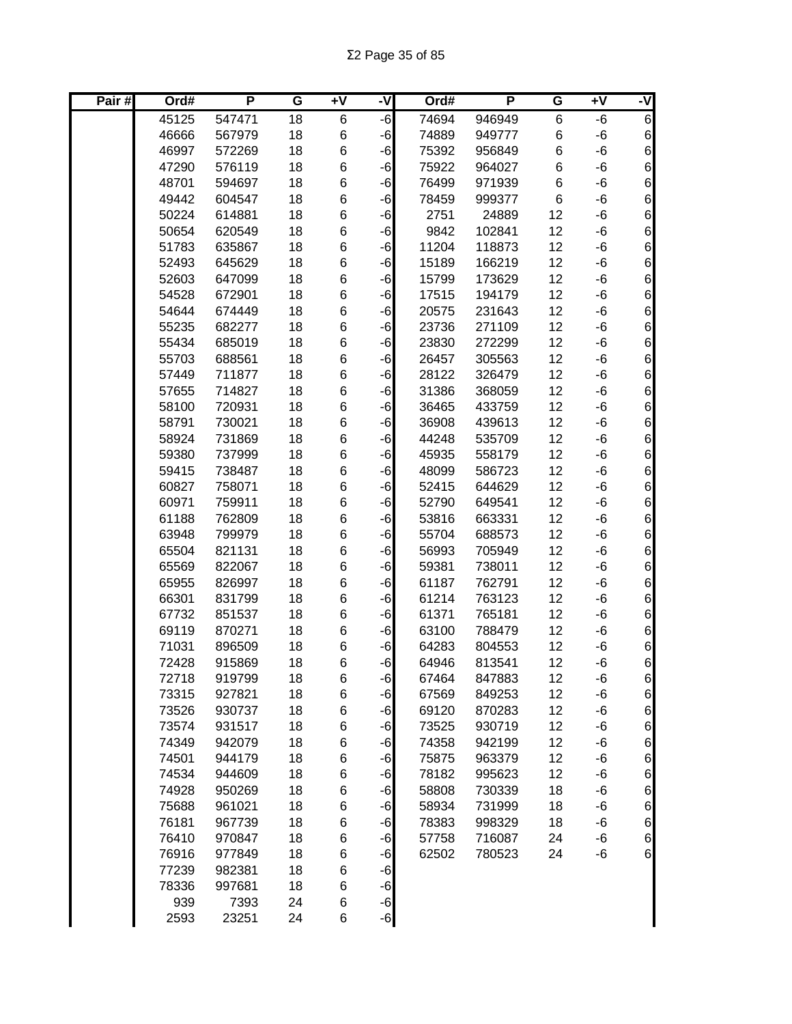| Pair# | Ord#         | P      | G  | $\overline{+V}$ | -V   | Ord#  | P      | G     | Ŧ٨ | -V                              |
|-------|--------------|--------|----|-----------------|------|-------|--------|-------|----|---------------------------------|
|       | 45125        | 547471 | 18 | 6               | $-6$ | 74694 | 946949 | $\,6$ | -6 | 6                               |
|       | 46666        | 567979 | 18 | 6               | $-6$ | 74889 | 949777 | 6     | -6 | 6                               |
|       | 46997        | 572269 | 18 | 6               | $-6$ | 75392 | 956849 | 6     | -6 | $6\overline{6}$                 |
|       | 47290        | 576119 | 18 | 6               | $-6$ | 75922 | 964027 | 6     | -6 | $\,$ 6 $\,$                     |
|       | 48701        | 594697 | 18 | 6               | $-6$ | 76499 | 971939 | 6     | -6 | $\,$ 6 $\,$                     |
|       | 49442        | 604547 | 18 | 6               | $-6$ | 78459 | 999377 | 6     | -6 | $\,$ 6 $\,$                     |
|       | 50224        | 614881 | 18 | 6               | $-6$ | 2751  | 24889  | 12    | -6 | $\boldsymbol{6}$                |
|       | 50654        | 620549 | 18 | 6               | $-6$ | 9842  | 102841 | 12    | -6 | $\,$ 6 $\,$                     |
|       | 51783        | 635867 | 18 | 6               | $-6$ | 11204 | 118873 | 12    | -6 | $\boldsymbol{6}$                |
|       | 52493        | 645629 | 18 | 6               | $-6$ | 15189 | 166219 | 12    | -6 | 6                               |
|       | 52603        | 647099 | 18 | 6               | -6   | 15799 | 173629 | 12    | -6 | $\boldsymbol{6}$                |
|       | 54528        | 672901 | 18 | 6               | -6   | 17515 | 194179 | 12    | -6 | $\boldsymbol{6}$                |
|       | 54644        | 674449 | 18 | 6               | -6   | 20575 | 231643 | 12    | -6 | 6                               |
|       | 55235        | 682277 | 18 | 6               | -6   | 23736 | 271109 | 12    | -6 | 6                               |
|       | 55434        | 685019 | 18 | 6               | $-6$ | 23830 | 272299 | 12    | -6 | $\boldsymbol{6}$                |
|       | 55703        | 688561 | 18 | 6               | $-6$ | 26457 | 305563 | 12    | -6 | $\boldsymbol{6}$                |
|       | 57449        | 711877 | 18 | 6               | $-6$ | 28122 | 326479 | 12    | -6 | $\overline{6}$                  |
|       | 57655        | 714827 | 18 | 6               | $-6$ | 31386 | 368059 | 12    | -6 | 6                               |
|       | 58100        | 720931 | 18 | 6               | $-6$ | 36465 | 433759 | 12    | -6 | 6                               |
|       | 58791        | 730021 | 18 | 6               | $-6$ | 36908 | 439613 | 12    | -6 | $6\overline{6}$                 |
|       | 58924        | 731869 | 18 | 6               | $-6$ | 44248 | 535709 | 12    | -6 | $\,$ 6 $\,$                     |
|       | 59380        | 737999 | 18 | 6               | $-6$ | 45935 | 558179 | 12    | -6 | $\,$ 6 $\,$                     |
|       | 59415        | 738487 | 18 | 6               | $-6$ | 48099 | 586723 | 12    | -6 | $6 \mid$                        |
|       | 60827        | 758071 | 18 | 6               | $-6$ | 52415 | 644629 | 12    | -6 | $6 \mid$                        |
|       | 60971        | 759911 | 18 | 6               | $-6$ | 52790 | 649541 | 12    | -6 | $\,$ 6 $\,$                     |
|       | 61188        | 762809 | 18 | 6               | $-6$ | 53816 | 663331 | 12    | -6 | $\,$ 6 $\,$                     |
|       | 63948        | 799979 | 18 | 6               | $-6$ | 55704 | 688573 | 12    | -6 | $\overline{6}$                  |
|       | 65504        | 821131 | 18 | 6               | $-6$ | 56993 | 705949 | 12    | -6 | $\overline{6}$                  |
|       | 65569        | 822067 | 18 | 6               | -6   | 59381 | 738011 | 12    | -6 | $\boldsymbol{6}$                |
|       | 65955        | 826997 | 18 | 6               | -6   | 61187 | 762791 | 12    | -6 | $\overline{6}$                  |
|       | 66301        | 831799 | 18 | 6               | $-6$ | 61214 | 763123 | 12    | -6 | $\boldsymbol{6}$                |
|       | 67732        | 851537 | 18 | 6               | $-6$ | 61371 | 765181 | 12    | -6 | $\boldsymbol{6}$                |
|       | 69119        | 870271 | 18 | 6               | $-6$ | 63100 | 788479 | 12    | -6 | $\boldsymbol{6}$                |
|       | 71031        | 896509 | 18 | 6               | $-6$ | 64283 | 804553 | 12    | -6 | $6\overline{6}$                 |
|       | 72428        | 915869 | 18 | 6               | $-6$ | 64946 | 813541 | 12    | -6 | $6 \overline{}$                 |
|       | 72718        | 919799 | 18 | 6               | $-6$ | 67464 | 847883 | 12    | -6 | $6 \mid$                        |
|       | 73315        | 927821 | 18 | 6               | $-6$ | 67569 | 849253 | 12    | -6 | $6 \mid$                        |
|       | 73526        | 930737 | 18 | 6               | $-6$ | 69120 | 870283 | 12    | -6 | $6 \overline{6}$                |
|       | 73574        | 931517 | 18 | 6               | $-6$ | 73525 | 930719 | 12    | -6 | $6 \overline{6}$                |
|       | 74349        | 942079 | 18 | 6               | $-6$ | 74358 | 942199 | 12    | -6 | $6 \overline{6}$                |
|       | 74501        | 944179 | 18 | 6               | $-6$ | 75875 | 963379 | 12    | -6 | 6                               |
|       | 74534        | 944609 | 18 | 6               | $-6$ | 78182 | 995623 | 12    | -6 | $6 \mid$                        |
|       | 74928        | 950269 | 18 | 6               | $-6$ | 58808 | 730339 | 18    | -6 | $\,$ 6 $\,$                     |
|       | 75688        | 961021 | 18 | 6               | $-6$ | 58934 | 731999 | 18    | -6 | $\,$ 6 $\,$                     |
|       | 76181        | 967739 | 18 | 6               | $-6$ | 78383 | 998329 | 18    | -6 | $6\overline{6}$                 |
|       | 76410        | 970847 | 18 | 6               | $-6$ | 57758 | 716087 | 24    | -6 | $\boldsymbol{6}$<br>$\,$ 6 $\,$ |
|       | 76916        | 977849 | 18 | 6               | $-6$ | 62502 | 780523 | 24    | -6 |                                 |
|       | 77239        | 982381 | 18 | 6               | $-6$ |       |        |       |    |                                 |
|       | 78336<br>939 | 997681 | 18 | 6               | $-6$ |       |        |       |    |                                 |
|       |              | 7393   | 24 | 6               | $-6$ |       |        |       |    |                                 |
|       | 2593         | 23251  | 24 | 6               | $-6$ |       |        |       |    |                                 |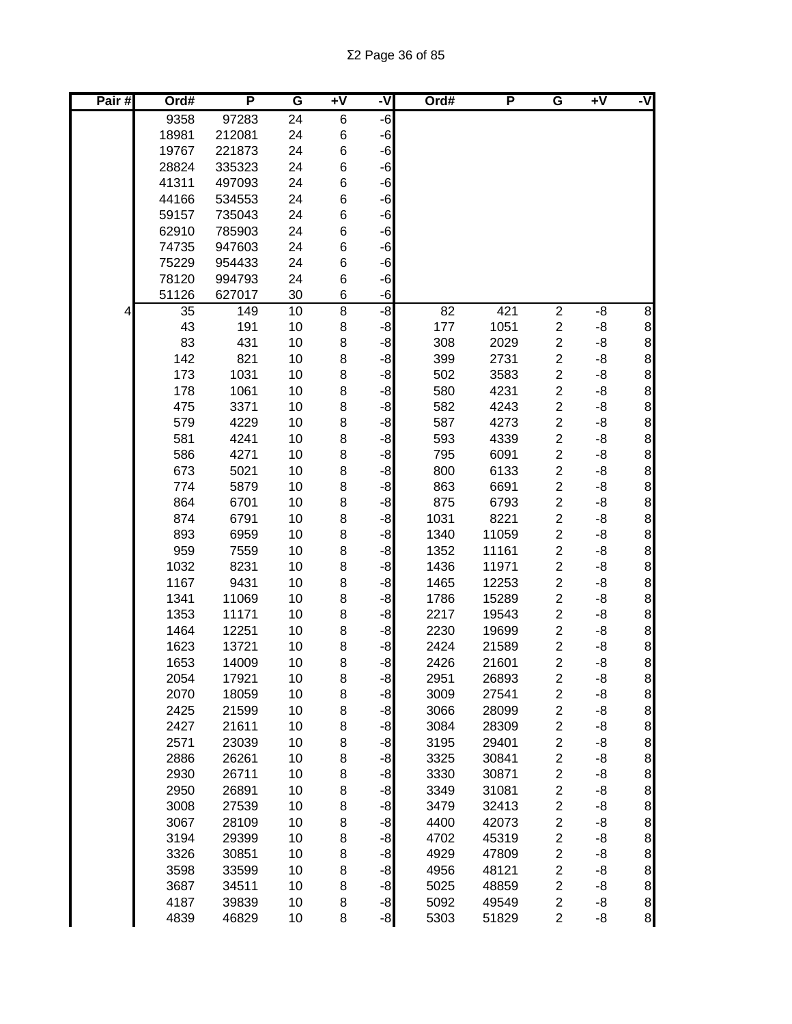| Pair# | Ord#         | P              | G        | +V             | -V           | Ord#         | P              | G                                         | $+V$        | -V                                    |
|-------|--------------|----------------|----------|----------------|--------------|--------------|----------------|-------------------------------------------|-------------|---------------------------------------|
|       | 9358         | 97283          | 24       | 6              | $-6$         |              |                |                                           |             |                                       |
|       | 18981        | 212081         | 24       | 6              | $-6$         |              |                |                                           |             |                                       |
|       | 19767        | 221873         | 24       | 6              | $-6$         |              |                |                                           |             |                                       |
|       | 28824        | 335323         | 24       | 6              | $-6$         |              |                |                                           |             |                                       |
|       | 41311        | 497093         | 24       | 6              | $-6$         |              |                |                                           |             |                                       |
|       | 44166        | 534553         | 24       | 6              | $-6$         |              |                |                                           |             |                                       |
|       | 59157        | 735043         | 24       | 6              | $-6$         |              |                |                                           |             |                                       |
|       | 62910        | 785903         | 24       | 6              | $-6$         |              |                |                                           |             |                                       |
|       | 74735        | 947603         | 24       | 6              | $-6$         |              |                |                                           |             |                                       |
|       | 75229        | 954433         | 24       | 6              | $-6$         |              |                |                                           |             |                                       |
|       | 78120        | 994793         | 24       | 6              | -6           |              |                |                                           |             |                                       |
|       | 51126        | 627017         | 30       | 6              | -6           |              |                |                                           |             |                                       |
| 4     | 35           | 149            | 10       | $\overline{8}$ | စ်           | 82           | 421            | $\boldsymbol{2}$                          | -8          | 8                                     |
|       | 43           | 191            | 10       | 8              | -8           | 177          | 1051           | $\overline{\mathbf{c}}$                   | -8          | 8<br>8<br>8                           |
|       | 83           | 431            | 10       | 8              | -8           | 308          | 2029           | $\overline{c}$                            | -8          |                                       |
|       | 142          | 821            | 10       | 8              | $-8$         | 399          | 2731           | $\overline{c}$                            | -8          |                                       |
|       | 173          | 1031           | 10       | 8              | $-8$         | 502          | 3583           | $\overline{\mathbf{c}}$                   | -8          | $\mathbf{8}$                          |
|       | 178          | 1061           | 10       | 8              | $-8$         | 580          | 4231           | $\overline{c}$                            | -8          | $\mathbf{8}$                          |
|       | 475          | 3371           | 10       | 8              | $-8$         | 582          | 4243           | $\overline{\mathbf{c}}$                   | -8          | 8                                     |
|       | 579          | 4229           | 10       | 8              | $-8$         | 587          | 4273           | $\overline{c}$                            | -8          | $\mathbf{8}$                          |
|       | 581          | 4241           | 10       | 8              | $-8$         | 593          | 4339           | $\overline{c}$                            | -8          | 8                                     |
|       | 586          | 4271           | 10       | 8              | $-8$         | 795          | 6091           | $\overline{c}$                            | -8          | $\mathbf{8}$                          |
|       | 673          | 5021           | 10       | 8              | $-8$         | 800          | 6133           | $\overline{c}$                            | -8          | 8                                     |
|       | 774          | 5879           | 10       | 8              | $-8$         | 863          | 6691           | $\overline{c}$                            | -8          | $\bf 8$                               |
|       | 864          | 6701           | 10       | 8              | $-8$         | 875          | 6793           | $\overline{c}$                            | -8          | $\bf{8}$                              |
|       | 874          | 6791           | 10       | 8              | $-8$         | 1031         | 8221           | $\overline{c}$                            | -8          | $\bf 8$                               |
|       | 893          | 6959           | 10       | 8              | $-8$         | 1340         | 11059          | $\overline{c}$                            | -8          | $\bf 8$                               |
|       | 959          | 7559           | 10       | 8              | $-8$         | 1352         | 11161          | $\overline{c}$                            | $-8$        | 8                                     |
|       | 1032         | 8231           | 10       | 8              | $-8$         | 1436         | 11971          | $\overline{c}$                            | -8          | $\mathbf{8}$                          |
|       | 1167         | 9431           | 10       | 8              | -8           | 1465         | 12253          | $\overline{c}$                            | -8          | $\frac{8}{8}$                         |
|       | 1341         | 11069          | 10       | 8              | -8           | 1786         | 15289          | $\overline{c}$                            | -8          |                                       |
|       | 1353         | 11171          | 10       | 8              | $-8$         | 2217         | 19543          | $\overline{c}$                            | -8          |                                       |
|       | 1464         | 12251          | 10       | 8              | $-8$         | 2230<br>2424 | 19699          | $\overline{c}$                            | -8          | $\mathbf{8}$                          |
|       | 1623         | 13721<br>14009 | 10<br>10 | 8<br>8         | $-8$<br>$-8$ | 2426         | 21589<br>21601 | $\overline{\mathbf{c}}$<br>$\overline{2}$ | -8<br>-8    | $\mathbf{8}$<br>$\bf{8}$              |
|       | 1653<br>2054 | 17921          | 10       | 8              |              | 2951         | 26893          | $\overline{\mathbf{c}}$                   | -8          |                                       |
|       | 2070         | 18059          | 10       | 8              | $-8$<br>$-8$ | 3009         | 27541          | $\overline{\mathbf{c}}$                   | -8          | 8 <sup>1</sup><br>$\bf{8}$            |
|       | 2425         | 21599          | 10       | 8              | $-8$         | 3066         | 28099          | $\overline{c}$                            | -8          | $\bf{8}$                              |
|       | 2427         | 21611          | 10       | 8              | $-8$         | 3084         | 28309          | $\overline{\mathbf{c}}$                   | -8          | $\bf{8}$                              |
|       | 2571         | 23039          | 10       | 8              | $-8$         | 3195         | 29401          | $\overline{c}$                            | -8          | $\bf{8}$                              |
|       | 2886         | 26261          | 10       | 8              | $-8$         | 3325         | 30841          | $\overline{c}$                            | -8          | $\bf{8}$                              |
|       | 2930         | 26711          | 10       | 8              | $-8$         | 3330         | 30871          | $\overline{c}$                            | -8          | $\bf{8}$                              |
|       | 2950         | 26891          | 10       | 8              | $-8$         | 3349         | 31081          | $\overline{c}$                            | -8          | $\bf{8}$                              |
|       | 3008         | 27539          | 10       | 8              | $-8$         | 3479         | 32413          | $\overline{c}$                            | -8          | $\bf{8}$                              |
|       | 3067         | 28109          | 10       | 8              | $-8$         | 4400         | 42073          | $\overline{c}$                            | -8          | $\bf{8}$                              |
|       | 3194         | 29399          | 10       | 8              | $-8$         | 4702         | 45319          | $\overline{c}$                            | $\mbox{-}8$ | $\bf{8}$                              |
|       | 3326         | 30851          | 10       | 8              | $-8$         | 4929         | 47809          | $\overline{c}$                            | -8          | $\mathbf{8}$                          |
|       | 3598         | 33599          | 10       | 8              | $-8$         | 4956         | 48121          | $\overline{\mathbf{c}}$                   | -8          |                                       |
|       | 3687         | 34511          | 10       | 8              | $-8$         | 5025         | 48859          | $\overline{c}$                            | -8          | $\begin{array}{c} 8 \\ 8 \end{array}$ |
|       | 4187         | 39839          | 10       | 8              | $-8$         | 5092         | 49549          | $\overline{\mathbf{c}}$                   | -8          | 8                                     |
|       | 4839         | 46829          | 10       | 8              | $-8$         | 5303         | 51829          | $\overline{2}$                            | -8          | $\bf{8}$                              |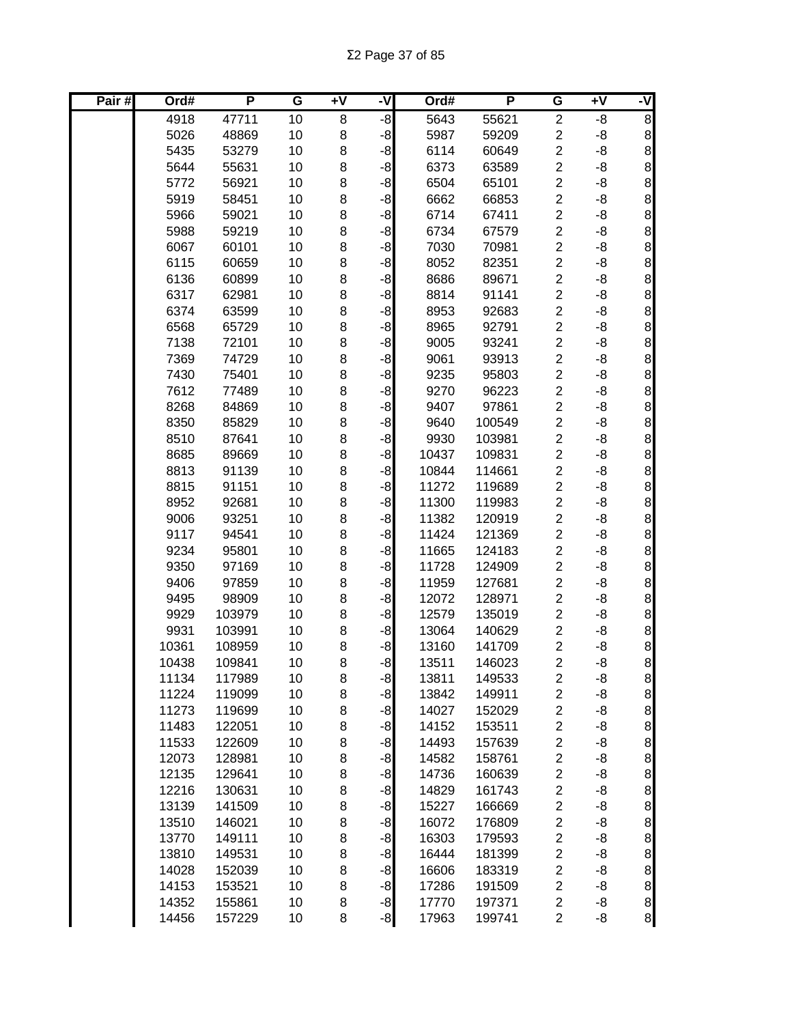| Pair# | Ord#           | P                | G        | Ŧ٨      | -V           | Ord#           | P                | G                                         | Ŧ٨       | ۲,                                         |
|-------|----------------|------------------|----------|---------|--------------|----------------|------------------|-------------------------------------------|----------|--------------------------------------------|
|       | 4918           | 47711            | 10       | 8       | -8           | 5643           | 55621            | $\overline{2}$                            | -8       | $\overline{8}$                             |
|       | 5026           | 48869            | 10       | 8       | $-8$         | 5987           | 59209            | $\boldsymbol{2}$                          | -8       | 8                                          |
|       | 5435           | 53279            | 10       | 8       | $-8$         | 6114           | 60649            | $\overline{c}$                            | -8       | $\begin{matrix}8\\8\end{matrix}$           |
|       | 5644           | 55631            | 10       | 8       | $-8$         | 6373           | 63589            | $\overline{c}$                            | -8       |                                            |
|       | 5772           | 56921            | 10       | $\bf 8$ | $-8$         | 6504           | 65101            | $\overline{c}$                            | -8       | $\bf{8}$                                   |
|       | 5919           | 58451            | 10       | 8       | $-8$         | 6662           | 66853            | $\boldsymbol{2}$                          | -8       | 8                                          |
|       | 5966           | 59021            | 10       | 8       | $-8$         | 6714           | 67411            | $\overline{c}$                            | -8       | 8                                          |
|       | 5988           | 59219            | 10       | $\bf 8$ | $-8$         | 6734           | 67579            | $\boldsymbol{2}$                          | -8       | 8                                          |
|       | 6067           | 60101            | 10       | 8       | $-8$         | 7030           | 70981            | $\boldsymbol{2}$                          | -8       |                                            |
|       | 6115           | 60659            | 10       | $\bf 8$ | $-8$         | 8052           | 82351            | $\overline{c}$                            | -8       |                                            |
|       | 6136           | 60899            | 10       | 8       | -8           | 8686           | 89671            | $\overline{c}$                            | -8       |                                            |
|       | 6317           | 62981            | 10       | 8       | -8           | 8814           | 91141            | $\overline{c}$                            | -8       |                                            |
|       | 6374           | 63599            | 10       | 8       | -8           | 8953           | 92683            | $\boldsymbol{2}$                          | -8       |                                            |
|       | 6568           | 65729            | 10       | 8       | $-8$         | 8965           | 92791            | $\boldsymbol{2}$                          | -8       |                                            |
|       | 7138           | 72101            | 10       | 8       | $-8$         | 9005           | 93241            | $\boldsymbol{2}$                          | -8       |                                            |
|       | 7369           | 74729            | 10       | 8       | $-8$         | 9061           | 93913            | $\boldsymbol{2}$                          | -8       |                                            |
|       | 7430           | 75401            | 10       | 8       | $-8$         | 9235           | 95803            | $\overline{\mathbf{c}}$                   | -8       | တ တ တ တ တ တ တ တ တ တ တ                      |
|       | 7612           | 77489            | 10       | 8       | $-8$         | 9270           | 96223            | $\boldsymbol{2}$                          | -8       |                                            |
|       | 8268           | 84869            | 10       | 8       | $-8$         | 9407           | 97861            | $\overline{\mathbf{c}}$                   | -8       |                                            |
|       | 8350           | 85829            | 10       | 8       | $-8$         | 9640           | 100549           | $\overline{c}$                            | -8       | 8                                          |
|       | 8510           | 87641            | 10       | 8       | $-8$         | 9930           | 103981           | $\overline{c}$                            | -8       | $\bf{8}$                                   |
|       | 8685           | 89669            | 10       | $\bf 8$ | $-8$         | 10437          | 109831           | $\overline{c}$                            | -8       | 8                                          |
|       | 8813           | 91139            | 10       | 8       | $-8$         | 10844          | 114661           | $\overline{c}$                            | -8       | $\bf{8}$                                   |
|       | 8815           | 91151            | 10       | 8       | $-8$         | 11272          | 119689           | $\overline{c}$                            | -8       | $\bf{8}$                                   |
|       | 8952           | 92681            | 10       | 8       | $-8$         | 11300          | 119983           | $\boldsymbol{2}$                          | -8       | 8                                          |
|       | 9006           | 93251            | 10       | 8       | -8           | 11382          | 120919           | $\overline{c}$                            | -8       |                                            |
|       | 9117           | 94541            | 10       | 8       | -8           | 11424          | 121369           | $\overline{c}$                            | -8       |                                            |
|       | 9234           | 95801            | 10       | 8       | -8           | 11665          | 124183           | $\overline{c}$                            | -8       | တ တ တ တ တ တ တ တ တ တ                        |
|       | 9350           | 97169            | 10       | 8       | -8           | 11728          | 124909           | $\overline{c}$                            | -8       |                                            |
|       | 9406           | 97859            | 10       | 8       | -8           | 11959          | 127681           | $\boldsymbol{2}$                          | -8       |                                            |
|       | 9495           | 98909            | 10       | 8       | $-8$         | 12072          | 128971           | $\overline{c}$                            | -8       |                                            |
|       | 9929           | 103979           | 10       | 8       | $-8$         | 12579          | 135019           | $\boldsymbol{2}$                          | -8       |                                            |
|       | 9931           | 103991           | 10       | 8       | $-8$         | 13064          | 140629           | $\overline{c}$                            | -8       |                                            |
|       | 10361          | 108959           | 10       | 8       | $-8$         | 13160          | 141709           | $\overline{\mathbf{c}}$                   | -8       |                                            |
|       | 10438          | 109841           | 10       | 8       | $-8$         | 13511          | 146023           | $\overline{2}$                            | -8       |                                            |
|       | 11134          | 117989           | 10       | 8       | $-8$         | 13811          | 149533           | $\overline{\mathbf{c}}$                   | -8       | 8 <sup>1</sup>                             |
|       | 11224          | 119099           | 10       | 8       | $-8$         | 13842          | 149911           | $\overline{\mathbf{c}}$                   | -8       | $\bf{8}$                                   |
|       | 11273          | 119699           | 10       | 8       | $-8$         | 14027          | 152029           | $\boldsymbol{2}$                          | -8       | $\bf{8}$                                   |
|       | 11483<br>11533 | 122051<br>122609 | 10<br>10 | 8       | $-8$<br>$-8$ | 14152          | 153511           | $\overline{c}$<br>$\overline{\mathbf{c}}$ | -8<br>-8 | $\bf{8}$<br>$\bf{8}$                       |
|       | 12073          | 128981           | 10       | 8<br>8  | $-8$         | 14493<br>14582 | 157639<br>158761 | $\overline{c}$                            | -8       | $\bf{8}$                                   |
|       | 12135          | 129641           | 10       | 8       | $-8$         | 14736          | 160639           | $\overline{c}$                            | -8       | 8                                          |
|       | 12216          | 130631           | 10       | 8       | $-8$         | 14829          | 161743           | $\overline{\mathbf{c}}$                   | -8       | 8                                          |
|       | 13139          | 141509           | 10       | 8       | $-8$         | 15227          | 166669           | $\overline{\mathbf{c}}$                   | -8       | 8                                          |
|       | 13510          | 146021           | 10       | 8       | $-8$         | 16072          | 176809           | $\overline{\mathbf{c}}$                   | -8       |                                            |
|       | 13770          | 149111           | 10       | 8       | $-8$         | 16303          | 179593           | $\boldsymbol{2}$                          | -8       |                                            |
|       | 13810          | 149531           | 10       | 8       | $-8$         | 16444          | 181399           | $\overline{\mathbf{c}}$                   | -8       | စ စ စ စ                                    |
|       | 14028          | 152039           | 10       | 8       | $-8$         | 16606          | 183319           | $\overline{c}$                            | -8       |                                            |
|       | 14153          | 153521           | 10       | 8       | $-8$         | 17286          | 191509           | $\boldsymbol{2}$                          | -8       |                                            |
|       | 14352          | 155861           | 10       | 8       | $-8$         | 17770          | 197371           | $\boldsymbol{2}$                          | -8       |                                            |
|       | 14456          | 157229           | 10       | 8       | $-8$         | 17963          | 199741           | $\overline{2}$                            | -8       | $\begin{array}{c} 8 \\ 8 \\ 8 \end{array}$ |
|       |                |                  |          |         |              |                |                  |                                           |          |                                            |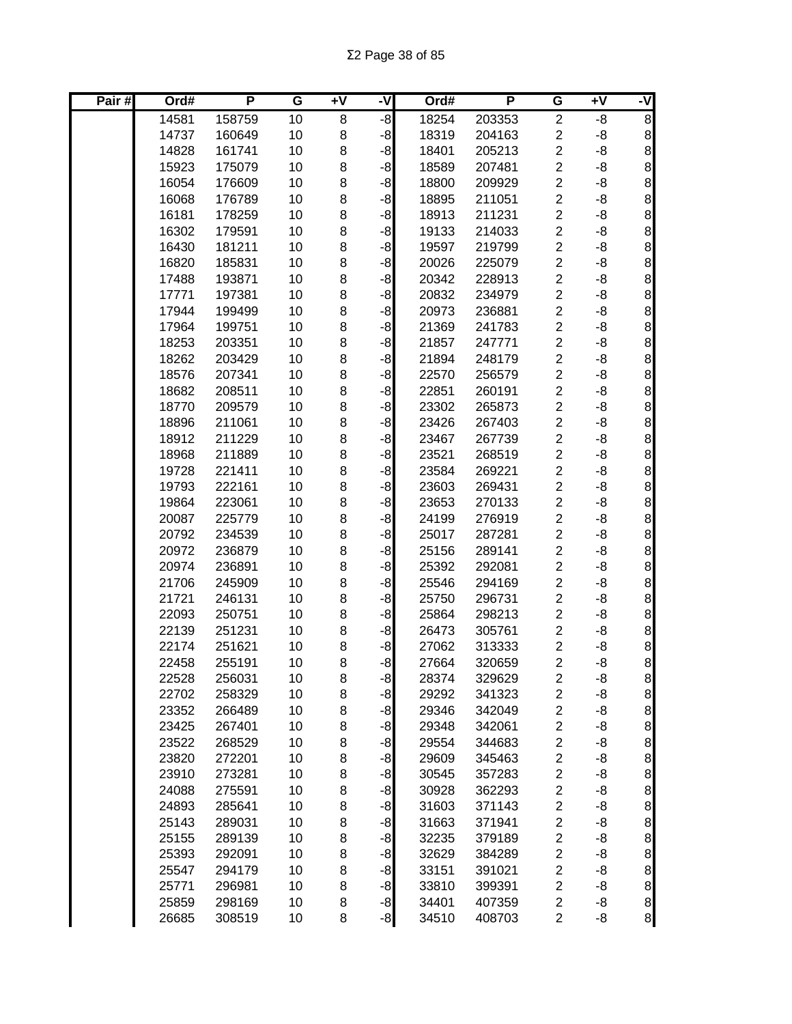| Pair# | Ord#  | P      | G  | Ŧ٨ | -V   | Ord#  | P      | G                       | Ŧ٨ | ż                                            |
|-------|-------|--------|----|----|------|-------|--------|-------------------------|----|----------------------------------------------|
|       | 14581 | 158759 | 10 | 8  | $-8$ | 18254 | 203353 | $\overline{c}$          | -8 | 8                                            |
|       | 14737 | 160649 | 10 | 8  | $-8$ | 18319 | 204163 | $\overline{c}$          | -8 | $\bf 8$                                      |
|       | 14828 | 161741 | 10 | 8  | $-8$ | 18401 | 205213 | $\overline{c}$          | -8 | $\bf 8$                                      |
|       | 15923 | 175079 | 10 | 8  | $-8$ | 18589 | 207481 | $\overline{c}$          | -8 | $\,8\,$                                      |
|       | 16054 | 176609 | 10 | 8  | $-8$ | 18800 | 209929 | $\overline{2}$          | -8 | $\,8\,$                                      |
|       | 16068 | 176789 | 10 | 8  | $-8$ | 18895 | 211051 | $\overline{2}$          | -8 | $\bf{8}$                                     |
|       | 16181 | 178259 | 10 | 8  | $-8$ | 18913 | 211231 | $\overline{c}$          | -8 | $\bf{8}$                                     |
|       | 16302 | 179591 | 10 | 8  | $-8$ | 19133 | 214033 | $\overline{c}$          | -8 | $\,8\,$                                      |
|       | 16430 | 181211 | 10 | 8  | $-8$ | 19597 | 219799 | $\overline{c}$          | -8 | 8                                            |
|       | 16820 | 185831 | 10 | 8  | $-8$ | 20026 | 225079 | $\overline{c}$          | -8 | 8                                            |
|       | 17488 | 193871 | 10 | 8  | $-8$ | 20342 | 228913 | $\overline{c}$          | -8 |                                              |
|       | 17771 | 197381 | 10 | 8  | $-8$ | 20832 | 234979 | $\overline{c}$          | -8 | $\infty$ $\infty$                            |
|       | 17944 | 199499 | 10 | 8  | $-8$ | 20973 | 236881 | $\overline{\mathbf{c}}$ | -8 |                                              |
|       | 17964 | 199751 | 10 | 8  | $-8$ | 21369 | 241783 | $\overline{\mathbf{c}}$ | -8 | 8                                            |
|       | 18253 | 203351 | 10 | 8  | $-8$ | 21857 | 247771 | $\overline{c}$          | -8 | 8                                            |
|       | 18262 | 203429 | 10 | 8  | $-8$ | 21894 | 248179 | $\overline{c}$          | -8 | $\infty$                                     |
|       | 18576 | 207341 | 10 | 8  | $-8$ | 22570 | 256579 | $\overline{c}$          | -8 |                                              |
|       | 18682 | 208511 | 10 | 8  | $-8$ | 22851 | 260191 | $\overline{c}$          | -8 | 8                                            |
|       | 18770 | 209579 | 10 | 8  | $-8$ | 23302 | 265873 | $\overline{c}$          | -8 | 8                                            |
|       | 18896 | 211061 | 10 | 8  | $-8$ | 23426 | 267403 | $\overline{c}$          | -8 | $\bf 8$                                      |
|       | 18912 | 211229 | 10 | 8  | $-8$ | 23467 | 267739 | $\overline{c}$          | -8 | $\,8\,$                                      |
|       | 18968 | 211889 | 10 | 8  | $-8$ | 23521 | 268519 | $\overline{2}$          | -8 | $\bf{8}$                                     |
|       | 19728 | 221411 | 10 | 8  | $-8$ | 23584 | 269221 | $\overline{c}$          | -8 | $\bf{8}$                                     |
|       | 19793 | 222161 | 10 | 8  | $-8$ | 23603 | 269431 | $\overline{c}$          | -8 | $\bf{8}$                                     |
|       | 19864 | 223061 | 10 | 8  | $-8$ | 23653 | 270133 | $\overline{c}$          | -8 | $\bf 8$                                      |
|       | 20087 | 225779 | 10 | 8  | $-8$ | 24199 | 276919 | $\overline{c}$          | -8 | $\bf{8}$                                     |
|       | 20792 | 234539 | 10 | 8  | $-8$ | 25017 | 287281 | $\overline{c}$          | -8 | 8                                            |
|       | 20972 | 236879 | 10 | 8  | $-8$ | 25156 | 289141 | $\overline{c}$          | -8 |                                              |
|       | 20974 | 236891 | 10 | 8  | $-8$ | 25392 | 292081 | $\overline{\mathbf{c}}$ | -8 | $\infty$ $\infty$                            |
|       | 21706 | 245909 | 10 | 8  | $-8$ | 25546 | 294169 | $\overline{\mathbf{c}}$ | -8 |                                              |
|       | 21721 | 246131 | 10 | 8  | $-8$ | 25750 | 296731 | $\overline{c}$          | -8 | 8                                            |
|       | 22093 | 250751 | 10 | 8  | $-8$ | 25864 | 298213 | $\overline{c}$          | -8 | $\infty$ $\infty$                            |
|       | 22139 | 251231 | 10 | 8  | $-8$ | 26473 | 305761 | $\overline{c}$          | -8 |                                              |
|       | 22174 | 251621 | 10 | 8  | $-8$ | 27062 | 313333 | $\overline{c}$          | -8 |                                              |
|       | 22458 | 255191 | 10 | 8  | $-8$ | 27664 | 320659 | $\overline{2}$          | -8 | $\bf{8}$                                     |
|       | 22528 | 256031 | 10 | 8  | $-8$ | 28374 | 329629 | $\overline{\mathbf{c}}$ | -8 | 8 <sup>1</sup>                               |
|       | 22702 | 258329 | 10 | 8  | $-8$ | 29292 | 341323 | $\overline{\mathbf{c}}$ | -8 | 8 <sup>1</sup>                               |
|       | 23352 | 266489 | 10 | 8  | $-8$ | 29346 | 342049 | $\overline{\mathbf{c}}$ | -8 | $\bf{8}$                                     |
|       | 23425 | 267401 | 10 | 8  | $-8$ | 29348 | 342061 | $\overline{\mathbf{c}}$ | -8 | $\bf{8}$                                     |
|       | 23522 | 268529 | 10 | 8  | $-8$ | 29554 | 344683 | $\overline{\mathbf{c}}$ | -8 | 8 <sup>1</sup>                               |
|       | 23820 | 272201 | 10 | 8  | $-8$ | 29609 | 345463 | $\overline{\mathbf{c}}$ | -8 | 8 <sup>1</sup>                               |
|       | 23910 | 273281 | 10 | 8  | $-8$ | 30545 | 357283 | $\overline{c}$          | -8 | $\bf{8}$                                     |
|       | 24088 | 275591 | 10 | 8  | $-8$ | 30928 | 362293 | $\overline{\mathbf{c}}$ | -8 | $\bf 8$                                      |
|       | 24893 | 285641 | 10 | 8  | $-8$ | 31603 | 371143 | $\overline{c}$          | -8 | $\bf 8$                                      |
|       | 25143 | 289031 | 10 | 8  | $-8$ | 31663 | 371941 | $\overline{c}$          | -8 | 8                                            |
|       | 25155 | 289139 | 10 | 8  | $-8$ | 32235 | 379189 | $\overline{\mathbf{c}}$ | -8 | $\bf{8}$                                     |
|       | 25393 | 292091 | 10 | 8  | $-8$ | 32629 | 384289 | $\overline{\mathbf{c}}$ | -8 | $\mathbf{8}$                                 |
|       | 25547 | 294179 | 10 | 8  | $-8$ | 33151 | 391021 | $\overline{c}$          | -8 | 8                                            |
|       | 25771 | 296981 | 10 | 8  | $-8$ | 33810 | 399391 | $\overline{c}$          | -8 | $\begin{array}{c}\n8 \\ 8 \\ 8\n\end{array}$ |
|       | 25859 | 298169 | 10 | 8  | $-8$ | 34401 | 407359 | $\overline{\mathbf{c}}$ | -8 |                                              |
|       | 26685 | 308519 | 10 | 8  | $-8$ | 34510 | 408703 | $\overline{c}$          | -8 |                                              |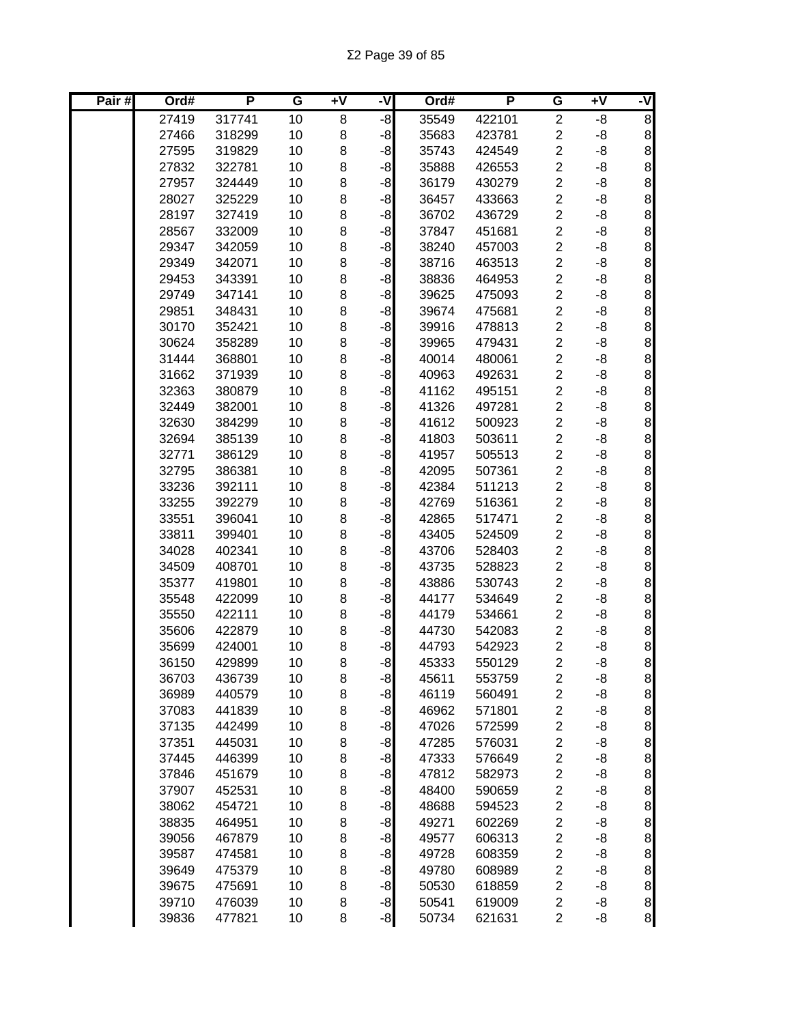| Pair# | Ord#           | P                | G        | $\overline{+V}$ | -V   | Ord#           | P                | G                                    | Ŧ٨       | ۲,                                         |
|-------|----------------|------------------|----------|-----------------|------|----------------|------------------|--------------------------------------|----------|--------------------------------------------|
|       | 27419          | 317741           | 10       | 8               | $-8$ | 35549          | 422101           | $\overline{2}$                       | -8       | $\overline{8}$                             |
|       | 27466          | 318299           | 10       | 8               | $-8$ | 35683          | 423781           | $\overline{\mathbf{c}}$              | -8       | 8                                          |
|       | 27595          | 319829           | 10       | 8               | -8   | 35743          | 424549           | $\overline{2}$                       | -8       | 8                                          |
|       | 27832          | 322781           | 10       | 8               | $-8$ | 35888          | 426553           | $\overline{c}$                       | -8       | $\bf{8}$                                   |
|       | 27957          | 324449           | 10       | 8               | $-8$ | 36179          | 430279           | $\overline{2}$                       | -8       | 8                                          |
|       | 28027          | 325229           | 10       | 8               | $-8$ | 36457          | 433663           | $\overline{c}$                       | -8       | 8                                          |
|       | 28197          | 327419           | 10       | $\bf8$          | $-8$ | 36702          | 436729           | $\overline{2}$                       | -8       | 8                                          |
|       | 28567          | 332009           | 10       | 8               | $-8$ | 37847          | 451681           | $\overline{c}$                       | -8       | $\bf{8}$                                   |
|       | 29347          | 342059           | 10       | 8               | $-8$ | 38240          | 457003           | $\overline{2}$                       | -8       |                                            |
|       | 29349          | 342071           | 10       | 8               | $-8$ | 38716          | 463513           | $\boldsymbol{2}$                     | -8       |                                            |
|       | 29453          | 343391           | 10       | 8               | $-8$ | 38836          | 464953           | $\overline{c}$                       | -8       |                                            |
|       | 29749          | 347141           | 10       | 8               | $-8$ | 39625          | 475093           | $\overline{c}$                       | -8       | ထ ထ ထ ထ ထ ထ                                |
|       | 29851          | 348431           | 10       | 8               | $-8$ | 39674          | 475681           | $\overline{c}$                       | -8       |                                            |
|       | 30170          | 352421           | 10       | 8               | $-8$ | 39916          | 478813           | $\overline{c}$                       | -8       |                                            |
|       | 30624          | 358289           | 10       | 8               | $-8$ | 39965          | 479431           | $\boldsymbol{2}$                     | -8       |                                            |
|       | 31444          | 368801           | 10       | 8               | $-8$ | 40014          | 480061           | $\overline{c}$                       | -8       |                                            |
|       | 31662          | 371939           | 10       | 8               | $-8$ | 40963          | 492631           | $\boldsymbol{2}$                     | -8       | စ စ စ စ                                    |
|       | 32363          | 380879           | 10       | 8               | -8   | 41162          | 495151           | $\overline{c}$                       | -8       |                                            |
|       | 32449          | 382001           | 10       | 8               | $-8$ | 41326          | 497281           | $\overline{c}$                       | -8       |                                            |
|       | 32630          | 384299           | 10       | 8               | $-8$ | 41612          | 500923           | $\overline{c}$                       | -8       | 8                                          |
|       | 32694          | 385139           | 10       | 8               | $-8$ | 41803          | 503611           | $\overline{c}$                       | -8       | 8                                          |
|       | 32771          | 386129           | 10       | $\bf8$          | $-8$ | 41957          | 505513           | $\overline{c}$                       | -8       | 8                                          |
|       | 32795          | 386381           | 10       | 8               | $-8$ | 42095          | 507361           | $\overline{c}$                       | -8       | $\bf 8$                                    |
|       | 33236          | 392111           | 10       | 8               | $-8$ | 42384          | 511213           | $\overline{c}$                       | -8       | 8                                          |
|       | 33255          | 392279           | 10       | 8               | $-8$ | 42769          | 516361           | $\overline{c}$                       | -8       | $\bf{8}$                                   |
|       | 33551          | 396041           | 10       | 8               | $-8$ | 42865          | 517471           | $\boldsymbol{2}$                     | -8       | $\begin{array}{c} 8 \\ 8 \end{array}$      |
|       | 33811          | 399401           | 10       | 8               | $-8$ | 43405          | 524509           | $\boldsymbol{2}$                     | -8       |                                            |
|       | 34028          | 402341           | 10       | 8               | $-8$ | 43706          | 528403           | $\boldsymbol{2}$                     | -8       | စ စ စ စ                                    |
|       | 34509          | 408701           | 10       | 8               | $-8$ | 43735          | 528823           | $\overline{c}$                       | -8       |                                            |
|       | 35377          | 419801           | 10       | 8               | $-8$ | 43886          | 530743           | $\overline{c}$                       | -8       |                                            |
|       | 35548          | 422099           | 10       | 8               | $-8$ | 44177          | 534649           | $\overline{c}$                       | -8       |                                            |
|       | 35550          | 422111           | 10       | 8               | $-8$ | 44179          | 534661           | $\overline{c}$                       | -8       | $\infty$ $\infty$                          |
|       | 35606          | 422879           | 10       | 8               | $-8$ | 44730          | 542083           | $\overline{c}$                       | -8       |                                            |
|       | 35699          | 424001           | 10       | 8               | $-8$ | 44793          | 542923           | $\overline{c}$                       | -8       |                                            |
|       | 36150          | 429899           | 10       | 8               | $-8$ | 45333          | 550129           | $\overline{2}$                       | -8       | $\bf{8}$                                   |
|       | 36703          | 436739           | 10       | 8               | $-8$ | 45611          | 553759           | $\overline{\mathbf{c}}$              | -8       | 8 <sup>1</sup>                             |
|       | 36989          | 440579           | 10       | 8               | $-8$ | 46119          | 560491           | $\overline{\mathbf{c}}$              | -8       | $\bf{8}$                                   |
|       | 37083          | 441839           | 10       | 8               | $-8$ | 46962          | 571801           | $\overline{\mathbf{c}}$              | -8       | $\bf{8}$                                   |
|       | 37135          | 442499           | 10       | 8               | $-8$ | 47026          | 572599           | $\overline{c}$                       | -8       | $\mathbf{8}$                               |
|       | 37351          | 445031           | 10       | 8               | $-8$ | 47285          | 576031           | $\overline{c}$                       | -8       | $\bf{8}$                                   |
|       | 37445          | 446399           | 10       | 8               | $-8$ | 47333          | 576649           | $\overline{c}$                       | -8       | $\bf{8}$                                   |
|       | 37846          | 451679           | 10       | 8               | $-8$ | 47812          | 582973           | $\overline{\mathbf{c}}$              | -8       | 8                                          |
|       | 37907          | 452531           | 10       | 8               | $-8$ | 48400          | 590659           | $\overline{\mathbf{c}}$              | -8       | 8                                          |
|       | 38062          | 454721           | 10       | 8               | $-8$ | 48688          | 594523           | $\overline{\mathbf{c}}$              | -8       | 8                                          |
|       | 38835          | 464951           | 10       | 8               | $-8$ | 49271          | 602269           | $\overline{c}$                       | -8       | $\infty$ $\infty$                          |
|       | 39056          | 467879           | 10       | 8               | $-8$ | 49577          | 606313           | $\boldsymbol{2}$                     | -8       |                                            |
|       | 39587          | 474581           | 10       | 8               | $-8$ | 49728          | 608359           | $\boldsymbol{2}$                     | -8       |                                            |
|       | 39649          | 475379           | 10<br>10 | 8               | $-8$ | 49780          | 608989           | $\boldsymbol{2}$                     | -8       | 8                                          |
|       | 39675<br>39710 | 475691<br>476039 | 10       | 8<br>8          | $-8$ | 50530<br>50541 | 618859<br>619009 | $\boldsymbol{2}$<br>$\boldsymbol{2}$ | -8<br>-8 | $\begin{array}{c} 8 \\ 8 \\ 8 \end{array}$ |
|       | 39836          | 477821           | 10       | 8               | $-8$ | 50734          | 621631           | $\overline{c}$                       | -8       |                                            |
|       |                |                  |          |                 | $-8$ |                |                  |                                      |          |                                            |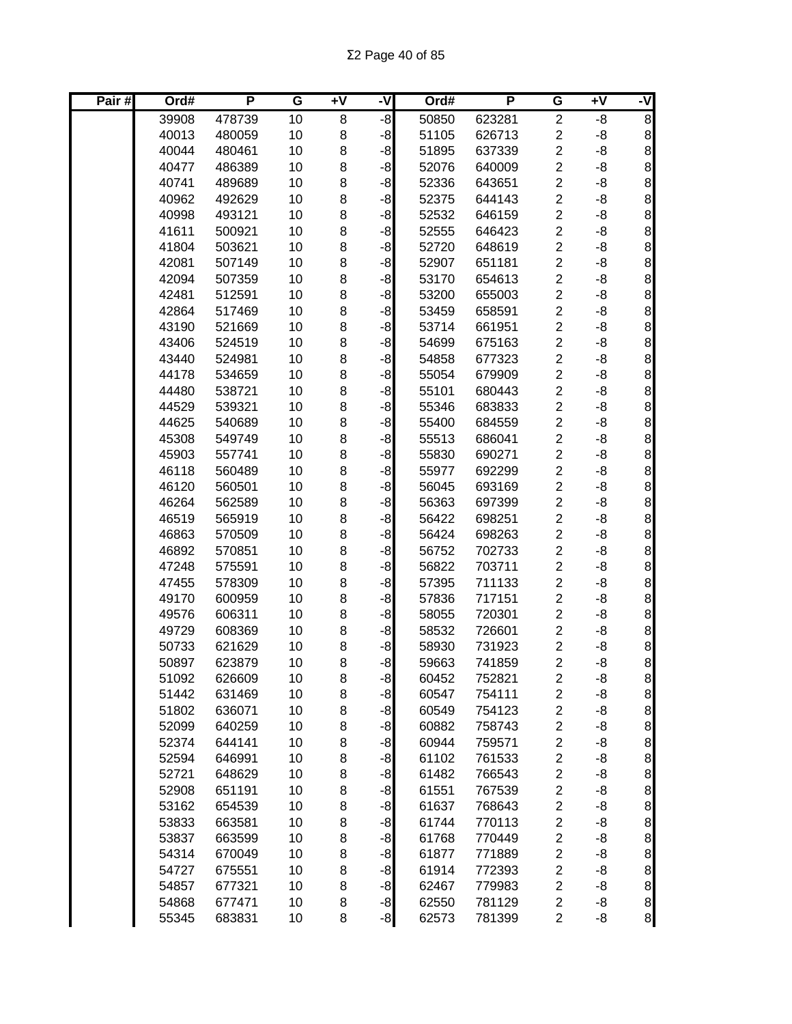| Pair# | Ord#  | P      | G  | Ŧ٨ | -V   | Ord#  | P      | G                       | Ŧ٨ | ż                                            |
|-------|-------|--------|----|----|------|-------|--------|-------------------------|----|----------------------------------------------|
|       | 39908 | 478739 | 10 | 8  | $-8$ | 50850 | 623281 | $\overline{2}$          | -8 | $\overline{8}$                               |
|       | 40013 | 480059 | 10 | 8  | $-8$ | 51105 | 626713 | $\overline{\mathbf{c}}$ | -8 | $\boldsymbol{8}$                             |
|       | 40044 | 480461 | 10 | 8  | $-8$ | 51895 | 637339 | $\overline{c}$          | -8 | 8                                            |
|       | 40477 | 486389 | 10 | 8  | $-8$ | 52076 | 640009 | $\overline{c}$          | -8 | $\bf{8}$                                     |
|       | 40741 | 489689 | 10 | 8  | $-8$ | 52336 | 643651 | $\overline{2}$          | -8 | $\,8\,$                                      |
|       | 40962 | 492629 | 10 | 8  | $-8$ | 52375 | 644143 | $\overline{c}$          | -8 | $\bf{8}$                                     |
|       | 40998 | 493121 | 10 | 8  | $-8$ | 52532 | 646159 | $\overline{c}$          | -8 | $\bf 8$                                      |
|       | 41611 | 500921 | 10 | 8  | $-8$ | 52555 | 646423 | $\overline{c}$          | -8 | $\bf{8}$                                     |
|       | 41804 | 503621 | 10 | 8  | $-8$ | 52720 | 648619 | $\overline{c}$          | -8 | $\begin{array}{c} 8 \end{array}$             |
|       | 42081 | 507149 | 10 | 8  | $-8$ | 52907 | 651181 | $\overline{c}$          | -8 |                                              |
|       | 42094 | 507359 | 10 | 8  | $-8$ | 53170 | 654613 | $\overline{2}$          | -8 |                                              |
|       | 42481 | 512591 | 10 | 8  | -8   | 53200 | 655003 | $\overline{c}$          | -8 | စ စ စ စ စ                                    |
|       | 42864 | 517469 | 10 | 8  | -8   | 53459 | 658591 | $\overline{c}$          | -8 |                                              |
|       | 43190 | 521669 | 10 | 8  | $-8$ | 53714 | 661951 | $\overline{\mathbf{c}}$ | -8 |                                              |
|       | 43406 | 524519 | 10 | 8  | $-8$ | 54699 | 675163 | $\overline{c}$          | -8 |                                              |
|       | 43440 | 524981 | 10 | 8  | $-8$ | 54858 | 677323 | $\overline{c}$          | -8 |                                              |
|       | 44178 | 534659 | 10 | 8  | $-8$ | 55054 | 679909 | $\overline{c}$          | -8 | $\infty$ $\infty$                            |
|       | 44480 | 538721 | 10 | 8  | $-8$ | 55101 | 680443 | $\overline{c}$          | -8 |                                              |
|       | 44529 | 539321 | 10 | 8  | $-8$ | 55346 | 683833 | $\overline{c}$          | -8 | 8                                            |
|       | 44625 | 540689 | 10 | 8  | $-8$ | 55400 | 684559 | $\overline{c}$          | -8 | 8                                            |
|       | 45308 | 549749 | 10 | 8  | $-8$ | 55513 | 686041 | $\overline{c}$          | -8 | $\,8\,$                                      |
|       | 45903 | 557741 | 10 | 8  | $-8$ | 55830 | 690271 | $\overline{2}$          | -8 | $\bf{8}$                                     |
|       | 46118 | 560489 | 10 | 8  | $-8$ | 55977 | 692299 | $\overline{c}$          | -8 | $\bf{8}$                                     |
|       | 46120 | 560501 | 10 | 8  | $-8$ | 56045 | 693169 | $\overline{c}$          | -8 | $\bf 8$                                      |
|       | 46264 | 562589 | 10 | 8  | $-8$ | 56363 | 697399 | $\overline{c}$          | -8 | $\bf 8$                                      |
|       | 46519 | 565919 | 10 | 8  | $-8$ | 56422 | 698251 | $\overline{c}$          | -8 | 8                                            |
|       | 46863 | 570509 | 10 | 8  | $-8$ | 56424 | 698263 | $\overline{c}$          | -8 | 8                                            |
|       | 46892 | 570851 | 10 | 8  | $-8$ | 56752 | 702733 | $\overline{c}$          | -8 | <b>8 8 8 8</b>                               |
|       | 47248 | 575591 | 10 | 8  | $-8$ | 56822 | 703711 | $\overline{c}$          | -8 |                                              |
|       | 47455 | 578309 | 10 | 8  | $-8$ | 57395 | 711133 | $\overline{\mathbf{c}}$ | -8 |                                              |
|       | 49170 | 600959 | 10 | 8  | $-8$ | 57836 | 717151 | $\overline{\mathbf{c}}$ | -8 |                                              |
|       | 49576 | 606311 | 10 | 8  | $-8$ | 58055 | 720301 | $\overline{c}$          | -8 |                                              |
|       | 49729 | 608369 | 10 | 8  | $-8$ | 58532 | 726601 | $\overline{c}$          | -8 | $\infty$ $\infty$                            |
|       | 50733 | 621629 | 10 | 8  | $-8$ | 58930 | 731923 | $\overline{\mathbf{c}}$ | -8 |                                              |
|       | 50897 | 623879 | 10 | 8  | $-8$ | 59663 | 741859 | $\overline{2}$          | -8 | $\bf{8}$                                     |
|       | 51092 | 626609 | 10 | 8  | $-8$ | 60452 | 752821 | 2                       | -8 | 8 <sup>1</sup>                               |
|       | 51442 | 631469 | 10 | 8  | $-8$ | 60547 | 754111 | $\overline{\mathbf{c}}$ | -8 | 8 <sup>1</sup>                               |
|       | 51802 | 636071 | 10 | 8  | $-8$ | 60549 | 754123 | $\overline{\mathbf{c}}$ | -8 | $\bf{8}$                                     |
|       | 52099 | 640259 | 10 | 8  | $-8$ | 60882 | 758743 | $\overline{\mathbf{c}}$ | -8 | $\bf{8}$                                     |
|       | 52374 | 644141 | 10 | 8  | $-8$ | 60944 | 759571 | $\overline{c}$          | -8 | 8 <sup>1</sup>                               |
|       | 52594 | 646991 | 10 | 8  | $-8$ | 61102 | 761533 | $\overline{\mathbf{c}}$ | -8 | 8 <sup>1</sup>                               |
|       | 52721 | 648629 | 10 | 8  | $-8$ | 61482 | 766543 | $\overline{c}$          | -8 | $\bf{8}$                                     |
|       | 52908 | 651191 | 10 | 8  | $-8$ | 61551 | 767539 | $\overline{\mathbf{c}}$ | -8 | $\bf 8$                                      |
|       | 53162 | 654539 | 10 | 8  | $-8$ | 61637 | 768643 | $\overline{c}$          | -8 | $\bf 8$                                      |
|       | 53833 | 663581 | 10 | 8  | $-8$ | 61744 | 770113 | $\overline{c}$          | -8 | 8                                            |
|       | 53837 | 663599 | 10 | 8  | $-8$ | 61768 | 770449 | $\overline{\mathbf{c}}$ | -8 | $\bf{8}$                                     |
|       | 54314 | 670049 | 10 | 8  | $-8$ | 61877 | 771889 | $\overline{\mathbf{c}}$ | -8 | $\mathbf{8}$                                 |
|       | 54727 | 675551 | 10 | 8  | $-8$ | 61914 | 772393 | $\overline{c}$          | -8 | $\mathbf{8}$                                 |
|       | 54857 | 677321 | 10 | 8  | $-8$ | 62467 | 779983 | $\overline{c}$          | -8 | $\begin{array}{c}\n8 \\ 8 \\ 8\n\end{array}$ |
|       | 54868 | 677471 | 10 | 8  | $-8$ | 62550 | 781129 | $\overline{\mathbf{c}}$ | -8 |                                              |
|       | 55345 | 683831 | 10 | 8  | $-8$ | 62573 | 781399 | $\overline{c}$          | -8 |                                              |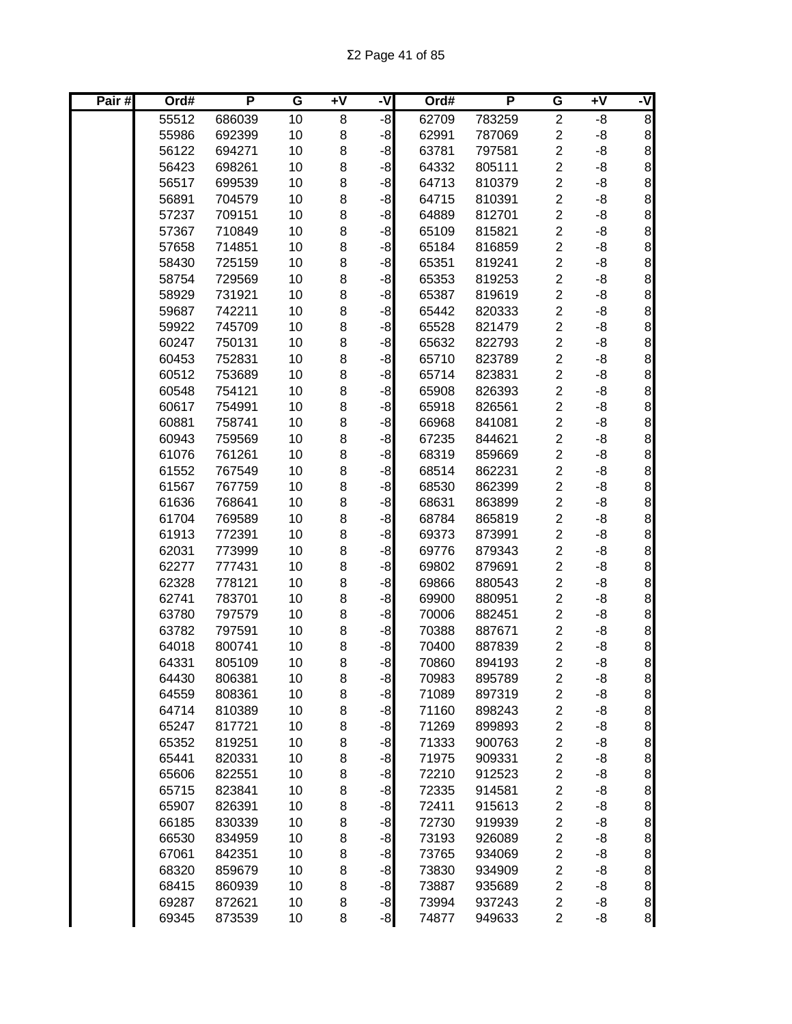| Pair# | Ord#           | P                | G        | Ŧ٨     | -V           | Ord#           | P                | G                                         | Ŧ٨       | ż                                            |
|-------|----------------|------------------|----------|--------|--------------|----------------|------------------|-------------------------------------------|----------|----------------------------------------------|
|       | 55512          | 686039           | 10       | 8      | $-8$         | 62709          | 783259           | $\overline{c}$                            | -8       | $\overline{8}$                               |
|       | 55986          | 692399           | 10       | 8      | $-8$         | 62991          | 787069           | $\overline{c}$                            | -8       | $\bf 8$                                      |
|       | 56122          | 694271           | 10       | 8      | $-8$         | 63781          | 797581           | $\overline{c}$                            | -8       | 8                                            |
|       | 56423          | 698261           | 10       | 8      | $-8$         | 64332          | 805111           | $\overline{c}$                            | -8       | $\,8\,$                                      |
|       | 56517          | 699539           | 10       | 8      | $-8$         | 64713          | 810379           | $\overline{2}$                            | -8       | $\,8\,$                                      |
|       | 56891          | 704579           | 10       | 8      | $-8$         | 64715          | 810391           | $\overline{c}$                            | -8       | $\bf{8}$                                     |
|       | 57237          | 709151           | 10       | 8      | $-8$         | 64889          | 812701           | $\overline{c}$                            | -8       | $\bf{8}$                                     |
|       | 57367          | 710849           | 10       | 8      | $-8$         | 65109          | 815821           | $\overline{c}$                            | -8       | $\bf{8}$                                     |
|       | 57658          | 714851           | 10       | 8      | $-8$         | 65184          | 816859           | $\overline{c}$                            | -8       | 8                                            |
|       | 58430          | 725159           | 10       | 8      | $-8$         | 65351          | 819241           | $\overline{c}$                            | -8       | 8                                            |
|       | 58754          | 729569           | 10       | 8      | $-8$         | 65353          | 819253           | $\overline{2}$                            | -8       |                                              |
|       | 58929          | 731921           | 10       | 8      | $-8$         | 65387          | 819619           | $\overline{c}$                            | -8       | စ စ စ စ                                      |
|       | 59687          | 742211           | 10       | 8      | $-8$         | 65442          | 820333           | $\overline{\mathbf{c}}$                   | -8       |                                              |
|       | 59922          | 745709           | 10       | 8      | $-8$         | 65528          | 821479           | $\overline{\mathbf{c}}$                   | -8       |                                              |
|       | 60247          | 750131           | 10       | 8      | $-8$         | 65632          | 822793           | $\overline{c}$                            | -8       | 8                                            |
|       | 60453          | 752831           | 10       | 8      | $-8$         | 65710          | 823789           | $\overline{c}$                            | -8       | $\begin{array}{c} 8 \\ 8 \end{array}$        |
|       | 60512          | 753689           | 10       | 8      | $-8$         | 65714          | 823831           | $\overline{c}$                            | -8       |                                              |
|       | 60548          | 754121           | 10       | 8      | $-8$         | 65908          | 826393           | $\overline{c}$                            | -8       | 8                                            |
|       | 60617          | 754991           | 10       | 8      | $-8$         | 65918          | 826561           | $\overline{c}$                            | -8       | 8                                            |
|       | 60881          | 758741           | 10       | 8      | $-8$         | 66968          | 841081           | $\overline{c}$                            | -8       | 8                                            |
|       | 60943          | 759569           | 10       | 8      | $-8$         | 67235          | 844621           | $\overline{c}$                            | -8       | $\,8\,$                                      |
|       | 61076          | 761261           | 10       | 8      | $-8$         | 68319          | 859669           | $\overline{2}$                            | -8       | $\bf{8}$                                     |
|       | 61552          | 767549           | 10       | 8      | $-8$         | 68514          | 862231           | $\overline{c}$                            | -8       | $\bf{8}$                                     |
|       | 61567          | 767759           | 10       | 8      | $-8$         | 68530          | 862399           | $\overline{2}$                            | -8       | $\bf{8}$                                     |
|       | 61636          | 768641           | 10       | 8      | $-8$         | 68631          | 863899           | $\overline{c}$                            | -8       | $\,8\,$                                      |
|       | 61704          | 769589           | 10       | 8      | $-8$         | 68784          | 865819           | $\overline{c}$                            | -8       | $\bf{8}$                                     |
|       | 61913          | 772391           | 10       | 8      | $-8$         | 69373          | 873991           | $\overline{c}$                            | -8       | 8                                            |
|       | 62031          | 773999           | 10       | 8      | $-8$         | 69776          | 879343           | $\overline{c}$                            | -8       | စ စ စ စ                                      |
|       | 62277          | 777431           | 10       | 8      | $-8$         | 69802          | 879691           | $\overline{c}$                            | -8       |                                              |
|       | 62328          | 778121           | 10       | 8      | $-8$         | 69866          | 880543           | $\overline{\mathbf{c}}$                   | -8       |                                              |
|       | 62741          | 783701           | 10       | 8      | $-8$         | 69900          | 880951           | $\overline{\mathbf{c}}$                   | -8       |                                              |
|       | 63780          | 797579           | 10       | 8      | $-8$         | 70006          | 882451           | $\overline{c}$                            | -8       | $\infty$ $\infty$                            |
|       | 63782          | 797591           | 10       | 8      | $-8$         | 70388          | 887671           | $\overline{c}$                            | -8       |                                              |
|       | 64018          | 800741           | 10       | 8      | $-8$         | 70400          | 887839           | $\overline{\mathbf{c}}$                   | -8       |                                              |
|       | 64331          | 805109           | 10       | 8      | $-8$         | 70860          | 894193           | $\overline{2}$                            | -8       | $\bf{8}$                                     |
|       | 64430          | 806381           | 10       | 8      | $-8$         | 70983          | 895789           | $\overline{\mathbf{c}}$                   | -8       | 8 <sup>1</sup>                               |
|       | 64559          | 808361           | 10       | 8      | $-8$         | 71089          | 897319           | $\overline{\mathbf{c}}$                   | -8       | 8 <sup>1</sup>                               |
|       | 64714          | 810389           | 10       | 8      | $-8$         | 71160          | 898243           | $\overline{\mathbf{c}}$                   | -8       | $\bf{8}$                                     |
|       | 65247          | 817721           | 10       | 8      | $-8$         | 71269          | 899893           | $\overline{\mathbf{c}}$                   | -8       | $\bf{8}$                                     |
|       | 65352          | 819251           | 10       | 8      | $-8$         | 71333          | 900763           | $\overline{\mathbf{c}}$                   | -8       | $\bf{8}$                                     |
|       | 65441          | 820331           | 10       | 8      | $-8$         | 71975          | 909331           | $\overline{\mathbf{c}}$                   | -8       | $\bf{8}$                                     |
|       | 65606          | 822551           | 10       | 8      | $-8$         | 72210          | 912523           | $\overline{c}$                            | -8       | $\bf{8}$                                     |
|       | 65715          | 823841           | 10       | 8      | $-8$         | 72335          | 914581           | $\overline{\mathbf{c}}$                   | -8       | $\bf 8$                                      |
|       | 65907          | 826391           | 10       | 8      | $-8$         | 72411          | 915613           | $\overline{c}$                            | -8       | $\bf 8$                                      |
|       | 66185          | 830339           | 10       | 8      | $-8$         | 72730          | 919939           | $\overline{c}$                            | -8       | 8                                            |
|       | 66530          | 834959           | 10       | 8      | $-8$         | 73193          | 926089           | $\overline{\mathbf{c}}$                   | -8       | $\bf{8}$                                     |
|       | 67061          | 842351           | 10<br>10 | 8      | $-8$<br>$-8$ | 73765          | 934069           | $\overline{\mathbf{c}}$<br>$\overline{c}$ | -8       | 8                                            |
|       | 68320<br>68415 | 859679<br>860939 | 10       | 8<br>8 |              | 73830<br>73887 | 934909<br>935689 | $\overline{c}$                            | -8<br>-8 | 8                                            |
|       | 69287          | 872621           | 10       | 8      | $-8$<br>$-8$ | 73994          | 937243           | $\overline{\mathbf{c}}$                   | -8       |                                              |
|       | 69345          | 873539           | 10       | 8      | $-8$         | 74877          | 949633           | $\overline{c}$                            | -8       | $\begin{array}{c}\n8 \\ 8 \\ 8\n\end{array}$ |
|       |                |                  |          |        |              |                |                  |                                           |          |                                              |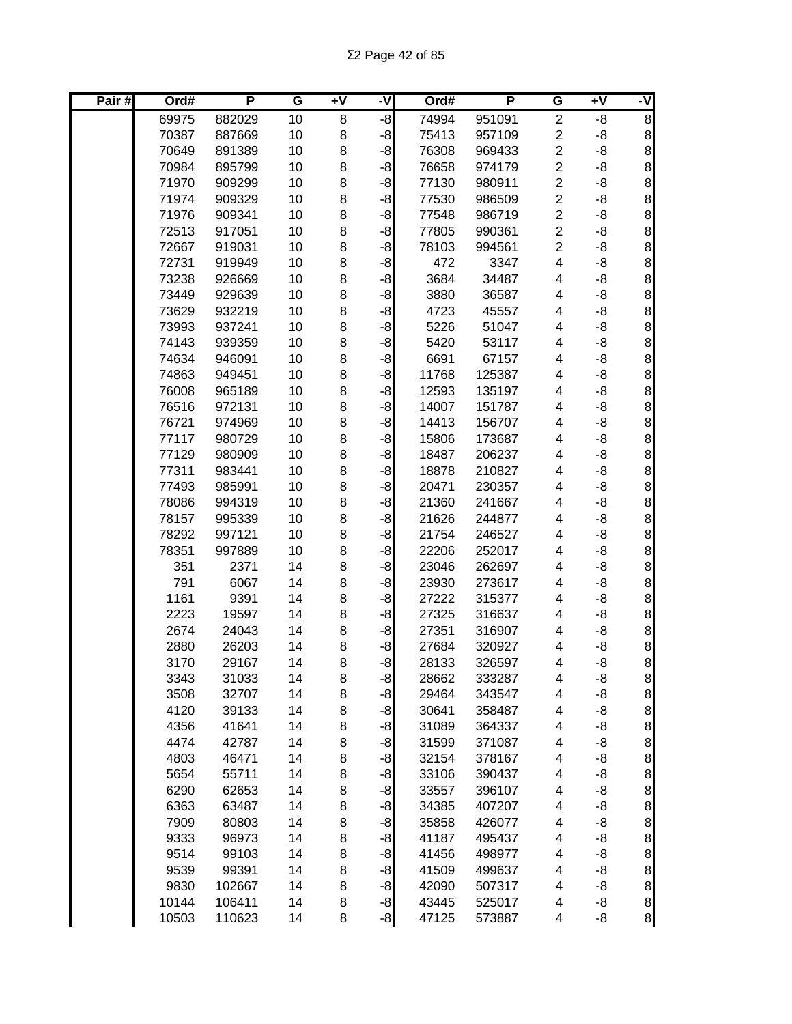| Pair# | Ord#         | P              | G        | +V     | -V           | Ord#           | P                | G                       | Ŧ٨       | ż                                     |
|-------|--------------|----------------|----------|--------|--------------|----------------|------------------|-------------------------|----------|---------------------------------------|
|       | 69975        | 882029         | 10       | 8      | $-8$         | 74994          | 951091           | $\overline{2}$          | -8       | $\overline{8}$                        |
|       | 70387        | 887669         | 10       | 8      | $-8$         | 75413          | 957109           | $\overline{\mathbf{c}}$ | -8       | $\bf 8$                               |
|       | 70649        | 891389         | 10       | 8      | $-8$         | 76308          | 969433           | $\overline{2}$          | -8       | $\,8\,$                               |
|       | 70984        | 895799         | 10       | 8      | $-8$         | 76658          | 974179           | $\overline{c}$          | -8       | $\,8\,$                               |
|       | 71970        | 909299         | 10       | 8      | $-8$         | 77130          | 980911           | $\overline{c}$          | -8       | $\bf8$                                |
|       | 71974        | 909329         | 10       | 8      | $-8$         | 77530          | 986509           | $\overline{2}$          | -8       | $\,8\,$                               |
|       | 71976        | 909341         | 10       | 8      | $-8$         | 77548          | 986719           | $\overline{c}$          | -8       | $\,8\,$                               |
|       | 72513        | 917051         | 10       | 8      | $-8$         | 77805          | 990361           | $\overline{2}$          | -8       | 8                                     |
|       | 72667        | 919031         | 10       | 8      | $-8$         | 78103          | 994561           | $\overline{\mathbf{c}}$ | -8       | 8                                     |
|       | 72731        | 919949         | 10       | 8      | -8           | 472            | 3347             | 4                       | -8       |                                       |
|       | 73238        | 926669         | 10       | 8      | $-8$         | 3684           | 34487            | 4                       | -8       | $\infty$ $\infty$                     |
|       | 73449        | 929639         | 10       | 8      | $-8$         | 3880           | 36587            | 4                       | -8       |                                       |
|       | 73629        | 932219         | 10       | 8      | $-8$         | 4723           | 45557            | 4                       | -8       | 8                                     |
|       | 73993        | 937241         | 10       | 8      | $-8$         | 5226           | 51047            | 4                       | -8       | $\infty$                              |
|       | 74143        | 939359         | 10       | 8      | $-8$         | 5420           | 53117            | 4                       | -8       |                                       |
|       | 74634        | 946091         | 10       | 8      | $-8$         | 6691           | 67157            | 4                       | -8       | $\bf{8}$                              |
|       | 74863        | 949451         | 10       | 8      | $-8$         | 11768          | 125387           | 4                       | -8       | 8                                     |
|       | 76008        | 965189         | 10       | 8      | $-8$         | 12593          | 135197           | 4                       | -8       | 8                                     |
|       | 76516        | 972131         | 10       | 8      | $-8$         | 14007          | 151787           | 4                       | -8       | $\bf 8$                               |
|       | 76721        | 974969         | 10       | 8      | $-8$         | 14413          | 156707           | 4                       | -8       | $\,8\,$                               |
|       | 77117        | 980729         | 10       | 8      | $-8$         | 15806          | 173687           | 4                       | -8       | $\,8\,$                               |
|       | 77129        | 980909         | 10       | 8      | $-8$         | 18487          | 206237           | 4                       | -8       | $\bf{8}$                              |
|       | 77311        | 983441         | 10       | 8      | $-8$         | 18878          | 210827           | 4                       | -8       | $\bf{8}$                              |
|       | 77493        | 985991         | 10       | 8      | $-8$         | 20471          | 230357           | 4                       | -8       | $\bf 8$                               |
|       | 78086        | 994319         | 10       | 8      | $-8$         | 21360          | 241667           | 4                       | -8       | 8                                     |
|       | 78157        | 995339         | 10       | 8      | $-8$         | 21626          | 244877           | 4                       | -8       | 8                                     |
|       | 78292        | 997121         | 10       | 8      | $-8$         | 21754          | 246527           | 4                       | -8       | $\begin{array}{c} 8 \\ 8 \end{array}$ |
|       | 78351        | 997889         | 10       | 8      | $-8$         | 22206          | 252017           | 4                       | -8       |                                       |
|       | 351          | 2371           | 14       | 8      | $-8$         | 23046          | 262697           | 4                       | -8       | 8                                     |
|       | 791          | 6067           | 14       | 8      | $-8$         | 23930          | 273617<br>315377 | 4                       | -8       | 8                                     |
|       | 1161         | 9391           | 14<br>14 | 8      | $-8$         | 27222          |                  | 4                       | -8       | 8<br>$\bf{8}$                         |
|       | 2223<br>2674 | 19597<br>24043 | 14       | 8<br>8 | $-8$<br>$-8$ | 27325<br>27351 | 316637<br>316907 | 4<br>4                  | -8<br>-8 | 8                                     |
|       | 2880         | 26203          | 14       | 8      | $-8$         | 27684          | 320927           | 4                       | -8       | 8                                     |
|       | 3170         | 29167          | 14       | 8      | $-8$         | 28133          | 326597           | 4                       | -8       | $\bf{8}$                              |
|       | 3343         | 31033          | 14       | 8      | $-8$         | 28662          | 333287           | 4                       | -8       | 8 <sup>1</sup>                        |
|       | 3508         | 32707          | 14       | 8      | $-8$         | 29464          | 343547           | 4                       | -8       | 8 <sup>1</sup>                        |
|       | 4120         | 39133          | 14       | 8      | $-8$         | 30641          | 358487           | 4                       | -8       | $\bf{8}$                              |
|       | 4356         | 41641          | 14       | 8      | $-8$         | 31089          | 364337           | 4                       | -8       | 8 <sup>1</sup>                        |
|       | 4474         | 42787          | 14       | 8      | $-8$         | 31599          | 371087           | 4                       | -8       | $\bf{8}$                              |
|       | 4803         | 46471          | 14       | 8      | $-8$         | 32154          | 378167           | 4                       | -8       | $\bf 8$                               |
|       | 5654         | 55711          | 14       | 8      | $-8$         | 33106          | 390437           | 4                       | -8       | $\bf 8$                               |
|       | 6290         | 62653          | 14       | 8      | $-8$         | 33557          | 396107           | 4                       | -8       | 8                                     |
|       | 6363         | 63487          | 14       | 8      | $-8$         | 34385          | 407207           | 4                       | -8       | 8                                     |
|       | 7909         | 80803          | 14       | 8      | $-8$         | 35858          | 426077           | 4                       | -8       |                                       |
|       | 9333         | 96973          | 14       | 8      | $-8$         | 41187          | 495437           | 4                       | -8       | $\begin{array}{c} 8 \\ 8 \end{array}$ |
|       | 9514         | 99103          | 14       | 8      | $-8$         | 41456          | 498977           | 4                       | -8       | 8                                     |
|       | 9539         | 99391          | 14       | 8      | $-8$         | 41509          | 499637           | 4                       | -8       |                                       |
|       | 9830         | 102667         | 14       | 8      | $-8$         | 42090          | 507317           | 4                       | -8       | 8888                                  |
|       | 10144        | 106411         | 14       | 8      | $-8$         | 43445          | 525017           | 4                       | -8       |                                       |
|       | 10503        | 110623         | 14       | 8      | $-8$         | 47125          | 573887           | 4                       | -8       |                                       |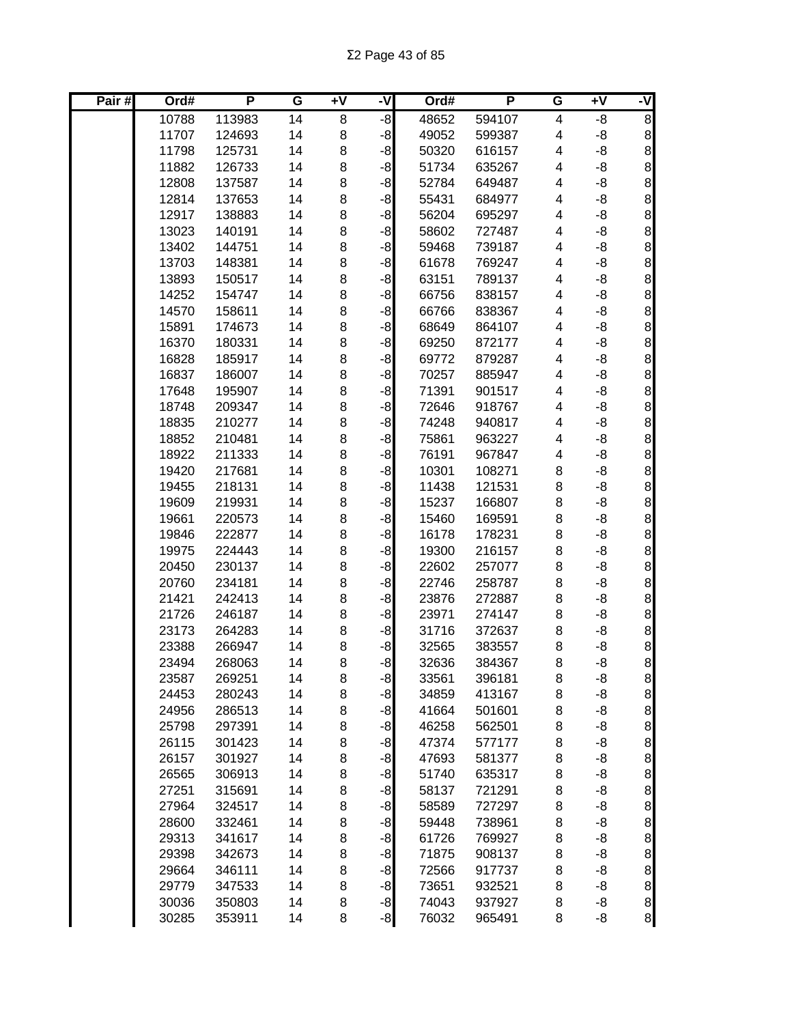| Pair# | Ord#  | P      | G  | +V | -V   | Ord#  | P      | G                       | Ŧ٨ | ż                                     |
|-------|-------|--------|----|----|------|-------|--------|-------------------------|----|---------------------------------------|
|       | 10788 | 113983 | 14 | 8  | $-8$ | 48652 | 594107 | $\overline{\mathbf{4}}$ | -8 | $\overline{8}$                        |
|       | 11707 | 124693 | 14 | 8  | $-8$ | 49052 | 599387 | 4                       | -8 | $\bf 8$                               |
|       | 11798 | 125731 | 14 | 8  | $-8$ | 50320 | 616157 | 4                       | -8 | $\,8\,$                               |
|       | 11882 | 126733 | 14 | 8  | $-8$ | 51734 | 635267 | 4                       | -8 | $\,8\,$                               |
|       | 12808 | 137587 | 14 | 8  | $-8$ | 52784 | 649487 | 4                       | -8 | $\bf8$                                |
|       | 12814 | 137653 | 14 | 8  | $-8$ | 55431 | 684977 | 4                       | -8 | $\,8\,$                               |
|       | 12917 | 138883 | 14 | 8  | $-8$ | 56204 | 695297 | 4                       | -8 | $\,8\,$                               |
|       | 13023 | 140191 | 14 | 8  | $-8$ | 58602 | 727487 | 4                       | -8 | 8                                     |
|       | 13402 | 144751 | 14 | 8  | $-8$ | 59468 | 739187 | 4                       | -8 | 8                                     |
|       | 13703 | 148381 | 14 | 8  | $-8$ | 61678 | 769247 | 4                       | -8 |                                       |
|       | 13893 | 150517 | 14 | 8  | -8   | 63151 | 789137 | 4                       | -8 | 8888                                  |
|       | 14252 | 154747 | 14 | 8  | -8   | 66756 | 838157 | 4                       | -8 |                                       |
|       | 14570 | 158611 | 14 | 8  | $-8$ | 66766 | 838367 | 4                       | -8 |                                       |
|       | 15891 | 174673 | 14 | 8  | $-8$ | 68649 | 864107 | 4                       | -8 |                                       |
|       | 16370 | 180331 | 14 | 8  | $-8$ | 69250 | 872177 | 4                       | -8 | 8888                                  |
|       | 16828 | 185917 | 14 | 8  | $-8$ | 69772 | 879287 | 4                       | -8 |                                       |
|       | 16837 | 186007 | 14 | 8  | $-8$ | 70257 | 885947 | 4                       | -8 |                                       |
|       | 17648 | 195907 | 14 | 8  | $-8$ | 71391 | 901517 | 4                       | -8 | 8                                     |
|       | 18748 | 209347 | 14 | 8  | $-8$ | 72646 | 918767 | 4                       | -8 | 8                                     |
|       | 18835 | 210277 | 14 | 8  | $-8$ | 74248 | 940817 | 4                       | -8 | $\,8\,$                               |
|       | 18852 | 210481 | 14 | 8  | $-8$ | 75861 | 963227 | 4                       | -8 | $\bf{8}$                              |
|       | 18922 | 211333 | 14 | 8  | $-8$ | 76191 | 967847 | 4                       | -8 | $\bf{8}$                              |
|       | 19420 | 217681 | 14 | 8  | $-8$ | 10301 | 108271 | 8                       | -8 | $\bf{8}$                              |
|       | 19455 | 218131 | 14 | 8  | $-8$ | 11438 | 121531 | 8                       | -8 | $\bf 8$                               |
|       | 19609 | 219931 | 14 | 8  | $-8$ | 15237 | 166807 | 8                       | -8 | 8                                     |
|       | 19661 | 220573 | 14 | 8  | $-8$ | 15460 | 169591 | 8                       | -8 | $\bf{8}$                              |
|       | 19846 | 222877 | 14 | 8  | $-8$ | 16178 | 178231 | 8                       | -8 |                                       |
|       | 19975 | 224443 | 14 | 8  | $-8$ | 19300 | 216157 | 8                       | -8 | 8888                                  |
|       | 20450 | 230137 | 14 | 8  | $-8$ | 22602 | 257077 | 8                       | -8 |                                       |
|       | 20760 | 234181 | 14 | 8  | $-8$ | 22746 | 258787 | 8                       | -8 |                                       |
|       | 21421 | 242413 | 14 | 8  | $-8$ | 23876 | 272887 | 8                       | -8 | $\infty$ $\infty$                     |
|       | 21726 | 246187 | 14 | 8  | $-8$ | 23971 | 274147 | 8                       | -8 |                                       |
|       | 23173 | 264283 | 14 | 8  | $-8$ | 31716 | 372637 | 8                       | -8 |                                       |
|       | 23388 | 266947 | 14 | 8  | $-8$ | 32565 | 383557 | 8                       | -8 | 8                                     |
|       | 23494 | 268063 | 14 | 8  | $-8$ | 32636 | 384367 | 8                       | -8 | $\bf{8}$                              |
|       | 23587 | 269251 | 14 | 8  | $-8$ | 33561 | 396181 | 8                       | -8 | 8 <sup>1</sup>                        |
|       | 24453 | 280243 | 14 | 8  | $-8$ | 34859 | 413167 | 8                       | -8 | 8 <sup>1</sup>                        |
|       | 24956 | 286513 | 14 | 8  | $-8$ | 41664 | 501601 | 8                       | -8 | 8 <sup>1</sup>                        |
|       | 25798 | 297391 | 14 | 8  | $-8$ | 46258 | 562501 | 8                       | -8 | 8 <sup>1</sup>                        |
|       | 26115 | 301423 | 14 | 8  | $-8$ | 47374 | 577177 | 8                       | -8 | 8 <sup>1</sup>                        |
|       | 26157 | 301927 | 14 | 8  | $-8$ | 47693 | 581377 | 8                       | -8 | $\bf{8}$                              |
|       | 26565 | 306913 | 14 | 8  | $-8$ | 51740 | 635317 | 8                       | -8 | $\,8\,$                               |
|       | 27251 | 315691 | 14 | 8  | $-8$ | 58137 | 721291 | 8                       | -8 | $\bf 8$                               |
|       | 27964 | 324517 | 14 | 8  | $-8$ | 58589 | 727297 | 8                       | -8 | 8                                     |
|       | 28600 | 332461 | 14 | 8  | $-8$ | 59448 | 738961 | 8                       | -8 | 8                                     |
|       | 29313 | 341617 | 14 | 8  | $-8$ | 61726 | 769927 | 8                       | -8 | 8                                     |
|       | 29398 | 342673 | 14 | 8  | $-8$ | 71875 | 908137 | 8                       | -8 | 8                                     |
|       | 29664 | 346111 | 14 | 8  | $-8$ | 72566 | 917737 | 8                       | -8 | $\begin{matrix}8\\8\end{matrix}$      |
|       | 29779 | 347533 | 14 | 8  | $-8$ | 73651 | 932521 | 8                       | -8 |                                       |
|       | 30036 | 350803 | 14 | 8  | $-8$ | 74043 | 937927 | 8                       | -8 | $\begin{array}{c} 8 \\ 8 \end{array}$ |
|       | 30285 | 353911 | 14 | 8  | $-8$ | 76032 | 965491 | 8                       | -8 |                                       |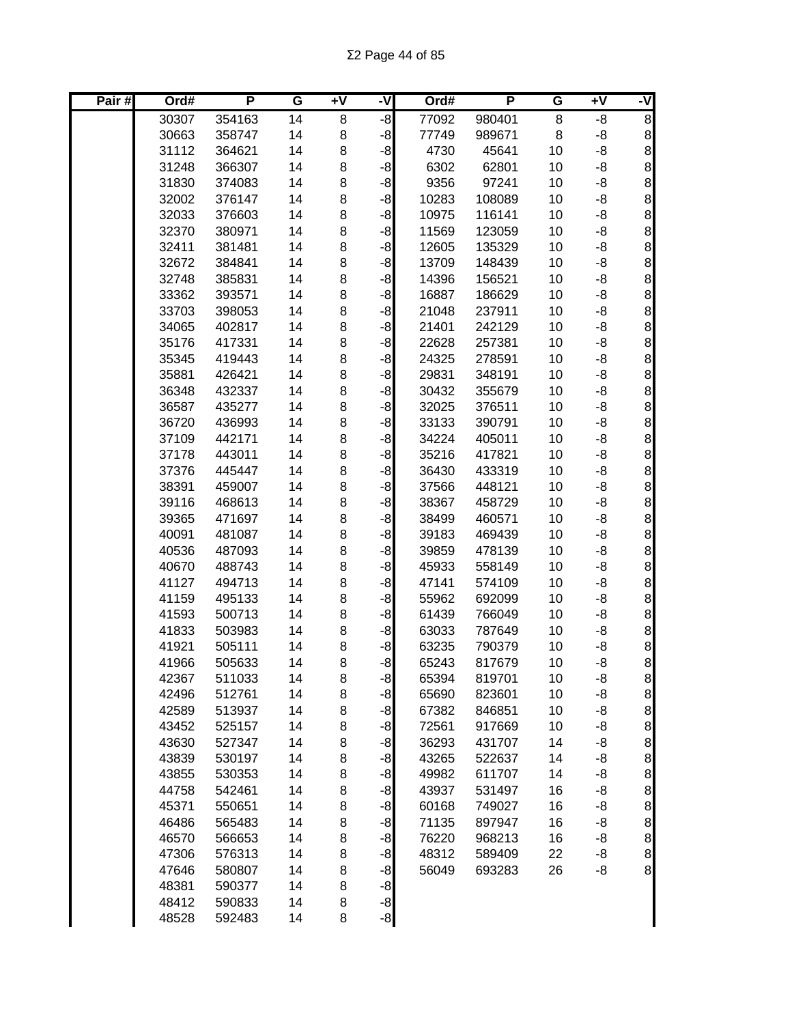| Pair# | Ord#           | P                | G        | $\overline{+V}$ | -V           | Ord#  | P      | G  | Ŧ٨ | -V                                    |
|-------|----------------|------------------|----------|-----------------|--------------|-------|--------|----|----|---------------------------------------|
|       | 30307          | 354163           | 14       | 8               | -8           | 77092 | 980401 | 8  | -8 | $\overline{8}$                        |
|       | 30663          | 358747           | 14       | 8               | $-8$         | 77749 | 989671 | 8  | -8 | 8                                     |
|       | 31112          | 364621           | 14       | 8               | $-8$         | 4730  | 45641  | 10 | -8 | 8                                     |
|       | 31248          | 366307           | 14       | 8               | $-8$         | 6302  | 62801  | 10 | -8 | 8                                     |
|       | 31830          | 374083           | 14       | 8               | $-8$         | 9356  | 97241  | 10 | -8 | 8                                     |
|       | 32002          | 376147           | 14       | 8               | $-8$         | 10283 | 108089 | 10 | -8 | 8                                     |
|       | 32033          | 376603           | 14       | $\bf8$          | $-8$         | 10975 | 116141 | 10 | -8 | $\bf{8}$                              |
|       | 32370          | 380971           | 14       | 8               | $-8$         | 11569 | 123059 | 10 | -8 | $\begin{array}{c} 8 \\ 8 \end{array}$ |
|       | 32411          | 381481           | 14       | 8               | $-8$         | 12605 | 135329 | 10 | -8 |                                       |
|       | 32672          | 384841           | 14       | 8               | $-8$         | 13709 | 148439 | 10 | -8 |                                       |
|       | 32748          | 385831           | 14       | 8               | $-8$         | 14396 | 156521 | 10 | -8 |                                       |
|       | 33362          | 393571           | 14       | 8               | $-8$         | 16887 | 186629 | 10 | -8 | စ စ စ စ                               |
|       | 33703          | 398053           | 14       | 8               | $-8$         | 21048 | 237911 | 10 | -8 |                                       |
|       | 34065          | 402817           | 14       | 8               | $-8$         | 21401 | 242129 | 10 | -8 |                                       |
|       | 35176          | 417331           | 14       | 8               | $-8$         | 22628 | 257381 | 10 | -8 |                                       |
|       | 35345          | 419443           | 14       | 8               | $-8$         | 24325 | 278591 | 10 | -8 |                                       |
|       | 35881          | 426421           | 14       | 8               | $-8$         | 29831 | 348191 | 10 | -8 | စ စ စ စ စ                             |
|       | 36348          | 432337           | 14       | 8               | $-8$         | 30432 | 355679 | 10 | -8 |                                       |
|       | 36587          | 435277           | 14       | 8               | $-8$         | 32025 | 376511 | 10 | -8 | 8                                     |
|       | 36720          | 436993           | 14       | 8               | $-8$         | 33133 | 390791 | 10 | -8 | $\bf{8}$                              |
|       | 37109          | 442171           | 14       | 8               | $-8$         | 34224 | 405011 | 10 | -8 | 8                                     |
|       | 37178          | 443011           | 14       | 8               | $-8$         | 35216 | 417821 | 10 | -8 | $\bf 8$                               |
|       | 37376          | 445447           | 14       | 8               | $-8$         | 36430 | 433319 | 10 | -8 | 8                                     |
|       | 38391          | 459007           | 14       | 8               | $-8$         | 37566 | 448121 | 10 | -8 | 8                                     |
|       | 39116          | 468613           | 14       | 8               | $-8$         | 38367 | 458729 | 10 | -8 | $\begin{matrix}8\\8\end{matrix}$      |
|       | 39365          | 471697           | 14       | 8               | -8           | 38499 | 460571 | 10 | -8 |                                       |
|       | 40091          | 481087           | 14       | 8               | -8           | 39183 | 469439 | 10 | -8 |                                       |
|       | 40536          | 487093           | 14       | 8               | -8           | 39859 | 478139 | 10 | -8 | စ စ စ စ                               |
|       | 40670          | 488743           | 14       | 8               | -8           | 45933 | 558149 | 10 | -8 |                                       |
|       | 41127          | 494713           | 14       | 8               | $-8$         | 47141 | 574109 | 10 | -8 |                                       |
|       | 41159          | 495133           | 14       | 8               | $-8$         | 55962 | 692099 | 10 | -8 | 8                                     |
|       | 41593          | 500713           | 14       | 8               | $-8$         | 61439 | 766049 | 10 | -8 | $\infty$ $\infty$                     |
|       | 41833          | 503983           | 14       | 8               | $-8$         | 63033 | 787649 | 10 | -8 |                                       |
|       | 41921          | 505111           | 14       | 8               | $-8$         | 63235 | 790379 | 10 | -8 |                                       |
|       | 41966          | 505633           | 14       | 8               | $-8$         | 65243 | 817679 | 10 | -8 | $\bf{8}$                              |
|       | 42367          | 511033           | 14       | 8               | $-8$         | 65394 | 819701 | 10 | -8 | 8 <sup>1</sup>                        |
|       | 42496          | 512761           | 14       | 8               | $-8$         | 65690 | 823601 | 10 | -8 | 8 <sup>1</sup>                        |
|       | 42589          | 513937           | 14       | 8               | $-8$         | 67382 | 846851 | 10 | -8 | $\mathbf{8}$                          |
|       | 43452          | 525157           | 14       | 8               | $-8$         | 72561 | 917669 | 10 | -8 | $\mathbf{8}$                          |
|       | 43630          | 527347           | 14       | 8               | $-8$         | 36293 | 431707 | 14 | -8 | $\bf{8}$                              |
|       | 43839          | 530197           | 14       | 8               | $-8$         | 43265 | 522637 | 14 | -8 | $\bf 8$                               |
|       | 43855          | 530353           | 14       | 8               | $-8$         | 49982 | 611707 | 14 | -8 | 8                                     |
|       | 44758          | 542461           | 14       | 8               | $-8$         | 43937 | 531497 | 16 | -8 | 8                                     |
|       | 45371          | 550651           | 14       | 8               | $-8$         | 60168 | 749027 | 16 | -8 | 8                                     |
|       | 46486          | 565483           | 14       | 8               | $-8$         | 71135 | 897947 | 16 | -8 | $\frac{8}{3}$                         |
|       | 46570          | 566653           | 14       | 8               | $-8$         | 76220 | 968213 | 16 | -8 |                                       |
|       | 47306          | 576313           | 14<br>14 | 8               | $-8$         | 48312 | 589409 | 22 | -8 | 8<br>8                                |
|       | 47646<br>48381 | 580807<br>590377 | 14       | 8<br>8          | $-8$         | 56049 | 693283 | 26 | -8 |                                       |
|       | 48412          | 590833           | 14       | 8               | $-8$<br>$-8$ |       |        |    |    |                                       |
|       | 48528          | 592483           | 14       | 8               | $-8$         |       |        |    |    |                                       |
|       |                |                  |          |                 |              |       |        |    |    |                                       |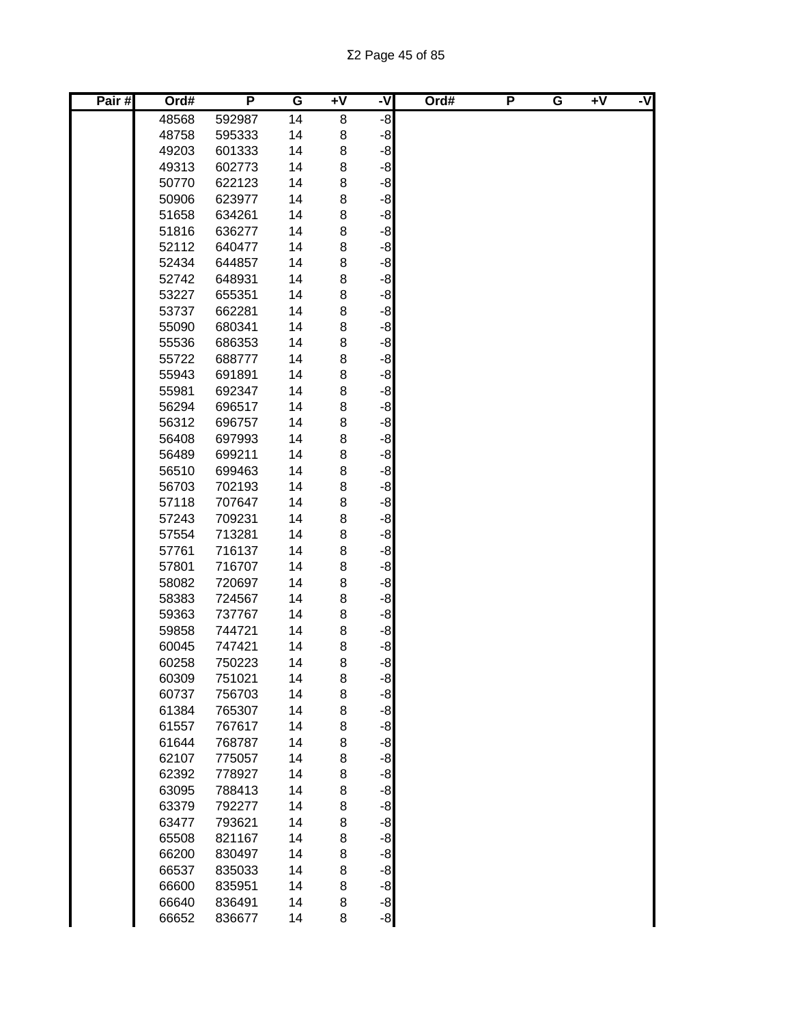| Pair# | Ord#  | P      | G  | $\overline{+V}$ | ż    | Ord# | P | G | $+V$ | -V |
|-------|-------|--------|----|-----------------|------|------|---|---|------|----|
|       | 48568 | 592987 | 14 | 8               | -8   |      |   |   |      |    |
|       | 48758 | 595333 | 14 | 8               | -8   |      |   |   |      |    |
|       | 49203 | 601333 | 14 | 8               | $-8$ |      |   |   |      |    |
|       | 49313 | 602773 | 14 | 8               | $-8$ |      |   |   |      |    |
|       | 50770 | 622123 | 14 | 8               | $-8$ |      |   |   |      |    |
|       | 50906 | 623977 | 14 | 8               | $-8$ |      |   |   |      |    |
|       | 51658 | 634261 | 14 | 8               | $-8$ |      |   |   |      |    |
|       | 51816 | 636277 | 14 | 8               | $-8$ |      |   |   |      |    |
|       | 52112 | 640477 | 14 | 8               | $-8$ |      |   |   |      |    |
|       | 52434 | 644857 | 14 | 8               | $-8$ |      |   |   |      |    |
|       | 52742 | 648931 | 14 | $\bf8$          | $-8$ |      |   |   |      |    |
|       | 53227 | 655351 | 14 | 8               | $-8$ |      |   |   |      |    |
|       | 53737 | 662281 | 14 | 8               | -8   |      |   |   |      |    |
|       | 55090 | 680341 | 14 | 8               | -8   |      |   |   |      |    |
|       | 55536 | 686353 | 14 | 8               | -8   |      |   |   |      |    |
|       | 55722 | 688777 | 14 | 8               | -8   |      |   |   |      |    |
|       | 55943 | 691891 | 14 | 8               | -8   |      |   |   |      |    |
|       | 55981 | 692347 | 14 | 8               | -8   |      |   |   |      |    |
|       | 56294 | 696517 | 14 | 8               | $-8$ |      |   |   |      |    |
|       | 56312 | 696757 | 14 | 8               | $-8$ |      |   |   |      |    |
|       | 56408 | 697993 | 14 | 8               | $-8$ |      |   |   |      |    |
|       | 56489 | 699211 | 14 | 8               | $-8$ |      |   |   |      |    |
|       | 56510 | 699463 | 14 | 8               | $-8$ |      |   |   |      |    |
|       | 56703 | 702193 | 14 | 8               | $-8$ |      |   |   |      |    |
|       | 57118 | 707647 | 14 | 8               | $-8$ |      |   |   |      |    |
|       | 57243 | 709231 | 14 | 8               | $-8$ |      |   |   |      |    |
|       | 57554 | 713281 | 14 | 8               | $-8$ |      |   |   |      |    |
|       | 57761 | 716137 | 14 | 8               | $-8$ |      |   |   |      |    |
|       | 57801 | 716707 | 14 | 8               | $-8$ |      |   |   |      |    |
|       | 58082 | 720697 | 14 | 8               | $-8$ |      |   |   |      |    |
|       | 58383 | 724567 | 14 | 8               | -8   |      |   |   |      |    |
|       | 59363 | 737767 | 14 | 8               | -8   |      |   |   |      |    |
|       | 59858 | 744721 | 14 | 8               | -8   |      |   |   |      |    |
|       | 60045 | 747421 | 14 | 8               | -8   |      |   |   |      |    |
|       | 60258 | 750223 | 14 | 8               | -8   |      |   |   |      |    |
|       | 60309 | 751021 | 14 | 8               | $-8$ |      |   |   |      |    |
|       | 60737 | 756703 | 14 | 8               | $-8$ |      |   |   |      |    |
|       | 61384 | 765307 | 14 | 8               | $-8$ |      |   |   |      |    |
|       | 61557 | 767617 | 14 | 8               | $-8$ |      |   |   |      |    |
|       | 61644 | 768787 | 14 | 8               | $-8$ |      |   |   |      |    |
|       | 62107 | 775057 | 14 | 8               | $-8$ |      |   |   |      |    |
|       | 62392 | 778927 | 14 | 8               | $-8$ |      |   |   |      |    |
|       | 63095 | 788413 | 14 | 8               | $-8$ |      |   |   |      |    |
|       | 63379 | 792277 | 14 | 8               | $-8$ |      |   |   |      |    |
|       | 63477 | 793621 | 14 | 8               | $-8$ |      |   |   |      |    |
|       | 65508 | 821167 | 14 | 8               | $-8$ |      |   |   |      |    |
|       | 66200 | 830497 | 14 | 8               | $-8$ |      |   |   |      |    |
|       | 66537 | 835033 | 14 | 8               | $-8$ |      |   |   |      |    |
|       | 66600 | 835951 | 14 | 8               | $-8$ |      |   |   |      |    |
|       | 66640 | 836491 | 14 | 8               | $-8$ |      |   |   |      |    |
|       | 66652 | 836677 | 14 | 8               | $-8$ |      |   |   |      |    |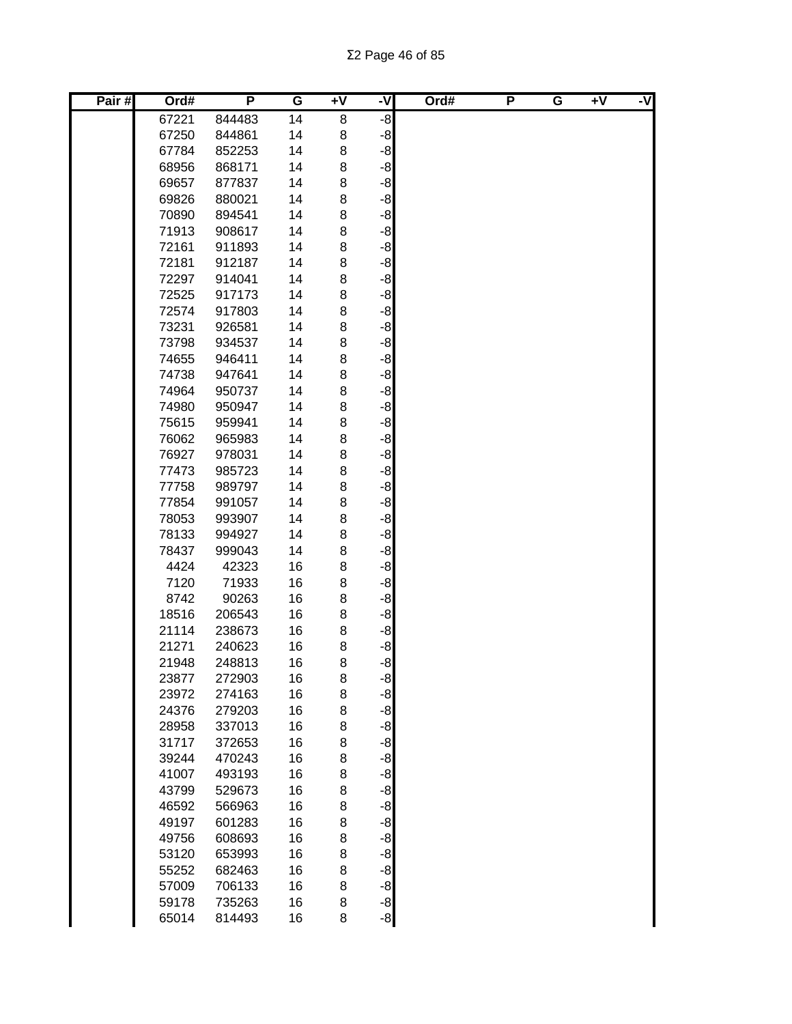| Pair# | Ord#  | P      | G  | $\overline{1}$ | ż    | Ord# | P | G | $+V$ | -V |
|-------|-------|--------|----|----------------|------|------|---|---|------|----|
|       | 67221 | 844483 | 14 | 8              | -8   |      |   |   |      |    |
|       | 67250 | 844861 | 14 | 8              | -8   |      |   |   |      |    |
|       | 67784 | 852253 | 14 | 8              | $-8$ |      |   |   |      |    |
|       | 68956 | 868171 | 14 | 8              | $-8$ |      |   |   |      |    |
|       | 69657 | 877837 | 14 | 8              | $-8$ |      |   |   |      |    |
|       | 69826 | 880021 | 14 | 8              | -8   |      |   |   |      |    |
|       | 70890 | 894541 | 14 | 8              | $-8$ |      |   |   |      |    |
|       | 71913 | 908617 | 14 | 8              | -8   |      |   |   |      |    |
|       | 72161 | 911893 | 14 | 8              | $-8$ |      |   |   |      |    |
|       | 72181 | 912187 | 14 | 8              | $-8$ |      |   |   |      |    |
|       | 72297 | 914041 | 14 | 8              | $-8$ |      |   |   |      |    |
|       | 72525 | 917173 | 14 | 8              | $-8$ |      |   |   |      |    |
|       | 72574 | 917803 | 14 | 8              | $-8$ |      |   |   |      |    |
|       | 73231 | 926581 | 14 | 8              | -8   |      |   |   |      |    |
|       | 73798 | 934537 | 14 | 8              | -8   |      |   |   |      |    |
|       | 74655 | 946411 | 14 | 8              | -8   |      |   |   |      |    |
|       | 74738 | 947641 | 14 | 8              | -8   |      |   |   |      |    |
|       | 74964 | 950737 | 14 | 8              | -8   |      |   |   |      |    |
|       | 74980 | 950947 | 14 | 8              | -8   |      |   |   |      |    |
|       | 75615 | 959941 | 14 | 8              | $-8$ |      |   |   |      |    |
|       | 76062 | 965983 | 14 | 8              | $-8$ |      |   |   |      |    |
|       | 76927 | 978031 | 14 | 8              | $-8$ |      |   |   |      |    |
|       | 77473 | 985723 | 14 | 8              | $-8$ |      |   |   |      |    |
|       | 77758 | 989797 | 14 | 8              | $-8$ |      |   |   |      |    |
|       | 77854 | 991057 | 14 | 8              | $-8$ |      |   |   |      |    |
|       | 78053 | 993907 | 14 | 8              | $-8$ |      |   |   |      |    |
|       | 78133 | 994927 | 14 | 8              | $-8$ |      |   |   |      |    |
|       | 78437 | 999043 | 14 | 8              | $-8$ |      |   |   |      |    |
|       | 4424  | 42323  | 16 | $\bf8$         | $-8$ |      |   |   |      |    |
|       | 7120  | 71933  | 16 | 8              | $-8$ |      |   |   |      |    |
|       | 8742  | 90263  | 16 | 8              | $-8$ |      |   |   |      |    |
|       | 18516 | 206543 | 16 | 8              | -8   |      |   |   |      |    |
|       | 21114 | 238673 | 16 | 8              | -8   |      |   |   |      |    |
|       | 21271 | 240623 | 16 | 8              | -8   |      |   |   |      |    |
|       | 21948 | 248813 | 16 | 8              | -8   |      |   |   |      |    |
|       | 23877 | 272903 | 16 | 8              | $-8$ |      |   |   |      |    |
|       | 23972 | 274163 | 16 | 8              | $-8$ |      |   |   |      |    |
|       | 24376 | 279203 | 16 | 8              | $-8$ |      |   |   |      |    |
|       | 28958 | 337013 | 16 | 8              | $-8$ |      |   |   |      |    |
|       | 31717 | 372653 | 16 | 8              | $-8$ |      |   |   |      |    |
|       | 39244 | 470243 | 16 | 8              | $-8$ |      |   |   |      |    |
|       | 41007 | 493193 | 16 | 8              | $-8$ |      |   |   |      |    |
|       | 43799 | 529673 | 16 | 8              | $-8$ |      |   |   |      |    |
|       | 46592 | 566963 | 16 | 8              | $-8$ |      |   |   |      |    |
|       | 49197 | 601283 | 16 | 8              | $-8$ |      |   |   |      |    |
|       | 49756 | 608693 | 16 | 8              | $-8$ |      |   |   |      |    |
|       | 53120 | 653993 | 16 | 8              | $-8$ |      |   |   |      |    |
|       | 55252 | 682463 | 16 | 8              | $-8$ |      |   |   |      |    |
|       | 57009 | 706133 | 16 | 8              | $-8$ |      |   |   |      |    |
|       | 59178 | 735263 | 16 | 8              | $-8$ |      |   |   |      |    |
|       | 65014 | 814493 | 16 | 8              | $-8$ |      |   |   |      |    |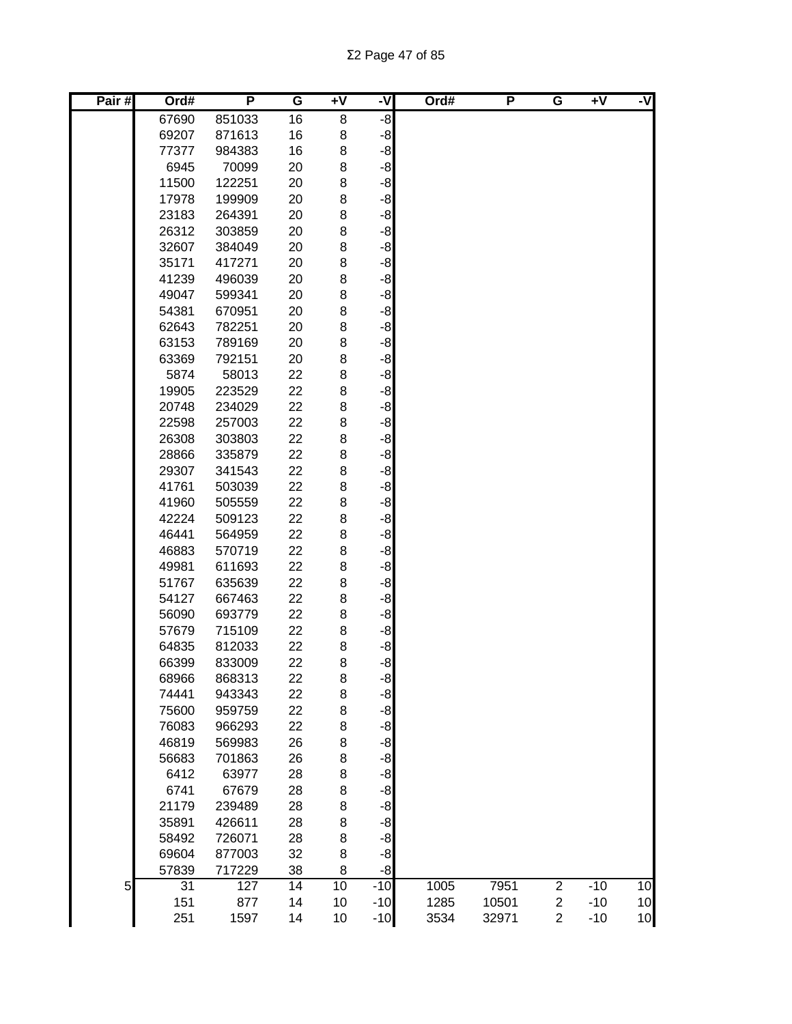Σ2 Page 47 of 85

| Pair# | Ord#  | P      | G  | $+V$ | -V    | Ord# | P     | G              | $\overline{+V}$ | -V |
|-------|-------|--------|----|------|-------|------|-------|----------------|-----------------|----|
|       | 67690 | 851033 | 16 | 8    | -8    |      |       |                |                 |    |
|       | 69207 | 871613 | 16 | 8    | $-8$  |      |       |                |                 |    |
|       | 77377 | 984383 | 16 | 8    | $-8$  |      |       |                |                 |    |
|       | 6945  | 70099  | 20 | 8    | $-8$  |      |       |                |                 |    |
|       | 11500 | 122251 | 20 | 8    | -8    |      |       |                |                 |    |
|       | 17978 | 199909 | 20 | 8    | $-8$  |      |       |                |                 |    |
|       | 23183 | 264391 | 20 | 8    | $-8$  |      |       |                |                 |    |
|       | 26312 | 303859 | 20 | 8    | $-8$  |      |       |                |                 |    |
|       | 32607 | 384049 | 20 | 8    | $-8$  |      |       |                |                 |    |
|       | 35171 | 417271 | 20 | 8    | -8    |      |       |                |                 |    |
|       | 41239 | 496039 | 20 | 8    | $-8$  |      |       |                |                 |    |
|       | 49047 | 599341 | 20 | 8    | $-8$  |      |       |                |                 |    |
|       | 54381 | 670951 | 20 | 8    | $-8$  |      |       |                |                 |    |
|       | 62643 | 782251 | 20 | 8    | -8    |      |       |                |                 |    |
|       | 63153 | 789169 | 20 | 8    | -8    |      |       |                |                 |    |
|       | 63369 | 792151 | 20 | 8    | $-8$  |      |       |                |                 |    |
|       | 5874  | 58013  | 22 | 8    | $-8$  |      |       |                |                 |    |
|       | 19905 | 223529 | 22 | 8    | -8    |      |       |                |                 |    |
|       | 20748 | 234029 | 22 | 8    | $-8$  |      |       |                |                 |    |
|       | 22598 | 257003 | 22 | 8    | $-8$  |      |       |                |                 |    |
|       | 26308 | 303803 | 22 | 8    | $-8$  |      |       |                |                 |    |
|       | 28866 | 335879 | 22 | 8    | $-8$  |      |       |                |                 |    |
|       | 29307 | 341543 | 22 | 8    | $-8$  |      |       |                |                 |    |
|       | 41761 | 503039 | 22 | 8    | $-8$  |      |       |                |                 |    |
|       | 41960 | 505559 | 22 | 8    | $-8$  |      |       |                |                 |    |
|       | 42224 | 509123 | 22 | 8    | $-8$  |      |       |                |                 |    |
|       | 46441 | 564959 | 22 | 8    | -8    |      |       |                |                 |    |
|       | 46883 | 570719 | 22 | 8    | $-8$  |      |       |                |                 |    |
|       | 49981 | 611693 | 22 | 8    | $-8$  |      |       |                |                 |    |
|       | 51767 | 635639 | 22 | 8    | -8    |      |       |                |                 |    |
|       | 54127 | 667463 | 22 | 8    | $-8$  |      |       |                |                 |    |
|       | 56090 | 693779 | 22 | 8    | $-8$  |      |       |                |                 |    |
|       | 57679 | 715109 | 22 | 8    | $-8$  |      |       |                |                 |    |
|       | 64835 | 812033 | 22 | 8    | -8    |      |       |                |                 |    |
|       | 66399 | 833009 | 22 | 8    | $-8$  |      |       |                |                 |    |
|       | 68966 | 868313 | 22 | 8    | $-8$  |      |       |                |                 |    |
|       | 74441 | 943343 | 22 | 8    | $-8$  |      |       |                |                 |    |
|       | 75600 | 959759 | 22 | 8    | $-8$  |      |       |                |                 |    |
|       | 76083 | 966293 | 22 | 8    | $-8$  |      |       |                |                 |    |
|       | 46819 | 569983 | 26 | 8    | $-8$  |      |       |                |                 |    |
|       | 56683 | 701863 | 26 | 8    | $-8$  |      |       |                |                 |    |
|       | 6412  | 63977  | 28 | 8    | $-8$  |      |       |                |                 |    |
|       | 6741  | 67679  | 28 | 8    | -8    |      |       |                |                 |    |
|       | 21179 | 239489 | 28 | 8    | -8    |      |       |                |                 |    |
|       | 35891 | 426611 | 28 | 8    | $-8$  |      |       |                |                 |    |
|       | 58492 | 726071 | 28 | 8    | $-8$  |      |       |                |                 |    |
|       | 69604 | 877003 | 32 | 8    | -8    |      |       |                |                 |    |
|       | 57839 | 717229 | 38 | 8    | $-8$  |      |       |                |                 |    |
| 5     | 31    | 127    | 14 | 10   | $-10$ | 1005 | 7951  | $\overline{c}$ | $-10$           | 10 |
|       | 151   | 877    | 14 | 10   | $-10$ | 1285 | 10501 | 2              | $-10$           | 10 |
|       | 251   | 1597   | 14 | 10   | $-10$ | 3534 | 32971 | $\overline{c}$ | $-10$           | 10 |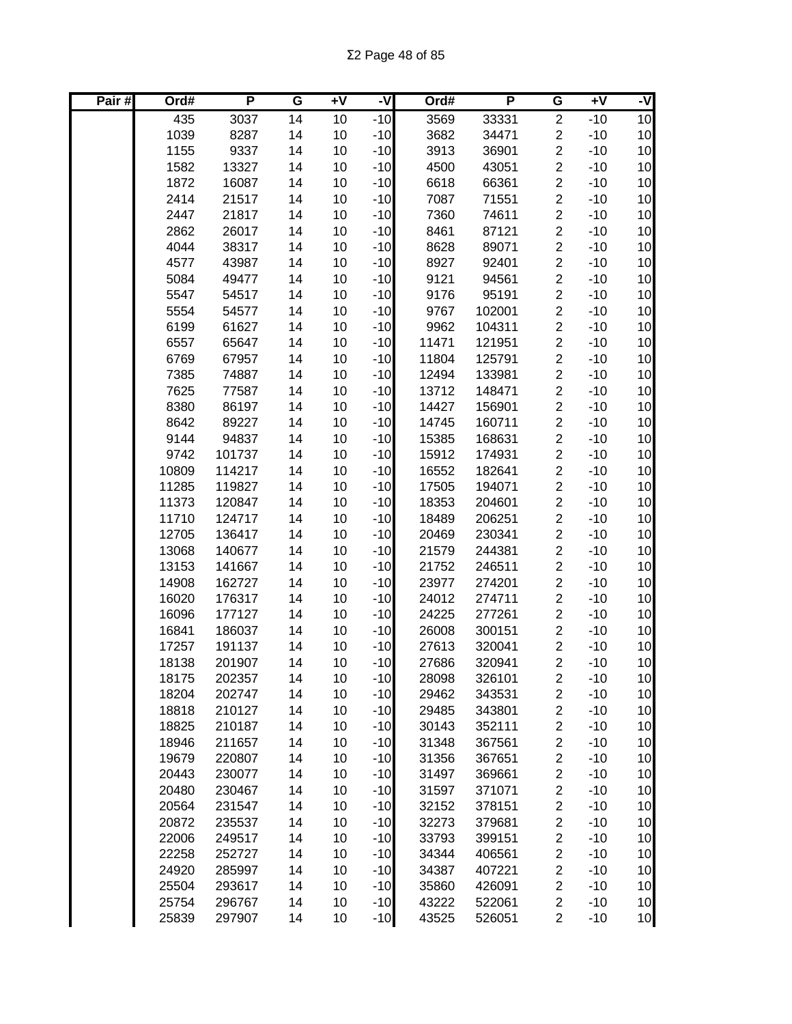| Pair# | Ord#  | P      | G  | Ŧ٨ | -V    | Ord#  | P      | G                       | $\overline{+V}$ | -V              |
|-------|-------|--------|----|----|-------|-------|--------|-------------------------|-----------------|-----------------|
|       | 435   | 3037   | 14 | 10 | $-10$ | 3569  | 33331  | $\overline{c}$          | $-10$           | 10              |
|       | 1039  | 8287   | 14 | 10 | $-10$ | 3682  | 34471  | $\overline{\mathbf{c}}$ | $-10$           | 10              |
|       | 1155  | 9337   | 14 | 10 | $-10$ | 3913  | 36901  | $\overline{2}$          | $-10$           | 10              |
|       | 1582  | 13327  | 14 | 10 | $-10$ | 4500  | 43051  | $\overline{c}$          | $-10$           | 10              |
|       | 1872  | 16087  | 14 | 10 | $-10$ | 6618  | 66361  | $\overline{c}$          | $-10$           | 10              |
|       | 2414  | 21517  | 14 | 10 | $-10$ | 7087  | 71551  | $\overline{\mathbf{c}}$ | $-10$           | 10              |
|       | 2447  | 21817  | 14 | 10 | $-10$ | 7360  | 74611  | $\overline{c}$          | $-10$           | 10              |
|       | 2862  | 26017  | 14 | 10 | $-10$ | 8461  | 87121  | $\overline{c}$          | $-10$           | 10              |
|       | 4044  | 38317  | 14 | 10 | $-10$ | 8628  | 89071  | $\overline{\mathbf{c}}$ | $-10$           | 10              |
|       | 4577  | 43987  | 14 | 10 | $-10$ | 8927  | 92401  | $\overline{c}$          | $-10$           | 10              |
|       | 5084  | 49477  | 14 | 10 | $-10$ | 9121  | 94561  | $\boldsymbol{2}$        | $-10$           | 10              |
|       | 5547  | 54517  | 14 | 10 | $-10$ | 9176  | 95191  | $\overline{\mathbf{c}}$ | $-10$           | 10              |
|       | 5554  | 54577  | 14 | 10 | $-10$ | 9767  | 102001 | $\overline{\mathbf{c}}$ | $-10$           | 10              |
|       | 6199  | 61627  | 14 | 10 | $-10$ | 9962  | 104311 | $\overline{\mathbf{c}}$ | $-10$           | 10              |
|       | 6557  | 65647  | 14 | 10 | $-10$ | 11471 | 121951 | $\overline{\mathbf{c}}$ | $-10$           | 10              |
|       | 6769  | 67957  | 14 | 10 | $-10$ | 11804 | 125791 | $\overline{\mathbf{c}}$ | $-10$           | 10              |
|       | 7385  | 74887  | 14 | 10 | $-10$ | 12494 | 133981 | $\overline{\mathbf{c}}$ | $-10$           | 10              |
|       | 7625  | 77587  | 14 | 10 | $-10$ | 13712 | 148471 | $\overline{c}$          | $-10$           | 10              |
|       | 8380  | 86197  | 14 | 10 | $-10$ | 14427 | 156901 | $\overline{c}$          | $-10$           | 10              |
|       | 8642  | 89227  | 14 | 10 | $-10$ | 14745 | 160711 | $\overline{2}$          | $-10$           | 10              |
|       | 9144  | 94837  | 14 | 10 | $-10$ | 15385 | 168631 | $\overline{c}$          | $-10$           | 10              |
|       | 9742  | 101737 | 14 | 10 | $-10$ | 15912 | 174931 | $\overline{2}$          | $-10$           | 10              |
|       | 10809 | 114217 | 14 | 10 | $-10$ | 16552 | 182641 | $\overline{c}$          | $-10$           | 10              |
|       | 11285 | 119827 | 14 | 10 | $-10$ | 17505 | 194071 | $\overline{c}$          | $-10$           | 10              |
|       | 11373 | 120847 | 14 | 10 | $-10$ | 18353 | 204601 | $\overline{c}$          | $-10$           | 10              |
|       | 11710 | 124717 | 14 | 10 | $-10$ | 18489 | 206251 | $\overline{c}$          | $-10$           | 10              |
|       | 12705 | 136417 | 14 | 10 | $-10$ | 20469 | 230341 | $\overline{c}$          | $-10$           | 10              |
|       | 13068 | 140677 | 14 | 10 | $-10$ | 21579 | 244381 | $\boldsymbol{2}$        | $-10$           | 10              |
|       | 13153 | 141667 | 14 | 10 | $-10$ | 21752 | 246511 | $\overline{\mathbf{c}}$ | $-10$           | 10              |
|       | 14908 | 162727 | 14 | 10 | $-10$ | 23977 | 274201 | $\overline{\mathbf{c}}$ | $-10$           | 10              |
|       | 16020 | 176317 | 14 | 10 | $-10$ | 24012 | 274711 | $\overline{c}$          | $-10$           | 10              |
|       | 16096 | 177127 | 14 | 10 | $-10$ | 24225 | 277261 | $\boldsymbol{2}$        | $-10$           | 10              |
|       | 16841 | 186037 | 14 | 10 | $-10$ | 26008 | 300151 | $\overline{c}$          | $-10$           | 10              |
|       | 17257 | 191137 | 14 | 10 | $-10$ | 27613 | 320041 | $\overline{c}$          | $-10$           | 10              |
|       | 18138 | 201907 | 14 | 10 | $-10$ | 27686 | 320941 | $\overline{2}$          | $-10$           | 10              |
|       | 18175 | 202357 | 14 | 10 | $-10$ | 28098 | 326101 | $\boldsymbol{2}$        | $-10$           | 10 <sub>1</sub> |
|       | 18204 | 202747 | 14 | 10 | $-10$ | 29462 | 343531 | $\overline{\mathbf{c}}$ | $-10$           | 10              |
|       | 18818 | 210127 | 14 | 10 | $-10$ | 29485 | 343801 | $\overline{\mathbf{c}}$ | $-10$           | 10              |
|       | 18825 | 210187 | 14 | 10 | $-10$ | 30143 | 352111 | $\overline{\mathbf{c}}$ | $-10$           | 10              |
|       | 18946 | 211657 | 14 | 10 | $-10$ | 31348 | 367561 | $\overline{\mathbf{c}}$ | $-10$           | 10              |
|       | 19679 | 220807 | 14 | 10 | $-10$ | 31356 | 367651 | $\overline{\mathbf{c}}$ | $-10$           | 10              |
|       | 20443 | 230077 | 14 | 10 | $-10$ | 31497 | 369661 | $\overline{\mathbf{c}}$ | $-10$           | 10              |
|       | 20480 | 230467 | 14 | 10 | $-10$ | 31597 | 371071 | $\overline{\mathbf{c}}$ | $-10$           | 10              |
|       | 20564 | 231547 | 14 | 10 | $-10$ | 32152 | 378151 | $\overline{\mathbf{c}}$ | $-10$           | 10              |
|       | 20872 | 235537 | 14 | 10 | $-10$ | 32273 | 379681 | $\overline{\mathbf{c}}$ | $-10$           | 10              |
|       | 22006 | 249517 | 14 | 10 | $-10$ | 33793 | 399151 | $\overline{\mathbf{c}}$ | $-10$           | 10              |
|       | 22258 | 252727 | 14 | 10 | $-10$ | 34344 | 406561 | $\overline{c}$          | $-10$           | 10              |
|       | 24920 | 285997 | 14 | 10 | $-10$ | 34387 | 407221 | $\overline{\mathbf{c}}$ | $-10$           | 10              |
|       | 25504 | 293617 | 14 | 10 | $-10$ | 35860 | 426091 | $\boldsymbol{2}$        | $-10$           | 10              |
|       | 25754 | 296767 | 14 | 10 | $-10$ | 43222 | 522061 | 2                       | $-10$           | 10              |
|       | 25839 | 297907 | 14 | 10 | $-10$ | 43525 | 526051 | $\overline{c}$          | $-10$           | 10              |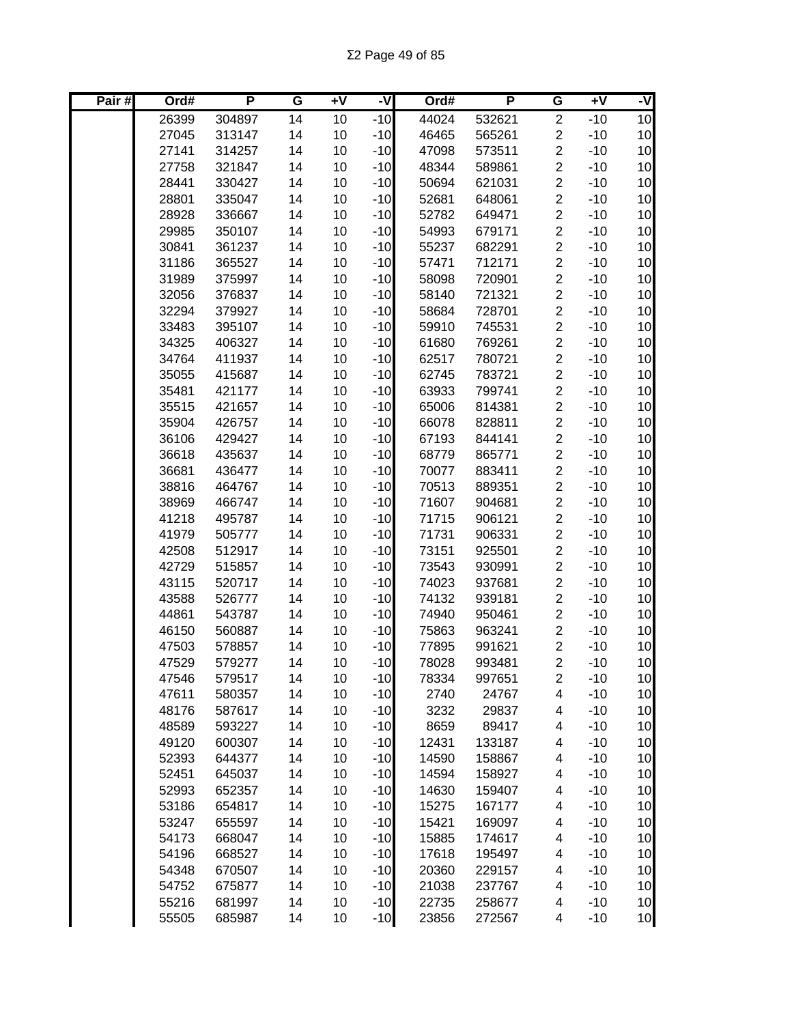| Pair# | Ord#  | P      | G  | $+V$ | -V    | Ord#  | P      | G                       | $+V$  | -V              |
|-------|-------|--------|----|------|-------|-------|--------|-------------------------|-------|-----------------|
|       | 26399 | 304897 | 14 | 10   | $-10$ | 44024 | 532621 | $\overline{2}$          | $-10$ | 10              |
|       | 27045 | 313147 | 14 | 10   | $-10$ | 46465 | 565261 | $\overline{c}$          | $-10$ | 10              |
|       | 27141 | 314257 | 14 | 10   | $-10$ | 47098 | 573511 | $\overline{c}$          | $-10$ | 10              |
|       | 27758 | 321847 | 14 | 10   | $-10$ | 48344 | 589861 | $\overline{c}$          | $-10$ | 10              |
|       | 28441 | 330427 | 14 | 10   | $-10$ | 50694 | 621031 | $\overline{c}$          | $-10$ | 10              |
|       | 28801 | 335047 | 14 | 10   | $-10$ | 52681 | 648061 | $\overline{c}$          | $-10$ | 10 <sub>1</sub> |
|       | 28928 | 336667 | 14 | 10   | $-10$ | 52782 | 649471 | $\overline{c}$          | $-10$ | 10              |
|       | 29985 | 350107 | 14 | 10   | $-10$ | 54993 | 679171 | $\overline{c}$          | $-10$ | 10              |
|       | 30841 | 361237 | 14 | 10   | $-10$ | 55237 | 682291 | $\overline{c}$          | $-10$ | 10 <sub>1</sub> |
|       | 31186 | 365527 | 14 | 10   | $-10$ | 57471 | 712171 | $\overline{c}$          | $-10$ | 10              |
|       | 31989 | 375997 | 14 | 10   | $-10$ | 58098 | 720901 | $\overline{\mathbf{c}}$ | $-10$ | 10 <sub>1</sub> |
|       | 32056 | 376837 | 14 | 10   | $-10$ | 58140 | 721321 | $\overline{\mathbf{c}}$ | $-10$ | 10              |
|       | 32294 | 379927 | 14 | 10   | $-10$ | 58684 | 728701 | $\overline{\mathbf{c}}$ | $-10$ | 10              |
|       | 33483 | 395107 | 14 | 10   | $-10$ | 59910 | 745531 | $\overline{\mathbf{c}}$ | $-10$ | 10              |
|       | 34325 | 406327 | 14 | 10   | $-10$ | 61680 | 769261 | $\overline{\mathbf{c}}$ | $-10$ | 10              |
|       | 34764 | 411937 | 14 | 10   | $-10$ | 62517 | 780721 | $\overline{\mathbf{c}}$ | $-10$ | 10              |
|       | 35055 | 415687 | 14 | 10   | $-10$ | 62745 | 783721 | $\overline{c}$          | $-10$ | 10              |
|       | 35481 | 421177 | 14 | 10   | $-10$ | 63933 | 799741 | $\overline{c}$          | $-10$ | 10              |
|       | 35515 | 421657 | 14 | 10   | $-10$ | 65006 | 814381 | $\overline{c}$          | $-10$ | 10              |
|       | 35904 | 426757 | 14 | 10   | $-10$ | 66078 | 828811 | $\overline{c}$          | $-10$ | 10              |
|       | 36106 | 429427 | 14 | 10   | $-10$ | 67193 | 844141 | $\overline{c}$          | $-10$ | 10              |
|       | 36618 | 435637 | 14 | 10   | $-10$ | 68779 | 865771 | $\overline{c}$          | $-10$ | 10 <sub>1</sub> |
|       | 36681 | 436477 | 14 | 10   | $-10$ | 70077 | 883411 | $\overline{c}$          | $-10$ | 10              |
|       | 38816 | 464767 | 14 | 10   | $-10$ | 70513 | 889351 | $\overline{c}$          | $-10$ | 10              |
|       | 38969 | 466747 | 14 | 10   | $-10$ | 71607 | 904681 | $\overline{c}$          | $-10$ | 10              |
|       | 41218 | 495787 | 14 | 10   | $-10$ | 71715 | 906121 | $\overline{c}$          | $-10$ | 10 <sub>1</sub> |
|       | 41979 | 505777 | 14 | 10   | $-10$ | 71731 | 906331 | $\overline{c}$          | $-10$ | 10              |
|       | 42508 | 512917 | 14 | 10   | $-10$ | 73151 | 925501 | $\overline{c}$          | $-10$ | 10              |
|       | 42729 | 515857 | 14 | 10   | $-10$ | 73543 | 930991 | $\overline{2}$          | $-10$ | 10              |
|       | 43115 | 520717 | 14 | 10   | $-10$ | 74023 | 937681 | $\overline{c}$          | $-10$ | 10              |
|       | 43588 | 526777 | 14 | 10   | $-10$ | 74132 | 939181 | $\overline{c}$          | $-10$ | 10              |
|       | 44861 | 543787 | 14 | 10   | $-10$ | 74940 | 950461 | $\overline{\mathbf{c}}$ | $-10$ | 10              |
|       | 46150 | 560887 | 14 | 10   | $-10$ | 75863 | 963241 | $\overline{c}$          | $-10$ | 10              |
|       | 47503 | 578857 | 14 | 10   | $-10$ | 77895 | 991621 | $\overline{c}$          | $-10$ | 10              |
|       | 47529 | 579277 | 14 | 10   | $-10$ | 78028 | 993481 | $\overline{2}$          | $-10$ | 10              |
|       | 47546 | 579517 | 14 | 10   | $-10$ | 78334 | 997651 | 2                       | $-10$ | 10              |
|       | 47611 | 580357 | 14 | 10   | $-10$ | 2740  | 24767  | 4                       | $-10$ | 10              |
|       | 48176 | 587617 | 14 | 10   | $-10$ | 3232  | 29837  | 4                       | $-10$ | 10              |
|       | 48589 | 593227 | 14 | 10   | $-10$ | 8659  | 89417  | 4                       | $-10$ | 10              |
|       | 49120 | 600307 | 14 | 10   | $-10$ | 12431 | 133187 | 4                       | $-10$ | 10              |
|       | 52393 | 644377 | 14 | 10   | $-10$ | 14590 | 158867 | 4                       | $-10$ | 10              |
|       | 52451 | 645037 | 14 | 10   | $-10$ | 14594 | 158927 | 4                       | $-10$ | 10              |
|       | 52993 | 652357 | 14 | 10   | $-10$ | 14630 | 159407 | 4                       | $-10$ | 10 <sub>l</sub> |
|       | 53186 | 654817 | 14 | 10   | $-10$ | 15275 | 167177 | 4                       | $-10$ | 10              |
|       | 53247 | 655597 | 14 | 10   | $-10$ | 15421 | 169097 | 4                       | $-10$ | 10              |
|       | 54173 | 668047 | 14 | 10   | $-10$ | 15885 | 174617 | 4                       | $-10$ | 10              |
|       | 54196 | 668527 | 14 | 10   | $-10$ | 17618 | 195497 | 4                       | $-10$ | 10              |
|       | 54348 | 670507 | 14 | 10   | $-10$ | 20360 | 229157 | 4                       | $-10$ | 10 <sub>1</sub> |
|       | 54752 | 675877 | 14 | 10   | $-10$ | 21038 | 237767 | 4                       | $-10$ | 10 <sub>1</sub> |
|       | 55216 | 681997 | 14 | 10   | $-10$ | 22735 | 258677 | 4                       | $-10$ | 10              |
|       | 55505 | 685987 | 14 | 10   | $-10$ | 23856 | 272567 | 4                       | $-10$ | 10              |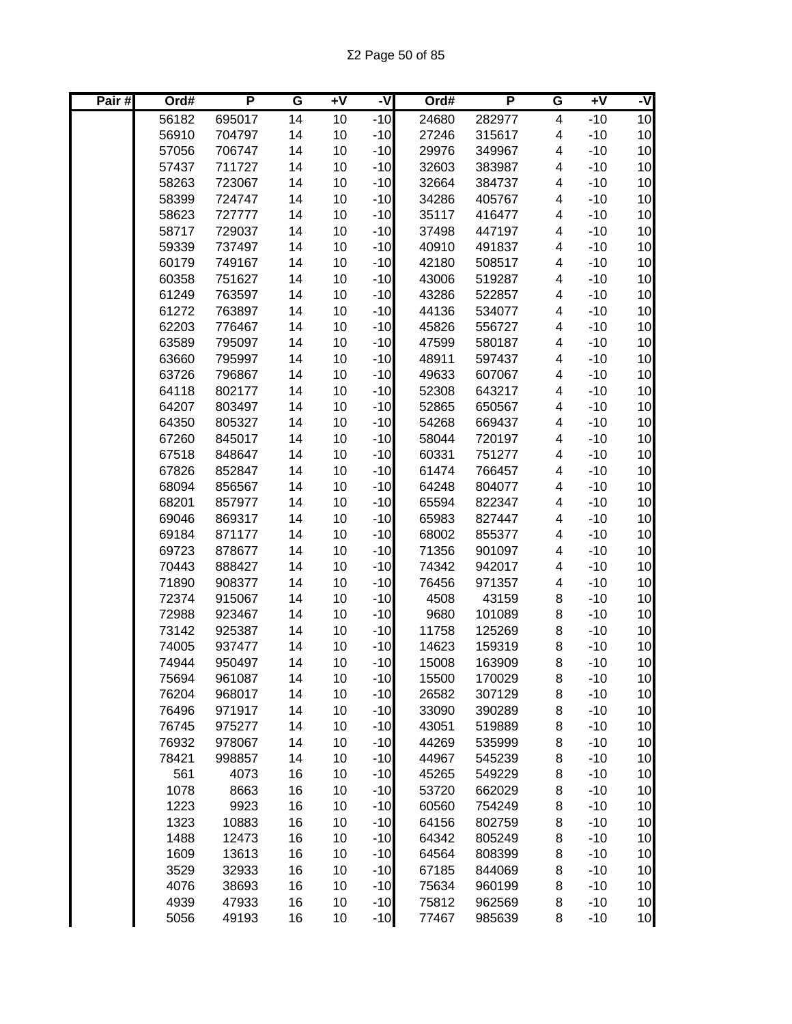| Pair# | Ord#  | P      | G  | $\overline{1}$ | -V    | Ord#  | P      | G | $+V$  | -V              |
|-------|-------|--------|----|----------------|-------|-------|--------|---|-------|-----------------|
|       | 56182 | 695017 | 14 | 10             | $-10$ | 24680 | 282977 | 4 | $-10$ | 10              |
|       | 56910 | 704797 | 14 | 10             | $-10$ | 27246 | 315617 | 4 | $-10$ | 10 <sub>1</sub> |
|       | 57056 | 706747 | 14 | 10             | $-10$ | 29976 | 349967 | 4 | $-10$ | 10 <sub>1</sub> |
|       | 57437 | 711727 | 14 | 10             | $-10$ | 32603 | 383987 | 4 | $-10$ | 10 <sub>1</sub> |
|       | 58263 | 723067 | 14 | 10             | $-10$ | 32664 | 384737 | 4 | $-10$ | 10 <sub>1</sub> |
|       | 58399 | 724747 | 14 | 10             | $-10$ | 34286 | 405767 | 4 | $-10$ | 10 <sub>1</sub> |
|       | 58623 | 727777 | 14 | 10             | $-10$ | 35117 | 416477 | 4 | $-10$ | 10              |
|       | 58717 | 729037 | 14 | 10             | $-10$ | 37498 | 447197 | 4 | $-10$ | 10              |
|       | 59339 | 737497 | 14 | 10             | $-10$ | 40910 | 491837 | 4 | $-10$ | 10              |
|       | 60179 | 749167 | 14 | 10             | $-10$ | 42180 | 508517 | 4 | $-10$ | 10              |
|       | 60358 | 751627 | 14 | 10             | $-10$ | 43006 | 519287 | 4 | $-10$ | 10              |
|       | 61249 | 763597 | 14 | 10             | $-10$ | 43286 | 522857 | 4 | $-10$ | 10              |
|       | 61272 | 763897 | 14 | 10             | $-10$ | 44136 | 534077 | 4 | $-10$ | 10              |
|       | 62203 | 776467 | 14 | 10             | $-10$ | 45826 | 556727 | 4 | $-10$ | 10              |
|       | 63589 | 795097 | 14 | 10             | $-10$ | 47599 | 580187 | 4 | $-10$ | 10              |
|       | 63660 | 795997 | 14 | 10             | $-10$ | 48911 | 597437 | 4 | $-10$ | 10              |
|       | 63726 | 796867 | 14 | 10             | $-10$ | 49633 | 607067 | 4 | $-10$ | 10 <sub>1</sub> |
|       | 64118 | 802177 | 14 | 10             | $-10$ | 52308 | 643217 | 4 | $-10$ | 10 <sub>1</sub> |
|       | 64207 | 803497 | 14 | 10             | $-10$ | 52865 | 650567 | 4 | $-10$ | 10 <sub>1</sub> |
|       | 64350 | 805327 | 14 | 10             | $-10$ | 54268 | 669437 | 4 | $-10$ | 10 <sub>1</sub> |
|       | 67260 | 845017 | 14 | 10             | $-10$ | 58044 | 720197 | 4 | $-10$ | 10 <sub>1</sub> |
|       | 67518 | 848647 | 14 | 10             | $-10$ | 60331 | 751277 | 4 | $-10$ | 10 <sub>1</sub> |
|       | 67826 | 852847 | 14 | 10             | $-10$ | 61474 | 766457 | 4 | $-10$ | 10              |
|       | 68094 | 856567 | 14 | 10             | $-10$ | 64248 | 804077 | 4 | $-10$ | 10              |
|       | 68201 | 857977 | 14 | 10             | $-10$ | 65594 | 822347 | 4 | $-10$ | 10              |
|       | 69046 | 869317 | 14 | 10             | $-10$ | 65983 | 827447 | 4 | $-10$ | 10              |
|       | 69184 | 871177 | 14 | 10             | $-10$ | 68002 | 855377 | 4 | $-10$ | 10              |
|       | 69723 | 878677 | 14 | 10             | $-10$ | 71356 | 901097 | 4 | $-10$ | 10              |
|       | 70443 | 888427 | 14 | 10             | $-10$ | 74342 | 942017 | 4 | $-10$ | 10              |
|       | 71890 | 908377 | 14 | 10             | $-10$ | 76456 | 971357 | 4 | $-10$ | 10              |
|       | 72374 | 915067 | 14 | 10             | $-10$ | 4508  | 43159  | 8 | $-10$ | 10              |
|       | 72988 | 923467 | 14 | 10             | $-10$ | 9680  | 101089 | 8 | $-10$ | 10              |
|       | 73142 | 925387 | 14 | 10             | $-10$ | 11758 | 125269 | 8 | $-10$ | 10 <sub>1</sub> |
|       | 74005 | 937477 | 14 | 10             | $-10$ | 14623 | 159319 | 8 | $-10$ | 10 <sub>1</sub> |
|       | 74944 | 950497 | 14 | 10             | $-10$ | 15008 | 163909 | 8 | $-10$ | 10              |
|       | 75694 | 961087 | 14 | 10             | $-10$ | 15500 | 170029 | 8 | $-10$ | 10              |
|       | 76204 | 968017 | 14 | 10             | $-10$ | 26582 | 307129 | 8 | $-10$ | 10              |
|       | 76496 | 971917 | 14 | 10             | $-10$ | 33090 | 390289 | 8 | $-10$ | 10 <sub>1</sub> |
|       | 76745 | 975277 | 14 | 10             | $-10$ | 43051 | 519889 | 8 | $-10$ | 10              |
|       | 76932 | 978067 | 14 | 10             | $-10$ | 44269 | 535999 | 8 | $-10$ | 10              |
|       | 78421 | 998857 | 14 | 10             | $-10$ | 44967 | 545239 | 8 | $-10$ | 10              |
|       | 561   | 4073   | 16 | 10             | $-10$ | 45265 | 549229 | 8 | $-10$ | 10 <sub>l</sub> |
|       | 1078  | 8663   | 16 | 10             | $-10$ | 53720 | 662029 | 8 | $-10$ | 10 <sub>l</sub> |
|       | 1223  | 9923   | 16 | 10             | $-10$ | 60560 | 754249 | 8 | $-10$ | 10 <sub>l</sub> |
|       | 1323  | 10883  | 16 | 10             | $-10$ | 64156 | 802759 | 8 | $-10$ | 10              |
|       | 1488  | 12473  | 16 | 10             | $-10$ | 64342 | 805249 | 8 | $-10$ | 10              |
|       | 1609  | 13613  | 16 | 10             | $-10$ | 64564 | 808399 | 8 | $-10$ | 10 <sub>1</sub> |
|       | 3529  | 32933  | 16 | 10             | $-10$ | 67185 | 844069 | 8 | $-10$ | 10 <sub>1</sub> |
|       | 4076  | 38693  | 16 | 10             | $-10$ | 75634 | 960199 | 8 | $-10$ | 10 <sub>1</sub> |
|       | 4939  | 47933  | 16 | 10             | $-10$ | 75812 | 962569 | 8 | $-10$ | 10              |
|       | 5056  | 49193  | 16 | 10             | $-10$ | 77467 | 985639 | 8 | $-10$ | 10              |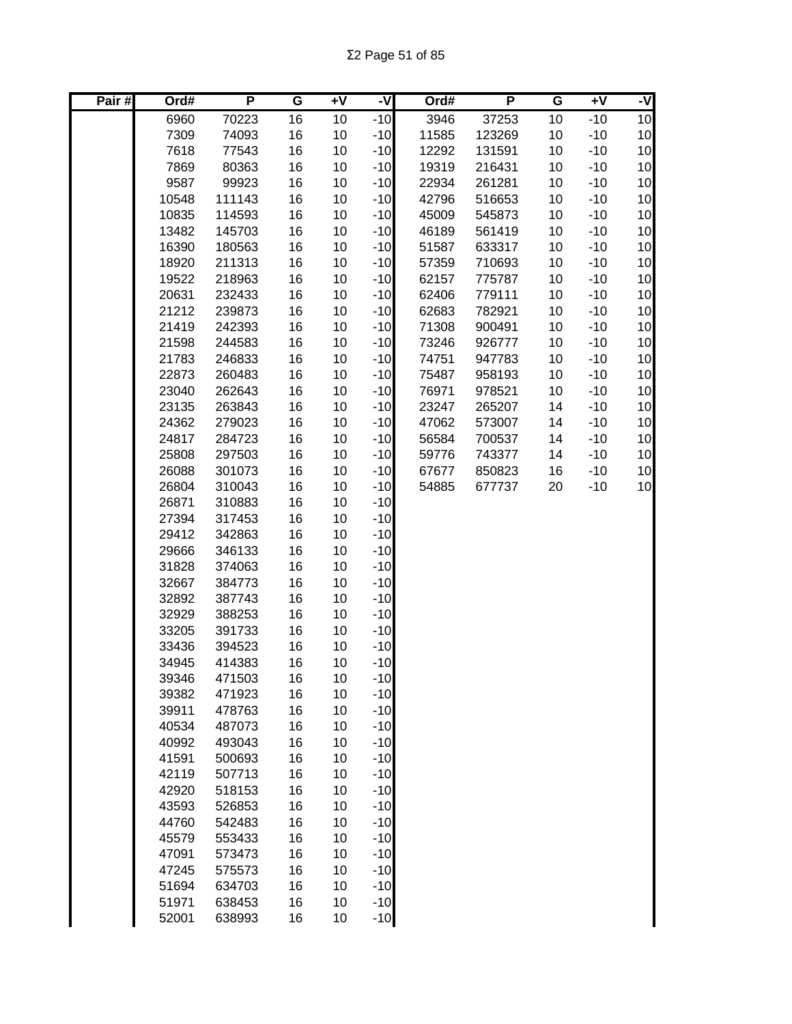| $-10$<br>3946<br>10<br>6960<br>70223<br>16<br>37253<br>$-10$<br>10<br>10<br>10<br>7309<br>16<br>10<br>$-10$<br>$-10$<br>74093<br>11585<br>123269<br>10<br>10<br>7618<br>16<br>10<br>$-10$<br>10<br>$-10$<br>77543<br>12292<br>131591<br>10<br>7869<br>16<br>10<br>$-10$<br>10<br>$-10$<br>80363<br>19319<br>216431<br>16<br>$-10$<br>10<br>9587<br>10<br>$-10$<br>10<br>99923<br>22934<br>261281<br>16<br>$-10$<br>10<br>111143<br>10<br>42796<br>10<br>$-10$<br>10548<br>516653<br>$-10$<br>10<br>10835<br>16<br>10<br>10<br>$-10$<br>114593<br>45009<br>545873<br>10<br>$-10$<br>$-10$<br>13482<br>16<br>10<br>10<br>145703<br>46189<br>561419<br>10<br>16<br>10<br>$-10$<br>$-10$<br>16390<br>180563<br>51587<br>633317<br>10<br>10<br>18920<br>16<br>10<br>$-10$<br>710693<br>$-10$<br>211313<br>57359<br>10<br>10<br>16<br>10<br>$-10$<br>$-10$<br>19522<br>218963<br>62157<br>775787<br>10<br>10<br>232433<br>16<br>10<br>$-10$<br>$-10$<br>20631<br>62406<br>779111<br>10<br>10<br>16<br>10<br>782921<br>$-10$<br>21212<br>239873<br>$-10$<br>62683<br>10<br>$-10$<br>10<br>242393<br>16<br>10<br>$-10$<br>71308<br>900491<br>10<br>21419<br>10<br>16<br>10<br>$-10$<br>21598<br>244583<br>$-10$<br>73246<br>926777<br>10<br>$-10$<br>10<br>16<br>10<br>$-10$<br>947783<br>10<br>21783<br>246833<br>74751<br>16<br>$-10$<br>10<br>260483<br>10<br>$-10$<br>10<br>22873<br>75487<br>958193<br>$-10$<br>10<br>262643<br>16<br>10<br>$-10$<br>76971<br>10<br>23040<br>978521<br>16<br>$-10$<br>10<br>23135<br>263843<br>10<br>$-10$<br>23247<br>265207<br>14<br>10<br>24362<br>279023<br>16<br>10<br>$-10$<br>$-10$<br>47062<br>573007<br>14<br>16<br>10<br>284723<br>10<br>$-10$<br>700537<br>$-10$<br>24817<br>56584<br>14<br>16<br>10<br>25808<br>297503<br>10<br>$-10$<br>$-10$<br>59776<br>743377<br>14<br>16<br>10<br>26088<br>301073<br>10<br>$-10$<br>850823<br>16<br>$-10$<br>67677<br>$-10$<br>10<br>26804<br>310043<br>16<br>10<br>54885<br>$-10$<br>677737<br>20<br>$-10$<br>26871<br>310883<br>16<br>10<br>$-10$<br>27394<br>16<br>10<br>317453<br>29412<br>16<br>10<br>$-10$<br>342863<br>29666<br>16<br>10<br>$-10$<br>346133<br>16<br>31828<br>374063<br>10<br>$-10$<br>16<br>$-10$<br>32667<br>384773<br>10<br>387743<br>16<br>10<br>$-10$<br>32892<br>16<br>$-10$<br>32929<br>388253<br>10<br>16<br>$-10$<br>33205<br>391733<br>10<br>$-10$<br>33436<br>394523<br>16<br>10<br>16<br>10<br>$-10$<br>34945<br>414383<br>16<br>10<br>$-10$<br>39346<br>471503<br>16<br>39382<br>10<br>$-10$<br>471923<br>$-10$<br>39911<br>16<br>10<br>478763<br>16<br>$-10$<br>40534<br>10<br>487073<br>$-10$<br>40992<br>16<br>10<br>493043<br>$-10$<br>41591<br>16<br>10<br>500693<br>$-10$<br>42119<br>16<br>10<br>507713<br>42920<br>16<br>$-10$<br>518153<br>10<br>43593<br>16<br>10<br>$-10$<br>526853<br>44760<br>16<br>$-10$<br>542483<br>10<br>16<br>$-10$<br>45579<br>553433<br>10<br>47091<br>16<br>$-10$<br>573473<br>10<br>47245<br>16<br>$-10$<br>575573<br>10<br>51694<br>16<br>$-10$<br>634703<br>10<br>51971<br>16<br>$-10$<br>638453<br>10 | Pair# | Ord#  | P      | G  | ÷۷ | -V    | Ord# | P | G | $+V$ | -V |
|------------------------------------------------------------------------------------------------------------------------------------------------------------------------------------------------------------------------------------------------------------------------------------------------------------------------------------------------------------------------------------------------------------------------------------------------------------------------------------------------------------------------------------------------------------------------------------------------------------------------------------------------------------------------------------------------------------------------------------------------------------------------------------------------------------------------------------------------------------------------------------------------------------------------------------------------------------------------------------------------------------------------------------------------------------------------------------------------------------------------------------------------------------------------------------------------------------------------------------------------------------------------------------------------------------------------------------------------------------------------------------------------------------------------------------------------------------------------------------------------------------------------------------------------------------------------------------------------------------------------------------------------------------------------------------------------------------------------------------------------------------------------------------------------------------------------------------------------------------------------------------------------------------------------------------------------------------------------------------------------------------------------------------------------------------------------------------------------------------------------------------------------------------------------------------------------------------------------------------------------------------------------------------------------------------------------------------------------------------------------------------------------------------------------------------------------------------------------------------------------------------------------------------------------------------------------------------------------------------------------------------------------------------------------------------------------------------------------------------------------------------------------------------------------------------------------------------------------------------------------------------------------------------------------------------------------------------------------------------------------------------------------------------------------------------------|-------|-------|--------|----|----|-------|------|---|---|------|----|
|                                                                                                                                                                                                                                                                                                                                                                                                                                                                                                                                                                                                                                                                                                                                                                                                                                                                                                                                                                                                                                                                                                                                                                                                                                                                                                                                                                                                                                                                                                                                                                                                                                                                                                                                                                                                                                                                                                                                                                                                                                                                                                                                                                                                                                                                                                                                                                                                                                                                                                                                                                                                                                                                                                                                                                                                                                                                                                                                                                                                                                                                  |       |       |        |    |    |       |      |   |   |      |    |
|                                                                                                                                                                                                                                                                                                                                                                                                                                                                                                                                                                                                                                                                                                                                                                                                                                                                                                                                                                                                                                                                                                                                                                                                                                                                                                                                                                                                                                                                                                                                                                                                                                                                                                                                                                                                                                                                                                                                                                                                                                                                                                                                                                                                                                                                                                                                                                                                                                                                                                                                                                                                                                                                                                                                                                                                                                                                                                                                                                                                                                                                  |       |       |        |    |    |       |      |   |   |      |    |
|                                                                                                                                                                                                                                                                                                                                                                                                                                                                                                                                                                                                                                                                                                                                                                                                                                                                                                                                                                                                                                                                                                                                                                                                                                                                                                                                                                                                                                                                                                                                                                                                                                                                                                                                                                                                                                                                                                                                                                                                                                                                                                                                                                                                                                                                                                                                                                                                                                                                                                                                                                                                                                                                                                                                                                                                                                                                                                                                                                                                                                                                  |       |       |        |    |    |       |      |   |   |      |    |
|                                                                                                                                                                                                                                                                                                                                                                                                                                                                                                                                                                                                                                                                                                                                                                                                                                                                                                                                                                                                                                                                                                                                                                                                                                                                                                                                                                                                                                                                                                                                                                                                                                                                                                                                                                                                                                                                                                                                                                                                                                                                                                                                                                                                                                                                                                                                                                                                                                                                                                                                                                                                                                                                                                                                                                                                                                                                                                                                                                                                                                                                  |       |       |        |    |    |       |      |   |   |      |    |
|                                                                                                                                                                                                                                                                                                                                                                                                                                                                                                                                                                                                                                                                                                                                                                                                                                                                                                                                                                                                                                                                                                                                                                                                                                                                                                                                                                                                                                                                                                                                                                                                                                                                                                                                                                                                                                                                                                                                                                                                                                                                                                                                                                                                                                                                                                                                                                                                                                                                                                                                                                                                                                                                                                                                                                                                                                                                                                                                                                                                                                                                  |       |       |        |    |    |       |      |   |   |      |    |
|                                                                                                                                                                                                                                                                                                                                                                                                                                                                                                                                                                                                                                                                                                                                                                                                                                                                                                                                                                                                                                                                                                                                                                                                                                                                                                                                                                                                                                                                                                                                                                                                                                                                                                                                                                                                                                                                                                                                                                                                                                                                                                                                                                                                                                                                                                                                                                                                                                                                                                                                                                                                                                                                                                                                                                                                                                                                                                                                                                                                                                                                  |       |       |        |    |    |       |      |   |   |      |    |
|                                                                                                                                                                                                                                                                                                                                                                                                                                                                                                                                                                                                                                                                                                                                                                                                                                                                                                                                                                                                                                                                                                                                                                                                                                                                                                                                                                                                                                                                                                                                                                                                                                                                                                                                                                                                                                                                                                                                                                                                                                                                                                                                                                                                                                                                                                                                                                                                                                                                                                                                                                                                                                                                                                                                                                                                                                                                                                                                                                                                                                                                  |       |       |        |    |    |       |      |   |   |      |    |
|                                                                                                                                                                                                                                                                                                                                                                                                                                                                                                                                                                                                                                                                                                                                                                                                                                                                                                                                                                                                                                                                                                                                                                                                                                                                                                                                                                                                                                                                                                                                                                                                                                                                                                                                                                                                                                                                                                                                                                                                                                                                                                                                                                                                                                                                                                                                                                                                                                                                                                                                                                                                                                                                                                                                                                                                                                                                                                                                                                                                                                                                  |       |       |        |    |    |       |      |   |   |      |    |
|                                                                                                                                                                                                                                                                                                                                                                                                                                                                                                                                                                                                                                                                                                                                                                                                                                                                                                                                                                                                                                                                                                                                                                                                                                                                                                                                                                                                                                                                                                                                                                                                                                                                                                                                                                                                                                                                                                                                                                                                                                                                                                                                                                                                                                                                                                                                                                                                                                                                                                                                                                                                                                                                                                                                                                                                                                                                                                                                                                                                                                                                  |       |       |        |    |    |       |      |   |   |      |    |
|                                                                                                                                                                                                                                                                                                                                                                                                                                                                                                                                                                                                                                                                                                                                                                                                                                                                                                                                                                                                                                                                                                                                                                                                                                                                                                                                                                                                                                                                                                                                                                                                                                                                                                                                                                                                                                                                                                                                                                                                                                                                                                                                                                                                                                                                                                                                                                                                                                                                                                                                                                                                                                                                                                                                                                                                                                                                                                                                                                                                                                                                  |       |       |        |    |    |       |      |   |   |      |    |
|                                                                                                                                                                                                                                                                                                                                                                                                                                                                                                                                                                                                                                                                                                                                                                                                                                                                                                                                                                                                                                                                                                                                                                                                                                                                                                                                                                                                                                                                                                                                                                                                                                                                                                                                                                                                                                                                                                                                                                                                                                                                                                                                                                                                                                                                                                                                                                                                                                                                                                                                                                                                                                                                                                                                                                                                                                                                                                                                                                                                                                                                  |       |       |        |    |    |       |      |   |   |      |    |
|                                                                                                                                                                                                                                                                                                                                                                                                                                                                                                                                                                                                                                                                                                                                                                                                                                                                                                                                                                                                                                                                                                                                                                                                                                                                                                                                                                                                                                                                                                                                                                                                                                                                                                                                                                                                                                                                                                                                                                                                                                                                                                                                                                                                                                                                                                                                                                                                                                                                                                                                                                                                                                                                                                                                                                                                                                                                                                                                                                                                                                                                  |       |       |        |    |    |       |      |   |   |      |    |
|                                                                                                                                                                                                                                                                                                                                                                                                                                                                                                                                                                                                                                                                                                                                                                                                                                                                                                                                                                                                                                                                                                                                                                                                                                                                                                                                                                                                                                                                                                                                                                                                                                                                                                                                                                                                                                                                                                                                                                                                                                                                                                                                                                                                                                                                                                                                                                                                                                                                                                                                                                                                                                                                                                                                                                                                                                                                                                                                                                                                                                                                  |       |       |        |    |    |       |      |   |   |      |    |
|                                                                                                                                                                                                                                                                                                                                                                                                                                                                                                                                                                                                                                                                                                                                                                                                                                                                                                                                                                                                                                                                                                                                                                                                                                                                                                                                                                                                                                                                                                                                                                                                                                                                                                                                                                                                                                                                                                                                                                                                                                                                                                                                                                                                                                                                                                                                                                                                                                                                                                                                                                                                                                                                                                                                                                                                                                                                                                                                                                                                                                                                  |       |       |        |    |    |       |      |   |   |      |    |
|                                                                                                                                                                                                                                                                                                                                                                                                                                                                                                                                                                                                                                                                                                                                                                                                                                                                                                                                                                                                                                                                                                                                                                                                                                                                                                                                                                                                                                                                                                                                                                                                                                                                                                                                                                                                                                                                                                                                                                                                                                                                                                                                                                                                                                                                                                                                                                                                                                                                                                                                                                                                                                                                                                                                                                                                                                                                                                                                                                                                                                                                  |       |       |        |    |    |       |      |   |   |      |    |
|                                                                                                                                                                                                                                                                                                                                                                                                                                                                                                                                                                                                                                                                                                                                                                                                                                                                                                                                                                                                                                                                                                                                                                                                                                                                                                                                                                                                                                                                                                                                                                                                                                                                                                                                                                                                                                                                                                                                                                                                                                                                                                                                                                                                                                                                                                                                                                                                                                                                                                                                                                                                                                                                                                                                                                                                                                                                                                                                                                                                                                                                  |       |       |        |    |    |       |      |   |   |      |    |
|                                                                                                                                                                                                                                                                                                                                                                                                                                                                                                                                                                                                                                                                                                                                                                                                                                                                                                                                                                                                                                                                                                                                                                                                                                                                                                                                                                                                                                                                                                                                                                                                                                                                                                                                                                                                                                                                                                                                                                                                                                                                                                                                                                                                                                                                                                                                                                                                                                                                                                                                                                                                                                                                                                                                                                                                                                                                                                                                                                                                                                                                  |       |       |        |    |    |       |      |   |   |      |    |
|                                                                                                                                                                                                                                                                                                                                                                                                                                                                                                                                                                                                                                                                                                                                                                                                                                                                                                                                                                                                                                                                                                                                                                                                                                                                                                                                                                                                                                                                                                                                                                                                                                                                                                                                                                                                                                                                                                                                                                                                                                                                                                                                                                                                                                                                                                                                                                                                                                                                                                                                                                                                                                                                                                                                                                                                                                                                                                                                                                                                                                                                  |       |       |        |    |    |       |      |   |   |      |    |
|                                                                                                                                                                                                                                                                                                                                                                                                                                                                                                                                                                                                                                                                                                                                                                                                                                                                                                                                                                                                                                                                                                                                                                                                                                                                                                                                                                                                                                                                                                                                                                                                                                                                                                                                                                                                                                                                                                                                                                                                                                                                                                                                                                                                                                                                                                                                                                                                                                                                                                                                                                                                                                                                                                                                                                                                                                                                                                                                                                                                                                                                  |       |       |        |    |    |       |      |   |   |      |    |
|                                                                                                                                                                                                                                                                                                                                                                                                                                                                                                                                                                                                                                                                                                                                                                                                                                                                                                                                                                                                                                                                                                                                                                                                                                                                                                                                                                                                                                                                                                                                                                                                                                                                                                                                                                                                                                                                                                                                                                                                                                                                                                                                                                                                                                                                                                                                                                                                                                                                                                                                                                                                                                                                                                                                                                                                                                                                                                                                                                                                                                                                  |       |       |        |    |    |       |      |   |   |      |    |
|                                                                                                                                                                                                                                                                                                                                                                                                                                                                                                                                                                                                                                                                                                                                                                                                                                                                                                                                                                                                                                                                                                                                                                                                                                                                                                                                                                                                                                                                                                                                                                                                                                                                                                                                                                                                                                                                                                                                                                                                                                                                                                                                                                                                                                                                                                                                                                                                                                                                                                                                                                                                                                                                                                                                                                                                                                                                                                                                                                                                                                                                  |       |       |        |    |    |       |      |   |   |      |    |
|                                                                                                                                                                                                                                                                                                                                                                                                                                                                                                                                                                                                                                                                                                                                                                                                                                                                                                                                                                                                                                                                                                                                                                                                                                                                                                                                                                                                                                                                                                                                                                                                                                                                                                                                                                                                                                                                                                                                                                                                                                                                                                                                                                                                                                                                                                                                                                                                                                                                                                                                                                                                                                                                                                                                                                                                                                                                                                                                                                                                                                                                  |       |       |        |    |    |       |      |   |   |      |    |
|                                                                                                                                                                                                                                                                                                                                                                                                                                                                                                                                                                                                                                                                                                                                                                                                                                                                                                                                                                                                                                                                                                                                                                                                                                                                                                                                                                                                                                                                                                                                                                                                                                                                                                                                                                                                                                                                                                                                                                                                                                                                                                                                                                                                                                                                                                                                                                                                                                                                                                                                                                                                                                                                                                                                                                                                                                                                                                                                                                                                                                                                  |       |       |        |    |    |       |      |   |   |      |    |
|                                                                                                                                                                                                                                                                                                                                                                                                                                                                                                                                                                                                                                                                                                                                                                                                                                                                                                                                                                                                                                                                                                                                                                                                                                                                                                                                                                                                                                                                                                                                                                                                                                                                                                                                                                                                                                                                                                                                                                                                                                                                                                                                                                                                                                                                                                                                                                                                                                                                                                                                                                                                                                                                                                                                                                                                                                                                                                                                                                                                                                                                  |       |       |        |    |    |       |      |   |   |      |    |
|                                                                                                                                                                                                                                                                                                                                                                                                                                                                                                                                                                                                                                                                                                                                                                                                                                                                                                                                                                                                                                                                                                                                                                                                                                                                                                                                                                                                                                                                                                                                                                                                                                                                                                                                                                                                                                                                                                                                                                                                                                                                                                                                                                                                                                                                                                                                                                                                                                                                                                                                                                                                                                                                                                                                                                                                                                                                                                                                                                                                                                                                  |       |       |        |    |    |       |      |   |   |      |    |
|                                                                                                                                                                                                                                                                                                                                                                                                                                                                                                                                                                                                                                                                                                                                                                                                                                                                                                                                                                                                                                                                                                                                                                                                                                                                                                                                                                                                                                                                                                                                                                                                                                                                                                                                                                                                                                                                                                                                                                                                                                                                                                                                                                                                                                                                                                                                                                                                                                                                                                                                                                                                                                                                                                                                                                                                                                                                                                                                                                                                                                                                  |       |       |        |    |    |       |      |   |   |      |    |
|                                                                                                                                                                                                                                                                                                                                                                                                                                                                                                                                                                                                                                                                                                                                                                                                                                                                                                                                                                                                                                                                                                                                                                                                                                                                                                                                                                                                                                                                                                                                                                                                                                                                                                                                                                                                                                                                                                                                                                                                                                                                                                                                                                                                                                                                                                                                                                                                                                                                                                                                                                                                                                                                                                                                                                                                                                                                                                                                                                                                                                                                  |       |       |        |    |    |       |      |   |   |      |    |
|                                                                                                                                                                                                                                                                                                                                                                                                                                                                                                                                                                                                                                                                                                                                                                                                                                                                                                                                                                                                                                                                                                                                                                                                                                                                                                                                                                                                                                                                                                                                                                                                                                                                                                                                                                                                                                                                                                                                                                                                                                                                                                                                                                                                                                                                                                                                                                                                                                                                                                                                                                                                                                                                                                                                                                                                                                                                                                                                                                                                                                                                  |       |       |        |    |    |       |      |   |   |      |    |
|                                                                                                                                                                                                                                                                                                                                                                                                                                                                                                                                                                                                                                                                                                                                                                                                                                                                                                                                                                                                                                                                                                                                                                                                                                                                                                                                                                                                                                                                                                                                                                                                                                                                                                                                                                                                                                                                                                                                                                                                                                                                                                                                                                                                                                                                                                                                                                                                                                                                                                                                                                                                                                                                                                                                                                                                                                                                                                                                                                                                                                                                  |       |       |        |    |    |       |      |   |   |      |    |
|                                                                                                                                                                                                                                                                                                                                                                                                                                                                                                                                                                                                                                                                                                                                                                                                                                                                                                                                                                                                                                                                                                                                                                                                                                                                                                                                                                                                                                                                                                                                                                                                                                                                                                                                                                                                                                                                                                                                                                                                                                                                                                                                                                                                                                                                                                                                                                                                                                                                                                                                                                                                                                                                                                                                                                                                                                                                                                                                                                                                                                                                  |       |       |        |    |    |       |      |   |   |      |    |
|                                                                                                                                                                                                                                                                                                                                                                                                                                                                                                                                                                                                                                                                                                                                                                                                                                                                                                                                                                                                                                                                                                                                                                                                                                                                                                                                                                                                                                                                                                                                                                                                                                                                                                                                                                                                                                                                                                                                                                                                                                                                                                                                                                                                                                                                                                                                                                                                                                                                                                                                                                                                                                                                                                                                                                                                                                                                                                                                                                                                                                                                  |       |       |        |    |    |       |      |   |   |      |    |
|                                                                                                                                                                                                                                                                                                                                                                                                                                                                                                                                                                                                                                                                                                                                                                                                                                                                                                                                                                                                                                                                                                                                                                                                                                                                                                                                                                                                                                                                                                                                                                                                                                                                                                                                                                                                                                                                                                                                                                                                                                                                                                                                                                                                                                                                                                                                                                                                                                                                                                                                                                                                                                                                                                                                                                                                                                                                                                                                                                                                                                                                  |       |       |        |    |    |       |      |   |   |      |    |
|                                                                                                                                                                                                                                                                                                                                                                                                                                                                                                                                                                                                                                                                                                                                                                                                                                                                                                                                                                                                                                                                                                                                                                                                                                                                                                                                                                                                                                                                                                                                                                                                                                                                                                                                                                                                                                                                                                                                                                                                                                                                                                                                                                                                                                                                                                                                                                                                                                                                                                                                                                                                                                                                                                                                                                                                                                                                                                                                                                                                                                                                  |       |       |        |    |    |       |      |   |   |      |    |
|                                                                                                                                                                                                                                                                                                                                                                                                                                                                                                                                                                                                                                                                                                                                                                                                                                                                                                                                                                                                                                                                                                                                                                                                                                                                                                                                                                                                                                                                                                                                                                                                                                                                                                                                                                                                                                                                                                                                                                                                                                                                                                                                                                                                                                                                                                                                                                                                                                                                                                                                                                                                                                                                                                                                                                                                                                                                                                                                                                                                                                                                  |       |       |        |    |    |       |      |   |   |      |    |
|                                                                                                                                                                                                                                                                                                                                                                                                                                                                                                                                                                                                                                                                                                                                                                                                                                                                                                                                                                                                                                                                                                                                                                                                                                                                                                                                                                                                                                                                                                                                                                                                                                                                                                                                                                                                                                                                                                                                                                                                                                                                                                                                                                                                                                                                                                                                                                                                                                                                                                                                                                                                                                                                                                                                                                                                                                                                                                                                                                                                                                                                  |       |       |        |    |    |       |      |   |   |      |    |
|                                                                                                                                                                                                                                                                                                                                                                                                                                                                                                                                                                                                                                                                                                                                                                                                                                                                                                                                                                                                                                                                                                                                                                                                                                                                                                                                                                                                                                                                                                                                                                                                                                                                                                                                                                                                                                                                                                                                                                                                                                                                                                                                                                                                                                                                                                                                                                                                                                                                                                                                                                                                                                                                                                                                                                                                                                                                                                                                                                                                                                                                  |       |       |        |    |    |       |      |   |   |      |    |
|                                                                                                                                                                                                                                                                                                                                                                                                                                                                                                                                                                                                                                                                                                                                                                                                                                                                                                                                                                                                                                                                                                                                                                                                                                                                                                                                                                                                                                                                                                                                                                                                                                                                                                                                                                                                                                                                                                                                                                                                                                                                                                                                                                                                                                                                                                                                                                                                                                                                                                                                                                                                                                                                                                                                                                                                                                                                                                                                                                                                                                                                  |       |       |        |    |    |       |      |   |   |      |    |
|                                                                                                                                                                                                                                                                                                                                                                                                                                                                                                                                                                                                                                                                                                                                                                                                                                                                                                                                                                                                                                                                                                                                                                                                                                                                                                                                                                                                                                                                                                                                                                                                                                                                                                                                                                                                                                                                                                                                                                                                                                                                                                                                                                                                                                                                                                                                                                                                                                                                                                                                                                                                                                                                                                                                                                                                                                                                                                                                                                                                                                                                  |       |       |        |    |    |       |      |   |   |      |    |
|                                                                                                                                                                                                                                                                                                                                                                                                                                                                                                                                                                                                                                                                                                                                                                                                                                                                                                                                                                                                                                                                                                                                                                                                                                                                                                                                                                                                                                                                                                                                                                                                                                                                                                                                                                                                                                                                                                                                                                                                                                                                                                                                                                                                                                                                                                                                                                                                                                                                                                                                                                                                                                                                                                                                                                                                                                                                                                                                                                                                                                                                  |       |       |        |    |    |       |      |   |   |      |    |
|                                                                                                                                                                                                                                                                                                                                                                                                                                                                                                                                                                                                                                                                                                                                                                                                                                                                                                                                                                                                                                                                                                                                                                                                                                                                                                                                                                                                                                                                                                                                                                                                                                                                                                                                                                                                                                                                                                                                                                                                                                                                                                                                                                                                                                                                                                                                                                                                                                                                                                                                                                                                                                                                                                                                                                                                                                                                                                                                                                                                                                                                  |       |       |        |    |    |       |      |   |   |      |    |
|                                                                                                                                                                                                                                                                                                                                                                                                                                                                                                                                                                                                                                                                                                                                                                                                                                                                                                                                                                                                                                                                                                                                                                                                                                                                                                                                                                                                                                                                                                                                                                                                                                                                                                                                                                                                                                                                                                                                                                                                                                                                                                                                                                                                                                                                                                                                                                                                                                                                                                                                                                                                                                                                                                                                                                                                                                                                                                                                                                                                                                                                  |       |       |        |    |    |       |      |   |   |      |    |
|                                                                                                                                                                                                                                                                                                                                                                                                                                                                                                                                                                                                                                                                                                                                                                                                                                                                                                                                                                                                                                                                                                                                                                                                                                                                                                                                                                                                                                                                                                                                                                                                                                                                                                                                                                                                                                                                                                                                                                                                                                                                                                                                                                                                                                                                                                                                                                                                                                                                                                                                                                                                                                                                                                                                                                                                                                                                                                                                                                                                                                                                  |       |       |        |    |    |       |      |   |   |      |    |
|                                                                                                                                                                                                                                                                                                                                                                                                                                                                                                                                                                                                                                                                                                                                                                                                                                                                                                                                                                                                                                                                                                                                                                                                                                                                                                                                                                                                                                                                                                                                                                                                                                                                                                                                                                                                                                                                                                                                                                                                                                                                                                                                                                                                                                                                                                                                                                                                                                                                                                                                                                                                                                                                                                                                                                                                                                                                                                                                                                                                                                                                  |       |       |        |    |    |       |      |   |   |      |    |
|                                                                                                                                                                                                                                                                                                                                                                                                                                                                                                                                                                                                                                                                                                                                                                                                                                                                                                                                                                                                                                                                                                                                                                                                                                                                                                                                                                                                                                                                                                                                                                                                                                                                                                                                                                                                                                                                                                                                                                                                                                                                                                                                                                                                                                                                                                                                                                                                                                                                                                                                                                                                                                                                                                                                                                                                                                                                                                                                                                                                                                                                  |       |       |        |    |    |       |      |   |   |      |    |
|                                                                                                                                                                                                                                                                                                                                                                                                                                                                                                                                                                                                                                                                                                                                                                                                                                                                                                                                                                                                                                                                                                                                                                                                                                                                                                                                                                                                                                                                                                                                                                                                                                                                                                                                                                                                                                                                                                                                                                                                                                                                                                                                                                                                                                                                                                                                                                                                                                                                                                                                                                                                                                                                                                                                                                                                                                                                                                                                                                                                                                                                  |       |       |        |    |    |       |      |   |   |      |    |
|                                                                                                                                                                                                                                                                                                                                                                                                                                                                                                                                                                                                                                                                                                                                                                                                                                                                                                                                                                                                                                                                                                                                                                                                                                                                                                                                                                                                                                                                                                                                                                                                                                                                                                                                                                                                                                                                                                                                                                                                                                                                                                                                                                                                                                                                                                                                                                                                                                                                                                                                                                                                                                                                                                                                                                                                                                                                                                                                                                                                                                                                  |       |       |        |    |    |       |      |   |   |      |    |
|                                                                                                                                                                                                                                                                                                                                                                                                                                                                                                                                                                                                                                                                                                                                                                                                                                                                                                                                                                                                                                                                                                                                                                                                                                                                                                                                                                                                                                                                                                                                                                                                                                                                                                                                                                                                                                                                                                                                                                                                                                                                                                                                                                                                                                                                                                                                                                                                                                                                                                                                                                                                                                                                                                                                                                                                                                                                                                                                                                                                                                                                  |       |       |        |    |    |       |      |   |   |      |    |
|                                                                                                                                                                                                                                                                                                                                                                                                                                                                                                                                                                                                                                                                                                                                                                                                                                                                                                                                                                                                                                                                                                                                                                                                                                                                                                                                                                                                                                                                                                                                                                                                                                                                                                                                                                                                                                                                                                                                                                                                                                                                                                                                                                                                                                                                                                                                                                                                                                                                                                                                                                                                                                                                                                                                                                                                                                                                                                                                                                                                                                                                  |       |       |        |    |    |       |      |   |   |      |    |
|                                                                                                                                                                                                                                                                                                                                                                                                                                                                                                                                                                                                                                                                                                                                                                                                                                                                                                                                                                                                                                                                                                                                                                                                                                                                                                                                                                                                                                                                                                                                                                                                                                                                                                                                                                                                                                                                                                                                                                                                                                                                                                                                                                                                                                                                                                                                                                                                                                                                                                                                                                                                                                                                                                                                                                                                                                                                                                                                                                                                                                                                  |       |       |        |    |    |       |      |   |   |      |    |
|                                                                                                                                                                                                                                                                                                                                                                                                                                                                                                                                                                                                                                                                                                                                                                                                                                                                                                                                                                                                                                                                                                                                                                                                                                                                                                                                                                                                                                                                                                                                                                                                                                                                                                                                                                                                                                                                                                                                                                                                                                                                                                                                                                                                                                                                                                                                                                                                                                                                                                                                                                                                                                                                                                                                                                                                                                                                                                                                                                                                                                                                  |       | 52001 | 638993 | 16 | 10 | $-10$ |      |   |   |      |    |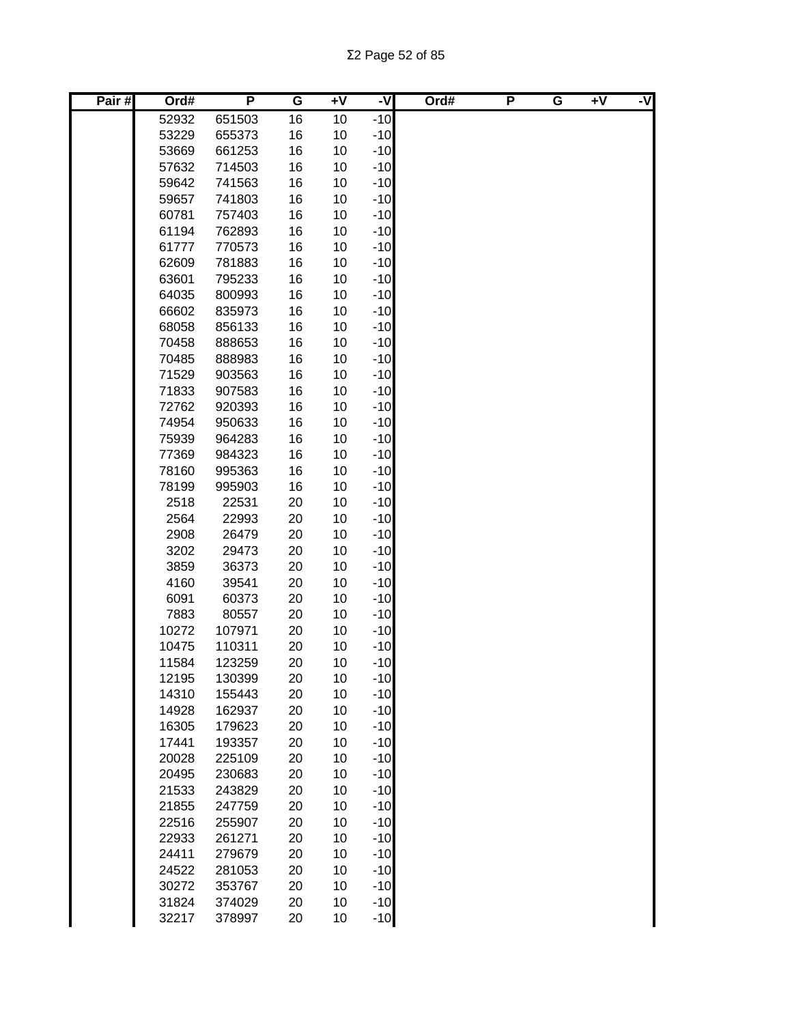| Pair# | Ord#           | P                | G        | $+V$     | $-\nabla$      | Ord# | P | G | $+V$ | -V |
|-------|----------------|------------------|----------|----------|----------------|------|---|---|------|----|
|       | 52932          | 651503           | 16       | 10       | $-10$          |      |   |   |      |    |
|       | 53229          | 655373           | 16       | 10       | $-10$          |      |   |   |      |    |
|       | 53669          | 661253           | 16       | 10       | $-10$          |      |   |   |      |    |
|       | 57632          | 714503           | 16       | 10       | $-10$          |      |   |   |      |    |
|       | 59642          | 741563           | 16       | 10       | $-10$          |      |   |   |      |    |
|       | 59657          | 741803           | 16       | 10       | $-10$          |      |   |   |      |    |
|       | 60781          | 757403           | 16       | 10       | $-10$          |      |   |   |      |    |
|       | 61194          | 762893           | 16       | 10       | $-10$          |      |   |   |      |    |
|       | 61777          | 770573           | 16       | 10       | $-10$          |      |   |   |      |    |
|       | 62609          | 781883           | 16       | 10       | $-10$          |      |   |   |      |    |
|       | 63601          | 795233           | 16       | 10       | $-10$          |      |   |   |      |    |
|       | 64035          | 800993           | 16       | 10       | $-10$          |      |   |   |      |    |
|       | 66602          | 835973           | 16       | 10       | $-10$          |      |   |   |      |    |
|       | 68058          | 856133           | 16       | 10       | $-10$          |      |   |   |      |    |
|       | 70458          | 888653           | 16       | 10       | $-10$          |      |   |   |      |    |
|       | 70485          | 888983           | 16       | 10       | $-10$          |      |   |   |      |    |
|       | 71529          | 903563           | 16       | 10       | $-10$          |      |   |   |      |    |
|       | 71833          | 907583           | 16       | 10       | $-10$          |      |   |   |      |    |
|       | 72762          | 920393           | 16       | 10       | $-10$          |      |   |   |      |    |
|       | 74954          | 950633           | 16       | 10       | $-10$          |      |   |   |      |    |
|       | 75939          | 964283           | 16       | 10       | $-10$          |      |   |   |      |    |
|       | 77369          | 984323           | 16       | 10       | $-10$          |      |   |   |      |    |
|       | 78160          | 995363           | 16       | 10       | $-10$          |      |   |   |      |    |
|       | 78199          | 995903           | 16       | 10       | $-10$          |      |   |   |      |    |
|       | 2518           | 22531            | 20       | 10       | $-10$          |      |   |   |      |    |
|       | 2564           | 22993            | 20       | 10       | $-10$          |      |   |   |      |    |
|       | 2908           | 26479            | 20       | 10       | $-10$          |      |   |   |      |    |
|       | 3202           | 29473            | 20       | 10       | $-10$          |      |   |   |      |    |
|       | 3859           | 36373            | 20       | 10       | $-10$          |      |   |   |      |    |
|       | 4160           | 39541            | 20       | 10       | $-10$          |      |   |   |      |    |
|       | 6091           | 60373            | 20       | 10       | $-10$          |      |   |   |      |    |
|       | 7883           | 80557            | 20       | 10       | $-10$          |      |   |   |      |    |
|       | 10272          | 107971           | 20       | 10       | $-10$          |      |   |   |      |    |
|       | 10475          | 110311           | 20       | 10       | $-10$          |      |   |   |      |    |
|       | 11584          | 123259           | 20       | 10       | $-10$          |      |   |   |      |    |
|       | 12195          | 130399           | 20       | 10       | $-10$          |      |   |   |      |    |
|       | 14310          | 155443           | 20       | 10       | $-10$          |      |   |   |      |    |
|       | 14928          | 162937           | 20       | 10       | $-10$          |      |   |   |      |    |
|       | 16305          | 179623           | 20       | 10       | $-10$          |      |   |   |      |    |
|       | 17441          | 193357           | 20       | 10       | $-10$          |      |   |   |      |    |
|       | 20028          | 225109           | 20       | 10       | $-10$          |      |   |   |      |    |
|       | 20495          | 230683           | 20       | 10       | $-10$          |      |   |   |      |    |
|       | 21533          | 243829           | 20       | 10       | $-10$          |      |   |   |      |    |
|       | 21855          | 247759           | 20       | 10       | $-10$<br>$-10$ |      |   |   |      |    |
|       | 22516          | 255907           | 20       | 10       | $-10$          |      |   |   |      |    |
|       | 22933<br>24411 | 261271           | 20       | 10<br>10 | $-10$          |      |   |   |      |    |
|       | 24522          | 279679<br>281053 | 20<br>20 | 10       | $-10$          |      |   |   |      |    |
|       | 30272          | 353767           | 20       | 10       | $-10$          |      |   |   |      |    |
|       | 31824          | 374029           | 20       | 10       | $-10$          |      |   |   |      |    |
|       | 32217          | 378997           | 20       | 10       | $-10$          |      |   |   |      |    |
|       |                |                  |          |          |                |      |   |   |      |    |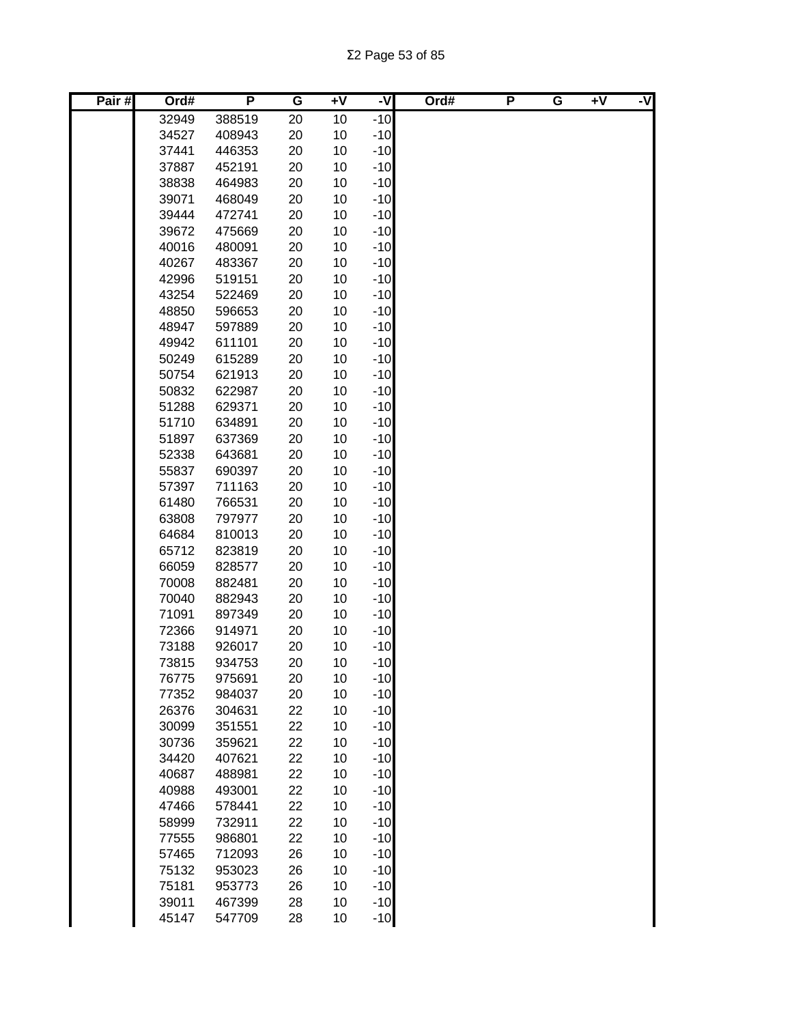| Pair# | Ord#  | P      | G  | $+V$ | -V    | Ord# | P | G | $+V$ | -V |
|-------|-------|--------|----|------|-------|------|---|---|------|----|
|       | 32949 | 388519 | 20 | 10   | $-10$ |      |   |   |      |    |
|       | 34527 | 408943 | 20 | 10   | $-10$ |      |   |   |      |    |
|       | 37441 | 446353 | 20 | 10   | $-10$ |      |   |   |      |    |
|       | 37887 | 452191 | 20 | 10   | $-10$ |      |   |   |      |    |
|       | 38838 | 464983 | 20 | 10   | $-10$ |      |   |   |      |    |
|       | 39071 | 468049 | 20 | 10   | $-10$ |      |   |   |      |    |
|       | 39444 | 472741 | 20 | 10   | $-10$ |      |   |   |      |    |
|       | 39672 | 475669 | 20 | 10   | $-10$ |      |   |   |      |    |
|       | 40016 | 480091 | 20 | 10   | $-10$ |      |   |   |      |    |
|       | 40267 | 483367 | 20 | 10   | $-10$ |      |   |   |      |    |
|       | 42996 | 519151 | 20 | 10   | $-10$ |      |   |   |      |    |
|       | 43254 | 522469 | 20 | 10   | $-10$ |      |   |   |      |    |
|       | 48850 | 596653 | 20 | 10   | $-10$ |      |   |   |      |    |
|       | 48947 | 597889 | 20 | 10   | $-10$ |      |   |   |      |    |
|       | 49942 | 611101 | 20 | 10   | $-10$ |      |   |   |      |    |
|       | 50249 | 615289 | 20 | 10   | $-10$ |      |   |   |      |    |
|       | 50754 | 621913 | 20 | 10   | $-10$ |      |   |   |      |    |
|       | 50832 | 622987 | 20 | 10   | $-10$ |      |   |   |      |    |
|       | 51288 | 629371 | 20 | 10   | $-10$ |      |   |   |      |    |
|       | 51710 | 634891 | 20 | 10   | $-10$ |      |   |   |      |    |
|       | 51897 | 637369 | 20 | 10   | $-10$ |      |   |   |      |    |
|       | 52338 | 643681 | 20 | 10   | $-10$ |      |   |   |      |    |
|       | 55837 | 690397 | 20 | 10   | $-10$ |      |   |   |      |    |
|       | 57397 | 711163 | 20 | 10   | $-10$ |      |   |   |      |    |
|       | 61480 | 766531 | 20 | 10   | $-10$ |      |   |   |      |    |
|       | 63808 | 797977 | 20 | 10   | $-10$ |      |   |   |      |    |
|       | 64684 | 810013 | 20 | 10   | $-10$ |      |   |   |      |    |
|       | 65712 | 823819 | 20 | 10   | $-10$ |      |   |   |      |    |
|       | 66059 | 828577 | 20 | 10   | $-10$ |      |   |   |      |    |
|       | 70008 | 882481 | 20 | 10   | $-10$ |      |   |   |      |    |
|       | 70040 | 882943 | 20 | 10   | $-10$ |      |   |   |      |    |
|       | 71091 | 897349 | 20 | 10   | $-10$ |      |   |   |      |    |
|       | 72366 | 914971 | 20 | 10   | $-10$ |      |   |   |      |    |
|       | 73188 | 926017 | 20 | 10   | $-10$ |      |   |   |      |    |
|       | 73815 | 934753 | 20 | 10   | $-10$ |      |   |   |      |    |
|       | 76775 | 975691 | 20 | 10   | $-10$ |      |   |   |      |    |
|       | 77352 | 984037 | 20 | 10   | $-10$ |      |   |   |      |    |
|       | 26376 | 304631 | 22 | 10   | $-10$ |      |   |   |      |    |
|       | 30099 | 351551 | 22 | 10   | $-10$ |      |   |   |      |    |
|       | 30736 | 359621 | 22 | 10   | $-10$ |      |   |   |      |    |
|       | 34420 | 407621 | 22 | 10   | $-10$ |      |   |   |      |    |
|       | 40687 | 488981 | 22 | 10   | $-10$ |      |   |   |      |    |
|       | 40988 | 493001 | 22 | 10   | $-10$ |      |   |   |      |    |
|       | 47466 | 578441 | 22 | 10   | $-10$ |      |   |   |      |    |
|       | 58999 | 732911 | 22 | 10   | $-10$ |      |   |   |      |    |
|       | 77555 | 986801 | 22 | 10   | $-10$ |      |   |   |      |    |
|       | 57465 | 712093 | 26 | 10   | $-10$ |      |   |   |      |    |
|       | 75132 | 953023 | 26 | 10   | $-10$ |      |   |   |      |    |
|       | 75181 | 953773 | 26 | 10   | $-10$ |      |   |   |      |    |
|       | 39011 | 467399 | 28 | 10   | $-10$ |      |   |   |      |    |
|       | 45147 | 547709 | 28 | 10   | $-10$ |      |   |   |      |    |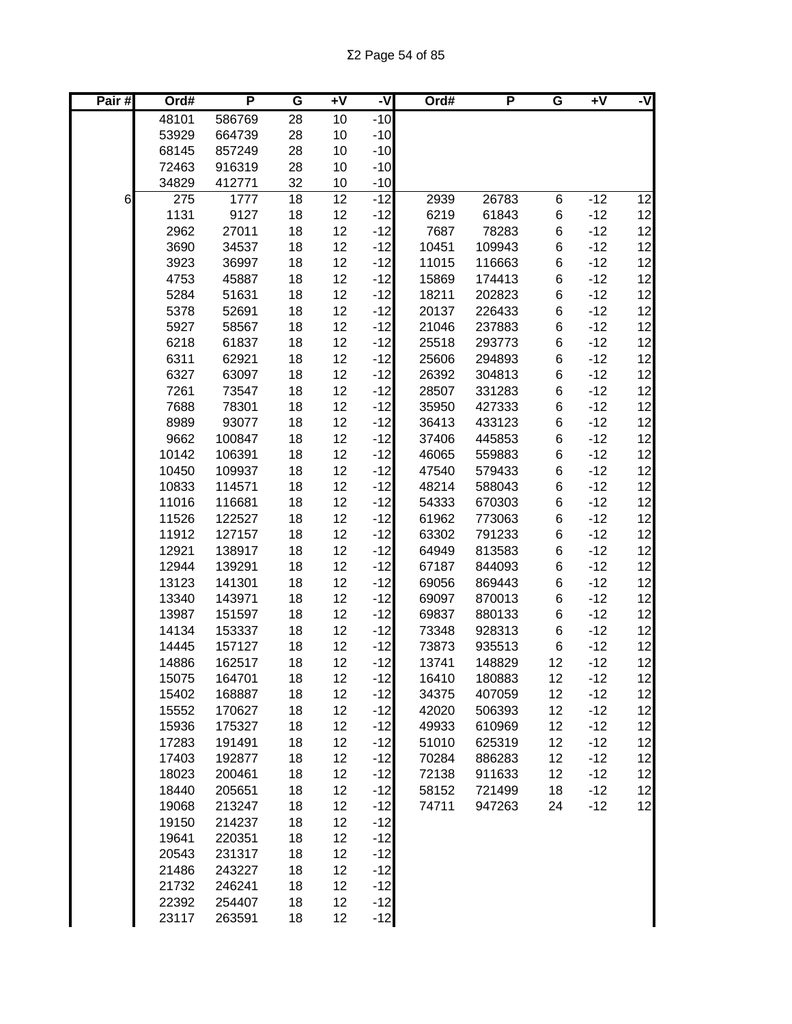| Pair# | Ord#           | P                | G        | ÷۷       | -V             | Ord#           | P                | G        | $+V$           | -V       |
|-------|----------------|------------------|----------|----------|----------------|----------------|------------------|----------|----------------|----------|
|       | 48101          | 586769           | 28       | 10       | $-10$          |                |                  |          |                |          |
|       | 53929          | 664739           | 28       | 10       | $-10$          |                |                  |          |                |          |
|       | 68145          | 857249           | 28       | 10       | $-10$          |                |                  |          |                |          |
|       | 72463          | 916319           | 28       | 10       | $-10$          |                |                  |          |                |          |
|       | 34829          | 412771           | 32       | 10       | $-10$          |                |                  |          |                |          |
| 6     | 275            | 1777             | 18       | 12       | $-12$          | 2939           | 26783            | 6        | $-12$          | 12       |
|       | 1131           | 9127             | 18       | 12       | $-12$          | 6219           | 61843            | 6        | $-12$          | 12       |
|       | 2962           | 27011            | 18       | 12       | $-12$          | 7687           | 78283            | 6        | $-12$          | 12       |
|       | 3690           | 34537            | 18       | 12       | $-12$          | 10451          | 109943           | 6        | $-12$          | 12       |
|       | 3923           | 36997            | 18       | 12       | $-12$          | 11015          | 116663           | 6        | $-12$          | 12       |
|       | 4753           | 45887            | 18       | 12       | $-12$          | 15869          | 174413           | 6        | $-12$          | 12       |
|       | 5284           | 51631            | 18       | 12       | $-12$          | 18211          | 202823           | 6        | $-12$          | 12       |
|       | 5378           | 52691            | 18       | 12       | $-12$          | 20137          | 226433           | 6        | $-12$          | 12       |
|       | 5927           | 58567            | 18       | 12       | $-12$          | 21046          | 237883           | 6        | $-12$          | 12       |
|       | 6218           | 61837            | 18       | 12       | $-12$          | 25518          | 293773           | 6        | $-12$          | 12       |
|       | 6311           | 62921            | 18       | 12       | $-12$          | 25606          | 294893           | 6        | $-12$          | 12       |
|       | 6327           | 63097            | 18       | 12       | $-12$          | 26392          | 304813           | 6        | $-12$          | 12       |
|       | 7261           | 73547            | 18       | 12       | $-12$          | 28507          | 331283           | 6        | $-12$          | 12       |
|       | 7688           | 78301            | 18       | 12       | $-12$          | 35950          | 427333           | 6        | $-12$          | 12       |
|       | 8989           | 93077            | 18       | 12       | $-12$          | 36413          | 433123           | 6        | $-12$          | 12       |
|       | 9662           | 100847           | 18       | 12       | $-12$          | 37406          | 445853           | 6        | $-12$          | 12       |
|       | 10142          | 106391           | 18       | 12       | $-12$          | 46065          | 559883           | 6        | $-12$          | 12       |
|       | 10450          | 109937           | 18       | 12       | $-12$          | 47540          | 579433           | 6        | $-12$          | 12       |
|       | 10833          | 114571           | 18       | 12       | $-12$          | 48214          | 588043           | 6        | $-12$          | 12       |
|       | 11016          | 116681           | 18       | 12       | $-12$          | 54333          | 670303           | 6        | $-12$          | 12       |
|       | 11526          | 122527           | 18       | 12       | $-12$          | 61962          | 773063           | 6        | $-12$          | 12       |
|       | 11912          | 127157           | 18       | 12       | $-12$          | 63302          | 791233           | 6        | $-12$          | 12       |
|       | 12921          | 138917           | 18       | 12       | $-12$          | 64949          | 813583           | 6        | $-12$          | 12       |
|       | 12944          | 139291           | 18       | 12       | $-12$          | 67187          | 844093           | 6        | $-12$          | 12       |
|       | 13123          | 141301           | 18       | 12       | $-12$          | 69056          | 869443           | 6        | $-12$          | 12       |
|       | 13340          | 143971           | 18       | 12       | $-12$          | 69097          | 870013           | 6        | $-12$          | 12       |
|       | 13987          | 151597           | 18       | 12       | $-12$          | 69837          | 880133           | 6        | $-12$          | 12       |
|       | 14134          | 153337           | 18       | 12       | $-12$          | 73348          | 928313           | 6        | $-12$          | 12       |
|       | 14445<br>14886 | 157127           | 18       | 12       | $-12$          | 73873          | 935513           | 6        | $-12$          | 12       |
|       |                | 162517           | 18       | 12       | $-12$          | 13741          | 148829           | 12       | $-12$          | 12       |
|       | 15075<br>15402 | 164701<br>168887 | 18       | 12<br>12 | $-12$<br>$-12$ | 16410<br>34375 | 180883           | 12       | $-12$<br>$-12$ | 12<br>12 |
|       | 15552          | 170627           | 18<br>18 | 12       | $-12$          | 42020          | 407059<br>506393 | 12<br>12 | $-12$          | 12       |
|       | 15936          | 175327           | 18       | 12       | $-12$          | 49933          | 610969           | 12       | $-12$          | 12       |
|       | 17283          | 191491           | 18       | 12       | $-12$          | 51010          | 625319           | 12       | $-12$          | 12       |
|       | 17403          | 192877           | 18       | 12       | $-12$          | 70284          | 886283           | 12       | $-12$          | 12       |
|       | 18023          | 200461           | 18       | 12       | $-12$          | 72138          | 911633           | 12       | $-12$          | 12       |
|       | 18440          | 205651           | 18       | 12       | $-12$          | 58152          | 721499           | 18       | $-12$          | 12       |
|       | 19068          | 213247           | 18       | 12       | $-12$          | 74711          | 947263           | 24       | $-12$          | 12       |
|       | 19150          | 214237           | 18       | 12       | $-12$          |                |                  |          |                |          |
|       | 19641          | 220351           | 18       | 12       | $-12$          |                |                  |          |                |          |
|       | 20543          | 231317           | 18       | 12       | $-12$          |                |                  |          |                |          |
|       | 21486          | 243227           | 18       | 12       | $-12$          |                |                  |          |                |          |
|       | 21732          | 246241           | 18       | 12       | $-12$          |                |                  |          |                |          |
|       | 22392          | 254407           | 18       | 12       | $-12$          |                |                  |          |                |          |
|       | 23117          | 263591           | 18       | 12       | $-12$          |                |                  |          |                |          |
|       |                |                  |          |          |                |                |                  |          |                |          |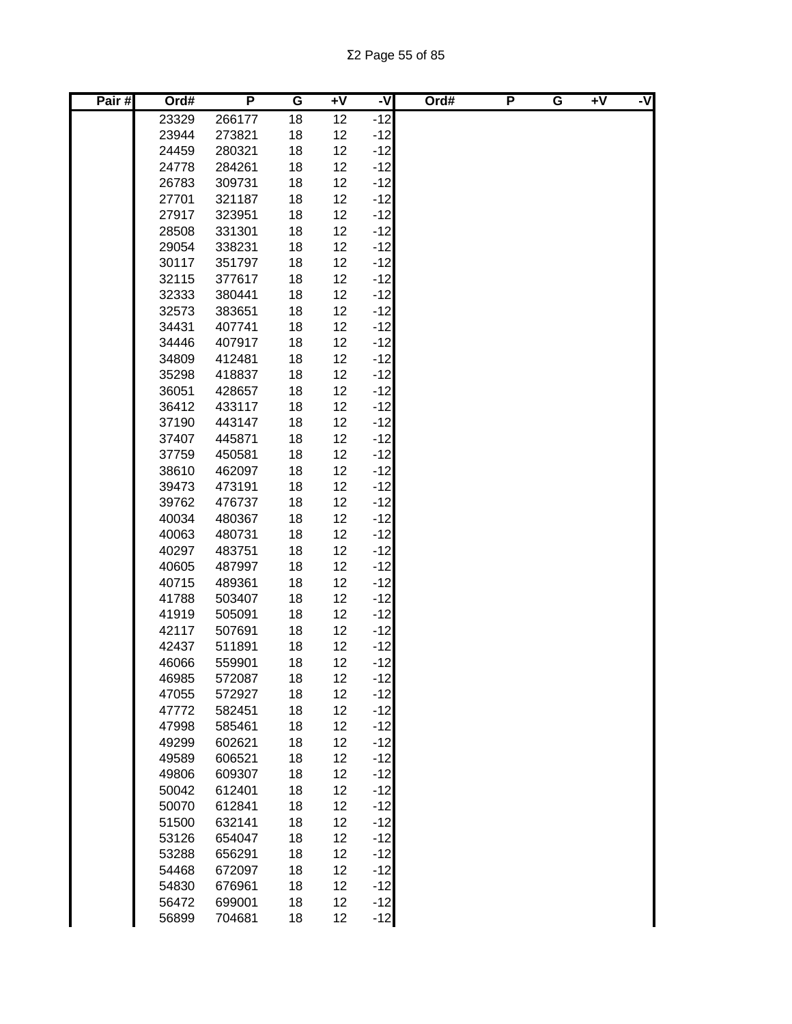| Pair# | Ord#  | P      | G  | $+V$ | -V    | Ord# | P | G | $+V$ | -V |
|-------|-------|--------|----|------|-------|------|---|---|------|----|
|       | 23329 | 266177 | 18 | 12   | $-12$ |      |   |   |      |    |
|       | 23944 | 273821 | 18 | 12   | $-12$ |      |   |   |      |    |
|       | 24459 | 280321 | 18 | 12   | $-12$ |      |   |   |      |    |
|       | 24778 | 284261 | 18 | 12   | $-12$ |      |   |   |      |    |
|       | 26783 | 309731 | 18 | 12   | $-12$ |      |   |   |      |    |
|       | 27701 | 321187 | 18 | 12   | $-12$ |      |   |   |      |    |
|       | 27917 | 323951 | 18 | 12   | $-12$ |      |   |   |      |    |
|       | 28508 | 331301 | 18 | 12   | $-12$ |      |   |   |      |    |
|       | 29054 | 338231 | 18 | 12   | $-12$ |      |   |   |      |    |
|       | 30117 | 351797 | 18 | 12   | $-12$ |      |   |   |      |    |
|       | 32115 | 377617 | 18 | 12   | $-12$ |      |   |   |      |    |
|       | 32333 | 380441 | 18 | 12   | $-12$ |      |   |   |      |    |
|       | 32573 | 383651 | 18 | 12   | $-12$ |      |   |   |      |    |
|       | 34431 | 407741 | 18 | 12   | $-12$ |      |   |   |      |    |
|       | 34446 | 407917 | 18 | 12   | $-12$ |      |   |   |      |    |
|       | 34809 | 412481 | 18 | 12   | $-12$ |      |   |   |      |    |
|       | 35298 | 418837 | 18 | 12   | $-12$ |      |   |   |      |    |
|       | 36051 | 428657 | 18 | 12   | $-12$ |      |   |   |      |    |
|       | 36412 | 433117 | 18 | 12   | $-12$ |      |   |   |      |    |
|       | 37190 | 443147 | 18 | 12   | $-12$ |      |   |   |      |    |
|       | 37407 | 445871 | 18 | 12   | $-12$ |      |   |   |      |    |
|       | 37759 | 450581 | 18 | 12   | $-12$ |      |   |   |      |    |
|       | 38610 | 462097 | 18 | 12   | $-12$ |      |   |   |      |    |
|       | 39473 | 473191 | 18 | 12   | $-12$ |      |   |   |      |    |
|       | 39762 | 476737 | 18 | 12   | $-12$ |      |   |   |      |    |
|       | 40034 | 480367 | 18 | 12   | $-12$ |      |   |   |      |    |
|       | 40063 | 480731 | 18 | 12   | $-12$ |      |   |   |      |    |
|       | 40297 | 483751 | 18 | 12   | $-12$ |      |   |   |      |    |
|       | 40605 | 487997 | 18 | 12   | $-12$ |      |   |   |      |    |
|       | 40715 | 489361 | 18 | 12   | $-12$ |      |   |   |      |    |
|       | 41788 | 503407 | 18 | 12   | $-12$ |      |   |   |      |    |
|       | 41919 | 505091 | 18 | 12   | $-12$ |      |   |   |      |    |
|       | 42117 | 507691 | 18 | 12   | $-12$ |      |   |   |      |    |
|       | 42437 | 511891 | 18 | 12   | $-12$ |      |   |   |      |    |
|       | 46066 | 559901 | 18 | 12   | $-12$ |      |   |   |      |    |
|       | 46985 | 572087 | 18 | 12   | $-12$ |      |   |   |      |    |
|       | 47055 | 572927 | 18 | 12   | $-12$ |      |   |   |      |    |
|       | 47772 | 582451 | 18 | 12   | $-12$ |      |   |   |      |    |
|       | 47998 | 585461 | 18 | 12   | $-12$ |      |   |   |      |    |
|       | 49299 | 602621 | 18 | 12   | $-12$ |      |   |   |      |    |
|       | 49589 | 606521 | 18 | 12   | $-12$ |      |   |   |      |    |
|       | 49806 | 609307 | 18 | 12   | $-12$ |      |   |   |      |    |
|       | 50042 | 612401 | 18 | 12   | $-12$ |      |   |   |      |    |
|       | 50070 | 612841 | 18 | 12   | $-12$ |      |   |   |      |    |
|       | 51500 | 632141 | 18 | 12   | $-12$ |      |   |   |      |    |
|       | 53126 | 654047 | 18 | 12   | $-12$ |      |   |   |      |    |
|       | 53288 | 656291 | 18 | 12   | $-12$ |      |   |   |      |    |
|       | 54468 | 672097 | 18 | 12   | $-12$ |      |   |   |      |    |
|       | 54830 | 676961 | 18 | 12   | $-12$ |      |   |   |      |    |
|       | 56472 | 699001 | 18 | 12   | $-12$ |      |   |   |      |    |
|       | 56899 | 704681 | 18 | 12   | $-12$ |      |   |   |      |    |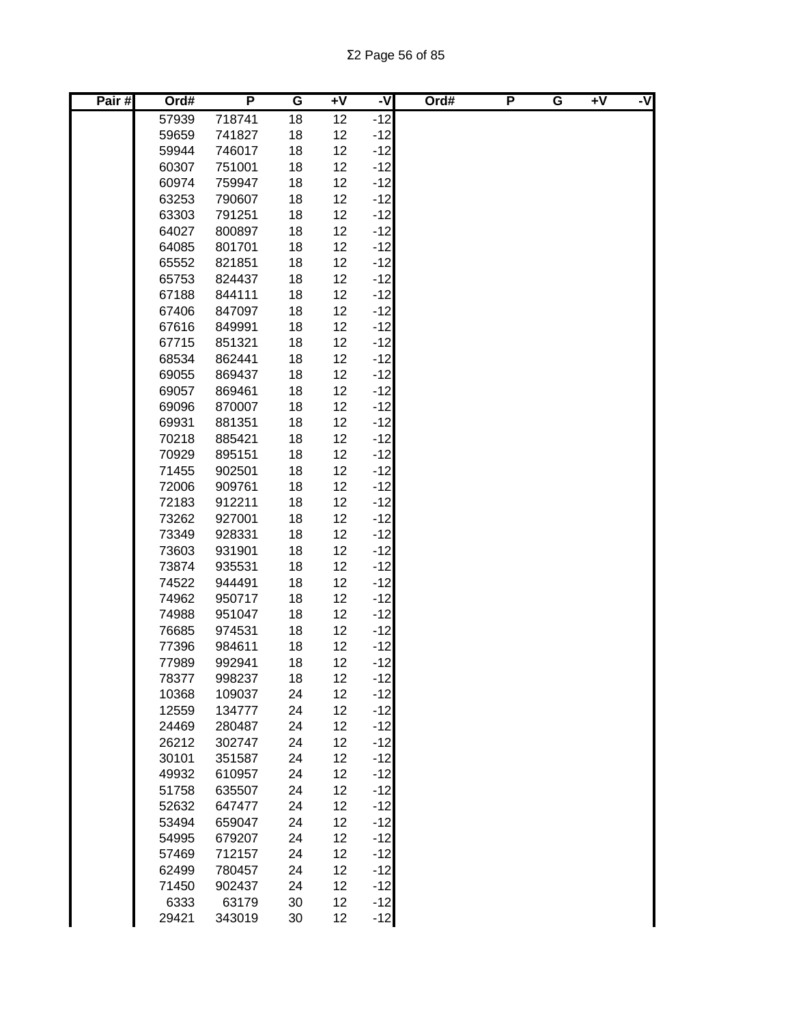| Pair# | Ord#  | P      | G  | $+V$ | -V    | Ord# | P | G | $+V$ | -V |
|-------|-------|--------|----|------|-------|------|---|---|------|----|
|       | 57939 | 718741 | 18 | 12   | $-12$ |      |   |   |      |    |
|       | 59659 | 741827 | 18 | 12   | $-12$ |      |   |   |      |    |
|       | 59944 | 746017 | 18 | 12   | $-12$ |      |   |   |      |    |
|       | 60307 | 751001 | 18 | 12   | $-12$ |      |   |   |      |    |
|       | 60974 | 759947 | 18 | 12   | $-12$ |      |   |   |      |    |
|       | 63253 | 790607 | 18 | 12   | $-12$ |      |   |   |      |    |
|       | 63303 | 791251 | 18 | 12   | $-12$ |      |   |   |      |    |
|       | 64027 | 800897 | 18 | 12   | $-12$ |      |   |   |      |    |
|       | 64085 | 801701 | 18 | 12   | $-12$ |      |   |   |      |    |
|       | 65552 | 821851 | 18 | 12   | $-12$ |      |   |   |      |    |
|       | 65753 | 824437 | 18 | 12   | $-12$ |      |   |   |      |    |
|       | 67188 | 844111 | 18 | 12   | $-12$ |      |   |   |      |    |
|       | 67406 | 847097 | 18 | 12   | $-12$ |      |   |   |      |    |
|       | 67616 | 849991 | 18 | 12   | $-12$ |      |   |   |      |    |
|       | 67715 | 851321 | 18 | 12   | $-12$ |      |   |   |      |    |
|       | 68534 | 862441 | 18 | 12   | $-12$ |      |   |   |      |    |
|       | 69055 | 869437 | 18 | 12   | $-12$ |      |   |   |      |    |
|       | 69057 | 869461 | 18 | 12   | $-12$ |      |   |   |      |    |
|       | 69096 | 870007 | 18 | 12   | $-12$ |      |   |   |      |    |
|       | 69931 | 881351 | 18 | 12   | $-12$ |      |   |   |      |    |
|       | 70218 | 885421 | 18 | 12   | $-12$ |      |   |   |      |    |
|       | 70929 | 895151 | 18 | 12   | $-12$ |      |   |   |      |    |
|       | 71455 | 902501 | 18 | 12   | $-12$ |      |   |   |      |    |
|       | 72006 | 909761 | 18 | 12   | $-12$ |      |   |   |      |    |
|       | 72183 | 912211 | 18 | 12   | $-12$ |      |   |   |      |    |
|       | 73262 | 927001 | 18 | 12   | $-12$ |      |   |   |      |    |
|       | 73349 | 928331 | 18 | 12   | $-12$ |      |   |   |      |    |
|       | 73603 | 931901 | 18 | 12   | $-12$ |      |   |   |      |    |
|       | 73874 | 935531 | 18 | 12   | $-12$ |      |   |   |      |    |
|       | 74522 | 944491 | 18 | 12   | $-12$ |      |   |   |      |    |
|       | 74962 | 950717 | 18 | 12   | $-12$ |      |   |   |      |    |
|       | 74988 | 951047 | 18 | 12   | $-12$ |      |   |   |      |    |
|       | 76685 | 974531 | 18 | 12   | $-12$ |      |   |   |      |    |
|       | 77396 | 984611 | 18 | 12   | $-12$ |      |   |   |      |    |
|       | 77989 | 992941 | 18 | 12   | $-12$ |      |   |   |      |    |
|       | 78377 | 998237 | 18 | 12   | $-12$ |      |   |   |      |    |
|       | 10368 | 109037 | 24 | 12   | $-12$ |      |   |   |      |    |
|       | 12559 | 134777 | 24 | 12   | $-12$ |      |   |   |      |    |
|       | 24469 | 280487 | 24 | 12   | $-12$ |      |   |   |      |    |
|       | 26212 | 302747 | 24 | 12   | $-12$ |      |   |   |      |    |
|       | 30101 | 351587 | 24 | 12   | $-12$ |      |   |   |      |    |
|       | 49932 | 610957 | 24 | 12   | $-12$ |      |   |   |      |    |
|       | 51758 | 635507 | 24 | 12   | $-12$ |      |   |   |      |    |
|       | 52632 | 647477 | 24 | 12   | $-12$ |      |   |   |      |    |
|       | 53494 | 659047 | 24 | 12   | $-12$ |      |   |   |      |    |
|       | 54995 | 679207 | 24 | 12   | $-12$ |      |   |   |      |    |
|       | 57469 | 712157 | 24 | 12   | $-12$ |      |   |   |      |    |
|       | 62499 | 780457 | 24 | 12   | $-12$ |      |   |   |      |    |
|       | 71450 | 902437 | 24 | 12   | $-12$ |      |   |   |      |    |
|       | 6333  | 63179  | 30 | 12   | $-12$ |      |   |   |      |    |
|       | 29421 | 343019 | 30 | 12   | $-12$ |      |   |   |      |    |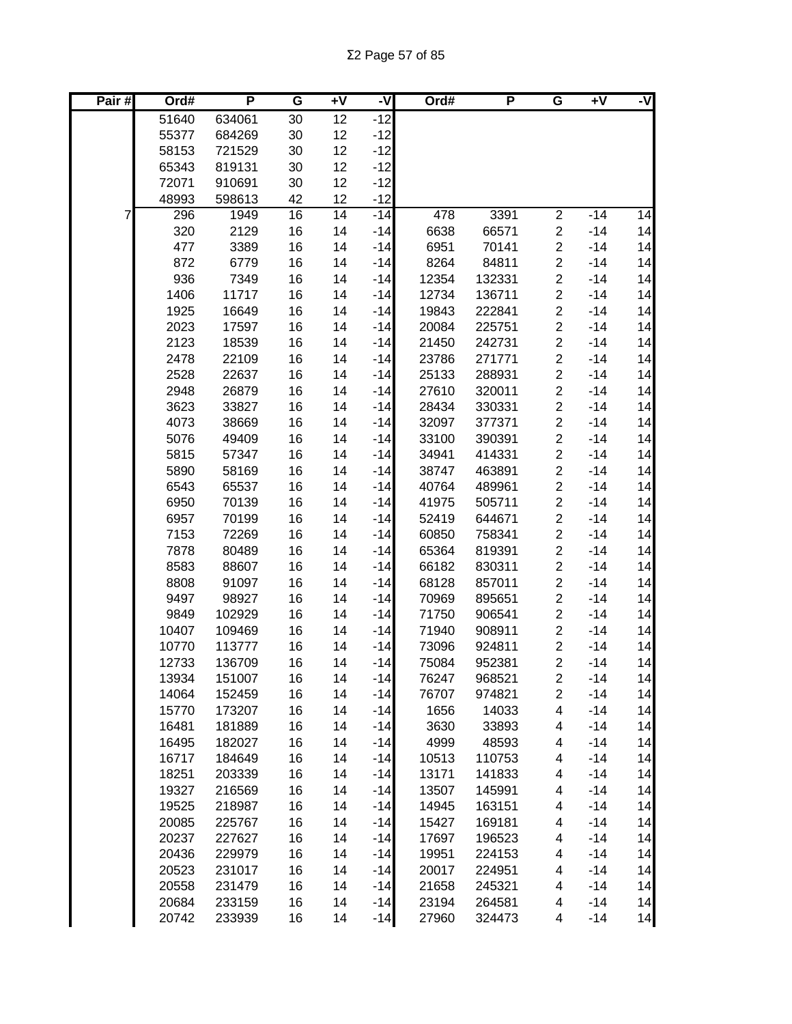| Pair $#$ | Ord#         | P              | G        | $+V$     | -V             | Ord#           | P                | G                                         | Ŧ٨             | -V       |
|----------|--------------|----------------|----------|----------|----------------|----------------|------------------|-------------------------------------------|----------------|----------|
|          | 51640        | 634061         | 30       | 12       | $-12$          |                |                  |                                           |                |          |
|          | 55377        | 684269         | 30       | 12       | $-12$          |                |                  |                                           |                |          |
|          | 58153        | 721529         | 30       | 12       | $-12$          |                |                  |                                           |                |          |
|          | 65343        | 819131         | 30       | 12       | $-12$          |                |                  |                                           |                |          |
|          | 72071        | 910691         | 30       | 12       | $-12$          |                |                  |                                           |                |          |
|          | 48993        | 598613         | 42       | 12       | $-12$          |                |                  |                                           |                |          |
| 7        | 296          | 1949           | 16       | 14       | $-14$          | 478            | 3391             | $\overline{\mathbf{c}}$                   | $-14$          | 14       |
|          | 320          | 2129           | 16       | 14       | $-14$          | 6638           | 66571            | $\overline{\mathbf{c}}$                   | $-14$          | 14       |
|          | 477          | 3389           | 16       | 14       | $-14$          | 6951           | 70141            | $\overline{\mathbf{c}}$                   | $-14$          | 14       |
|          | 872          | 6779           | 16       | 14       | $-14$          | 8264           | 84811            | $\overline{c}$                            | $-14$          | 14       |
|          | 936          | 7349           | 16       | 14       | $-14$          | 12354          | 132331           | $\overline{\mathbf{c}}$                   | $-14$          | 14       |
|          | 1406         | 11717          | 16       | 14       | $-14$          | 12734          | 136711           | $\overline{\mathbf{c}}$                   | $-14$          | 14       |
|          | 1925         | 16649          | 16       | 14       | $-14$          | 19843          | 222841           | $\overline{\mathbf{c}}$                   | $-14$          | 14       |
|          | 2023         | 17597          | 16       | 14       | $-14$          | 20084          | 225751           | $\overline{\mathbf{c}}$                   | $-14$          | 14       |
|          | 2123         | 18539          | 16       | 14       | $-14$          | 21450          | 242731           | $\overline{\mathbf{c}}$                   | $-14$          | 14       |
|          | 2478         | 22109          | 16       | 14       | $-14$          | 23786          | 271771           | $\overline{\mathbf{c}}$                   | $-14$          | 14       |
|          | 2528         | 22637          | 16       | 14       | $-14$          | 25133          | 288931           | $\overline{c}$                            | $-14$          | 14       |
|          | 2948         | 26879          | 16       | 14       | $-14$          | 27610          | 320011           | $\overline{c}$                            | $-14$          | 14       |
|          | 3623         | 33827          | 16       | 14       | $-14$          | 28434          | 330331           | $\overline{c}$                            | $-14$          | 14       |
|          | 4073         | 38669          | 16       | 14       | $-14$          | 32097          | 377371           | $\overline{c}$                            | $-14$          | 14       |
|          | 5076         | 49409          | 16       | 14       | $-14$          | 33100          | 390391           | $\overline{c}$                            | $-14$          | 14       |
|          | 5815         | 57347          | 16       | 14       | $-14$          | 34941          | 414331           | $\overline{c}$                            | $-14$          | 14       |
|          | 5890         | 58169          | 16       | 14       | $-14$          | 38747          | 463891           | $\overline{c}$                            | $-14$          | 14       |
|          | 6543         | 65537          | 16       | 14       | $-14$<br>$-14$ | 40764          | 489961           | $\overline{\mathbf{c}}$                   | $-14$          | 14       |
|          | 6950         | 70139          | 16       | 14       | $-14$          | 41975          | 505711           | $\overline{c}$                            | $-14$          | 14<br>14 |
|          | 6957<br>7153 | 70199<br>72269 | 16<br>16 | 14<br>14 | $-14$          | 52419<br>60850 | 644671<br>758341 | $\overline{\mathbf{c}}$<br>$\overline{c}$ | $-14$<br>$-14$ | 14       |
|          | 7878         | 80489          | 16       | 14       | $-14$          | 65364          | 819391           | $\overline{\mathbf{c}}$                   | $-14$          | 14       |
|          | 8583         | 88607          | 16       | 14       | $-14$          | 66182          | 830311           | $\overline{c}$                            | $-14$          | 14       |
|          | 8808         | 91097          | 16       | 14       | $-14$          | 68128          | 857011           | $\overline{c}$                            | $-14$          | 14       |
|          | 9497         | 98927          | 16       | 14       | $-14$          | 70969          | 895651           | $\overline{c}$                            | $-14$          | 14       |
|          | 9849         | 102929         | 16       | 14       | $-14$          | 71750          | 906541           | $\overline{\mathbf{c}}$                   | $-14$          | 14       |
|          | 10407        | 109469         | 16       | 14       | $-14$          | 71940          | 908911           | $\overline{c}$                            | $-14$          | 14       |
|          | 10770        | 113777         | 16       | 14       | $-14$          | 73096          | 924811           | $\overline{c}$                            | $-14$          | 14       |
|          | 12733        | 136709         | 16       | 14       | $-14$          | 75084          | 952381           | $\overline{2}$                            | $-14$          | 14       |
|          | 13934        | 151007         | 16       | 14       | $-14$          | 76247          | 968521           | 2                                         | $-14$          | 14       |
|          | 14064        | 152459         | 16       | 14       | $-14$          | 76707          | 974821           | $\overline{c}$                            | $-14$          | 14       |
|          | 15770        | 173207         | 16       | 14       | $-14$          | 1656           | 14033            | 4                                         | $-14$          | 14       |
|          | 16481        | 181889         | 16       | 14       | $-14$          | 3630           | 33893            | 4                                         | $-14$          | 14       |
|          | 16495        | 182027         | 16       | 14       | $-14$          | 4999           | 48593            | 4                                         | $-14$          | 14       |
|          | 16717        | 184649         | 16       | 14       | $-14$          | 10513          | 110753           | 4                                         | $-14$          | 14       |
|          | 18251        | 203339         | 16       | 14       | $-14$          | 13171          | 141833           | 4                                         | $-14$          | 14       |
|          | 19327        | 216569         | 16       | 14       | $-14$          | 13507          | 145991           | 4                                         | $-14$          | 14       |
|          | 19525        | 218987         | 16       | 14       | $-14$          | 14945          | 163151           | 4                                         | $-14$          | 14       |
|          | 20085        | 225767         | 16       | 14       | $-14$          | 15427          | 169181           | 4                                         | $-14$          | 14       |
|          | 20237        | 227627         | 16       | 14       | $-14$          | 17697          | 196523           | 4                                         | $-14$          | 14       |
|          | 20436        | 229979         | 16       | 14       | $-14$          | 19951          | 224153           | 4                                         | $-14$          | 14       |
|          | 20523        | 231017         | 16       | 14       | $-14$          | 20017          | 224951           | 4                                         | $-14$          | 14       |
|          | 20558        | 231479         | 16       | 14       | $-14$          | 21658          | 245321           | 4                                         | $-14$          | 14       |
|          | 20684        | 233159         | 16       | 14       | $-14$          | 23194          | 264581           | 4                                         | $-14$          | 14       |
|          | 20742        | 233939         | 16       | 14       | $-14$          | 27960          | 324473           | 4                                         | $-14$          | 14       |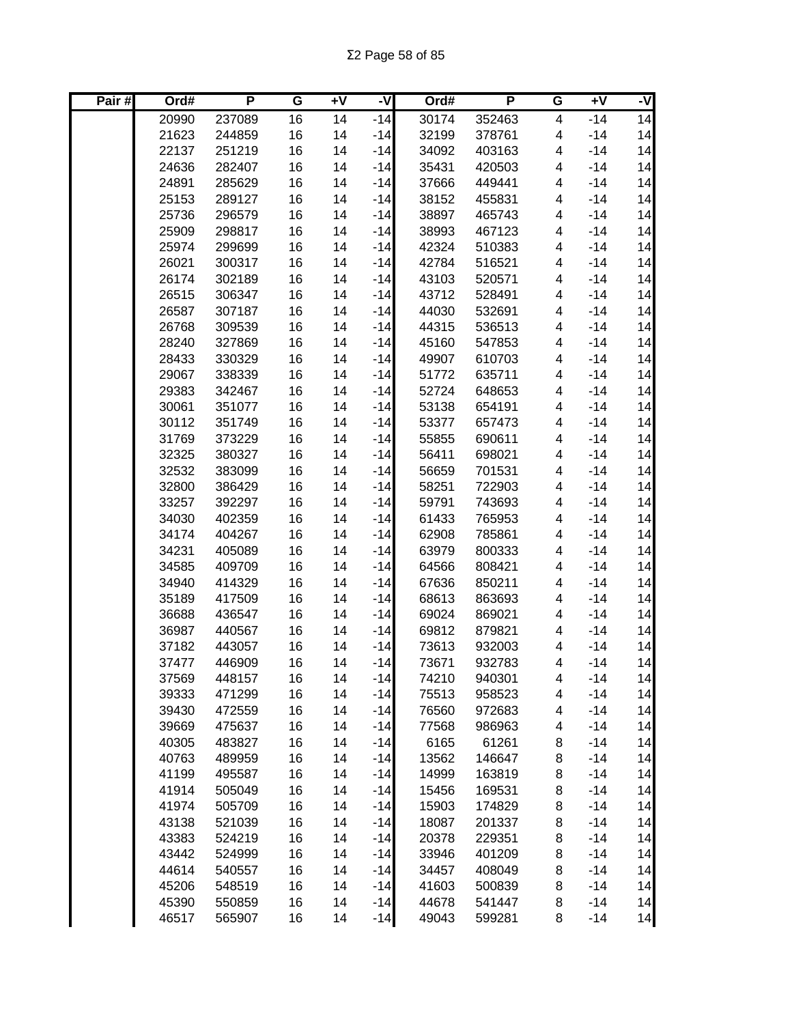| Pair# | Ord#  | P      | G  | $+V$ | -V    | Ord#  | P      | G                       | $+V$  | -V |
|-------|-------|--------|----|------|-------|-------|--------|-------------------------|-------|----|
|       | 20990 | 237089 | 16 | 14   | $-14$ | 30174 | 352463 | $\overline{\mathbf{4}}$ | $-14$ | 14 |
|       | 21623 | 244859 | 16 | 14   | $-14$ | 32199 | 378761 | 4                       | $-14$ | 14 |
|       | 22137 | 251219 | 16 | 14   | $-14$ | 34092 | 403163 | 4                       | $-14$ | 14 |
|       | 24636 | 282407 | 16 | 14   | $-14$ | 35431 | 420503 | 4                       | $-14$ | 14 |
|       | 24891 | 285629 | 16 | 14   | $-14$ | 37666 | 449441 | 4                       | $-14$ | 14 |
|       | 25153 | 289127 | 16 | 14   | $-14$ | 38152 | 455831 | 4                       | $-14$ | 14 |
|       | 25736 | 296579 | 16 | 14   | $-14$ | 38897 | 465743 | 4                       | $-14$ | 14 |
|       | 25909 | 298817 | 16 | 14   | $-14$ | 38993 | 467123 | 4                       | $-14$ | 14 |
|       | 25974 | 299699 | 16 | 14   | $-14$ | 42324 | 510383 | 4                       | $-14$ | 14 |
|       | 26021 | 300317 | 16 | 14   | $-14$ | 42784 | 516521 | 4                       | $-14$ | 14 |
|       | 26174 | 302189 | 16 | 14   | $-14$ | 43103 | 520571 | 4                       | $-14$ | 14 |
|       | 26515 | 306347 | 16 | 14   | $-14$ | 43712 | 528491 | 4                       | $-14$ | 14 |
|       | 26587 | 307187 | 16 | 14   | $-14$ | 44030 | 532691 | 4                       | $-14$ | 14 |
|       | 26768 | 309539 | 16 | 14   | $-14$ | 44315 | 536513 | 4                       | $-14$ | 14 |
|       | 28240 | 327869 | 16 | 14   | $-14$ | 45160 | 547853 | 4                       | $-14$ | 14 |
|       | 28433 | 330329 | 16 | 14   | $-14$ | 49907 | 610703 | 4                       | $-14$ | 14 |
|       | 29067 | 338339 | 16 | 14   | $-14$ | 51772 | 635711 | 4                       | $-14$ | 14 |
|       | 29383 | 342467 | 16 | 14   | $-14$ | 52724 | 648653 | 4                       | $-14$ | 14 |
|       | 30061 | 351077 | 16 | 14   | $-14$ | 53138 | 654191 | 4                       | $-14$ | 14 |
|       | 30112 | 351749 | 16 | 14   | $-14$ | 53377 | 657473 | 4                       | $-14$ | 14 |
|       | 31769 | 373229 | 16 | 14   | $-14$ | 55855 | 690611 | 4                       | $-14$ | 14 |
|       | 32325 | 380327 | 16 | 14   | $-14$ | 56411 | 698021 | 4                       | $-14$ | 14 |
|       | 32532 | 383099 | 16 | 14   | $-14$ | 56659 | 701531 | 4                       | $-14$ | 14 |
|       | 32800 | 386429 | 16 | 14   | $-14$ | 58251 | 722903 | 4                       | $-14$ | 14 |
|       | 33257 | 392297 | 16 | 14   | $-14$ | 59791 | 743693 | 4                       | $-14$ | 14 |
|       | 34030 | 402359 | 16 | 14   | $-14$ | 61433 | 765953 | 4                       | $-14$ | 14 |
|       | 34174 | 404267 | 16 | 14   | $-14$ | 62908 | 785861 | 4                       | $-14$ | 14 |
|       | 34231 | 405089 | 16 | 14   | $-14$ | 63979 | 800333 | 4                       | $-14$ | 14 |
|       | 34585 | 409709 | 16 | 14   | $-14$ | 64566 | 808421 | 4                       | $-14$ | 14 |
|       | 34940 | 414329 | 16 | 14   | $-14$ | 67636 | 850211 | 4                       | $-14$ | 14 |
|       | 35189 | 417509 | 16 | 14   | $-14$ | 68613 | 863693 | 4                       | $-14$ | 14 |
|       | 36688 | 436547 | 16 | 14   | $-14$ | 69024 | 869021 | 4                       | $-14$ | 14 |
|       | 36987 | 440567 | 16 | 14   | $-14$ | 69812 | 879821 | 4                       | $-14$ | 14 |
|       | 37182 | 443057 | 16 | 14   | $-14$ | 73613 | 932003 | 4                       | $-14$ | 14 |
|       | 37477 | 446909 | 16 | 14   | $-14$ | 73671 | 932783 | 4                       | $-14$ | 14 |
|       | 37569 | 448157 | 16 | 14   | $-14$ | 74210 | 940301 | 4                       | $-14$ | 14 |
|       | 39333 | 471299 | 16 | 14   | $-14$ | 75513 | 958523 | 4                       | $-14$ | 14 |
|       | 39430 | 472559 | 16 | 14   | $-14$ | 76560 | 972683 | 4                       | $-14$ | 14 |
|       | 39669 | 475637 | 16 | 14   | $-14$ | 77568 | 986963 | 4                       | $-14$ | 14 |
|       | 40305 | 483827 | 16 | 14   | $-14$ | 6165  | 61261  | 8                       | $-14$ | 14 |
|       | 40763 | 489959 | 16 | 14   | $-14$ | 13562 | 146647 | 8                       | $-14$ | 14 |
|       | 41199 | 495587 | 16 | 14   | $-14$ | 14999 | 163819 | 8                       | $-14$ | 14 |
|       | 41914 | 505049 | 16 | 14   | $-14$ | 15456 | 169531 | 8                       | $-14$ | 14 |
|       | 41974 | 505709 | 16 | 14   | $-14$ | 15903 | 174829 | 8                       | $-14$ | 14 |
|       | 43138 | 521039 | 16 | 14   | $-14$ | 18087 | 201337 | 8                       | $-14$ | 14 |
|       | 43383 | 524219 | 16 | 14   | $-14$ | 20378 | 229351 | 8                       | $-14$ | 14 |
|       | 43442 | 524999 | 16 | 14   | $-14$ | 33946 | 401209 | 8                       | $-14$ | 14 |
|       | 44614 | 540557 | 16 | 14   | $-14$ | 34457 | 408049 | 8                       | $-14$ | 14 |
|       | 45206 | 548519 | 16 | 14   | $-14$ | 41603 | 500839 | 8                       | $-14$ | 14 |
|       | 45390 | 550859 | 16 | 14   | $-14$ | 44678 | 541447 | 8                       | $-14$ | 14 |
|       | 46517 | 565907 | 16 | 14   | $-14$ | 49043 | 599281 | 8                       | $-14$ | 14 |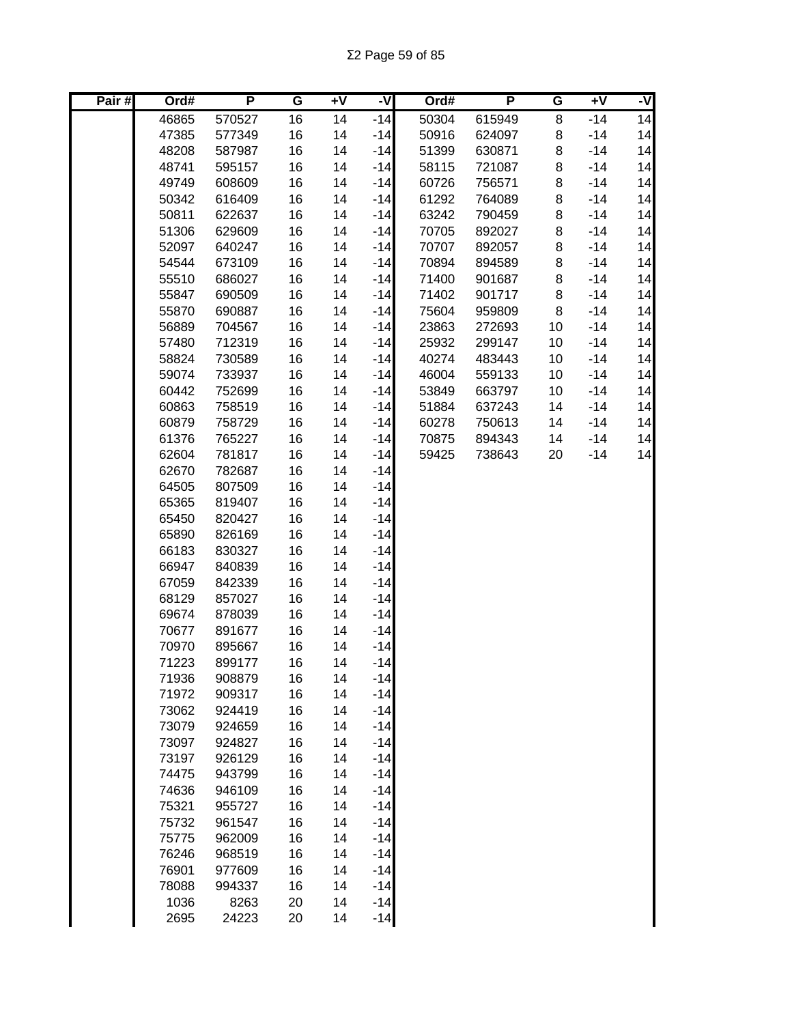| $-14$<br>46865<br>570527<br>16<br>14<br>$-14$<br>50304<br>615949<br>8<br>16<br>14<br>$-14$<br>47385<br>577349<br>$-14$<br>50916<br>624097<br>8<br>14<br>16<br>14<br>$-14$<br>48208<br>587987<br>$-14$<br>51399<br>630871<br>8<br>14<br>16<br>14<br>$-14$<br>48741<br>595157<br>$-14$<br>58115<br>721087<br>8<br>$-14$<br>14<br>16<br>49749<br>608609<br>14<br>$-14$<br>60726<br>756571<br>8<br>14<br>16<br>14<br>$-14$<br>50342<br>616409<br>$-14$<br>61292<br>764089<br>8<br>14<br>16<br>14<br>8<br>$-14$<br>50811<br>622637<br>$-14$<br>63242<br>790459<br>14<br>51306<br>16<br>14<br>$-14$<br>8<br>$-14$<br>629609<br>70705<br>892027<br>14<br>16<br>$-14$<br>70707<br>8<br>$-14$<br>52097<br>640247<br>14<br>892057<br>14<br>16<br>14<br>$-14$<br>8<br>$-14$<br>54544<br>673109<br>70894<br>894589<br>14<br>55510<br>16<br>14<br>71400<br>8<br>$-14$<br>686027<br>$-14$<br>901687<br>14<br>16<br>71402<br>8<br>$-14$<br>55847<br>690509<br>14<br>$-14$<br>901717<br>14<br>16<br>$-14$<br>55870<br>690887<br>14<br>$-14$<br>75604<br>959809<br>8<br>14<br>16<br>$-14$<br>56889<br>704567<br>14<br>$-14$<br>23863<br>272693<br>10<br>14<br>16<br>$-14$<br>57480<br>712319<br>14<br>$-14$<br>25932<br>299147<br>10<br>14<br>16<br>40274<br>10<br>$-14$<br>58824<br>730589<br>14<br>$-14$<br>483443<br>14<br>733937<br>16<br>14<br>46004<br>10<br>$-14$<br>59074<br>$-14$<br>559133<br>14<br>752699<br>16<br>14<br>53849<br>663797<br>10<br>$-14$<br>60442<br>$-14$<br>14<br>16<br>14<br>$-14$<br>60863<br>758519<br>$-14$<br>51884<br>637243<br>14<br>14<br>16<br>14<br>$-14$<br>60879<br>758729<br>$-14$<br>60278<br>750613<br>14<br>14<br>16<br>14<br>$-14$<br>61376<br>765227<br>$-14$<br>70875<br>894343<br>14<br>16<br>14<br>59425<br>738643<br>$-14$<br>14<br>62604<br>781817<br>$-14$<br>20<br>62670<br>782687<br>16<br>14<br>$-14$<br>64505<br>16<br>14<br>$-14$<br>807509<br>65365<br>16<br>14<br>$-14$<br>819407<br>65450<br>820427<br>16<br>$-14$<br>14<br>65890<br>16<br>14<br>$-14$<br>826169<br>66183<br>16<br>$-14$<br>830327<br>14<br>16<br>14<br>$-14$<br>66947<br>840839<br>16<br>$-14$<br>67059<br>842339<br>14<br>16<br>68129<br>857027<br>14<br>$-14$<br>69674<br>878039<br>16<br>14<br>$-14$<br>70677<br>891677<br>16<br>14<br>$-14$<br>70970<br>895667<br>16<br>14<br>$-14$<br>16<br>71223<br>899177<br>14<br>$-14$<br>71936<br>908879<br>16<br>$-14$<br>14<br>71972<br>16<br>14<br>$-14$<br>909317<br>16<br>14<br>$-14$<br>73062<br>924419<br>73079<br>16<br>14<br>$-14$<br>924659<br>$-14$<br>16<br>14<br>73097<br>924827<br>73197<br>14<br>$-14$<br>926129<br>16<br>74475<br>16<br>14<br>$-14$<br>943799<br>74636<br>16<br>$-14$<br>946109<br>14<br>75321<br>14<br>$-14$<br>955727<br>16<br>75732<br>16<br>$-14$<br>961547<br>14<br>$-14$<br>75775<br>962009<br>16<br>14<br>$-14$<br>76246<br>968519<br>16<br>14<br>$-14$<br>76901<br>977609<br>16<br>14<br>$-14$<br>78088<br>994337<br>16<br>14<br>1036<br>14<br>$-14$<br>8263<br>20 | Pair# | Ord# | P     | G  | $+V$ | ż     | Ord# | Ρ | G | $+V$ | -V              |
|------------------------------------------------------------------------------------------------------------------------------------------------------------------------------------------------------------------------------------------------------------------------------------------------------------------------------------------------------------------------------------------------------------------------------------------------------------------------------------------------------------------------------------------------------------------------------------------------------------------------------------------------------------------------------------------------------------------------------------------------------------------------------------------------------------------------------------------------------------------------------------------------------------------------------------------------------------------------------------------------------------------------------------------------------------------------------------------------------------------------------------------------------------------------------------------------------------------------------------------------------------------------------------------------------------------------------------------------------------------------------------------------------------------------------------------------------------------------------------------------------------------------------------------------------------------------------------------------------------------------------------------------------------------------------------------------------------------------------------------------------------------------------------------------------------------------------------------------------------------------------------------------------------------------------------------------------------------------------------------------------------------------------------------------------------------------------------------------------------------------------------------------------------------------------------------------------------------------------------------------------------------------------------------------------------------------------------------------------------------------------------------------------------------------------------------------------------------------------------------------------------------------------------------------------------------------------------------------------------------------------------------------------------------------------------------------------------------------------------------------------------------------------------------------------------------------------------------------------------------------------------------------------------------------------------------------------------------|-------|------|-------|----|------|-------|------|---|---|------|-----------------|
|                                                                                                                                                                                                                                                                                                                                                                                                                                                                                                                                                                                                                                                                                                                                                                                                                                                                                                                                                                                                                                                                                                                                                                                                                                                                                                                                                                                                                                                                                                                                                                                                                                                                                                                                                                                                                                                                                                                                                                                                                                                                                                                                                                                                                                                                                                                                                                                                                                                                                                                                                                                                                                                                                                                                                                                                                                                                                                                                                                  |       |      |       |    |      |       |      |   |   |      | $\overline{14}$ |
|                                                                                                                                                                                                                                                                                                                                                                                                                                                                                                                                                                                                                                                                                                                                                                                                                                                                                                                                                                                                                                                                                                                                                                                                                                                                                                                                                                                                                                                                                                                                                                                                                                                                                                                                                                                                                                                                                                                                                                                                                                                                                                                                                                                                                                                                                                                                                                                                                                                                                                                                                                                                                                                                                                                                                                                                                                                                                                                                                                  |       |      |       |    |      |       |      |   |   |      | 14              |
|                                                                                                                                                                                                                                                                                                                                                                                                                                                                                                                                                                                                                                                                                                                                                                                                                                                                                                                                                                                                                                                                                                                                                                                                                                                                                                                                                                                                                                                                                                                                                                                                                                                                                                                                                                                                                                                                                                                                                                                                                                                                                                                                                                                                                                                                                                                                                                                                                                                                                                                                                                                                                                                                                                                                                                                                                                                                                                                                                                  |       |      |       |    |      |       |      |   |   |      |                 |
|                                                                                                                                                                                                                                                                                                                                                                                                                                                                                                                                                                                                                                                                                                                                                                                                                                                                                                                                                                                                                                                                                                                                                                                                                                                                                                                                                                                                                                                                                                                                                                                                                                                                                                                                                                                                                                                                                                                                                                                                                                                                                                                                                                                                                                                                                                                                                                                                                                                                                                                                                                                                                                                                                                                                                                                                                                                                                                                                                                  |       |      |       |    |      |       |      |   |   |      |                 |
|                                                                                                                                                                                                                                                                                                                                                                                                                                                                                                                                                                                                                                                                                                                                                                                                                                                                                                                                                                                                                                                                                                                                                                                                                                                                                                                                                                                                                                                                                                                                                                                                                                                                                                                                                                                                                                                                                                                                                                                                                                                                                                                                                                                                                                                                                                                                                                                                                                                                                                                                                                                                                                                                                                                                                                                                                                                                                                                                                                  |       |      |       |    |      |       |      |   |   |      |                 |
|                                                                                                                                                                                                                                                                                                                                                                                                                                                                                                                                                                                                                                                                                                                                                                                                                                                                                                                                                                                                                                                                                                                                                                                                                                                                                                                                                                                                                                                                                                                                                                                                                                                                                                                                                                                                                                                                                                                                                                                                                                                                                                                                                                                                                                                                                                                                                                                                                                                                                                                                                                                                                                                                                                                                                                                                                                                                                                                                                                  |       |      |       |    |      |       |      |   |   |      |                 |
|                                                                                                                                                                                                                                                                                                                                                                                                                                                                                                                                                                                                                                                                                                                                                                                                                                                                                                                                                                                                                                                                                                                                                                                                                                                                                                                                                                                                                                                                                                                                                                                                                                                                                                                                                                                                                                                                                                                                                                                                                                                                                                                                                                                                                                                                                                                                                                                                                                                                                                                                                                                                                                                                                                                                                                                                                                                                                                                                                                  |       |      |       |    |      |       |      |   |   |      |                 |
|                                                                                                                                                                                                                                                                                                                                                                                                                                                                                                                                                                                                                                                                                                                                                                                                                                                                                                                                                                                                                                                                                                                                                                                                                                                                                                                                                                                                                                                                                                                                                                                                                                                                                                                                                                                                                                                                                                                                                                                                                                                                                                                                                                                                                                                                                                                                                                                                                                                                                                                                                                                                                                                                                                                                                                                                                                                                                                                                                                  |       |      |       |    |      |       |      |   |   |      |                 |
|                                                                                                                                                                                                                                                                                                                                                                                                                                                                                                                                                                                                                                                                                                                                                                                                                                                                                                                                                                                                                                                                                                                                                                                                                                                                                                                                                                                                                                                                                                                                                                                                                                                                                                                                                                                                                                                                                                                                                                                                                                                                                                                                                                                                                                                                                                                                                                                                                                                                                                                                                                                                                                                                                                                                                                                                                                                                                                                                                                  |       |      |       |    |      |       |      |   |   |      |                 |
|                                                                                                                                                                                                                                                                                                                                                                                                                                                                                                                                                                                                                                                                                                                                                                                                                                                                                                                                                                                                                                                                                                                                                                                                                                                                                                                                                                                                                                                                                                                                                                                                                                                                                                                                                                                                                                                                                                                                                                                                                                                                                                                                                                                                                                                                                                                                                                                                                                                                                                                                                                                                                                                                                                                                                                                                                                                                                                                                                                  |       |      |       |    |      |       |      |   |   |      |                 |
|                                                                                                                                                                                                                                                                                                                                                                                                                                                                                                                                                                                                                                                                                                                                                                                                                                                                                                                                                                                                                                                                                                                                                                                                                                                                                                                                                                                                                                                                                                                                                                                                                                                                                                                                                                                                                                                                                                                                                                                                                                                                                                                                                                                                                                                                                                                                                                                                                                                                                                                                                                                                                                                                                                                                                                                                                                                                                                                                                                  |       |      |       |    |      |       |      |   |   |      |                 |
|                                                                                                                                                                                                                                                                                                                                                                                                                                                                                                                                                                                                                                                                                                                                                                                                                                                                                                                                                                                                                                                                                                                                                                                                                                                                                                                                                                                                                                                                                                                                                                                                                                                                                                                                                                                                                                                                                                                                                                                                                                                                                                                                                                                                                                                                                                                                                                                                                                                                                                                                                                                                                                                                                                                                                                                                                                                                                                                                                                  |       |      |       |    |      |       |      |   |   |      |                 |
|                                                                                                                                                                                                                                                                                                                                                                                                                                                                                                                                                                                                                                                                                                                                                                                                                                                                                                                                                                                                                                                                                                                                                                                                                                                                                                                                                                                                                                                                                                                                                                                                                                                                                                                                                                                                                                                                                                                                                                                                                                                                                                                                                                                                                                                                                                                                                                                                                                                                                                                                                                                                                                                                                                                                                                                                                                                                                                                                                                  |       |      |       |    |      |       |      |   |   |      |                 |
|                                                                                                                                                                                                                                                                                                                                                                                                                                                                                                                                                                                                                                                                                                                                                                                                                                                                                                                                                                                                                                                                                                                                                                                                                                                                                                                                                                                                                                                                                                                                                                                                                                                                                                                                                                                                                                                                                                                                                                                                                                                                                                                                                                                                                                                                                                                                                                                                                                                                                                                                                                                                                                                                                                                                                                                                                                                                                                                                                                  |       |      |       |    |      |       |      |   |   |      |                 |
|                                                                                                                                                                                                                                                                                                                                                                                                                                                                                                                                                                                                                                                                                                                                                                                                                                                                                                                                                                                                                                                                                                                                                                                                                                                                                                                                                                                                                                                                                                                                                                                                                                                                                                                                                                                                                                                                                                                                                                                                                                                                                                                                                                                                                                                                                                                                                                                                                                                                                                                                                                                                                                                                                                                                                                                                                                                                                                                                                                  |       |      |       |    |      |       |      |   |   |      |                 |
|                                                                                                                                                                                                                                                                                                                                                                                                                                                                                                                                                                                                                                                                                                                                                                                                                                                                                                                                                                                                                                                                                                                                                                                                                                                                                                                                                                                                                                                                                                                                                                                                                                                                                                                                                                                                                                                                                                                                                                                                                                                                                                                                                                                                                                                                                                                                                                                                                                                                                                                                                                                                                                                                                                                                                                                                                                                                                                                                                                  |       |      |       |    |      |       |      |   |   |      |                 |
|                                                                                                                                                                                                                                                                                                                                                                                                                                                                                                                                                                                                                                                                                                                                                                                                                                                                                                                                                                                                                                                                                                                                                                                                                                                                                                                                                                                                                                                                                                                                                                                                                                                                                                                                                                                                                                                                                                                                                                                                                                                                                                                                                                                                                                                                                                                                                                                                                                                                                                                                                                                                                                                                                                                                                                                                                                                                                                                                                                  |       |      |       |    |      |       |      |   |   |      |                 |
|                                                                                                                                                                                                                                                                                                                                                                                                                                                                                                                                                                                                                                                                                                                                                                                                                                                                                                                                                                                                                                                                                                                                                                                                                                                                                                                                                                                                                                                                                                                                                                                                                                                                                                                                                                                                                                                                                                                                                                                                                                                                                                                                                                                                                                                                                                                                                                                                                                                                                                                                                                                                                                                                                                                                                                                                                                                                                                                                                                  |       |      |       |    |      |       |      |   |   |      |                 |
|                                                                                                                                                                                                                                                                                                                                                                                                                                                                                                                                                                                                                                                                                                                                                                                                                                                                                                                                                                                                                                                                                                                                                                                                                                                                                                                                                                                                                                                                                                                                                                                                                                                                                                                                                                                                                                                                                                                                                                                                                                                                                                                                                                                                                                                                                                                                                                                                                                                                                                                                                                                                                                                                                                                                                                                                                                                                                                                                                                  |       |      |       |    |      |       |      |   |   |      |                 |
|                                                                                                                                                                                                                                                                                                                                                                                                                                                                                                                                                                                                                                                                                                                                                                                                                                                                                                                                                                                                                                                                                                                                                                                                                                                                                                                                                                                                                                                                                                                                                                                                                                                                                                                                                                                                                                                                                                                                                                                                                                                                                                                                                                                                                                                                                                                                                                                                                                                                                                                                                                                                                                                                                                                                                                                                                                                                                                                                                                  |       |      |       |    |      |       |      |   |   |      |                 |
|                                                                                                                                                                                                                                                                                                                                                                                                                                                                                                                                                                                                                                                                                                                                                                                                                                                                                                                                                                                                                                                                                                                                                                                                                                                                                                                                                                                                                                                                                                                                                                                                                                                                                                                                                                                                                                                                                                                                                                                                                                                                                                                                                                                                                                                                                                                                                                                                                                                                                                                                                                                                                                                                                                                                                                                                                                                                                                                                                                  |       |      |       |    |      |       |      |   |   |      |                 |
|                                                                                                                                                                                                                                                                                                                                                                                                                                                                                                                                                                                                                                                                                                                                                                                                                                                                                                                                                                                                                                                                                                                                                                                                                                                                                                                                                                                                                                                                                                                                                                                                                                                                                                                                                                                                                                                                                                                                                                                                                                                                                                                                                                                                                                                                                                                                                                                                                                                                                                                                                                                                                                                                                                                                                                                                                                                                                                                                                                  |       |      |       |    |      |       |      |   |   |      |                 |
|                                                                                                                                                                                                                                                                                                                                                                                                                                                                                                                                                                                                                                                                                                                                                                                                                                                                                                                                                                                                                                                                                                                                                                                                                                                                                                                                                                                                                                                                                                                                                                                                                                                                                                                                                                                                                                                                                                                                                                                                                                                                                                                                                                                                                                                                                                                                                                                                                                                                                                                                                                                                                                                                                                                                                                                                                                                                                                                                                                  |       |      |       |    |      |       |      |   |   |      |                 |
|                                                                                                                                                                                                                                                                                                                                                                                                                                                                                                                                                                                                                                                                                                                                                                                                                                                                                                                                                                                                                                                                                                                                                                                                                                                                                                                                                                                                                                                                                                                                                                                                                                                                                                                                                                                                                                                                                                                                                                                                                                                                                                                                                                                                                                                                                                                                                                                                                                                                                                                                                                                                                                                                                                                                                                                                                                                                                                                                                                  |       |      |       |    |      |       |      |   |   |      |                 |
|                                                                                                                                                                                                                                                                                                                                                                                                                                                                                                                                                                                                                                                                                                                                                                                                                                                                                                                                                                                                                                                                                                                                                                                                                                                                                                                                                                                                                                                                                                                                                                                                                                                                                                                                                                                                                                                                                                                                                                                                                                                                                                                                                                                                                                                                                                                                                                                                                                                                                                                                                                                                                                                                                                                                                                                                                                                                                                                                                                  |       |      |       |    |      |       |      |   |   |      |                 |
|                                                                                                                                                                                                                                                                                                                                                                                                                                                                                                                                                                                                                                                                                                                                                                                                                                                                                                                                                                                                                                                                                                                                                                                                                                                                                                                                                                                                                                                                                                                                                                                                                                                                                                                                                                                                                                                                                                                                                                                                                                                                                                                                                                                                                                                                                                                                                                                                                                                                                                                                                                                                                                                                                                                                                                                                                                                                                                                                                                  |       |      |       |    |      |       |      |   |   |      |                 |
|                                                                                                                                                                                                                                                                                                                                                                                                                                                                                                                                                                                                                                                                                                                                                                                                                                                                                                                                                                                                                                                                                                                                                                                                                                                                                                                                                                                                                                                                                                                                                                                                                                                                                                                                                                                                                                                                                                                                                                                                                                                                                                                                                                                                                                                                                                                                                                                                                                                                                                                                                                                                                                                                                                                                                                                                                                                                                                                                                                  |       |      |       |    |      |       |      |   |   |      |                 |
|                                                                                                                                                                                                                                                                                                                                                                                                                                                                                                                                                                                                                                                                                                                                                                                                                                                                                                                                                                                                                                                                                                                                                                                                                                                                                                                                                                                                                                                                                                                                                                                                                                                                                                                                                                                                                                                                                                                                                                                                                                                                                                                                                                                                                                                                                                                                                                                                                                                                                                                                                                                                                                                                                                                                                                                                                                                                                                                                                                  |       |      |       |    |      |       |      |   |   |      |                 |
|                                                                                                                                                                                                                                                                                                                                                                                                                                                                                                                                                                                                                                                                                                                                                                                                                                                                                                                                                                                                                                                                                                                                                                                                                                                                                                                                                                                                                                                                                                                                                                                                                                                                                                                                                                                                                                                                                                                                                                                                                                                                                                                                                                                                                                                                                                                                                                                                                                                                                                                                                                                                                                                                                                                                                                                                                                                                                                                                                                  |       |      |       |    |      |       |      |   |   |      |                 |
|                                                                                                                                                                                                                                                                                                                                                                                                                                                                                                                                                                                                                                                                                                                                                                                                                                                                                                                                                                                                                                                                                                                                                                                                                                                                                                                                                                                                                                                                                                                                                                                                                                                                                                                                                                                                                                                                                                                                                                                                                                                                                                                                                                                                                                                                                                                                                                                                                                                                                                                                                                                                                                                                                                                                                                                                                                                                                                                                                                  |       |      |       |    |      |       |      |   |   |      |                 |
|                                                                                                                                                                                                                                                                                                                                                                                                                                                                                                                                                                                                                                                                                                                                                                                                                                                                                                                                                                                                                                                                                                                                                                                                                                                                                                                                                                                                                                                                                                                                                                                                                                                                                                                                                                                                                                                                                                                                                                                                                                                                                                                                                                                                                                                                                                                                                                                                                                                                                                                                                                                                                                                                                                                                                                                                                                                                                                                                                                  |       |      |       |    |      |       |      |   |   |      |                 |
|                                                                                                                                                                                                                                                                                                                                                                                                                                                                                                                                                                                                                                                                                                                                                                                                                                                                                                                                                                                                                                                                                                                                                                                                                                                                                                                                                                                                                                                                                                                                                                                                                                                                                                                                                                                                                                                                                                                                                                                                                                                                                                                                                                                                                                                                                                                                                                                                                                                                                                                                                                                                                                                                                                                                                                                                                                                                                                                                                                  |       |      |       |    |      |       |      |   |   |      |                 |
|                                                                                                                                                                                                                                                                                                                                                                                                                                                                                                                                                                                                                                                                                                                                                                                                                                                                                                                                                                                                                                                                                                                                                                                                                                                                                                                                                                                                                                                                                                                                                                                                                                                                                                                                                                                                                                                                                                                                                                                                                                                                                                                                                                                                                                                                                                                                                                                                                                                                                                                                                                                                                                                                                                                                                                                                                                                                                                                                                                  |       |      |       |    |      |       |      |   |   |      |                 |
|                                                                                                                                                                                                                                                                                                                                                                                                                                                                                                                                                                                                                                                                                                                                                                                                                                                                                                                                                                                                                                                                                                                                                                                                                                                                                                                                                                                                                                                                                                                                                                                                                                                                                                                                                                                                                                                                                                                                                                                                                                                                                                                                                                                                                                                                                                                                                                                                                                                                                                                                                                                                                                                                                                                                                                                                                                                                                                                                                                  |       |      |       |    |      |       |      |   |   |      |                 |
|                                                                                                                                                                                                                                                                                                                                                                                                                                                                                                                                                                                                                                                                                                                                                                                                                                                                                                                                                                                                                                                                                                                                                                                                                                                                                                                                                                                                                                                                                                                                                                                                                                                                                                                                                                                                                                                                                                                                                                                                                                                                                                                                                                                                                                                                                                                                                                                                                                                                                                                                                                                                                                                                                                                                                                                                                                                                                                                                                                  |       |      |       |    |      |       |      |   |   |      |                 |
|                                                                                                                                                                                                                                                                                                                                                                                                                                                                                                                                                                                                                                                                                                                                                                                                                                                                                                                                                                                                                                                                                                                                                                                                                                                                                                                                                                                                                                                                                                                                                                                                                                                                                                                                                                                                                                                                                                                                                                                                                                                                                                                                                                                                                                                                                                                                                                                                                                                                                                                                                                                                                                                                                                                                                                                                                                                                                                                                                                  |       |      |       |    |      |       |      |   |   |      |                 |
|                                                                                                                                                                                                                                                                                                                                                                                                                                                                                                                                                                                                                                                                                                                                                                                                                                                                                                                                                                                                                                                                                                                                                                                                                                                                                                                                                                                                                                                                                                                                                                                                                                                                                                                                                                                                                                                                                                                                                                                                                                                                                                                                                                                                                                                                                                                                                                                                                                                                                                                                                                                                                                                                                                                                                                                                                                                                                                                                                                  |       |      |       |    |      |       |      |   |   |      |                 |
|                                                                                                                                                                                                                                                                                                                                                                                                                                                                                                                                                                                                                                                                                                                                                                                                                                                                                                                                                                                                                                                                                                                                                                                                                                                                                                                                                                                                                                                                                                                                                                                                                                                                                                                                                                                                                                                                                                                                                                                                                                                                                                                                                                                                                                                                                                                                                                                                                                                                                                                                                                                                                                                                                                                                                                                                                                                                                                                                                                  |       |      |       |    |      |       |      |   |   |      |                 |
|                                                                                                                                                                                                                                                                                                                                                                                                                                                                                                                                                                                                                                                                                                                                                                                                                                                                                                                                                                                                                                                                                                                                                                                                                                                                                                                                                                                                                                                                                                                                                                                                                                                                                                                                                                                                                                                                                                                                                                                                                                                                                                                                                                                                                                                                                                                                                                                                                                                                                                                                                                                                                                                                                                                                                                                                                                                                                                                                                                  |       |      |       |    |      |       |      |   |   |      |                 |
|                                                                                                                                                                                                                                                                                                                                                                                                                                                                                                                                                                                                                                                                                                                                                                                                                                                                                                                                                                                                                                                                                                                                                                                                                                                                                                                                                                                                                                                                                                                                                                                                                                                                                                                                                                                                                                                                                                                                                                                                                                                                                                                                                                                                                                                                                                                                                                                                                                                                                                                                                                                                                                                                                                                                                                                                                                                                                                                                                                  |       |      |       |    |      |       |      |   |   |      |                 |
|                                                                                                                                                                                                                                                                                                                                                                                                                                                                                                                                                                                                                                                                                                                                                                                                                                                                                                                                                                                                                                                                                                                                                                                                                                                                                                                                                                                                                                                                                                                                                                                                                                                                                                                                                                                                                                                                                                                                                                                                                                                                                                                                                                                                                                                                                                                                                                                                                                                                                                                                                                                                                                                                                                                                                                                                                                                                                                                                                                  |       |      |       |    |      |       |      |   |   |      |                 |
|                                                                                                                                                                                                                                                                                                                                                                                                                                                                                                                                                                                                                                                                                                                                                                                                                                                                                                                                                                                                                                                                                                                                                                                                                                                                                                                                                                                                                                                                                                                                                                                                                                                                                                                                                                                                                                                                                                                                                                                                                                                                                                                                                                                                                                                                                                                                                                                                                                                                                                                                                                                                                                                                                                                                                                                                                                                                                                                                                                  |       |      |       |    |      |       |      |   |   |      |                 |
|                                                                                                                                                                                                                                                                                                                                                                                                                                                                                                                                                                                                                                                                                                                                                                                                                                                                                                                                                                                                                                                                                                                                                                                                                                                                                                                                                                                                                                                                                                                                                                                                                                                                                                                                                                                                                                                                                                                                                                                                                                                                                                                                                                                                                                                                                                                                                                                                                                                                                                                                                                                                                                                                                                                                                                                                                                                                                                                                                                  |       |      |       |    |      |       |      |   |   |      |                 |
|                                                                                                                                                                                                                                                                                                                                                                                                                                                                                                                                                                                                                                                                                                                                                                                                                                                                                                                                                                                                                                                                                                                                                                                                                                                                                                                                                                                                                                                                                                                                                                                                                                                                                                                                                                                                                                                                                                                                                                                                                                                                                                                                                                                                                                                                                                                                                                                                                                                                                                                                                                                                                                                                                                                                                                                                                                                                                                                                                                  |       |      |       |    |      |       |      |   |   |      |                 |
|                                                                                                                                                                                                                                                                                                                                                                                                                                                                                                                                                                                                                                                                                                                                                                                                                                                                                                                                                                                                                                                                                                                                                                                                                                                                                                                                                                                                                                                                                                                                                                                                                                                                                                                                                                                                                                                                                                                                                                                                                                                                                                                                                                                                                                                                                                                                                                                                                                                                                                                                                                                                                                                                                                                                                                                                                                                                                                                                                                  |       |      |       |    |      |       |      |   |   |      |                 |
|                                                                                                                                                                                                                                                                                                                                                                                                                                                                                                                                                                                                                                                                                                                                                                                                                                                                                                                                                                                                                                                                                                                                                                                                                                                                                                                                                                                                                                                                                                                                                                                                                                                                                                                                                                                                                                                                                                                                                                                                                                                                                                                                                                                                                                                                                                                                                                                                                                                                                                                                                                                                                                                                                                                                                                                                                                                                                                                                                                  |       |      |       |    |      |       |      |   |   |      |                 |
|                                                                                                                                                                                                                                                                                                                                                                                                                                                                                                                                                                                                                                                                                                                                                                                                                                                                                                                                                                                                                                                                                                                                                                                                                                                                                                                                                                                                                                                                                                                                                                                                                                                                                                                                                                                                                                                                                                                                                                                                                                                                                                                                                                                                                                                                                                                                                                                                                                                                                                                                                                                                                                                                                                                                                                                                                                                                                                                                                                  |       |      |       |    |      |       |      |   |   |      |                 |
|                                                                                                                                                                                                                                                                                                                                                                                                                                                                                                                                                                                                                                                                                                                                                                                                                                                                                                                                                                                                                                                                                                                                                                                                                                                                                                                                                                                                                                                                                                                                                                                                                                                                                                                                                                                                                                                                                                                                                                                                                                                                                                                                                                                                                                                                                                                                                                                                                                                                                                                                                                                                                                                                                                                                                                                                                                                                                                                                                                  |       |      |       |    |      |       |      |   |   |      |                 |
|                                                                                                                                                                                                                                                                                                                                                                                                                                                                                                                                                                                                                                                                                                                                                                                                                                                                                                                                                                                                                                                                                                                                                                                                                                                                                                                                                                                                                                                                                                                                                                                                                                                                                                                                                                                                                                                                                                                                                                                                                                                                                                                                                                                                                                                                                                                                                                                                                                                                                                                                                                                                                                                                                                                                                                                                                                                                                                                                                                  |       |      |       |    |      |       |      |   |   |      |                 |
|                                                                                                                                                                                                                                                                                                                                                                                                                                                                                                                                                                                                                                                                                                                                                                                                                                                                                                                                                                                                                                                                                                                                                                                                                                                                                                                                                                                                                                                                                                                                                                                                                                                                                                                                                                                                                                                                                                                                                                                                                                                                                                                                                                                                                                                                                                                                                                                                                                                                                                                                                                                                                                                                                                                                                                                                                                                                                                                                                                  |       | 2695 | 24223 | 20 | 14   | $-14$ |      |   |   |      |                 |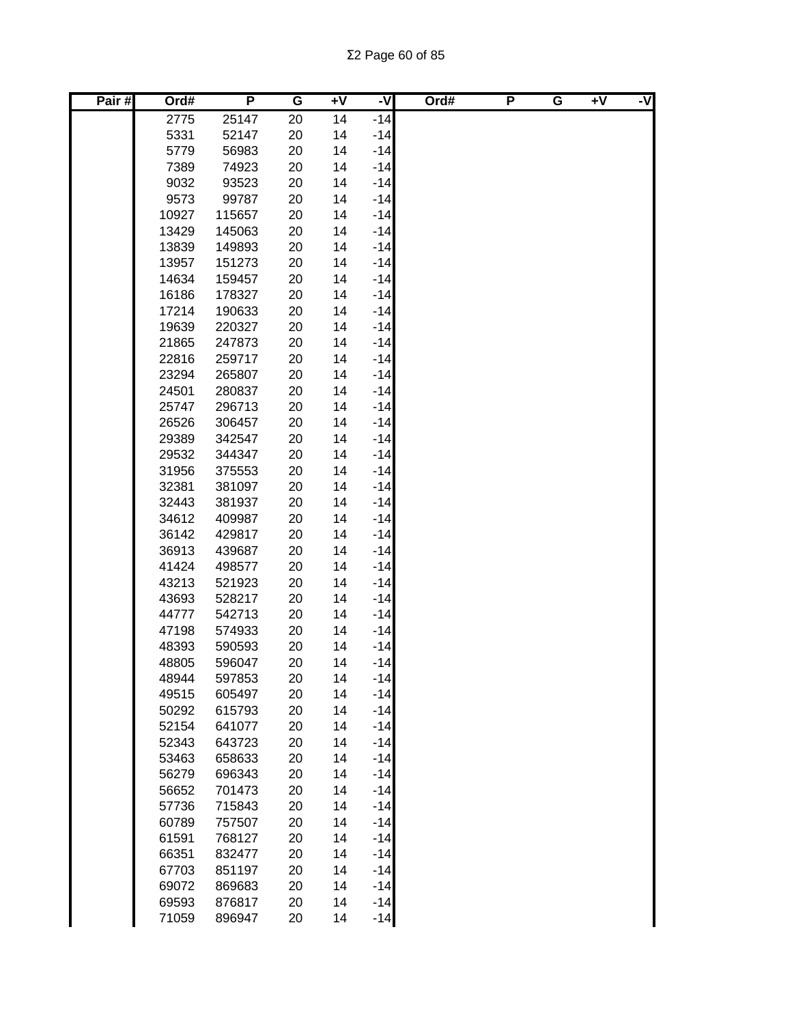| Pair# | Ord#           | P                | G        | $+V$     | ż              | Ord# | P | G | $+V$ | -V |
|-------|----------------|------------------|----------|----------|----------------|------|---|---|------|----|
|       | 2775           | 25147            | 20       | 14       | $-14$          |      |   |   |      |    |
|       | 5331           | 52147            | 20       | 14       | $-14$          |      |   |   |      |    |
|       | 5779           | 56983            | 20       | 14       | $-14$          |      |   |   |      |    |
|       | 7389           | 74923            | 20       | 14       | $-14$          |      |   |   |      |    |
|       | 9032           | 93523            | 20       | 14       | $-14$          |      |   |   |      |    |
|       | 9573           | 99787            | 20       | 14       | $-14$          |      |   |   |      |    |
|       | 10927          | 115657           | 20       | 14       | $-14$          |      |   |   |      |    |
|       | 13429          | 145063           | 20       | 14       | $-14$          |      |   |   |      |    |
|       | 13839          | 149893           | 20       | 14       | $-14$          |      |   |   |      |    |
|       | 13957          | 151273           | 20       | 14       | $-14$          |      |   |   |      |    |
|       | 14634          | 159457           | 20       | 14       | $-14$          |      |   |   |      |    |
|       | 16186          | 178327           | 20       | 14       | $-14$          |      |   |   |      |    |
|       | 17214          | 190633           | 20       | 14       | $-14$          |      |   |   |      |    |
|       | 19639          | 220327           | 20       | 14       | $-14$          |      |   |   |      |    |
|       | 21865          | 247873           | 20       | 14       | $-14$          |      |   |   |      |    |
|       | 22816          | 259717           | 20       | 14       | $-14$          |      |   |   |      |    |
|       | 23294          | 265807           | 20       | 14       | $-14$          |      |   |   |      |    |
|       | 24501          | 280837           | 20       | 14       | $-14$          |      |   |   |      |    |
|       | 25747          | 296713           | 20       | 14       | $-14$          |      |   |   |      |    |
|       | 26526          | 306457           | 20       | 14       | $-14$          |      |   |   |      |    |
|       | 29389          | 342547           | 20       | 14       | $-14$          |      |   |   |      |    |
|       | 29532          | 344347           | 20       | 14       | $-14$          |      |   |   |      |    |
|       | 31956          | 375553           | 20       | 14       | $-14$          |      |   |   |      |    |
|       | 32381          | 381097           | 20       | 14       | $-14$          |      |   |   |      |    |
|       | 32443          | 381937           | 20       | 14       | $-14$          |      |   |   |      |    |
|       | 34612          | 409987           | 20       | 14       | $-14$          |      |   |   |      |    |
|       | 36142          | 429817           | 20       | 14       | $-14$          |      |   |   |      |    |
|       | 36913          | 439687           | 20       | 14       | $-14$          |      |   |   |      |    |
|       | 41424          | 498577           | 20       | 14       | $-14$          |      |   |   |      |    |
|       | 43213          | 521923           | 20       | 14       | $-14$          |      |   |   |      |    |
|       | 43693          | 528217           | 20       | 14       | $-14$          |      |   |   |      |    |
|       | 44777          | 542713           | 20       | 14       | $-14$          |      |   |   |      |    |
|       | 47198          | 574933           | 20       | 14       | $-14$          |      |   |   |      |    |
|       | 48393          | 590593           | 20       | 14       | $-14$          |      |   |   |      |    |
|       | 48805          | 596047           | 20       | 14       | $-14$          |      |   |   |      |    |
|       | 48944          | 597853           | 20       | 14       | $-14$          |      |   |   |      |    |
|       | 49515          | 605497           | 20       | 14       | $-14$          |      |   |   |      |    |
|       | 50292          | 615793           | 20       | 14       | $-14$          |      |   |   |      |    |
|       | 52154          | 641077           | 20       | 14       | $-14$          |      |   |   |      |    |
|       | 52343          | 643723           | 20       | 14       | $-14$          |      |   |   |      |    |
|       | 53463          | 658633           | 20       | 14       | $-14$          |      |   |   |      |    |
|       | 56279          | 696343           | 20       | 14       | $-14$          |      |   |   |      |    |
|       | 56652          | 701473           | 20       | 14       | $-14$          |      |   |   |      |    |
|       | 57736          | 715843           | 20       | 14       | $-14$          |      |   |   |      |    |
|       | 60789          | 757507           | 20       | 14       | $-14$          |      |   |   |      |    |
|       | 61591          | 768127           | 20       | 14       | $-14$          |      |   |   |      |    |
|       | 66351          | 832477           | 20       | 14       | $-14$          |      |   |   |      |    |
|       | 67703          | 851197           | 20       | 14<br>14 | $-14$<br>$-14$ |      |   |   |      |    |
|       | 69072<br>69593 | 869683           | 20<br>20 | 14       | $-14$          |      |   |   |      |    |
|       | 71059          | 876817<br>896947 | 20       | 14       | $-14$          |      |   |   |      |    |
|       |                |                  |          |          |                |      |   |   |      |    |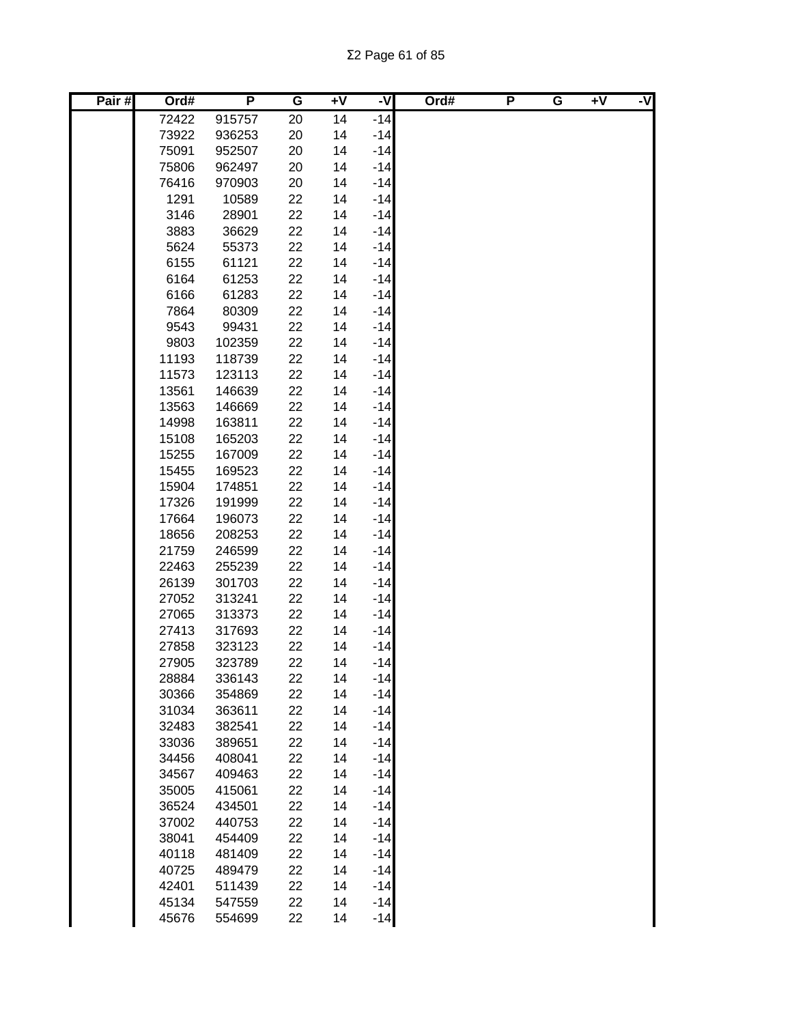| Pair# | Ord#  | P      | G  | $+V$ | ż     | Ord# | P | G | $+V$ | -V |
|-------|-------|--------|----|------|-------|------|---|---|------|----|
|       | 72422 | 915757 | 20 | 14   | $-14$ |      |   |   |      |    |
|       | 73922 | 936253 | 20 | 14   | $-14$ |      |   |   |      |    |
|       | 75091 | 952507 | 20 | 14   | $-14$ |      |   |   |      |    |
|       | 75806 | 962497 | 20 | 14   | $-14$ |      |   |   |      |    |
|       | 76416 | 970903 | 20 | 14   | $-14$ |      |   |   |      |    |
|       | 1291  | 10589  | 22 | 14   | $-14$ |      |   |   |      |    |
|       | 3146  | 28901  | 22 | 14   | $-14$ |      |   |   |      |    |
|       | 3883  | 36629  | 22 | 14   | $-14$ |      |   |   |      |    |
|       | 5624  | 55373  | 22 | 14   | $-14$ |      |   |   |      |    |
|       | 6155  | 61121  | 22 | 14   | $-14$ |      |   |   |      |    |
|       | 6164  | 61253  | 22 | 14   | $-14$ |      |   |   |      |    |
|       | 6166  | 61283  | 22 | 14   | $-14$ |      |   |   |      |    |
|       | 7864  | 80309  | 22 | 14   | $-14$ |      |   |   |      |    |
|       | 9543  | 99431  | 22 | 14   | $-14$ |      |   |   |      |    |
|       | 9803  | 102359 | 22 | 14   | $-14$ |      |   |   |      |    |
|       | 11193 | 118739 | 22 | 14   | $-14$ |      |   |   |      |    |
|       | 11573 | 123113 | 22 | 14   | $-14$ |      |   |   |      |    |
|       | 13561 | 146639 | 22 | 14   | $-14$ |      |   |   |      |    |
|       | 13563 | 146669 | 22 | 14   | $-14$ |      |   |   |      |    |
|       | 14998 | 163811 | 22 | 14   | $-14$ |      |   |   |      |    |
|       | 15108 | 165203 | 22 | 14   | $-14$ |      |   |   |      |    |
|       | 15255 | 167009 | 22 | 14   | $-14$ |      |   |   |      |    |
|       | 15455 | 169523 | 22 | 14   | $-14$ |      |   |   |      |    |
|       | 15904 | 174851 | 22 | 14   | $-14$ |      |   |   |      |    |
|       | 17326 | 191999 | 22 | 14   | $-14$ |      |   |   |      |    |
|       | 17664 | 196073 | 22 | 14   | $-14$ |      |   |   |      |    |
|       | 18656 | 208253 | 22 | 14   | $-14$ |      |   |   |      |    |
|       | 21759 | 246599 | 22 | 14   | $-14$ |      |   |   |      |    |
|       | 22463 | 255239 | 22 | 14   | $-14$ |      |   |   |      |    |
|       | 26139 | 301703 | 22 | 14   | $-14$ |      |   |   |      |    |
|       | 27052 | 313241 | 22 | 14   | $-14$ |      |   |   |      |    |
|       | 27065 | 313373 | 22 | 14   | $-14$ |      |   |   |      |    |
|       | 27413 | 317693 | 22 | 14   | $-14$ |      |   |   |      |    |
|       | 27858 | 323123 | 22 | 14   | $-14$ |      |   |   |      |    |
|       | 27905 | 323789 | 22 | 14   | $-14$ |      |   |   |      |    |
|       | 28884 | 336143 | 22 | 14   | $-14$ |      |   |   |      |    |
|       | 30366 | 354869 | 22 | 14   | $-14$ |      |   |   |      |    |
|       | 31034 | 363611 | 22 | 14   | $-14$ |      |   |   |      |    |
|       | 32483 | 382541 | 22 | 14   | $-14$ |      |   |   |      |    |
|       | 33036 | 389651 | 22 | 14   | $-14$ |      |   |   |      |    |
|       | 34456 | 408041 | 22 | 14   | $-14$ |      |   |   |      |    |
|       | 34567 | 409463 | 22 | 14   | $-14$ |      |   |   |      |    |
|       | 35005 | 415061 | 22 | 14   | $-14$ |      |   |   |      |    |
|       | 36524 | 434501 | 22 | 14   | $-14$ |      |   |   |      |    |
|       | 37002 | 440753 | 22 | 14   | $-14$ |      |   |   |      |    |
|       | 38041 | 454409 | 22 | 14   | $-14$ |      |   |   |      |    |
|       | 40118 | 481409 | 22 | 14   | $-14$ |      |   |   |      |    |
|       | 40725 | 489479 | 22 | 14   | $-14$ |      |   |   |      |    |
|       | 42401 | 511439 | 22 | 14   | $-14$ |      |   |   |      |    |
|       | 45134 | 547559 | 22 | 14   | $-14$ |      |   |   |      |    |
|       | 45676 | 554699 | 22 | 14   | $-14$ |      |   |   |      |    |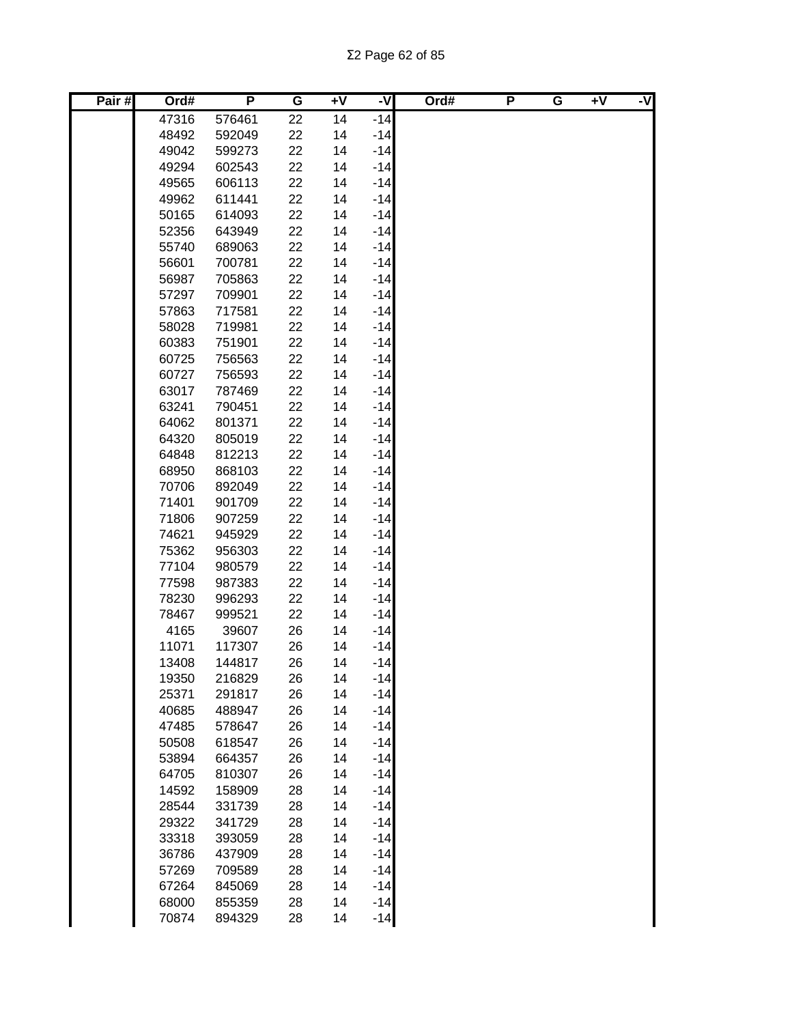| Pair# | Ord#           | P                | G        | $\overline{+V}$ | -V             | Ord# | P | G | $+V$ | -V |
|-------|----------------|------------------|----------|-----------------|----------------|------|---|---|------|----|
|       | 47316          | 576461           | 22       | 14              | $-14$          |      |   |   |      |    |
|       | 48492          | 592049           | 22       | 14              | $-14$          |      |   |   |      |    |
|       | 49042          | 599273           | 22       | 14              | $-14$          |      |   |   |      |    |
|       | 49294          | 602543           | 22       | 14              | $-14$          |      |   |   |      |    |
|       | 49565          | 606113           | 22       | 14              | $-14$          |      |   |   |      |    |
|       | 49962          | 611441           | 22       | 14              | $-14$          |      |   |   |      |    |
|       | 50165          | 614093           | 22       | 14              | $-14$          |      |   |   |      |    |
|       | 52356          | 643949           | 22       | 14              | $-14$          |      |   |   |      |    |
|       | 55740          | 689063           | 22       | 14              | $-14$          |      |   |   |      |    |
|       | 56601          | 700781           | 22       | 14              | $-14$          |      |   |   |      |    |
|       | 56987          | 705863           | 22       | 14              | $-14$          |      |   |   |      |    |
|       | 57297          | 709901           | 22       | 14              | $-14$          |      |   |   |      |    |
|       | 57863          | 717581           | 22       | 14              | $-14$          |      |   |   |      |    |
|       | 58028          | 719981           | 22       | 14              | $-14$          |      |   |   |      |    |
|       | 60383          | 751901           | 22       | 14              | $-14$          |      |   |   |      |    |
|       | 60725          | 756563           | 22       | 14              | $-14$          |      |   |   |      |    |
|       | 60727          | 756593           | 22       | 14              | $-14$          |      |   |   |      |    |
|       | 63017          | 787469           | 22       | 14              | $-14$          |      |   |   |      |    |
|       | 63241          | 790451           | 22       | 14              | $-14$          |      |   |   |      |    |
|       | 64062          | 801371           | 22       | 14              | $-14$          |      |   |   |      |    |
|       | 64320          | 805019           | 22       | 14              | $-14$          |      |   |   |      |    |
|       | 64848          | 812213           | 22       | 14              | $-14$          |      |   |   |      |    |
|       | 68950          | 868103           | 22       | 14              | $-14$          |      |   |   |      |    |
|       | 70706          | 892049           | 22       | 14              | $-14$          |      |   |   |      |    |
|       | 71401          | 901709           | 22       | 14              | $-14$          |      |   |   |      |    |
|       | 71806          | 907259           | 22       | 14              | $-14$          |      |   |   |      |    |
|       | 74621<br>75362 | 945929<br>956303 | 22<br>22 | 14<br>14        | $-14$<br>$-14$ |      |   |   |      |    |
|       | 77104          | 980579           | 22       | 14              | $-14$          |      |   |   |      |    |
|       | 77598          | 987383           | 22       | 14              | $-14$          |      |   |   |      |    |
|       | 78230          | 996293           | 22       | 14              | $-14$          |      |   |   |      |    |
|       | 78467          | 999521           | 22       | 14              | $-14$          |      |   |   |      |    |
|       | 4165           | 39607            | 26       | 14              | $-14$          |      |   |   |      |    |
|       | 11071          | 117307           | 26       | 14              | $-14$          |      |   |   |      |    |
|       | 13408          | 144817           | 26       | 14              | $-14$          |      |   |   |      |    |
|       | 19350          | 216829           | 26       | 14              | $-14$          |      |   |   |      |    |
|       | 25371          | 291817           | 26       | 14              | $-14$          |      |   |   |      |    |
|       | 40685          | 488947           | 26       | 14              | $-14$          |      |   |   |      |    |
|       | 47485          | 578647           | 26       | 14              | $-14$          |      |   |   |      |    |
|       | 50508          | 618547           | 26       | 14              | $-14$          |      |   |   |      |    |
|       | 53894          | 664357           | 26       | 14              | $-14$          |      |   |   |      |    |
|       | 64705          | 810307           | 26       | 14              | $-14$          |      |   |   |      |    |
|       | 14592          | 158909           | 28       | 14              | $-14$          |      |   |   |      |    |
|       | 28544          | 331739           | 28       | 14              | $-14$          |      |   |   |      |    |
|       | 29322          | 341729           | 28       | 14              | $-14$          |      |   |   |      |    |
|       | 33318          | 393059           | 28       | 14              | $-14$          |      |   |   |      |    |
|       | 36786          | 437909           | 28       | 14              | $-14$          |      |   |   |      |    |
|       | 57269          | 709589           | 28       | 14              | $-14$          |      |   |   |      |    |
|       | 67264          | 845069           | 28       | 14              | $-14$          |      |   |   |      |    |
|       | 68000          | 855359           | 28       | 14              | $-14$          |      |   |   |      |    |
|       | 70874          | 894329           | 28       | 14              | $-14$          |      |   |   |      |    |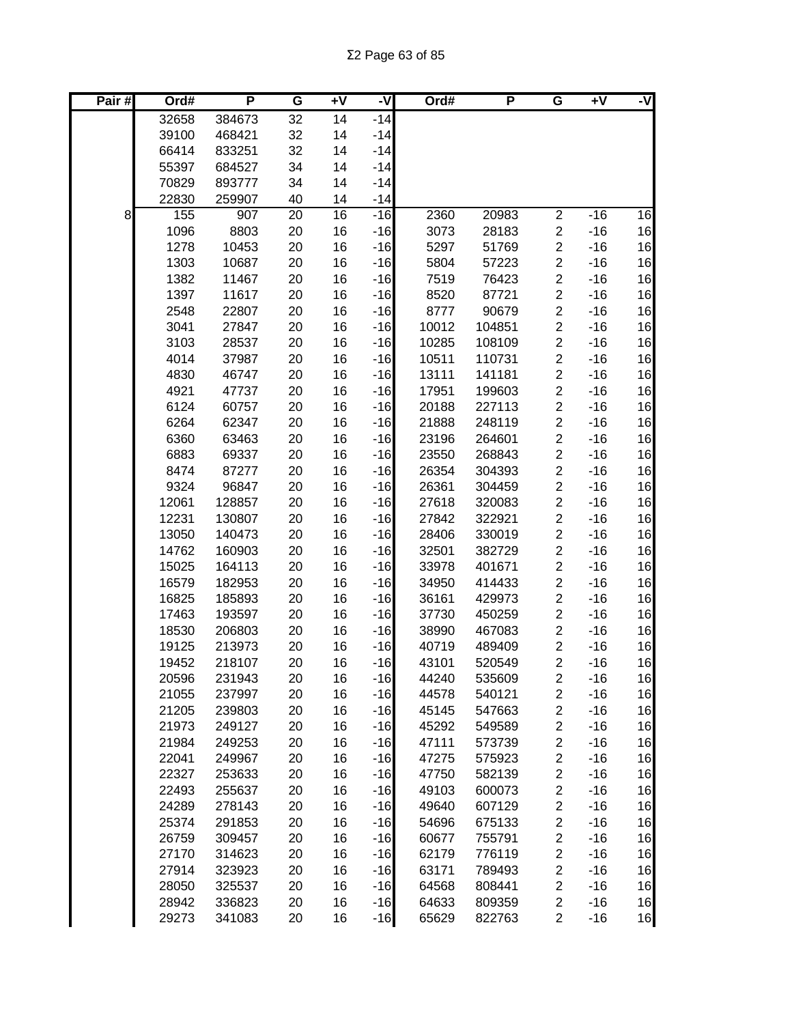| Pair# | Ord#           | P                | G        | Ŧ٨       | -V             | Ord#           | P                | G                                         | $\overline{+V}$ | -V       |
|-------|----------------|------------------|----------|----------|----------------|----------------|------------------|-------------------------------------------|-----------------|----------|
|       | 32658          | 384673           | 32       | 14       | $-14$          |                |                  |                                           |                 |          |
|       | 39100          | 468421           | 32       | 14       | $-14$          |                |                  |                                           |                 |          |
|       | 66414          | 833251           | 32       | 14       | $-14$          |                |                  |                                           |                 |          |
|       | 55397          | 684527           | 34       | 14       | $-14$          |                |                  |                                           |                 |          |
|       | 70829          | 893777           | 34       | 14       | $-14$          |                |                  |                                           |                 |          |
|       | 22830          | 259907           | 40       | 14       | $-14$          |                |                  |                                           |                 |          |
| 8     | 155            | 907              | 20       | 16       | $-16$          | 2360           | 20983            | $\overline{2}$                            | $-16$           | 16       |
|       | 1096           | 8803             | 20       | 16       | $-16$          | 3073           | 28183            | $\overline{\mathbf{c}}$                   | $-16$           | 16       |
|       | 1278           | 10453            | 20       | 16       | $-16$          | 5297           | 51769            | $\overline{c}$                            | $-16$           | 16       |
|       | 1303           | 10687            | 20       | 16       | $-16$          | 5804           | 57223            | $\overline{\mathbf{c}}$                   | $-16$           | 16       |
|       | 1382           | 11467            | 20       | 16       | $-16$          | 7519           | 76423            | $\overline{\mathbf{c}}$                   | $-16$           | 16       |
|       | 1397           | 11617            | 20       | 16       | $-16$          | 8520           | 87721            | $\overline{\mathbf{c}}$                   | $-16$           | 16       |
|       | 2548           | 22807            | 20       | 16       | $-16$          | 8777           | 90679            | $\overline{\mathbf{c}}$                   | $-16$           | 16       |
|       | 3041           | 27847            | 20       | 16       | $-16$          | 10012          | 104851           | $\overline{c}$                            | $-16$           | 16       |
|       | 3103           | 28537            | 20       | 16       | $-16$          | 10285          | 108109           | $\overline{c}$                            | $-16$           | 16       |
|       | 4014           | 37987            | 20       | 16       | $-16$          | 10511          | 110731           | $\overline{\mathbf{c}}$                   | $-16$           | 16       |
|       | 4830           | 46747            | 20       | 16       | $-16$          | 13111          | 141181           | $\overline{c}$                            | $-16$           | 16       |
|       | 4921           | 47737            | 20       | 16       | $-16$          | 17951          | 199603           | $\overline{\mathbf{c}}$                   | $-16$           | 16       |
|       | 6124           | 60757            | 20       | 16       | $-16$          | 20188          | 227113           | $\overline{c}$                            | $-16$           | 16       |
|       | 6264           | 62347<br>63463   | 20       | 16       | $-16$<br>$-16$ | 21888<br>23196 | 248119           | $\overline{c}$                            | $-16$           | 16       |
|       | 6360<br>6883   | 69337            | 20<br>20 | 16<br>16 | $-16$          | 23550          | 264601<br>268843 | $\overline{c}$<br>$\overline{2}$          | $-16$<br>$-16$  | 16<br>16 |
|       | 8474           | 87277            | 20       | 16       | $-16$          | 26354          | 304393           | $\overline{c}$                            | $-16$           | 16       |
|       | 9324           | 96847            | 20       | 16       | $-16$          | 26361          | 304459           | $\overline{c}$                            | $-16$           | 16       |
|       | 12061          | 128857           | 20       | 16       | $-16$          | 27618          | 320083           | $\overline{c}$                            | $-16$           | 16       |
|       | 12231          | 130807           | 20       | 16       | $-16$          | 27842          | 322921           | $\overline{\mathbf{c}}$                   | $-16$           | 16       |
|       | 13050          | 140473           | 20       | 16       | $-16$          | 28406          | 330019           | $\overline{c}$                            | $-16$           | 16       |
|       | 14762          | 160903           | 20       | 16       | $-16$          | 32501          | 382729           | $\overline{c}$                            | $-16$           | 16       |
|       | 15025          | 164113           | 20       | 16       | $-16$          | 33978          | 401671           | $\overline{\mathbf{c}}$                   | $-16$           | 16       |
|       | 16579          | 182953           | 20       | 16       | $-16$          | 34950          | 414433           | $\overline{\mathbf{c}}$                   | $-16$           | 16       |
|       | 16825          | 185893           | 20       | 16       | $-16$          | 36161          | 429973           | $\boldsymbol{2}$                          | $-16$           | 16       |
|       | 17463          | 193597           | 20       | 16       | $-16$          | 37730          | 450259           | $\boldsymbol{2}$                          | $-16$           | 16       |
|       | 18530          | 206803           | 20       | 16       | $-16$          | 38990          | 467083           | $\boldsymbol{2}$                          | $-16$           | 16       |
|       | 19125          | 213973           | 20       | 16       | $-16$          | 40719          | 489409           | $\overline{\mathbf{c}}$                   | $-16$           | 16       |
|       | 19452          | 218107           | 20       | 16       | $-16$          | 43101          | 520549           | $\overline{2}$                            | $-16$           | 16       |
|       | 20596          | 231943           | 20       | 16       | $-16$          | 44240          | 535609           | $\overline{\mathbf{c}}$                   | $-16$           | 16       |
|       | 21055          | 237997           | 20       | 16       | $-16$          | 44578          | 540121           | $\overline{\mathbf{c}}$                   | $-16$           | 16       |
|       | 21205          | 239803           | 20       | 16       | $-16$          | 45145          | 547663           | $\overline{\mathbf{c}}$                   | $-16$           | 16       |
|       | 21973          | 249127           | 20       | 16       | $-16$          | 45292          | 549589           | $\overline{\mathbf{c}}$                   | $-16$           | 16       |
|       | 21984          | 249253           | 20       | 16       | $-16$          | 47111          | 573739           | $\overline{\mathbf{c}}$                   | $-16$           | 16       |
|       | 22041          | 249967           | 20       | 16       | $-16$          | 47275          | 575923           | $\overline{\mathbf{c}}$                   | $-16$           | 16       |
|       | 22327          | 253633           | 20       | 16       | $-16$          | 47750          | 582139           | $\overline{\mathbf{c}}$                   | $-16$           | 16       |
|       | 22493          | 255637           | 20       | 16       | $-16$          | 49103          | 600073           | $\overline{\mathbf{c}}$                   | $-16$           | 16       |
|       | 24289          | 278143           | 20       | 16       | $-16$          | 49640          | 607129           | $\overline{\mathbf{c}}$                   | $-16$           | 16       |
|       | 25374          | 291853           | 20       | 16       | $-16$          | 54696          | 675133           | $\overline{\mathbf{c}}$                   | $-16$           | 16       |
|       | 26759          | 309457           | 20       | 16       | $-16$          | 60677          | 755791           | $\overline{\mathbf{c}}$                   | $-16$           | 16       |
|       | 27170<br>27914 | 314623<br>323923 | 20<br>20 | 16<br>16 | $-16$<br>$-16$ | 62179<br>63171 | 776119<br>789493 | $\overline{\mathbf{c}}$<br>$\overline{c}$ | $-16$<br>$-16$  | 16<br>16 |
|       | 28050          | 325537           | 20       | 16       | $-16$          | 64568          | 808441           | $\overline{\mathbf{c}}$                   | $-16$           | 16       |
|       | 28942          | 336823           | 20       | 16       | $-16$          | 64633          | 809359           | $\boldsymbol{2}$                          | $-16$           | 16       |
|       | 29273          | 341083           | 20       | 16       | $-16$          | 65629          | 822763           | $\overline{c}$                            | $-16$           | 16       |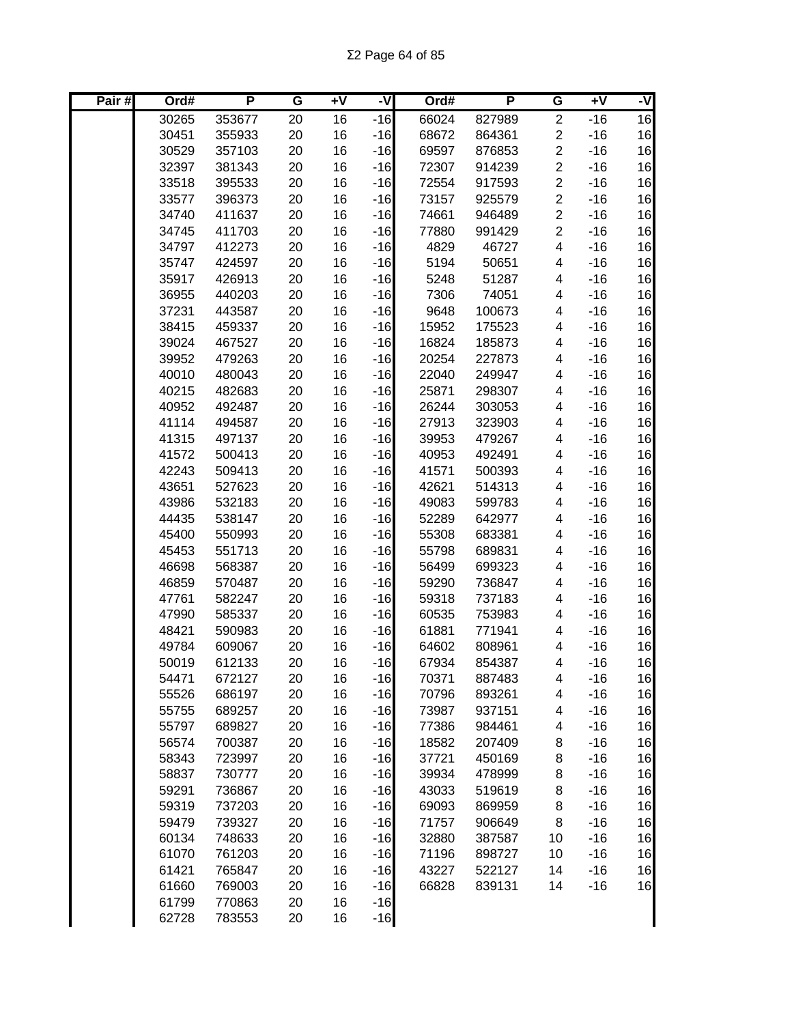| Pair# | Ord#  | P                | G        | $+V$     | -V             | Ord#  | P      | G              | $+V$  | -V |
|-------|-------|------------------|----------|----------|----------------|-------|--------|----------------|-------|----|
|       | 30265 | 353677           | 20       | 16       | $-16$          | 66024 | 827989 | $\overline{2}$ | $-16$ | 16 |
|       | 30451 | 355933           | 20       | 16       | $-16$          | 68672 | 864361 | $\overline{c}$ | $-16$ | 16 |
|       | 30529 | 357103           | 20       | 16       | $-16$          | 69597 | 876853 | $\overline{2}$ | $-16$ | 16 |
|       | 32397 | 381343           | 20       | 16       | $-16$          | 72307 | 914239 | $\overline{c}$ | $-16$ | 16 |
|       | 33518 | 395533           | 20       | 16       | $-16$          | 72554 | 917593 | $\overline{c}$ | $-16$ | 16 |
|       | 33577 | 396373           | 20       | 16       | $-16$          | 73157 | 925579 | $\overline{c}$ | $-16$ | 16 |
|       | 34740 | 411637           | 20       | 16       | $-16$          | 74661 | 946489 | $\overline{c}$ | $-16$ | 16 |
|       | 34745 | 411703           | 20       | 16       | $-16$          | 77880 | 991429 | $\overline{c}$ | $-16$ | 16 |
|       | 34797 | 412273           | 20       | 16       | $-16$          | 4829  | 46727  | 4              | $-16$ | 16 |
|       | 35747 | 424597           | 20       | 16       | $-16$          | 5194  | 50651  | 4              | $-16$ | 16 |
|       | 35917 | 426913           | 20       | 16       | $-16$          | 5248  | 51287  | 4              | $-16$ | 16 |
|       | 36955 | 440203           | 20       | 16       | $-16$          | 7306  | 74051  | 4              | $-16$ | 16 |
|       | 37231 | 443587           | 20       | 16       | $-16$          | 9648  | 100673 | 4              | $-16$ | 16 |
|       | 38415 | 459337           | 20       | 16       | $-16$          | 15952 | 175523 | 4              | $-16$ | 16 |
|       | 39024 | 467527           | 20       | 16       | $-16$          | 16824 | 185873 | 4              | $-16$ | 16 |
|       | 39952 | 479263           | 20       | 16       | $-16$          | 20254 | 227873 | 4              | $-16$ | 16 |
|       | 40010 | 480043           | 20       | 16       | $-16$          | 22040 | 249947 | 4              | $-16$ | 16 |
|       | 40215 | 482683           | 20       | 16       | $-16$          | 25871 | 298307 | 4              | $-16$ | 16 |
|       | 40952 | 492487           | 20       | 16       | $-16$          | 26244 | 303053 | 4              | $-16$ | 16 |
|       | 41114 | 494587           | 20       | 16       | $-16$          | 27913 | 323903 | 4              | $-16$ | 16 |
|       | 41315 | 497137           | 20       | 16       | $-16$          | 39953 | 479267 | 4              | $-16$ | 16 |
|       | 41572 | 500413           | 20       | 16       | $-16$          | 40953 | 492491 | 4              | $-16$ | 16 |
|       | 42243 | 509413           | 20       | 16       | $-16$          | 41571 | 500393 | 4              | $-16$ | 16 |
|       | 43651 | 527623           | 20       | 16       | $-16$          | 42621 | 514313 | 4              | $-16$ | 16 |
|       | 43986 | 532183           | 20       | 16       | $-16$          | 49083 | 599783 | 4              | $-16$ | 16 |
|       | 44435 | 538147           | 20       | 16       | $-16$          | 52289 | 642977 | 4              | $-16$ | 16 |
|       | 45400 | 550993           | 20       | 16       | $-16$          | 55308 | 683381 | 4              | $-16$ | 16 |
|       | 45453 | 551713           | 20       | 16       | $-16$          | 55798 | 689831 | 4              | $-16$ | 16 |
|       | 46698 | 568387           | 20       | 16       | $-16$          | 56499 | 699323 | 4              | $-16$ | 16 |
|       | 46859 | 570487           | 20       | 16       | $-16$          | 59290 | 736847 | 4              | $-16$ | 16 |
|       | 47761 | 582247           | 20       | 16       | $-16$          | 59318 | 737183 | 4              | $-16$ | 16 |
|       | 47990 | 585337           | 20       | 16       | $-16$          | 60535 | 753983 | 4              | $-16$ | 16 |
|       | 48421 | 590983           | 20       | 16       | $-16$          | 61881 | 771941 | 4              | $-16$ | 16 |
|       | 49784 | 609067           | 20       | 16       | $-16$          | 64602 | 808961 | 4              | $-16$ | 16 |
|       | 50019 | 612133           | 20       | 16       | $-16$          | 67934 | 854387 | 4              | $-16$ | 16 |
|       | 54471 | 672127           | 20       | 16       | $-16$          | 70371 | 887483 | 4              | $-16$ | 16 |
|       | 55526 | 686197           | 20       | 16       | $-16$          | 70796 | 893261 | 4              | $-16$ | 16 |
|       | 55755 | 689257           | 20       | 16       | $-16$          | 73987 | 937151 | 4              | $-16$ | 16 |
|       | 55797 | 689827           | 20       | 16       | $-16$          | 77386 | 984461 | 4              | $-16$ | 16 |
|       | 56574 | 700387           | 20       | 16       | $-16$          | 18582 | 207409 | 8              | $-16$ | 16 |
|       | 58343 | 723997           | 20       | 16       | $-16$          | 37721 | 450169 | 8              | $-16$ | 16 |
|       | 58837 | 730777           | 20       | 16       | $-16$          | 39934 | 478999 | 8              | $-16$ | 16 |
|       | 59291 | 736867           | 20       | 16       | $-16$          | 43033 | 519619 | 8              | $-16$ | 16 |
|       | 59319 | 737203           | 20       | 16       | $-16$          | 69093 | 869959 | 8              | $-16$ | 16 |
|       | 59479 | 739327           | 20       | 16       | $-16$          | 71757 | 906649 | 8              | $-16$ | 16 |
|       | 60134 | 748633           | 20       | 16       | $-16$          | 32880 | 387587 | 10             | $-16$ | 16 |
|       | 61070 | 761203           | 20       | 16       | $-16$          | 71196 | 898727 | 10             | $-16$ | 16 |
|       | 61421 | 765847           | 20       | 16       | $-16$          | 43227 | 522127 | 14             | $-16$ | 16 |
|       | 61660 | 769003           | 20       | 16       | $-16$<br>$-16$ | 66828 | 839131 | 14             | $-16$ | 16 |
|       | 61799 | 770863<br>783553 | 20<br>20 | 16<br>16 |                |       |        |                |       |    |
|       | 62728 |                  |          |          | $-16$          |       |        |                |       |    |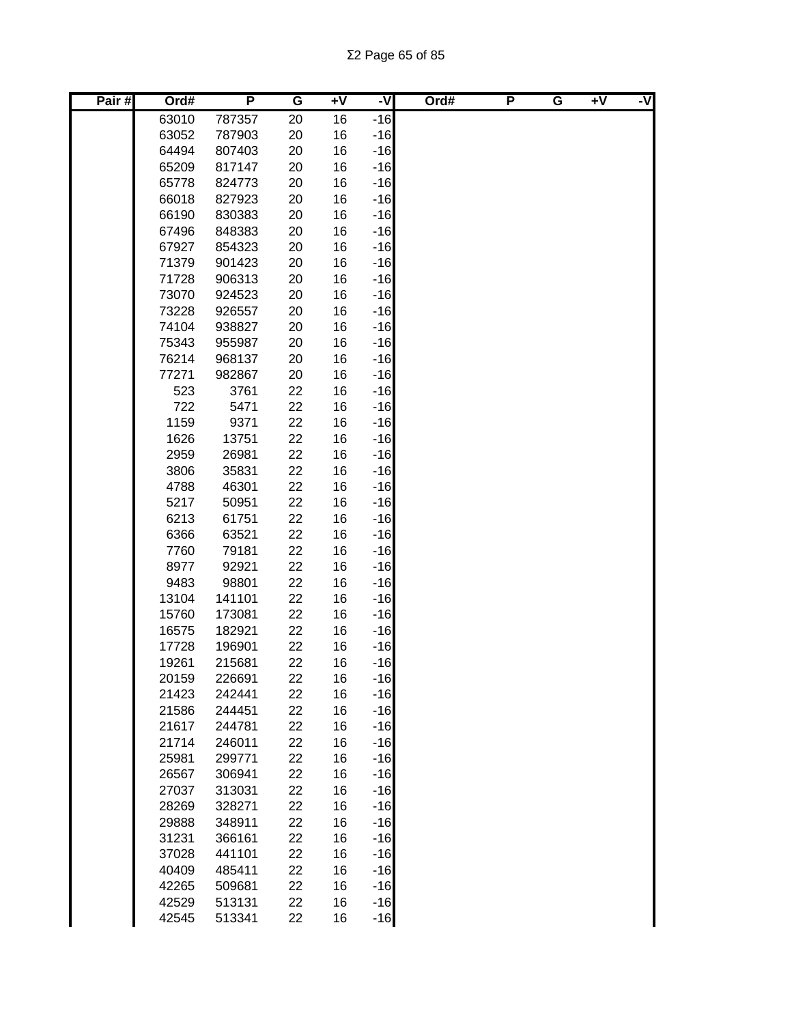| Pair# | Ord#         | P            | G        | $+V$     | -V             | Ord# | P | G | $+V$ | -V |
|-------|--------------|--------------|----------|----------|----------------|------|---|---|------|----|
|       | 63010        | 787357       | 20       | 16       | $-16$          |      |   |   |      |    |
|       | 63052        | 787903       | 20       | 16       | $-16$          |      |   |   |      |    |
|       | 64494        | 807403       | 20       | 16       | $-16$          |      |   |   |      |    |
|       | 65209        | 817147       | 20       | 16       | $-16$          |      |   |   |      |    |
|       | 65778        | 824773       | 20       | 16       | $-16$          |      |   |   |      |    |
|       | 66018        | 827923       | 20       | 16       | $-16$          |      |   |   |      |    |
|       | 66190        | 830383       | 20       | 16       | $-16$          |      |   |   |      |    |
|       | 67496        | 848383       | 20       | 16       | $-16$          |      |   |   |      |    |
|       | 67927        | 854323       | 20       | 16       | $-16$          |      |   |   |      |    |
|       | 71379        | 901423       | 20       | 16       | $-16$          |      |   |   |      |    |
|       | 71728        | 906313       | 20       | 16       | $-16$          |      |   |   |      |    |
|       | 73070        | 924523       | 20       | 16       | $-16$          |      |   |   |      |    |
|       | 73228        | 926557       | 20       | 16       | $-16$          |      |   |   |      |    |
|       | 74104        | 938827       | 20       | 16       | $-16$          |      |   |   |      |    |
|       | 75343        | 955987       | 20       | 16       | $-16$          |      |   |   |      |    |
|       | 76214        | 968137       | 20       | 16       | $-16$          |      |   |   |      |    |
|       | 77271<br>523 | 982867       | 20       | 16       | $-16$          |      |   |   |      |    |
|       | 722          | 3761         | 22<br>22 | 16<br>16 | $-16$<br>$-16$ |      |   |   |      |    |
|       | 1159         | 5471<br>9371 | 22       | 16       | $-16$          |      |   |   |      |    |
|       | 1626         | 13751        | 22       | 16       | $-16$          |      |   |   |      |    |
|       | 2959         | 26981        | 22       | 16       | $-16$          |      |   |   |      |    |
|       | 3806         | 35831        | 22       | 16       | $-16$          |      |   |   |      |    |
|       | 4788         | 46301        | 22       | 16       | $-16$          |      |   |   |      |    |
|       | 5217         | 50951        | 22       | 16       | $-16$          |      |   |   |      |    |
|       | 6213         | 61751        | 22       | 16       | $-16$          |      |   |   |      |    |
|       | 6366         | 63521        | 22       | 16       | $-16$          |      |   |   |      |    |
|       | 7760         | 79181        | 22       | 16       | $-16$          |      |   |   |      |    |
|       | 8977         | 92921        | 22       | 16       | $-16$          |      |   |   |      |    |
|       | 9483         | 98801        | 22       | 16       | $-16$          |      |   |   |      |    |
|       | 13104        | 141101       | 22       | 16       | $-16$          |      |   |   |      |    |
|       | 15760        | 173081       | 22       | 16       | $-16$          |      |   |   |      |    |
|       | 16575        | 182921       | 22       | 16       | $-16$          |      |   |   |      |    |
|       | 17728        | 196901       | 22       | 16       | $-16$          |      |   |   |      |    |
|       | 19261        | 215681       | 22       | 16       | $-16$          |      |   |   |      |    |
|       | 20159        | 226691       | 22       | 16       | $-16$          |      |   |   |      |    |
|       | 21423        | 242441       | 22       | 16       | $-16$          |      |   |   |      |    |
|       | 21586        | 244451       | 22       | 16       | $-16$          |      |   |   |      |    |
|       | 21617        | 244781       | 22       | 16       | $-16$          |      |   |   |      |    |
|       | 21714        | 246011       | 22       | 16       | $-16$          |      |   |   |      |    |
|       | 25981        | 299771       | 22       | 16       | $-16$          |      |   |   |      |    |
|       | 26567        | 306941       | 22       | 16       | $-16$          |      |   |   |      |    |
|       | 27037        | 313031       | 22       | 16       | $-16$          |      |   |   |      |    |
|       | 28269        | 328271       | 22       | 16       | $-16$          |      |   |   |      |    |
|       | 29888        | 348911       | 22       | 16       | $-16$          |      |   |   |      |    |
|       | 31231        | 366161       | 22       | 16       | $-16$          |      |   |   |      |    |
|       | 37028        | 441101       | 22       | 16       | $-16$          |      |   |   |      |    |
|       | 40409        | 485411       | 22       | 16       | $-16$          |      |   |   |      |    |
|       | 42265        | 509681       | 22       | 16       | $-16$          |      |   |   |      |    |
|       | 42529        | 513131       | 22       | 16       | $-16$          |      |   |   |      |    |
|       | 42545        | 513341       | 22       | 16       | $-16$          |      |   |   |      |    |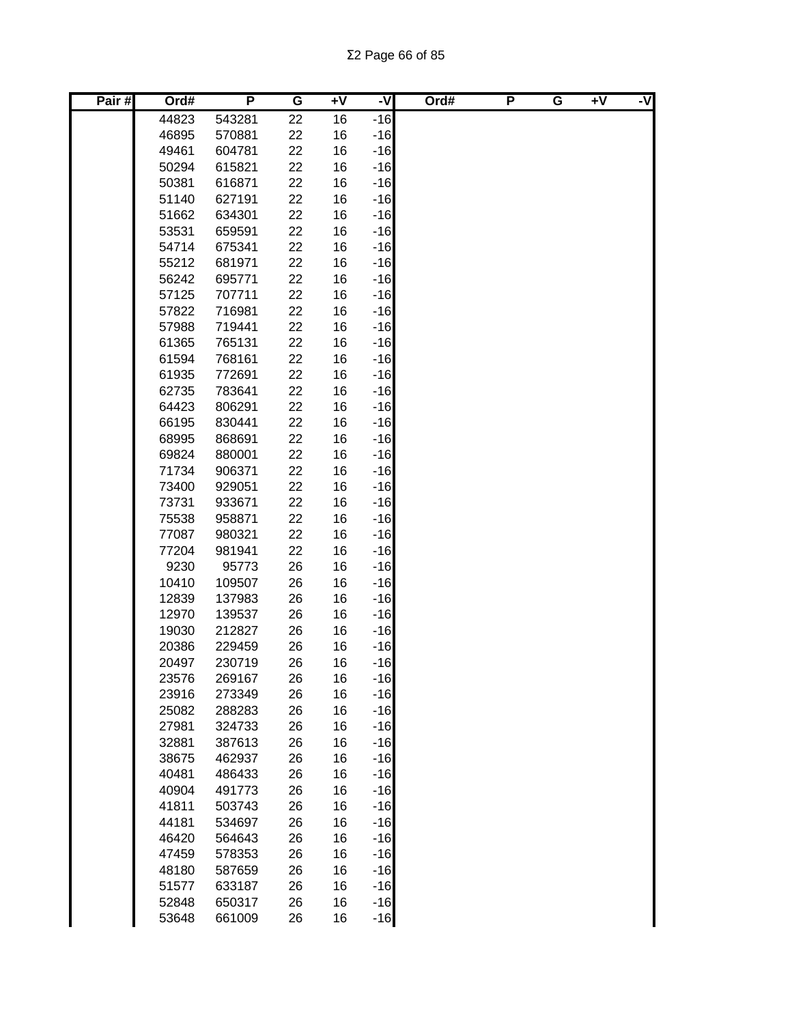| Pair# | Ord#  | P      | G  | $+V$ | -V    | Ord# | P | G | $\overline{+V}$ | -V |
|-------|-------|--------|----|------|-------|------|---|---|-----------------|----|
|       | 44823 | 543281 | 22 | 16   | $-16$ |      |   |   |                 |    |
|       | 46895 | 570881 | 22 | 16   | $-16$ |      |   |   |                 |    |
|       | 49461 | 604781 | 22 | 16   | $-16$ |      |   |   |                 |    |
|       | 50294 | 615821 | 22 | 16   | $-16$ |      |   |   |                 |    |
|       | 50381 | 616871 | 22 | 16   | $-16$ |      |   |   |                 |    |
|       | 51140 | 627191 | 22 | 16   | $-16$ |      |   |   |                 |    |
|       | 51662 | 634301 | 22 | 16   | $-16$ |      |   |   |                 |    |
|       | 53531 | 659591 | 22 | 16   | $-16$ |      |   |   |                 |    |
|       | 54714 | 675341 | 22 | 16   | $-16$ |      |   |   |                 |    |
|       | 55212 | 681971 | 22 | 16   | $-16$ |      |   |   |                 |    |
|       | 56242 | 695771 | 22 | 16   | $-16$ |      |   |   |                 |    |
|       | 57125 | 707711 | 22 | 16   | $-16$ |      |   |   |                 |    |
|       | 57822 | 716981 | 22 | 16   | $-16$ |      |   |   |                 |    |
|       | 57988 | 719441 | 22 | 16   | $-16$ |      |   |   |                 |    |
|       | 61365 | 765131 | 22 | 16   | $-16$ |      |   |   |                 |    |
|       | 61594 | 768161 | 22 | 16   | $-16$ |      |   |   |                 |    |
|       | 61935 | 772691 | 22 | 16   | $-16$ |      |   |   |                 |    |
|       | 62735 | 783641 | 22 | 16   | $-16$ |      |   |   |                 |    |
|       | 64423 | 806291 | 22 | 16   | $-16$ |      |   |   |                 |    |
|       | 66195 | 830441 | 22 | 16   | $-16$ |      |   |   |                 |    |
|       | 68995 | 868691 | 22 | 16   | $-16$ |      |   |   |                 |    |
|       | 69824 | 880001 | 22 | 16   | $-16$ |      |   |   |                 |    |
|       | 71734 | 906371 | 22 | 16   | $-16$ |      |   |   |                 |    |
|       | 73400 | 929051 | 22 | 16   | $-16$ |      |   |   |                 |    |
|       | 73731 | 933671 | 22 | 16   | $-16$ |      |   |   |                 |    |
|       | 75538 | 958871 | 22 | 16   | $-16$ |      |   |   |                 |    |
|       | 77087 | 980321 | 22 | 16   | $-16$ |      |   |   |                 |    |
|       | 77204 | 981941 | 22 | 16   | $-16$ |      |   |   |                 |    |
|       | 9230  | 95773  | 26 | 16   | $-16$ |      |   |   |                 |    |
|       | 10410 | 109507 | 26 | 16   | $-16$ |      |   |   |                 |    |
|       | 12839 | 137983 | 26 | 16   | $-16$ |      |   |   |                 |    |
|       | 12970 | 139537 | 26 | 16   | $-16$ |      |   |   |                 |    |
|       | 19030 | 212827 | 26 | 16   | $-16$ |      |   |   |                 |    |
|       | 20386 | 229459 | 26 | 16   | $-16$ |      |   |   |                 |    |
|       | 20497 | 230719 | 26 | 16   | $-16$ |      |   |   |                 |    |
|       | 23576 | 269167 | 26 | 16   | $-16$ |      |   |   |                 |    |
|       | 23916 | 273349 | 26 | 16   | $-16$ |      |   |   |                 |    |
|       | 25082 | 288283 | 26 | 16   | $-16$ |      |   |   |                 |    |
|       | 27981 | 324733 | 26 | 16   | $-16$ |      |   |   |                 |    |
|       | 32881 | 387613 | 26 | 16   | $-16$ |      |   |   |                 |    |
|       | 38675 | 462937 | 26 | 16   | $-16$ |      |   |   |                 |    |
|       | 40481 | 486433 | 26 | 16   | $-16$ |      |   |   |                 |    |
|       | 40904 | 491773 | 26 | 16   | $-16$ |      |   |   |                 |    |
|       | 41811 | 503743 | 26 | 16   | $-16$ |      |   |   |                 |    |
|       | 44181 | 534697 | 26 | 16   | $-16$ |      |   |   |                 |    |
|       | 46420 | 564643 | 26 | 16   | $-16$ |      |   |   |                 |    |
|       | 47459 | 578353 | 26 | 16   | $-16$ |      |   |   |                 |    |
|       | 48180 | 587659 | 26 | 16   | $-16$ |      |   |   |                 |    |
|       | 51577 | 633187 | 26 | 16   | $-16$ |      |   |   |                 |    |
|       | 52848 | 650317 | 26 | 16   | $-16$ |      |   |   |                 |    |
|       | 53648 | 661009 | 26 | 16   | $-16$ |      |   |   |                 |    |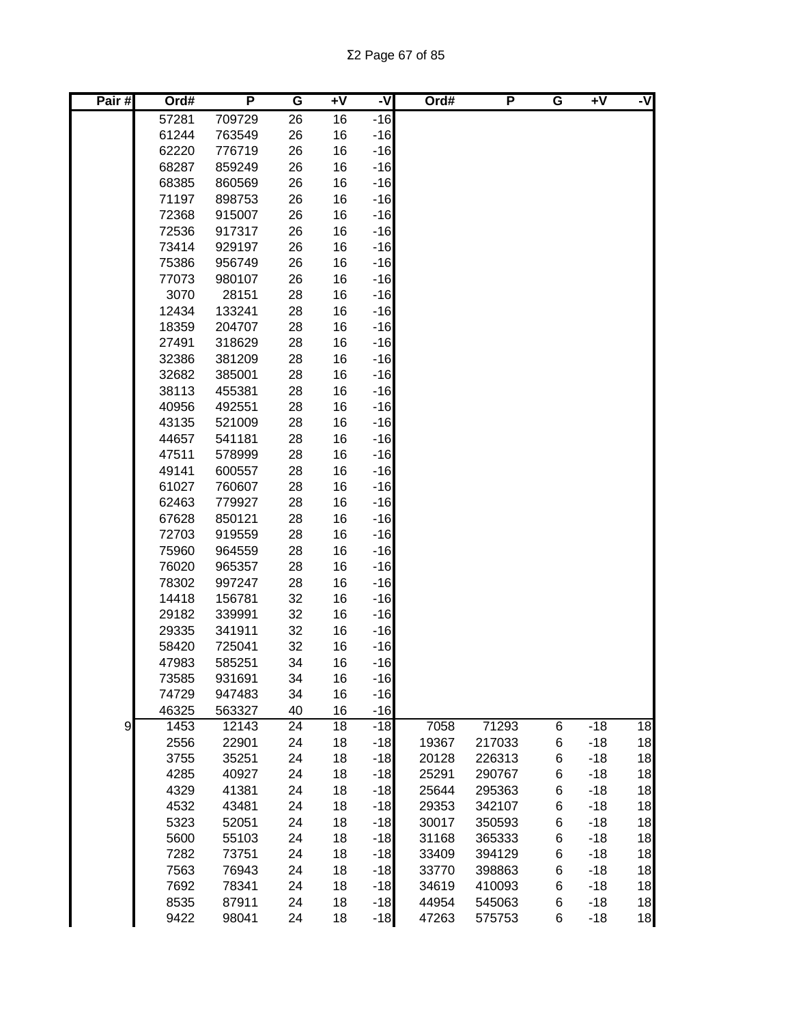Σ2 Page 67 of 85

| Pair# | Ord#  | P      | G  | $+V$ | -V    | Ord#  | P      | G | Ŧ٨    | -V |
|-------|-------|--------|----|------|-------|-------|--------|---|-------|----|
|       | 57281 | 709729 | 26 | 16   | $-16$ |       |        |   |       |    |
|       | 61244 | 763549 | 26 | 16   | $-16$ |       |        |   |       |    |
|       | 62220 | 776719 | 26 | 16   | $-16$ |       |        |   |       |    |
|       | 68287 | 859249 | 26 | 16   | $-16$ |       |        |   |       |    |
|       | 68385 | 860569 | 26 | 16   | $-16$ |       |        |   |       |    |
|       | 71197 | 898753 | 26 | 16   | $-16$ |       |        |   |       |    |
|       | 72368 | 915007 | 26 | 16   | $-16$ |       |        |   |       |    |
|       | 72536 | 917317 | 26 | 16   | $-16$ |       |        |   |       |    |
|       | 73414 | 929197 | 26 | 16   | $-16$ |       |        |   |       |    |
|       | 75386 | 956749 | 26 | 16   | $-16$ |       |        |   |       |    |
|       | 77073 | 980107 | 26 | 16   | $-16$ |       |        |   |       |    |
|       | 3070  | 28151  | 28 | 16   | $-16$ |       |        |   |       |    |
|       | 12434 | 133241 | 28 | 16   | $-16$ |       |        |   |       |    |
|       | 18359 | 204707 | 28 | 16   | $-16$ |       |        |   |       |    |
|       | 27491 | 318629 | 28 | 16   | $-16$ |       |        |   |       |    |
|       | 32386 | 381209 | 28 | 16   | $-16$ |       |        |   |       |    |
|       | 32682 | 385001 | 28 | 16   | $-16$ |       |        |   |       |    |
|       | 38113 | 455381 | 28 | 16   | $-16$ |       |        |   |       |    |
|       | 40956 | 492551 | 28 | 16   | $-16$ |       |        |   |       |    |
|       | 43135 | 521009 | 28 | 16   | $-16$ |       |        |   |       |    |
|       | 44657 | 541181 | 28 | 16   | $-16$ |       |        |   |       |    |
|       | 47511 | 578999 | 28 | 16   | $-16$ |       |        |   |       |    |
|       | 49141 | 600557 | 28 | 16   | $-16$ |       |        |   |       |    |
|       | 61027 | 760607 | 28 | 16   | $-16$ |       |        |   |       |    |
|       | 62463 | 779927 | 28 | 16   | $-16$ |       |        |   |       |    |
|       | 67628 | 850121 | 28 | 16   | $-16$ |       |        |   |       |    |
|       | 72703 | 919559 | 28 | 16   | $-16$ |       |        |   |       |    |
|       | 75960 | 964559 | 28 | 16   | $-16$ |       |        |   |       |    |
|       | 76020 | 965357 | 28 | 16   | $-16$ |       |        |   |       |    |
|       | 78302 | 997247 | 28 | 16   | $-16$ |       |        |   |       |    |
|       | 14418 | 156781 | 32 | 16   | $-16$ |       |        |   |       |    |
|       | 29182 | 339991 | 32 | 16   | $-16$ |       |        |   |       |    |
|       | 29335 | 341911 | 32 | 16   | $-16$ |       |        |   |       |    |
|       | 58420 | 725041 | 32 | 16   | $-16$ |       |        |   |       |    |
|       | 47983 | 585251 | 34 | 16   | $-16$ |       |        |   |       |    |
|       | 73585 | 931691 | 34 | 16   | $-16$ |       |        |   |       |    |
|       | 74729 | 947483 | 34 | 16   | $-16$ |       |        |   |       |    |
|       | 46325 | 563327 | 40 | 16   | $-16$ |       |        |   |       |    |
| 9     | 1453  | 12143  | 24 | 18   | $-18$ | 7058  | 71293  | 6 | $-18$ | 18 |
|       | 2556  | 22901  | 24 | 18   | $-18$ | 19367 | 217033 | 6 | $-18$ | 18 |
|       | 3755  | 35251  | 24 | 18   | $-18$ | 20128 | 226313 | 6 | $-18$ | 18 |
|       | 4285  | 40927  | 24 | 18   | $-18$ | 25291 | 290767 | 6 | $-18$ | 18 |
|       | 4329  | 41381  | 24 | 18   | $-18$ | 25644 | 295363 | 6 | $-18$ | 18 |
|       | 4532  | 43481  | 24 | 18   | $-18$ | 29353 | 342107 | 6 | $-18$ | 18 |
|       | 5323  | 52051  | 24 | 18   | $-18$ | 30017 | 350593 | 6 | $-18$ | 18 |
|       | 5600  | 55103  | 24 | 18   | $-18$ | 31168 | 365333 | 6 | $-18$ | 18 |
|       | 7282  | 73751  | 24 | 18   | $-18$ | 33409 | 394129 | 6 | $-18$ | 18 |
|       | 7563  | 76943  | 24 | 18   | $-18$ | 33770 | 398863 | 6 | $-18$ | 18 |
|       | 7692  | 78341  | 24 | 18   | $-18$ | 34619 | 410093 | 6 | $-18$ | 18 |
|       | 8535  | 87911  | 24 | 18   | $-18$ | 44954 | 545063 | 6 | $-18$ | 18 |
|       | 9422  | 98041  | 24 | 18   | $-18$ | 47263 | 575753 | 6 | $-18$ | 18 |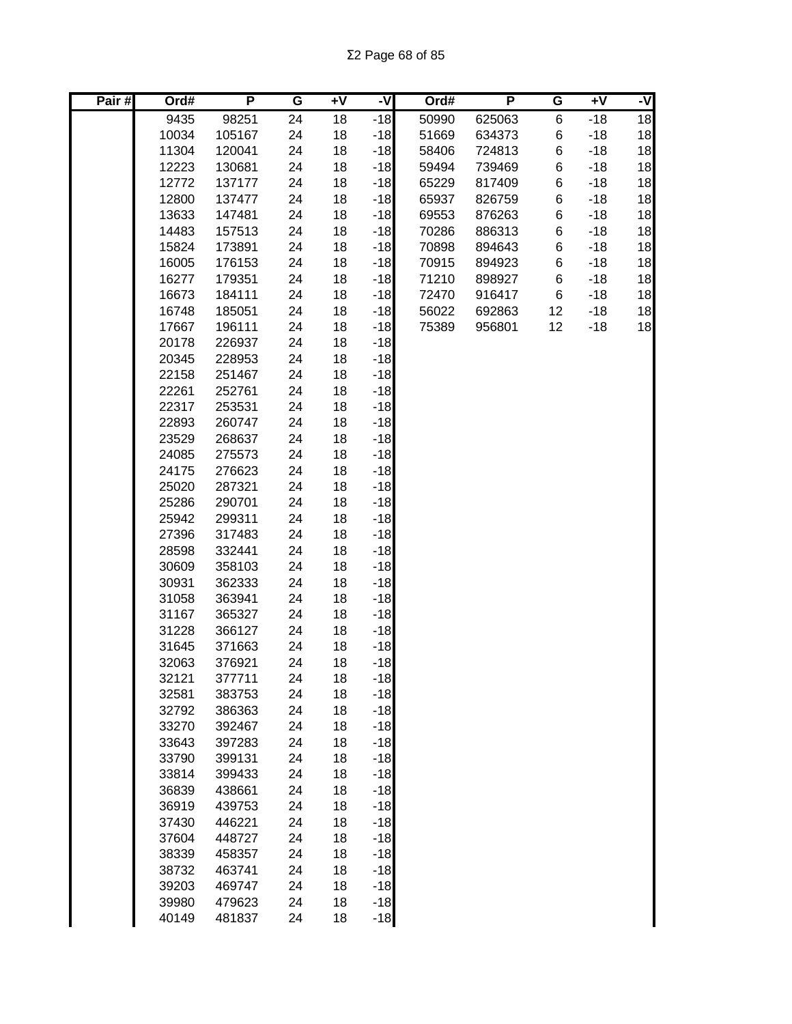| Pair# | Ord#  | P      | G  | ÷۷ | -V    | Ord#  | P      | G  | $+V$  | -V |
|-------|-------|--------|----|----|-------|-------|--------|----|-------|----|
|       | 9435  | 98251  | 24 | 18 | $-18$ | 50990 | 625063 | 6  | $-18$ | 18 |
|       | 10034 | 105167 | 24 | 18 | $-18$ | 51669 | 634373 | 6  | $-18$ | 18 |
|       | 11304 | 120041 | 24 | 18 | $-18$ | 58406 | 724813 | 6  | $-18$ | 18 |
|       | 12223 | 130681 | 24 | 18 | $-18$ | 59494 | 739469 | 6  | $-18$ | 18 |
|       | 12772 | 137177 | 24 | 18 | $-18$ | 65229 | 817409 | 6  | $-18$ | 18 |
|       | 12800 | 137477 | 24 | 18 | $-18$ | 65937 | 826759 | 6  | $-18$ | 18 |
|       | 13633 | 147481 | 24 | 18 | $-18$ | 69553 | 876263 | 6  | $-18$ | 18 |
|       | 14483 | 157513 | 24 | 18 | $-18$ | 70286 | 886313 | 6  | $-18$ | 18 |
|       | 15824 | 173891 | 24 | 18 | $-18$ | 70898 | 894643 | 6  | $-18$ | 18 |
|       | 16005 | 176153 | 24 | 18 | $-18$ | 70915 | 894923 | 6  | $-18$ | 18 |
|       | 16277 | 179351 | 24 | 18 | $-18$ | 71210 | 898927 | 6  | $-18$ | 18 |
|       | 16673 | 184111 | 24 | 18 | $-18$ | 72470 | 916417 | 6  | $-18$ | 18 |
|       | 16748 | 185051 | 24 | 18 | $-18$ | 56022 | 692863 | 12 | $-18$ | 18 |
|       | 17667 | 196111 | 24 | 18 | $-18$ | 75389 | 956801 | 12 | $-18$ | 18 |
|       | 20178 | 226937 | 24 | 18 | $-18$ |       |        |    |       |    |
|       | 20345 | 228953 | 24 | 18 | $-18$ |       |        |    |       |    |
|       | 22158 | 251467 | 24 | 18 | $-18$ |       |        |    |       |    |
|       | 22261 | 252761 | 24 | 18 | $-18$ |       |        |    |       |    |
|       | 22317 | 253531 | 24 | 18 | $-18$ |       |        |    |       |    |
|       | 22893 | 260747 | 24 | 18 | $-18$ |       |        |    |       |    |
|       | 23529 | 268637 | 24 | 18 | $-18$ |       |        |    |       |    |
|       | 24085 | 275573 | 24 | 18 | $-18$ |       |        |    |       |    |
|       | 24175 | 276623 | 24 | 18 | $-18$ |       |        |    |       |    |
|       | 25020 | 287321 | 24 | 18 | $-18$ |       |        |    |       |    |
|       | 25286 | 290701 | 24 | 18 | $-18$ |       |        |    |       |    |
|       | 25942 | 299311 | 24 | 18 | $-18$ |       |        |    |       |    |
|       | 27396 | 317483 | 24 | 18 | $-18$ |       |        |    |       |    |
|       | 28598 | 332441 | 24 | 18 | $-18$ |       |        |    |       |    |
|       | 30609 | 358103 | 24 | 18 | $-18$ |       |        |    |       |    |
|       | 30931 | 362333 | 24 | 18 | $-18$ |       |        |    |       |    |
|       | 31058 | 363941 | 24 | 18 | $-18$ |       |        |    |       |    |
|       | 31167 | 365327 | 24 | 18 | $-18$ |       |        |    |       |    |
|       | 31228 | 366127 | 24 | 18 | $-18$ |       |        |    |       |    |
|       | 31645 | 371663 | 24 | 18 | $-18$ |       |        |    |       |    |
|       | 32063 | 376921 | 24 | 18 | $-18$ |       |        |    |       |    |
|       | 32121 | 377711 | 24 | 18 | $-18$ |       |        |    |       |    |
|       | 32581 | 383753 | 24 | 18 | $-18$ |       |        |    |       |    |
|       | 32792 | 386363 | 24 | 18 | $-18$ |       |        |    |       |    |
|       | 33270 | 392467 | 24 | 18 | $-18$ |       |        |    |       |    |
|       | 33643 | 397283 | 24 | 18 | $-18$ |       |        |    |       |    |
|       | 33790 | 399131 | 24 | 18 | $-18$ |       |        |    |       |    |
|       | 33814 | 399433 | 24 | 18 | $-18$ |       |        |    |       |    |
|       | 36839 | 438661 | 24 | 18 | $-18$ |       |        |    |       |    |
|       | 36919 | 439753 | 24 | 18 | $-18$ |       |        |    |       |    |
|       | 37430 | 446221 | 24 | 18 | $-18$ |       |        |    |       |    |
|       | 37604 | 448727 | 24 | 18 | $-18$ |       |        |    |       |    |
|       | 38339 | 458357 | 24 | 18 | $-18$ |       |        |    |       |    |
|       | 38732 | 463741 | 24 | 18 | $-18$ |       |        |    |       |    |
|       | 39203 | 469747 | 24 | 18 | $-18$ |       |        |    |       |    |
|       | 39980 | 479623 | 24 | 18 | $-18$ |       |        |    |       |    |
|       | 40149 | 481837 | 24 | 18 | $-18$ |       |        |    |       |    |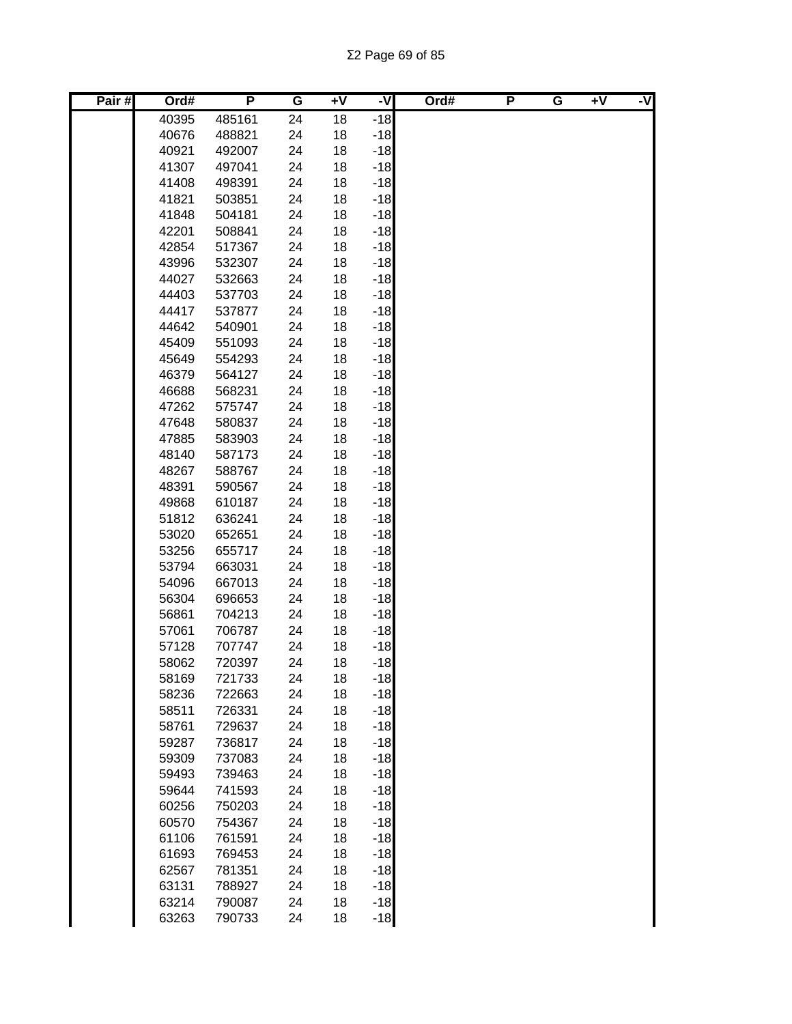| Pair# | Ord#  | P      | G  | $+V$ | ż     | Ord# | P | G | $+V$ | -V |
|-------|-------|--------|----|------|-------|------|---|---|------|----|
|       | 40395 | 485161 | 24 | 18   | $-18$ |      |   |   |      |    |
|       | 40676 | 488821 | 24 | 18   | $-18$ |      |   |   |      |    |
|       | 40921 | 492007 | 24 | 18   | $-18$ |      |   |   |      |    |
|       | 41307 | 497041 | 24 | 18   | $-18$ |      |   |   |      |    |
|       | 41408 | 498391 | 24 | 18   | $-18$ |      |   |   |      |    |
|       | 41821 | 503851 | 24 | 18   | $-18$ |      |   |   |      |    |
|       | 41848 | 504181 | 24 | 18   | $-18$ |      |   |   |      |    |
|       | 42201 | 508841 | 24 | 18   | $-18$ |      |   |   |      |    |
|       | 42854 | 517367 | 24 | 18   | $-18$ |      |   |   |      |    |
|       | 43996 | 532307 | 24 | 18   | $-18$ |      |   |   |      |    |
|       | 44027 | 532663 | 24 | 18   | $-18$ |      |   |   |      |    |
|       | 44403 | 537703 | 24 | 18   | $-18$ |      |   |   |      |    |
|       | 44417 | 537877 | 24 | 18   | $-18$ |      |   |   |      |    |
|       | 44642 | 540901 | 24 | 18   | $-18$ |      |   |   |      |    |
|       | 45409 | 551093 | 24 | 18   | $-18$ |      |   |   |      |    |
|       | 45649 | 554293 | 24 | 18   | $-18$ |      |   |   |      |    |
|       | 46379 | 564127 | 24 | 18   | $-18$ |      |   |   |      |    |
|       | 46688 | 568231 | 24 | 18   | $-18$ |      |   |   |      |    |
|       | 47262 | 575747 | 24 | 18   | $-18$ |      |   |   |      |    |
|       | 47648 | 580837 | 24 | 18   | $-18$ |      |   |   |      |    |
|       | 47885 | 583903 | 24 | 18   | $-18$ |      |   |   |      |    |
|       | 48140 | 587173 | 24 | 18   | $-18$ |      |   |   |      |    |
|       | 48267 | 588767 | 24 | 18   | $-18$ |      |   |   |      |    |
|       | 48391 | 590567 | 24 | 18   | $-18$ |      |   |   |      |    |
|       | 49868 | 610187 | 24 | 18   | $-18$ |      |   |   |      |    |
|       | 51812 | 636241 | 24 | 18   | $-18$ |      |   |   |      |    |
|       | 53020 | 652651 | 24 | 18   | $-18$ |      |   |   |      |    |
|       | 53256 | 655717 | 24 | 18   | $-18$ |      |   |   |      |    |
|       | 53794 | 663031 | 24 | 18   | $-18$ |      |   |   |      |    |
|       | 54096 | 667013 | 24 | 18   | $-18$ |      |   |   |      |    |
|       | 56304 | 696653 | 24 | 18   | $-18$ |      |   |   |      |    |
|       | 56861 | 704213 | 24 | 18   | $-18$ |      |   |   |      |    |
|       | 57061 | 706787 | 24 | 18   | $-18$ |      |   |   |      |    |
|       | 57128 | 707747 | 24 | 18   | $-18$ |      |   |   |      |    |
|       | 58062 | 720397 | 24 | 18   | $-18$ |      |   |   |      |    |
|       | 58169 | 721733 | 24 | 18   | $-18$ |      |   |   |      |    |
|       | 58236 | 722663 | 24 | 18   | $-18$ |      |   |   |      |    |
|       | 58511 | 726331 | 24 | 18   | $-18$ |      |   |   |      |    |
|       | 58761 | 729637 | 24 | 18   | $-18$ |      |   |   |      |    |
|       | 59287 | 736817 | 24 | 18   | $-18$ |      |   |   |      |    |
|       | 59309 | 737083 | 24 | 18   | $-18$ |      |   |   |      |    |
|       | 59493 | 739463 | 24 | 18   | $-18$ |      |   |   |      |    |
|       | 59644 | 741593 | 24 | 18   | $-18$ |      |   |   |      |    |
|       | 60256 | 750203 | 24 | 18   | $-18$ |      |   |   |      |    |
|       | 60570 | 754367 | 24 | 18   | $-18$ |      |   |   |      |    |
|       | 61106 | 761591 | 24 | 18   | $-18$ |      |   |   |      |    |
|       | 61693 | 769453 | 24 | 18   | $-18$ |      |   |   |      |    |
|       | 62567 | 781351 | 24 | 18   | $-18$ |      |   |   |      |    |
|       | 63131 | 788927 | 24 | 18   | $-18$ |      |   |   |      |    |
|       | 63214 | 790087 | 24 | 18   | $-18$ |      |   |   |      |    |
|       | 63263 | 790733 | 24 | 18   | $-18$ |      |   |   |      |    |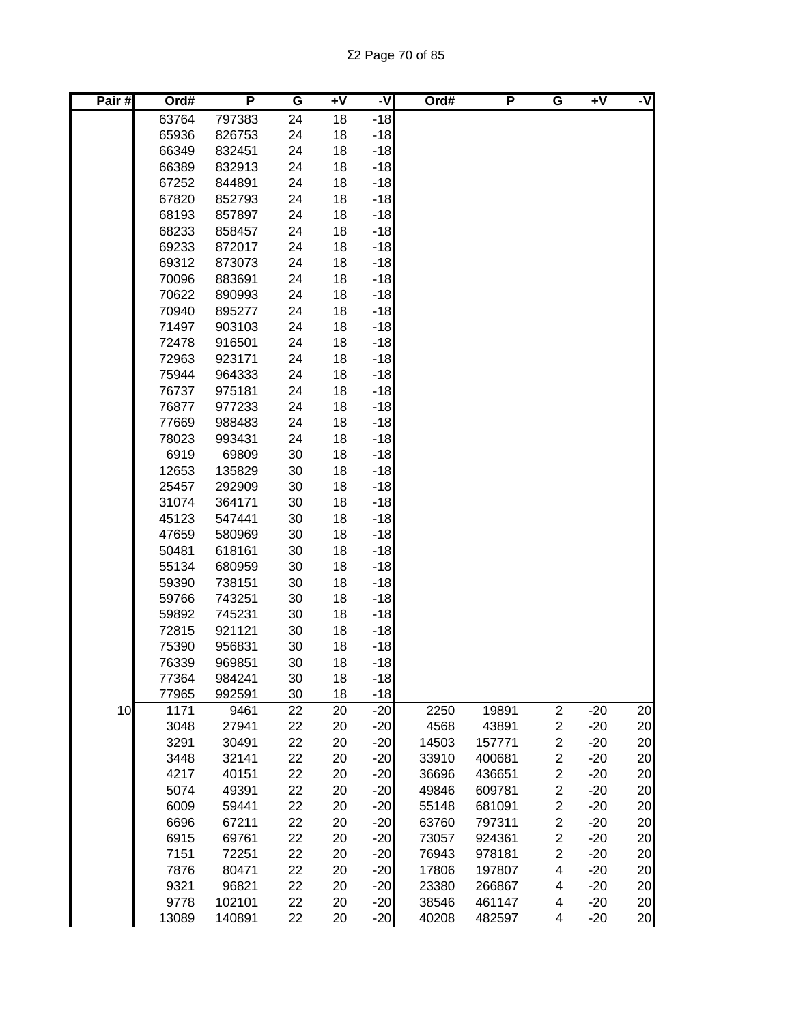Σ2 Page 70 of 85

| Pair# | Ord#           | P                | G        | $\overline{+}\sqrt{}$ | -V             | Ord#  | P      | G                       | +V    | -V |
|-------|----------------|------------------|----------|-----------------------|----------------|-------|--------|-------------------------|-------|----|
|       | 63764          | 797383           | 24       | 18                    | $-18$          |       |        |                         |       |    |
|       | 65936          | 826753           | 24       | 18                    | $-18$          |       |        |                         |       |    |
|       | 66349          | 832451           | 24       | 18                    | $-18$          |       |        |                         |       |    |
|       | 66389          | 832913           | 24       | 18                    | $-18$          |       |        |                         |       |    |
|       | 67252          | 844891           | 24       | 18                    | $-18$          |       |        |                         |       |    |
|       | 67820          | 852793           | 24       | 18                    | $-18$          |       |        |                         |       |    |
|       | 68193          | 857897           | 24       | 18                    | $-18$          |       |        |                         |       |    |
|       | 68233          | 858457           | 24       | 18                    | $-18$          |       |        |                         |       |    |
|       | 69233          | 872017           | 24       | 18                    | $-18$          |       |        |                         |       |    |
|       | 69312          | 873073           | 24       | 18                    | $-18$          |       |        |                         |       |    |
|       | 70096          | 883691           | 24       | 18                    | $-18$          |       |        |                         |       |    |
|       | 70622          | 890993           | 24       | 18                    | $-18$          |       |        |                         |       |    |
|       | 70940          | 895277           | 24       | 18                    | $-18$          |       |        |                         |       |    |
|       | 71497          | 903103           | 24       | 18                    | $-18$          |       |        |                         |       |    |
|       | 72478          | 916501           | 24       | 18                    | $-18$          |       |        |                         |       |    |
|       | 72963<br>75944 | 923171<br>964333 | 24<br>24 | 18<br>18              | $-18$<br>$-18$ |       |        |                         |       |    |
|       | 76737          | 975181           | 24       | 18                    | $-18$          |       |        |                         |       |    |
|       | 76877          | 977233           | 24       | 18                    | $-18$          |       |        |                         |       |    |
|       | 77669          | 988483           | 24       | 18                    | $-18$          |       |        |                         |       |    |
|       | 78023          | 993431           | 24       | 18                    | $-18$          |       |        |                         |       |    |
|       | 6919           | 69809            | 30       | 18                    | $-18$          |       |        |                         |       |    |
|       | 12653          | 135829           | 30       | 18                    | $-18$          |       |        |                         |       |    |
|       | 25457          | 292909           | 30       | 18                    | $-18$          |       |        |                         |       |    |
|       | 31074          | 364171           | 30       | 18                    | $-18$          |       |        |                         |       |    |
|       | 45123          | 547441           | 30       | 18                    | $-18$          |       |        |                         |       |    |
|       | 47659          | 580969           | 30       | 18                    | $-18$          |       |        |                         |       |    |
|       | 50481          | 618161           | 30       | 18                    | $-18$          |       |        |                         |       |    |
|       | 55134          | 680959           | 30       | 18                    | $-18$          |       |        |                         |       |    |
|       | 59390          | 738151           | 30       | 18                    | $-18$          |       |        |                         |       |    |
|       | 59766          | 743251           | 30       | 18                    | $-18$          |       |        |                         |       |    |
|       | 59892          | 745231           | 30       | 18                    | $-18$          |       |        |                         |       |    |
|       | 72815          | 921121           | 30       | 18                    | $-18$          |       |        |                         |       |    |
|       | 75390          | 956831           | 30       | 18                    | $-18$          |       |        |                         |       |    |
|       | 76339          | 969851           | 30       | 18                    | $-18$          |       |        |                         |       |    |
|       | 77364          | 984241           | 30       | 18                    | $-18$          |       |        |                         |       |    |
|       | 77965          | 992591           | 30       | 18                    | $-18$          |       |        |                         |       |    |
| 10    | 1171           | 9461             | 22       | 20                    | $-20$          | 2250  | 19891  | $\boldsymbol{2}$        | $-20$ | 20 |
|       | 3048           | 27941            | 22       | 20                    | $-20$          | 4568  | 43891  | $\overline{\mathbf{c}}$ | $-20$ | 20 |
|       | 3291           | 30491            | 22       | 20                    | $-20$          | 14503 | 157771 | $\overline{\mathbf{c}}$ | $-20$ | 20 |
|       | 3448           | 32141            | 22       | 20                    | $-20$          | 33910 | 400681 | $\overline{\mathbf{c}}$ | $-20$ | 20 |
|       | 4217           | 40151            | 22       | 20                    | $-20$          | 36696 | 436651 | $\overline{\mathbf{c}}$ | $-20$ | 20 |
|       | 5074           | 49391            | 22       | 20                    | $-20$          | 49846 | 609781 | $\overline{\mathbf{c}}$ | $-20$ | 20 |
|       | 6009           | 59441            | 22       | 20                    | $-20$          | 55148 | 681091 | $\overline{\mathbf{c}}$ | $-20$ | 20 |
|       | 6696           | 67211            | 22       | 20                    | $-20$          | 63760 | 797311 | $\overline{\mathbf{c}}$ | $-20$ | 20 |
|       | 6915           | 69761            | 22       | 20                    | $-20$          | 73057 | 924361 | $\overline{\mathbf{c}}$ | $-20$ | 20 |
|       | 7151           | 72251            | 22       | 20                    | $-20$          | 76943 | 978181 | $\overline{\mathbf{c}}$ | $-20$ | 20 |
|       | 7876           | 80471            | 22       | 20                    | $-20$          | 17806 | 197807 | 4                       | $-20$ | 20 |
|       | 9321           | 96821            | 22       | 20                    | $-20$          | 23380 | 266867 | 4                       | $-20$ | 20 |
|       | 9778           | 102101           | 22       | 20                    | $-20$          | 38546 | 461147 | 4                       | $-20$ | 20 |
|       | 13089          | 140891           | 22       | 20                    | $-20$          | 40208 | 482597 | 4                       | $-20$ | 20 |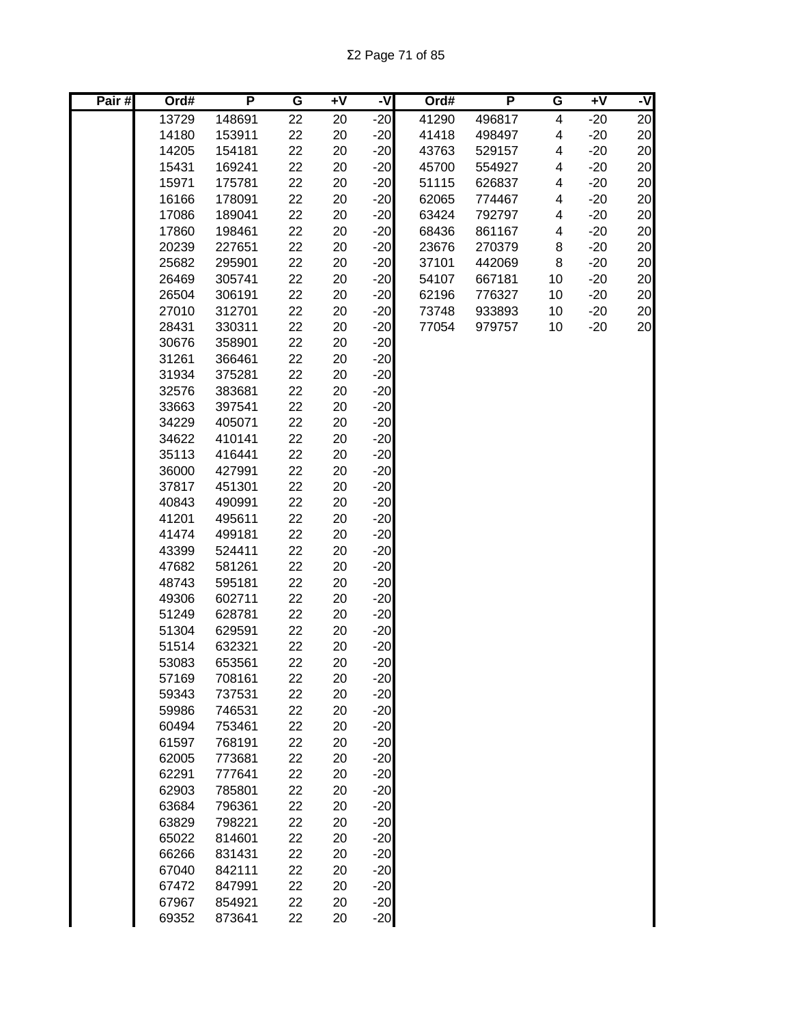Σ2 Page 71 of 85

| Pair# | Ord#  | P      | G  | $\overline{+V}$ | -V    | Ord#  | P      | G  | $+V$  | -V              |
|-------|-------|--------|----|-----------------|-------|-------|--------|----|-------|-----------------|
|       | 13729 | 148691 | 22 | 20              | $-20$ | 41290 | 496817 | 4  | $-20$ | $\overline{20}$ |
|       | 14180 | 153911 | 22 | 20              | $-20$ | 41418 | 498497 | 4  | $-20$ | 20              |
|       | 14205 | 154181 | 22 | 20              | $-20$ | 43763 | 529157 | 4  | $-20$ | 20              |
|       | 15431 | 169241 | 22 | 20              | $-20$ | 45700 | 554927 | 4  | $-20$ | 20              |
|       | 15971 | 175781 | 22 | 20              | $-20$ | 51115 | 626837 | 4  | $-20$ | 20              |
|       | 16166 | 178091 | 22 | 20              | $-20$ | 62065 | 774467 | 4  | $-20$ | 20              |
|       | 17086 | 189041 | 22 | 20              | $-20$ | 63424 | 792797 | 4  | $-20$ | 20              |
|       | 17860 | 198461 | 22 | 20              | $-20$ | 68436 | 861167 | 4  | $-20$ | 20              |
|       | 20239 | 227651 | 22 | 20              | $-20$ | 23676 | 270379 | 8  | $-20$ | 20              |
|       | 25682 | 295901 | 22 | 20              | $-20$ | 37101 | 442069 | 8  | $-20$ | 20              |
|       | 26469 | 305741 | 22 | 20              | $-20$ | 54107 | 667181 | 10 | $-20$ | 20              |
|       | 26504 | 306191 | 22 | 20              | $-20$ | 62196 | 776327 | 10 | $-20$ | 20              |
|       | 27010 | 312701 | 22 | 20              | $-20$ | 73748 | 933893 | 10 | $-20$ | 20              |
|       | 28431 | 330311 | 22 | 20              | $-20$ | 77054 | 979757 | 10 | $-20$ | 20              |
|       | 30676 | 358901 | 22 | 20              | $-20$ |       |        |    |       |                 |
|       | 31261 | 366461 | 22 | 20              | $-20$ |       |        |    |       |                 |
|       | 31934 | 375281 | 22 | 20              | $-20$ |       |        |    |       |                 |
|       | 32576 | 383681 | 22 | 20              | $-20$ |       |        |    |       |                 |
|       | 33663 | 397541 | 22 | 20              | $-20$ |       |        |    |       |                 |
|       | 34229 | 405071 | 22 | 20              | $-20$ |       |        |    |       |                 |
|       | 34622 | 410141 | 22 | 20              | $-20$ |       |        |    |       |                 |
|       | 35113 | 416441 | 22 | 20              | $-20$ |       |        |    |       |                 |
|       | 36000 | 427991 | 22 | 20              | $-20$ |       |        |    |       |                 |
|       | 37817 | 451301 | 22 | 20              | $-20$ |       |        |    |       |                 |
|       | 40843 | 490991 | 22 | 20              | $-20$ |       |        |    |       |                 |
|       | 41201 | 495611 | 22 | 20              | $-20$ |       |        |    |       |                 |
|       | 41474 | 499181 | 22 | 20              | $-20$ |       |        |    |       |                 |
|       | 43399 | 524411 | 22 | 20              | $-20$ |       |        |    |       |                 |
|       | 47682 | 581261 | 22 | 20              | $-20$ |       |        |    |       |                 |
|       | 48743 | 595181 | 22 | 20              | $-20$ |       |        |    |       |                 |
|       | 49306 | 602711 | 22 | 20              | $-20$ |       |        |    |       |                 |
|       | 51249 | 628781 | 22 | 20              | $-20$ |       |        |    |       |                 |
|       | 51304 | 629591 | 22 | 20              | $-20$ |       |        |    |       |                 |
|       | 51514 | 632321 | 22 | 20              | $-20$ |       |        |    |       |                 |
|       | 53083 | 653561 | 22 | 20              | $-20$ |       |        |    |       |                 |
|       | 57169 | 708161 | 22 | 20              | $-20$ |       |        |    |       |                 |
|       | 59343 | 737531 | 22 | 20              | $-20$ |       |        |    |       |                 |
|       | 59986 | 746531 | 22 | 20              | $-20$ |       |        |    |       |                 |
|       | 60494 | 753461 | 22 | 20              | $-20$ |       |        |    |       |                 |
|       | 61597 | 768191 | 22 | 20              | $-20$ |       |        |    |       |                 |
|       | 62005 | 773681 | 22 | 20              | $-20$ |       |        |    |       |                 |
|       | 62291 | 777641 | 22 | 20              | $-20$ |       |        |    |       |                 |
|       | 62903 | 785801 | 22 | 20              | $-20$ |       |        |    |       |                 |
|       | 63684 | 796361 | 22 | 20              | $-20$ |       |        |    |       |                 |
|       | 63829 | 798221 | 22 | 20              | $-20$ |       |        |    |       |                 |
|       | 65022 | 814601 | 22 | 20              | $-20$ |       |        |    |       |                 |
|       | 66266 | 831431 | 22 | 20              | $-20$ |       |        |    |       |                 |
|       | 67040 | 842111 | 22 | 20              | $-20$ |       |        |    |       |                 |
|       | 67472 | 847991 | 22 | 20              | $-20$ |       |        |    |       |                 |
|       | 67967 | 854921 | 22 | 20              | $-20$ |       |        |    |       |                 |
|       | 69352 | 873641 | 22 | 20              | $-20$ |       |        |    |       |                 |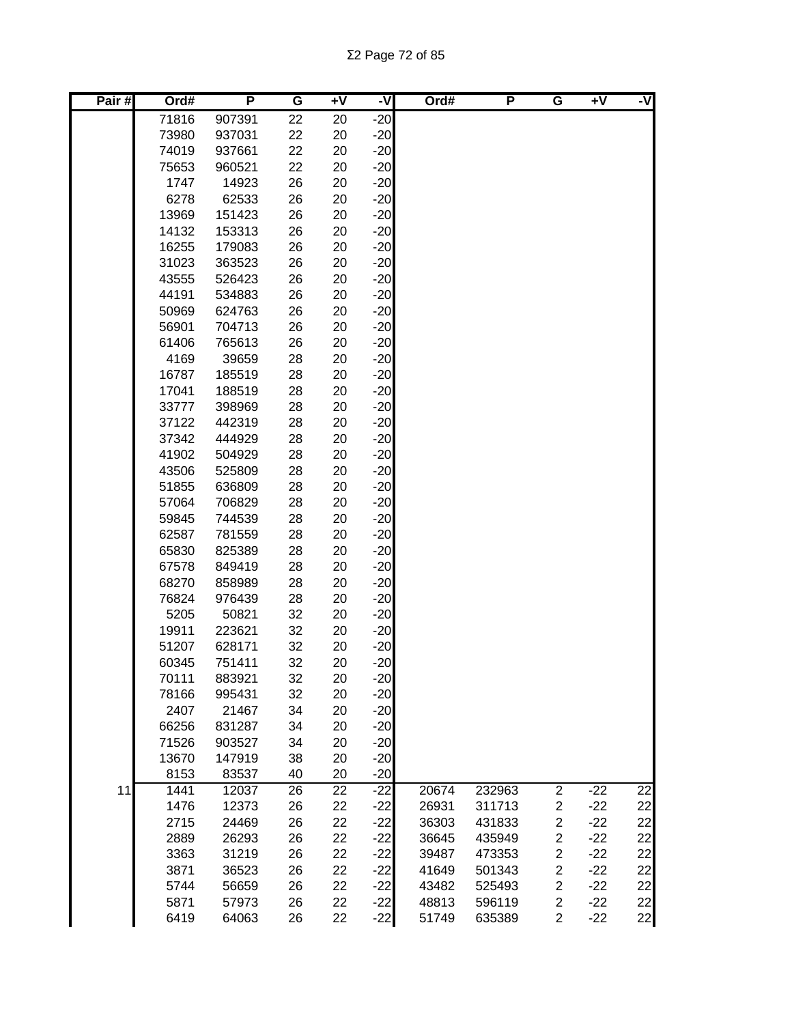Σ2 Page 72 of 85

| Pair# | Ord#  | P      | G  | $+V$ | -V    | Ord#  | P      | $\overline{\mathtt{G}}$ | +V    | -V |
|-------|-------|--------|----|------|-------|-------|--------|-------------------------|-------|----|
|       | 71816 | 907391 | 22 | 20   | $-20$ |       |        |                         |       |    |
|       | 73980 | 937031 | 22 | 20   | $-20$ |       |        |                         |       |    |
|       | 74019 | 937661 | 22 | 20   | $-20$ |       |        |                         |       |    |
|       | 75653 | 960521 | 22 | 20   | $-20$ |       |        |                         |       |    |
|       | 1747  | 14923  | 26 | 20   | $-20$ |       |        |                         |       |    |
|       | 6278  | 62533  | 26 | 20   | $-20$ |       |        |                         |       |    |
|       | 13969 | 151423 | 26 | 20   | $-20$ |       |        |                         |       |    |
|       | 14132 | 153313 | 26 | 20   | $-20$ |       |        |                         |       |    |
|       | 16255 | 179083 | 26 | 20   | $-20$ |       |        |                         |       |    |
|       | 31023 | 363523 | 26 | 20   | $-20$ |       |        |                         |       |    |
|       | 43555 | 526423 | 26 | 20   | $-20$ |       |        |                         |       |    |
|       | 44191 | 534883 | 26 | 20   | $-20$ |       |        |                         |       |    |
|       | 50969 | 624763 | 26 | 20   | $-20$ |       |        |                         |       |    |
|       | 56901 | 704713 | 26 | 20   | $-20$ |       |        |                         |       |    |
|       | 61406 | 765613 | 26 | 20   | $-20$ |       |        |                         |       |    |
|       | 4169  | 39659  | 28 | 20   | $-20$ |       |        |                         |       |    |
|       | 16787 | 185519 | 28 | 20   | $-20$ |       |        |                         |       |    |
|       | 17041 | 188519 | 28 | 20   | $-20$ |       |        |                         |       |    |
|       | 33777 | 398969 | 28 | 20   | $-20$ |       |        |                         |       |    |
|       | 37122 | 442319 | 28 | 20   | $-20$ |       |        |                         |       |    |
|       | 37342 | 444929 | 28 | 20   | $-20$ |       |        |                         |       |    |
|       | 41902 | 504929 | 28 | 20   | $-20$ |       |        |                         |       |    |
|       | 43506 | 525809 | 28 | 20   | $-20$ |       |        |                         |       |    |
|       | 51855 | 636809 | 28 | 20   | $-20$ |       |        |                         |       |    |
|       | 57064 | 706829 | 28 | 20   | $-20$ |       |        |                         |       |    |
|       | 59845 | 744539 | 28 | 20   | $-20$ |       |        |                         |       |    |
|       | 62587 | 781559 | 28 | 20   | $-20$ |       |        |                         |       |    |
|       | 65830 | 825389 | 28 | 20   | $-20$ |       |        |                         |       |    |
|       | 67578 | 849419 | 28 | 20   | $-20$ |       |        |                         |       |    |
|       | 68270 | 858989 | 28 | 20   | $-20$ |       |        |                         |       |    |
|       | 76824 | 976439 | 28 | 20   | $-20$ |       |        |                         |       |    |
|       | 5205  | 50821  | 32 | 20   | $-20$ |       |        |                         |       |    |
|       | 19911 | 223621 | 32 | 20   | $-20$ |       |        |                         |       |    |
|       | 51207 | 628171 | 32 | 20   | $-20$ |       |        |                         |       |    |
|       | 60345 | 751411 | 32 | 20   | $-20$ |       |        |                         |       |    |
|       | 70111 | 883921 | 32 | 20   | $-20$ |       |        |                         |       |    |
|       | 78166 | 995431 | 32 | 20   | $-20$ |       |        |                         |       |    |
|       | 2407  | 21467  | 34 | 20   | $-20$ |       |        |                         |       |    |
|       | 66256 | 831287 | 34 | 20   | $-20$ |       |        |                         |       |    |
|       | 71526 | 903527 | 34 | 20   | $-20$ |       |        |                         |       |    |
|       | 13670 | 147919 | 38 | 20   | $-20$ |       |        |                         |       |    |
|       | 8153  | 83537  | 40 | 20   | $-20$ |       |        |                         |       |    |
| 11    | 1441  | 12037  | 26 | 22   | $-22$ | 20674 | 232963 | $\overline{c}$          | $-22$ | 22 |
|       | 1476  | 12373  | 26 | 22   | $-22$ | 26931 | 311713 | 2                       | $-22$ | 22 |
|       | 2715  | 24469  | 26 | 22   | $-22$ | 36303 | 431833 | $\overline{\mathbf{c}}$ | $-22$ | 22 |
|       | 2889  | 26293  | 26 | 22   | $-22$ | 36645 | 435949 | $\overline{\mathbf{c}}$ | $-22$ | 22 |
|       | 3363  | 31219  | 26 | 22   | $-22$ | 39487 | 473353 | $\overline{\mathbf{c}}$ | $-22$ | 22 |
|       | 3871  | 36523  | 26 | 22   | $-22$ | 41649 | 501343 | $\overline{\mathbf{c}}$ | $-22$ | 22 |
|       | 5744  | 56659  | 26 | 22   | $-22$ | 43482 | 525493 | $\overline{\mathbf{c}}$ | $-22$ | 22 |
|       | 5871  | 57973  | 26 | 22   | $-22$ | 48813 | 596119 | $\overline{c}$          | $-22$ | 22 |
|       | 6419  | 64063  | 26 | 22   | $-22$ | 51749 | 635389 | $\overline{c}$          | $-22$ | 22 |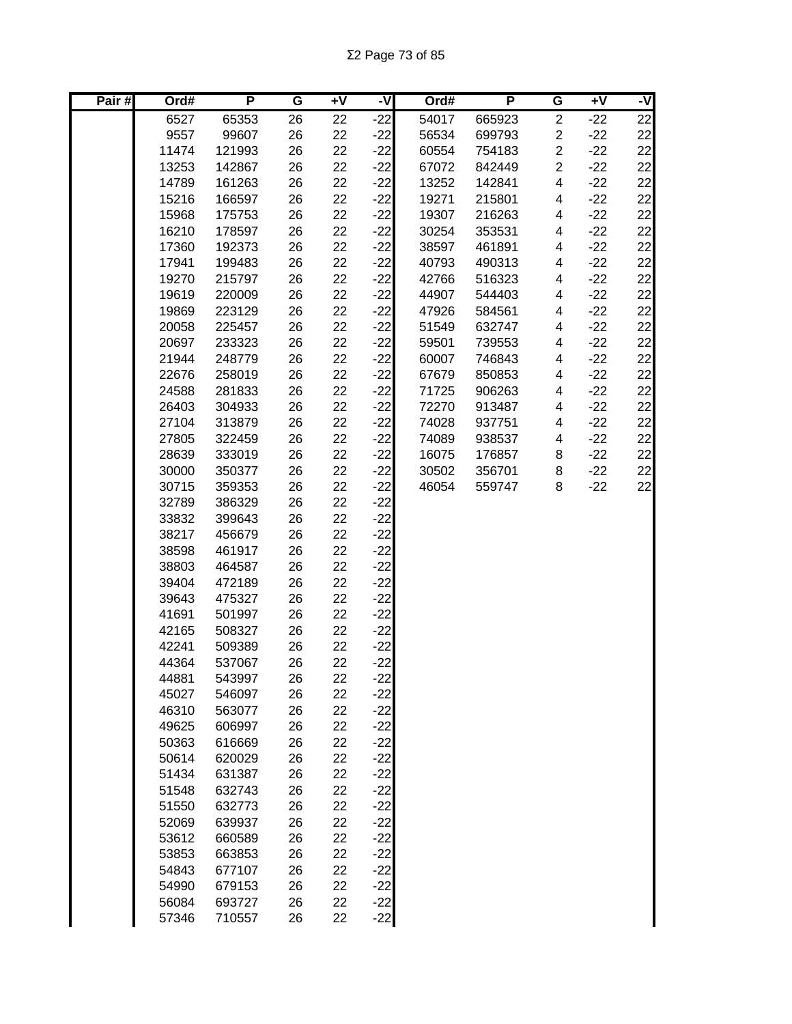Σ2 Page 73 of 85

| Pair# | Ord#  | P      | G  | $\overline{+V}$ | -V    | Ord#  | P      | G              | $+V$  | -V |
|-------|-------|--------|----|-----------------|-------|-------|--------|----------------|-------|----|
|       | 6527  | 65353  | 26 | 22              | $-22$ | 54017 | 665923 | $\overline{2}$ | $-22$ | 22 |
|       | 9557  | 99607  | 26 | 22              | $-22$ | 56534 | 699793 | $\overline{c}$ | $-22$ | 22 |
|       | 11474 | 121993 | 26 | 22              | $-22$ | 60554 | 754183 | $\overline{c}$ | $-22$ | 22 |
|       | 13253 | 142867 | 26 | 22              | $-22$ | 67072 | 842449 | $\overline{c}$ | $-22$ | 22 |
|       | 14789 | 161263 | 26 | 22              | $-22$ | 13252 | 142841 | 4              | $-22$ | 22 |
|       | 15216 | 166597 | 26 | 22              | $-22$ | 19271 | 215801 | 4              | $-22$ | 22 |
|       | 15968 | 175753 | 26 | 22              | $-22$ | 19307 | 216263 | 4              | $-22$ | 22 |
|       | 16210 | 178597 | 26 | 22              | $-22$ | 30254 | 353531 | 4              | $-22$ | 22 |
|       | 17360 | 192373 | 26 | 22              | $-22$ | 38597 | 461891 | 4              | $-22$ | 22 |
|       | 17941 | 199483 | 26 | 22              | $-22$ | 40793 | 490313 | 4              | $-22$ | 22 |
|       | 19270 | 215797 | 26 | 22              | $-22$ | 42766 | 516323 | 4              | $-22$ | 22 |
|       | 19619 | 220009 | 26 | 22              | $-22$ | 44907 | 544403 | 4              | $-22$ | 22 |
|       | 19869 | 223129 | 26 | 22              | $-22$ | 47926 | 584561 | 4              | $-22$ | 22 |
|       | 20058 | 225457 | 26 | 22              | $-22$ | 51549 | 632747 | 4              | $-22$ | 22 |
|       | 20697 | 233323 | 26 | 22              | $-22$ | 59501 | 739553 | 4              | $-22$ | 22 |
|       | 21944 | 248779 | 26 | 22              | $-22$ | 60007 | 746843 | 4              | $-22$ | 22 |
|       | 22676 | 258019 | 26 | 22              | $-22$ | 67679 | 850853 | 4              | $-22$ | 22 |
|       | 24588 | 281833 | 26 | 22              | $-22$ | 71725 | 906263 | 4              | $-22$ | 22 |
|       | 26403 | 304933 | 26 | 22              | $-22$ | 72270 | 913487 | 4              | $-22$ | 22 |
|       | 27104 | 313879 | 26 | 22              | $-22$ | 74028 | 937751 | 4              | $-22$ | 22 |
|       | 27805 | 322459 | 26 | 22              | $-22$ | 74089 | 938537 | 4              | $-22$ | 22 |
|       | 28639 | 333019 | 26 | 22              | $-22$ | 16075 | 176857 | 8              | $-22$ | 22 |
|       | 30000 | 350377 | 26 | 22              | $-22$ | 30502 | 356701 | 8              | $-22$ | 22 |
|       | 30715 | 359353 | 26 | 22              | $-22$ | 46054 | 559747 | 8              | $-22$ | 22 |
|       | 32789 | 386329 | 26 | 22              | $-22$ |       |        |                |       |    |
|       | 33832 | 399643 | 26 | 22              | $-22$ |       |        |                |       |    |
|       | 38217 | 456679 | 26 | 22              | $-22$ |       |        |                |       |    |
|       | 38598 | 461917 | 26 | 22              | $-22$ |       |        |                |       |    |
|       | 38803 | 464587 | 26 | 22              | $-22$ |       |        |                |       |    |
|       | 39404 | 472189 | 26 | 22              | $-22$ |       |        |                |       |    |
|       | 39643 | 475327 | 26 | 22              | $-22$ |       |        |                |       |    |
|       | 41691 | 501997 | 26 | 22              | $-22$ |       |        |                |       |    |
|       | 42165 | 508327 | 26 | 22              | $-22$ |       |        |                |       |    |
|       | 42241 | 509389 | 26 | 22              | $-22$ |       |        |                |       |    |
|       | 44364 | 537067 | 26 | 22              | $-22$ |       |        |                |       |    |
|       | 44881 | 543997 | 26 | 22              | $-22$ |       |        |                |       |    |
|       | 45027 | 546097 | 26 | 22              | $-22$ |       |        |                |       |    |
|       | 46310 | 563077 | 26 | 22              | $-22$ |       |        |                |       |    |
|       | 49625 | 606997 | 26 | 22              | $-22$ |       |        |                |       |    |
|       | 50363 | 616669 | 26 | 22              | $-22$ |       |        |                |       |    |
|       | 50614 | 620029 | 26 | 22              | $-22$ |       |        |                |       |    |
|       | 51434 | 631387 | 26 | 22              | $-22$ |       |        |                |       |    |
|       | 51548 | 632743 | 26 | 22              | $-22$ |       |        |                |       |    |
|       | 51550 | 632773 | 26 | 22              | $-22$ |       |        |                |       |    |
|       | 52069 | 639937 | 26 | 22              | $-22$ |       |        |                |       |    |
|       | 53612 | 660589 | 26 | 22              | $-22$ |       |        |                |       |    |
|       | 53853 | 663853 | 26 | 22              | $-22$ |       |        |                |       |    |
|       | 54843 | 677107 | 26 | 22              | $-22$ |       |        |                |       |    |
|       | 54990 | 679153 | 26 | 22              | $-22$ |       |        |                |       |    |
|       | 56084 | 693727 | 26 | 22              | $-22$ |       |        |                |       |    |
|       | 57346 | 710557 | 26 | 22              | $-22$ |       |        |                |       |    |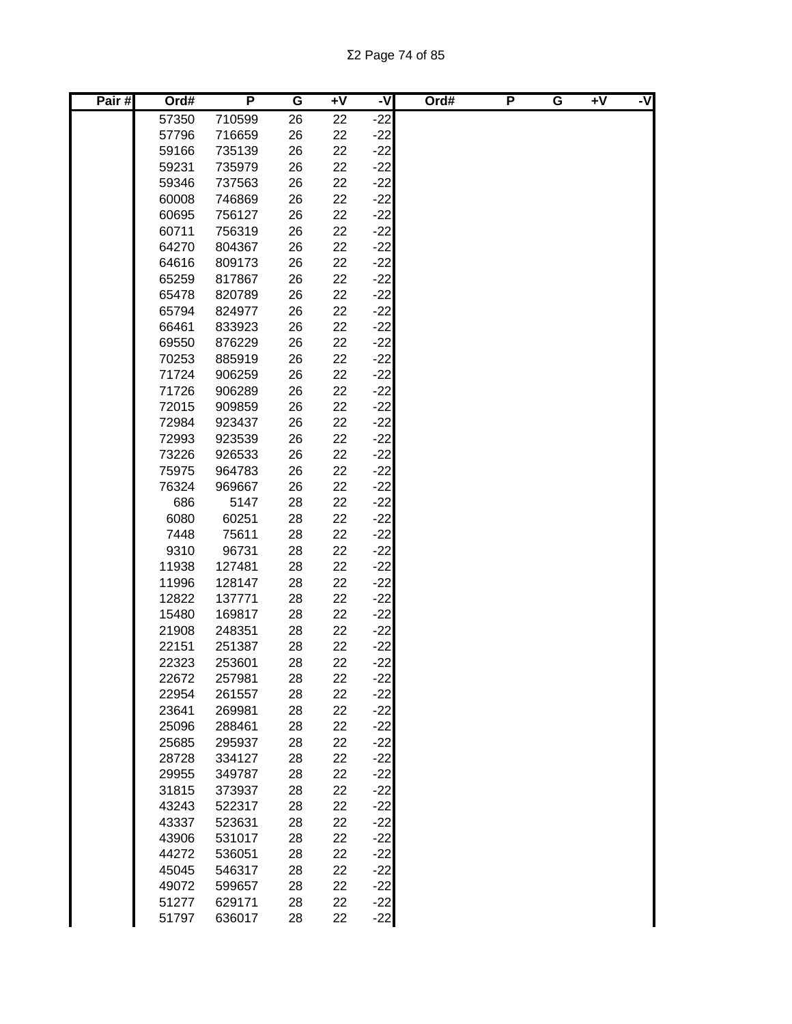Σ2 Page 74 of 85

| Pair# | Ord#  | P      | G  | $+V$ | -V    | Ord# | P | G | $+V$ | -V |
|-------|-------|--------|----|------|-------|------|---|---|------|----|
|       | 57350 | 710599 | 26 | 22   | $-22$ |      |   |   |      |    |
|       | 57796 | 716659 | 26 | 22   | $-22$ |      |   |   |      |    |
|       | 59166 | 735139 | 26 | 22   | $-22$ |      |   |   |      |    |
|       | 59231 | 735979 | 26 | 22   | $-22$ |      |   |   |      |    |
|       | 59346 | 737563 | 26 | 22   | $-22$ |      |   |   |      |    |
|       | 60008 | 746869 | 26 | 22   | $-22$ |      |   |   |      |    |
|       | 60695 | 756127 | 26 | 22   | $-22$ |      |   |   |      |    |
|       | 60711 | 756319 | 26 | 22   | $-22$ |      |   |   |      |    |
|       | 64270 | 804367 | 26 | 22   | $-22$ |      |   |   |      |    |
|       | 64616 | 809173 | 26 | 22   | $-22$ |      |   |   |      |    |
|       | 65259 | 817867 | 26 | 22   | $-22$ |      |   |   |      |    |
|       | 65478 | 820789 | 26 | 22   | $-22$ |      |   |   |      |    |
|       | 65794 | 824977 | 26 | 22   | $-22$ |      |   |   |      |    |
|       | 66461 | 833923 | 26 | 22   | $-22$ |      |   |   |      |    |
|       | 69550 | 876229 | 26 | 22   | $-22$ |      |   |   |      |    |
|       | 70253 | 885919 | 26 | 22   | $-22$ |      |   |   |      |    |
|       | 71724 | 906259 | 26 | 22   | $-22$ |      |   |   |      |    |
|       | 71726 | 906289 | 26 | 22   | $-22$ |      |   |   |      |    |
|       | 72015 | 909859 | 26 | 22   | $-22$ |      |   |   |      |    |
|       | 72984 | 923437 | 26 | 22   | $-22$ |      |   |   |      |    |
|       | 72993 | 923539 | 26 | 22   | $-22$ |      |   |   |      |    |
|       | 73226 | 926533 | 26 | 22   | $-22$ |      |   |   |      |    |
|       | 75975 | 964783 | 26 | 22   | $-22$ |      |   |   |      |    |
|       | 76324 | 969667 | 26 | 22   | $-22$ |      |   |   |      |    |
|       | 686   | 5147   | 28 | 22   | $-22$ |      |   |   |      |    |
|       | 6080  | 60251  | 28 | 22   | $-22$ |      |   |   |      |    |
|       | 7448  | 75611  | 28 | 22   | $-22$ |      |   |   |      |    |
|       | 9310  | 96731  | 28 | 22   | $-22$ |      |   |   |      |    |
|       | 11938 | 127481 | 28 | 22   | $-22$ |      |   |   |      |    |
|       | 11996 | 128147 | 28 | 22   | $-22$ |      |   |   |      |    |
|       | 12822 | 137771 | 28 | 22   | $-22$ |      |   |   |      |    |
|       | 15480 | 169817 | 28 | 22   | $-22$ |      |   |   |      |    |
|       | 21908 | 248351 | 28 | 22   | $-22$ |      |   |   |      |    |
|       | 22151 | 251387 | 28 | 22   | $-22$ |      |   |   |      |    |
|       | 22323 | 253601 | 28 | 22   | $-22$ |      |   |   |      |    |
|       | 22672 | 257981 | 28 | 22   | $-22$ |      |   |   |      |    |
|       | 22954 | 261557 | 28 | 22   | $-22$ |      |   |   |      |    |
|       | 23641 | 269981 | 28 | 22   | $-22$ |      |   |   |      |    |
|       | 25096 | 288461 | 28 | 22   | $-22$ |      |   |   |      |    |
|       | 25685 | 295937 | 28 | 22   | $-22$ |      |   |   |      |    |
|       | 28728 | 334127 | 28 | 22   | $-22$ |      |   |   |      |    |
|       | 29955 | 349787 | 28 | 22   | $-22$ |      |   |   |      |    |
|       | 31815 | 373937 | 28 | 22   | $-22$ |      |   |   |      |    |
|       | 43243 | 522317 | 28 | 22   | $-22$ |      |   |   |      |    |
|       | 43337 | 523631 | 28 | 22   | $-22$ |      |   |   |      |    |
|       | 43906 | 531017 | 28 | 22   | $-22$ |      |   |   |      |    |
|       | 44272 | 536051 | 28 | 22   | $-22$ |      |   |   |      |    |
|       | 45045 | 546317 | 28 | 22   | $-22$ |      |   |   |      |    |
|       | 49072 | 599657 | 28 | 22   | $-22$ |      |   |   |      |    |
|       | 51277 | 629171 | 28 | 22   | $-22$ |      |   |   |      |    |
|       | 51797 | 636017 | 28 | 22   | $-22$ |      |   |   |      |    |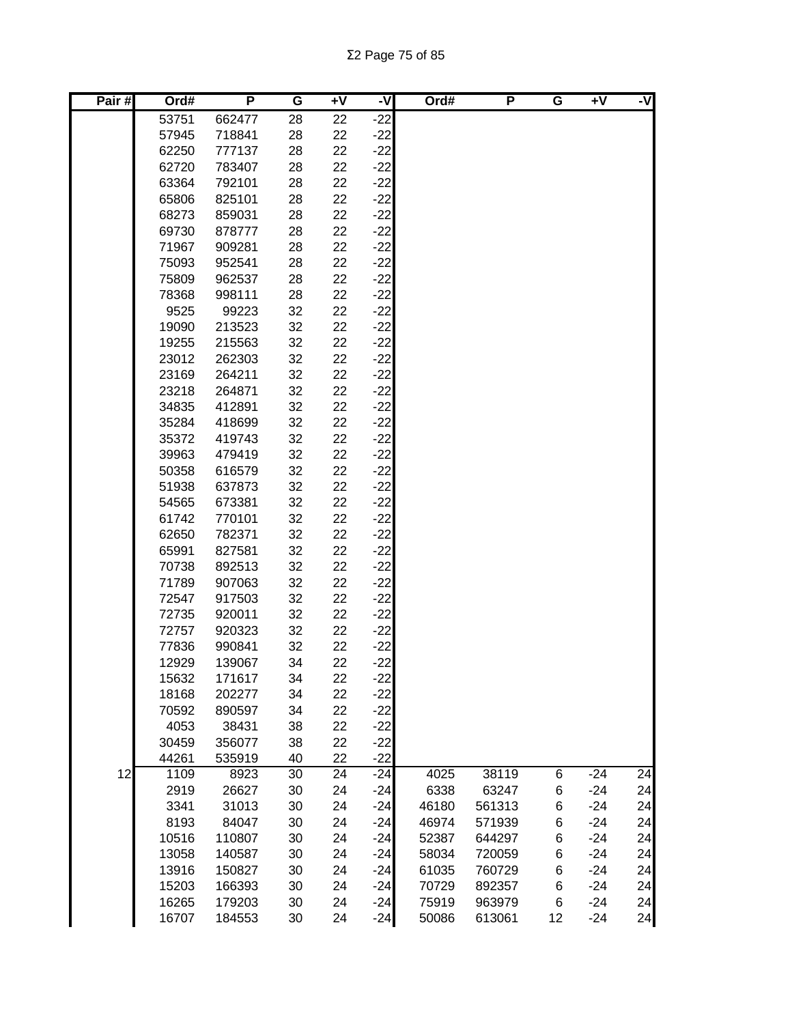Σ2 Page 75 of 85

| Pair# | Ord#           | P                | G        | $+V$     | ż              | Ord#  | P      | G  | $\overline{+V}$ | -V |
|-------|----------------|------------------|----------|----------|----------------|-------|--------|----|-----------------|----|
|       | 53751          | 662477           | 28       | 22       | $-22$          |       |        |    |                 |    |
|       | 57945          | 718841           | 28       | 22       | $-22$          |       |        |    |                 |    |
|       | 62250          | 777137           | 28       | 22       | $-22$          |       |        |    |                 |    |
|       | 62720          | 783407           | 28       | 22       | $-22$          |       |        |    |                 |    |
|       | 63364          | 792101           | 28       | 22       | $-22$          |       |        |    |                 |    |
|       | 65806          | 825101           | 28       | 22       | $-22$          |       |        |    |                 |    |
|       | 68273          | 859031           | 28       | 22       | $-22$          |       |        |    |                 |    |
|       | 69730          | 878777           | 28       | 22       | $-22$          |       |        |    |                 |    |
|       | 71967          | 909281           | 28       | 22       | $-22$          |       |        |    |                 |    |
|       | 75093          | 952541           | 28       | 22       | $-22$          |       |        |    |                 |    |
|       | 75809          | 962537           | 28       | 22       | $-22$          |       |        |    |                 |    |
|       | 78368          | 998111           | 28       | 22       | $-22$          |       |        |    |                 |    |
|       | 9525           | 99223            | 32       | 22       | $-22$          |       |        |    |                 |    |
|       | 19090          | 213523           | 32       | 22       | $-22$          |       |        |    |                 |    |
|       | 19255          | 215563           | 32       | 22       | $-22$          |       |        |    |                 |    |
|       | 23012          | 262303           | 32       | 22       | $-22$          |       |        |    |                 |    |
|       | 23169          | 264211           | 32       | 22       | $-22$          |       |        |    |                 |    |
|       | 23218          | 264871<br>412891 | 32       | 22       | $-22$          |       |        |    |                 |    |
|       | 34835<br>35284 |                  | 32       | 22       | $-22$<br>$-22$ |       |        |    |                 |    |
|       | 35372          | 418699<br>419743 | 32<br>32 | 22<br>22 | $-22$          |       |        |    |                 |    |
|       | 39963          | 479419           | 32       | 22       | $-22$          |       |        |    |                 |    |
|       | 50358          | 616579           | 32       | 22       | $-22$          |       |        |    |                 |    |
|       | 51938          | 637873           | 32       | 22       | $-22$          |       |        |    |                 |    |
|       | 54565          | 673381           | 32       | 22       | $-22$          |       |        |    |                 |    |
|       | 61742          | 770101           | 32       | 22       | $-22$          |       |        |    |                 |    |
|       | 62650          | 782371           | 32       | 22       | $-22$          |       |        |    |                 |    |
|       | 65991          | 827581           | 32       | 22       | $-22$          |       |        |    |                 |    |
|       | 70738          | 892513           | 32       | 22       | $-22$          |       |        |    |                 |    |
|       | 71789          | 907063           | 32       | 22       | $-22$          |       |        |    |                 |    |
|       | 72547          | 917503           | 32       | 22       | $-22$          |       |        |    |                 |    |
|       | 72735          | 920011           | 32       | 22       | $-22$          |       |        |    |                 |    |
|       | 72757          | 920323           | 32       | 22       | $-22$          |       |        |    |                 |    |
|       | 77836          | 990841           | 32       | 22       | $-22$          |       |        |    |                 |    |
|       | 12929          | 139067           | 34       | 22       | $-22$          |       |        |    |                 |    |
|       | 15632          | 171617           | 34       | 22       | $-22$          |       |        |    |                 |    |
|       | 18168          | 202277           | 34       | 22       | $-22$          |       |        |    |                 |    |
|       | 70592          | 890597           | 34       | 22       | $-22$          |       |        |    |                 |    |
|       | 4053           | 38431            | 38       | 22       | $-22$          |       |        |    |                 |    |
|       | 30459          | 356077           | 38       | 22       | $-22$          |       |        |    |                 |    |
|       | 44261          | 535919           | 40       | 22       | $-22$          |       |        |    |                 |    |
| 12    | 1109           | 8923             | 30       | 24       | $-24$          | 4025  | 38119  | 6  | $-24$           | 24 |
|       | 2919           | 26627            | 30       | 24       | $-24$          | 6338  | 63247  | 6  | $-24$           | 24 |
|       | 3341           | 31013            | 30       | 24       | $-24$          | 46180 | 561313 | 6  | $-24$           | 24 |
|       | 8193           | 84047            | 30       | 24       | $-24$          | 46974 | 571939 | 6  | $-24$           | 24 |
|       | 10516          | 110807           | 30       | 24       | $-24$          | 52387 | 644297 | 6  | $-24$           | 24 |
|       | 13058          | 140587           | 30       | 24       | $-24$          | 58034 | 720059 | 6  | $-24$           | 24 |
|       | 13916          | 150827           | 30       | 24       | $-24$          | 61035 | 760729 | 6  | $-24$           | 24 |
|       | 15203          | 166393           | 30       | 24       | $-24$          | 70729 | 892357 | 6  | $-24$           | 24 |
|       | 16265          | 179203           | 30       | 24       | $-24$          | 75919 | 963979 | 6  | $-24$           | 24 |
|       | 16707          | 184553           | 30       | 24       | $-24$          | 50086 | 613061 | 12 | $-24$           | 24 |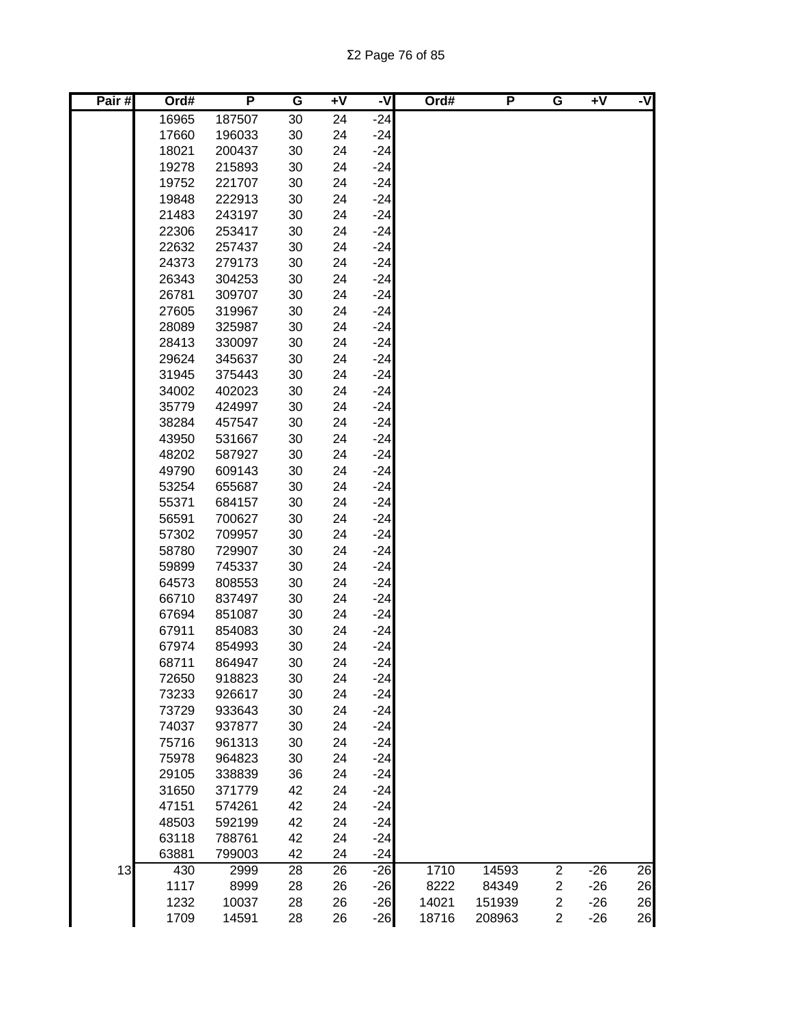Σ2 Page 76 of 85

| Pair# | Ord#  | P      | G  | Ŧ٨ | -V    | Ord#  | P      | G                       | Ŧ٨    | -V              |
|-------|-------|--------|----|----|-------|-------|--------|-------------------------|-------|-----------------|
|       | 16965 | 187507 | 30 | 24 | $-24$ |       |        |                         |       |                 |
|       | 17660 | 196033 | 30 | 24 | $-24$ |       |        |                         |       |                 |
|       | 18021 | 200437 | 30 | 24 | $-24$ |       |        |                         |       |                 |
|       | 19278 | 215893 | 30 | 24 | $-24$ |       |        |                         |       |                 |
|       | 19752 | 221707 | 30 | 24 | $-24$ |       |        |                         |       |                 |
|       | 19848 | 222913 | 30 | 24 | $-24$ |       |        |                         |       |                 |
|       | 21483 | 243197 | 30 | 24 | $-24$ |       |        |                         |       |                 |
|       | 22306 | 253417 | 30 | 24 | $-24$ |       |        |                         |       |                 |
|       | 22632 | 257437 | 30 | 24 | $-24$ |       |        |                         |       |                 |
|       | 24373 | 279173 | 30 | 24 | $-24$ |       |        |                         |       |                 |
|       | 26343 | 304253 | 30 | 24 | $-24$ |       |        |                         |       |                 |
|       | 26781 | 309707 | 30 | 24 | $-24$ |       |        |                         |       |                 |
|       | 27605 | 319967 | 30 | 24 | $-24$ |       |        |                         |       |                 |
|       | 28089 | 325987 | 30 | 24 | $-24$ |       |        |                         |       |                 |
|       | 28413 | 330097 | 30 | 24 | $-24$ |       |        |                         |       |                 |
|       | 29624 | 345637 | 30 | 24 | $-24$ |       |        |                         |       |                 |
|       | 31945 | 375443 | 30 | 24 | $-24$ |       |        |                         |       |                 |
|       | 34002 | 402023 | 30 | 24 | $-24$ |       |        |                         |       |                 |
|       | 35779 | 424997 | 30 | 24 | $-24$ |       |        |                         |       |                 |
|       | 38284 | 457547 | 30 | 24 | $-24$ |       |        |                         |       |                 |
|       | 43950 | 531667 | 30 | 24 | $-24$ |       |        |                         |       |                 |
|       | 48202 | 587927 | 30 | 24 | $-24$ |       |        |                         |       |                 |
|       | 49790 | 609143 | 30 | 24 | $-24$ |       |        |                         |       |                 |
|       | 53254 | 655687 | 30 | 24 | $-24$ |       |        |                         |       |                 |
|       | 55371 | 684157 | 30 | 24 | $-24$ |       |        |                         |       |                 |
|       | 56591 | 700627 | 30 | 24 | $-24$ |       |        |                         |       |                 |
|       | 57302 | 709957 | 30 | 24 | $-24$ |       |        |                         |       |                 |
|       | 58780 | 729907 | 30 | 24 | $-24$ |       |        |                         |       |                 |
|       | 59899 | 745337 | 30 | 24 | $-24$ |       |        |                         |       |                 |
|       | 64573 | 808553 | 30 | 24 | $-24$ |       |        |                         |       |                 |
|       | 66710 | 837497 | 30 | 24 | $-24$ |       |        |                         |       |                 |
|       | 67694 | 851087 | 30 | 24 | $-24$ |       |        |                         |       |                 |
|       | 67911 | 854083 | 30 | 24 | $-24$ |       |        |                         |       |                 |
|       | 67974 | 854993 | 30 | 24 | $-24$ |       |        |                         |       |                 |
|       | 68711 | 864947 | 30 | 24 | $-24$ |       |        |                         |       |                 |
|       | 72650 | 918823 | 30 | 24 | $-24$ |       |        |                         |       |                 |
|       | 73233 | 926617 | 30 | 24 | $-24$ |       |        |                         |       |                 |
|       | 73729 | 933643 | 30 | 24 | $-24$ |       |        |                         |       |                 |
|       | 74037 | 937877 | 30 | 24 | $-24$ |       |        |                         |       |                 |
|       | 75716 | 961313 | 30 | 24 | $-24$ |       |        |                         |       |                 |
|       | 75978 | 964823 | 30 | 24 | $-24$ |       |        |                         |       |                 |
|       | 29105 | 338839 | 36 | 24 | $-24$ |       |        |                         |       |                 |
|       | 31650 | 371779 | 42 | 24 | $-24$ |       |        |                         |       |                 |
|       | 47151 | 574261 | 42 | 24 | $-24$ |       |        |                         |       |                 |
|       | 48503 | 592199 | 42 | 24 | $-24$ |       |        |                         |       |                 |
|       | 63118 | 788761 | 42 | 24 | $-24$ |       |        |                         |       |                 |
|       | 63881 | 799003 | 42 | 24 | $-24$ |       |        |                         |       |                 |
| 13    | 430   | 2999   | 28 | 26 | $-26$ | 1710  | 14593  | $\overline{c}$          | $-26$ | $\overline{26}$ |
|       | 1117  | 8999   | 28 | 26 | $-26$ | 8222  | 84349  | $\overline{\mathbf{c}}$ | $-26$ | 26              |
|       | 1232  | 10037  | 28 | 26 | $-26$ | 14021 | 151939 | $\overline{\mathbf{c}}$ | $-26$ | 26              |
|       | 1709  | 14591  | 28 | 26 | $-26$ | 18716 | 208963 | $\overline{c}$          | $-26$ | 26              |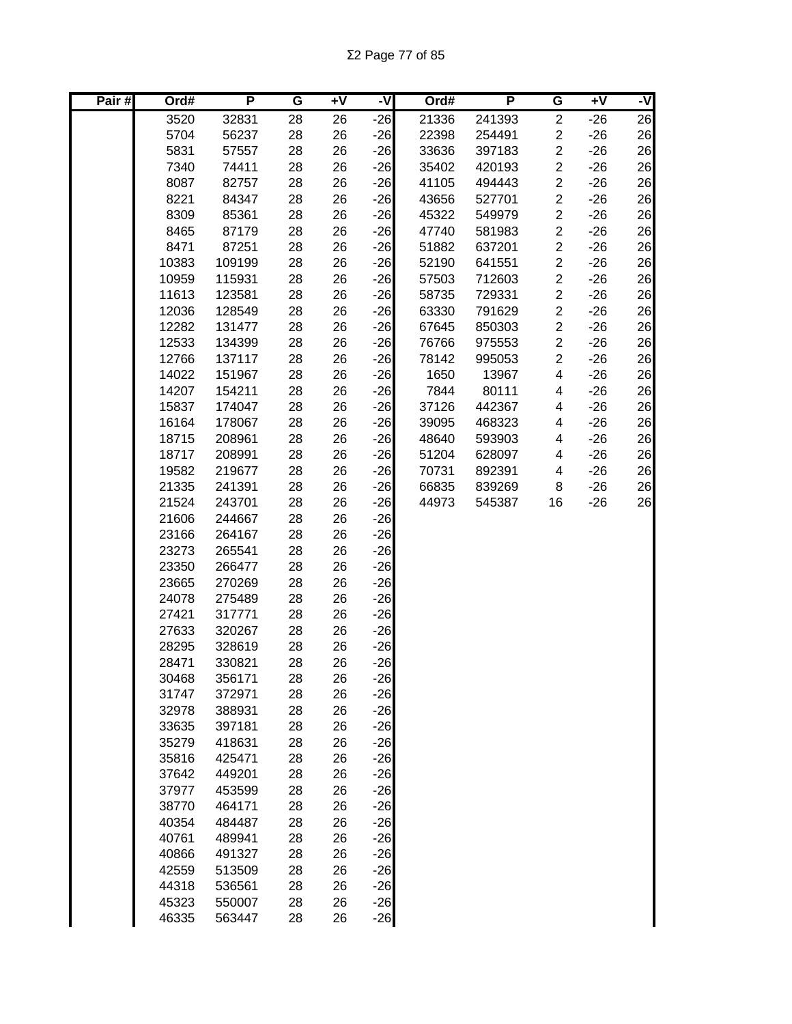Σ2 Page 77 of 85

| Pair# | Ord#  | P      | G  | $\overline{+V}$ | -V    | Ord#  | P      | G                       | $+V$  | -V |
|-------|-------|--------|----|-----------------|-------|-------|--------|-------------------------|-------|----|
|       | 3520  | 32831  | 28 | 26              | $-26$ | 21336 | 241393 | $\overline{c}$          | $-26$ | 26 |
|       | 5704  | 56237  | 28 | 26              | $-26$ | 22398 | 254491 | $\overline{c}$          | $-26$ | 26 |
|       | 5831  | 57557  | 28 | 26              | $-26$ | 33636 | 397183 | $\overline{c}$          | $-26$ | 26 |
|       | 7340  | 74411  | 28 | 26              | $-26$ | 35402 | 420193 | $\overline{\mathbf{c}}$ | $-26$ | 26 |
|       | 8087  | 82757  | 28 | 26              | $-26$ | 41105 | 494443 | $\overline{\mathbf{c}}$ | $-26$ | 26 |
|       | 8221  | 84347  | 28 | 26              | $-26$ | 43656 | 527701 | $\overline{c}$          | $-26$ | 26 |
|       | 8309  | 85361  | 28 | 26              | $-26$ | 45322 | 549979 | $\overline{\mathbf{c}}$ | $-26$ | 26 |
|       | 8465  | 87179  | 28 | 26              | $-26$ | 47740 | 581983 | $\overline{\mathbf{c}}$ | $-26$ | 26 |
|       | 8471  | 87251  | 28 | 26              | $-26$ | 51882 | 637201 | $\overline{\mathbf{c}}$ | $-26$ | 26 |
|       | 10383 | 109199 | 28 | 26              | $-26$ | 52190 | 641551 | $\overline{\mathbf{c}}$ | $-26$ | 26 |
|       | 10959 | 115931 | 28 | 26              | $-26$ | 57503 | 712603 | $\overline{\mathbf{c}}$ | $-26$ | 26 |
|       | 11613 | 123581 | 28 | 26              | $-26$ | 58735 | 729331 | $\overline{\mathbf{c}}$ | $-26$ | 26 |
|       | 12036 | 128549 | 28 | 26              | $-26$ | 63330 | 791629 | $\overline{c}$          | $-26$ | 26 |
|       | 12282 | 131477 | 28 | 26              | $-26$ | 67645 | 850303 | $\overline{c}$          | $-26$ | 26 |
|       | 12533 | 134399 | 28 | 26              | $-26$ | 76766 | 975553 | $\overline{c}$          | $-26$ | 26 |
|       | 12766 | 137117 | 28 | 26              | $-26$ | 78142 | 995053 | $\overline{c}$          | $-26$ | 26 |
|       | 14022 | 151967 | 28 | 26              | $-26$ | 1650  | 13967  | 4                       | $-26$ | 26 |
|       | 14207 | 154211 | 28 | 26              | $-26$ | 7844  | 80111  | 4                       | $-26$ | 26 |
|       | 15837 | 174047 | 28 | 26              | $-26$ | 37126 | 442367 | 4                       | $-26$ | 26 |
|       | 16164 | 178067 | 28 | 26              | $-26$ | 39095 | 468323 | 4                       | $-26$ | 26 |
|       | 18715 | 208961 | 28 | 26              | $-26$ | 48640 | 593903 | 4                       | $-26$ | 26 |
|       | 18717 | 208991 | 28 | 26              | $-26$ | 51204 | 628097 | 4                       | $-26$ | 26 |
|       | 19582 | 219677 | 28 | 26              | $-26$ | 70731 | 892391 | 4                       | $-26$ | 26 |
|       | 21335 | 241391 | 28 | 26              | $-26$ | 66835 | 839269 | 8                       | $-26$ | 26 |
|       | 21524 | 243701 | 28 | 26              | $-26$ | 44973 | 545387 | 16                      | $-26$ | 26 |
|       | 21606 | 244667 | 28 | 26              | $-26$ |       |        |                         |       |    |
|       | 23166 | 264167 | 28 | 26              | $-26$ |       |        |                         |       |    |
|       | 23273 | 265541 | 28 | 26              | $-26$ |       |        |                         |       |    |
|       | 23350 | 266477 | 28 | 26              | $-26$ |       |        |                         |       |    |
|       | 23665 | 270269 | 28 | 26              | $-26$ |       |        |                         |       |    |
|       | 24078 | 275489 | 28 | 26              | $-26$ |       |        |                         |       |    |
|       | 27421 | 317771 | 28 | 26              | $-26$ |       |        |                         |       |    |
|       | 27633 | 320267 | 28 | 26              | $-26$ |       |        |                         |       |    |
|       | 28295 | 328619 | 28 | 26              | $-26$ |       |        |                         |       |    |
|       | 28471 | 330821 | 28 | 26              | $-26$ |       |        |                         |       |    |
|       | 30468 | 356171 | 28 | 26              | $-26$ |       |        |                         |       |    |
|       | 31747 | 372971 | 28 | 26              | $-26$ |       |        |                         |       |    |
|       | 32978 | 388931 | 28 | 26              | $-26$ |       |        |                         |       |    |
|       | 33635 | 397181 | 28 | 26              | $-26$ |       |        |                         |       |    |
|       | 35279 | 418631 | 28 | 26              | $-26$ |       |        |                         |       |    |
|       | 35816 | 425471 | 28 | 26              | $-26$ |       |        |                         |       |    |
|       | 37642 | 449201 | 28 | 26              | $-26$ |       |        |                         |       |    |
|       | 37977 | 453599 | 28 | 26              | $-26$ |       |        |                         |       |    |
|       | 38770 | 464171 | 28 | 26              | $-26$ |       |        |                         |       |    |
|       | 40354 | 484487 | 28 | 26              | $-26$ |       |        |                         |       |    |
|       | 40761 | 489941 | 28 | 26              | $-26$ |       |        |                         |       |    |
|       | 40866 | 491327 | 28 | 26              | $-26$ |       |        |                         |       |    |
|       | 42559 | 513509 | 28 | 26              | $-26$ |       |        |                         |       |    |
|       | 44318 | 536561 | 28 | 26              | $-26$ |       |        |                         |       |    |
|       | 45323 | 550007 | 28 | 26              | $-26$ |       |        |                         |       |    |
|       | 46335 | 563447 | 28 | 26              | $-26$ |       |        |                         |       |    |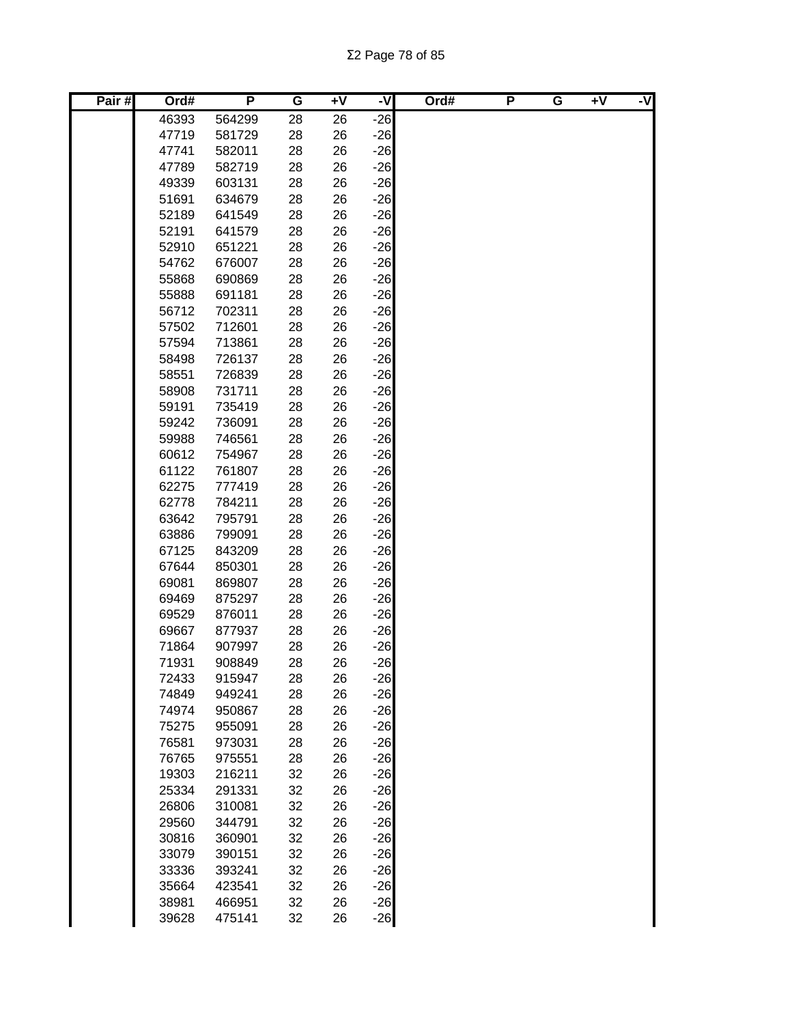Σ2 Page 78 of 85

| Pair# | Ord#  | P      | G  | $+V$ | -V    | Ord# | P | G | $+V$ | -V |
|-------|-------|--------|----|------|-------|------|---|---|------|----|
|       | 46393 | 564299 | 28 | 26   | $-26$ |      |   |   |      |    |
|       | 47719 | 581729 | 28 | 26   | $-26$ |      |   |   |      |    |
|       | 47741 | 582011 | 28 | 26   | $-26$ |      |   |   |      |    |
|       | 47789 | 582719 | 28 | 26   | $-26$ |      |   |   |      |    |
|       | 49339 | 603131 | 28 | 26   | $-26$ |      |   |   |      |    |
|       | 51691 | 634679 | 28 | 26   | $-26$ |      |   |   |      |    |
|       | 52189 | 641549 | 28 | 26   | $-26$ |      |   |   |      |    |
|       | 52191 | 641579 | 28 | 26   | $-26$ |      |   |   |      |    |
|       | 52910 | 651221 | 28 | 26   | $-26$ |      |   |   |      |    |
|       | 54762 | 676007 | 28 | 26   | $-26$ |      |   |   |      |    |
|       | 55868 | 690869 | 28 | 26   | $-26$ |      |   |   |      |    |
|       | 55888 | 691181 | 28 | 26   | $-26$ |      |   |   |      |    |
|       | 56712 | 702311 | 28 | 26   | $-26$ |      |   |   |      |    |
|       | 57502 | 712601 | 28 | 26   | $-26$ |      |   |   |      |    |
|       | 57594 | 713861 | 28 | 26   | $-26$ |      |   |   |      |    |
|       | 58498 | 726137 | 28 | 26   | $-26$ |      |   |   |      |    |
|       | 58551 | 726839 | 28 | 26   | $-26$ |      |   |   |      |    |
|       | 58908 | 731711 | 28 | 26   | $-26$ |      |   |   |      |    |
|       | 59191 | 735419 | 28 | 26   | $-26$ |      |   |   |      |    |
|       | 59242 | 736091 | 28 | 26   | $-26$ |      |   |   |      |    |
|       | 59988 | 746561 | 28 | 26   | $-26$ |      |   |   |      |    |
|       | 60612 | 754967 | 28 | 26   | $-26$ |      |   |   |      |    |
|       | 61122 | 761807 | 28 | 26   | $-26$ |      |   |   |      |    |
|       | 62275 | 777419 | 28 | 26   | $-26$ |      |   |   |      |    |
|       | 62778 | 784211 | 28 | 26   | $-26$ |      |   |   |      |    |
|       | 63642 | 795791 | 28 | 26   | $-26$ |      |   |   |      |    |
|       | 63886 | 799091 | 28 | 26   | $-26$ |      |   |   |      |    |
|       | 67125 | 843209 | 28 | 26   | $-26$ |      |   |   |      |    |
|       | 67644 | 850301 | 28 | 26   | $-26$ |      |   |   |      |    |
|       | 69081 | 869807 | 28 | 26   | $-26$ |      |   |   |      |    |
|       | 69469 | 875297 | 28 | 26   | $-26$ |      |   |   |      |    |
|       | 69529 | 876011 | 28 | 26   | $-26$ |      |   |   |      |    |
|       | 69667 | 877937 | 28 | 26   | $-26$ |      |   |   |      |    |
|       | 71864 | 907997 | 28 | 26   | $-26$ |      |   |   |      |    |
|       | 71931 | 908849 | 28 | 26   | $-26$ |      |   |   |      |    |
|       | 72433 | 915947 | 28 | 26   | $-26$ |      |   |   |      |    |
|       | 74849 | 949241 | 28 | 26   | $-26$ |      |   |   |      |    |
|       | 74974 | 950867 | 28 | 26   | $-26$ |      |   |   |      |    |
|       | 75275 | 955091 | 28 | 26   | $-26$ |      |   |   |      |    |
|       | 76581 | 973031 | 28 | 26   | $-26$ |      |   |   |      |    |
|       | 76765 | 975551 | 28 | 26   | $-26$ |      |   |   |      |    |
|       | 19303 | 216211 | 32 | 26   | $-26$ |      |   |   |      |    |
|       | 25334 | 291331 | 32 | 26   | $-26$ |      |   |   |      |    |
|       | 26806 | 310081 | 32 | 26   | $-26$ |      |   |   |      |    |
|       | 29560 | 344791 | 32 | 26   | $-26$ |      |   |   |      |    |
|       | 30816 | 360901 | 32 | 26   | $-26$ |      |   |   |      |    |
|       | 33079 | 390151 | 32 | 26   | $-26$ |      |   |   |      |    |
|       | 33336 | 393241 | 32 | 26   | $-26$ |      |   |   |      |    |
|       | 35664 | 423541 | 32 | 26   | $-26$ |      |   |   |      |    |
|       | 38981 | 466951 | 32 | 26   | $-26$ |      |   |   |      |    |
|       | 39628 | 475141 | 32 | 26   | $-26$ |      |   |   |      |    |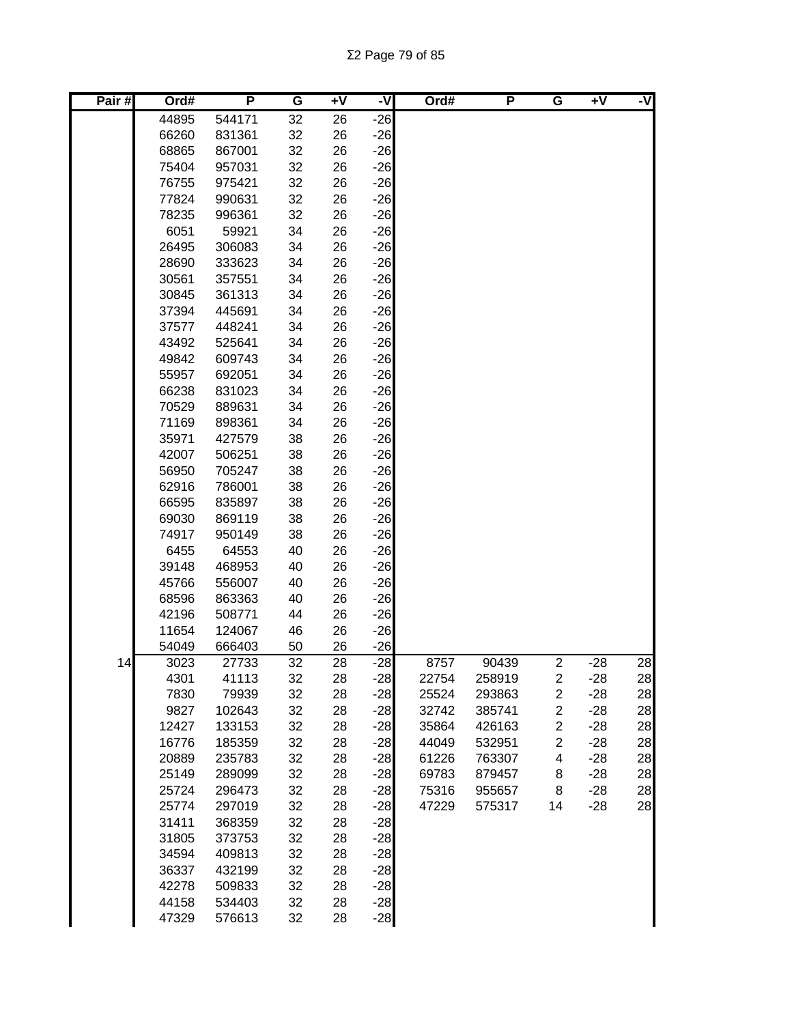Σ2 Page 79 of 85

| Pair# | Ord#  | P      | G  | $\overline{+}\sqrt{}$ | -V    | Ord#  | P      | G                       | +V    | -V |
|-------|-------|--------|----|-----------------------|-------|-------|--------|-------------------------|-------|----|
|       | 44895 | 544171 | 32 | 26                    | $-26$ |       |        |                         |       |    |
|       | 66260 | 831361 | 32 | 26                    | $-26$ |       |        |                         |       |    |
|       | 68865 | 867001 | 32 | 26                    | $-26$ |       |        |                         |       |    |
|       | 75404 | 957031 | 32 | 26                    | $-26$ |       |        |                         |       |    |
|       | 76755 | 975421 | 32 | 26                    | $-26$ |       |        |                         |       |    |
|       | 77824 | 990631 | 32 | 26                    | $-26$ |       |        |                         |       |    |
|       | 78235 | 996361 | 32 | 26                    | $-26$ |       |        |                         |       |    |
|       | 6051  | 59921  | 34 | 26                    | $-26$ |       |        |                         |       |    |
|       | 26495 | 306083 | 34 | 26                    | $-26$ |       |        |                         |       |    |
|       | 28690 | 333623 | 34 | 26                    | $-26$ |       |        |                         |       |    |
|       | 30561 | 357551 | 34 | 26                    | $-26$ |       |        |                         |       |    |
|       | 30845 | 361313 | 34 | 26                    | $-26$ |       |        |                         |       |    |
|       | 37394 | 445691 | 34 | 26                    | $-26$ |       |        |                         |       |    |
|       | 37577 | 448241 | 34 | 26                    | $-26$ |       |        |                         |       |    |
|       | 43492 | 525641 | 34 | 26                    | $-26$ |       |        |                         |       |    |
|       | 49842 | 609743 | 34 | 26                    | $-26$ |       |        |                         |       |    |
|       | 55957 | 692051 | 34 | 26                    | $-26$ |       |        |                         |       |    |
|       | 66238 | 831023 | 34 | 26                    | $-26$ |       |        |                         |       |    |
|       | 70529 | 889631 | 34 | 26                    | $-26$ |       |        |                         |       |    |
|       | 71169 | 898361 | 34 | 26                    | $-26$ |       |        |                         |       |    |
|       | 35971 | 427579 | 38 | 26                    | $-26$ |       |        |                         |       |    |
|       | 42007 | 506251 | 38 | 26                    | $-26$ |       |        |                         |       |    |
|       | 56950 | 705247 | 38 | 26                    | $-26$ |       |        |                         |       |    |
|       | 62916 | 786001 | 38 | 26                    | $-26$ |       |        |                         |       |    |
|       | 66595 | 835897 | 38 | 26                    | $-26$ |       |        |                         |       |    |
|       | 69030 | 869119 | 38 | 26                    | $-26$ |       |        |                         |       |    |
|       | 74917 | 950149 | 38 | 26                    | $-26$ |       |        |                         |       |    |
|       | 6455  | 64553  | 40 | 26                    | $-26$ |       |        |                         |       |    |
|       | 39148 | 468953 | 40 | 26                    | $-26$ |       |        |                         |       |    |
|       | 45766 | 556007 | 40 | 26                    | $-26$ |       |        |                         |       |    |
|       | 68596 | 863363 | 40 | 26                    | $-26$ |       |        |                         |       |    |
|       | 42196 | 508771 | 44 | 26                    | $-26$ |       |        |                         |       |    |
|       | 11654 | 124067 | 46 | 26                    | $-26$ |       |        |                         |       |    |
|       | 54049 | 666403 | 50 | 26                    | $-26$ |       |        |                         |       |    |
| 14    | 3023  | 27733  | 32 | 28                    | $-28$ | 8757  | 90439  | $\overline{2}$          | $-28$ | 28 |
|       | 4301  | 41113  | 32 | 28                    | $-28$ | 22754 | 258919 | 2                       | $-28$ | 28 |
|       | 7830  | 79939  | 32 | 28                    | $-28$ | 25524 | 293863 | $\overline{\mathbf{c}}$ | $-28$ | 28 |
|       | 9827  | 102643 | 32 | 28                    | $-28$ | 32742 | 385741 | $\overline{\mathbf{c}}$ | $-28$ | 28 |
|       | 12427 | 133153 | 32 | 28                    | $-28$ | 35864 | 426163 | $\overline{\mathbf{c}}$ | $-28$ | 28 |
|       | 16776 | 185359 | 32 | 28                    | $-28$ | 44049 | 532951 | $\overline{c}$          | $-28$ | 28 |
|       | 20889 | 235783 | 32 | 28                    | $-28$ | 61226 | 763307 | 4                       | $-28$ | 28 |
|       | 25149 | 289099 | 32 | 28                    | $-28$ | 69783 | 879457 | 8                       | $-28$ | 28 |
|       | 25724 | 296473 | 32 | 28                    | $-28$ | 75316 | 955657 | 8                       | $-28$ | 28 |
|       | 25774 | 297019 | 32 | 28                    | $-28$ | 47229 | 575317 | 14                      | $-28$ | 28 |
|       | 31411 | 368359 | 32 | 28                    | $-28$ |       |        |                         |       |    |
|       | 31805 | 373753 | 32 | 28                    | $-28$ |       |        |                         |       |    |
|       | 34594 | 409813 | 32 | 28                    | $-28$ |       |        |                         |       |    |
|       | 36337 | 432199 | 32 | 28                    | $-28$ |       |        |                         |       |    |
|       | 42278 | 509833 | 32 | 28                    | $-28$ |       |        |                         |       |    |
|       | 44158 | 534403 | 32 | 28                    | $-28$ |       |        |                         |       |    |
|       | 47329 | 576613 | 32 | 28                    | $-28$ |       |        |                         |       |    |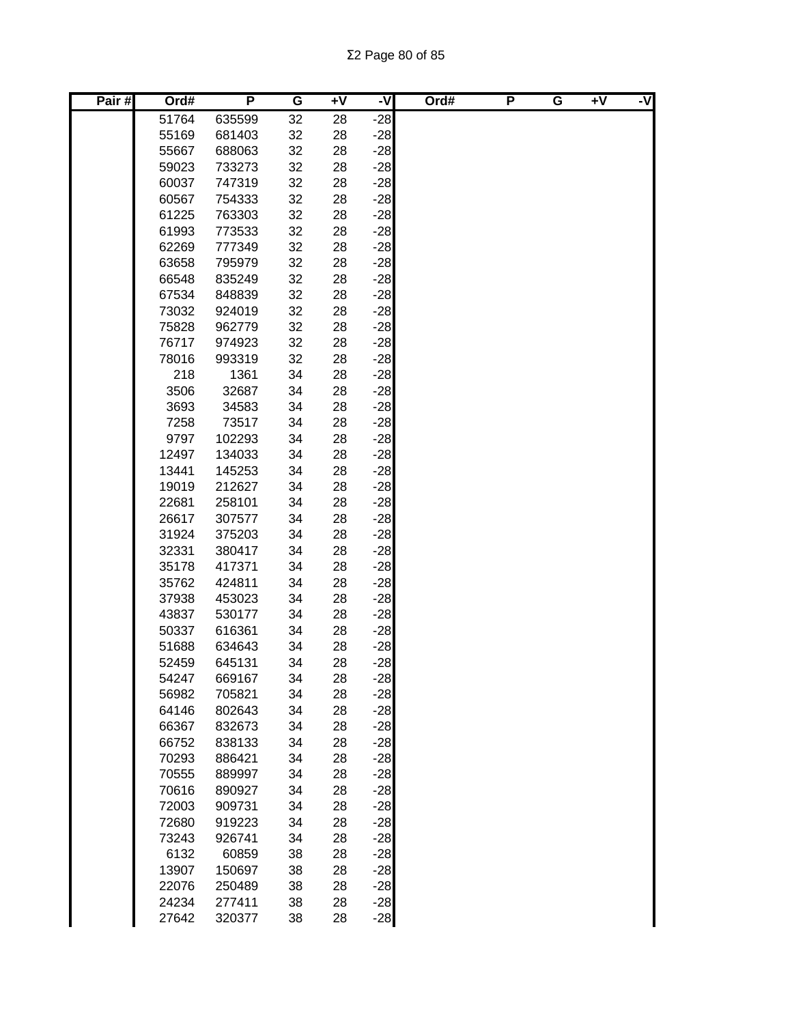| Pair# | Ord#          | P                | G        | $+V$     | ż     | Ord# | P | G | $+V$ | -V |
|-------|---------------|------------------|----------|----------|-------|------|---|---|------|----|
|       | 51764         | 635599           | 32       | 28       | $-28$ |      |   |   |      |    |
|       | 55169         | 681403           | 32       | 28       | $-28$ |      |   |   |      |    |
|       | 55667         | 688063           | 32       | 28       | $-28$ |      |   |   |      |    |
|       | 59023         | 733273           | 32       | 28       | $-28$ |      |   |   |      |    |
|       | 60037         | 747319           | 32       | 28       | $-28$ |      |   |   |      |    |
|       | 60567         | 754333           | 32       | 28       | $-28$ |      |   |   |      |    |
|       | 61225         | 763303           | 32       | 28       | $-28$ |      |   |   |      |    |
|       | 61993         | 773533           | 32       | 28       | $-28$ |      |   |   |      |    |
|       | 62269         | 777349           | 32       | 28       | $-28$ |      |   |   |      |    |
|       | 63658         | 795979           | 32       | 28       | $-28$ |      |   |   |      |    |
|       | 66548         | 835249           | 32       | 28       | $-28$ |      |   |   |      |    |
|       | 67534         | 848839           | 32       | 28       | $-28$ |      |   |   |      |    |
|       | 73032         | 924019           | 32       | 28       | $-28$ |      |   |   |      |    |
|       | 75828         | 962779           | 32       | 28       | $-28$ |      |   |   |      |    |
|       | 76717         | 974923           | 32       | 28       | $-28$ |      |   |   |      |    |
|       | 78016         | 993319           | 32       | 28       | $-28$ |      |   |   |      |    |
|       | 218           | 1361             | 34       | 28       | $-28$ |      |   |   |      |    |
|       | 3506          | 32687            | 34       | 28       | $-28$ |      |   |   |      |    |
|       | 3693          | 34583            | 34       | 28       | $-28$ |      |   |   |      |    |
|       | 7258          | 73517            | 34       | 28       | $-28$ |      |   |   |      |    |
|       | 9797          | 102293           | 34       | 28       | $-28$ |      |   |   |      |    |
|       | 12497         | 134033           | 34       | 28       | $-28$ |      |   |   |      |    |
|       | 13441         | 145253           | 34       | 28       | $-28$ |      |   |   |      |    |
|       | 19019         | 212627           | 34       | 28       | $-28$ |      |   |   |      |    |
|       | 22681         | 258101           | 34       | 28       | $-28$ |      |   |   |      |    |
|       | 26617         | 307577           | 34       | 28       | $-28$ |      |   |   |      |    |
|       | 31924         | 375203           | 34       | 28       | $-28$ |      |   |   |      |    |
|       | 32331         | 380417           | 34       | 28       | $-28$ |      |   |   |      |    |
|       | 35178         | 417371           | 34       | 28       | $-28$ |      |   |   |      |    |
|       | 35762         | 424811           | 34       | 28       | $-28$ |      |   |   |      |    |
|       | 37938         | 453023           | 34       | 28       | $-28$ |      |   |   |      |    |
|       | 43837         | 530177           | 34       | 28       | $-28$ |      |   |   |      |    |
|       | 50337         | 616361           | 34       | 28       | $-28$ |      |   |   |      |    |
|       | 51688         | 634643           | 34       | 28       | $-28$ |      |   |   |      |    |
|       | 52459         | 645131           | 34       | 28       | $-28$ |      |   |   |      |    |
|       | 54247         | 669167           | 34       | 28       | $-28$ |      |   |   |      |    |
|       | 56982         | 705821           | 34       | 28       | $-28$ |      |   |   |      |    |
|       | 64146         | 802643           | 34       | 28       | $-28$ |      |   |   |      |    |
|       | 66367         | 832673           | 34       | 28       | $-28$ |      |   |   |      |    |
|       | 66752         | 838133           | 34       | 28       | $-28$ |      |   |   |      |    |
|       | 70293         | 886421           | 34       | 28       | $-28$ |      |   |   |      |    |
|       | 70555         | 889997           | 34       | 28       | $-28$ |      |   |   |      |    |
|       | 70616         | 890927           | 34       | 28       | $-28$ |      |   |   |      |    |
|       | 72003         | 909731           | 34       | 28       | $-28$ |      |   |   |      |    |
|       | 72680         | 919223           | 34       | 28       | $-28$ |      |   |   |      |    |
|       | 73243         | 926741           | 34       | 28       | $-28$ |      |   |   |      |    |
|       | 6132<br>13907 | 60859            | 38<br>38 | 28       | $-28$ |      |   |   |      |    |
|       | 22076         | 150697           | 38       | 28<br>28 | $-28$ |      |   |   |      |    |
|       | 24234         | 250489<br>277411 | 38       | 28       | $-28$ |      |   |   |      |    |
|       |               |                  |          |          | $-28$ |      |   |   |      |    |
|       | 27642         | 320377           | 38       | 28       | $-28$ |      |   |   |      |    |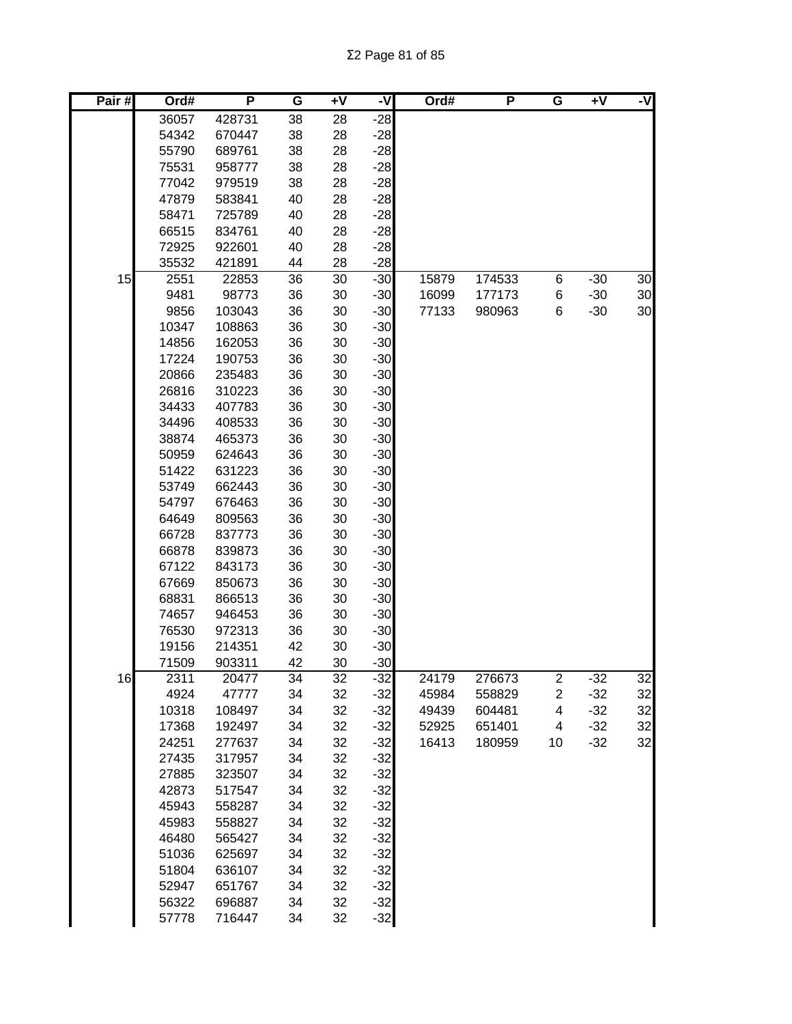| Pair# | Ord#           | P                | G        | $+V$     | -V             | Ord#  | P      | G                       | $+V$  | -V |
|-------|----------------|------------------|----------|----------|----------------|-------|--------|-------------------------|-------|----|
|       | 36057          | 428731           | 38       | 28       | $-28$          |       |        |                         |       |    |
|       | 54342          | 670447           | 38       | 28       | $-28$          |       |        |                         |       |    |
|       | 55790          | 689761           | 38       | 28       | $-28$          |       |        |                         |       |    |
|       | 75531          | 958777           | 38       | 28       | $-28$          |       |        |                         |       |    |
|       | 77042          | 979519           | 38       | 28       | $-28$          |       |        |                         |       |    |
|       | 47879          | 583841           | 40       | 28       | $-28$          |       |        |                         |       |    |
|       | 58471          | 725789           | 40       | 28       | $-28$          |       |        |                         |       |    |
|       | 66515          | 834761           | 40       | 28       | $-28$          |       |        |                         |       |    |
|       | 72925          | 922601           | 40       | 28       | $-28$          |       |        |                         |       |    |
|       | 35532          | 421891           | 44       | 28       | $-28$          |       |        |                         |       |    |
| 15    | 2551           | 22853            | 36       | 30       | $-30$          | 15879 | 174533 | 6                       | $-30$ | 30 |
|       | 9481           | 98773            | 36       | 30       | $-30$          | 16099 | 177173 | 6                       | $-30$ | 30 |
|       | 9856           | 103043           | 36       | 30       | $-30$          | 77133 | 980963 | 6                       | $-30$ | 30 |
|       | 10347          | 108863           | 36       | 30       | $-30$          |       |        |                         |       |    |
|       | 14856          | 162053           | 36       | 30       | $-30$          |       |        |                         |       |    |
|       | 17224          | 190753           | 36       | 30       | $-30$          |       |        |                         |       |    |
|       | 20866          | 235483           | 36       | 30       | $-30$          |       |        |                         |       |    |
|       | 26816          | 310223           | 36       | 30       | $-30$          |       |        |                         |       |    |
|       | 34433          | 407783           | 36       | 30       | $-30$          |       |        |                         |       |    |
|       | 34496          | 408533           | 36       | 30       | $-30$          |       |        |                         |       |    |
|       | 38874          | 465373           | 36       | 30       | $-30$          |       |        |                         |       |    |
|       | 50959          | 624643           | 36       | 30       | $-30$          |       |        |                         |       |    |
|       | 51422          | 631223           | 36       | 30       | $-30$          |       |        |                         |       |    |
|       | 53749          | 662443           | 36       | 30       | $-30$          |       |        |                         |       |    |
|       | 54797          | 676463           | 36       | 30       | $-30$          |       |        |                         |       |    |
|       | 64649          | 809563           | 36       | 30       | $-30$          |       |        |                         |       |    |
|       | 66728          | 837773           | 36       | 30       | $-30$          |       |        |                         |       |    |
|       | 66878          | 839873           | 36       | 30       | $-30$          |       |        |                         |       |    |
|       | 67122          | 843173           | 36       | 30       | $-30$          |       |        |                         |       |    |
|       | 67669<br>68831 | 850673<br>866513 | 36       | 30<br>30 | $-30$<br>$-30$ |       |        |                         |       |    |
|       | 74657          | 946453           | 36<br>36 | 30       | $-30$          |       |        |                         |       |    |
|       | 76530          | 972313           | 36       | 30       | $-30$          |       |        |                         |       |    |
|       | 19156          | 214351           | 42       | 30       | $-30$          |       |        |                         |       |    |
|       | 71509          | 903311           | 42       | 30       | $-30$          |       |        |                         |       |    |
| 16    | 2311           | 20477            | 34       | 32       | $-32$          | 24179 | 276673 | $\overline{\mathbf{c}}$ | $-32$ | 32 |
|       | 4924           | 47777            | 34       | 32       | $-32$          | 45984 | 558829 | $\overline{c}$          | $-32$ | 32 |
|       | 10318          | 108497           | 34       | 32       | $-32$          | 49439 | 604481 | 4                       | $-32$ | 32 |
|       | 17368          | 192497           | 34       | 32       | $-32$          | 52925 | 651401 | 4                       | $-32$ | 32 |
|       | 24251          | 277637           | 34       | 32       | $-32$          | 16413 | 180959 | 10                      | $-32$ | 32 |
|       | 27435          | 317957           | 34       | 32       | $-32$          |       |        |                         |       |    |
|       | 27885          | 323507           | 34       | 32       | $-32$          |       |        |                         |       |    |
|       | 42873          | 517547           | 34       | 32       | $-32$          |       |        |                         |       |    |
|       | 45943          | 558287           | 34       | 32       | $-32$          |       |        |                         |       |    |
|       | 45983          | 558827           | 34       | 32       | $-32$          |       |        |                         |       |    |
|       | 46480          | 565427           | 34       | 32       | $-32$          |       |        |                         |       |    |
|       | 51036          | 625697           | 34       | 32       | $-32$          |       |        |                         |       |    |
|       | 51804          | 636107           | 34       | 32       | $-32$          |       |        |                         |       |    |
|       | 52947          | 651767           | 34       | 32       | $-32$          |       |        |                         |       |    |
|       | 56322          | 696887           | 34       | 32       | $-32$          |       |        |                         |       |    |
|       | 57778          | 716447           | 34       | 32       | $-32$          |       |        |                         |       |    |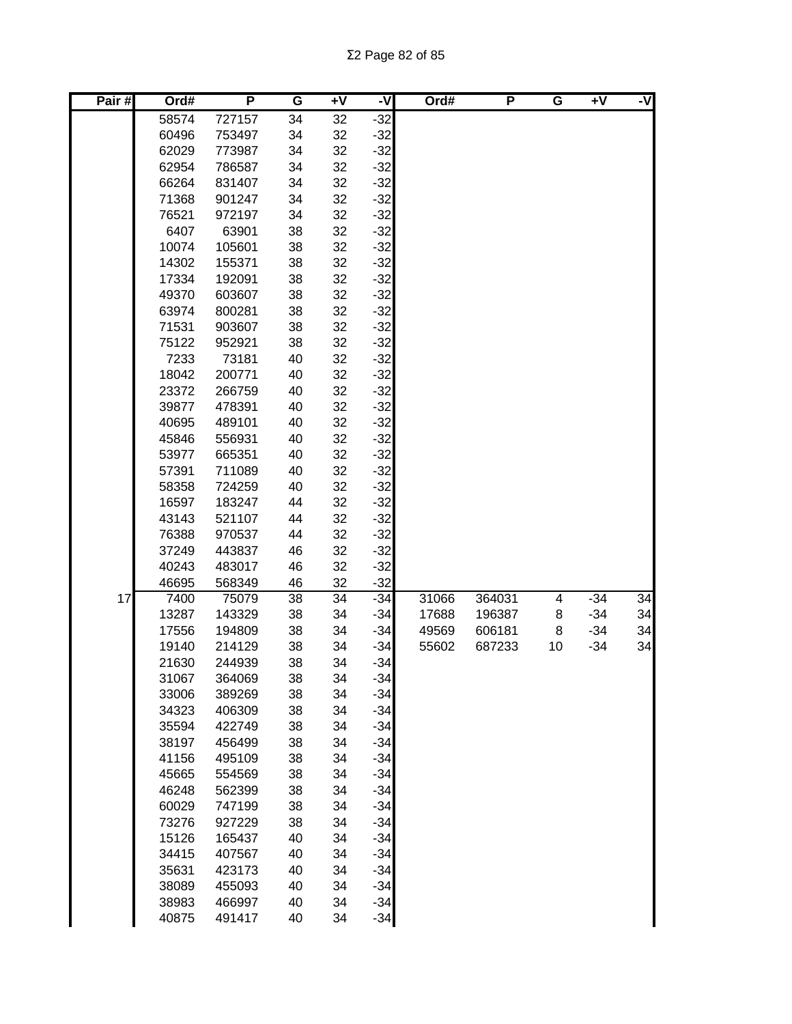Σ2 Page 82 of 85

| Pair# | Ord#           | P                | G        | $+V$     | -V             | Ord#  | P      | G  | $\overline{+V}$ | -V |
|-------|----------------|------------------|----------|----------|----------------|-------|--------|----|-----------------|----|
|       | 58574          | 727157           | 34       | 32       | $-32$          |       |        |    |                 |    |
|       | 60496          | 753497           | 34       | 32       | $-32$          |       |        |    |                 |    |
|       | 62029          | 773987           | 34       | 32       | $-32$          |       |        |    |                 |    |
|       | 62954          | 786587           | 34       | 32       | $-32$          |       |        |    |                 |    |
|       | 66264          | 831407           | 34       | 32       | $-32$          |       |        |    |                 |    |
|       | 71368          | 901247           | 34       | 32       | $-32$          |       |        |    |                 |    |
|       | 76521          | 972197           | 34       | 32       | $-32$          |       |        |    |                 |    |
|       | 6407           | 63901            | 38       | 32       | $-32$          |       |        |    |                 |    |
|       | 10074          | 105601           | 38       | 32       | $-32$          |       |        |    |                 |    |
|       | 14302          | 155371           | 38       | 32       | $-32$          |       |        |    |                 |    |
|       | 17334          | 192091           | 38       | 32       | $-32$          |       |        |    |                 |    |
|       | 49370          | 603607           | 38       | 32       | $-32$          |       |        |    |                 |    |
|       | 63974          | 800281           | 38       | 32       | $-32$          |       |        |    |                 |    |
|       | 71531          | 903607           | 38<br>38 | 32<br>32 | $-32$          |       |        |    |                 |    |
|       | 75122<br>7233  | 952921<br>73181  | 40       | 32       | $-32$<br>$-32$ |       |        |    |                 |    |
|       | 18042          | 200771           | 40       | 32       | $-32$          |       |        |    |                 |    |
|       | 23372          | 266759           | 40       | 32       | $-32$          |       |        |    |                 |    |
|       | 39877          | 478391           | 40       | 32       | $-32$          |       |        |    |                 |    |
|       | 40695          | 489101           | 40       | 32       | $-32$          |       |        |    |                 |    |
|       | 45846          | 556931           | 40       | 32       | $-32$          |       |        |    |                 |    |
|       | 53977          | 665351           | 40       | 32       | $-32$          |       |        |    |                 |    |
|       | 57391          | 711089           | 40       | 32       | $-32$          |       |        |    |                 |    |
|       | 58358          | 724259           | 40       | 32       | $-32$          |       |        |    |                 |    |
|       | 16597          | 183247           | 44       | 32       | $-32$          |       |        |    |                 |    |
|       | 43143          | 521107           | 44       | 32       | $-32$          |       |        |    |                 |    |
|       | 76388          | 970537           | 44       | 32       | $-32$          |       |        |    |                 |    |
|       | 37249          | 443837           | 46       | 32       | $-32$          |       |        |    |                 |    |
|       | 40243          | 483017           | 46       | 32       | $-32$          |       |        |    |                 |    |
|       | 46695          | 568349           | 46       | 32       | $-32$          |       |        |    |                 |    |
| 17    | 7400           | 75079            | 38       | 34       | $-34$          | 31066 | 364031 | 4  | $-34$           | 34 |
|       | 13287          | 143329           | 38       | 34       | $-34$          | 17688 | 196387 | 8  | $-34$           | 34 |
|       | 17556          | 194809           | 38       | 34       | $-34$          | 49569 | 606181 | 8  | $-34$           | 34 |
|       | 19140          | 214129           | 38       | 34       | $-34$          | 55602 | 687233 | 10 | $-34$           | 34 |
|       | 21630          | 244939           | 38       | 34       | $-34$          |       |        |    |                 |    |
|       | 31067          | 364069           | 38       | 34       | $-34$          |       |        |    |                 |    |
|       | 33006          | 389269           | 38       | 34       | $-34$          |       |        |    |                 |    |
|       | 34323          | 406309           | 38       | 34       | $-34$          |       |        |    |                 |    |
|       | 35594          | 422749           | 38       | 34       | $-34$          |       |        |    |                 |    |
|       | 38197          | 456499           | 38       | 34       | $-34$          |       |        |    |                 |    |
|       | 41156          | 495109           | 38       | 34       | $-34$          |       |        |    |                 |    |
|       | 45665          | 554569           | 38       | 34       | $-34$          |       |        |    |                 |    |
|       | 46248          | 562399           | 38       | 34       | $-34$          |       |        |    |                 |    |
|       | 60029          | 747199           | 38       | 34       | $-34$          |       |        |    |                 |    |
|       | 73276          | 927229           | 38       | 34       | $-34$          |       |        |    |                 |    |
|       | 15126          | 165437           | 40       | 34       | $-34$          |       |        |    |                 |    |
|       | 34415          | 407567           | 40       | 34       | $-34$          |       |        |    |                 |    |
|       | 35631<br>38089 | 423173<br>455093 | 40<br>40 | 34<br>34 | $-34$<br>$-34$ |       |        |    |                 |    |
|       | 38983          | 466997           | 40       | 34       | $-34$          |       |        |    |                 |    |
|       | 40875          | 491417           | 40       | 34       | $-34$          |       |        |    |                 |    |
|       |                |                  |          |          |                |       |        |    |                 |    |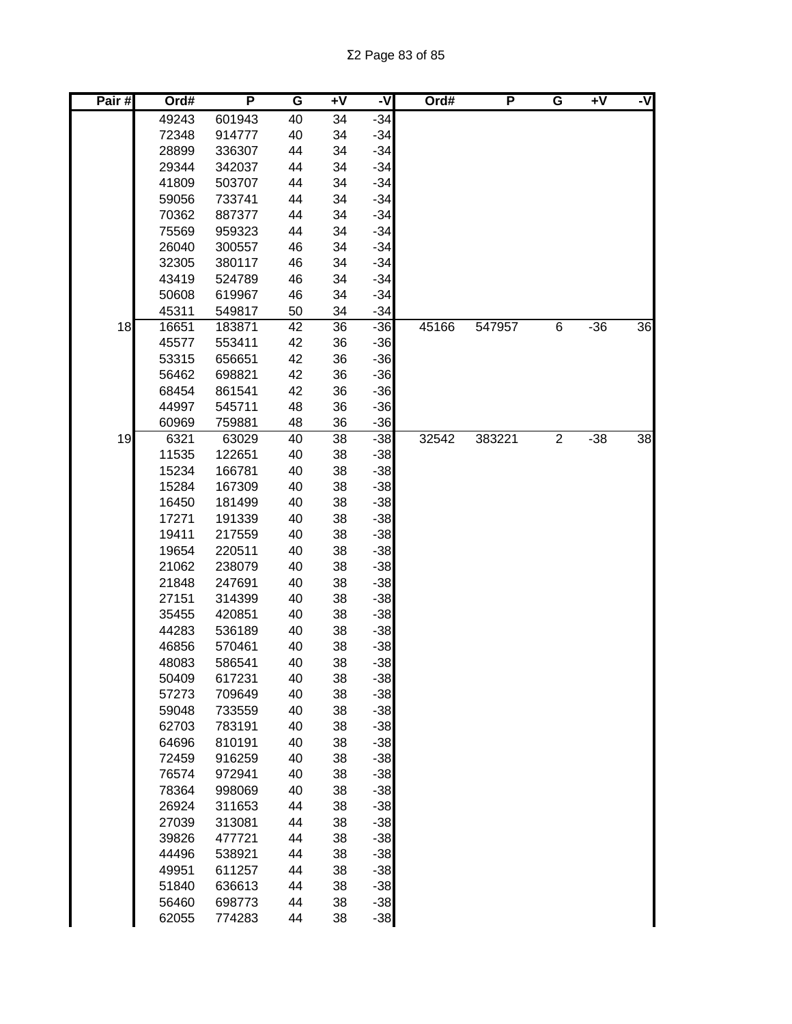| Pair# | Ord#           | P                | G        | $\overline{+}\sqrt{}$ | -V             | Ord#  | P      | G              | $+V$  | -V |
|-------|----------------|------------------|----------|-----------------------|----------------|-------|--------|----------------|-------|----|
|       | 49243          | 601943           | 40       | 34                    | $-34$          |       |        |                |       |    |
|       | 72348          | 914777           | 40       | 34                    | $-34$          |       |        |                |       |    |
|       | 28899          | 336307           | 44       | 34                    | $-34$          |       |        |                |       |    |
|       | 29344          | 342037           | 44       | 34                    | $-34$          |       |        |                |       |    |
|       | 41809          | 503707           | 44       | 34                    | $-34$          |       |        |                |       |    |
|       | 59056          | 733741           | 44       | 34                    | $-34$          |       |        |                |       |    |
|       | 70362          | 887377           | 44       | 34                    | $-34$          |       |        |                |       |    |
|       | 75569          | 959323           | 44       | 34                    | $-34$          |       |        |                |       |    |
|       | 26040          | 300557           | 46       | 34                    | $-34$          |       |        |                |       |    |
|       | 32305          | 380117           | 46       | 34                    | $-34$          |       |        |                |       |    |
|       | 43419          | 524789           | 46       | 34                    | $-34$          |       |        |                |       |    |
|       | 50608          | 619967           | 46       | 34                    | $-34$          |       |        |                |       |    |
|       | 45311          | 549817           | 50       | 34                    | $-34$          |       |        |                |       |    |
| 18    | 16651          | 183871           | 42       | 36                    | $-36$          | 45166 | 547957 | 6              | $-36$ | 36 |
|       | 45577          | 553411           | 42       | 36                    | $-36$          |       |        |                |       |    |
|       | 53315          | 656651           | 42       | 36                    | $-36$          |       |        |                |       |    |
|       | 56462          | 698821           | 42       | 36                    | $-36$          |       |        |                |       |    |
|       | 68454          | 861541           | 42       | 36                    | $-36$          |       |        |                |       |    |
|       | 44997          | 545711           | 48       | 36                    | $-36$          |       |        |                |       |    |
|       | 60969          | 759881           | 48       | 36                    | $-36$          |       |        |                |       |    |
| 19    | 6321           | 63029            | 40       | 38                    | $-38$          | 32542 | 383221 | $\overline{2}$ | $-38$ | 38 |
|       | 11535          | 122651           | 40       | 38                    | $-38$          |       |        |                |       |    |
|       | 15234          | 166781           | 40       | 38                    | $-38$          |       |        |                |       |    |
|       | 15284<br>16450 | 167309           | 40<br>40 | 38                    | $-38$<br>$-38$ |       |        |                |       |    |
|       | 17271          | 181499<br>191339 | 40       | 38<br>38              | $-38$          |       |        |                |       |    |
|       | 19411          | 217559           | 40       | 38                    | $-38$          |       |        |                |       |    |
|       | 19654          | 220511           | 40       | 38                    | $-38$          |       |        |                |       |    |
|       | 21062          | 238079           | 40       | 38                    | $-38$          |       |        |                |       |    |
|       | 21848          | 247691           | 40       | 38                    | $-38$          |       |        |                |       |    |
|       | 27151          | 314399           | 40       | 38                    | $-38$          |       |        |                |       |    |
|       | 35455          | 420851           | 40       | 38                    | $-38$          |       |        |                |       |    |
|       | 44283          | 536189           | 40       | 38                    | $-38$          |       |        |                |       |    |
|       | 46856          | 570461           | 40       | 38                    | $-38$          |       |        |                |       |    |
|       | 48083          | 586541           | 40       | 38                    | $-38$          |       |        |                |       |    |
|       | 50409          | 617231           | 40       | 38                    | $-38$          |       |        |                |       |    |
|       | 57273          | 709649           | 40       | 38                    | $-38$          |       |        |                |       |    |
|       | 59048          | 733559           | 40       | 38                    | $-38$          |       |        |                |       |    |
|       | 62703          | 783191           | 40       | 38                    | $-38$          |       |        |                |       |    |
|       | 64696          | 810191           | 40       | 38                    | $-38$          |       |        |                |       |    |
|       | 72459          | 916259           | 40       | 38                    | $-38$          |       |        |                |       |    |
|       | 76574          | 972941           | 40       | 38                    | $-38$          |       |        |                |       |    |
|       | 78364          | 998069           | 40       | 38                    | $-38$          |       |        |                |       |    |
|       | 26924          | 311653           | 44       | 38                    | $-38$          |       |        |                |       |    |
|       | 27039          | 313081           | 44       | 38                    | $-38$          |       |        |                |       |    |
|       | 39826          | 477721           | 44       | 38                    | $-38$          |       |        |                |       |    |
|       | 44496          | 538921           | 44       | 38                    | $-38$          |       |        |                |       |    |
|       | 49951          | 611257           | 44       | 38                    | $-38$          |       |        |                |       |    |
|       | 51840          | 636613           | 44       | 38                    | $-38$          |       |        |                |       |    |
|       | 56460          | 698773           | 44       | 38                    | $-38$          |       |        |                |       |    |
|       | 62055          | 774283           | 44       | 38                    | $-38$          |       |        |                |       |    |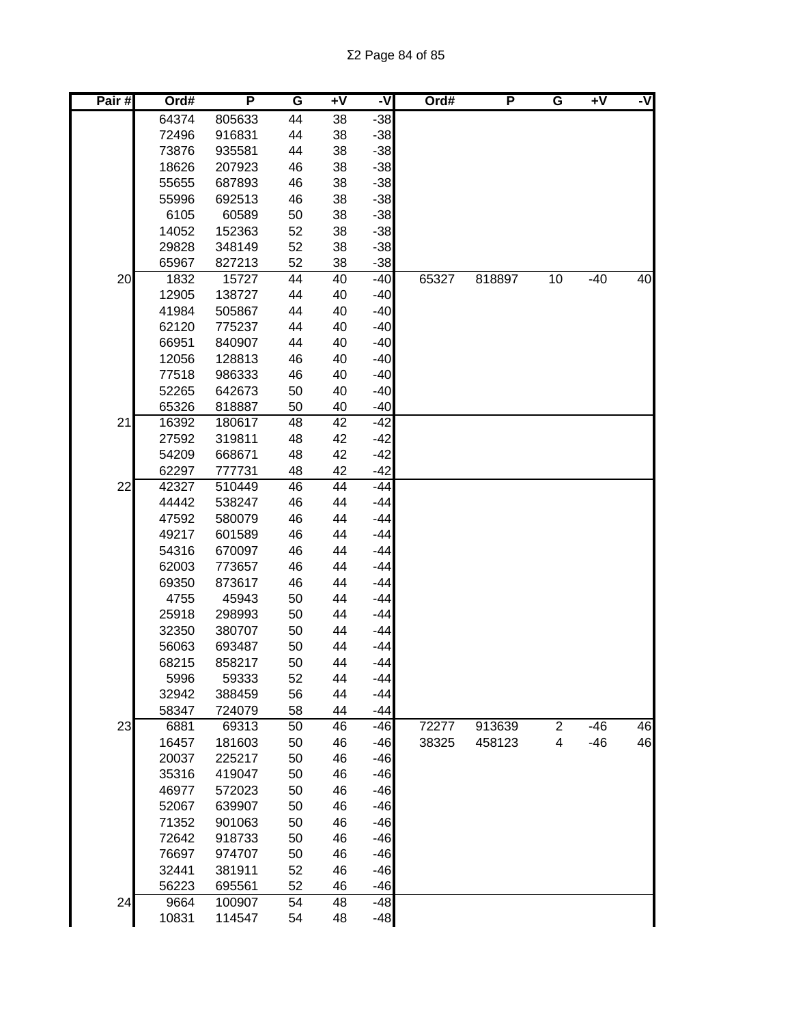| 64374<br>38<br>805633<br>44<br>$-38$<br>44<br>38<br>$-38$<br>72496<br>916831<br>$-38$<br>73876<br>935581<br>44<br>38<br>38<br>$-38$<br>18626<br>207923<br>46<br>55655<br>38<br>$-38$<br>687893<br>46<br>55996<br>692513<br>38<br>$-38$<br>46<br>$-38$<br>6105<br>38<br>60589<br>50<br>$-38$<br>52<br>38<br>14052<br>152363<br>29828<br>52<br>38<br>$-38$<br>348149<br>52<br>38<br>$-38$<br>65967<br>827213<br>20<br>65327<br>818897<br>10<br>$-40$<br>40<br>1832<br>15727<br>44<br>40<br>$-40$<br>$-40$<br>12905<br>138727<br>44<br>40<br>505867<br>40<br>$-40$<br>41984<br>44<br>62120<br>44<br>40<br>$-40$<br>775237<br>40<br>$-40$<br>66951<br>840907<br>44<br>46<br>40<br>$-40$<br>12056<br>128813<br>40<br>$-40$<br>77518<br>986333<br>46<br>50<br>40<br>$-40$<br>52265<br>642673<br>65326<br>40<br>$-40$<br>818887<br>50<br>21<br>48<br>180617<br>42<br>$-42$<br>16392<br>319811<br>42<br>$-42$<br>27592<br>48<br>$-42$<br>54209<br>668671<br>48<br>42<br>42<br>$-42$<br>62297<br>777731<br>48<br>22<br>42327<br>46<br>44<br>$-44$<br>510449<br>$-44$<br>44442<br>538247<br>46<br>44<br>47592<br>46<br>44<br>$-44$<br>580079<br>49217<br>601589<br>46<br>44<br>$-44$<br>44<br>$-44$<br>54316<br>670097<br>46<br>44<br>$-44$<br>62003<br>773657<br>46<br>69350<br>873617<br>46<br>44<br>$-44$<br>44<br>$-44$<br>4755<br>45943<br>50<br>44<br>$-44$<br>25918<br>298993<br>50<br>32350<br>380707<br>50<br>44<br>$-44$<br>56063<br>693487<br>50<br>44<br>$-44$<br>68215<br>44<br>858217<br>50<br>$-44$<br>$-44$<br>52<br>44<br>5996<br>59333<br>$-44$<br>56<br>44<br>32942<br>388459<br>58<br>44<br>$-44$<br>58347<br>724079<br>$\overline{c}$<br>46<br>23<br>72277<br>913639<br>$-46$<br>6881<br>69313<br>50<br>46<br>$-46$<br>46<br>$-46$<br>4<br>$-46$<br>16457<br>181603<br>50<br>46<br>38325<br>458123<br>20037<br>$-46$<br>225217<br>50<br>46<br>$-46$<br>35316<br>419047<br>50<br>46<br>$-46$<br>46977<br>572023<br>50<br>46<br>$-46$<br>52067<br>639907<br>50<br>46<br>$-46$<br>71352<br>901063<br>50<br>46<br>$-46$<br>72642<br>918733<br>50<br>46<br>$-46$<br>76697<br>974707<br>50<br>46<br>$-46$<br>32441<br>381911<br>52<br>46<br>$-46$<br>56223<br>695561<br>52<br>46<br>24<br>$-48$<br>9664<br>100907<br>54<br>48<br>10831<br>114547<br>48<br>$-48$<br>54 | Pair# | Ord# | P | G | $+V$ | ż | Ord# | P | G | $+V$ | -V |
|----------------------------------------------------------------------------------------------------------------------------------------------------------------------------------------------------------------------------------------------------------------------------------------------------------------------------------------------------------------------------------------------------------------------------------------------------------------------------------------------------------------------------------------------------------------------------------------------------------------------------------------------------------------------------------------------------------------------------------------------------------------------------------------------------------------------------------------------------------------------------------------------------------------------------------------------------------------------------------------------------------------------------------------------------------------------------------------------------------------------------------------------------------------------------------------------------------------------------------------------------------------------------------------------------------------------------------------------------------------------------------------------------------------------------------------------------------------------------------------------------------------------------------------------------------------------------------------------------------------------------------------------------------------------------------------------------------------------------------------------------------------------------------------------------------------------------------------------------------------------------------------------------------------------------------------------------------------------------------------------------------------------------------------------------------------------------------------------------------------------------------------------------------------------------------------------------------------------------------------------------------------------------|-------|------|---|---|------|---|------|---|---|------|----|
|                                                                                                                                                                                                                                                                                                                                                                                                                                                                                                                                                                                                                                                                                                                                                                                                                                                                                                                                                                                                                                                                                                                                                                                                                                                                                                                                                                                                                                                                                                                                                                                                                                                                                                                                                                                                                                                                                                                                                                                                                                                                                                                                                                                                                                                                            |       |      |   |   |      |   |      |   |   |      |    |
|                                                                                                                                                                                                                                                                                                                                                                                                                                                                                                                                                                                                                                                                                                                                                                                                                                                                                                                                                                                                                                                                                                                                                                                                                                                                                                                                                                                                                                                                                                                                                                                                                                                                                                                                                                                                                                                                                                                                                                                                                                                                                                                                                                                                                                                                            |       |      |   |   |      |   |      |   |   |      |    |
|                                                                                                                                                                                                                                                                                                                                                                                                                                                                                                                                                                                                                                                                                                                                                                                                                                                                                                                                                                                                                                                                                                                                                                                                                                                                                                                                                                                                                                                                                                                                                                                                                                                                                                                                                                                                                                                                                                                                                                                                                                                                                                                                                                                                                                                                            |       |      |   |   |      |   |      |   |   |      |    |
|                                                                                                                                                                                                                                                                                                                                                                                                                                                                                                                                                                                                                                                                                                                                                                                                                                                                                                                                                                                                                                                                                                                                                                                                                                                                                                                                                                                                                                                                                                                                                                                                                                                                                                                                                                                                                                                                                                                                                                                                                                                                                                                                                                                                                                                                            |       |      |   |   |      |   |      |   |   |      |    |
|                                                                                                                                                                                                                                                                                                                                                                                                                                                                                                                                                                                                                                                                                                                                                                                                                                                                                                                                                                                                                                                                                                                                                                                                                                                                                                                                                                                                                                                                                                                                                                                                                                                                                                                                                                                                                                                                                                                                                                                                                                                                                                                                                                                                                                                                            |       |      |   |   |      |   |      |   |   |      |    |
|                                                                                                                                                                                                                                                                                                                                                                                                                                                                                                                                                                                                                                                                                                                                                                                                                                                                                                                                                                                                                                                                                                                                                                                                                                                                                                                                                                                                                                                                                                                                                                                                                                                                                                                                                                                                                                                                                                                                                                                                                                                                                                                                                                                                                                                                            |       |      |   |   |      |   |      |   |   |      |    |
|                                                                                                                                                                                                                                                                                                                                                                                                                                                                                                                                                                                                                                                                                                                                                                                                                                                                                                                                                                                                                                                                                                                                                                                                                                                                                                                                                                                                                                                                                                                                                                                                                                                                                                                                                                                                                                                                                                                                                                                                                                                                                                                                                                                                                                                                            |       |      |   |   |      |   |      |   |   |      |    |
|                                                                                                                                                                                                                                                                                                                                                                                                                                                                                                                                                                                                                                                                                                                                                                                                                                                                                                                                                                                                                                                                                                                                                                                                                                                                                                                                                                                                                                                                                                                                                                                                                                                                                                                                                                                                                                                                                                                                                                                                                                                                                                                                                                                                                                                                            |       |      |   |   |      |   |      |   |   |      |    |
|                                                                                                                                                                                                                                                                                                                                                                                                                                                                                                                                                                                                                                                                                                                                                                                                                                                                                                                                                                                                                                                                                                                                                                                                                                                                                                                                                                                                                                                                                                                                                                                                                                                                                                                                                                                                                                                                                                                                                                                                                                                                                                                                                                                                                                                                            |       |      |   |   |      |   |      |   |   |      |    |
|                                                                                                                                                                                                                                                                                                                                                                                                                                                                                                                                                                                                                                                                                                                                                                                                                                                                                                                                                                                                                                                                                                                                                                                                                                                                                                                                                                                                                                                                                                                                                                                                                                                                                                                                                                                                                                                                                                                                                                                                                                                                                                                                                                                                                                                                            |       |      |   |   |      |   |      |   |   |      |    |
|                                                                                                                                                                                                                                                                                                                                                                                                                                                                                                                                                                                                                                                                                                                                                                                                                                                                                                                                                                                                                                                                                                                                                                                                                                                                                                                                                                                                                                                                                                                                                                                                                                                                                                                                                                                                                                                                                                                                                                                                                                                                                                                                                                                                                                                                            |       |      |   |   |      |   |      |   |   |      |    |
|                                                                                                                                                                                                                                                                                                                                                                                                                                                                                                                                                                                                                                                                                                                                                                                                                                                                                                                                                                                                                                                                                                                                                                                                                                                                                                                                                                                                                                                                                                                                                                                                                                                                                                                                                                                                                                                                                                                                                                                                                                                                                                                                                                                                                                                                            |       |      |   |   |      |   |      |   |   |      |    |
|                                                                                                                                                                                                                                                                                                                                                                                                                                                                                                                                                                                                                                                                                                                                                                                                                                                                                                                                                                                                                                                                                                                                                                                                                                                                                                                                                                                                                                                                                                                                                                                                                                                                                                                                                                                                                                                                                                                                                                                                                                                                                                                                                                                                                                                                            |       |      |   |   |      |   |      |   |   |      |    |
|                                                                                                                                                                                                                                                                                                                                                                                                                                                                                                                                                                                                                                                                                                                                                                                                                                                                                                                                                                                                                                                                                                                                                                                                                                                                                                                                                                                                                                                                                                                                                                                                                                                                                                                                                                                                                                                                                                                                                                                                                                                                                                                                                                                                                                                                            |       |      |   |   |      |   |      |   |   |      |    |
|                                                                                                                                                                                                                                                                                                                                                                                                                                                                                                                                                                                                                                                                                                                                                                                                                                                                                                                                                                                                                                                                                                                                                                                                                                                                                                                                                                                                                                                                                                                                                                                                                                                                                                                                                                                                                                                                                                                                                                                                                                                                                                                                                                                                                                                                            |       |      |   |   |      |   |      |   |   |      |    |
|                                                                                                                                                                                                                                                                                                                                                                                                                                                                                                                                                                                                                                                                                                                                                                                                                                                                                                                                                                                                                                                                                                                                                                                                                                                                                                                                                                                                                                                                                                                                                                                                                                                                                                                                                                                                                                                                                                                                                                                                                                                                                                                                                                                                                                                                            |       |      |   |   |      |   |      |   |   |      |    |
|                                                                                                                                                                                                                                                                                                                                                                                                                                                                                                                                                                                                                                                                                                                                                                                                                                                                                                                                                                                                                                                                                                                                                                                                                                                                                                                                                                                                                                                                                                                                                                                                                                                                                                                                                                                                                                                                                                                                                                                                                                                                                                                                                                                                                                                                            |       |      |   |   |      |   |      |   |   |      |    |
|                                                                                                                                                                                                                                                                                                                                                                                                                                                                                                                                                                                                                                                                                                                                                                                                                                                                                                                                                                                                                                                                                                                                                                                                                                                                                                                                                                                                                                                                                                                                                                                                                                                                                                                                                                                                                                                                                                                                                                                                                                                                                                                                                                                                                                                                            |       |      |   |   |      |   |      |   |   |      |    |
|                                                                                                                                                                                                                                                                                                                                                                                                                                                                                                                                                                                                                                                                                                                                                                                                                                                                                                                                                                                                                                                                                                                                                                                                                                                                                                                                                                                                                                                                                                                                                                                                                                                                                                                                                                                                                                                                                                                                                                                                                                                                                                                                                                                                                                                                            |       |      |   |   |      |   |      |   |   |      |    |
|                                                                                                                                                                                                                                                                                                                                                                                                                                                                                                                                                                                                                                                                                                                                                                                                                                                                                                                                                                                                                                                                                                                                                                                                                                                                                                                                                                                                                                                                                                                                                                                                                                                                                                                                                                                                                                                                                                                                                                                                                                                                                                                                                                                                                                                                            |       |      |   |   |      |   |      |   |   |      |    |
|                                                                                                                                                                                                                                                                                                                                                                                                                                                                                                                                                                                                                                                                                                                                                                                                                                                                                                                                                                                                                                                                                                                                                                                                                                                                                                                                                                                                                                                                                                                                                                                                                                                                                                                                                                                                                                                                                                                                                                                                                                                                                                                                                                                                                                                                            |       |      |   |   |      |   |      |   |   |      |    |
|                                                                                                                                                                                                                                                                                                                                                                                                                                                                                                                                                                                                                                                                                                                                                                                                                                                                                                                                                                                                                                                                                                                                                                                                                                                                                                                                                                                                                                                                                                                                                                                                                                                                                                                                                                                                                                                                                                                                                                                                                                                                                                                                                                                                                                                                            |       |      |   |   |      |   |      |   |   |      |    |
|                                                                                                                                                                                                                                                                                                                                                                                                                                                                                                                                                                                                                                                                                                                                                                                                                                                                                                                                                                                                                                                                                                                                                                                                                                                                                                                                                                                                                                                                                                                                                                                                                                                                                                                                                                                                                                                                                                                                                                                                                                                                                                                                                                                                                                                                            |       |      |   |   |      |   |      |   |   |      |    |
|                                                                                                                                                                                                                                                                                                                                                                                                                                                                                                                                                                                                                                                                                                                                                                                                                                                                                                                                                                                                                                                                                                                                                                                                                                                                                                                                                                                                                                                                                                                                                                                                                                                                                                                                                                                                                                                                                                                                                                                                                                                                                                                                                                                                                                                                            |       |      |   |   |      |   |      |   |   |      |    |
|                                                                                                                                                                                                                                                                                                                                                                                                                                                                                                                                                                                                                                                                                                                                                                                                                                                                                                                                                                                                                                                                                                                                                                                                                                                                                                                                                                                                                                                                                                                                                                                                                                                                                                                                                                                                                                                                                                                                                                                                                                                                                                                                                                                                                                                                            |       |      |   |   |      |   |      |   |   |      |    |
|                                                                                                                                                                                                                                                                                                                                                                                                                                                                                                                                                                                                                                                                                                                                                                                                                                                                                                                                                                                                                                                                                                                                                                                                                                                                                                                                                                                                                                                                                                                                                                                                                                                                                                                                                                                                                                                                                                                                                                                                                                                                                                                                                                                                                                                                            |       |      |   |   |      |   |      |   |   |      |    |
|                                                                                                                                                                                                                                                                                                                                                                                                                                                                                                                                                                                                                                                                                                                                                                                                                                                                                                                                                                                                                                                                                                                                                                                                                                                                                                                                                                                                                                                                                                                                                                                                                                                                                                                                                                                                                                                                                                                                                                                                                                                                                                                                                                                                                                                                            |       |      |   |   |      |   |      |   |   |      |    |
|                                                                                                                                                                                                                                                                                                                                                                                                                                                                                                                                                                                                                                                                                                                                                                                                                                                                                                                                                                                                                                                                                                                                                                                                                                                                                                                                                                                                                                                                                                                                                                                                                                                                                                                                                                                                                                                                                                                                                                                                                                                                                                                                                                                                                                                                            |       |      |   |   |      |   |      |   |   |      |    |
|                                                                                                                                                                                                                                                                                                                                                                                                                                                                                                                                                                                                                                                                                                                                                                                                                                                                                                                                                                                                                                                                                                                                                                                                                                                                                                                                                                                                                                                                                                                                                                                                                                                                                                                                                                                                                                                                                                                                                                                                                                                                                                                                                                                                                                                                            |       |      |   |   |      |   |      |   |   |      |    |
|                                                                                                                                                                                                                                                                                                                                                                                                                                                                                                                                                                                                                                                                                                                                                                                                                                                                                                                                                                                                                                                                                                                                                                                                                                                                                                                                                                                                                                                                                                                                                                                                                                                                                                                                                                                                                                                                                                                                                                                                                                                                                                                                                                                                                                                                            |       |      |   |   |      |   |      |   |   |      |    |
|                                                                                                                                                                                                                                                                                                                                                                                                                                                                                                                                                                                                                                                                                                                                                                                                                                                                                                                                                                                                                                                                                                                                                                                                                                                                                                                                                                                                                                                                                                                                                                                                                                                                                                                                                                                                                                                                                                                                                                                                                                                                                                                                                                                                                                                                            |       |      |   |   |      |   |      |   |   |      |    |
|                                                                                                                                                                                                                                                                                                                                                                                                                                                                                                                                                                                                                                                                                                                                                                                                                                                                                                                                                                                                                                                                                                                                                                                                                                                                                                                                                                                                                                                                                                                                                                                                                                                                                                                                                                                                                                                                                                                                                                                                                                                                                                                                                                                                                                                                            |       |      |   |   |      |   |      |   |   |      |    |
|                                                                                                                                                                                                                                                                                                                                                                                                                                                                                                                                                                                                                                                                                                                                                                                                                                                                                                                                                                                                                                                                                                                                                                                                                                                                                                                                                                                                                                                                                                                                                                                                                                                                                                                                                                                                                                                                                                                                                                                                                                                                                                                                                                                                                                                                            |       |      |   |   |      |   |      |   |   |      |    |
|                                                                                                                                                                                                                                                                                                                                                                                                                                                                                                                                                                                                                                                                                                                                                                                                                                                                                                                                                                                                                                                                                                                                                                                                                                                                                                                                                                                                                                                                                                                                                                                                                                                                                                                                                                                                                                                                                                                                                                                                                                                                                                                                                                                                                                                                            |       |      |   |   |      |   |      |   |   |      |    |
|                                                                                                                                                                                                                                                                                                                                                                                                                                                                                                                                                                                                                                                                                                                                                                                                                                                                                                                                                                                                                                                                                                                                                                                                                                                                                                                                                                                                                                                                                                                                                                                                                                                                                                                                                                                                                                                                                                                                                                                                                                                                                                                                                                                                                                                                            |       |      |   |   |      |   |      |   |   |      |    |
|                                                                                                                                                                                                                                                                                                                                                                                                                                                                                                                                                                                                                                                                                                                                                                                                                                                                                                                                                                                                                                                                                                                                                                                                                                                                                                                                                                                                                                                                                                                                                                                                                                                                                                                                                                                                                                                                                                                                                                                                                                                                                                                                                                                                                                                                            |       |      |   |   |      |   |      |   |   |      |    |
|                                                                                                                                                                                                                                                                                                                                                                                                                                                                                                                                                                                                                                                                                                                                                                                                                                                                                                                                                                                                                                                                                                                                                                                                                                                                                                                                                                                                                                                                                                                                                                                                                                                                                                                                                                                                                                                                                                                                                                                                                                                                                                                                                                                                                                                                            |       |      |   |   |      |   |      |   |   |      |    |
|                                                                                                                                                                                                                                                                                                                                                                                                                                                                                                                                                                                                                                                                                                                                                                                                                                                                                                                                                                                                                                                                                                                                                                                                                                                                                                                                                                                                                                                                                                                                                                                                                                                                                                                                                                                                                                                                                                                                                                                                                                                                                                                                                                                                                                                                            |       |      |   |   |      |   |      |   |   |      |    |
|                                                                                                                                                                                                                                                                                                                                                                                                                                                                                                                                                                                                                                                                                                                                                                                                                                                                                                                                                                                                                                                                                                                                                                                                                                                                                                                                                                                                                                                                                                                                                                                                                                                                                                                                                                                                                                                                                                                                                                                                                                                                                                                                                                                                                                                                            |       |      |   |   |      |   |      |   |   |      |    |
|                                                                                                                                                                                                                                                                                                                                                                                                                                                                                                                                                                                                                                                                                                                                                                                                                                                                                                                                                                                                                                                                                                                                                                                                                                                                                                                                                                                                                                                                                                                                                                                                                                                                                                                                                                                                                                                                                                                                                                                                                                                                                                                                                                                                                                                                            |       |      |   |   |      |   |      |   |   |      |    |
|                                                                                                                                                                                                                                                                                                                                                                                                                                                                                                                                                                                                                                                                                                                                                                                                                                                                                                                                                                                                                                                                                                                                                                                                                                                                                                                                                                                                                                                                                                                                                                                                                                                                                                                                                                                                                                                                                                                                                                                                                                                                                                                                                                                                                                                                            |       |      |   |   |      |   |      |   |   |      |    |
|                                                                                                                                                                                                                                                                                                                                                                                                                                                                                                                                                                                                                                                                                                                                                                                                                                                                                                                                                                                                                                                                                                                                                                                                                                                                                                                                                                                                                                                                                                                                                                                                                                                                                                                                                                                                                                                                                                                                                                                                                                                                                                                                                                                                                                                                            |       |      |   |   |      |   |      |   |   |      |    |
|                                                                                                                                                                                                                                                                                                                                                                                                                                                                                                                                                                                                                                                                                                                                                                                                                                                                                                                                                                                                                                                                                                                                                                                                                                                                                                                                                                                                                                                                                                                                                                                                                                                                                                                                                                                                                                                                                                                                                                                                                                                                                                                                                                                                                                                                            |       |      |   |   |      |   |      |   |   |      |    |
|                                                                                                                                                                                                                                                                                                                                                                                                                                                                                                                                                                                                                                                                                                                                                                                                                                                                                                                                                                                                                                                                                                                                                                                                                                                                                                                                                                                                                                                                                                                                                                                                                                                                                                                                                                                                                                                                                                                                                                                                                                                                                                                                                                                                                                                                            |       |      |   |   |      |   |      |   |   |      |    |
|                                                                                                                                                                                                                                                                                                                                                                                                                                                                                                                                                                                                                                                                                                                                                                                                                                                                                                                                                                                                                                                                                                                                                                                                                                                                                                                                                                                                                                                                                                                                                                                                                                                                                                                                                                                                                                                                                                                                                                                                                                                                                                                                                                                                                                                                            |       |      |   |   |      |   |      |   |   |      |    |
|                                                                                                                                                                                                                                                                                                                                                                                                                                                                                                                                                                                                                                                                                                                                                                                                                                                                                                                                                                                                                                                                                                                                                                                                                                                                                                                                                                                                                                                                                                                                                                                                                                                                                                                                                                                                                                                                                                                                                                                                                                                                                                                                                                                                                                                                            |       |      |   |   |      |   |      |   |   |      |    |
|                                                                                                                                                                                                                                                                                                                                                                                                                                                                                                                                                                                                                                                                                                                                                                                                                                                                                                                                                                                                                                                                                                                                                                                                                                                                                                                                                                                                                                                                                                                                                                                                                                                                                                                                                                                                                                                                                                                                                                                                                                                                                                                                                                                                                                                                            |       |      |   |   |      |   |      |   |   |      |    |
|                                                                                                                                                                                                                                                                                                                                                                                                                                                                                                                                                                                                                                                                                                                                                                                                                                                                                                                                                                                                                                                                                                                                                                                                                                                                                                                                                                                                                                                                                                                                                                                                                                                                                                                                                                                                                                                                                                                                                                                                                                                                                                                                                                                                                                                                            |       |      |   |   |      |   |      |   |   |      |    |
|                                                                                                                                                                                                                                                                                                                                                                                                                                                                                                                                                                                                                                                                                                                                                                                                                                                                                                                                                                                                                                                                                                                                                                                                                                                                                                                                                                                                                                                                                                                                                                                                                                                                                                                                                                                                                                                                                                                                                                                                                                                                                                                                                                                                                                                                            |       |      |   |   |      |   |      |   |   |      |    |